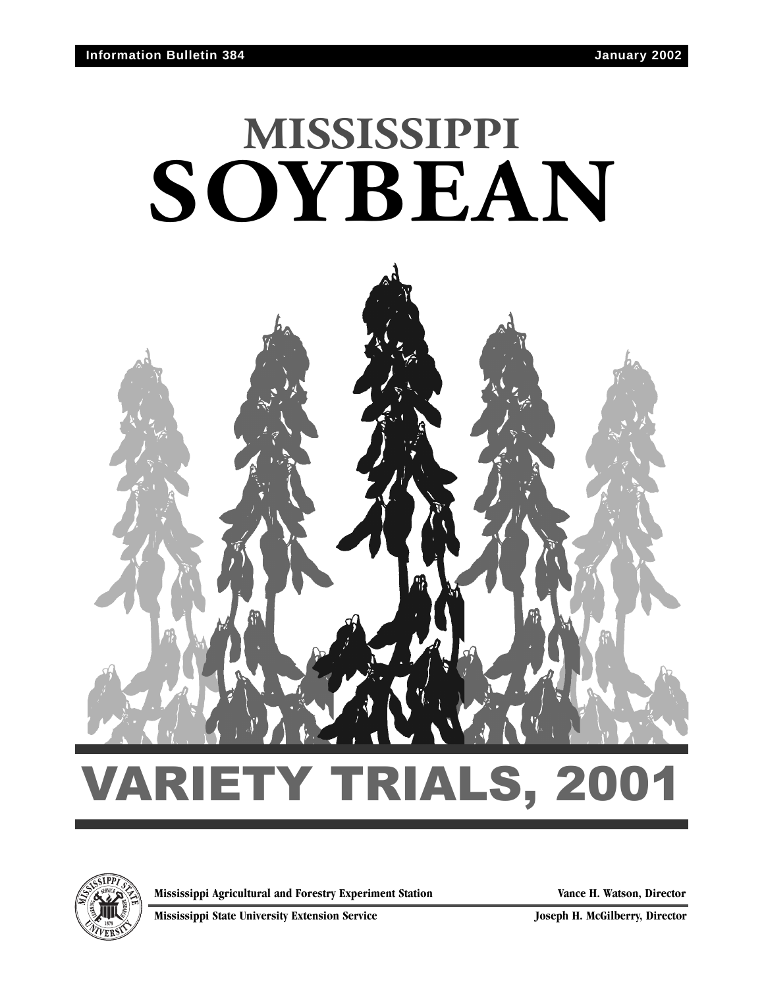# **MISSISSIPPI SOYBEAN**



**Mississippi Agricultural and Forestry Experiment Station Vance H. Watson, Director**

**Mississippi State University Extension Service Joseph H. McGilberry, Director**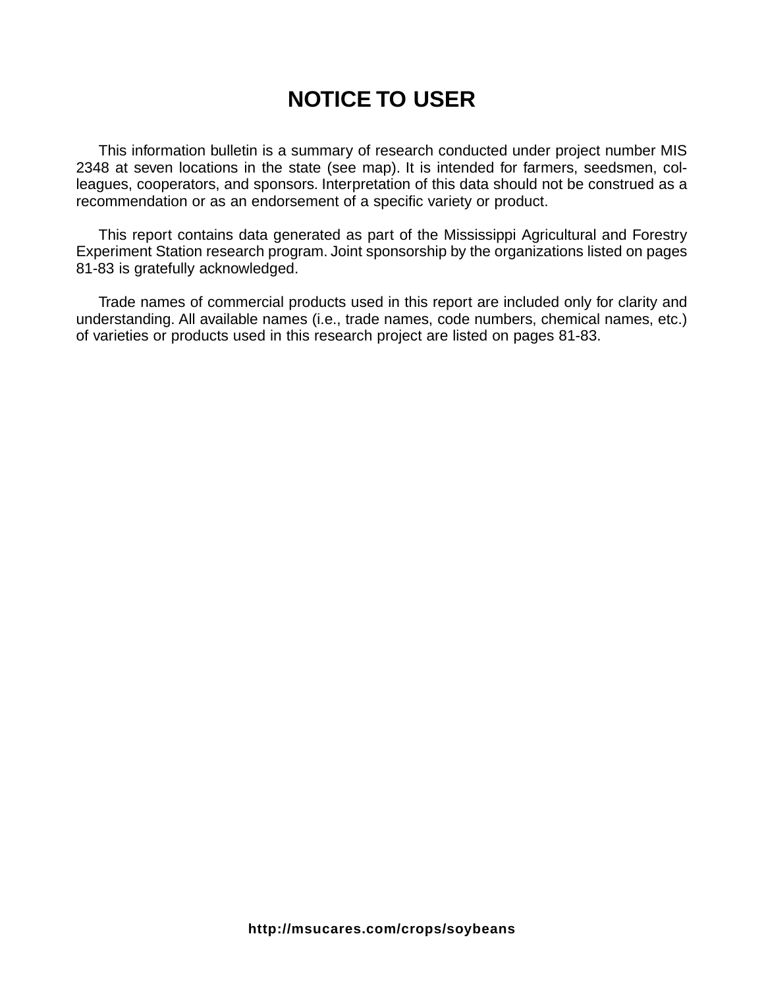## **NOTICE TO USER**

This information bulletin is a summary of research conducted under project number MIS 2348 at seven locations in the state (see map). It is intended for farmers, seedsmen, colleagues, cooperators, and sponsors. Interpretation of this data should not be construed as a recommendation or as an endorsement of a specific variety or product.

This report contains data generated as part of the Mississippi Agricultural and Forestry Experiment Station research program. Joint sponsorship by the organizations listed on pages 81-83 is gratefully acknowledged.

Trade names of commercial products used in this report are included only for clarity and understanding. All available names (i.e., trade names, code numbers, chemical names, etc.) of varieties or products used in this research project are listed on pages 81-83.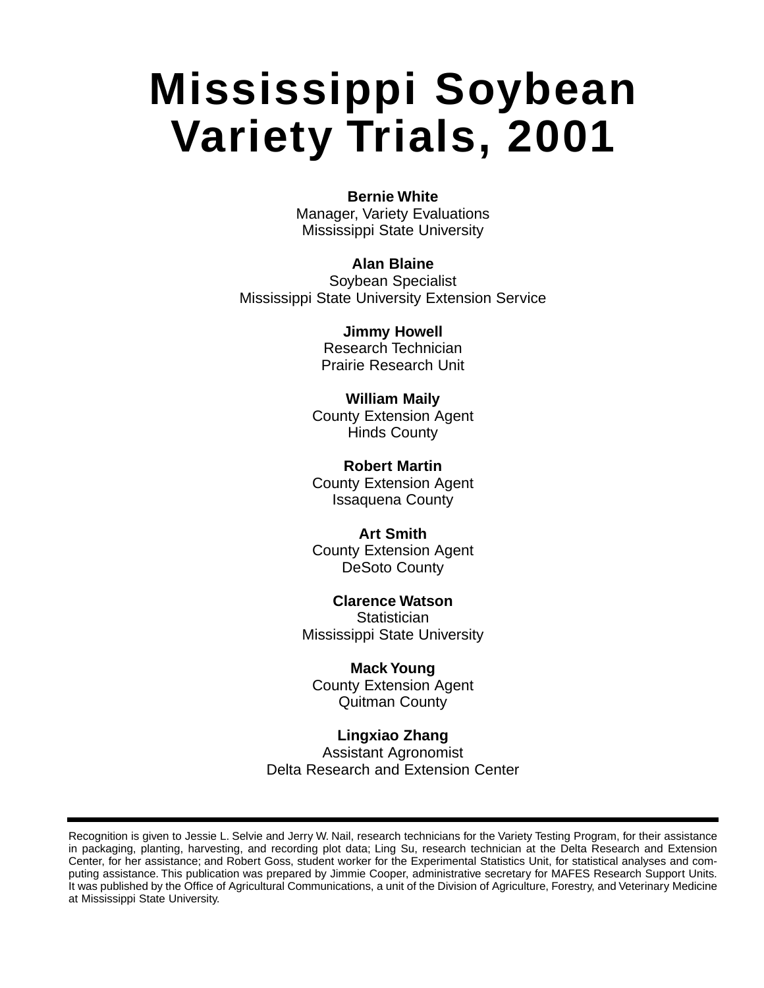## **Mississippi Soybean Variety Trials, 2001**

#### **Bernie White**

Manager, Variety Evaluations Mississippi State University

#### **Alan Blaine**

Soybean Specialist Mississippi State University Extension Service

> **Jimmy Howell** Research Technician Prairie Research Unit

### **William Maily**

County Extension Agent Hinds County

**Robert Martin** County Extension Agent Issaquena County

**Art Smith** County Extension Agent DeSoto County

**Clarence Watson Statistician** Mississippi State University

#### **Mack Young**

County Extension Agent Quitman County

**Lingxiao Zhang** Assistant Agronomist Delta Research and Extension Center

Recognition is given to Jessie L. Selvie and Jerry W. Nail, research technicians for the Variety Testing Program, for their assistance in packaging, planting, harvesting, and recording plot data; Ling Su, research technician at the Delta Research and Extension Center, for her assistance; and Robert Goss, student worker for the Experimental Statistics Unit, for statistical analyses and computing assistance. This publication was prepared by Jimmie Cooper, administrative secretary for MAFES Research Support Units. It was published by the Office of Agricultural Communications, a unit of the Division of Agriculture, Forestry, and Veterinary Medicine at Mississippi State University.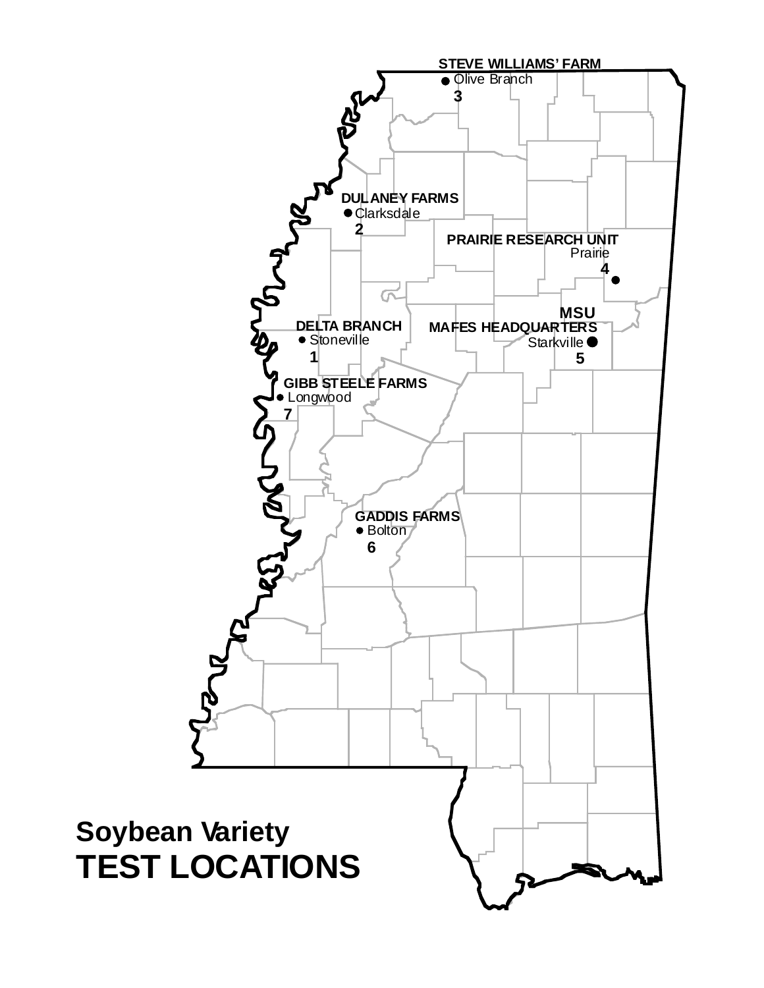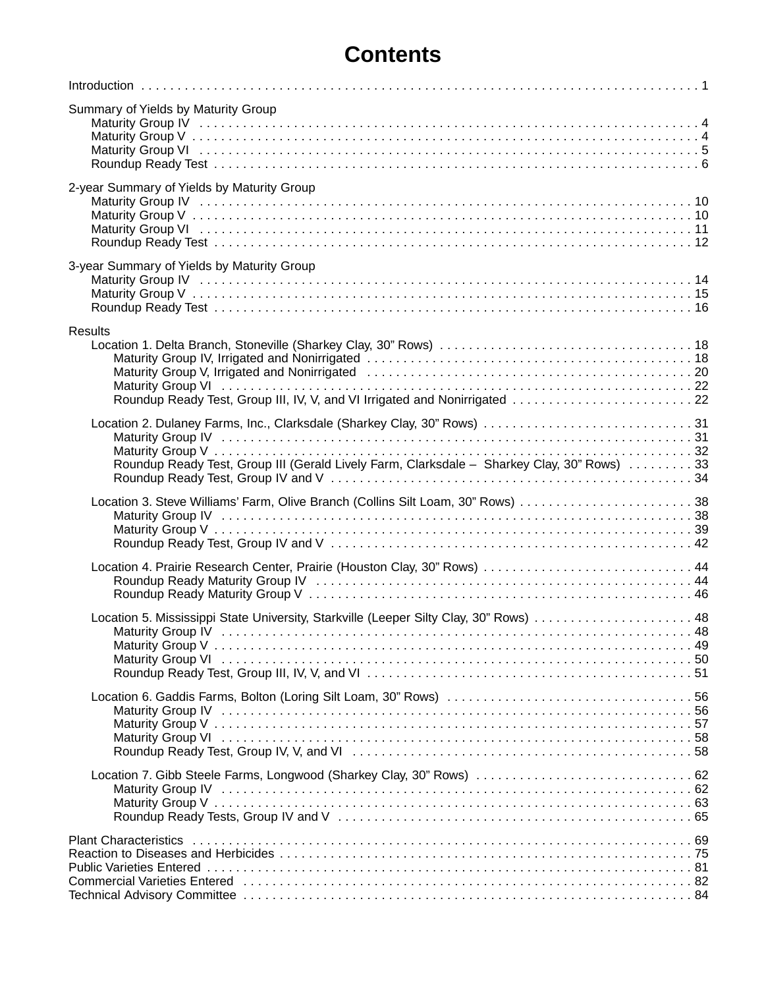## **Contents**

| Summary of Yields by Maturity Group                                                           |  |
|-----------------------------------------------------------------------------------------------|--|
| 2-year Summary of Yields by Maturity Group                                                    |  |
| 3-year Summary of Yields by Maturity Group                                                    |  |
| <b>Results</b><br>Roundup Ready Test, Group III, IV, V, and VI Irrigated and Nonirrigated  22 |  |
| Roundup Ready Test, Group III (Gerald Lively Farm, Clarksdale - Sharkey Clay, 30" Rows)  33   |  |
|                                                                                               |  |
| Location 4. Prairie Research Center, Prairie (Houston Clay, 30" Rows)  44                     |  |
| Location 5. Mississippi State University, Starkville (Leeper Silty Clay, 30" Rows)  48        |  |
|                                                                                               |  |
| Location 7. Gibb Steele Farms, Longwood (Sharkey Clay, 30" Rows)  62                          |  |
|                                                                                               |  |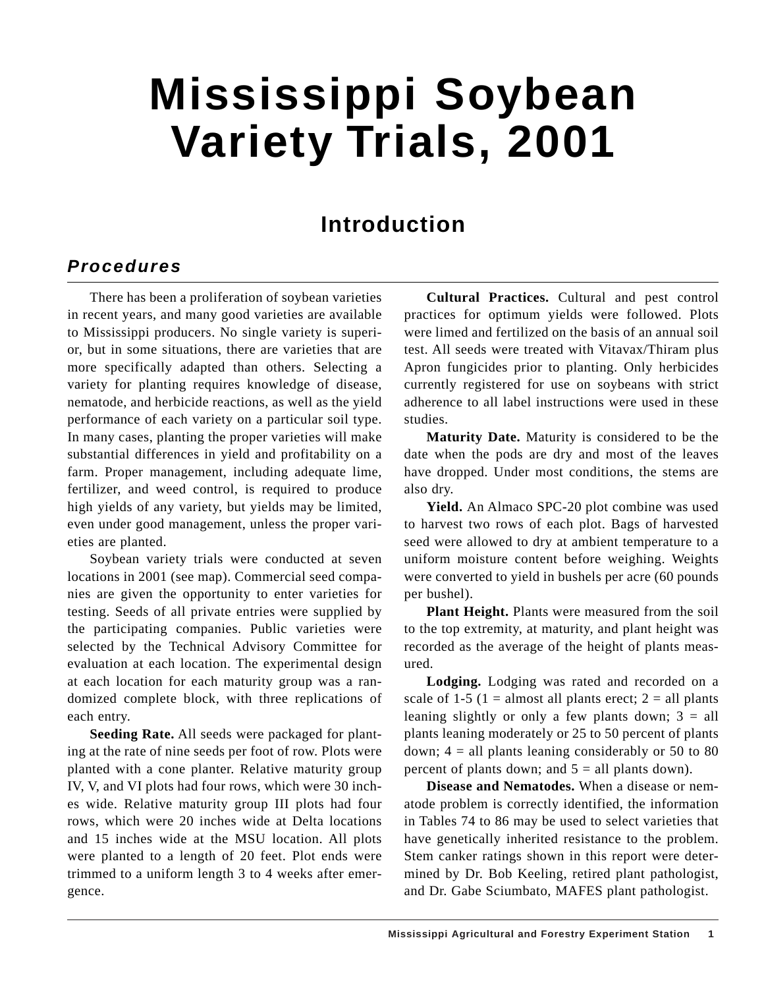## **Mississippi Soybean Variety Trials, 2001**

## **Introduction**

### **Procedures**

There has been a proliferation of soybean varieties in recent years, and many good varieties are available to Mississippi producers. No single variety is superior, but in some situations, there are varieties that are more specifically adapted than others. Selecting a variety for planting requires knowledge of disease, nematode, and herbicide reactions, as well as the yield performance of each variety on a particular soil type. In many cases, planting the proper varieties will make substantial differences in yield and profitability on a farm. Proper management, including adequate lime, fertilizer, and weed control, is required to produce high yields of any variety, but yields may be limited, even under good management, unless the proper varieties are planted.

Soybean variety trials were conducted at seven locations in 2001 (see map). Commercial seed companies are given the opportunity to enter varieties for testing. Seeds of all private entries were supplied by the participating companies. Public varieties were selected by the Technical Advisory Committee for evaluation at each location. The experimental design at each location for each maturity group was a randomized complete block, with three replications of each entry.

**Seeding Rate.** All seeds were packaged for planting at the rate of nine seeds per foot of row. Plots were planted with a cone planter. Relative maturity group IV, V, and VI plots had four rows, which were 30 inches wide. Relative maturity group III plots had four rows, which were 20 inches wide at Delta locations and 15 inches wide at the MSU location. All plots were planted to a length of 20 feet. Plot ends were trimmed to a uniform length 3 to 4 weeks after emergence.

**Cultural Practices.** Cultural and pest control practices for optimum yields were followed. Plots were limed and fertilized on the basis of an annual soil test. All seeds were treated with Vitavax/Thiram plus Apron fungicides prior to planting. Only herbicides currently registered for use on soybeans with strict adherence to all label instructions were used in these studies.

**Maturity Date.** Maturity is considered to be the date when the pods are dry and most of the leaves have dropped. Under most conditions, the stems are also dry.

**Yield.** An Almaco SPC-20 plot combine was used to harvest two rows of each plot. Bags of harvested seed were allowed to dry at ambient temperature to a uniform moisture content before weighing. Weights were converted to yield in bushels per acre (60 pounds per bushel).

**Plant Height.** Plants were measured from the soil to the top extremity, at maturity, and plant height was recorded as the average of the height of plants measured.

**Lodging.** Lodging was rated and recorded on a scale of 1-5 (1 = almost all plants erect;  $2$  = all plants leaning slightly or only a few plants down;  $3 = all$ plants leaning moderately or 25 to 50 percent of plants down;  $4 =$  all plants leaning considerably or 50 to 80 percent of plants down; and  $5 =$  all plants down).

**Disease and Nematodes.** When a disease or nematode problem is correctly identified, the information in Tables 74 to 86 may be used to select varieties that have genetically inherited resistance to the problem. Stem canker ratings shown in this report were determined by Dr. Bob Keeling, retired plant pathologist, and Dr. Gabe Sciumbato, MAFES plant pathologist.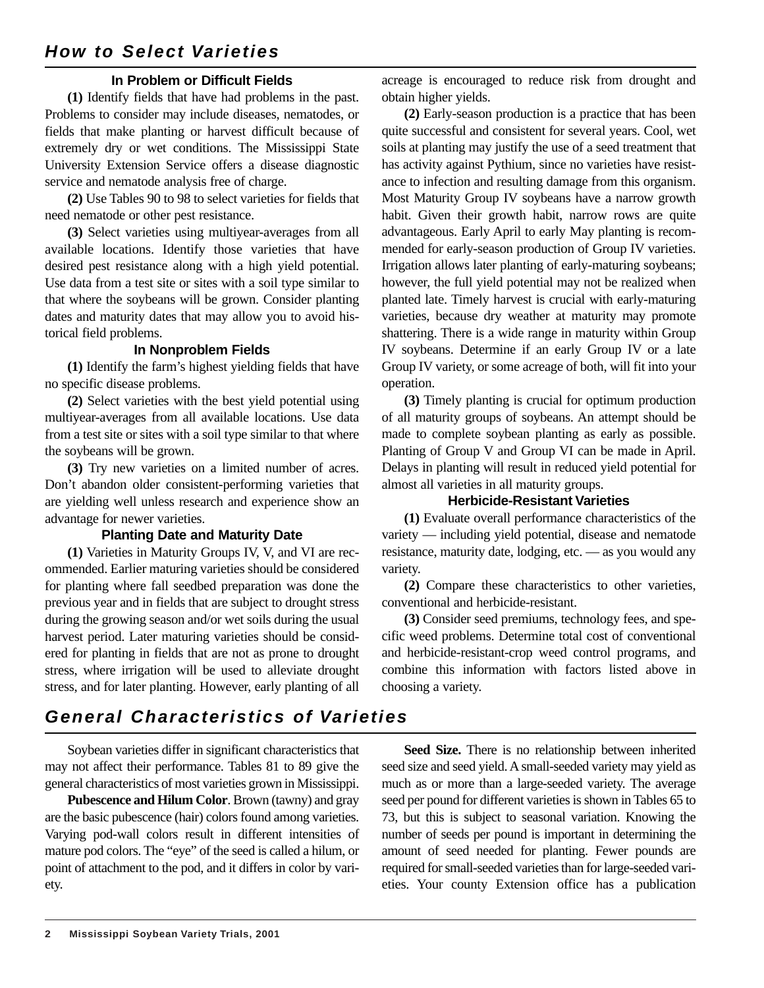#### **In Problem or Difficult Fields**

**(1)** Identify fields that have had problems in the past. Problems to consider may include diseases, nematodes, or fields that make planting or harvest difficult because of extremely dry or wet conditions. The Mississippi State University Extension Service offers a disease diagnostic service and nematode analysis free of charge.

**(2)** Use Tables 90 to 98 to select varieties for fields that need nematode or other pest resistance.

**(3)** Select varieties using multiyear-averages from all available locations. Identify those varieties that have desired pest resistance along with a high yield potential. Use data from a test site or sites with a soil type similar to that where the soybeans will be grown. Consider planting dates and maturity dates that may allow you to avoid historical field problems.

#### **In Nonproblem Fields**

**(1)** Identify the farm's highest yielding fields that have no specific disease problems.

**(2)** Select varieties with the best yield potential using multiyear-averages from all available locations. Use data from a test site or sites with a soil type similar to that where the soybeans will be grown.

**(3)** Try new varieties on a limited number of acres. Don't abandon older consistent-performing varieties that are yielding well unless research and experience show an advantage for newer varieties.

#### **Planting Date and Maturity Date**

**(1)** Varieties in Maturity Groups IV, V, and VI are recommended. Earlier maturing varieties should be considered for planting where fall seedbed preparation was done the previous year and in fields that are subject to drought stress during the growing season and/or wet soils during the usual harvest period. Later maturing varieties should be considered for planting in fields that are not as prone to drought stress, where irrigation will be used to alleviate drought stress, and for later planting. However, early planting of all

acreage is encouraged to reduce risk from drought and obtain higher yields.

**(2)** Early-season production is a practice that has been quite successful and consistent for several years. Cool, wet soils at planting may justify the use of a seed treatment that has activity against Pythium, since no varieties have resistance to infection and resulting damage from this organism. Most Maturity Group IV soybeans have a narrow growth habit. Given their growth habit, narrow rows are quite advantageous. Early April to early May planting is recommended for early-season production of Group IV varieties. Irrigation allows later planting of early-maturing soybeans; however, the full yield potential may not be realized when planted late. Timely harvest is crucial with early-maturing varieties, because dry weather at maturity may promote shattering. There is a wide range in maturity within Group IV soybeans. Determine if an early Group IV or a late Group IV variety, or some acreage of both, will fit into your operation.

**(3)** Timely planting is crucial for optimum production of all maturity groups of soybeans. An attempt should be made to complete soybean planting as early as possible. Planting of Group V and Group VI can be made in April. Delays in planting will result in reduced yield potential for almost all varieties in all maturity groups.

#### **Herbicide-Resistant Varieties**

**(1)** Evaluate overall performance characteristics of the variety — including yield potential, disease and nematode resistance, maturity date, lodging, etc. — as you would any variety.

**(2)** Compare these characteristics to other varieties, conventional and herbicide-resistant.

**(3)** Consider seed premiums, technology fees, and specific weed problems. Determine total cost of conventional and herbicide-resistant-crop weed control programs, and combine this information with factors listed above in choosing a variety.

## **General Characteristics of Varieties**

Soybean varieties differ in significant characteristics that may not affect their performance. Tables 81 to 89 give the general characteristics of most varieties grown in Mississippi.

**Pubescence and Hilum Color**. Brown (tawny) and gray are the basic pubescence (hair) colors found among varieties. Varying pod-wall colors result in different intensities of mature pod colors. The "eye" of the seed is called a hilum, or point of attachment to the pod, and it differs in color by variety.

**Seed Size.** There is no relationship between inherited seed size and seed yield. A small-seeded variety may yield as much as or more than a large-seeded variety. The average seed per pound for different varieties is shown in Tables 65 to 73, but this is subject to seasonal variation. Knowing the number of seeds per pound is important in determining the amount of seed needed for planting. Fewer pounds are required for small-seeded varieties than for large-seeded varieties. Your county Extension office has a publication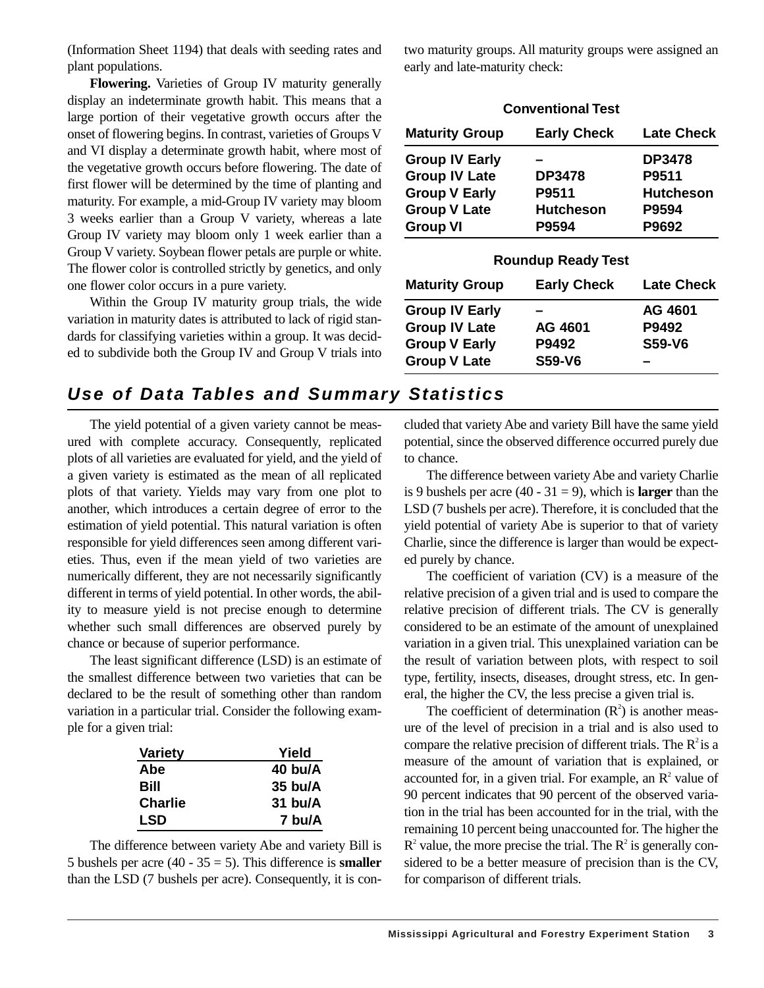(Information Sheet 1194) that deals with seeding rates and plant populations.

**Flowering.** Varieties of Group IV maturity generally display an indeterminate growth habit. This means that a large portion of their vegetative growth occurs after the onset of flowering begins. In contrast, varieties of Groups V and VI display a determinate growth habit, where most of the vegetative growth occurs before flowering. The date of first flower will be determined by the time of planting and maturity. For example, a mid-Group IV variety may bloom 3 weeks earlier than a Group V variety, whereas a late Group IV variety may bloom only 1 week earlier than a Group V variety. Soybean flower petals are purple or white. The flower color is controlled strictly by genetics, and only one flower color occurs in a pure variety.

Within the Group IV maturity group trials, the wide variation in maturity dates is attributed to lack of rigid standards for classifying varieties within a group. It was decided to subdivide both the Group IV and Group V trials into two maturity groups. All maturity groups were assigned an early and late-maturity check:

| <b>Conventional Test</b> |                    |                   |  |  |  |  |  |  |  |  |  |
|--------------------------|--------------------|-------------------|--|--|--|--|--|--|--|--|--|
| <b>Maturity Group</b>    | <b>Early Check</b> | <b>Late Check</b> |  |  |  |  |  |  |  |  |  |
| <b>Group IV Early</b>    |                    | <b>DP3478</b>     |  |  |  |  |  |  |  |  |  |
| <b>Group IV Late</b>     | <b>DP3478</b>      | P9511             |  |  |  |  |  |  |  |  |  |
| <b>Group V Early</b>     | P9511              | <b>Hutcheson</b>  |  |  |  |  |  |  |  |  |  |
| <b>Group V Late</b>      | <b>Hutcheson</b>   | P9594             |  |  |  |  |  |  |  |  |  |
| <b>Group VI</b>          | P9594              | P9692             |  |  |  |  |  |  |  |  |  |

| <b>Roundup Ready Test</b> |                    |                   |  |  |  |  |  |  |  |  |  |
|---------------------------|--------------------|-------------------|--|--|--|--|--|--|--|--|--|
| <b>Maturity Group</b>     | <b>Early Check</b> | <b>Late Check</b> |  |  |  |  |  |  |  |  |  |
| <b>Group IV Early</b>     |                    | AG 4601           |  |  |  |  |  |  |  |  |  |
| <b>Group IV Late</b>      | AG 4601            | P9492             |  |  |  |  |  |  |  |  |  |
| <b>Group V Early</b>      | P9492              | <b>S59-V6</b>     |  |  |  |  |  |  |  |  |  |
| <b>Group V Late</b>       | <b>S59-V6</b>      |                   |  |  |  |  |  |  |  |  |  |

### **Use of Data Tables and Summary Statistics**

The yield potential of a given variety cannot be measured with complete accuracy. Consequently, replicated plots of all varieties are evaluated for yield, and the yield of a given variety is estimated as the mean of all replicated plots of that variety. Yields may vary from one plot to another, which introduces a certain degree of error to the estimation of yield potential. This natural variation is often responsible for yield differences seen among different varieties. Thus, even if the mean yield of two varieties are numerically different, they are not necessarily significantly different in terms of yield potential. In other words, the ability to measure yield is not precise enough to determine whether such small differences are observed purely by chance or because of superior performance.

The least significant difference (LSD) is an estimate of the smallest difference between two varieties that can be declared to be the result of something other than random variation in a particular trial. Consider the following example for a given trial:

| <b>Variety</b> | Yield     |
|----------------|-----------|
| Abe            | $40$ bu/A |
| Bill           | $35$ bu/A |
| <b>Charlie</b> | $31$ bu/A |
| LSD            | 7 bu/A    |

The difference between variety Abe and variety Bill is 5 bushels per acre (40 - 35 = 5). This difference is **smaller** than the LSD (7 bushels per acre). Consequently, it is concluded that variety Abe and variety Bill have the same yield potential, since the observed difference occurred purely due to chance.

The difference between variety Abe and variety Charlie is 9 bushels per acre  $(40 - 31 = 9)$ , which is **larger** than the LSD (7 bushels per acre). Therefore, it is concluded that the yield potential of variety Abe is superior to that of variety Charlie, since the difference is larger than would be expected purely by chance.

The coefficient of variation (CV) is a measure of the relative precision of a given trial and is used to compare the relative precision of different trials. The CV is generally considered to be an estimate of the amount of unexplained variation in a given trial. This unexplained variation can be the result of variation between plots, with respect to soil type, fertility, insects, diseases, drought stress, etc. In general, the higher the CV, the less precise a given trial is.

The coefficient of determination  $(R^2)$  is another measure of the level of precision in a trial and is also used to compare the relative precision of different trials. The  $R^2$  is a measure of the amount of variation that is explained, or accounted for, in a given trial. For example, an  $\mathbb{R}^2$  value of 90 percent indicates that 90 percent of the observed variation in the trial has been accounted for in the trial, with the remaining 10 percent being unaccounted for. The higher the  $R<sup>2</sup>$  value, the more precise the trial. The  $R<sup>2</sup>$  is generally considered to be a better measure of precision than is the CV, for comparison of different trials.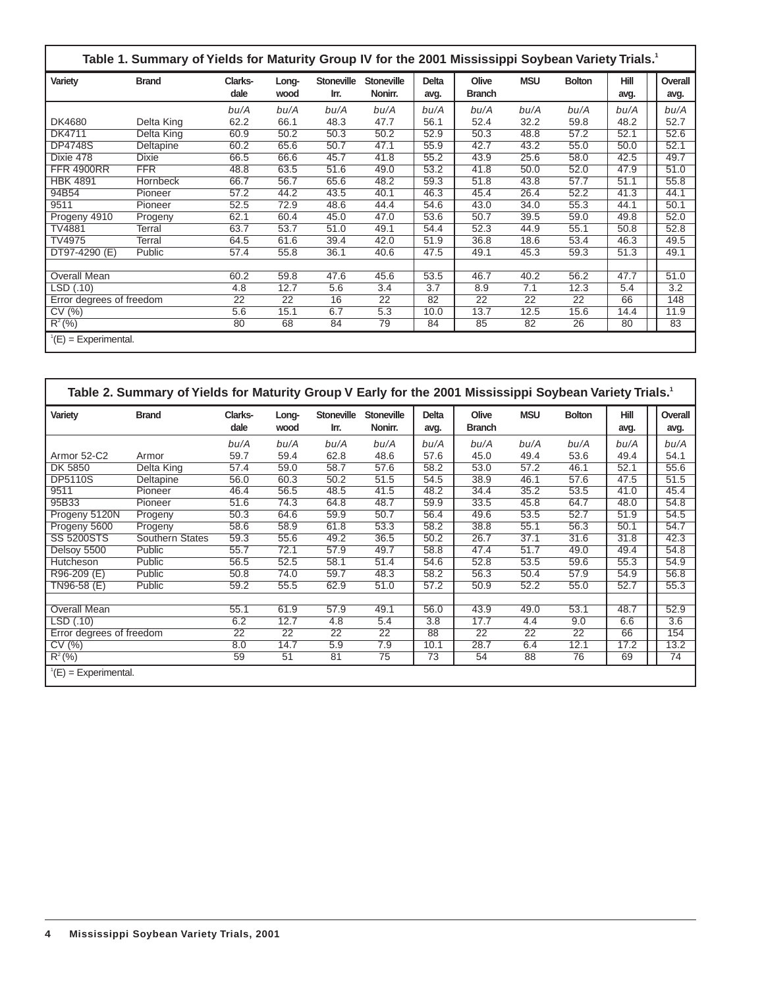|                                 | Table 1. Summary of Yields for Maturity Group IV for the 2001 Mississippi Soybean Variety Trials.1 |                 |               |                           |                              |                      |                        |                 |               |                     |                 |  |
|---------------------------------|----------------------------------------------------------------------------------------------------|-----------------|---------------|---------------------------|------------------------------|----------------------|------------------------|-----------------|---------------|---------------------|-----------------|--|
| Variety                         | <b>Brand</b>                                                                                       | Clarks-<br>dale | Long-<br>wood | <b>Stoneville</b><br>Irr. | <b>Stoneville</b><br>Nonirr. | <b>Delta</b><br>avg. | Olive<br><b>Branch</b> | <b>MSU</b>      | <b>Bolton</b> | <b>Hill</b><br>avg. | Overall<br>avg. |  |
|                                 |                                                                                                    | bu/A            | bu/A          | bu/A                      | bu/A                         | bu/A                 | bu/A                   | bu/A            | bu/A          | bu/A                | bu/A            |  |
| DK4680                          | Delta King                                                                                         | 62.2            | 66.1          | 48.3                      | 47.7                         | 56.1                 | 52.4                   | 32.2            | 59.8          | 48.2                | 52.7            |  |
| DK4711                          | Delta King                                                                                         | 60.9            | 50.2          | 50.3                      | 50.2                         | 52.9                 | 50.3                   | 48.8            | 57.2          | 52.1                | 52.6            |  |
| <b>DP4748S</b>                  | Deltapine                                                                                          | 60.2            | 65.6          | 50.7                      | 47.1                         | 55.9                 | 42.7                   | 43.2            | 55.0          | 50.0                | 52.1            |  |
| Dixie $4\overline{78}$          | <b>Dixie</b>                                                                                       | 66.5            | 66.6          | 45.7                      | 41.8                         | 55.2                 | 43.9                   | 25.6            | 58.0          | 42.5                | 49.7            |  |
| <b>FFR 4900RR</b>               | <b>FFR</b>                                                                                         | 48.8            | 63.5          | 51.6                      | 49.0                         | 53.2                 | 41.8                   | 50.0            | 52.0          | 47.9                | 51.0            |  |
| <b>HBK 4891</b>                 | Hornbeck                                                                                           | 66.7            | 56.7          | 65.6                      | 48.2                         | 59.3                 | 51.8                   | 43.8            | 57.7          | 51.1                | 55.8            |  |
| 94B54                           | Pioneer                                                                                            | 57.2            | 44.2          | 43.5                      | 40.1                         | 46.3                 | 45.4                   | 26.4            | 52.2          | 41.3                | 44.1            |  |
| 9511                            | Pioneer                                                                                            | 52.5            | 72.9          | 48.6                      | 44.4                         | 54.6                 | 43.0                   | 34.0            | 55.3          | 44.1                | 50.1            |  |
| Progeny 4910                    | Progeny                                                                                            | 62.1            | 60.4          | 45.0                      | 47.0                         | 53.6                 | 50.7                   | 39.5            | 59.0          | 49.8                | 52.0            |  |
| TV4881                          | Terral                                                                                             | 63.7            | 53.7          | 51.0                      | 49.1                         | 54.4                 | 52.3                   | 44.9            | 55.1          | 50.8                | 52.8            |  |
| TV4975                          | Terral                                                                                             | 64.5            | 61.6          | 39.4                      | 42.0                         | 51.9                 | 36.8                   | 18.6            | 53.4          | 46.3                | 49.5            |  |
| DT97-4290 (E)                   | Public                                                                                             | 57.4            | 55.8          | 36.1                      | 40.6                         | 47.5                 | 49.1                   | 45.3            | 59.3          | 51.3                | 49.1            |  |
|                                 |                                                                                                    |                 |               |                           |                              |                      |                        |                 |               |                     |                 |  |
| Overall Mean                    |                                                                                                    | 60.2            | 59.8          | 47.6                      | 45.6                         | 53.5                 | 46.7                   | 40.2            | 56.2          | 47.7                | 51.0            |  |
| LSD(.10)                        |                                                                                                    | 4.8             | 12.7          | 5.6                       | 3.4                          | 3.7                  | 8.9                    | 7.1             | 12.3          | 5.4                 | 3.2             |  |
| Error degrees of freedom        |                                                                                                    | 22              | 22            | 16                        | $\overline{22}$              | 82                   | 22                     | $\overline{22}$ | 22            | 66                  | 148             |  |
| CV (%)                          |                                                                                                    | 5.6             | 15.1          | 6.7                       | 5.3                          | 10.0                 | 13.7                   | 12.5            | 15.6          | 14.4                | 11.9            |  |
| $R^2(%)$                        |                                                                                                    | 80              | 68            | 84                        | 79                           | 84                   | 85                     | 82              | 26            | 80                  | 83              |  |
| $^{\prime}$ (E) = Experimental. |                                                                                                    |                 |               |                           |                              |                      |                        |                 |               |                     |                 |  |

|                                    | Table 2. Summary of Yields for Maturity Group V Early for the 2001 Mississippi Soybean Variety Trials. <sup>1</sup> |                 |                 |                           |                              |                      |                        |                 |                 |                     |  |                 |
|------------------------------------|---------------------------------------------------------------------------------------------------------------------|-----------------|-----------------|---------------------------|------------------------------|----------------------|------------------------|-----------------|-----------------|---------------------|--|-----------------|
| Variety                            | <b>Brand</b>                                                                                                        | Clarks-<br>dale | Long-<br>wood   | <b>Stoneville</b><br>Irr. | <b>Stoneville</b><br>Nonirr. | <b>Delta</b><br>avg. | Olive<br><b>Branch</b> | <b>MSU</b>      | <b>Bolton</b>   | <b>Hill</b><br>avg. |  | Overall<br>avg. |
|                                    |                                                                                                                     | bu/A            | bu/A            | bu/A                      | bu/A                         | bu/A                 | bu/A                   | bu/A            | bu/A            | bu/A                |  | bu/A            |
| Armor 52-C2                        | Armor                                                                                                               | 59.7            | 59.4            | 62.8                      | 48.6                         | 57.6                 | 45.0                   | 49.4            | 53.6            | 49.4                |  | 54.1            |
| DK 5850                            | Delta King                                                                                                          | 57.4            | 59.0            | 58.7                      | 57.6                         | 58.2                 | 53.0                   | 57.2            | 46.1            | 52.1                |  | 55.6            |
| <b>DP5110S</b>                     | Deltapine                                                                                                           | 56.0            | 60.3            | 50.2                      | 51.5                         | 54.5                 | 38.9                   | 46.1            | 57.6            | 47.5                |  | 51.5            |
| 9511                               | Pioneer                                                                                                             | 46.4            | 56.5            | 48.5                      | 41.5                         | 48.2                 | 34.4                   | 35.2            | 53.5            | 41.0                |  | 45.4            |
| 95B33                              | Pioneer                                                                                                             | 51.6            | 74.3            | 64.8                      | 48.7                         | 59.9                 | 33.5                   | 45.8            | 64.7            | 48.0                |  | 54.8            |
| Progeny 5120N                      | Progeny                                                                                                             | 50.3            | 64.6            | 59.9                      | 50.7                         | 56.4                 | 49.6                   | 53.5            | 52.7            | 51.9                |  | 54.5            |
| Progeny 5600                       | Progeny                                                                                                             | 58.6            | 58.9            | 61.8                      | 53.3                         | 58.2                 | 38.8                   | 55.1            | 56.3            | 50.1                |  | 54.7            |
| <b>SS 5200STS</b>                  | <b>Southern States</b>                                                                                              | 59.3            | 55.6            | 49.2                      | 36.5                         | 50.2                 | 26.7                   | 37.1            | 31.6            | 31.8                |  | 42.3            |
| Delsoy 5500                        | Public                                                                                                              | 55.7            | 72.1            | 57.9                      | 49.7                         | 58.8                 | 47.4                   | 51.7            | 49.0            | 49.4                |  | 54.8            |
| Hutcheson                          | Public                                                                                                              | 56.5            | 52.5            | 58.1                      | 51.4                         | 54.6                 | 52.8                   | 53.5            | 59.6            | 55.3                |  | 54.9            |
| R96-209 (E)                        | Public                                                                                                              | 50.8            | 74.0            | 59.7                      | 48.3                         | 58.2                 | 56.3                   | 50.4            | 57.9            | 54.9                |  | 56.8            |
| TN96-58 (E)                        | Public                                                                                                              | 59.2            | 55.5            | 62.9                      | 51.0                         | 57.2                 | 50.9                   | 52.2            | 55.0            | 52.7                |  | 55.3            |
|                                    |                                                                                                                     |                 |                 |                           |                              |                      |                        |                 |                 |                     |  |                 |
| Overall Mean                       |                                                                                                                     | 55.1            | 61.9            | 57.9                      | 49.1                         | 56.0                 | 43.9                   | 49.0            | 53.1            | 48.7                |  | 52.9            |
| LSD(.10)                           |                                                                                                                     | 6.2             | 12.7            | 4.8                       | 5.4                          | 3.8                  | 17.7                   | 4.4             | 9.0             | 6.6                 |  | 3.6             |
| Error degrees of freedom           |                                                                                                                     | $\overline{22}$ | $\overline{22}$ | $\overline{22}$           | $\overline{22}$              | 88                   | $\overline{22}$        | $\overline{22}$ | $\overline{22}$ | 66                  |  | 154             |
| CV(%)                              |                                                                                                                     | 8.0             | 14.7            | 5.9                       | 7.9                          | 10.1                 | 28.7                   | 6.4             | 12.1            | 17.2                |  | 13.2            |
| $R^2(%)$                           |                                                                                                                     | 59              | 51              | 81                        | 75                           | 73                   | 54                     | 88              | 76              | 69                  |  | 74              |
| $E(E) = Experiments$ Experimental. |                                                                                                                     |                 |                 |                           |                              |                      |                        |                 |                 |                     |  |                 |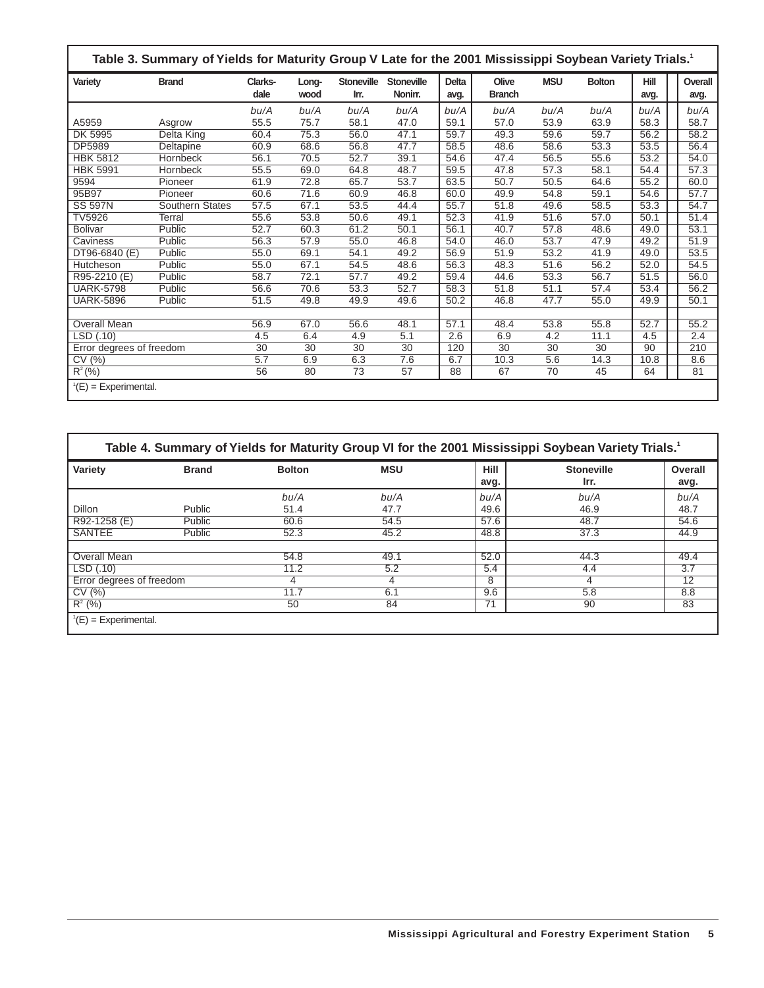| Table 3. Summary of Yields for Maturity Group V Late for the 2001 Mississippi Soybean Variety Trials. <sup>1</sup> |                 |                 |               |                           |                              |                      |                        |            |               |                     |  |                 |
|--------------------------------------------------------------------------------------------------------------------|-----------------|-----------------|---------------|---------------------------|------------------------------|----------------------|------------------------|------------|---------------|---------------------|--|-----------------|
| Variety                                                                                                            | <b>Brand</b>    | Clarks-<br>dale | Long-<br>wood | <b>Stoneville</b><br>Irr. | <b>Stoneville</b><br>Nonirr. | <b>Delta</b><br>avg. | Olive<br><b>Branch</b> | <b>MSU</b> | <b>Bolton</b> | <b>Hill</b><br>avg. |  | Overall<br>avg. |
|                                                                                                                    |                 | bu/A            | bu/A          | bu/A                      | bu/A                         | bu/A                 | bu/A                   | bu/A       | bu/A          | bu/A                |  | bu/A            |
| A5959                                                                                                              | Asgrow          | 55.5            | 75.7          | 58.1                      | 47.0                         | 59.1                 | 57.0                   | 53.9       | 63.9          | 58.3                |  | 58.7            |
| DK 5995                                                                                                            | Delta King      | 60.4            | 75.3          | 56.0                      | 47.1                         | 59.7                 | 49.3                   | 59.6       | 59.7          | 56.2                |  | 58.2            |
| DP5989                                                                                                             | Deltapine       | 60.9            | 68.6          | 56.8                      | 47.7                         | 58.5                 | 48.6                   | 58.6       | 53.3          | 53.5                |  | 56.4            |
| <b>HBK 5812</b>                                                                                                    | <b>Hornbeck</b> | 56.1            | 70.5          | 52.7                      | 39.1                         | 54.6                 | 47.4                   | 56.5       | 55.6          | 53.2                |  | 54.0            |
| <b>HBK 5991</b>                                                                                                    | Hornbeck        | 55.5            | 69.0          | 64.8                      | 48.7                         | 59.5                 | 47.8                   | 57.3       | 58.1          | 54.4                |  | 57.3            |
| 9594                                                                                                               | Pioneer         | 61.9            | 72.8          | 65.7                      | 53.7                         | 63.5                 | 50.7                   | 50.5       | 64.6          | 55.2                |  | 60.0            |
| 95B97                                                                                                              | Pioneer         | 60.6            | 71.6          | 60.9                      | 46.8                         | 60.0                 | 49.9                   | 54.8       | 59.1          | 54.6                |  | 57.7            |
| <b>SS 597N</b>                                                                                                     | Southern States | 57.5            | 67.1          | 53.5                      | 44.4                         | 55.7                 | 51.8                   | 49.6       | 58.5          | 53.3                |  | 54.7            |
| <b>TV5926</b>                                                                                                      | Terral          | 55.6            | 53.8          | 50.6                      | 49.1                         | 52.3                 | 41.9                   | 51.6       | 57.0          | 50.1                |  | 51.4            |
| <b>Bolivar</b>                                                                                                     | Public          | 52.7            | 60.3          | 61.2                      | 50.1                         | 56.1                 | 40.7                   | 57.8       | 48.6          | 49.0                |  | 53.1            |
| Caviness                                                                                                           | Public          | 56.3            | 57.9          | 55.0                      | 46.8                         | 54.0                 | 46.0                   | 53.7       | 47.9          | 49.2                |  | 51.9            |
| DT96-6840 (E)                                                                                                      | Public          | 55.0            | 69.1          | 54.1                      | 49.2                         | 56.9                 | 51.9                   | 53.2       | 41.9          | 49.0                |  | 53.5            |
| Hutcheson                                                                                                          | Public          | 55.0            | 67.1          | 54.5                      | 48.6                         | 56.3                 | 48.3                   | 51.6       | 56.2          | 52.0                |  | 54.5            |
| R95-2210 (E)                                                                                                       | Public          | 58.7            | 72.1          | 57.7                      | 49.2                         | 59.4                 | 44.6                   | 53.3       | 56.7          | 51.5                |  | 56.0            |
| <b>UARK-5798</b>                                                                                                   | Public          | 56.6            | 70.6          | 53.3                      | 52.7                         | 58.3                 | 51.8                   | 51.1       | 57.4          | 53.4                |  | 56.2            |
| <b>UARK-5896</b>                                                                                                   | Public          | 51.5            | 49.8          | 49.9                      | 49.6                         | 50.2                 | 46.8                   | 47.7       | 55.0          | 49.9                |  | 50.1            |
|                                                                                                                    |                 |                 |               |                           |                              |                      |                        |            |               |                     |  |                 |
| <b>Overall Mean</b>                                                                                                |                 | 56.9            | 67.0          | 56.6                      | 48.1                         | 57.1                 | 48.4                   | 53.8       | 55.8          | 52.7                |  | 55.2            |
| LSD(.10)                                                                                                           |                 | 4.5             | 6.4           | 4.9                       | 5.1                          | 2.6                  | 6.9                    | 4.2        | 11.1          | 4.5                 |  | 2.4             |
| Error degrees of freedom                                                                                           |                 | 30              | 30            | 30                        | 30                           | 120                  | 30                     | 30         | 30            | 90                  |  | 210             |
| CV(%)                                                                                                              |                 | 5.7             | 6.9           | 6.3                       | 7.6                          | 6.7                  | 10.3                   | 5.6        | 14.3          | 10.8                |  | 8.6             |
| $R^2(\%)$                                                                                                          |                 | 56              | 80            | 73                        | 57                           | 88                   | 67                     | 70         | 45            | 64                  |  | 81              |
| $^1(E)$ = Experimental.                                                                                            |                 |                 |               |                           |                              |                      |                        |            |               |                     |  |                 |

|                          |              |               |            |                                           | Table 4. Summary of Yields for Maturity Group VI for the 2001 Mississippi Soybean Variety Trials. <sup>1</sup> |                 |
|--------------------------|--------------|---------------|------------|-------------------------------------------|----------------------------------------------------------------------------------------------------------------|-----------------|
| Variety                  | <b>Brand</b> | <b>Bolton</b> | <b>MSU</b> | Hill<br><b>Stoneville</b><br>Irr.<br>avg. |                                                                                                                | Overall<br>avg. |
|                          |              | bu/A          | bu/A       | bu/A                                      | bu/A                                                                                                           | bu/A            |
| <b>Dillon</b>            | Public       | 51.4          | 47.7       | 49.6                                      | 46.9                                                                                                           | 48.7            |
| R92-1258 (E)             | Public       | 60.6          | 54.5       | 57.6                                      | 48.7                                                                                                           | 54.6            |
| <b>SANTEE</b>            | Public       | 52.3          | 45.2       | 48.8                                      | 37.3                                                                                                           | 44.9            |
|                          |              |               |            |                                           |                                                                                                                |                 |
| Overall Mean             |              | 54.8          | 49.1       | 52.0                                      | 44.3                                                                                                           | 49.4            |
| LSD(0.10)                |              | 11.2          | 5.2        | 5.4                                       | 4.4                                                                                                            | 3.7             |
| Error degrees of freedom |              | 4             | 4          | 8                                         | 4                                                                                                              | 12              |
| CV(%)                    |              | 11.7          | 6.1        | 9.6                                       | 5.8                                                                                                            | 8.8             |
| $R^2$ (%)                |              | 50            | 84         | 71                                        | 90                                                                                                             | 83              |
| $E(E) = Experiments$     |              |               |            |                                           |                                                                                                                |                 |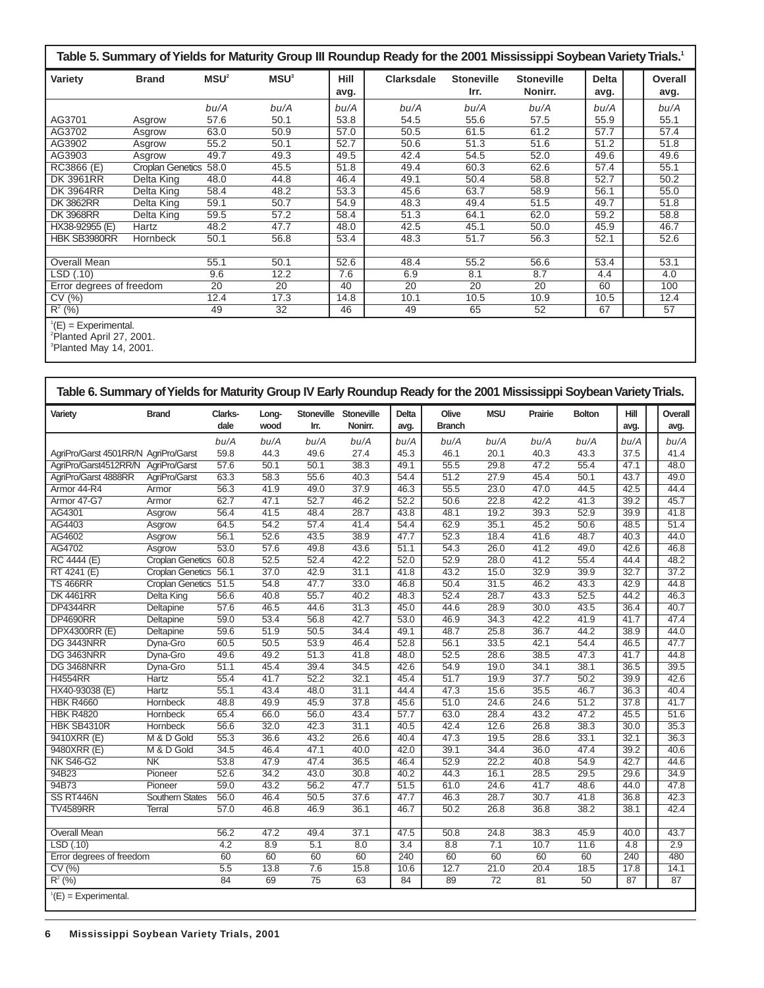|                          | Table 5. Summary of Yields for Maturity Group III Roundup Ready for the 2001 Mississippi Soybean Variety Trials.1 |                  |                  |                     |                   |                           |                              |                      |                 |  |  |  |  |  |
|--------------------------|-------------------------------------------------------------------------------------------------------------------|------------------|------------------|---------------------|-------------------|---------------------------|------------------------------|----------------------|-----------------|--|--|--|--|--|
| Variety                  | <b>Brand</b>                                                                                                      | MSU <sup>2</sup> | MSU <sup>3</sup> | <b>Hill</b><br>avg. | <b>Clarksdale</b> | <b>Stoneville</b><br>Irr. | <b>Stoneville</b><br>Nonirr. | <b>Delta</b><br>avg. | Overall<br>avg. |  |  |  |  |  |
|                          |                                                                                                                   | bu/A             | bu/A             | bu/A                | bu/A              | bu/A                      | bu/A                         | bu/A                 | bu/A            |  |  |  |  |  |
| AG3701                   | Asgrow                                                                                                            | 57.6             | 50.1             | 53.8                | 54.5              | 55.6                      | 57.5                         | 55.9                 | 55.1            |  |  |  |  |  |
| AG3702                   | Asgrow                                                                                                            | 63.0             | 50.9             | 57.0                | 50.5              | 61.5                      | 61.2                         | 57.7                 | 57.4            |  |  |  |  |  |
| AG3902                   | Asgrow                                                                                                            | 55.2             | 50.1             | 52.7                | 50.6              | 51.3                      | 51.6                         | 51.2                 | 51.8            |  |  |  |  |  |
| AG3903                   | Asgrow                                                                                                            | 49.7             | 49.3             | 49.5                | 42.4              | 54.5                      | 52.0                         | 49.6                 | 49.6            |  |  |  |  |  |
| RC3866 (E)               | <b>Croplan Genetics</b>                                                                                           | 58.0             | 45.5             | 51.8                | 49.4              | 60.3                      | 62.6                         | 57.4                 | 55.1            |  |  |  |  |  |
| <b>DK 3961RR</b>         | Delta King                                                                                                        | 48.0             | 44.8             | 46.4                | 49.1              | 50.4                      | 58.8                         | 52.7                 | 50.2            |  |  |  |  |  |
| <b>DK 3964RR</b>         | Delta King                                                                                                        | 58.4             | 48.2             | 53.3                | 45.6              | 63.7                      | 58.9                         | 56.1                 | 55.0            |  |  |  |  |  |
| <b>DK3862RR</b>          | Delta King                                                                                                        | 59.1             | 50.7             | 54.9                | 48.3              | 49.4                      | 51.5                         | 49.7                 | 51.8            |  |  |  |  |  |
| <b>DK3968RR</b>          | Delta King                                                                                                        | 59.5             | 57.2             | 58.4                | 51.3              | 64.1                      | 62.0                         | 59.2                 | 58.8            |  |  |  |  |  |
| HX38-92955 (E)           | Hartz                                                                                                             | 48.2             | 47.7             | 48.0                | 42.5              | 45.1                      | 50.0                         | 45.9                 | 46.7            |  |  |  |  |  |
| HBK SB3980RR             | Hornbeck                                                                                                          | 50.1             | 56.8             | 53.4                | 48.3              | 51.7                      | 56.3                         | 52.1                 | 52.6            |  |  |  |  |  |
|                          |                                                                                                                   |                  |                  |                     |                   |                           |                              |                      |                 |  |  |  |  |  |
| Overall Mean             |                                                                                                                   | 55.1             | 50.1             | 52.6                | 48.4              | 55.2                      | 56.6                         | 53.4                 | 53.1            |  |  |  |  |  |
| LSD(.10)                 |                                                                                                                   | 9.6              | 12.2             | 7.6                 | 6.9               | 8.1                       | 8.7                          | 4.4                  | 4.0             |  |  |  |  |  |
| Error degrees of freedom |                                                                                                                   | 20               | $\overline{20}$  | 40                  | $\overline{20}$   | 20                        | $\overline{20}$              | 60                   | 100             |  |  |  |  |  |
| CV(%)                    |                                                                                                                   | 12.4             | 17.3             | 14.8                | 10.1              | 10.5                      | 10.9                         | 10.5                 | 12.4            |  |  |  |  |  |
| $R^2$ (%)                |                                                                                                                   | 49               | 32               | 46                  | 49                | 65                        | 52                           | 67                   | 57              |  |  |  |  |  |
| $^1(E)$ = Experimental.  |                                                                                                                   |                  |                  |                     |                   |                           |                              |                      |                 |  |  |  |  |  |

<sup>1</sup>(E) = Experimental.<br><sup>2</sup>Planted April 27, 2001.<br><sup>3</sup>Planted May 14, 2001.

| Variety                              | <b>Brand</b>            | Clarks-<br>dale | Long-<br>wood | Stoneville<br>Irr. | <b>Stoneville</b><br>Nonirr. | <b>Delta</b><br>avg. | Olive<br><b>Branch</b> | <b>MSU</b>      | Prairie | <b>Bolton</b> | <b>Hill</b><br>avg. | Overall<br>avg. |
|--------------------------------------|-------------------------|-----------------|---------------|--------------------|------------------------------|----------------------|------------------------|-----------------|---------|---------------|---------------------|-----------------|
|                                      |                         | bu/A            | bu/A          | bu/A               | bu/A                         | bu/A                 | bu/A                   | bu/A            | bu/A    | bu/A          | bu/A                | bu/A            |
| AgriPro/Garst 4501RR/N AgriPro/Garst |                         | 59.8            | 44.3          | 49.6               | 27.4                         | 45.3                 | 46.1                   | 20.1            | 40.3    | 43.3          | 37.5                | 41.4            |
| AgriPro/Garst4512RR/N                | AgriPro/Garst           | 57.6            | 50.1          | 50.1               | 38.3                         | 49.1                 | 55.5                   | 29.8            | 47.2    | 55.4          | 47.1                | 48.0            |
| AgriPro/Garst 4888RR                 | AgriPro/Garst           | 63.3            | 58.3          | 55.6               | 40.3                         | 54.4                 | 51.2                   | 27.9            | 45.4    | 50.1          | 43.7                | 49.0            |
| Armor 44-R4                          | Armor                   | 56.3            | 41.9          | 49.0               | 37.9                         | 46.3                 | 55.5                   | 23.0            | 47.0    | 44.5          | 42.5                | 44.4            |
| Armor 47-G7                          | Armor                   | 62.7            | 47.1          | 52.7               | 46.2                         | 52.2                 | 50.6                   | 22.8            | 42.2    | 41.3          | 39.2                | 45.7            |
| AG4301                               | Asgrow                  | 56.4            | 41.5          | 48.4               | 28.7                         | 43.8                 | 48.1                   | 19.2            | 39.3    | 52.9          | 39.9                | 41.8            |
| AG4403                               | Asgrow                  | 64.5            | 54.2          | 57.4               | 41.4                         | 54.4                 | 62.9                   | 35.1            | 45.2    | 50.6          | 48.5                | 51.4            |
| AG4602                               | Asgrow                  | 56.1            | 52.6          | 43.5               | 38.9                         | 47.7                 | 52.3                   | 18.4            | 41.6    | 48.7          | 40.3                | 44.0            |
| AG4702                               | Asgrow                  | 53.0            | 57.6          | 49.8               | 43.6                         | 51.1                 | 54.3                   | 26.0            | 41.2    | 49.0          | 42.6                | 46.8            |
| RC 4444 (E)                          | Croplan Genetics 60.8   |                 | 52.5          | 52.4               | 42.2                         | 52.0                 | 52.9                   | 28.0            | 41.2    | 55.4          | 44.4                | 48.2            |
| RT 4241 (E)                          | <b>Croplan Genetics</b> | 56.1            | 37.0          | 42.9               | 31.1                         | 41.8                 | 43.2                   | 15.0            | 32.9    | 39.9          | 32.7                | 37.2            |
| <b>TS 466RR</b>                      | <b>Croplan Genetics</b> | 51.5            | 54.8          | 47.7               | 33.0                         | 46.8                 | 50.4                   | 31.5            | 46.2    | 43.3          | 42.9                | 44.8            |
| <b>DK 4461RR</b>                     | Delta King              | 56.6            | 40.8          | 55.7               | 40.2                         | 48.3                 | 52.4                   | 28.7            | 43.3    | 52.5          | 44.2                | 46.3            |
| <b>DP4344RR</b>                      | <b>Deltapine</b>        | 57.6            | 46.5          | 44.6               | 31.3                         | 45.0                 | 44.6                   | 28.9            | 30.0    | 43.5          | 36.4                | 40.7            |
| <b>DP4690RR</b>                      | Deltapine               | 59.0            | 53.4          | 56.8               | 42.7                         | 53.0                 | 46.9                   | 34.3            | 42.2    | 41.9          | 41.7                | 47.4            |
| <b>DPX4300RR (E)</b>                 | Deltapine               | 59.6            | 51.9          | 50.5               | 34.4                         | 49.1                 | 48.7                   | 25.8            | 36.7    | 44.2          | 38.9                | 44.0            |
| <b>DG 3443NRR</b>                    | Dyna-Gro                | 60.5            | 50.5          | 53.9               | 46.4                         | 52.8                 | 56.1                   | 33.5            | 42.1    | 54.4          | 46.5                | 47.7            |
| DG 3463NRR                           | Dyna-Gro                | 49.6            | 49.2          | 51.3               | 41.8                         | 48.0                 | 52.5                   | 28.6            | 38.5    | 47.3          | 41.7                | 44.8            |
| <b>DG 3468NRR</b>                    | Dyna-Gro                | 51.1            | 45.4          | 39.4               | 34.5                         | 42.6                 | 54.9                   | 19.0            | 34.1    | 38.1          | 36.5                | 39.5            |
| <b>H4554RR</b>                       | <b>Hartz</b>            | 55.4            | 41.7          | 52.2               | 32.1                         | 45.4                 | 51.7                   | 19.9            | 37.7    | 50.2          | 39.9                | 42.6            |
| HX40-93038 (E)                       | Hartz                   | 55.1            | 43.4          | 48.0               | 31.1                         | 44.4                 | 47.3                   | 15.6            | 35.5    | 46.7          | 36.3                | 40.4            |
| <b>HBK R4660</b>                     | <b>Hornbeck</b>         | 48.8            | 49.9          | 45.9               | 37.8                         | 45.6                 | 51.0                   | 24.6            | 24.6    | 51.2          | 37.8                | 41.7            |
| <b>HBK R4820</b>                     | Hornbeck                | 65.4            | 66.0          | 56.0               | 43.4                         | 57.7                 | 63.0                   | 28.4            | 43.2    | 47.2          | 45.5                | 51.6            |
| HBK SB4310R                          | Hornbeck                | 56.6            | 32.0          | 42.3               | 31.1                         | 40.5                 | 42.4                   | 12.6            | 26.8    | 38.3          | 30.0                | 35.3            |
| 9410XRR (E)                          | M & D Gold              | 55.3            | 36.6          | 43.2               | 26.6                         | 40.4                 | 47.3                   | 19.5            | 28.6    | 33.1          | 32.1                | 36.3            |
| 9480XRR (E)                          | M & D Gold              | 34.5            | 46.4          | 47.1               | 40.0                         | 42.0                 | 39.1                   | 34.4            | 36.0    | 47.4          | 39.2                | 40.6            |
| <b>NK S46-G2</b>                     | NK                      | 53.8            | 47.9          | 47.4               | 36.5                         | 46.4                 | 52.9                   | 22.2            | 40.8    | 54.9          | 42.7                | 44.6            |
| 94B23                                | Pioneer                 | 52.6            | 34.2          | 43.0               | 30.8                         | 40.2                 | 44.3                   | 16.1            | 28.5    | 29.5          | 29.6                | 34.9            |
| 94B73                                | Pioneer                 | 59.0            | 43.2          | 56.2               | 47.7                         | 51.5                 | 61.0                   | 24.6            | 41.7    | 48.6          | 44.0                | 47.8            |
| SS RT446N                            | <b>Southern States</b>  | 56.0            | 46.4          | 50.5               | 37.6                         | 47.7                 | 46.3                   | 28.7            | 30.7    | 41.8          | 36.8                | 42.3            |
| <b>TV4589RR</b>                      | <b>Terral</b>           | 57.0            | 46.8          | 46.9               | 36.1                         | 46.7                 | 50.2                   | 26.8            | 36.8    | 38.2          | 38.1                | 42.4            |
| <b>Overall Mean</b>                  |                         | 56.2            | 47.2          | 49.4               | 37.1                         | 47.5                 | 50.8                   | 24.8            | 38.3    | 45.9          | 40.0                | 43.7            |
| LSD (.10)                            |                         | 4.2             | 8.9           | 5.1                | 8.0                          | $\overline{3.4}$     | 8.8                    | 7.1             | 10.7    | 11.6          | 4.8                 | 2.9             |
| Error degrees of freedom             |                         | 60              | 60            | 60                 | 60                           | 240                  | 60                     | 60              | 60      | 60            | 240                 | 480             |
| CV (%)                               |                         | 5.5             | 13.8          | 7.6                | 15.8                         | 10.6                 | 12.7                   | 21.0            | 20.4    | 18.5          | 17.8                | 14.1            |
| $R^2$ (%)                            |                         | 84              | 69            | $\overline{75}$    | 63                           | 84                   | 89                     | $\overline{72}$ | 81      | 50            | 87                  | 87              |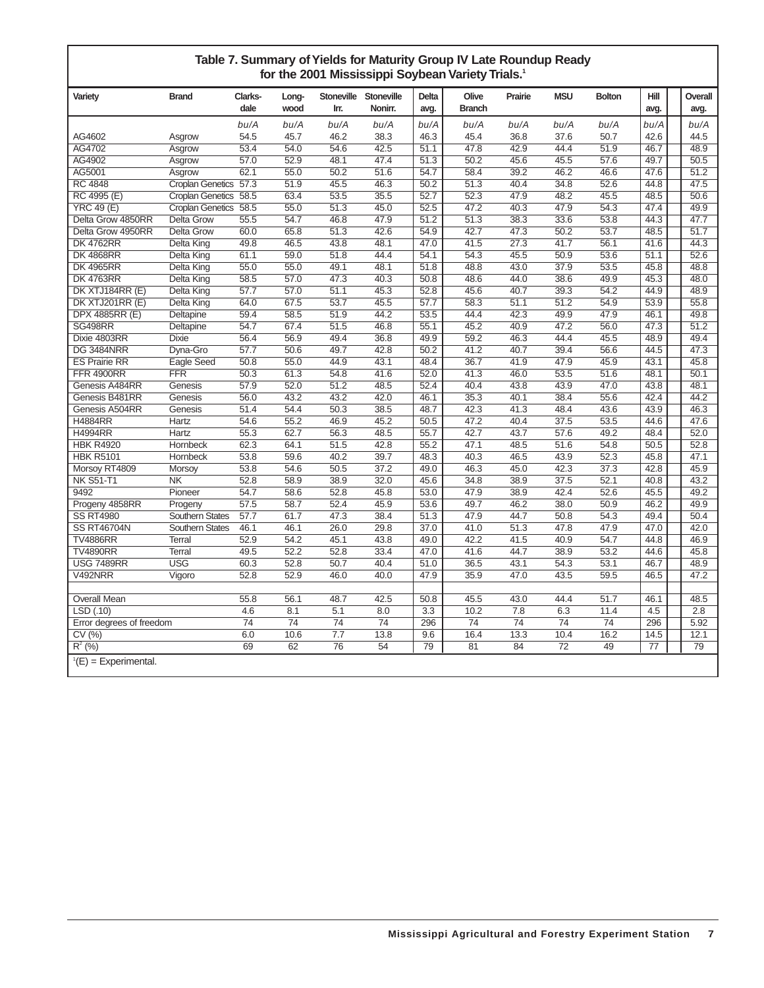| Table 7. Summary of Yields for Maturity Group IV Late Roundup Ready |
|---------------------------------------------------------------------|
| for the 2001 Mississippi Soybean Variety Trials. <sup>1</sup>       |

| Variety                  | <b>Brand</b>            | Clarks- | Long- | Stoneville       | <b>Stoneville</b> | Delta             | Olive             | Prairie          | <b>MSU</b> | <b>Bolton</b>     | Hill | Overall |
|--------------------------|-------------------------|---------|-------|------------------|-------------------|-------------------|-------------------|------------------|------------|-------------------|------|---------|
|                          |                         | dale    | wood  | Irr.             | Nonirr.           | avg.              | <b>Branch</b>     |                  |            |                   | avg. | avg.    |
|                          |                         | bu/A    | bu/A  | bu/A             | bu/A              | bu/A              | bu/A              | bu/A             | bu/A       | bu/A              | bu/A | bu/A    |
| AG4602                   | Asgrow                  | 54.5    | 45.7  | 46.2             | 38.3              | 46.3              | 45.4              | 36.8             | 37.6       | 50.7              | 42.6 | 44.5    |
| AG4702                   | Asgrow                  | 53.4    | 54.0  | 54.6             | 42.5              | 51.1              | 47.8              | 42.9             | 44.4       | 51.9              | 46.7 | 48.9    |
| AG4902                   | Asgrow                  | 57.0    | 52.9  | 48.1             | 47.4              | 51.3              | 50.2              | 45.6             | 45.5       | 57.6              | 49.7 | 50.5    |
| AG5001                   | Asgrow                  | 62.1    | 55.0  | 50.2             | 51.6              | 54.7              | 58.4              | 39.2             | 46.2       | 46.6              | 47.6 | 51.2    |
| <b>RC 4848</b>           | <b>Croplan Genetics</b> | 57.3    | 51.9  | 45.5             | 46.3              | 50.2              | 51.3              | 40.4             | 34.8       | 52.6              | 44.8 | 47.5    |
| RC 4995 (E)              | <b>Croplan Genetics</b> | 58.5    | 63.4  | 53.5             | 35.5              | 52.7              | 52.3              | 47.9             | 48.2       | 45.5              | 48.5 | 50.6    |
| <b>YRC 49 (E)</b>        | <b>Croplan Genetics</b> | 58.5    | 55.0  | 51.3             | 45.0              | 52.5              | 47.2              | 40.3             | 47.9       | 54.3              | 47.4 | 49.9    |
| Delta Grow 4850RR        | <b>Delta Grow</b>       | 55.5    | 54.7  | 46.8             | 47.9              | 51.2              | $\overline{51.3}$ | 38.3             | 33.6       | 53.8              | 44.3 | 47.7    |
| Delta Grow 4950RR        | <b>Delta Grow</b>       | 60.0    | 65.8  | 51.3             | 42.6              | 54.9              | 42.7              | 47.3             | 50.2       | 53.7              | 48.5 | 51.7    |
| <b>DK 4762RR</b>         | Delta King              | 49.8    | 46.5  | 43.8             | 48.1              | 47.0              | 41.5              | 27.3             | 41.7       | 56.1              | 41.6 | 44.3    |
| <b>DK 4868RR</b>         | Delta King              | 61.1    | 59.0  | 51.8             | 44.4              | 54.1              | 54.3              | 45.5             | 50.9       | 53.6              | 51.1 | 52.6    |
| <b>DK 4965RR</b>         | Delta King              | 55.0    | 55.0  | 49.1             | 48.1              | 51.8              | 48.8              | 43.0             | 37.9       | 53.5              | 45.8 | 48.8    |
| <b>DK 4763RR</b>         | Delta King              | 58.5    | 57.0  | 47.3             | 40.3              | 50.8              | 48.6              | 44.0             | 38.6       | 49.9              | 45.3 | 48.0    |
| DK XTJ184RR (E)          | Delta King              | 57.7    | 57.0  | 51.1             | 45.3              | 52.8              | 45.6              | 40.7             | 39.3       | 54.2              | 44.9 | 48.9    |
| DK XTJ201RR (E)          | Delta King              | 64.0    | 67.5  | 53.7             | 45.5              | 57.7              | 58.3              | 51.1             | 51.2       | 54.9              | 53.9 | 55.8    |
| DPX 4885RR (E)           | Deltapine               | 59.4    | 58.5  | 51.9             | 44.2              | 53.5              | 44.4              | 42.3             | 49.9       | 47.9              | 46.1 | 49.8    |
| <b>SG498RR</b>           | Deltapine               | 54.7    | 67.4  | 51.5             | 46.8              | 55.1              | 45.2              | 40.9             | 47.2       | 56.0              | 47.3 | 51.2    |
| Dixie 4803RR             | <b>Dixie</b>            | 56.4    | 56.9  | 49.4             | 36.8              | 49.9              | 59.2              | 46.3             | 44.4       | 45.5              | 48.9 | 49.4    |
| <b>DG 3484NRR</b>        | Dyna-Gro                | 57.7    | 50.6  | 49.7             | 42.8              | 50.2              | 41.2              | 40.7             | 39.4       | 56.6              | 44.5 | 47.3    |
| <b>ES Prairie RR</b>     | Eagle Seed              | 50.8    | 55.0  | 44.9             | 43.1              | 48.4              | 36.7              | 41.9             | 47.9       | 45.9              | 43.1 | 45.8    |
| <b>FFR 4900RR</b>        | $\overline{\text{FFR}}$ | 50.3    | 61.3  | 54.8             | 41.6              | 52.0              | 41.3              | 46.0             | 53.5       | 51.6              | 48.1 | 50.1    |
| Genesis A484RR           | Genesis                 | 57.9    | 52.0  | 51.2             | 48.5              | 52.4              | 40.4              | 43.8             | 43.9       | 47.0              | 43.8 | 48.1    |
| Genesis B481RR           | Genesis                 | 56.0    | 43.2  | 43.2             | 42.0              | 46.1              | 35.3              | 40.1             | 38.4       | 55.6              | 42.4 | 44.2    |
| Genesis A504RR           | Genesis                 | 51.4    | 54.4  | 50.3             | 38.5              | 48.7              | 42.3              | 41.3             | 48.4       | 43.6              | 43.9 | 46.3    |
| <b>H4884RR</b>           | <b>Hartz</b>            | 54.6    | 55.2  | 46.9             | 45.2              | 50.5              | 47.2              | 40.4             | 37.5       | 53.5              | 44.6 | 47.6    |
| <b>H4994RR</b>           | Hartz                   | 55.3    | 62.7  | 56.3             | 48.5              | 55.7              | 42.7              | 43.7             | 57.6       | 49.2              | 48.4 | 52.0    |
| <b>HBK R4920</b>         | Hornbeck                | 62.3    | 64.1  | 51.5             | 42.8              | 55.2              | 47.1              | 48.5             | 51.6       | 54.8              | 50.5 | 52.8    |
| <b>HBK R5101</b>         | Hornbeck                | 53.8    | 59.6  | 40.2             | 39.7              | 48.3              | 40.3              | 46.5             | 43.9       | $\overline{52.3}$ | 45.8 | 47.1    |
| Morsoy RT4809            | Morsoy                  | 53.8    | 54.6  | 50.5             | 37.2              | 49.0              | 46.3              | 45.0             | 42.3       | 37.3              | 42.8 | 45.9    |
| <b>NK S51-T1</b>         | N <sub>K</sub>          | 52.8    | 58.9  | 38.9             | 32.0              | 45.6              | 34.8              | 38.9             | 37.5       | 52.1              | 40.8 | 43.2    |
| 9492                     | Pioneer                 | 54.7    | 58.6  | 52.8             | 45.8              | 53.0              | 47.9              | 38.9             | 42.4       | 52.6              | 45.5 | 49.2    |
| Progeny 4858RR           | Progeny                 | 57.5    | 58.7  | 52.4             | 45.9              | 53.6              | 49.7              | 46.2             | 38.0       | 50.9              | 46.2 | 49.9    |
| <b>SS RT4980</b>         | <b>Southern States</b>  | 57.7    | 61.7  | 47.3             | 38.4              | $\overline{51.3}$ | 47.9              | 44.7             | 50.8       | 54.3              | 49.4 | 50.4    |
| <b>SS RT46704N</b>       | <b>Southern States</b>  | 46.1    | 46.1  | 26.0             | 29.8              | 37.0              | 41.0              | 51.3             | 47.8       | 47.9              | 47.0 | 42.0    |
| <b>TV4886RR</b>          | <b>Terral</b>           | 52.9    | 54.2  | 45.1             | 43.8              | 49.0              | 42.2              | 41.5             | 40.9       | 54.7              | 44.8 | 46.9    |
| <b>TV4890RR</b>          | <b>Terral</b>           | 49.5    | 52.2  | 52.8             | 33.4              | 47.0              | 41.6              | 44.7             | 38.9       | 53.2              | 44.6 | 45.8    |
| <b>USG 7489RR</b>        | $\overline{USG}$        | 60.3    | 52.8  | 50.7             | 40.4              | 51.0              | 36.5              | 43.1             | 54.3       | 53.1              | 46.7 | 48.9    |
| V492NRR                  | Vigoro                  | 52.8    | 52.9  | 46.0             | 40.0              | 47.9              | 35.9              | 47.0             | 43.5       | 59.5              | 46.5 | 47.2    |
|                          |                         |         |       |                  |                   |                   |                   |                  |            |                   |      |         |
| <b>Overall Mean</b>      |                         | 55.8    | 56.1  | 48.7             | 42.5              | 50.8              | 45.5              | 43.0             | 44.4       | 51.7              | 46.1 | 48.5    |
| LSD (.10)                |                         | 4.6     | 8.1   | 5.1              | 8.0               | 3.3               | 10.2              | $\overline{7.8}$ | 6.3        | 11.4              | 4.5  | 2.8     |
| Error degrees of freedom |                         | 74      | 74    | 74               | 74                | 296               | 74                | 74               | 74         | 74                | 296  | 5.92    |
| CV(%)                    |                         | 6.0     | 10.6  | $\overline{7.7}$ | 13.8              | 9.6               | 16.4              | 13.3             | 10.4       | 16.2              | 14.5 | 12.1    |
| $R^2$ (%)                |                         | 69      | 62    | 76               | 54                | 79                | 81                | 84               | 72         | 49                | 77   | 79      |
| $^1(E)$ = Experimental.  |                         |         |       |                  |                   |                   |                   |                  |            |                   |      |         |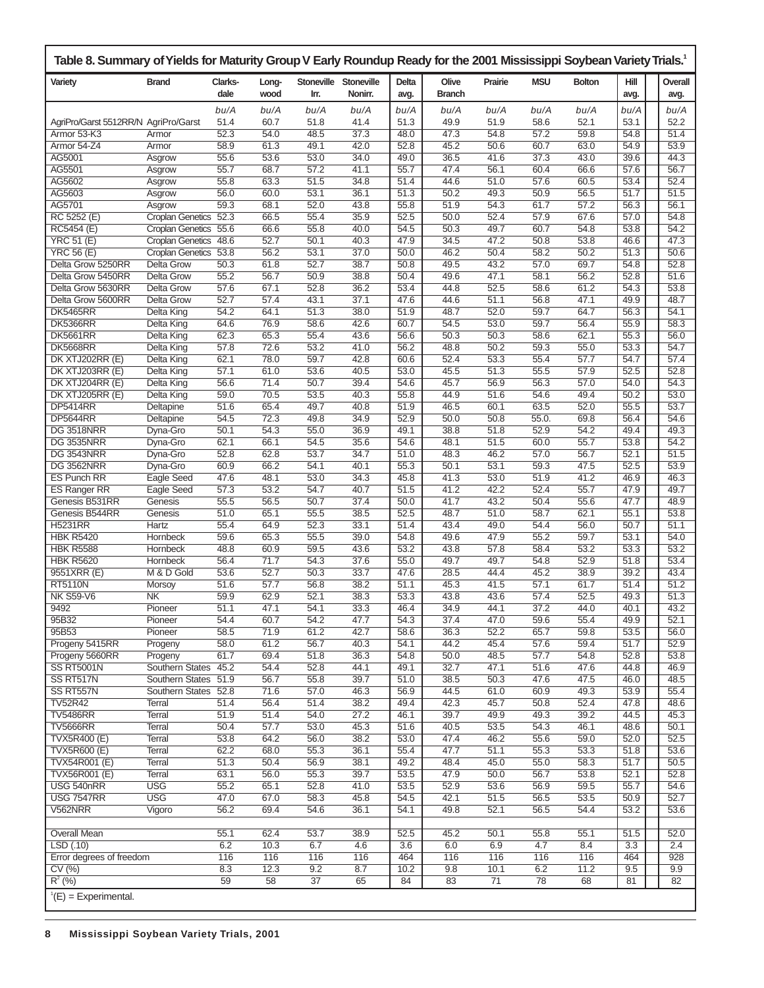| Table 8. Summary of Yields for Maturity Group V Early Roundup Ready for the 2001 Mississippi Soybean Variety Trials. |                                              |                 |               |                           |                       |                  |                        |              |              |               |                  |                 |
|----------------------------------------------------------------------------------------------------------------------|----------------------------------------------|-----------------|---------------|---------------------------|-----------------------|------------------|------------------------|--------------|--------------|---------------|------------------|-----------------|
| Variety                                                                                                              | <b>Brand</b>                                 | Clarks-<br>dale | Long-<br>wood | <b>Stoneville</b><br>Irr. | Stoneville<br>Nonirr. | Delta<br>avg.    | Olive<br><b>Branch</b> | Prairie      | <b>MSU</b>   | <b>Bolton</b> | Hill<br>avg.     | Overall<br>avg. |
|                                                                                                                      |                                              | bu/A            | bu/A          | bu/A                      | bu/A                  | bu/A             | bu/A                   | bu/A         | bu/A         | bu/A          | bu/A             | bu/A            |
| AgriPro/Garst 5512RR/N AgriPro/Garst                                                                                 |                                              | 51.4            | 60.7          | 51.8                      | 41.4                  | 51.3             | 49.9                   | 51.9         | 58.6         | 52.1          | 53.1             | 52.2            |
| Armor 53-K3                                                                                                          | Armor                                        | 52.3            | 54.0          | 48.5                      | 37.3                  | 48.0             | 47.3                   | 54.8         | 57.2         | 59.8          | 54.8             | 51.4            |
| Armor 54-Z4<br>AG5001                                                                                                | Armor<br>Asgrow                              | 58.9<br>55.6    | 61.3<br>53.6  | 49.1<br>53.0              | 42.0<br>34.0          | 52.8<br>49.0     | 45.2<br>36.5           | 50.6<br>41.6 | 60.7<br>37.3 | 63.0<br>43.0  | 54.9<br>39.6     | 53.9<br>44.3    |
| AG5501                                                                                                               | Asgrow                                       | 55.7            | 68.7          | 57.2                      | 41.1                  | 55.7             | 47.4                   | 56.1         | 60.4         | 66.6          | 57.6             | 56.7            |
| AG5602                                                                                                               | Asgrow                                       | 55.8            | 63.3          | 51.5                      | 34.8                  | 51.4             | 44.6                   | 51.0         | 57.6         | 60.5          | 53.4             | 52.4            |
| AG5603                                                                                                               | Asgrow                                       | 56.0            | 60.0          | 53.1                      | 36.1                  | 51.3             | 50.2                   | 49.3         | 50.9         | 56.5          | 51.7             | 51.5            |
| AG5701                                                                                                               | Asgrow                                       | 59.3            | 68.1          | 52.0                      | 43.8                  | 55.8             | 51.9                   | 54.3         | 61.7         | 57.2          | 56.3             | 56.1            |
| RC 5252 (E)                                                                                                          | <b>Croplan Genetics</b>                      | 52.3            | 66.5          | 55.4                      | 35.9                  | 52.5             | 50.0                   | 52.4         | 57.9         | 67.6          | 57.0             | 54.8            |
| RC5454 (E)                                                                                                           | <b>Croplan Genetics</b>                      | 55.6            | 66.6          | 55.8                      | 40.0                  | 54.5             | 50.3                   | 49.7         | 60.7         | 54.8          | 53.8             | 54.2            |
| <b>YRC 51 (E)</b>                                                                                                    | <b>Croplan Genetics</b>                      | 48.6<br>53.8    | 52.7<br>56.2  | 50.1<br>53.1              | 40.3<br>37.0          | 47.9<br>50.0     | 34.5<br>46.2           | 47.2<br>50.4 | 50.8<br>58.2 | 53.8<br>50.2  | 46.6<br>51.3     | 47.3<br>50.6    |
| <b>YRC 56 (E)</b><br>Delta Grow 5250RR                                                                               | <b>Croplan Genetics</b><br><b>Delta Grow</b> | 50.3            | 61.8          | 52.7                      | 38.7                  | 50.8             | 49.5                   | 43.2         | 57.0         | 69.7          | 54.8             | 52.8            |
| Delta Grow 5450RR                                                                                                    | <b>Delta Grow</b>                            | 55.2            | 56.7          | 50.9                      | 38.8                  | 50.4             | 49.6                   | 47.1         | 58.1         | 56.2          | 52.8             | 51.6            |
| Delta Grow 5630RR                                                                                                    | <b>Delta Grow</b>                            | 57.6            | 67.1          | 52.8                      | 36.2                  | 53.4             | 44.8                   | 52.5         | 58.6         | 61.2          | 54.3             | 53.8            |
| Delta Grow 5600RR                                                                                                    | <b>Delta Grow</b>                            | 52.7            | 57.4          | 43.1                      | 37.1                  | 47.6             | 44.6                   | 51.1         | 56.8         | 47.1          | 49.9             | 48.7            |
| <b>DK5465RR</b>                                                                                                      | Delta King                                   | 54.2            | 64.1          | 51.3                      | 38.0                  | 51.9             | 48.7                   | 52.0         | 59.7         | 64.7          | 56.3             | 54.1            |
| <b>DK5366RR</b>                                                                                                      | <b>Delta King</b>                            | 64.6            | 76.9          | 58.6                      | 42.6                  | 60.7             | 54.5                   | 53.0         | 59.7         | 56.4          | 55.9             | 58.3            |
| <b>DK5661RR</b>                                                                                                      | Delta King                                   | 62.3            | 65.3          | 55.4                      | 43.6                  | 56.6             | 50.3                   | 50.3         | 58.6         | 62.1          | 55.3             | 56.0            |
| <b>DK5668RR</b>                                                                                                      | Delta King                                   | 57.8            | 72.6          | 53.2                      | 41.0                  | 56.2             | 48.8                   | 50.2         | 59.3         | 55.0          | 53.3             | 54.7            |
| DK XTJ202RR (E)                                                                                                      | Delta King                                   | 62.1            | 78.0          | 59.7                      | 42.8                  | 60.6             | 52.4                   | 53.3         | 55.4         | 57.7          | 54.7             | 57.4            |
| DK XTJ203RR (E)                                                                                                      | Delta King                                   | 57.1            | 61.0          | 53.6                      | 40.5                  | 53.0             | 45.5                   | 51.3         | 55.5         | 57.9          | 52.5             | 52.8            |
| DK XTJ204RR (E)<br>DK XTJ205RR (E)                                                                                   | <b>Delta King</b><br>Delta King              | 56.6<br>59.0    | 71.4<br>70.5  | 50.7<br>53.5              | 39.4<br>40.3          | 54.6<br>55.8     | 45.7<br>44.9           | 56.9<br>51.6 | 56.3<br>54.6 | 57.0<br>49.4  | 54.0<br>50.2     | 54.3<br>53.0    |
| <b>DP5414RR</b>                                                                                                      | Deltapine                                    | 51.6            | 65.4          | 49.7                      | 40.8                  | 51.9             | 46.5                   | 60.1         | 63.5         | 52.0          | 55.5             | 53.7            |
| <b>DP5644RR</b>                                                                                                      | Deltapine                                    | 54.5            | 72.3          | 49.8                      | 34.9                  | 52.9             | 50.0                   | 50.8         | 55.0.        | 69.8          | 56.4             | 54.6            |
| <b>DG 3518NRR</b>                                                                                                    | Dyna-Gro                                     | 50.1            | 54.3          | 55.0                      | 36.9                  | 49.1             | 38.8                   | 51.8         | 52.9         | 54.2          | 49.4             | 49.3            |
| <b>DG 3535NRR</b>                                                                                                    | Dyna-Gro                                     | 62.1            | 66.1          | 54.5                      | 35.6                  | 54.6             | 48.1                   | 51.5         | 60.0         | 55.7          | 53.8             | 54.2            |
| <b>DG 3543NRR</b>                                                                                                    | Dyna-Gro                                     | 52.8            | 62.8          | 53.7                      | 34.7                  | 51.0             | 48.3                   | 46.2         | 57.0         | 56.7          | 52.1             | 51.5            |
| <b>DG 3562NRR</b>                                                                                                    | Dyna-Gro                                     | 60.9            | 66.2          | 54.1                      | 40.1                  | 55.3             | 50.1                   | 53.1         | 59.3         | 47.5          | 52.5             | 53.9            |
| <b>ES Punch RR</b>                                                                                                   | Eagle Seed                                   | 47.6            | 48.1          | 53.0                      | 34.3                  | 45.8             | 41.3                   | 53.0         | 51.9         | 41.2          | 46.9             | 46.3            |
| <b>ES Ranger RR</b>                                                                                                  | Eagle Seed                                   | 57.3            | 53.2          | 54.7                      | 40.7                  | 51.5             | 41.2                   | 42.2         | 52.4         | 55.7          | 47.9             | 49.7            |
| Genesis B531RR<br>Genesis B544RR                                                                                     | Genesis<br>Genesis                           | 55.5            | 56.5<br>65.1  | 50.7<br>55.5              | 37.4<br>38.5          | 50.0<br>52.5     | 41.7<br>48.7           | 43.2<br>51.0 | 50.4<br>58.7 | 55.6<br>62.1  | 47.7<br>55.1     | 48.9<br>53.8    |
| <b>H5231RR</b>                                                                                                       | Hartz                                        | 51.0<br>55.4    | 64.9          | 52.3                      | 33.1                  | 51.4             | 43.4                   | 49.0         | 54.4         | 56.0          | 50.7             | 51.1            |
| <b>HBK R5420</b>                                                                                                     | Hornbeck                                     | 59.6            | 65.3          | 55.5                      | 39.0                  | 54.8             | 49.6                   | 47.9         | 55.2         | 59.7          | 53.1             | 54.0            |
| <b>HBK R5588</b>                                                                                                     | Hornbeck                                     | 48.8            | 60.9          | 59.5                      | 43.6                  | 53.2             | 43.8                   | 57.8         | 58.4         | 53.2          | 53.3             | 53.2            |
| <b>HBK R5620</b>                                                                                                     | Hornbeck                                     | 56.4            | 71.7          | 54.3                      | 37.6                  | 55.0             | 49.7                   | 49.7         | 54.8         | 52.9          | 51.8             | 53.4            |
| 9551XRR (E)                                                                                                          | M & D Gold                                   | 53.6            | 52.7          | 50.3                      | 33.7                  | 47.6             | 28.5                   | 44.4         | 45.2         | 38.9          | 39.2             | 43.4            |
| <b>RT5110N</b>                                                                                                       | <b>Morsoy</b>                                | 51.6            | 57.7          | 56.8                      | 38.2                  | 51.1             | 45.3                   | 41.5         | 57.1         | 61.7          | 51.4             | 51.2            |
| <b>NK S59-V6</b>                                                                                                     | <b>NK</b>                                    | 59.9            | 62.9          | 52.1                      | 38.3                  | 53.3             | 43.8                   | 43.6         | 57.4         | 52.5          | 49.3             | 51.3            |
| 9492                                                                                                                 | Pioneer                                      | 51.1            | 47.1          | 54.1                      | 33.3                  | 46.4             | 34.9                   | 44.1         | 37.2         | 44.0          | 40.1             | 43.2            |
| 95B32<br>95B53                                                                                                       | Pioneer<br>Pioneer                           | 54.4<br>58.5    | 60.7<br>71.9  | 54.2<br>61.2              | 47.7<br>42.7          | 54.3<br>58.6     | 37.4<br>36.3           | 47.0<br>52.2 | 59.6<br>65.7 | 55.4<br>59.8  | 49.9<br>53.5     | 52.1<br>56.0    |
| Progeny 5415RR                                                                                                       | Progeny                                      | 58.0            | 61.2          | 56.7                      | 40.3                  | 54.1             | 44.2                   | 45.4         | 57.6         | 59.4          | 51.7             | 52.9            |
| Progeny 5660RR                                                                                                       | Progeny                                      | 61.7            | 69.4          | 51.8                      | 36.3                  | 54.8             | 50.0                   | 48.5         | 57.7         | 54.8          | 52.8             | 53.8            |
| <b>SS RT5001N</b>                                                                                                    | Southern States                              | 45.2            | 54.4          | 52.8                      | 44.1                  | 49.1             | 32.7                   | 47.1         | 51.6         | 47.6          | 44.8             | 46.9            |
| SS RT517N                                                                                                            | <b>Southern States</b>                       | 51.9            | 56.7          | 55.8                      | 39.7                  | 51.0             | 38.5                   | 50.3         | 47.6         | 47.5          | 46.0             | 48.5            |
| SS RT557N                                                                                                            | Southern States 52.8                         |                 | 71.6          | 57.0                      | 46.3                  | 56.9             | 44.5                   | 61.0         | 60.9         | 49.3          | 53.9             | 55.4            |
| <b>TV52R42</b>                                                                                                       | Terral                                       | 51.4            | 56.4          | 51.4                      | 38.2                  | 49.4             | 42.3                   | 45.7         | 50.8         | 52.4          | 47.8             | 48.6            |
| <b>TV5486RR</b>                                                                                                      | Terral                                       | 51.9            | 51.4          | 54.0                      | 27.2                  | 46.1             | 39.7                   | 49.9         | 49.3         | 39.2          | 44.5             | 45.3            |
| <b>TV5666RR</b>                                                                                                      | Terral                                       | 50.4            | 57.7          | 53.0                      | 45.3                  | 51.6             | 40.5                   | 53.5         | 54.3         | 46.1          | 48.6             | 50.1            |
| <b>TVX5R400 (E)</b><br><b>TVX5R600 (E)</b>                                                                           | Terral<br>Terral                             | 53.8<br>62.2    | 64.2<br>68.0  | 56.0<br>55.3              | 38.2<br>36.1          | 53.0<br>55.4     | 47.4<br>47.7           | 46.2<br>51.1 | 55.6<br>55.3 | 59.0<br>53.3  | 52.0<br>51.8     | 52.5<br>53.6    |
| TVX54R001 (E)                                                                                                        | Terral                                       | 51.3            | 50.4          | 56.9                      | 38.1                  | 49.2             | 48.4                   | 45.0         | 55.0         | 58.3          | 51.7             | 50.5            |
| TVX56R001 (E)                                                                                                        | Terral                                       | 63.1            | 56.0          | 55.3                      | 39.7                  | 53.5             | 47.9                   | 50.0         | 56.7         | 53.8          | 52.1             | 52.8            |
| USG 540nRR                                                                                                           | <b>USG</b>                                   | 55.2            | 65.1          | 52.8                      | 41.0                  | 53.5             | 52.9                   | 53.6         | 56.9         | 59.5          | 55.7             | 54.6            |
| <b>USG 7547RR</b>                                                                                                    | <b>USG</b>                                   | 47.0            | 67.0          | 58.3                      | 45.8                  | 54.5             | 42.1                   | 51.5         | 56.5         | 53.5          | 50.9             | 52.7            |
| V562NRR                                                                                                              | Vigoro                                       | 56.2            | 69.4          | 54.6                      | 36.1                  | 54.1             | 49.8                   | 52.1         | 56.5         | 54.4          | 53.2             | 53.6            |
|                                                                                                                      |                                              |                 |               |                           |                       |                  |                        |              |              |               |                  |                 |
| <b>Overall Mean</b>                                                                                                  |                                              | 55.1            | 62.4          | 53.7                      | 38.9                  | 52.5             | 45.2                   | 50.1         | 55.8         | 55.1          | 51.5             | 52.0            |
| LSD(0.10)                                                                                                            |                                              | 6.2             | 10.3          | 6.7                       | 4.6                   | $\overline{3.6}$ | 6.0                    | 6.9          | 4.7          | 8.4           | $\overline{3.3}$ | 2.4             |
| Error degrees of freedom<br>CV(%)                                                                                    |                                              | 116             | 116<br>12.3   | 116<br>9.2                | 116<br>8.7            | 464<br>10.2      | 116<br>9.8             | 116          | 116<br>6.2   | 116<br>11.2   | 464<br>9.5       | 928<br>9.9      |
| $R^2$ (%)                                                                                                            |                                              | 8.3<br>59       | 58            | 37                        | 65                    | 84               | 83                     | 10.1<br>71   | 78           | 68            | 81               | 82              |
|                                                                                                                      |                                              |                 |               |                           |                       |                  |                        |              |              |               |                  |                 |
| $E(E) = Experiments$ Experimental.                                                                                   |                                              |                 |               |                           |                       |                  |                        |              |              |               |                  |                 |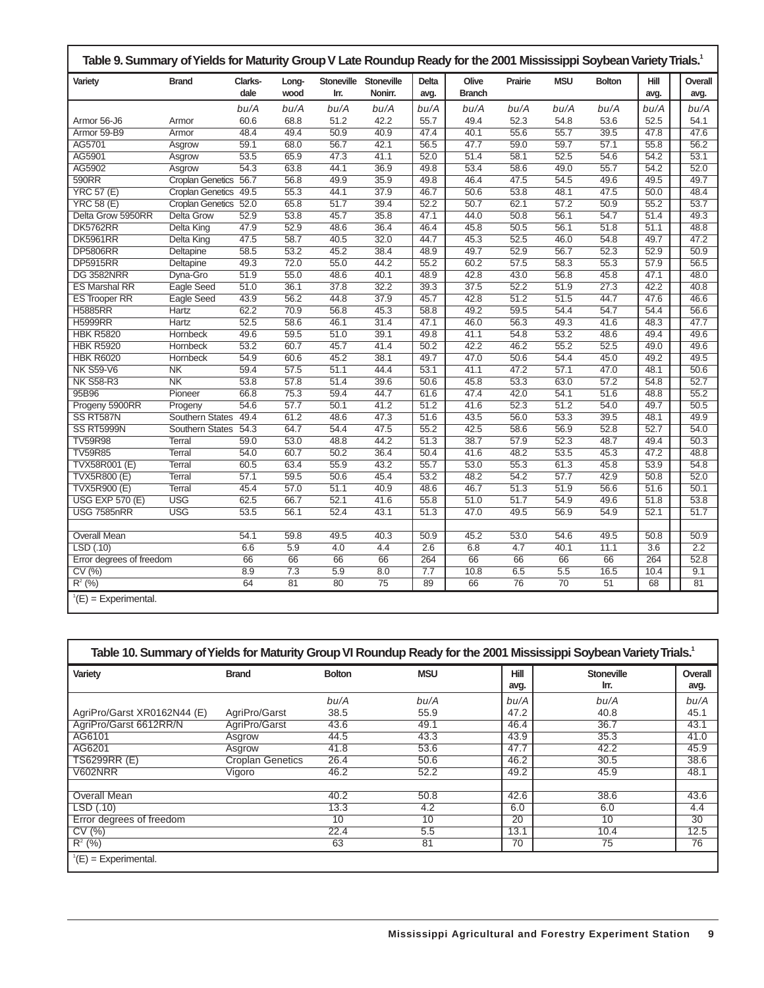| Table 9. Summary of Yields for Maturity Group V Late Roundup Ready for the 2001 Mississippi Soybean Variety Trials. <sup>1</sup><br><b>MSU</b><br>Clarks-<br>Stoneville<br><b>Stoneville</b><br>Olive<br>Hill<br>Overall<br><b>Brand</b><br><b>Delta</b><br>Prairie<br><b>Bolton</b><br>Variety<br>Long- |                         |      |      |      |                 |      |               |      |                   |                   |                  |  |      |
|----------------------------------------------------------------------------------------------------------------------------------------------------------------------------------------------------------------------------------------------------------------------------------------------------------|-------------------------|------|------|------|-----------------|------|---------------|------|-------------------|-------------------|------------------|--|------|
|                                                                                                                                                                                                                                                                                                          |                         | dale | wood | Irr. | Nonirr.         | avg. | <b>Branch</b> |      |                   |                   | avg.             |  | avg. |
|                                                                                                                                                                                                                                                                                                          |                         | bu/A | bu/A | bu/A | bu/A            | bu/A | bu/A          | bu/A | bu/A              | bu/A              | bu/A             |  | bu/A |
| Armor 56-J6                                                                                                                                                                                                                                                                                              | Armor                   | 60.6 | 68.8 | 51.2 | 42.2            | 55.7 | 49.4          | 52.3 | 54.8              | 53.6              | 52.5             |  | 54.1 |
| Armor 59-B9                                                                                                                                                                                                                                                                                              | Armor                   | 48.4 | 49.4 | 50.9 | 40.9            | 47.4 | 40.1          | 55.6 | 55.7              | 39.5              | 47.8             |  | 47.6 |
| AG5701                                                                                                                                                                                                                                                                                                   | Asgrow                  | 59.1 | 68.0 | 56.7 | 42.1            | 56.5 | 47.7          | 59.0 | 59.7              | 57.1              | 55.8             |  | 56.2 |
| AG5901                                                                                                                                                                                                                                                                                                   | Asgrow                  | 53.5 | 65.9 | 47.3 | 41.1            | 52.0 | 51.4          | 58.1 | 52.5              | 54.6              | 54.2             |  | 53.1 |
| AG5902                                                                                                                                                                                                                                                                                                   | Asgrow                  | 54.3 | 63.8 | 44.1 | 36.9            | 49.8 | 53.4          | 58.6 | 49.0              | 55.7              | 54.2             |  | 52.0 |
| 590RR                                                                                                                                                                                                                                                                                                    | <b>Croplan Genetics</b> | 56.7 | 56.8 | 49.9 | 35.9            | 49.8 | 46.4          | 47.5 | 54.5              | 49.6              | 49.5             |  | 49.7 |
| <b>YRC 57 (E)</b>                                                                                                                                                                                                                                                                                        | <b>Croplan Genetics</b> | 49.5 | 55.3 | 44.1 | 37.9            | 46.7 | 50.6          | 53.8 | 48.1              | 47.5              | 50.0             |  | 48.4 |
| <b>YRC 58 (E)</b>                                                                                                                                                                                                                                                                                        | <b>Croplan Genetics</b> | 52.0 | 65.8 | 51.7 | 39.4            | 52.2 | 50.7          | 62.1 | 57.2              | 50.9              | 55.2             |  | 53.7 |
| Delta Grow 5950RR                                                                                                                                                                                                                                                                                        | <b>Delta Grow</b>       | 52.9 | 53.8 | 45.7 | 35.8            | 47.1 | 44.0          | 50.8 | 56.1              | 54.7              | 51.4             |  | 49.3 |
| <b>DK5762RR</b>                                                                                                                                                                                                                                                                                          | <b>Delta King</b>       | 47.9 | 52.9 | 48.6 | 36.4            | 46.4 | 45.8          | 50.5 | 56.1              | 51.8              | 51.1             |  | 48.8 |
| <b>DK5961RR</b>                                                                                                                                                                                                                                                                                          | <b>Delta King</b>       | 47.5 | 58.7 | 40.5 | 32.0            | 44.7 | 45.3          | 52.5 | 46.0              | 54.8              | 49.7             |  | 47.2 |
| <b>DP5806RR</b>                                                                                                                                                                                                                                                                                          | Deltapine               | 58.5 | 53.2 | 45.2 | 38.4            | 48.9 | 49.7          | 52.9 | 56.7              | 52.3              | 52.9             |  | 50.9 |
| <b>DP5915RR</b>                                                                                                                                                                                                                                                                                          | Deltapine               | 49.3 | 72.0 | 55.0 | 44.2            | 55.2 | 60.2          | 57.5 | 58.3              | 55.3              | 57.9             |  | 56.5 |
| <b>DG 3582NRR</b>                                                                                                                                                                                                                                                                                        | Dyna-Gro                | 51.9 | 55.0 | 48.6 | 40.1            | 48.9 | 42.8          | 43.0 | 56.8              | 45.8              | 47.1             |  | 48.0 |
| <b>ES Marshal RR</b>                                                                                                                                                                                                                                                                                     | Eagle Seed              | 51.0 | 36.1 | 37.8 | 32.2            | 39.3 | 37.5          | 52.2 | 51.9              | 27.3              | 42.2             |  | 40.8 |
| <b>ES Trooper RR</b>                                                                                                                                                                                                                                                                                     | Eagle Seed              | 43.9 | 56.2 | 44.8 | 37.9            | 45.7 | 42.8          | 51.2 | 51.5              | 44.7              | 47.6             |  | 46.6 |
| <b>H5885RR</b>                                                                                                                                                                                                                                                                                           | Hartz                   | 62.2 | 70.9 | 56.8 | 45.3            | 58.8 | 49.2          | 59.5 | 54.4              | 54.7              | 54.4             |  | 56.6 |
| <b>H5999RR</b>                                                                                                                                                                                                                                                                                           | Hartz                   | 52.5 | 58.6 | 46.1 | 31.4            | 47.1 | 46.0          | 56.3 | 49.3              | 41.6              | 48.3             |  | 47.7 |
| <b>HBK R5820</b>                                                                                                                                                                                                                                                                                         | Hornbeck                | 49.6 | 59.5 | 51.0 | 39.1            | 49.8 | 41.1          | 54.8 | 53.2              | 48.6              | 49.4             |  | 49.6 |
| <b>HBK R5920</b>                                                                                                                                                                                                                                                                                         | Hornbeck                | 53.2 | 60.7 | 45.7 | 41.4            | 50.2 | 42.2          | 46.2 | 55.2              | 52.5              | 49.0             |  | 49.6 |
| <b>HBK R6020</b>                                                                                                                                                                                                                                                                                         | Hornbeck                | 54.9 | 60.6 | 45.2 | 38.1            | 49.7 | 47.0          | 50.6 | 54.4              | 45.0              | 49.2             |  | 49.5 |
| <b>NK S59-V6</b>                                                                                                                                                                                                                                                                                         | <b>NK</b>               | 59.4 | 57.5 | 51.1 | 44.4            | 53.1 | 41.1          | 47.2 | 57.1              | 47.0              | 48.1             |  | 50.6 |
| <b>NK S58-R3</b>                                                                                                                                                                                                                                                                                         | N <sub>K</sub>          | 53.8 | 57.8 | 51.4 | 39.6            | 50.6 | 45.8          | 53.3 | 63.0              | $\overline{57.2}$ | 54.8             |  | 52.7 |
| 95B96                                                                                                                                                                                                                                                                                                    | Pioneer                 | 66.8 | 75.3 | 59.4 | 44.7            | 61.6 | 47.4          | 42.0 | 54.1              | 51.6              | 48.8             |  | 55.2 |
| Progeny 5900RR                                                                                                                                                                                                                                                                                           | Progeny                 | 54.6 | 57.7 | 50.1 | 41.2            | 51.2 | 41.6          | 52.3 | $\overline{51.2}$ | 54.0              | 49.7             |  | 50.5 |
| SS RT587N                                                                                                                                                                                                                                                                                                | <b>Southern States</b>  | 49.4 | 61.2 | 48.6 | 47.3            | 51.6 | 43.5          | 56.0 | 53.3              | 39.5              | 48.1             |  | 49.9 |
| SS RT5999N                                                                                                                                                                                                                                                                                               | Southern States         | 54.3 | 64.7 | 54.4 | 47.5            | 55.2 | 42.5          | 58.6 | 56.9              | 52.8              | 52.7             |  | 54.0 |
| <b>TV59R98</b>                                                                                                                                                                                                                                                                                           | <b>Terral</b>           | 59.0 | 53.0 | 48.8 | 44.2            | 51.3 | 38.7          | 57.9 | 52.3              | 48.7              | 49.4             |  | 50.3 |
| <b>TV59R85</b>                                                                                                                                                                                                                                                                                           | <b>Terral</b>           | 54.0 | 60.7 | 50.2 | 36.4            | 50.4 | 41.6          | 48.2 | 53.5              | 45.3              | 47.2             |  | 48.8 |
| <b>TVX58R001 (E)</b>                                                                                                                                                                                                                                                                                     | Terral                  | 60.5 | 63.4 | 55.9 | 43.2            | 55.7 | 53.0          | 55.3 | 61.3              | 45.8              | 53.9             |  | 54.8 |
| <b>TVX5R800 (E)</b>                                                                                                                                                                                                                                                                                      | Terral                  | 57.1 | 59.5 | 50.6 | 45.4            | 53.2 | 48.2          | 54.2 | 57.7              | 42.9              | 50.8             |  | 52.0 |
| <b>TVX5R900 (E)</b>                                                                                                                                                                                                                                                                                      | Terral                  | 45.4 | 57.0 | 51.1 | 40.9            | 48.6 | 46.7          | 51.3 | 51.9              | 56.6              | 51.6             |  | 50.1 |
| <b>USG EXP 570 (E)</b>                                                                                                                                                                                                                                                                                   | <b>USG</b>              | 62.5 | 66.7 | 52.1 | 41.6            | 55.8 | 51.0          | 51.7 | 54.9              | 49.6              | 51.8             |  | 53.8 |
| <b>USG 7585nRR</b>                                                                                                                                                                                                                                                                                       | <b>USG</b>              | 53.5 | 56.1 | 52.4 | 43.1            | 51.3 | 47.0          | 49.5 | 56.9              | 54.9              | 52.1             |  | 51.7 |
|                                                                                                                                                                                                                                                                                                          |                         |      |      |      |                 |      |               |      |                   |                   |                  |  |      |
| <b>Overall Mean</b>                                                                                                                                                                                                                                                                                      |                         | 54.1 | 59.8 | 49.5 | 40.3            | 50.9 | 45.2          | 53.0 | 54.6              | 49.5              | 50.8             |  | 50.9 |
| LSD (.10)                                                                                                                                                                                                                                                                                                |                         | 6.6  | 5.9  | 4.0  | 4.4             | 2.6  | 6.8           | 4.7  | 40.1              | 11.1              | $\overline{3.6}$ |  | 2.2  |
| Error degrees of freedom                                                                                                                                                                                                                                                                                 |                         | 66   | 66   | 66   | 66              | 264  | 66            | 66   | 66                | 66                | 264              |  | 52.8 |
| CV(%)                                                                                                                                                                                                                                                                                                    |                         | 8.9  | 7.3  | 5.9  | 8.0             | 7.7  | 10.8          | 6.5  | $\overline{5.5}$  | 16.5              | 10.4             |  | 9.1  |
| $R^2$ (%)                                                                                                                                                                                                                                                                                                |                         | 64   | 81   | 80   | $\overline{75}$ | 89   | 66            | 76   | $\overline{70}$   | $\overline{51}$   | 68               |  | 81   |
| $E(E) = Experiments$ Experimental.                                                                                                                                                                                                                                                                       |                         |      |      |      |                 |      |               |      |                   |                   |                  |  |      |

#### **Table 10. Summary of Yields for Maturity Group VI Roundup Ready for the 2001 Mississippi Soybean Variety Trials.1**

| Variety                            | <b>Brand</b>            | <b>Bolton</b> | <b>MSU</b> | Hill<br>avg. | <b>Stoneville</b><br>Irr. | Overall<br>avg. |
|------------------------------------|-------------------------|---------------|------------|--------------|---------------------------|-----------------|
|                                    |                         | bu/A          | bu/A       | bu/A         | bu/A                      | bu/A            |
| AgriPro/Garst XR0162N44 (E)        | AgriPro/Garst           | 38.5          | 55.9       | 47.2         | 40.8                      | 45.1            |
| AgriPro/Garst 6612RR/N             | AgriPro/Garst           | 43.6          | 49.1       | 46.4         | 36.7                      | 43.1            |
| AG6101                             | Asgrow                  | 44.5          | 43.3       | 43.9         | 35.3                      | 41.0            |
| AG6201                             | Asgrow                  | 41.8          | 53.6       | 47.7         | 42.2                      | 45.9            |
| <b>TS6299RR (E)</b>                | <b>Croplan Genetics</b> | 26.4          | 50.6       | 46.2         | 30.5                      | 38.6            |
| <b>V602NRR</b>                     | Vigoro                  | 46.2          | 52.2       | 49.2         | 45.9                      | 48.1            |
|                                    |                         |               |            |              |                           |                 |
| <b>Overall Mean</b>                |                         | 40.2          | 50.8       | 42.6         | 38.6                      | 43.6            |
| LSD(.10)                           |                         | 13.3          | 4.2        | 6.0          | 6.0                       | 4.4             |
| Error degrees of freedom           |                         | 10            | 10         | 20           | 10                        | 30              |
| CV(%)                              |                         | 22.4          | 5.5        | 13.1         | 10.4                      | 12.5            |
| $R^2$ (%)                          |                         | 63            | 81         | 70           | 75                        | 76              |
| $E(E) = Experiments$ Experimental. |                         |               |            |              |                           |                 |

 $\overline{\phantom{a}}$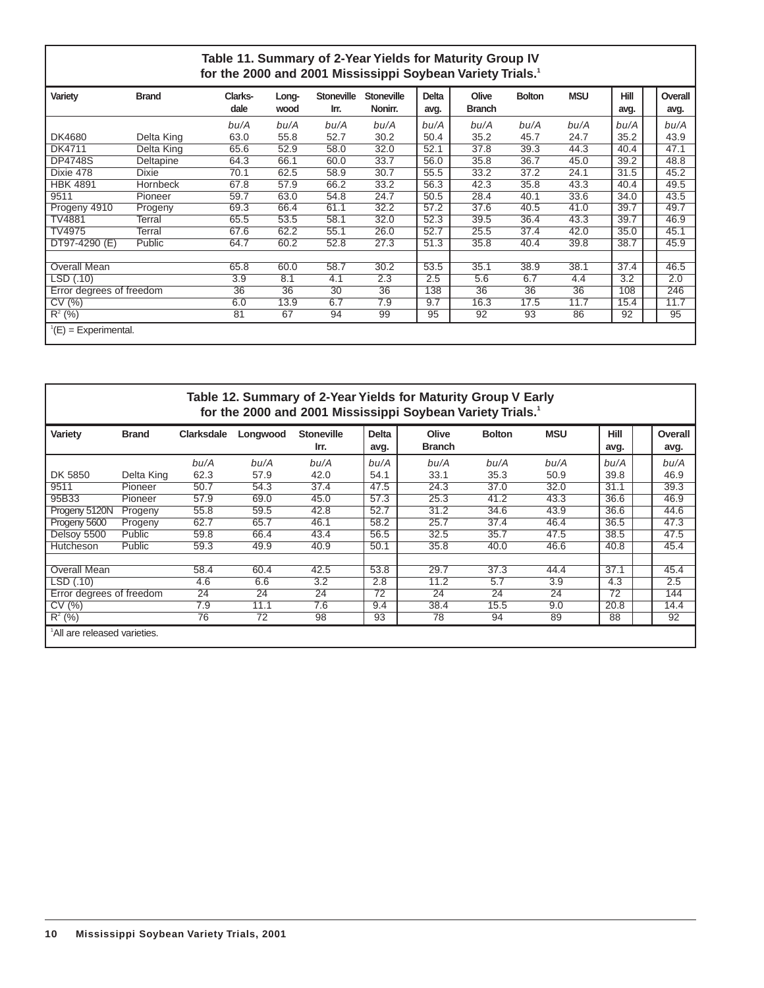#### **Table 11. Summary of 2-Year Yields for Maturity Group IV for the 2000 and 2001 Mississippi Soybean Variety Trials.1**

| Variety                  | <b>Brand</b>    | Clarks-<br>dale | Long-<br>wood | <b>Stoneville</b><br>Irr. | <b>Stoneville</b><br>Nonirr. | Delta<br>avg. | Olive<br><b>Branch</b> | <b>Bolton</b> | <b>MSU</b> | <b>Hill</b><br>avg. | Overall<br>avg. |
|--------------------------|-----------------|-----------------|---------------|---------------------------|------------------------------|---------------|------------------------|---------------|------------|---------------------|-----------------|
|                          |                 | bu/A            | bu/A          | bu/A                      | bu/A                         | bu/A          | bu/A                   | bu/A          | bu/A       | bu/A                | bu/A            |
| <b>DK4680</b>            | Delta King      | 63.0            | 55.8          | 52.7                      | 30.2                         | 50.4          | 35.2                   | 45.7          | 24.7       | 35.2                | 43.9            |
| DK4711                   | Delta King      | 65.6            | 52.9          | 58.0                      | 32.0                         | 52.1          | 37.8                   | 39.3          | 44.3       | 40.4                | 47.1            |
| <b>DP4748S</b>           | Deltapine       | 64.3            | 66.1          | 60.0                      | 33.7                         | 56.0          | 35.8                   | 36.7          | 45.0       | 39.2                | 48.8            |
| Dixie 478                | <b>Dixie</b>    | 70.1            | 62.5          | 58.9                      | 30.7                         | 55.5          | 33.2                   | 37.2          | 24.1       | 31.5                | 45.2            |
| <b>HBK 4891</b>          | <b>Hornbeck</b> | 67.8            | 57.9          | 66.2                      | 33.2                         | 56.3          | 42.3                   | 35.8          | 43.3       | 40.4                | 49.5            |
| 9511                     | Pioneer         | 59.7            | 63.0          | 54.8                      | 24.7                         | 50.5          | 28.4                   | 40.1          | 33.6       | 34.0                | 43.5            |
| Progeny 4910             | Progeny         | 69.3            | 66.4          | 61.1                      | 32.2                         | 57.2          | 37.6                   | 40.5          | 41.0       | 39.7                | 49.7            |
| <b>TV4881</b>            | Terral          | 65.5            | 53.5          | 58.1                      | 32.0                         | 52.3          | 39.5                   | 36.4          | 43.3       | 39.7                | 46.9            |
| TV4975                   | Terral          | 67.6            | 62.2          | 55.1                      | 26.0                         | 52.7          | 25.5                   | 37.4          | 42.0       | 35.0                | 45.1            |
| DT97-4290 (E)            | Public          | 64.7            | 60.2          | 52.8                      | 27.3                         | 51.3          | 35.8                   | 40.4          | 39.8       | 38.7                | 45.9            |
|                          |                 |                 |               |                           |                              |               |                        |               |            |                     |                 |
| Overall Mean             |                 | 65.8            | 60.0          | 58.7                      | 30.2                         | 53.5          | 35.1                   | 38.9          | 38.1       | 37.4                | 46.5            |
| LSD(0.10)                |                 | 3.9             | 8.1           | 4.1                       | 2.3                          | 2.5           | 5.6                    | 6.7           | 4.4        | 3.2                 | 2.0             |
| Error degrees of freedom |                 | 36              | 36            | $\overline{30}$           | $\overline{36}$              | 138           | 36                     | 36            | 36         | 108                 | 246             |
| CV(%)                    |                 | 6.0             | 13.9          | 6.7                       | 7.9                          | 9.7           | 16.3                   | 17.5          | 11.7       | 15.4                | 11.7            |
| $R^{2}$ (%)              |                 | 81              | 67            | 94                        | 99                           | 95            | 92                     | 93            | 86         | 92                  | 95              |
| $^1(E)$ = Experimental.  |                 |                 |               |                           |                              |               |                        |               |            |                     |                 |

#### **Table 12. Summary of 2-Year Yields for Maturity Group V Early for the 2000 and 2001 Mississippi Soybean Variety Trials.1**

| Variety                                  | <b>Brand</b> | <b>Clarksdale</b> | Longwood | <b>Stoneville</b> | <b>Delta</b> | Olive         | <b>Bolton</b> | <b>MSU</b> | Hill | Overall |
|------------------------------------------|--------------|-------------------|----------|-------------------|--------------|---------------|---------------|------------|------|---------|
|                                          |              |                   |          | Irr.              | avg.         | <b>Branch</b> |               |            | avg. | avg.    |
|                                          |              | bu/A              | bu/A     | bu/A              | bu/A         | bu/A          | bu/A          | bu/A       | bu/A | bu/A    |
| DK 5850                                  | Delta King   | 62.3              | 57.9     | 42.0              | 54.1         | 33.1          | 35.3          | 50.9       | 39.8 | 46.9    |
| 9511                                     | Pioneer      | 50.7              | 54.3     | 37.4              | 47.5         | 24.3          | 37.0          | 32.0       | 31.1 | 39.3    |
| 95B33                                    | Pioneer      | 57.9              | 69.0     | 45.0              | 57.3         | 25.3          | 41.2          | 43.3       | 36.6 | 46.9    |
| Progeny 5120N                            | Progeny      | 55.8              | 59.5     | 42.8              | 52.7         | 31.2          | 34.6          | 43.9       | 36.6 | 44.6    |
| Progeny 5600                             | Progeny      | 62.7              | 65.7     | 46.1              | 58.2         | 25.7          | 37.4          | 46.4       | 36.5 | 47.3    |
| Delsoy 5500                              | Public       | 59.8              | 66.4     | 43.4              | 56.5         | 32.5          | 35.7          | 47.5       | 38.5 | 47.5    |
| Hutcheson                                | Public       | 59.3              | 49.9     | 40.9              | 50.1         | 35.8          | 40.0          | 46.6       | 40.8 | 45.4    |
|                                          |              |                   |          |                   |              |               |               |            |      |         |
| <b>Overall Mean</b>                      |              | 58.4              | 60.4     | 42.5              | 53.8         | 29.7          | 37.3          | 44.4       | 37.1 | 45.4    |
| LSD(0.10)                                |              | 4.6               | 6.6      | $\overline{3.2}$  | 2.8          | 11.2          | 5.7           | 3.9        | 4.3  | 2.5     |
| Error degrees of freedom                 |              | 24                | 24       | 24                | 72           | 24            | 24            | 24         | 72   | 144     |
| CV(%)                                    |              | 7.9               | 11.1     | 7.6               | 9.4          | 38.4          | 15.5          | 9.0        | 20.8 | 14.4    |
| $R^2$ (%)                                |              | 76                | 72       | 98                | 93           | 78            | 94            | 89         | 88   | 92      |
| <sup>1</sup> All are released varieties. |              |                   |          |                   |              |               |               |            |      |         |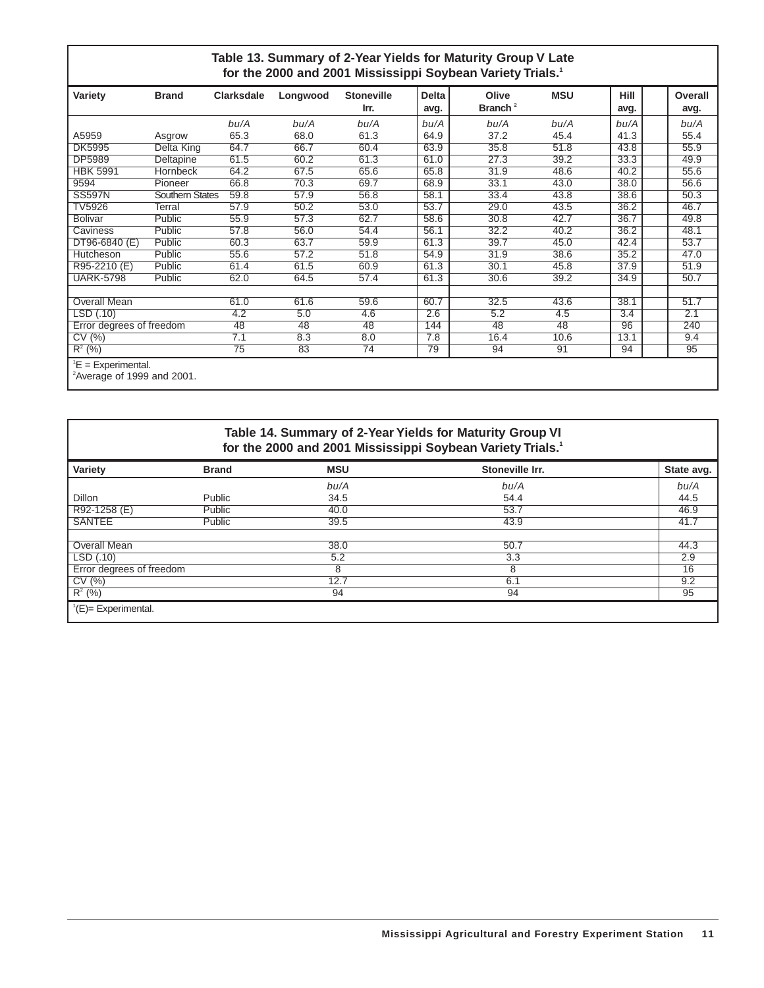#### **Table 13. Summary of 2-Year Yields for Maturity Group V Late for the 2000 and 2001 Mississippi Soybean Variety Trials.1**

|                                                               |                        |                   |          |                           | . .                  |                              |            |                     |                 |
|---------------------------------------------------------------|------------------------|-------------------|----------|---------------------------|----------------------|------------------------------|------------|---------------------|-----------------|
| Variety                                                       | <b>Brand</b>           | <b>Clarksdale</b> | Longwood | <b>Stoneville</b><br>Irr. | <b>Delta</b><br>avg. | Olive<br>Branch <sup>2</sup> | <b>MSU</b> | <b>Hill</b><br>avg. | Overall<br>avg. |
|                                                               |                        | bu/A              | bu/A     | bu/A                      | bu/A                 | bu/A                         | bu/A       | bu/A                | bu/A            |
| A5959                                                         | Asgrow                 | 65.3              | 68.0     | 61.3                      | 64.9                 | 37.2                         | 45.4       | 41.3                | 55.4            |
| <b>DK5995</b>                                                 | Delta King             | 64.7              | 66.7     | 60.4                      | 63.9                 | 35.8                         | 51.8       | 43.8                | 55.9            |
| <b>DP5989</b>                                                 | <b>Deltapine</b>       | 61.5              | 60.2     | 61.3                      | 61.0                 | 27.3                         | 39.2       | 33.3                | 49.9            |
| <b>HBK 5991</b>                                               | Hornbeck               | 64.2              | 67.5     | 65.6                      | 65.8                 | 31.9                         | 48.6       | 40.2                | 55.6            |
| 9594                                                          | Pioneer                | 66.8              | 70.3     | 69.7                      | 68.9                 | 33.1                         | 43.0       | 38.0                | 56.6            |
| <b>SS597N</b>                                                 | <b>Southern States</b> | 59.8              | 57.9     | 56.8                      | 58.1                 | 33.4                         | 43.8       | 38.6                | 50.3            |
| <b>TV5926</b>                                                 | Terral                 | 57.9              | 50.2     | 53.0                      | 53.7                 | 29.0                         | 43.5       | 36.2                | 46.7            |
| <b>Bolivar</b>                                                | Public                 | 55.9              | 57.3     | 62.7                      | 58.6                 | 30.8                         | 42.7       | 36.7                | 49.8            |
| Caviness                                                      | Public                 | 57.8              | 56.0     | 54.4                      | 56.1                 | 32.2                         | 40.2       | 36.2                | 48.1            |
| DT96-6840 (E)                                                 | Public                 | 60.3              | 63.7     | 59.9                      | 61.3                 | 39.7                         | 45.0       | 42.4                | 53.7            |
| Hutcheson                                                     | Public                 | 55.6              | 57.2     | 51.8                      | 54.9                 | 31.9                         | 38.6       | 35.2                | 47.0            |
| R95-2210 (E)                                                  | Public                 | 61.4              | 61.5     | 60.9                      | 61.3                 | 30.1                         | 45.8       | 37.9                | 51.9            |
| <b>UARK-5798</b>                                              | Public                 | 62.0              | 64.5     | 57.4                      | 61.3                 | 30.6                         | 39.2       | 34.9                | 50.7            |
|                                                               |                        |                   |          |                           |                      |                              |            |                     |                 |
| <b>Overall Mean</b>                                           |                        | 61.0              | 61.6     | 59.6                      | 60.7                 | 32.5                         | 43.6       | 38.1                | 51.7            |
| LSD (.10)                                                     |                        | 4.2               | 5.0      | 4.6                       | 2.6                  | 5.2                          | 4.5        | 3.4                 | 2.1             |
| Error degrees of freedom                                      |                        | 48                | 48       | 48                        | 144                  | 48                           | 48         | 96                  | 240             |
| CV(%)                                                         |                        | 7.1               | 8.3      | 8.0                       | 7.8                  | 16.4                         | 10.6       | 13.1                | 9.4             |
| $R^2$ (%)                                                     |                        | 75                | 83       | 74                        | 79                   | 94                           | 91         | 94                  | 95              |
| $E =$ Experimental.<br><sup>2</sup> Average of 1999 and 2001. |                        |                   |          |                           |                      |                              |            |                     |                 |

#### **Table 14. Summary of 2-Year Yields for Maturity Group VI for the 2000 and 2001 Mississippi Soybean Variety Trials.1**

| Variety                      | <b>Brand</b> | <b>MSU</b> | Stoneville Irr. | State avg. |
|------------------------------|--------------|------------|-----------------|------------|
|                              |              | bu/A       | bu/A            | bu/A       |
| Dillon                       | Public       | 34.5       | 54.4            | 44.5       |
| R92-1258 (E)                 | Public       | 40.0       | 53.7            | 46.9       |
| <b>SANTEE</b>                | Public       | 39.5       | 43.9            | 41.7       |
|                              |              |            |                 |            |
| Overall Mean                 |              | 38.0       | 50.7            | 44.3       |
| $\overline{\text{LSD}(.10)}$ |              | 5.2        | 3.3             | 2.9        |
| Error degrees of freedom     |              | 8          |                 | 16         |
| CV(%)                        |              | 12.7       | 6.1             | 9.2        |
| $R^2$ (%)                    |              | 94         | 94              | 95         |
| ${}^{1}(E)=$ Experimental.   |              |            |                 |            |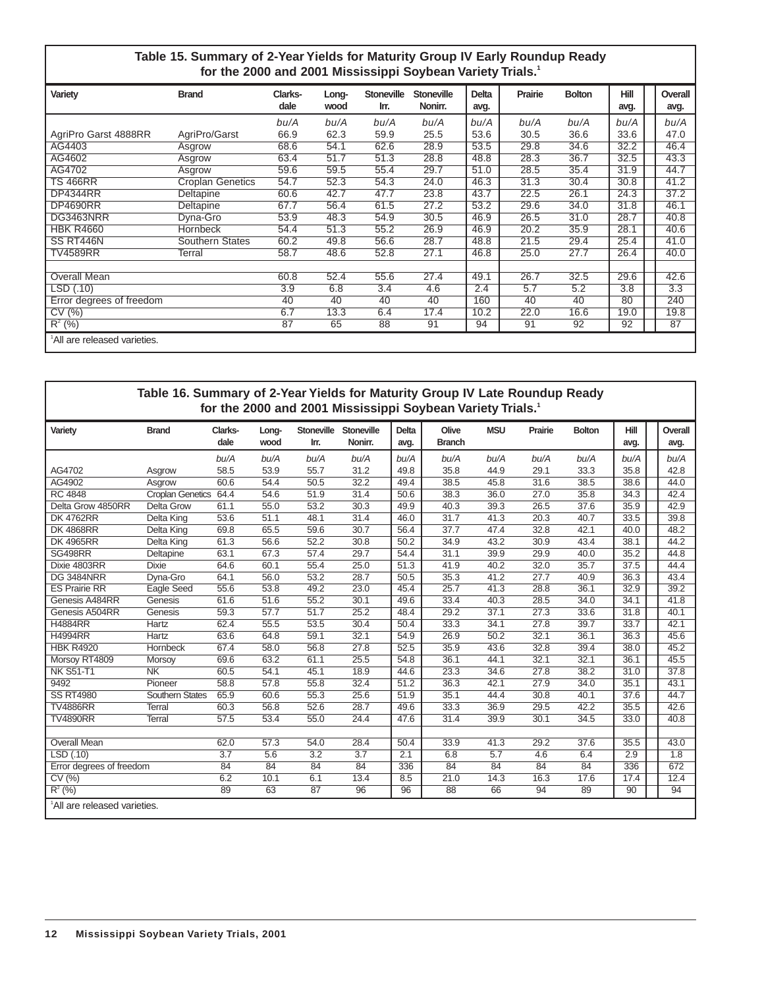#### **Table 15. Summary of 2-Year Yields for Maturity Group IV Early Roundup Ready for the 2000 and 2001 Mississippi Soybean Variety Trials.1**

| Variety                      | <b>Brand</b>            | Clarks- | Long- | <b>Stoneville</b> | <b>Stoneville</b> | <b>Delta</b> | Prairie | <b>Bolton</b> | Hill | Overall |
|------------------------------|-------------------------|---------|-------|-------------------|-------------------|--------------|---------|---------------|------|---------|
|                              |                         | dale    | wood  | Irr.              | Nonirr.           | avg.         |         |               | avg. | avg.    |
|                              |                         | bu/A    | bu/A  | bu/A              | bu/A              | bu/A         | bu/A    | bu/A          | bu/A | bu/A    |
| AgriPro Garst 4888RR         | AgriPro/Garst           | 66.9    | 62.3  | 59.9              | 25.5              | 53.6         | 30.5    | 36.6          | 33.6 | 47.0    |
| AG4403                       | Asgrow                  | 68.6    | 54.1  | 62.6              | 28.9              | 53.5         | 29.8    | 34.6          | 32.2 | 46.4    |
| AG4602                       | Asgrow                  | 63.4    | 51.7  | 51.3              | 28.8              | 48.8         | 28.3    | 36.7          | 32.5 | 43.3    |
| AG4702                       | Asgrow                  | 59.6    | 59.5  | 55.4              | 29.7              | 51.0         | 28.5    | 35.4          | 31.9 | 44.7    |
| <b>TS 466RR</b>              | <b>Croplan Genetics</b> | 54.7    | 52.3  | 54.3              | 24.0              | 46.3         | 31.3    | 30.4          | 30.8 | 41.2    |
| <b>DP4344RR</b>              | Deltapine               | 60.6    | 42.7  | 47.7              | 23.8              | 43.7         | 22.5    | 26.1          | 24.3 | 37.2    |
| <b>DP4690RR</b>              | Deltapine               | 67.7    | 56.4  | 61.5              | 27.2              | 53.2         | 29.6    | 34.0          | 31.8 | 46.1    |
| DG3463NRR                    | Dyna-Gro                | 53.9    | 48.3  | 54.9              | 30.5              | 46.9         | 26.5    | 31.0          | 28.7 | 40.8    |
| <b>HBK R4660</b>             | <b>Hornbeck</b>         | 54.4    | 51.3  | 55.2              | 26.9              | 46.9         | 20.2    | 35.9          | 28.1 | 40.6    |
| SS RT446N                    | <b>Southern States</b>  | 60.2    | 49.8  | 56.6              | 28.7              | 48.8         | 21.5    | 29.4          | 25.4 | 41.0    |
| <b>TV4589RR</b>              | Terral                  | 58.7    | 48.6  | 52.8              | 27.1              | 46.8         | 25.0    | 27.7          | 26.4 | 40.0    |
|                              |                         |         |       |                   |                   |              |         |               |      |         |
| Overall Mean                 |                         | 60.8    | 52.4  | 55.6              | 27.4              | 49.1         | 26.7    | 32.5          | 29.6 | 42.6    |
| LSD (.10)                    |                         | 3.9     | 6.8   | 3.4               | 4.6               | 2.4          | 5.7     | 5.2           | 3.8  | 3.3     |
| Error degrees of freedom     |                         | 40      | 40    | 40                | 40                | 160          | 40      | 40            | 80   | 240     |
| CV(%)                        |                         | 6.7     | 13.3  | 6.4               | 17.4              | 10.2         | 22.0    | 16.6          | 19.0 | 19.8    |
| $R^2$ (%)                    |                         | 87      | 65    | 88                | 91                | 94           | 91      | 92            | 92   | 87      |
| 'All are released varieties. |                         |         |       |                   |                   |              |         |               |      |         |

#### **Table 16. Summary of 2-Year Yields for Maturity Group IV Late Roundup Ready for the 2000 and 2001 Mississippi Soybean Variety Trials.1**

| Variety                                  | <b>Brand</b>            | Clarks-           | Long- | Stoneville | Stoneville | <b>Delta</b> | Olive         | <b>MSU</b> | Prairie | <b>Bolton</b> | Hill | Overall |
|------------------------------------------|-------------------------|-------------------|-------|------------|------------|--------------|---------------|------------|---------|---------------|------|---------|
|                                          |                         | dale              | wood  | Irr.       | Nonirr.    | avg.         | <b>Branch</b> |            |         |               | avg. | avg.    |
|                                          |                         | bu/A              | bu/A  | bu/A       | bu/A       | bu/A         | bu/A          | bu/A       | bu/A    | bu/A          | bu/A | bu/A    |
| AG4702                                   | Asgrow                  | 58.5              | 53.9  | 55.7       | 31.2       | 49.8         | 35.8          | 44.9       | 29.1    | 33.3          | 35.8 | 42.8    |
| AG4902                                   | Asgrow                  | 60.6              | 54.4  | 50.5       | 32.2       | 49.4         | 38.5          | 45.8       | 31.6    | 38.5          | 38.6 | 44.0    |
| <b>RC 4848</b>                           | <b>Croplan Genetics</b> | 64.4              | 54.6  | 51.9       | 31.4       | 50.6         | 38.3          | 36.0       | 27.0    | 35.8          | 34.3 | 42.4    |
| Delta Grow 4850RR                        | <b>Delta Grow</b>       | 61.1              | 55.0  | 53.2       | 30.3       | 49.9         | 40.3          | 39.3       | 26.5    | 37.6          | 35.9 | 42.9    |
| <b>DK 4762RR</b>                         | <b>Delta King</b>       | 53.6              | 51.1  | 48.1       | 31.4       | 46.0         | 31.7          | 41.3       | 20.3    | 40.7          | 33.5 | 39.8    |
| <b>DK 4868RR</b>                         | Delta King              | 69.8              | 65.5  | 59.6       | 30.7       | 56.4         | 37.7          | 47.4       | 32.8    | 42.1          | 40.0 | 48.2    |
| <b>DK 4965RR</b>                         | Delta King              | 61.3              | 56.6  | 52.2       | 30.8       | 50.2         | 34.9          | 43.2       | 30.9    | 43.4          | 38.1 | 44.2    |
| <b>SG498RR</b>                           | Deltapine               | 63.1              | 67.3  | 57.4       | 29.7       | 54.4         | 31.1          | 39.9       | 29.9    | 40.0          | 35.2 | 44.8    |
| Dixie 4803RR                             | <b>Dixie</b>            | 64.6              | 60.1  | 55.4       | 25.0       | 51.3         | 41.9          | 40.2       | 32.0    | 35.7          | 37.5 | 44.4    |
| <b>DG 3484NRR</b>                        | Dyna-Gro                | 64.1              | 56.0  | 53.2       | 28.7       | 50.5         | 35.3          | 41.2       | 27.7    | 40.9          | 36.3 | 43.4    |
| <b>ES Prairie RR</b>                     | <b>Eagle Seed</b>       | 55.6              | 53.8  | 49.2       | 23.0       | 45.4         | 25.7          | 41.3       | 28.8    | 36.1          | 32.9 | 39.2    |
| Genesis A484RR                           | Genesis                 | 61.6              | 51.6  | 55.2       | 30.1       | 49.6         | 33.4          | 40.3       | 28.5    | 34.0          | 34.1 | 41.8    |
| Genesis A504RR                           | Genesis                 | 59.3              | 57.7  | 51.7       | 25.2       | 48.4         | 29.2          | 37.1       | 27.3    | 33.6          | 31.8 | 40.1    |
| <b>H4884RR</b>                           | <b>Hartz</b>            | 62.4              | 55.5  | 53.5       | 30.4       | 50.4         | 33.3          | 34.1       | 27.8    | 39.7          | 33.7 | 42.1    |
| <b>H4994RR</b>                           | Hartz                   | 63.6              | 64.8  | 59.1       | 32.1       | 54.9         | 26.9          | 50.2       | 32.1    | 36.1          | 36.3 | 45.6    |
| <b>HBK R4920</b>                         | Hornbeck                | 67.4              | 58.0  | 56.8       | 27.8       | 52.5         | 35.9          | 43.6       | 32.8    | 39.4          | 38.0 | 45.2    |
| Morsoy RT4809                            | Morsoy                  | 69.6              | 63.2  | 61.1       | 25.5       | 54.8         | 36.1          | 44.1       | 32.1    | 32.1          | 36.1 | 45.5    |
| <b>NK S51-T1</b>                         | N <sub>K</sub>          | 60.5              | 54.1  | 45.1       | 18.9       | 44.6         | 23.3          | 34.6       | 27.8    | 38.2          | 31.0 | 37.8    |
| 9492                                     | Pioneer                 | 58.8              | 57.8  | 55.8       | 32.4       | 51.2         | 36.3          | 42.1       | 27.9    | 34.0          | 35.1 | 43.1    |
| <b>SS RT4980</b>                         | <b>Southern States</b>  | 65.9              | 60.6  | 55.3       | 25.6       | 51.9         | 35.1          | 44.4       | 30.8    | 40.1          | 37.6 | 44.7    |
| <b>TV4886RR</b>                          | Terral                  | 60.3              | 56.8  | 52.6       | 28.7       | 49.6         | 33.3          | 36.9       | 29.5    | 42.2          | 35.5 | 42.6    |
| <b>TV4890RR</b>                          | <b>Terral</b>           | $\overline{57.5}$ | 53.4  | 55.0       | 24.4       | 47.6         | 31.4          | 39.9       | 30.1    | 34.5          | 33.0 | 40.8    |
|                                          |                         |                   |       |            |            |              |               |            |         |               |      |         |
| <b>Overall Mean</b>                      |                         | 62.0              | 57.3  | 54.0       | 28.4       | 50.4         | 33.9          | 41.3       | 29.2    | 37.6          | 35.5 | 43.0    |
| LSD(0.10)                                |                         | 3.7               | 5.6   | 3.2        | 3.7        | 2.1          | 6.8           | 5.7        | 4.6     | 6.4           | 2.9  | 1.8     |
| Error degrees of freedom                 |                         | 84                | 84    | 84         | 84         | 336          | 84            | 84         | 84      | 84            | 336  | 672     |
| CV(%)                                    |                         | 6.2               | 10.1  | 6.1        | 13.4       | 8.5          | 21.0          | 14.3       | 16.3    | 17.6          | 17.4 | 12.4    |
| $R^2$ (%)                                |                         | 89                | 63    | 87         | 96         | 96           | 88            | 66         | 94      | 89            | 90   | 94      |
| <sup>1</sup> All are released varieties. |                         |                   |       |            |            |              |               |            |         |               |      |         |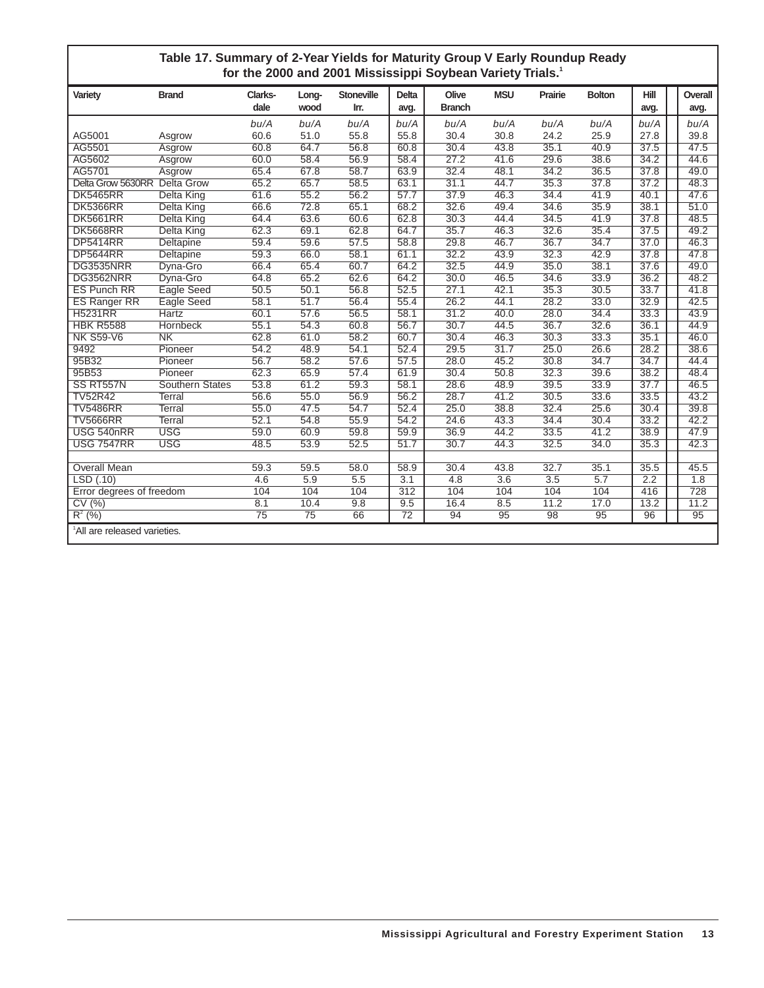#### **Table 17. Summary of 2-Year Yields for Maturity Group V Early Roundup Ready for the 2000 and 2001 Mississippi Soybean Variety Trials.1**

| Variety                                  | <b>Brand</b>           | Clarks-         | Long- | <b>Stoneville</b> | <b>Delta</b>     | Olive         | <b>MSU</b> | Prairie | <b>Bolton</b>    | Hill | Overall          |
|------------------------------------------|------------------------|-----------------|-------|-------------------|------------------|---------------|------------|---------|------------------|------|------------------|
|                                          |                        | dale            | wood  | Irr.              | avg.             | <b>Branch</b> |            |         |                  | avg. | avg.             |
|                                          |                        | bu/A            | bu/A  | bu/A              | bu/A             | bu/A          | bu/A       | bu/A    | bu/A             | bu/A | bu/A             |
| AG5001                                   | Asgrow                 | 60.6            | 51.0  | 55.8              | 55.8             | 30.4          | 30.8       | 24.2    | 25.9             | 27.8 | 39.8             |
| AG5501                                   | Asgrow                 | 60.8            | 64.7  | 56.8              | 60.8             | 30.4          | 43.8       | 35.1    | 40.9             | 37.5 | 47.5             |
| AG5602                                   | Asgrow                 | 60.0            | 58.4  | 56.9              | 58.4             | 27.2          | 41.6       | 29.6    | 38.6             | 34.2 | 44.6             |
| AG5701                                   | Asgrow                 | 65.4            | 67.8  | 58.7              | 63.9             | 32.4          | 48.1       | 34.2    | 36.5             | 37.8 | 49.0             |
| Delta Grow 5630RR Delta Grow             |                        | 65.2            | 65.7  | 58.5              | 63.1             | 31.1          | 44.7       | 35.3    | 37.8             | 37.2 | 48.3             |
| <b>DK5465RR</b>                          | Delta King             | 61.6            | 55.2  | 56.2              | 57.7             | 37.9          | 46.3       | 34.4    | 41.9             | 40.1 | 47.6             |
| <b>DK5366RR</b>                          | Delta King             | 66.6            | 72.8  | 65.1              | 68.2             | 32.6          | 49.4       | 34.6    | 35.9             | 38.1 | 51.0             |
| <b>DK5661RR</b>                          | <b>Delta King</b>      | 64.4            | 63.6  | 60.6              | 62.8             | 30.3          | 44.4       | 34.5    | 41.9             | 37.8 | 48.5             |
| <b>DK5668RR</b>                          | <b>Delta King</b>      | 62.3            | 69.1  | 62.8              | 64.7             | 35.7          | 46.3       | 32.6    | 35.4             | 37.5 | 49.2             |
| <b>DP5414RR</b>                          | Deltapine              | 59.4            | 59.6  | 57.5              | 58.8             | 29.8          | 46.7       | 36.7    | 34.7             | 37.0 | 46.3             |
| <b>DP5644RR</b>                          | Deltapine              | 59.3            | 66.0  | 58.1              | 61.1             | 32.2          | 43.9       | 32.3    | 42.9             | 37.8 | 47.8             |
| DG3535NRR                                | Dyna-Gro               | 66.4            | 65.4  | 60.7              | 64.2             | 32.5          | 44.9       | 35.0    | 38.1             | 37.6 | 49.0             |
| DG3562NRR                                | Dyna-Gro               | 64.8            | 65.2  | 62.6              | 64.2             | 30.0          | 46.5       | 34.6    | 33.9             | 36.2 | 48.2             |
| <b>ES Punch RR</b>                       | Eagle Seed             | 50.5            | 50.1  | 56.8              | 52.5             | 27.1          | 42.1       | 35.3    | 30.5             | 33.7 | 41.8             |
| ES Ranger RR                             | Eagle Seed             | 58.1            | 51.7  | 56.4              | 55.4             | 26.2          | 44.1       | 28.2    | 33.0             | 32.9 | 42.5             |
| <b>H5231RR</b>                           | Hartz                  | 60.1            | 57.6  | 56.5              | 58.1             | 31.2          | 40.0       | 28.0    | 34.4             | 33.3 | 43.9             |
| <b>HBK R5588</b>                         | Hornbeck               | 55.1            | 54.3  | 60.8              | 56.7             | 30.7          | 44.5       | 36.7    | 32.6             | 36.1 | 44.9             |
| <b>NK S59-V6</b>                         | N <sub>K</sub>         | 62.8            | 61.0  | 58.2              | 60.7             | 30.4          | 46.3       | 30.3    | 33.3             | 35.1 | 46.0             |
| 9492                                     | Pioneer                | 54.2            | 48.9  | 54.1              | 52.4             | 29.5          | 31.7       | 25.0    | 26.6             | 28.2 | 38.6             |
| 95B32                                    | Pioneer                | 56.7            | 58.2  | 57.6              | 57.5             | 28.0          | 45.2       | 30.8    | 34.7             | 34.7 | 44.4             |
| 95B53                                    | Pioneer                | 62.3            | 65.9  | 57.4              | 61.9             | 30.4          | 50.8       | 32.3    | 39.6             | 38.2 | 48.4             |
| SS RT557N                                | <b>Southern States</b> | 53.8            | 61.2  | 59.3              | 58.1             | 28.6          | 48.9       | 39.5    | 33.9             | 37.7 | 46.5             |
| <b>TV52R42</b>                           | <b>Terral</b>          | 56.6            | 55.0  | 56.9              | 56.2             | 28.7          | 41.2       | 30.5    | 33.6             | 33.5 | 43.2             |
| <b>TV5486RR</b>                          | Terral                 | 55.0            | 47.5  | 54.7              | 52.4             | 25.0          | 38.8       | 32.4    | 25.6             | 30.4 | 39.8             |
| <b>TV5666RR</b>                          | <b>Terral</b>          | 52.1            | 54.8  | 55.9              | 54.2             | 24.6          | 43.3       | 34.4    | 30.4             | 33.2 | 42.2             |
| USG 540nRR                               | <b>USG</b>             | 59.0            | 60.9  | 59.8              | 59.9             | 36.9          | 44.2       | 33.5    | 41.2             | 38.9 | 47.9             |
| <b>USG 7547RR</b>                        | <b>USG</b>             | 48.5            | 53.9  | 52.5              | 51.7             | 30.7          | 44.3       | 32.5    | 34.0             | 35.3 | 42.3             |
|                                          |                        |                 |       |                   |                  |               |            |         |                  |      |                  |
| <b>Overall Mean</b>                      |                        | 59.3            | 59.5  | 58.0              | 58.9             | 30.4          | 43.8       | 32.7    | 35.1             | 35.5 | 45.5             |
| LSD (.10)                                |                        | 4.6             | 5.9   | 5.5               | 3.1              | 4.8           | 3.6        | 3.5     | $\overline{5.7}$ | 2.2  | 1.8              |
| Error degrees of freedom                 |                        | 104             | 104   | 104               | $\overline{312}$ | 104           | 104        | 104     | 104              | 416  | $\overline{728}$ |
| CV(%)                                    |                        | 8.1             | 10.4  | 9.8               | 9.5              | 16.4          | 8.5        | 11.2    | 17.0             | 13.2 | 11.2             |
| $R^{2}$ (%)                              |                        | $\overline{75}$ | 75    | 66                | 72               | 94            | 95         | 98      | 95               | 96   | 95               |
| <sup>1</sup> All are released varieties. |                        |                 |       |                   |                  |               |            |         |                  |      |                  |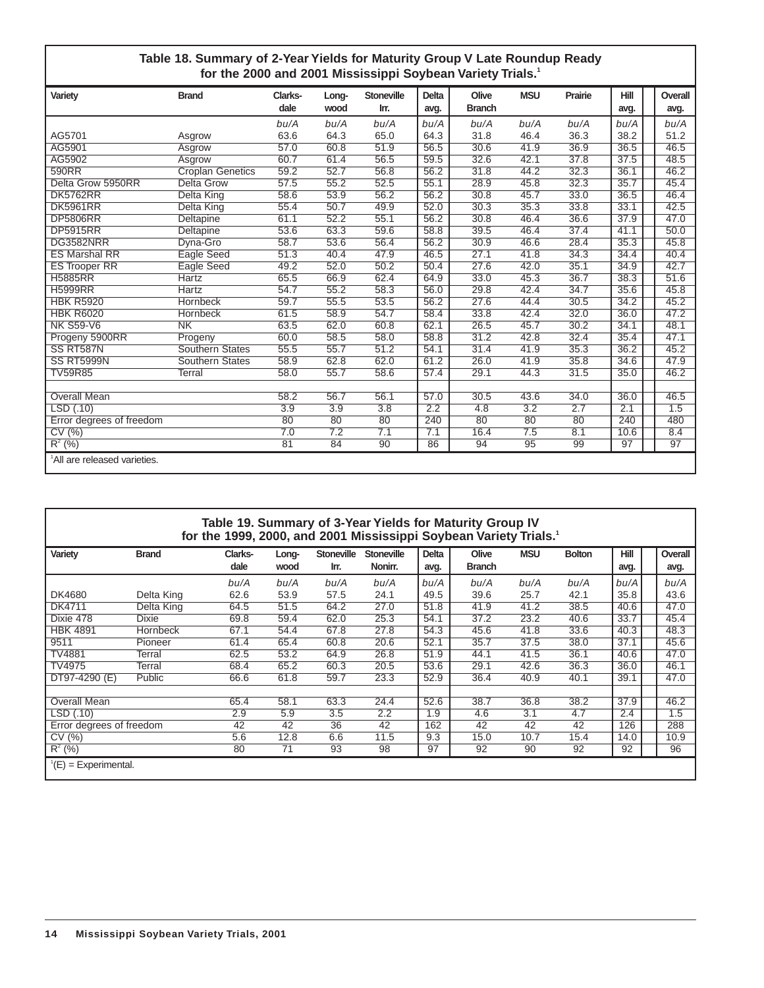#### **Table 18. Summary of 2-Year Yields for Maturity Group V Late Roundup Ready for the 2000 and 2001 Mississippi Soybean Variety Trials.1**

| Variety                                  | <b>Brand</b>            | Clarks-          | Long- | <b>Stoneville</b> | <b>Delta</b> | Olive         | <b>MSU</b> | Prairie | Hill | Overall |
|------------------------------------------|-------------------------|------------------|-------|-------------------|--------------|---------------|------------|---------|------|---------|
|                                          |                         | dale             | wood  | Irr.              | avg.         | <b>Branch</b> |            |         | avg. | avg.    |
|                                          |                         | bu/A             | bu/A  | bu/A              | bu/A         | bu/A          | bu/A       | bu/A    | bu/A | bu/A    |
| AG5701                                   | Asgrow                  | 63.6             | 64.3  | 65.0              | 64.3         | 31.8          | 46.4       | 36.3    | 38.2 | 51.2    |
| AG5901                                   | Asgrow                  | 57.0             | 60.8  | 51.9              | 56.5         | 30.6          | 41.9       | 36.9    | 36.5 | 46.5    |
| AG5902                                   | Asgrow                  | 60.7             | 61.4  | 56.5              | 59.5         | 32.6          | 42.1       | 37.8    | 37.5 | 48.5    |
| 590RR                                    | <b>Croplan Genetics</b> | 59.2             | 52.7  | 56.8              | 56.2         | 31.8          | 44.2       | 32.3    | 36.1 | 46.2    |
| Delta Grow 5950RR                        | <b>Delta Grow</b>       | 57.5             | 55.2  | 52.5              | 55.1         | 28.9          | 45.8       | 32.3    | 35.7 | 45.4    |
| <b>DK5762RR</b>                          | <b>Delta King</b>       | 58.6             | 53.9  | 56.2              | 56.2         | 30.8          | 45.7       | 33.0    | 36.5 | 46.4    |
| <b>DK5961RR</b>                          | Delta King              | 55.4             | 50.7  | 49.9              | 52.0         | 30.3          | 35.3       | 33.8    | 33.1 | 42.5    |
| <b>DP5806RR</b>                          | Deltapine               | 61.1             | 52.2  | 55.1              | 56.2         | 30.8          | 46.4       | 36.6    | 37.9 | 47.0    |
| <b>DP5915RR</b>                          | Deltapine               | 53.6             | 63.3  | 59.6              | 58.8         | 39.5          | 46.4       | 37.4    | 41.1 | 50.0    |
| DG3582NRR                                | Dyna-Gro                | 58.7             | 53.6  | 56.4              | 56.2         | 30.9          | 46.6       | 28.4    | 35.3 | 45.8    |
| <b>ES Marshal RR</b>                     | Eagle Seed              | 51.3             | 40.4  | 47.9              | 46.5         | 27.1          | 41.8       | 34.3    | 34.4 | 40.4    |
| <b>ES Trooper RR</b>                     | Eagle Seed              | 49.2             | 52.0  | 50.2              | 50.4         | 27.6          | 42.0       | 35.1    | 34.9 | 42.7    |
| <b>H5885RR</b>                           | <b>Hartz</b>            | 65.5             | 66.9  | 62.4              | 64.9         | 33.0          | 45.3       | 36.7    | 38.3 | 51.6    |
| <b>H5999RR</b>                           | <b>Hartz</b>            | 54.7             | 55.2  | 58.3              | 56.0         | 29.8          | 42.4       | 34.7    | 35.6 | 45.8    |
| <b>HBK R5920</b>                         | Hornbeck                | 59.7             | 55.5  | 53.5              | 56.2         | 27.6          | 44.4       | 30.5    | 34.2 | 45.2    |
| <b>HBK R6020</b>                         | <b>Hornbeck</b>         | 61.5             | 58.9  | 54.7              | 58.4         | 33.8          | 42.4       | 32.0    | 36.0 | 47.2    |
| <b>NK S59-V6</b>                         | N <sub>K</sub>          | 63.5             | 62.0  | 60.8              | 62.1         | 26.5          | 45.7       | 30.2    | 34.1 | 48.1    |
| Progeny 5900RR                           | Progeny                 | 60.0             | 58.5  | 58.0              | 58.8         | 31.2          | 42.8       | 32.4    | 35.4 | 47.1    |
| SS RT587N                                | <b>Southern States</b>  | 55.5             | 55.7  | 51.2              | 54.1         | 31.4          | 41.9       | 35.3    | 36.2 | 45.2    |
| <b>SS RT5999N</b>                        | <b>Southern States</b>  | 58.9             | 62.8  | 62.0              | 61.2         | 26.0          | 41.9       | 35.8    | 34.6 | 47.9    |
| <b>TV59R85</b>                           | Terral                  | 58.0             | 55.7  | 58.6              | 57.4         | 29.1          | 44.3       | 31.5    | 35.0 | 46.2    |
|                                          |                         |                  |       |                   |              |               |            |         |      |         |
| <b>Overall Mean</b>                      |                         | 58.2             | 56.7  | 56.1              | 57.0         | 30.5          | 43.6       | 34.0    | 36.0 | 46.5    |
| LSD (.10)                                |                         | $\overline{3.9}$ | 3.9   | 3.8               | 2.2          | 4.8           | 3.2        | 2.7     | 2.1  | 1.5     |
| Error degrees of freedom                 |                         | 80               | 80    | 80                | 240          | 80            | 80         | 80      | 240  | 480     |
| CV(%)                                    |                         | 7.0              | 7.2   | 7.1               | 7.1          | 16.4          | 7.5        | 8.1     | 10.6 | 8.4     |
| $R^{2}$ (%)                              |                         | 81               | 84    | 90                | 86           | 94            | 95         | 99      | 97   | 97      |
| <sup>1</sup> All are released varieties. |                         |                  |       |                   |              |               |            |         |      |         |

#### **Table 19. Summary of 3-Year Yields for Maturity Group IV for the 1999, 2000, and 2001 Mississippi Soybean Variety Trials.1 Variety Brand Clarks- Long- Stoneville Stoneville Delta Olive MSU Bolton Hill Overall** dale wood Irr. Nonirr. | avg. | Branch | avg. | | avg. bu/A bu/A bu/A bu/A bu/A bu/A bu/A bu/A bu/A bu/A DK4680 Delta King 62.6 53.9 57.5 24.1 | 49.5 | 39.6 25.7 42.1 | 35.8 | | 43.6 DK4711 Delta King 64.5 51.5 64.2 27.0 51.8 41.9 41.2 38.5 40.6 47.0 Dixie 478 Dixie 69.8 59.4 62.0 25.3 54.1 37.2 23.2 40.6 33.7 45.4 HBK 4891 Hornbeck 67.1 54.4 67.8 27.8 | 54.3 | 45.6 41.8 33.6 | 40.3 | | 48.3 9511 Pioneer 61.4 65.4 60.8 20.6 52.1 35.7 37.5 38.0 37.1 45.6 TV4881 Terral 62.5 53.2 64.9 26.8 51.9 44.1 41.5 36.1 40.6 47.0 TV4975 Terral 68.4 65.2 60.3 20.5 53.6 29.1 42.6 36.3 36.0 46.1 DT97-4290 (E) Public 66.6 61.8 59.7 23.3 52.9 36.4 40.9 40.1 39.1 47.0 Overall Mean 65.4 58.1 63.3 24.4 52.6 38.7 36.8 38.2 37.9 46.2 LSD (.10) 2.9 5.9 3.5 2.2 1.9 4.6 3.1 4.7 2.4 1.5 Error degrees of freedom 42 42 36 42 162 42 42 42 126 288 CV (%) 5.6 12.8 6.6 11.5 | 9.3 | 15.0 10.7 15.4 | 14.0 | | 10.9 R<sup>2</sup> (%) 80 71 93 98 | 97 | 92 90 92 | 92 | | 96  $^1$ (E) = Experimental.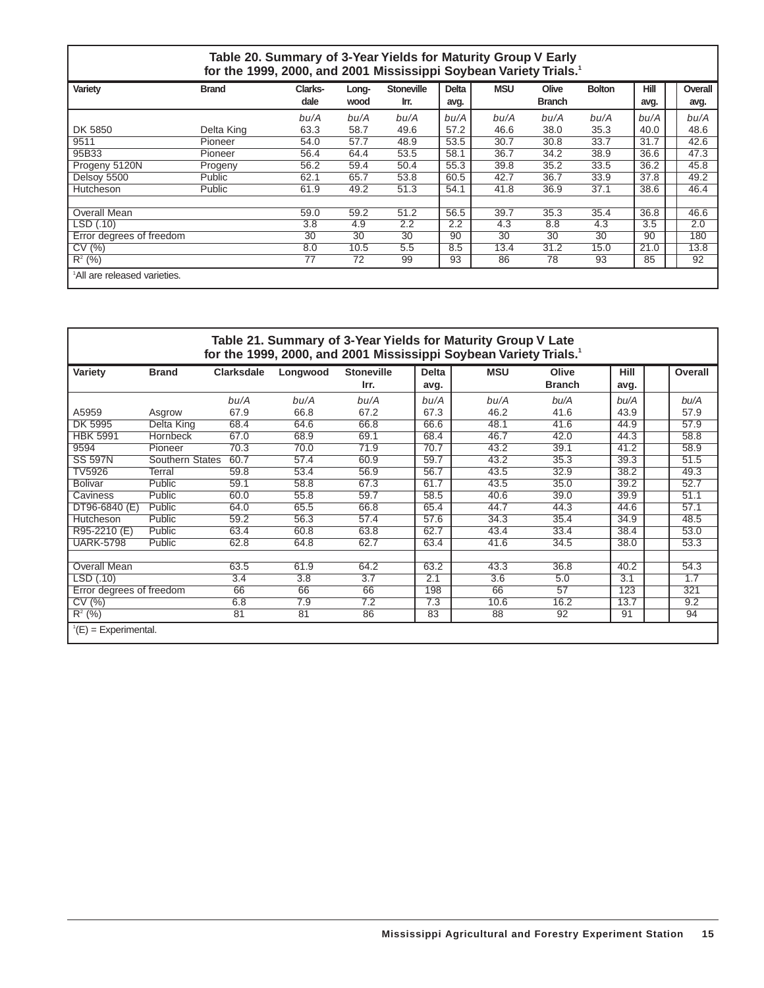| Table 20. Summary of 3-Year Yields for Maturity Group V Early<br>for the 1999, 2000, and 2001 Mississippi Soybean Variety Trials. <sup>1</sup> |               |                 |               |                           |              |            |                        |               |                     |  |         |  |  |  |
|------------------------------------------------------------------------------------------------------------------------------------------------|---------------|-----------------|---------------|---------------------------|--------------|------------|------------------------|---------------|---------------------|--|---------|--|--|--|
| Variety                                                                                                                                        | <b>Brand</b>  | Clarks-<br>dale | Long-<br>wood | <b>Stoneville</b><br>Irr. | <b>Delta</b> | <b>MSU</b> | Olive<br><b>Branch</b> | <b>Bolton</b> | <b>Hill</b><br>avg. |  | Overall |  |  |  |
|                                                                                                                                                |               |                 |               |                           | avg.         |            |                        |               |                     |  | avg.    |  |  |  |
|                                                                                                                                                |               | bu/A            | bu/A          | bu/A                      | bu/A         | bu/A       | bu/A                   | bu/A          | bu/A                |  | bu/A    |  |  |  |
| DK 5850                                                                                                                                        | Delta King    | 63.3            | 58.7          | 49.6                      | 57.2         | 46.6       | 38.0                   | 35.3          | 40.0                |  | 48.6    |  |  |  |
| 9511                                                                                                                                           | Pioneer       | 54.0            | 57.7          | 48.9                      | 53.5         | 30.7       | 30.8                   | 33.7          | 31.7                |  | 42.6    |  |  |  |
| 95B33                                                                                                                                          | Pioneer       | 56.4            | 64.4          | 53.5                      | 58.1         | 36.7       | 34.2                   | 38.9          | 36.6                |  | 47.3    |  |  |  |
| Progeny 5120N                                                                                                                                  | Progeny       | 56.2            | 59.4          | 50.4                      | 55.3         | 39.8       | 35.2                   | 33.5          | 36.2                |  | 45.8    |  |  |  |
| Delsoy 5500                                                                                                                                    | <b>Public</b> | 62.1            | 65.7          | 53.8                      | 60.5         | 42.7       | 36.7                   | 33.9          | 37.8                |  | 49.2    |  |  |  |
| Hutcheson                                                                                                                                      | <b>Public</b> | 61.9            | 49.2          | 51.3                      | 54.1         | 41.8       | 36.9                   | 37.1          | 38.6                |  | 46.4    |  |  |  |
|                                                                                                                                                |               |                 |               |                           |              |            |                        |               |                     |  |         |  |  |  |
| Overall Mean                                                                                                                                   |               | 59.0            | 59.2          | 51.2                      | 56.5         | 39.7       | 35.3                   | 35.4          | 36.8                |  | 46.6    |  |  |  |
| LSD (.10)                                                                                                                                      |               | 3.8             | 4.9           | 2.2                       | 2.2          | 4.3        | 8.8                    | 4.3           | 3.5                 |  | 2.0     |  |  |  |
| Error degrees of freedom                                                                                                                       |               | 30              | 30            | 30                        | 90           | 30         | 30                     | 30            | 90                  |  | 180     |  |  |  |
| CV(%)                                                                                                                                          |               | 8.0             | 10.5          | 5.5                       | 8.5          | 13.4       | 31.2                   | 15.0          | 21.0                |  | 13.8    |  |  |  |
| $R^2$ (%)                                                                                                                                      |               | 77              | 72            | 99                        | 93           | 86         | 78                     | 93            | 85                  |  | 92      |  |  |  |
| <sup>1</sup> All are released varieties.                                                                                                       |               |                 |               |                           |              |            |                        |               |                     |  |         |  |  |  |

#### **Table 21. Summary of 3-Year Yields for Maturity Group V Late for the 1999, 2000, and 2001 Mississippi Soybean Variety Trials.1**

|                          |                        |                   |          |                   |              | $\frac{1}{2}$ . The state of the state is the state of the state of the state of $\frac{1}{2}$ |               |             |         |
|--------------------------|------------------------|-------------------|----------|-------------------|--------------|------------------------------------------------------------------------------------------------|---------------|-------------|---------|
| Variety                  | <b>Brand</b>           | <b>Clarksdale</b> | Longwood | <b>Stoneville</b> | <b>Delta</b> | <b>MSU</b>                                                                                     | Olive         | <b>Hill</b> | Overall |
|                          |                        |                   |          | Irr.              | avg.         |                                                                                                | <b>Branch</b> | avg.        |         |
|                          |                        | bu/A              | bu/A     | bu/A              | bu/A         | bu/A                                                                                           | bu/A          | bu/A        | bu/A    |
| A5959                    | Asgrow                 | 67.9              | 66.8     | 67.2              | 67.3         | 46.2                                                                                           | 41.6          | 43.9        | 57.9    |
| DK 5995                  | Delta King             | 68.4              | 64.6     | 66.8              | 66.6         | 48.1                                                                                           | 41.6          | 44.9        | 57.9    |
| <b>HBK 5991</b>          | <b>Hornbeck</b>        | 67.0              | 68.9     | 69.1              | 68.4         | 46.7                                                                                           | 42.0          | 44.3        | 58.8    |
| 9594                     | Pioneer                | 70.3              | 70.0     | 71.9              | 70.7         | 43.2                                                                                           | 39.1          | 41.2        | 58.9    |
| <b>SS 597N</b>           | <b>Southern States</b> | 60.7              | 57.4     | 60.9              | 59.7         | 43.2                                                                                           | 35.3          | 39.3        | 51.5    |
| TV5926                   | Terral                 | 59.8              | 53.4     | 56.9              | 56.7         | 43.5                                                                                           | 32.9          | 38.2        | 49.3    |
| <b>Bolivar</b>           | Public                 | 59.1              | 58.8     | 67.3              | 61.7         | 43.5                                                                                           | 35.0          | 39.2        | 52.7    |
| Caviness                 | Public                 | 60.0              | 55.8     | 59.7              | 58.5         | 40.6                                                                                           | 39.0          | 39.9        | 51.1    |
| DT96-6840 (E)            | Public                 | 64.0              | 65.5     | 66.8              | 65.4         | 44.7                                                                                           | 44.3          | 44.6        | 57.1    |
| Hutcheson                | Public                 | 59.2              | 56.3     | 57.4              | 57.6         | 34.3                                                                                           | 35.4          | 34.9        | 48.5    |
| R95-2210 (E)             | Public                 | 63.4              | 60.8     | 63.8              | 62.7         | 43.4                                                                                           | 33.4          | 38.4        | 53.0    |
| <b>UARK-5798</b>         | Public                 | 62.8              | 64.8     | 62.7              | 63.4         | 41.6                                                                                           | 34.5          | 38.0        | 53.3    |
|                          |                        |                   |          |                   |              |                                                                                                |               |             |         |
| <b>Overall Mean</b>      |                        | 63.5              | 61.9     | 64.2              | 63.2         | 43.3                                                                                           | 36.8          | 40.2        | 54.3    |
| LSD (.10)                |                        | 3.4               | 3.8      | 3.7               | 2.1          | 3.6                                                                                            | 5.0           | 3.1         | 1.7     |
| Error degrees of freedom |                        | 66                | 66       | 66                | 198          | 66                                                                                             | 57            | 123         | 321     |
| CV(%)                    |                        | 6.8               | 7.9      | 7.2               | 7.3          | 10.6                                                                                           | 16.2          | 13.7        | 9.2     |
| $R^2$ (%)                |                        | 81                | 81       | 86                | 83           | 88                                                                                             | 92            | 91          | 94      |
| $^1(E)$ = Experimental.  |                        |                   |          |                   |              |                                                                                                |               |             |         |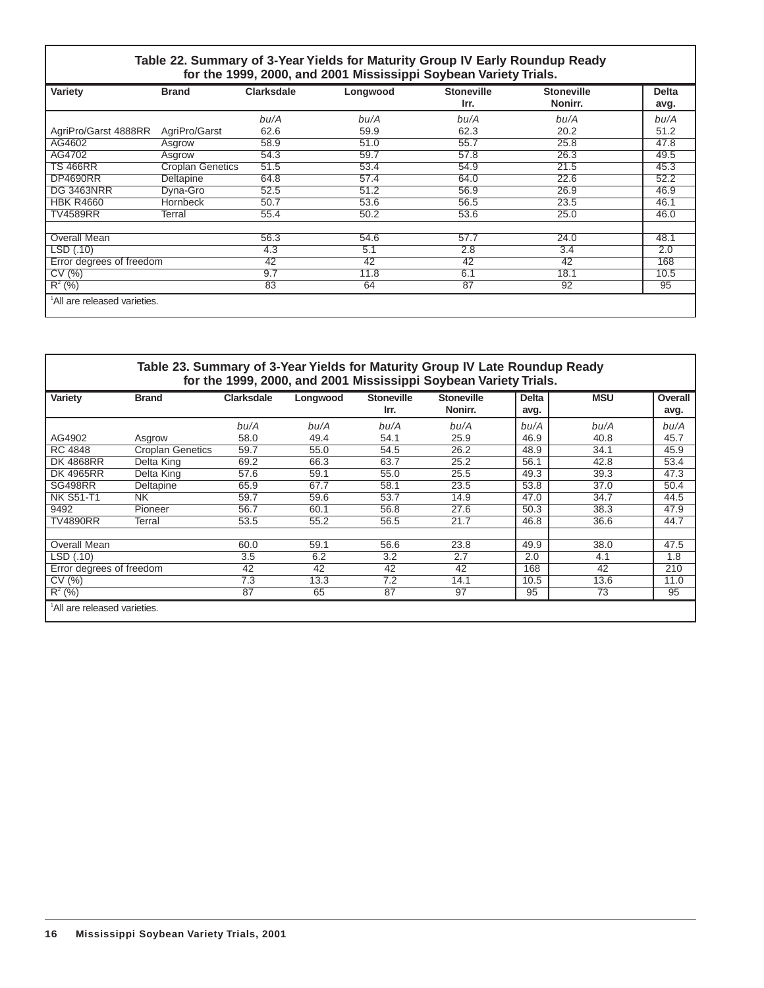#### **Table 22. Summary of 3-Year Yields for Maturity Group IV Early Roundup Ready for the 1999, 2000, and 2001 Mississippi Soybean Variety Trials.**

| Variety                  | <b>Brand</b>            | <b>Clarksdale</b> | Longwood | <b>Stoneville</b><br>Irr. | <b>Stoneville</b><br>Nonirr. | <b>Delta</b><br>avg. |
|--------------------------|-------------------------|-------------------|----------|---------------------------|------------------------------|----------------------|
|                          |                         | bu/A              | bu/A     | bu/A                      | bu/A                         | bu/A                 |
| AgriPro/Garst 4888RR     | AgriPro/Garst           | 62.6              | 59.9     | 62.3                      | 20.2                         | 51.2                 |
| AG4602                   | Asgrow                  | 58.9              | 51.0     | 55.7                      | 25.8                         | 47.8                 |
| AG4702                   | Asgrow                  | 54.3              | 59.7     | 57.8                      | 26.3                         | 49.5                 |
| <b>TS 466RR</b>          | <b>Croplan Genetics</b> | 51.5              | 53.4     | 54.9                      | 21.5                         | 45.3                 |
| <b>DP4690RR</b>          | Deltapine               | 64.8              | 57.4     | 64.0                      | 22.6                         | 52.2                 |
| <b>DG 3463NRR</b>        | Dyna-Gro                | 52.5              | 51.2     | 56.9                      | 26.9                         | 46.9                 |
| <b>HBK R4660</b>         | Hornbeck                | 50.7              | 53.6     | 56.5                      | 23.5                         | 46.1                 |
| <b>TV4589RR</b>          | Terral                  | 55.4              | 50.2     | 53.6                      | 25.0                         | 46.0                 |
| <b>Overall Mean</b>      |                         | 56.3              | 54.6     | 57.7                      | 24.0                         | 48.1                 |
| LSD(.10)                 |                         | 4.3               | 5.1      | 2.8                       | 3.4                          | 2.0                  |
| Error degrees of freedom |                         | 42                | 42       | 42                        | 42                           | 168                  |
| CV(%)                    |                         | 9.7               | 11.8     | 6.1                       | 18.1                         | 10.5                 |
| $R^{2}$ (%)              |                         | 83                | 64       | 87                        | 92                           | 95                   |

|                              | Table 23. Summary of 3-Year Yields for Maturity Group IV Late Roundup Ready |                   |          |                           | for the 1999, 2000, and 2001 Mississippi Soybean Variety Trials. |                      |            |                 |
|------------------------------|-----------------------------------------------------------------------------|-------------------|----------|---------------------------|------------------------------------------------------------------|----------------------|------------|-----------------|
| Variety                      | <b>Brand</b>                                                                | <b>Clarksdale</b> | Longwood | <b>Stoneville</b><br>Irr. | <b>Stoneville</b><br>Nonirr.                                     | <b>Delta</b><br>avg. | <b>MSU</b> | Overall<br>avg. |
|                              |                                                                             | bu/A              | bu/A     | bu/A                      | bu/A                                                             | bu/A                 | bu/A       | bu/A            |
| AG4902                       | Asgrow                                                                      | 58.0              | 49.4     | 54.1                      | 25.9                                                             | 46.9                 | 40.8       | 45.7            |
| RC 4848                      | <b>Croplan Genetics</b>                                                     | 59.7              | 55.0     | 54.5                      | 26.2                                                             | 48.9                 | 34.1       | 45.9            |
| <b>DK 4868RR</b>             | Delta King                                                                  | 69.2              | 66.3     | 63.7                      | 25.2                                                             | 56.1                 | 42.8       | 53.4            |
| <b>DK 4965RR</b>             | Delta King                                                                  | 57.6              | 59.1     | 55.0                      | 25.5                                                             | 49.3                 | 39.3       | 47.3            |
| <b>SG498RR</b>               | Deltapine                                                                   | 65.9              | 67.7     | 58.1                      | 23.5                                                             | 53.8                 | 37.0       | 50.4            |
| <b>NK S51-T1</b>             | NK.                                                                         | 59.7              | 59.6     | 53.7                      | 14.9                                                             | 47.0                 | 34.7       | 44.5            |
| 9492                         | Pioneer                                                                     | 56.7              | 60.1     | 56.8                      | 27.6                                                             | 50.3                 | 38.3       | 47.9            |
| <b>TV4890RR</b>              | Terral                                                                      | 53.5              | 55.2     | 56.5                      | 21.7                                                             | 46.8                 | 36.6       | 44.7            |
| Overall Mean                 |                                                                             | 60.0              | 59.1     | 56.6                      | 23.8                                                             | 49.9                 | 38.0       | 47.5            |
| LSD (.10)                    |                                                                             | 3.5               | 6.2      | 3.2                       | 2.7                                                              | 2.0                  | 4.1        | 1.8             |
| Error degrees of freedom     |                                                                             | 42                | 42       | 42                        | 42                                                               | 168                  | 42         | 210             |
| CV(%)                        |                                                                             | 7.3               | 13.3     | 7.2                       | 14.1                                                             | 10.5                 | 13.6       | 11.0            |
| $R^2$ (%)                    |                                                                             | 87                | 65       | 87                        | 97                                                               | 95                   | 73         | 95              |
| 'All are released varieties. |                                                                             |                   |          |                           |                                                                  |                      |            |                 |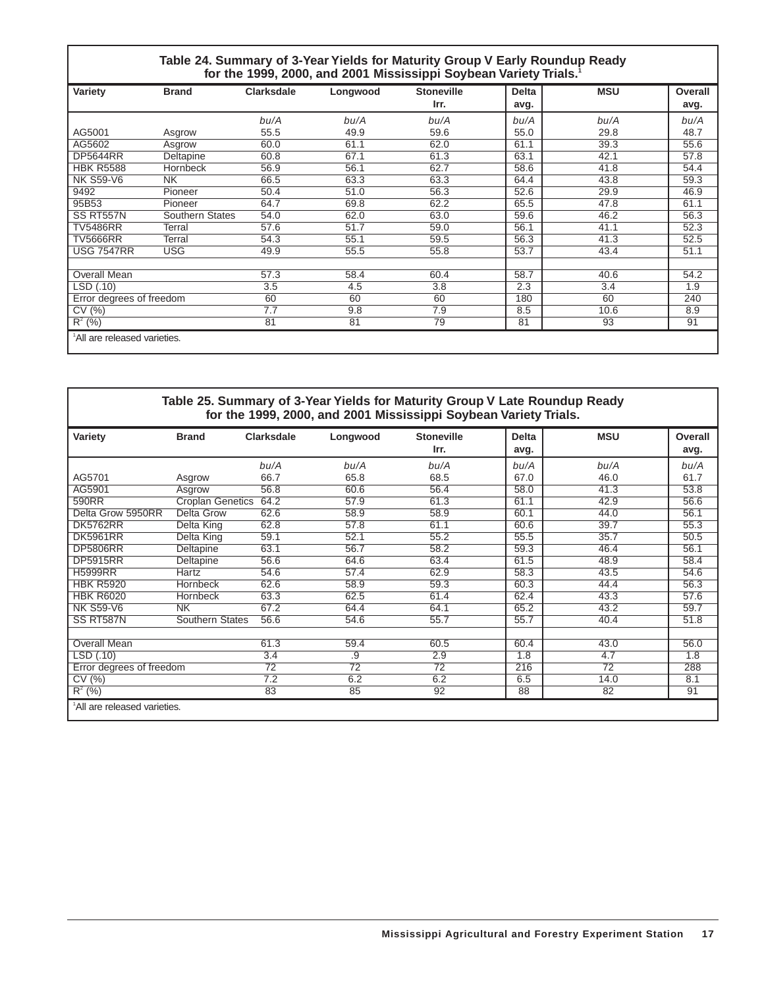#### **Table 24. Summary of 3-Year Yields for Maturity Group V Early Roundup Ready for the 1999, 2000, and 2001 Mississippi Soybean Variety Trials.1**

| Variety                                  | <b>Brand</b>           | <b>Clarksdale</b> | Longwood | <b>Stoneville</b> | <b>Delta</b> | <b>MSU</b> | Overall |
|------------------------------------------|------------------------|-------------------|----------|-------------------|--------------|------------|---------|
|                                          |                        |                   |          | Irr.              | avg.         |            | avg.    |
|                                          |                        | bu/A              | bu/A     | bu/A              | bu/A         | bu/A       | bu/A    |
| AG5001                                   | Asgrow                 | 55.5              | 49.9     | 59.6              | 55.0         | 29.8       | 48.7    |
| AG5602                                   | Asgrow                 | 60.0              | 61.1     | 62.0              | 61.1         | 39.3       | 55.6    |
| <b>DP5644RR</b>                          | Deltapine              | 60.8              | 67.1     | 61.3              | 63.1         | 42.1       | 57.8    |
| <b>HBK R5588</b>                         | <b>Hornbeck</b>        | 56.9              | 56.1     | 62.7              | 58.6         | 41.8       | 54.4    |
| <b>NK S59-V6</b>                         | <b>NK</b>              | 66.5              | 63.3     | 63.3              | 64.4         | 43.8       | 59.3    |
| 9492                                     | Pioneer                | 50.4              | 51.0     | 56.3              | 52.6         | 29.9       | 46.9    |
| 95B53                                    | Pioneer                | 64.7              | 69.8     | 62.2              | 65.5         | 47.8       | 61.1    |
| SS RT557N                                | <b>Southern States</b> | 54.0              | 62.0     | 63.0              | 59.6         | 46.2       | 56.3    |
| <b>TV5486RR</b>                          | Terral                 | 57.6              | 51.7     | 59.0              | 56.1         | 41.1       | 52.3    |
| <b>TV5666RR</b>                          | Terral                 | 54.3              | 55.1     | 59.5              | 56.3         | 41.3       | 52.5    |
| <b>USG 7547RR</b>                        | <b>USG</b>             | 49.9              | 55.5     | 55.8              | 53.7         | 43.4       | 51.1    |
|                                          |                        |                   |          |                   |              |            |         |
| Overall Mean                             |                        | 57.3              | 58.4     | 60.4              | 58.7         | 40.6       | 54.2    |
| LSD (.10)                                |                        | 3.5               | 4.5      | 3.8               | 2.3          | 3.4        | 1.9     |
| Error degrees of freedom                 |                        | 60                | 60       | 60                | 180          | 60         | 240     |
| CV(%)                                    |                        | 7.7               | 9.8      | 7.9               | 8.5          | 10.6       | 8.9     |
| $R^2$ (%)                                |                        | 81                | 81       | 79                | 81           | 93         | 91      |
| <sup>1</sup> All are released varieties. |                        |                   |          |                   |              |            |         |

#### **Table 25. Summary of 3-Year Yields for Maturity Group V Late Roundup Ready for the 1999, 2000, and 2001 Mississippi Soybean Variety Trials.**

| Variety                                  | <b>Brand</b>            | <b>Clarksdale</b> | Longwood        | <b>Stoneville</b> | <b>Delta</b> | <b>MSU</b> | Overall |
|------------------------------------------|-------------------------|-------------------|-----------------|-------------------|--------------|------------|---------|
|                                          |                         |                   |                 | Irr.              | avg.         |            | avg.    |
|                                          |                         | bu/A              | bu/A            | bu/A              | bu/A         | bu/A       | bu/A    |
| AG5701                                   | Asgrow                  | 66.7              | 65.8            | 68.5              | 67.0         | 46.0       | 61.7    |
| AG5901                                   | Asgrow                  | 56.8              | 60.6            | 56.4              | 58.0         | 41.3       | 53.8    |
| 590RR                                    | <b>Croplan Genetics</b> | 64.2              | 57.9            | 61.3              | 61.1         | 42.9       | 56.6    |
| Delta Grow 5950RR                        | Delta Grow              | 62.6              | 58.9            | 58.9              | 60.1         | 44.0       | 56.1    |
| <b>DK5762RR</b>                          | Delta King              | 62.8              | 57.8            | 61.1              | 60.6         | 39.7       | 55.3    |
| <b>DK5961RR</b>                          | Delta King              | 59.1              | 52.1            | 55.2              | 55.5         | 35.7       | 50.5    |
| <b>DP5806RR</b>                          | Deltapine               | 63.1              | 56.7            | 58.2              | 59.3         | 46.4       | 56.1    |
| <b>DP5915RR</b>                          | Deltapine               | 56.6              | 64.6            | 63.4              | 61.5         | 48.9       | 58.4    |
| <b>H5999RR</b>                           | Hartz                   | 54.6              | 57.4            | 62.9              | 58.3         | 43.5       | 54.6    |
| <b>HBK R5920</b>                         | Hornbeck                | 62.6              | 58.9            | 59.3              | 60.3         | 44.4       | 56.3    |
| <b>HBK R6020</b>                         | Hornbeck                | 63.3              | 62.5            | 61.4              | 62.4         | 43.3       | 57.6    |
| <b>NK S59-V6</b>                         | <b>NK</b>               | 67.2              | 64.4            | 64.1              | 65.2         | 43.2       | 59.7    |
| SS RT587N                                | Southern States         | 56.6              | 54.6            | 55.7              | 55.7         | 40.4       | 51.8    |
|                                          |                         |                   |                 |                   |              |            |         |
| <b>Overall Mean</b>                      |                         | 61.3              | 59.4            | 60.5              | 60.4         | 43.0       | 56.0    |
| LSD(.10)                                 |                         | 3.4               | .9              | 2.9               | 1.8          | 4.7        | 1.8     |
| Error degrees of freedom                 |                         | 72                | $\overline{72}$ | $\overline{72}$   | 216          | 72         | 288     |
| CV(%)                                    |                         | $\overline{7.2}$  | 6.2             | 6.2               | 6.5          | 14.0       | 8.1     |
| $R^2$ (%)                                |                         | 83                | 85              | 92                | 88           | 82         | 91      |
| <sup>1</sup> All are released varieties. |                         |                   |                 |                   |              |            |         |
|                                          |                         |                   |                 |                   |              |            |         |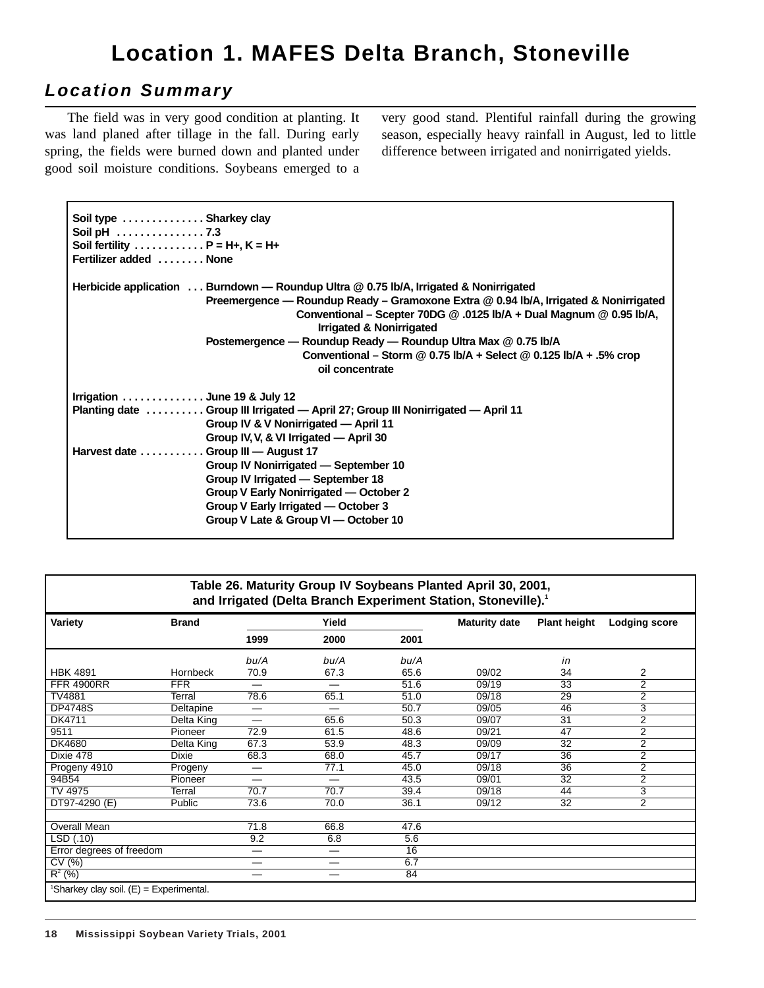## **Location 1. MAFES Delta Branch, Stoneville**

## **Location Summary**

The field was in very good condition at planting. It was land planed after tillage in the fall. During early spring, the fields were burned down and planted under good soil moisture conditions. Soybeans emerged to a very good stand. Plentiful rainfall during the growing season, especially heavy rainfall in August, led to little difference between irrigated and nonirrigated yields.

| Soil type  Sharkey clay                                      |                                                                                                                                                                                         |
|--------------------------------------------------------------|-----------------------------------------------------------------------------------------------------------------------------------------------------------------------------------------|
| Soil pH 7.3                                                  |                                                                                                                                                                                         |
| Soil fertility $\dots \dots \dots \dots P = H_+$ , $K = H_+$ |                                                                                                                                                                                         |
| Fertilizer added  None                                       |                                                                                                                                                                                         |
|                                                              | Herbicide application  Burndown — Roundup Ultra @ 0.75 lb/A, Irrigated & Nonirrigated                                                                                                   |
|                                                              | Preemergence — Roundup Ready – Gramoxone Extra @ 0.94 lb/A, Irrigated & Nonirrigated<br>Conventional - Scepter 70DG @ .0125 lb/A + Dual Magnum @ 0.95 lb/A,<br>Irrigated & Nonirrigated |
|                                                              | Postemergence - Roundup Ready - Roundup Ultra Max @ 0.75 lb/A                                                                                                                           |
|                                                              | Conventional – Storm @ 0.75 lb/A + Select @ 0.125 lb/A + .5% crop<br>oil concentrate                                                                                                    |
| Irrigation  June 19 & July 12                                |                                                                                                                                                                                         |
|                                                              | Planting date  Group III Irrigated — April 27; Group III Nonirrigated — April 11                                                                                                        |
|                                                              | Group IV & V Nonirrigated - April 11                                                                                                                                                    |
|                                                              | Group IV, V, & VI Irrigated - April 30                                                                                                                                                  |
|                                                              |                                                                                                                                                                                         |
| Harvest date Group III - August 17                           |                                                                                                                                                                                         |
|                                                              | Group IV Nonirrigated - September 10                                                                                                                                                    |
|                                                              | Group IV Irrigated - September 18                                                                                                                                                       |
|                                                              | Group V Early Nonirrigated - October 2                                                                                                                                                  |
|                                                              | Group V Early Irrigated — October 3                                                                                                                                                     |
|                                                              | Group V Late & Group VI - October 10                                                                                                                                                    |
|                                                              |                                                                                                                                                                                         |

#### **Table 26. Maturity Group IV Soybeans Planted April 30, 2001, and Irrigated (Delta Branch Experiment Station, Stoneville).1**

| Variety                                 | <b>Brand</b>    |                   | Yield |      | <b>Maturity date</b> | <b>Plant height</b> | <b>Lodging score</b> |
|-----------------------------------------|-----------------|-------------------|-------|------|----------------------|---------------------|----------------------|
|                                         |                 | 1999              | 2000  | 2001 |                      |                     |                      |
|                                         |                 | bu/A              | bu/A  | bu/A |                      | in                  |                      |
| <b>HBK 4891</b>                         | <b>Hornbeck</b> | 70.9              | 67.3  | 65.6 | 09/02                | 34                  | 2                    |
| <b>FFR 4900RR</b>                       | <b>FFR</b>      |                   | —     | 51.6 | 09/19                | $\overline{33}$     | $\overline{2}$       |
| TV4881                                  | Terral          | 78.6              | 65.1  | 51.0 | 09/18                | 29                  | $\overline{2}$       |
| <b>DP4748S</b>                          | Deltapine       | $\hspace{0.05cm}$ | —     | 50.7 | 09/05                | 46                  | 3                    |
| <b>DK4711</b>                           | Delta King      | —                 | 65.6  | 50.3 | 09/07                | $\overline{31}$     | $\overline{2}$       |
| 9511                                    | Pioneer         | 72.9              | 61.5  | 48.6 | 09/21                | 47                  | 2                    |
| <b>DK4680</b>                           | Delta King      | 67.3              | 53.9  | 48.3 | 09/09                | $\overline{32}$     | $\overline{2}$       |
| Dixie 478                               | Dixie           | 68.3              | 68.0  | 45.7 | 09/17                | $\overline{36}$     | $\overline{2}$       |
| Progeny 4910                            | Progeny         | —                 | 77.1  | 45.0 | 09/18                | 36                  | 2                    |
| 94B54                                   | Pioneer         | —                 | —     | 43.5 | 09/01                | $\overline{32}$     | $\overline{2}$       |
| TV 4975                                 | Terral          | 70.7              | 70.7  | 39.4 | 09/18                | 44                  | 3                    |
| DT97-4290 (E)                           | Public          | 73.6              | 70.0  | 36.1 | 09/12                | 32                  | $\overline{2}$       |
| <b>Overall Mean</b>                     |                 | 71.8              | 66.8  | 47.6 |                      |                     |                      |
| LSD (.10)                               |                 | 9.2               | 6.8   | 5.6  |                      |                     |                      |
| Error degrees of freedom                |                 | $\hspace{0.05cm}$ | —     | 16   |                      |                     |                      |
| CV(%)                                   |                 | —                 | --    | 6.7  |                      |                     |                      |
| $R^2$ (%)                               |                 | —                 | –     | 84   |                      |                     |                      |
| 'Sharkey clay soil. (E) = Experimental. |                 |                   |       |      |                      |                     |                      |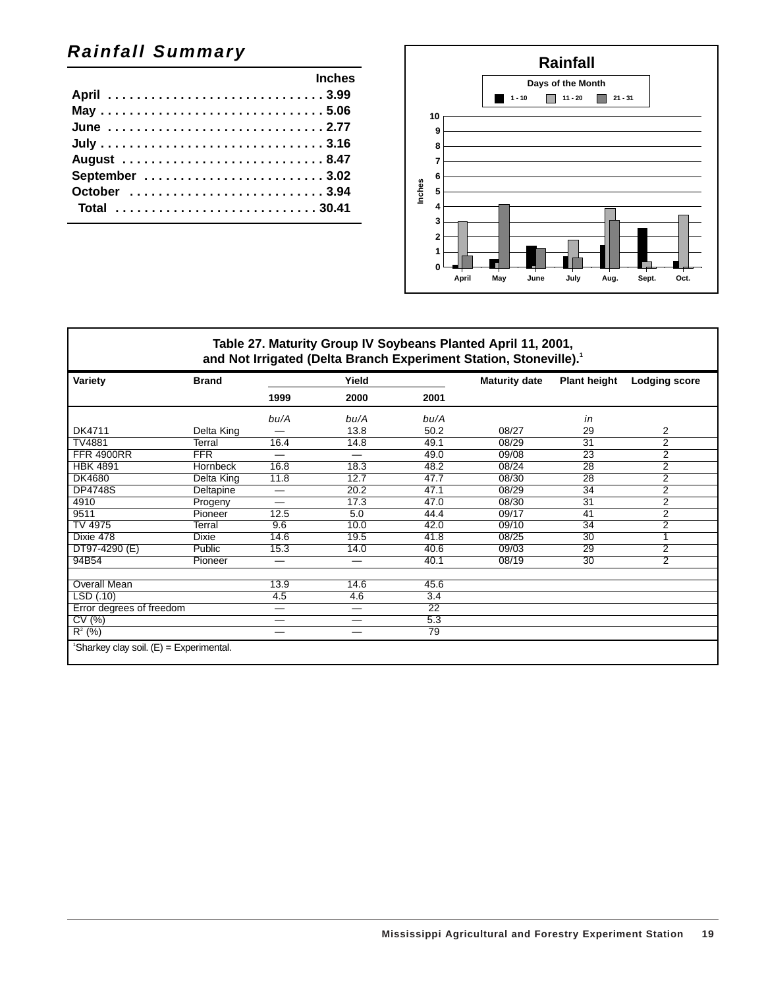## **Rainfall Summary**

|             | <b>Inches</b> |
|-------------|---------------|
|             |               |
| May 5.06    |               |
| June 2.77   |               |
|             |               |
| August 8.47 |               |
|             |               |
|             |               |
| Total 30.41 |               |
|             |               |



#### **Table 27. Maturity Group IV Soybeans Planted April 11, 2001,** and Not Irrigated (Delta Branch Experiment Station, Stoneville).<sup>1</sup>

| Variety                                 | <b>Brand</b> |                                | Yield |                 | <b>Maturity date</b> | <b>Plant height</b> | <b>Lodging score</b> |
|-----------------------------------------|--------------|--------------------------------|-------|-----------------|----------------------|---------------------|----------------------|
|                                         |              | 1999                           | 2000  | 2001            |                      |                     |                      |
|                                         |              | bu/A                           | bu/A  | bu/A            |                      | in                  |                      |
| DK4711                                  | Delta King   |                                | 13.8  | 50.2            | 08/27                | 29                  | 2                    |
| TV4881                                  | Terral       | 16.4                           | 14.8  | 49.1            | 08/29                | $\overline{31}$     | $\overline{2}$       |
| <b>FFR 4900RR</b>                       | <b>FFR</b>   | —                              | —     | 49.0            | 09/08                | 23                  | $\overline{2}$       |
| <b>HBK 4891</b>                         | Hornbeck     | 16.8                           | 18.3  | 48.2            | 08/24                | 28                  | $\overline{2}$       |
| <b>DK4680</b>                           | Delta King   | 11.8                           | 12.7  | 47.7            | 08/30                | $\overline{28}$     | $\overline{2}$       |
| <b>DP4748S</b>                          | Deltapine    | —                              | 20.2  | 47.1            | 08/29                | 34                  | 2                    |
| 4910                                    | Progeny      | —                              | 17.3  | 47.0            | 08/30                | 31                  | $\overline{2}$       |
| 9511                                    | Pioneer      | 12.5                           | 5.0   | 44.4            | 09/17                | $\overline{41}$     | $\overline{2}$       |
| TV 4975                                 | Terral       | 9.6                            | 10.0  | 42.0            | 09/10                | 34                  | 2                    |
| Dixie 478                               | <b>Dixie</b> | 14.6                           | 19.5  | 41.8            | 08/25                | 30                  | 1                    |
| DT97-4290 (E)                           | Public       | 15.3                           | 14.0  | 40.6            | 09/03                | 29                  | $\overline{2}$       |
| 94B54                                   | Pioneer      | —                              |       | 40.1            | 08/19                | 30                  | 2                    |
| <b>Overall Mean</b>                     |              | 13.9                           | 14.6  | 45.6            |                      |                     |                      |
| LSD (.10)                               |              | 4.5                            | 4.6   | 3.4             |                      |                     |                      |
| Error degrees of freedom                |              | $\qquad \qquad \longleftarrow$ | —     | $\overline{22}$ |                      |                     |                      |
| $\overline{\text{CV}}$ (%)              |              | —                              |       | 5.3             |                      |                     |                      |
| $R^2$ (%)                               |              | —                              | —     | 79              |                      |                     |                      |
| 'Sharkey clay soil. (E) = Experimental. |              |                                |       |                 |                      |                     |                      |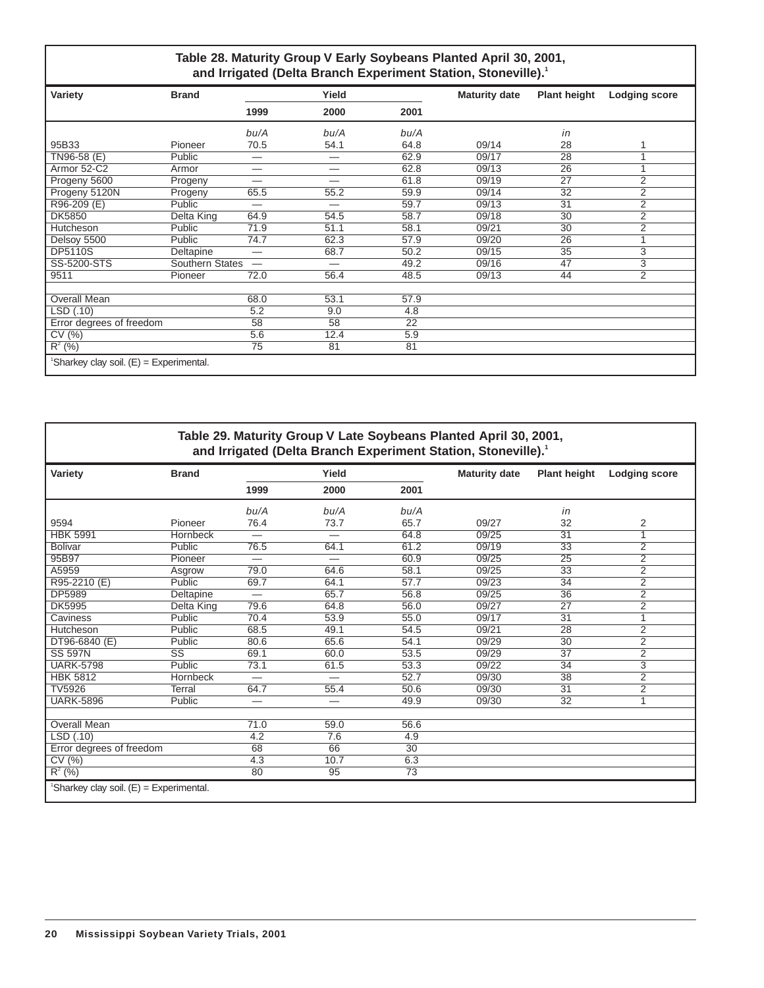#### **Table 28. Maturity Group V Early Soybeans Planted April 30, 2001, and Irrigated (Delta Branch Experiment Station, Stoneville).1**

| Variety                                 | <b>Brand</b>    |                          | Yield           |                 | <b>Maturity date</b> | <b>Plant height</b> | <b>Lodging score</b> |
|-----------------------------------------|-----------------|--------------------------|-----------------|-----------------|----------------------|---------------------|----------------------|
|                                         |                 | 1999                     | 2000            | 2001            |                      |                     |                      |
|                                         |                 | bu/A                     | bu/A            | bu/A            |                      | in                  |                      |
| 95B33                                   | Pioneer         | 70.5                     | 54.1            | 64.8            | 09/14                | 28                  |                      |
| TN96-58 (E)                             | Public          | $\overline{\phantom{0}}$ |                 | 62.9            | 09/17                | $\overline{28}$     |                      |
| Armor 52-C2                             | Armor           | —                        |                 | 62.8            | 09/13                | $\overline{26}$     |                      |
| Progeny 5600                            | Progeny         |                          |                 | 61.8            | 09/19                | $\overline{27}$     | $\overline{2}$       |
| Progeny 5120N                           | Progeny         | 65.5                     | 55.2            | 59.9            | 09/14                | 32                  | 2                    |
| R96-209 (E)                             | Public          | $\overline{\phantom{0}}$ |                 | 59.7            | 09/13                | 31                  | $\overline{2}$       |
| <b>DK5850</b>                           | Delta King      | 64.9                     | 54.5            | 58.7            | 09/18                | $\overline{30}$     | $\overline{2}$       |
| Hutcheson                               | Public          | 71.9                     | 51.1            | 58.1            | 09/21                | 30                  | 2                    |
| Delsoy 5500                             | Public          | 74.7                     | 62.3            | 57.9            | 09/20                | 26                  |                      |
| <b>DP5110S</b>                          | Deltapine       | -                        | 68.7            | 50.2            | 09/15                | 35                  | 3                    |
| SS-5200-STS                             | Southern States | $\overline{\phantom{m}}$ |                 | 49.2            | 09/16                | 47                  | 3                    |
| 9511                                    | Pioneer         | 72.0                     | 56.4            | 48.5            | 09/13                | 44                  | $\overline{2}$       |
| <b>Overall Mean</b>                     |                 | 68.0                     | 53.1            | 57.9            |                      |                     |                      |
| LSD (.10)                               |                 | 5.2                      | 9.0             | 4.8             |                      |                     |                      |
| Error degrees of freedom                |                 | $\overline{58}$          | $\overline{58}$ | $\overline{22}$ |                      |                     |                      |
| CV(%)                                   |                 | 5.6                      | 12.4            | 5.9             |                      |                     |                      |
| $R^2$ (%)                               |                 | 75                       | 81              | 81              |                      |                     |                      |
| 'Sharkey clay soil. (E) = Experimental. |                 |                          |                 |                 |                      |                     |                      |

#### **Table 29. Maturity Group V Late Soybeans Planted April 30, 2001, and Irrigated (Delta Branch Experiment Station, Stoneville).1**

| Variety                                 | <b>Brand</b>           |                          | Yield                    |      | <b>Maturity date</b> | <b>Plant height</b> | <b>Lodging score</b> |
|-----------------------------------------|------------------------|--------------------------|--------------------------|------|----------------------|---------------------|----------------------|
|                                         |                        | 1999                     | 2000                     | 2001 |                      |                     |                      |
|                                         |                        | bu/A                     | bu/A                     | bu/A |                      | in                  |                      |
| 9594                                    | Pioneer                | 76.4                     | 73.7                     | 65.7 | 09/27                | 32                  | 2                    |
| <b>HBK 5991</b>                         | Hornbeck               |                          | $\overline{\phantom{0}}$ | 64.8 | 09/25                | $\overline{31}$     | 1                    |
| <b>Bolivar</b>                          | Public                 | 76.5                     | 64.1                     | 61.2 | 09/19                | $\overline{33}$     | $\overline{2}$       |
| 95B97                                   | Pioneer                | $\overline{\phantom{0}}$ | $\overline{\phantom{0}}$ | 60.9 | 09/25                | 25                  | 2                    |
| A5959                                   | Asgrow                 | 79.0                     | 64.6                     | 58.1 | 09/25                | $\overline{33}$     | $\overline{2}$       |
| R95-2210 (E)                            | Public                 | 69.7                     | 64.1                     | 57.7 | 09/23                | $\overline{34}$     | $\overline{2}$       |
| <b>DP5989</b>                           | Deltapine              | -                        | 65.7                     | 56.8 | 09/25                | $\overline{36}$     | 2                    |
| <b>DK5995</b>                           | Delta King             | 79.6                     | 64.8                     | 56.0 | 09/27                | $\overline{27}$     | $\overline{2}$       |
| Caviness                                | Public                 | 70.4                     | 53.9                     | 55.0 | 09/17                | $\overline{31}$     |                      |
| Hutcheson                               | <b>Public</b>          | 68.5                     | 49.1                     | 54.5 | 09/21                | 28                  | $\overline{2}$       |
| DT96-6840 (E)                           | Public                 | 80.6                     | 65.6                     | 54.1 | 09/29                | 30                  | $\overline{2}$       |
| <b>SS 597N</b>                          | $\overline{\text{ss}}$ | 69.1                     | 60.0                     | 53.5 | 09/29                | $\overline{37}$     | $\overline{2}$       |
| <b>UARK-5798</b>                        | Public                 | 73.1                     | 61.5                     | 53.3 | 09/22                | $\overline{34}$     | 3                    |
| <b>HBK 5812</b>                         | <b>Hornbeck</b>        | $\overline{\phantom{0}}$ | $\overline{\phantom{0}}$ | 52.7 | 09/30                | 38                  | $\overline{2}$       |
| <b>TV5926</b>                           | <b>Terral</b>          | 64.7                     | 55.4                     | 50.6 | 09/30                | $\overline{31}$     | $\overline{2}$       |
| <b>UARK-5896</b>                        | Public                 | —                        | $\overline{\phantom{0}}$ | 49.9 | 09/30                | 32                  | 1                    |
| <b>Overall Mean</b>                     |                        | 71.0                     | 59.0                     | 56.6 |                      |                     |                      |
| LSD (.10)                               |                        | 4.2                      | 7.6                      | 4.9  |                      |                     |                      |
| Error degrees of freedom                |                        | 68                       | 66                       | 30   |                      |                     |                      |
| CV(%)                                   |                        | 4.3                      | 10.7                     | 6.3  |                      |                     |                      |
| $R^2$ (%)                               |                        | 80                       | 95                       | 73   |                      |                     |                      |
| 'Sharkey clay soil. (E) = Experimental. |                        |                          |                          |      |                      |                     |                      |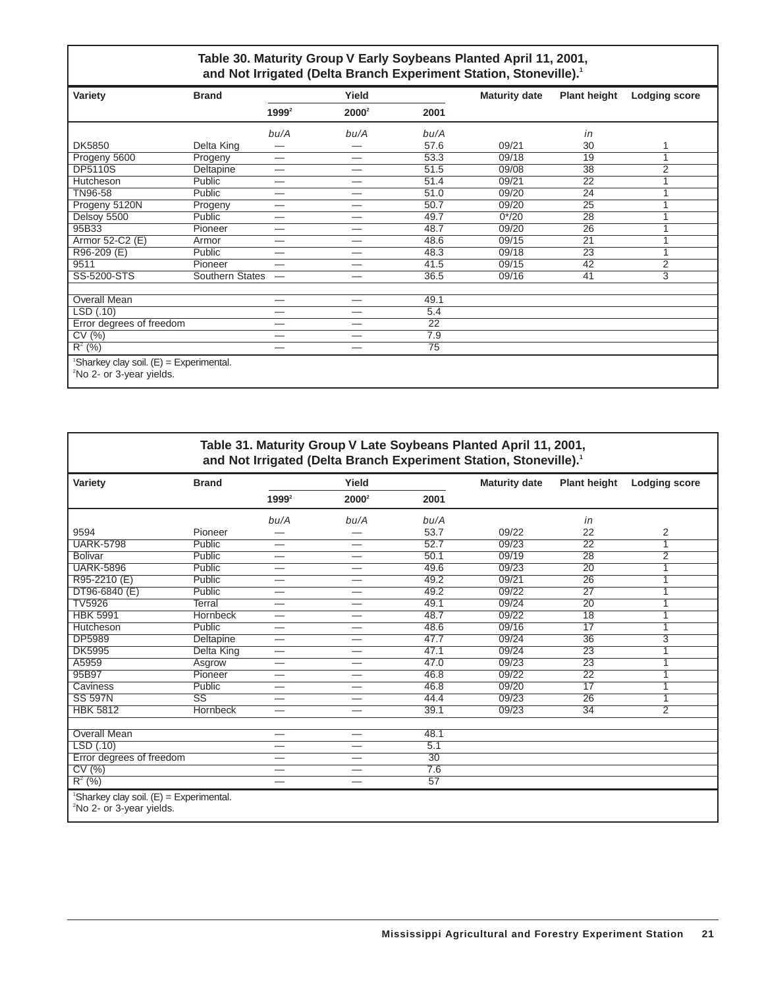#### **Table 30. Maturity Group V Early Soybeans Planted April 11, 2001,** and Not Irrigated (Delta Branch Experiment Station, Stoneville).<sup>1</sup>

| Variety                                                                                       | <b>Brand</b>           |                          | Yield                           |                 | <b>Maturity date</b> | <b>Plant height</b> | <b>Lodging score</b>    |
|-----------------------------------------------------------------------------------------------|------------------------|--------------------------|---------------------------------|-----------------|----------------------|---------------------|-------------------------|
|                                                                                               |                        | $1999^2$                 | $2000^2$                        | 2001            |                      |                     |                         |
|                                                                                               |                        | bu/A                     | bu/A                            | bu/A            |                      | in                  |                         |
| <b>DK5850</b>                                                                                 | Delta King             | –                        |                                 | 57.6            | 09/21                | 30                  |                         |
| Progeny 5600                                                                                  | Progeny                | —                        |                                 | 53.3            | 09/18                | 19                  | 1                       |
| <b>DP5110S</b>                                                                                | Deltapine              | -                        | $\overline{\phantom{0}}$        | 51.5            | 09/08                | $\overline{38}$     | 2                       |
| Hutcheson                                                                                     | Public                 | —                        |                                 | 51.4            | 09/21                | 22                  | $\overline{\mathbf{A}}$ |
| TN96-58                                                                                       | Public                 |                          |                                 | 51.0            | 09/20                | 24                  |                         |
| Progeny 5120N                                                                                 | Progeny                | —                        | –                               | 50.7            | 09/20                | $\overline{25}$     | $\overline{\mathbf{A}}$ |
| Delsoy 5500                                                                                   | Public                 | –                        | —                               | 49.7            | $0*/20$              | 28                  |                         |
| 95B33                                                                                         | Pioneer                | —                        | —                               | 48.7            | 09/20                | 26                  |                         |
| Armor 52-C2 (E)                                                                               | Armor                  | —                        | —                               | 48.6            | 09/15                | $\overline{21}$     |                         |
| R96-209 (E)                                                                                   | Public                 | $\overline{\phantom{0}}$ |                                 | 48.3            | 09/18                | $\overline{23}$     | $\overline{ }$          |
| 9511                                                                                          | Pioneer                | —                        | —                               | 41.5            | 09/15                | 42                  | $\overline{2}$          |
| SS-5200-STS                                                                                   | <b>Southern States</b> | $\overline{\phantom{m}}$ |                                 | 36.5            | 09/16                | 41                  | $\overline{3}$          |
|                                                                                               |                        |                          |                                 |                 |                      |                     |                         |
| <b>Overall Mean</b>                                                                           |                        | —                        | $\hspace{0.1mm}-\hspace{0.1mm}$ | 49.1            |                      |                     |                         |
| LSD(.10)                                                                                      |                        | –                        | —                               | 5.4             |                      |                     |                         |
| Error degrees of freedom                                                                      |                        | —                        | —                               | $\overline{22}$ |                      |                     |                         |
| CV(%)                                                                                         |                        | —                        | _                               | 7.9             |                      |                     |                         |
| $R^2$ (%)                                                                                     |                        | —                        | —                               | 75              |                      |                     |                         |
| <sup>1</sup> Sharkey clay soil. $(E)$ = Experimental.<br><sup>2</sup> No 2- or 3-year yields. |                        |                          |                                 |                 |                      |                     |                         |

| Table 31. Maturity Group V Late Soybeans Planted April 11, 2001,<br>and Not Irrigated (Delta Branch Experiment Station, Stoneville). <sup>1</sup> |                        |          |                          |      |                      |                     |                      |  |  |  |
|---------------------------------------------------------------------------------------------------------------------------------------------------|------------------------|----------|--------------------------|------|----------------------|---------------------|----------------------|--|--|--|
| Variety                                                                                                                                           | <b>Brand</b>           |          | Yield                    |      | <b>Maturity date</b> | <b>Plant height</b> | <b>Lodging score</b> |  |  |  |
|                                                                                                                                                   |                        | $1999^2$ | $2000^2$                 | 2001 |                      |                     |                      |  |  |  |
|                                                                                                                                                   |                        | bu/A     | bu/A                     | bu/A |                      | in                  |                      |  |  |  |
| 9594                                                                                                                                              | Pioneer                | —        |                          | 53.7 | 09/22                | 22                  | 2                    |  |  |  |
| <b>UARK-5798</b>                                                                                                                                  | Public                 | —        |                          | 52.7 | 09/23                | $\overline{22}$     | 1                    |  |  |  |
| <b>Bolivar</b>                                                                                                                                    | Public                 | —        | $\overline{\phantom{0}}$ | 50.1 | 09/19                | 28                  | $\overline{2}$       |  |  |  |
| <b>UARK-5896</b>                                                                                                                                  | Public                 | —        | $\overline{\phantom{0}}$ | 49.6 | 09/23                | $\overline{20}$     | 1                    |  |  |  |
| R95-2210 (E)                                                                                                                                      | Public                 | —        | $\overline{\phantom{0}}$ | 49.2 | 09/21                | $\overline{26}$     |                      |  |  |  |
| DT96-6840 (E)                                                                                                                                     | Public                 | —        |                          | 49.2 | 09/22                | $\overline{27}$     | 1                    |  |  |  |
| <b>TV5926</b>                                                                                                                                     | Terral                 | -        |                          | 49.1 | 09/24                | 20                  | 1                    |  |  |  |
| <b>HBK 5991</b>                                                                                                                                   | Hornbeck               | —        |                          | 48.7 | 09/22                | 18                  | 1                    |  |  |  |
| Hutcheson                                                                                                                                         | Public                 |          |                          | 48.6 | 09/16                | $\overline{17}$     | 1                    |  |  |  |
| <b>DP5989</b>                                                                                                                                     | Deltapine              | —        |                          | 47.7 | 09/24                | 36                  | 3                    |  |  |  |
| <b>DK5995</b>                                                                                                                                     | Delta King             | —        | $\overline{\phantom{0}}$ | 47.1 | 09/24                | $\overline{23}$     | 1                    |  |  |  |
| A5959                                                                                                                                             | Asgrow                 | -        |                          | 47.0 | 09/23                | 23                  | 1                    |  |  |  |
| 95B97                                                                                                                                             | Pioneer                | -        |                          | 46.8 | 09/22                | $\overline{22}$     | 1                    |  |  |  |
| Caviness                                                                                                                                          | Public                 | —        |                          | 46.8 | 09/20                | $\overline{17}$     |                      |  |  |  |
| <b>SS 597N</b>                                                                                                                                    | $\overline{\text{ss}}$ | —        |                          | 44.4 | 09/23                | 26                  | 1                    |  |  |  |
| <b>HBK 5812</b>                                                                                                                                   | Hornbeck               | -        |                          | 39.1 | 09/23                | 34                  | $\overline{2}$       |  |  |  |
| <b>Overall Mean</b>                                                                                                                               |                        | —        |                          | 48.1 |                      |                     |                      |  |  |  |
| LSD(0.10)                                                                                                                                         |                        | —        |                          | 5.1  |                      |                     |                      |  |  |  |
| Error degrees of freedom                                                                                                                          |                        | —        |                          | 30   |                      |                     |                      |  |  |  |
| CV(%)                                                                                                                                             |                        | —        | $\overline{\phantom{a}}$ | 7.6  |                      |                     |                      |  |  |  |
| $R^2$ (%)                                                                                                                                         |                        | —        |                          | 57   |                      |                     |                      |  |  |  |
| 'Sharkey clay soil. (E) = Experimental.<br><sup>2</sup> No 2- or 3-year yields.                                                                   |                        |          |                          |      |                      |                     |                      |  |  |  |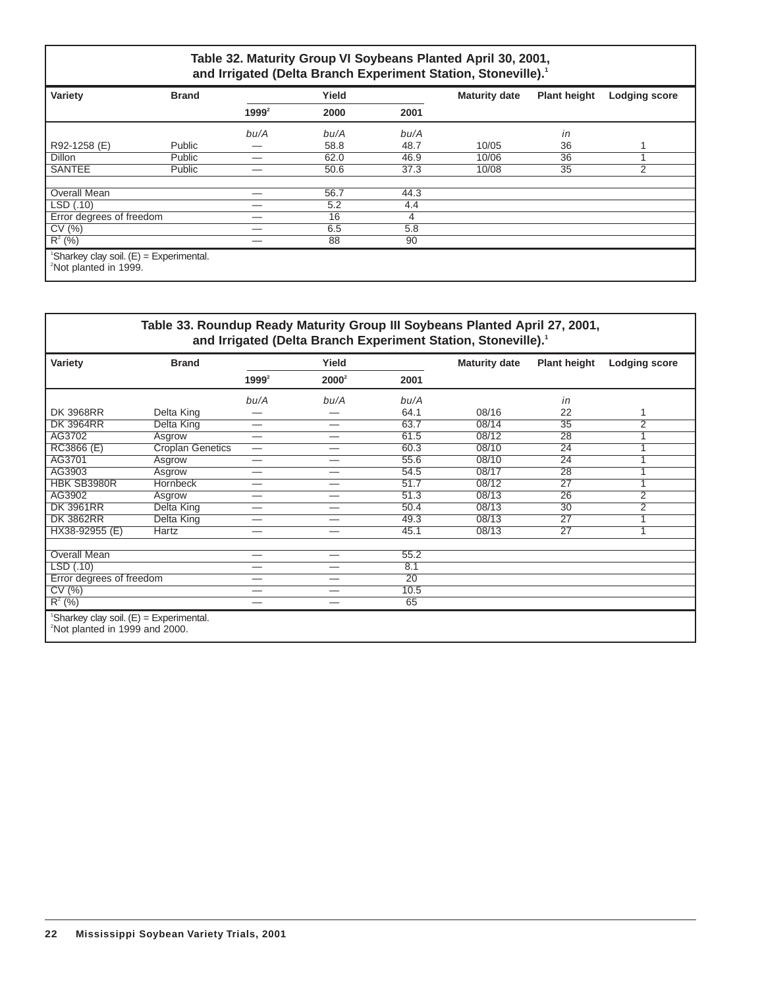#### **Table 32. Maturity Group VI Soybeans Planted April 30, 2001, and Irrigated (Delta Branch Experiment Station, Stoneville).1**

| Variety                                                                                    | <b>Brand</b> |          | Yield |      | <b>Maturity date</b> | <b>Plant height</b> | <b>Lodging score</b> |
|--------------------------------------------------------------------------------------------|--------------|----------|-------|------|----------------------|---------------------|----------------------|
|                                                                                            |              | $1999^2$ | 2000  | 2001 |                      |                     |                      |
|                                                                                            |              | bu/A     | bu/A  | bu/A |                      | in                  |                      |
| R92-1258 (E)                                                                               | Public       |          | 58.8  | 48.7 | 10/05                | 36                  |                      |
| <b>Dillon</b>                                                                              | Public       | -        | 62.0  | 46.9 | 10/06                | 36                  |                      |
| <b>SANTEE</b>                                                                              | Public       |          | 50.6  | 37.3 | 10/08                | $\overline{35}$     | 2                    |
|                                                                                            |              |          |       |      |                      |                     |                      |
| <b>Overall Mean</b>                                                                        |              |          | 56.7  | 44.3 |                      |                     |                      |
| LSD(.10)                                                                                   |              |          | 5.2   | 4.4  |                      |                     |                      |
| Error degrees of freedom                                                                   |              | -        | 16    | 4    |                      |                     |                      |
| CV(%)                                                                                      |              | --       | 6.5   | 5.8  |                      |                     |                      |
| $R^2$ (%)                                                                                  |              |          | 88    | 90   |                      |                     |                      |
| <sup>1</sup> Sharkey clay soil. $(E) =$ Experimental.<br><sup>2</sup> Not planted in 1999. |              |          |       |      |                      |                     |                      |

| Table 33. Roundup Ready Maturity Group III Soybeans Planted April 27, 2001,<br>and Irrigated (Delta Branch Experiment Station, Stoneville). <sup>1</sup> |                         |          |                          |      |                      |                     |                      |  |  |
|----------------------------------------------------------------------------------------------------------------------------------------------------------|-------------------------|----------|--------------------------|------|----------------------|---------------------|----------------------|--|--|
| Variety                                                                                                                                                  | <b>Brand</b>            |          | Yield                    |      | <b>Maturity date</b> | <b>Plant height</b> | <b>Lodging score</b> |  |  |
|                                                                                                                                                          |                         | $1999^2$ | $2000^2$                 | 2001 |                      |                     |                      |  |  |
|                                                                                                                                                          |                         | bu/A     | bu/A                     | bu/A |                      | in                  |                      |  |  |
| <b>DK 3968RR</b>                                                                                                                                         | Delta King              |          |                          | 64.1 | 08/16                | 22                  |                      |  |  |
| <b>DK 3964RR</b>                                                                                                                                         | Delta King              |          | —                        | 63.7 | 08/14                | 35                  | $\overline{2}$       |  |  |
| AG3702                                                                                                                                                   | Asgrow                  | —        | —                        | 61.5 | 08/12                | 28                  |                      |  |  |
| RC3866 (E)                                                                                                                                               | <b>Croplan Genetics</b> | —        |                          | 60.3 | 08/10                | $\overline{24}$     |                      |  |  |
| AG3701                                                                                                                                                   | Asgrow                  | —        |                          | 55.6 | 08/10                | 24                  |                      |  |  |
| AG3903                                                                                                                                                   | Asgrow                  | —        | —                        | 54.5 | 08/17                | 28                  |                      |  |  |
| HBK SB3980R                                                                                                                                              | <b>Hornbeck</b>         | —        | –                        | 51.7 | 08/12                | $\overline{27}$     | 4                    |  |  |
| AG3902                                                                                                                                                   | Asgrow                  |          | $\overline{\phantom{0}}$ | 51.3 | 08/13                | 26                  | $\overline{2}$       |  |  |
| <b>DK 3961RR</b>                                                                                                                                         | Delta King              | —        | —                        | 50.4 | 08/13                | 30                  | $\overline{2}$       |  |  |
| <b>DK 3862RR</b>                                                                                                                                         | Delta King              | –        |                          | 49.3 | 08/13                | $\overline{27}$     |                      |  |  |
| HX38-92955 (E)                                                                                                                                           | Hartz                   | —        |                          | 45.1 | 08/13                | 27                  | 1                    |  |  |
| <b>Overall Mean</b>                                                                                                                                      |                         |          | —                        | 55.2 |                      |                     |                      |  |  |
| LSD(.10)                                                                                                                                                 |                         | —        | $\overline{\phantom{0}}$ | 8.1  |                      |                     |                      |  |  |
| Error degrees of freedom                                                                                                                                 |                         | —        | —                        | 20   |                      |                     |                      |  |  |
| CV(%)                                                                                                                                                    |                         | —        | —                        | 10.5 |                      |                     |                      |  |  |
| $R^2$ (%)                                                                                                                                                |                         | —        | —                        | 65   |                      |                     |                      |  |  |
| 'Sharkey clay soil. (E) = Experimental.<br><sup>2</sup> Not planted in 1999 and 2000.                                                                    |                         |          |                          |      |                      |                     |                      |  |  |

**22 Mississippi Soybean Variety Trials, 2001**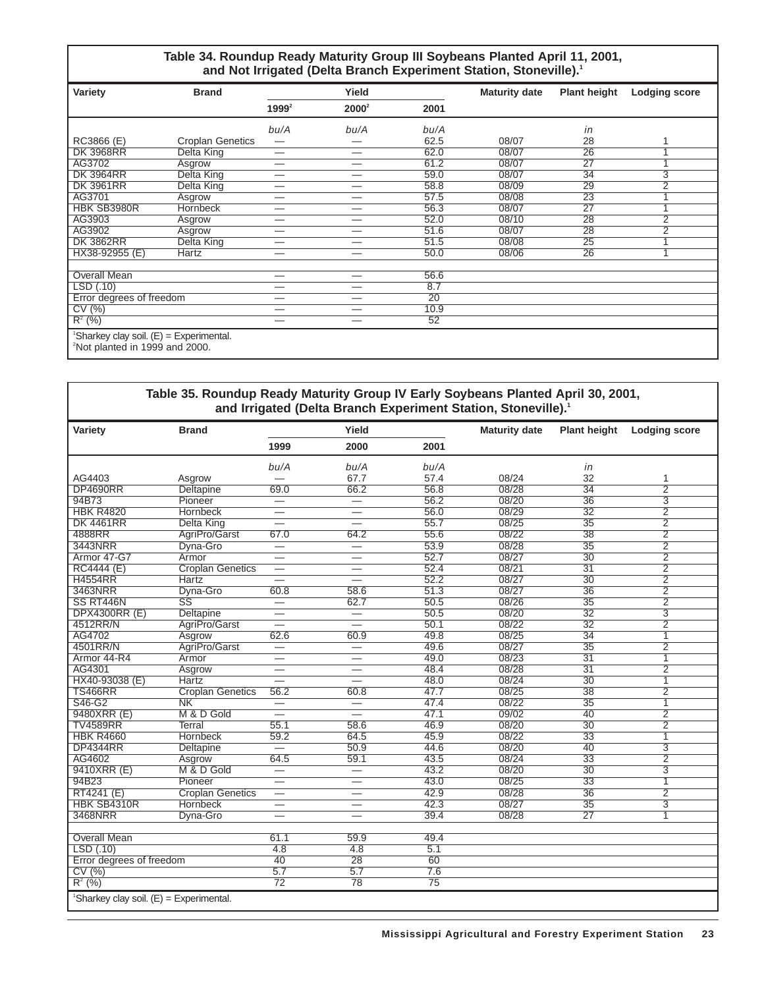#### **Table 34. Roundup Ready Maturity Group III Soybeans Planted April 11, 2001,** and Not Irrigated (Delta Branch Experiment Station, Stoneville).<sup>1</sup>

| Variety                                                                               | <b>Brand</b>            |          | Yield    |                 | <b>Maturity date</b> | <b>Plant height</b> | <b>Lodging score</b>    |
|---------------------------------------------------------------------------------------|-------------------------|----------|----------|-----------------|----------------------|---------------------|-------------------------|
|                                                                                       |                         | $1999^2$ | $2000^2$ | 2001            |                      |                     |                         |
|                                                                                       |                         | bu/A     | bu/A     | bu/A            |                      | in                  |                         |
| RC3866 (E)                                                                            | <b>Croplan Genetics</b> | –        |          | 62.5            | 08/07                | 28                  |                         |
| <b>DK 3968RR</b>                                                                      | Delta King              | —        |          | 62.0            | 08/07                | 26                  |                         |
| AG3702                                                                                | Asgrow                  | —        | –        | 61.2            | 08/07                | 27                  | $\overline{\mathbf{A}}$ |
| <b>DK 3964RR</b>                                                                      | Delta King              | –        | --       | 59.0            | 08/07                | 34                  | 3                       |
| <b>DK 3961RR</b>                                                                      | Delta King              | —        | —        | 58.8            | 08/09                | 29                  | $\overline{2}$          |
| AG3701                                                                                | Asgrow                  | —        | —        | 57.5            | 08/08                | 23                  |                         |
| HBK SB3980R                                                                           | <b>Hornbeck</b>         | —        | —        | 56.3            | 08/07                | 27                  |                         |
| AG3903                                                                                | Asgrow                  | –        | _        | 52.0            | 08/10                | 28                  | $\overline{2}$          |
| AG3902                                                                                | Asgrow                  | _        | _        | 51.6            | 08/07                | 28                  | $\overline{2}$          |
| <b>DK 3862RR</b>                                                                      | Delta King              | –        | _        | 51.5            | 08/08                | 25                  |                         |
| HX38-92955 (E)                                                                        | <b>Hartz</b>            | --       | –        | 50.0            | 08/06                | 26                  | $\overline{\mathbf{A}}$ |
| <b>Overall Mean</b>                                                                   |                         | --       |          | 56.6            |                      |                     |                         |
| LSD(0.10)                                                                             |                         | —        | –        | 8.7             |                      |                     |                         |
| Error degrees of freedom                                                              |                         | —        | —        | $\overline{20}$ |                      |                     |                         |
| CV(%)                                                                                 |                         | —        | —        | 10.9            |                      |                     |                         |
| $R^2$ (%)                                                                             |                         | --       |          | 52              |                      |                     |                         |
| 'Sharkey clay soil. (E) = Experimental.<br><sup>2</sup> Not planted in 1999 and 2000. |                         |          |          |                 |                      |                     |                         |

#### **Table 35. Roundup Ready Maturity Group IV Early Soybeans Planted April 30, 2001, and Irrigated (Delta Branch Experiment Station, Stoneville).1**

| Variety                                               | <b>Brand</b>            |                          | Yield                            |                 | <b>Maturity date</b> | <b>Plant height</b> | <b>Lodging score</b> |
|-------------------------------------------------------|-------------------------|--------------------------|----------------------------------|-----------------|----------------------|---------------------|----------------------|
|                                                       |                         | 1999                     | 2000                             | 2001            |                      |                     |                      |
|                                                       |                         | bu/A                     | bu/A                             | bu/A            |                      | in                  |                      |
| AG4403                                                | Asgrow                  |                          | 67.7                             | 57.4            | 08/24                | 32                  | 1                    |
| <b>DP4690RR</b>                                       | Deltapine               | 69.0                     | 66.2                             | 56.8            | 08/28                | $\overline{34}$     | $\overline{2}$       |
| 94B73                                                 | Pioneer                 |                          | $\overline{\phantom{0}}$         | 56.2            | 08/20                | $\overline{36}$     | $\overline{3}$       |
| <b>HBK R4820</b>                                      | <b>Hornbeck</b>         | —                        | $=$                              | 56.0            | 08/29                | $\overline{32}$     | $\overline{2}$       |
| <b>DK 4461RR</b>                                      | <b>Delta King</b>       | $\overline{\phantom{0}}$ | $\overline{\phantom{0}}$         | 55.7            | 08/25                | $\overline{35}$     | $\overline{2}$       |
| 4888RR                                                | AgriPro/Garst           | 67.0                     | 64.2                             | 55.6            | 08/22                | 38                  | $\overline{2}$       |
| 3443NRR                                               | Dyna-Gro                | $=$                      | ᆖ                                | 53.9            | 08/28                | $\overline{35}$     | $\overline{2}$       |
| Armor 47-G7                                           | Armor                   | $\overline{\phantom{0}}$ | $\overline{\phantom{0}}$         | 52.7            | 08/27                | $\overline{30}$     | $\overline{2}$       |
| <b>RC4444 (E)</b>                                     | <b>Croplan Genetics</b> | $\overline{\phantom{0}}$ | $\overline{\phantom{0}}$         | 52.4            | 08/21                | $\overline{31}$     | $\overline{2}$       |
| <b>H4554RR</b>                                        | <b>Hartz</b>            |                          |                                  | 52.2            | 08/27                | $\overline{30}$     | $\overline{2}$       |
| 3463NRR                                               | Dyna-Gro                | 60.8                     | 58.6                             | 51.3            | 08/27                | 36                  | $\overline{2}$       |
| SS RT446N                                             | $\overline{\text{SS}}$  | —                        | 62.7                             | 50.5            | 08/26                | $\overline{35}$     | $\overline{2}$       |
| <b>DPX4300RR (E)</b>                                  | Deltapine               | $\overline{\phantom{0}}$ | $\equiv$                         | 50.5            | 08/20                | $\overline{32}$     | $\overline{3}$       |
| 4512RR/N                                              | AgriPro/Garst           | $\overline{\phantom{0}}$ | $\overline{\phantom{0}}$         | 50.1            | 08/22                | $\overline{32}$     | $\overline{2}$       |
| AG4702                                                | Asgrow                  | 62.6                     | 60.9                             | 49.8            | 08/25                | $\overline{34}$     | $\overline{1}$       |
| 4501RR/N                                              | AgriPro/Garst           | $\overline{\phantom{0}}$ |                                  | 49.6            | 08/27                | $\overline{35}$     | $\overline{2}$       |
| Armor 44-R4                                           | Armor                   | $\overline{\phantom{0}}$ | $\overline{\phantom{0}}$         | 49.0            | 08/23                | $\overline{31}$     | $\overline{1}$       |
| AG4301                                                | Asgrow                  | $\overline{\phantom{0}}$ | $\hspace{0.05cm}$                | 48.4            | 08/28                | $\overline{31}$     | $\overline{2}$       |
| HX40-93038 (E)                                        | <b>Hartz</b>            |                          |                                  | 48.0            | 08/24                | $\overline{30}$     | $\overline{1}$       |
| <b>TS466RR</b>                                        | <b>Croplan Genetics</b> | 56.2                     | 60.8                             | 47.7            | 08/25                | $\overline{38}$     | $\overline{2}$       |
| S46-G2                                                | $\overline{\text{NK}}$  | $\overline{\phantom{0}}$ | $\overbrace{\phantom{12322111}}$ | 47.4            | 08/22                | $\overline{35}$     | $\overline{1}$       |
| 9480XRR (E)                                           | M & D Gold              | —                        |                                  | 47.1            | 09/02                | 40                  | $\overline{2}$       |
| <b>TV4589RR</b>                                       | <b>Terral</b>           | 55.1                     | 58.6                             | 46.9            | 08/20                | $\overline{30}$     | $\overline{2}$       |
| <b>HBK R4660</b>                                      | <b>Hornbeck</b>         | 59.2                     | 64.5                             | 45.9            | 08/22                | $\overline{33}$     | $\overline{1}$       |
| <b>DP4344RR</b>                                       | <b>Deltapine</b>        | $\overline{\phantom{0}}$ | 50.9                             | 44.6            | 08/20                | 40                  | $\overline{3}$       |
| AG4602                                                | Asgrow                  | 64.5                     | 59.1                             | 43.5            | 08/24                | $\overline{33}$     | $\overline{2}$       |
| 9410XRR (E)                                           | M & D Gold              | $\equiv$                 |                                  | 43.2            | 08/20                | $\overline{30}$     | $\overline{3}$       |
| 94B23                                                 | Pioneer                 | -                        | $\hspace{0.05cm}$                | 43.0            | 08/25                | $\overline{33}$     | 1                    |
| RT4241 (E)                                            | <b>Croplan Genetics</b> | $\overline{\phantom{0}}$ | $\overline{\phantom{0}}$         | 42.9            | 08/28                | $\overline{36}$     | $\overline{2}$       |
| HBK SB4310R                                           | <b>Hornbeck</b>         | $\overline{\phantom{0}}$ |                                  | 42.3            | 08/27                | $\overline{35}$     | $\overline{3}$       |
| 3468NRR                                               | Dyna-Gro                |                          |                                  | 39.4            | 08/28                | $\overline{27}$     | 1                    |
|                                                       |                         |                          |                                  |                 |                      |                     |                      |
| <b>Overall Mean</b>                                   |                         | 61.1                     | 59.9                             | 49.4            |                      |                     |                      |
| LSD(.10)                                              |                         | $\overline{4.8}$         | 4.8                              | 5.1             |                      |                     |                      |
| Error degrees of freedom                              |                         | 40                       | $\overline{28}$                  | 60              |                      |                     |                      |
| CV(%)                                                 |                         | 5.7                      | 5.7                              | 7.6             |                      |                     |                      |
| $R^2$ (%)                                             |                         | $\overline{72}$          | 78                               | $\overline{75}$ |                      |                     |                      |
| <sup>1</sup> Sharkey clay soil. $(E)$ = Experimental. |                         |                          |                                  |                 |                      |                     |                      |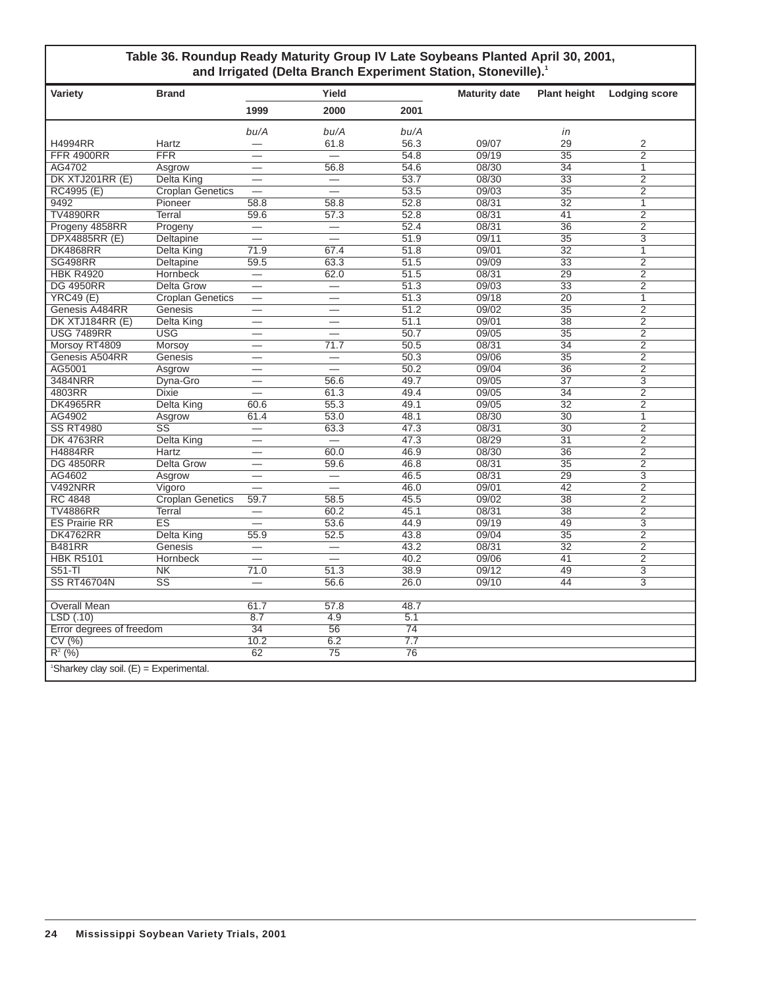#### **Table 36. Roundup Ready Maturity Group IV Late Soybeans Planted April 30, 2001, and Irrigated (Delta Branch Experiment Station, Stoneville).1**

| Variety                                               | <b>Brand</b>            |                          | Yield                            |                  | <b>Maturity date</b> | <b>Plant height</b> | Lodging score  |
|-------------------------------------------------------|-------------------------|--------------------------|----------------------------------|------------------|----------------------|---------------------|----------------|
|                                                       |                         | 1999                     | 2000                             | 2001             |                      |                     |                |
|                                                       |                         | bu/A                     | bu/A                             | bu/A             |                      | in                  |                |
| <b>H4994RR</b>                                        | Hartz                   |                          | 61.8                             | 56.3             | 09/07                | 29                  | 2              |
| <b>FFR 4900RR</b>                                     | <b>FFR</b>              |                          | $\overline{\phantom{a}}$         | 54.8             | 09/19                | $\overline{35}$     | $\overline{2}$ |
| AG4702                                                | Asgrow                  |                          | 56.8                             | 54.6             | 08/30                | 34                  | $\overline{1}$ |
| DK XTJ201RR (E)                                       | <b>Delta King</b>       |                          | $\qquad \qquad$                  | 53.7             | 08/30                | $\overline{33}$     | $\overline{2}$ |
| RC4995 (E)                                            | <b>Croplan Genetics</b> | $\overline{\phantom{0}}$ | $\overline{\phantom{0}}$         | 53.5             | 09/03                | $\overline{35}$     | $\overline{2}$ |
| 9492                                                  | Pioneer                 | 58.8                     | 58.8                             | 52.8             | 08/31                | $\overline{32}$     | $\mathbf{1}$   |
| <b>TV4890RR</b>                                       | Terral                  | 59.6                     | 57.3                             | 52.8             | 08/31                | 41                  | $\overline{2}$ |
| Progeny 4858RR                                        | Progeny                 |                          | $\qquad \qquad$                  | 52.4             | 08/31                | $\overline{36}$     | $\overline{2}$ |
| <b>DPX4885RR (E)</b>                                  | Deltapine               | 二                        | $=$                              | 51.9             | 09/11                | $\overline{35}$     | $\overline{3}$ |
| <b>DK4868RR</b>                                       | <b>Delta King</b>       | 71.9                     | 67.4                             | 51.8             | 09/01                | $\overline{32}$     | $\overline{1}$ |
| <b>SG498RR</b>                                        | Deltapine               | 59.5                     | 63.3                             | 51.5             | 09/09                | $\overline{33}$     | $\overline{2}$ |
| <b>HBK R4920</b>                                      | <b>Hornbeck</b>         |                          | 62.0                             | 51.5             | 08/31                | 29                  | $\overline{2}$ |
| <b>DG 4950RR</b>                                      | <b>Delta Grow</b>       | $\overline{\phantom{0}}$ | $\overline{\phantom{0}}$         | 51.3             | 09/03                | $\overline{33}$     | $\overline{2}$ |
| YRC49(E)                                              | <b>Croplan Genetics</b> | $\overline{\phantom{0}}$ |                                  | 51.3             | 09/18                | $\overline{20}$     | 1              |
| Genesis A484RR                                        | Genesis                 | $\overline{\phantom{0}}$ | $\overline{\phantom{0}}$         | 51.2             | 09/02                | $\overline{35}$     | $\overline{2}$ |
| DK XTJ184RR (E)                                       | <b>Delta King</b>       | $\overline{\phantom{0}}$ | $\overline{\phantom{0}}$         | 51.1             | 09/01                | $\overline{38}$     | $\overline{2}$ |
| <b>USG 7489RR</b>                                     | <b>USG</b>              | $\overline{\phantom{0}}$ | $\overline{\phantom{0}}$         | 50.7             | 09/05                | $\overline{35}$     | $\overline{2}$ |
| Morsoy RT4809                                         | <b>Morsov</b>           |                          | 71.7                             | 50.5             | 08/31                | 34                  | $\overline{2}$ |
| Genesis A504RR                                        | Genesis                 |                          | $\overbrace{\phantom{12322111}}$ | 50.3             | 09/06                | $\overline{35}$     | $\overline{2}$ |
| AG5001                                                | Asgrow                  |                          |                                  | 50.2             | 09/04                | 36                  | $\overline{2}$ |
| 3484NRR                                               | Dyna-Gro                |                          | 56.6                             | 49.7             | 09/05                | $\overline{37}$     | $\overline{3}$ |
| 4803RR                                                | <b>Dixie</b>            |                          | 61.3                             | 49.4             | 09/05                | $\overline{34}$     | $\overline{2}$ |
| <b>DK4965RR</b>                                       | Delta King              | 60.6                     | 55.3                             | 49.1             | 09/05                | $\overline{32}$     | $\overline{2}$ |
| AG4902                                                | Asgrow                  | 61.4                     | 53.0                             | 48.1             | 08/30                | $\overline{30}$     | 1              |
| <b>SS RT4980</b>                                      | $\overline{\text{SS}}$  |                          | 63.3                             | 47.3             | 08/31                | $\overline{30}$     | $\overline{2}$ |
| <b>DK 4763RR</b>                                      | <b>Delta King</b>       |                          |                                  | 47.3             | 08/29                | $\overline{31}$     | $\overline{2}$ |
| <b>H4884RR</b>                                        | Hartz                   | $\overline{\phantom{0}}$ | 60.0                             | 46.9             | 08/30                | 36                  | $\overline{2}$ |
| <b>DG 4850RR</b>                                      | <b>Delta Grow</b>       |                          | 59.6                             | 46.8             | 08/31                | $\overline{35}$     | $\overline{2}$ |
| AG4602                                                | Asgrow                  | $\overline{\phantom{0}}$ |                                  | 46.5             | 08/31                | 29                  | $\overline{3}$ |
| <b>V492NRR</b>                                        | Vigoro                  |                          | $\overline{\phantom{0}}$         | 46.0             | 09/01                | 42                  | $\overline{2}$ |
| <b>RC 4848</b>                                        | <b>Croplan Genetics</b> | 59.7                     | 58.5                             | 45.5             | 09/02                | $\overline{38}$     | $\overline{2}$ |
| <b>TV4886RR</b>                                       | Terral                  |                          | 60.2                             | 45.1             | 08/31                | $\overline{38}$     | $\overline{2}$ |
| <b>ES Prairie RR</b>                                  | ES                      | $\overline{\phantom{0}}$ | 53.6                             | 44.9             | 09/19                | 49                  | $\overline{3}$ |
| <b>DK4762RR</b>                                       | Delta King              | 55.9                     | 52.5                             | 43.8             | 09/04                | $\overline{35}$     | $\overline{2}$ |
| <b>B481RR</b>                                         | Genesis                 |                          | $\overline{\phantom{0}}$         | 43.2             | 08/31                | $\overline{32}$     | $\overline{2}$ |
| <b>HBK R5101</b>                                      | <b>Hornbeck</b>         | <u>.</u>                 | $\overline{\phantom{0}}$         | 40.2             | 09/06                | 41                  | $\overline{2}$ |
| $S51-TI$                                              | N <sub>K</sub>          | 71.0                     | 51.3                             | 38.9             | 09/12                | 49                  | $\overline{3}$ |
| <b>SS RT46704N</b>                                    | $\overline{\text{SS}}$  |                          | 56.6                             | 26.0             | 09/10                | 44                  | $\overline{3}$ |
|                                                       |                         |                          |                                  |                  |                      |                     |                |
| <b>Overall Mean</b>                                   |                         | 61.7                     | 57.8                             | 48.7             |                      |                     |                |
| LSD (.10)                                             |                         | 8.7                      | 4.9                              | 5.1              |                      |                     |                |
| Error degrees of freedom                              |                         | 34                       | 56                               | 74               |                      |                     |                |
| CV(%)                                                 |                         | 10.2                     | 6.2                              | $\overline{7.7}$ |                      |                     |                |
| $R^{2}$ (%)                                           |                         | 62                       | 75                               | 76               |                      |                     |                |
| <sup>1</sup> Sharkey clay soil. $(E)$ = Experimental. |                         |                          |                                  |                  |                      |                     |                |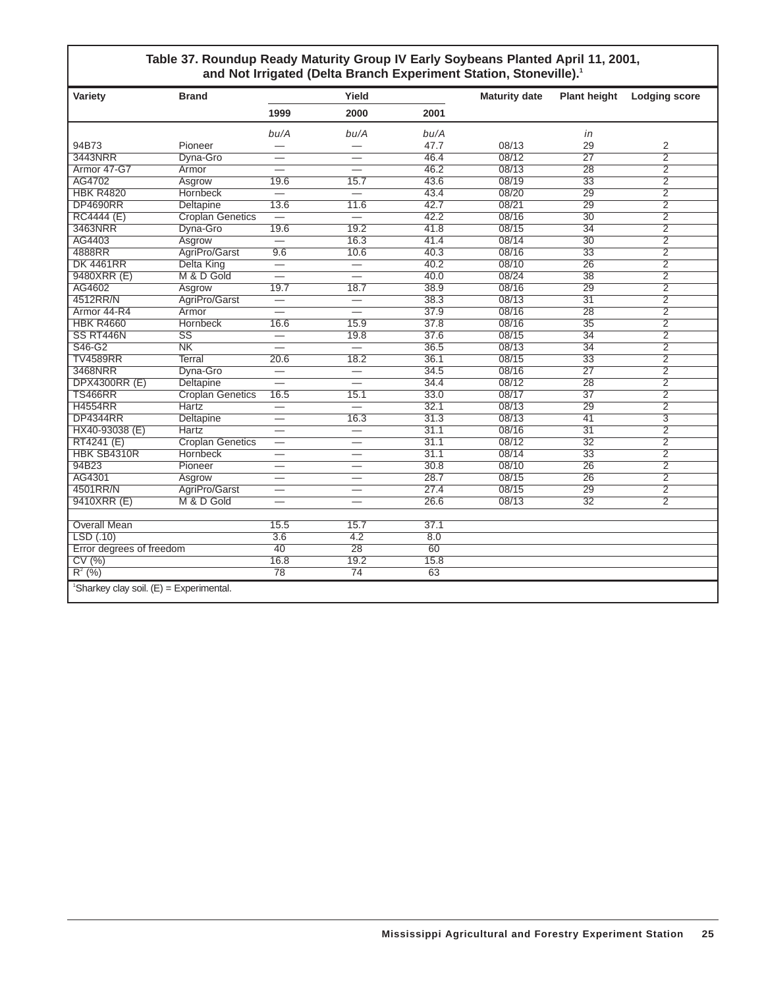#### **Table 37. Roundup Ready Maturity Group IV Early Soybeans Planted April 11, 2001,** and Not Irrigated (Delta Branch Experiment Station, Stoneville).<sup>1</sup>

| Variety                                               | <b>Brand</b>            |                          | Yield                    |      | <b>Maturity date</b> | <b>Plant height</b> | <b>Lodging score</b>    |
|-------------------------------------------------------|-------------------------|--------------------------|--------------------------|------|----------------------|---------------------|-------------------------|
|                                                       |                         | 1999                     | 2000                     | 2001 |                      |                     |                         |
|                                                       |                         | bu/A                     | bu/A                     | bu/A |                      | in                  |                         |
| 94B73                                                 | Pioneer                 |                          |                          | 47.7 | 08/13                | 29                  | 2                       |
| 3443NRR                                               | Dyna-Gro                |                          |                          | 46.4 | 08/12                | $\overline{27}$     | $\overline{2}$          |
| Armor 47-G7                                           | Armor                   |                          | $\overline{\phantom{0}}$ | 46.2 | 08/13                | 28                  | $\overline{2}$          |
| AG4702                                                | Asgrow                  | 19.6                     | 15.7                     | 43.6 | 08/19                | $\overline{33}$     | 2                       |
| <b>HBK R4820</b>                                      | <b>Hornbeck</b>         | $\overline{\phantom{0}}$ | $\overline{\phantom{0}}$ | 43.4 | 08/20                | $\overline{29}$     | $\overline{2}$          |
| <b>DP4690RR</b>                                       | Deltapine               | 13.6                     | 11.6                     | 42.7 | 08/21                | $\overline{29}$     | $\overline{2}$          |
| <b>RC4444 (E)</b>                                     | <b>Croplan Genetics</b> | $\overline{\phantom{0}}$ | $\overline{\phantom{0}}$ | 42.2 | 08/16                | $\overline{30}$     | $\overline{2}$          |
| 3463NRR                                               | Dyna-Gro                | 19.6                     | 19.2                     | 41.8 | 08/15                | $\overline{34}$     | $\overline{2}$          |
| AG4403                                                | Asgrow                  | $\overline{\phantom{0}}$ | 16.3                     | 41.4 | 08/14                | $\overline{30}$     | $\overline{2}$          |
| 4888RR                                                | AgriPro/Garst           | 9.6                      | 10.6                     | 40.3 | 08/16                | 33                  | $\overline{2}$          |
| <b>DK 4461RR</b>                                      | <b>Delta King</b>       |                          | $\overline{\phantom{0}}$ | 40.2 | 08/10                | $\overline{26}$     | $\overline{2}$          |
| 9480XRR (E)                                           | M & D Gold              | $\overline{\phantom{0}}$ | $\overline{\phantom{0}}$ | 40.0 | 08/24                | 38                  | $\overline{2}$          |
| AG4602                                                | Asgrow                  | 19.7                     | 18.7                     | 38.9 | 08/16                | 29                  | $\overline{2}$          |
| 4512RR/N                                              | AgriPro/Garst           | $\overline{\phantom{0}}$ | $\overline{\phantom{0}}$ | 38.3 | 08/13                | $\overline{31}$     | $\overline{2}$          |
| Armor 44-R4                                           | Armor                   | $\overline{\phantom{0}}$ | $\overline{\phantom{0}}$ | 37.9 | 08/16                | $\overline{28}$     | $\overline{2}$          |
| <b>HBK R4660</b>                                      | <b>Hornbeck</b>         | 16.6                     | 15.9                     | 37.8 | 08/16                | $\overline{35}$     | $\overline{2}$          |
| SS RT446N                                             | $\overline{\text{SS}}$  | $\equiv$                 | 19.8                     | 37.6 | 08/15                | $\overline{34}$     | $\overline{2}$          |
| S46-G2                                                | $\overline{\text{NK}}$  | $\overline{\phantom{0}}$ | $\qquad \qquad -$        | 36.5 | 08/13                | $\overline{34}$     | $\overline{2}$          |
| <b>TV4589RR</b>                                       | Terral                  | 20.6                     | 18.2                     | 36.1 | 08/15                | $\overline{33}$     | $\overline{2}$          |
| 3468NRR                                               | Dyna-Gro                |                          | $\overline{\phantom{0}}$ | 34.5 | 08/16                | $\overline{27}$     | $\overline{2}$          |
| <b>DPX4300RR (E)</b>                                  | <b>Deltapine</b>        |                          |                          | 34.4 | 08/12                | $\overline{28}$     | $\overline{2}$          |
| <b>TS466RR</b>                                        | <b>Croplan Genetics</b> | 16.5                     | 15.1                     | 33.0 | 08/17                | $\overline{37}$     | $\overline{2}$          |
| <b>H4554RR</b>                                        | <b>Hartz</b>            | $\overline{\phantom{0}}$ |                          | 32.1 | 08/13                | $\overline{29}$     | $\overline{2}$          |
| <b>DP4344RR</b>                                       | <b>Deltapine</b>        | $\overline{\phantom{0}}$ | 16.3                     | 31.3 | 08/13                | $\overline{41}$     | $\overline{\mathbf{3}}$ |
| HX40-93038 (E)                                        | <b>Hartz</b>            |                          | $\overline{\phantom{0}}$ | 31.1 | 08/16                | $\overline{31}$     | $\overline{2}$          |
| RT4241 (E)                                            | <b>Croplan Genetics</b> | $\overline{\phantom{0}}$ | $\overline{\phantom{0}}$ | 31.1 | 08/12                | $\overline{32}$     | $\overline{2}$          |
| HBK SB4310R                                           | <b>Hornbeck</b>         |                          | $\overline{\phantom{0}}$ | 31.1 | 08/14                | $\overline{33}$     | $\overline{2}$          |
| 94B23                                                 | Pioneer                 |                          | $\overline{\phantom{0}}$ | 30.8 | 08/10                | $\overline{26}$     | $\overline{2}$          |
| AG4301                                                | Asgrow                  | $\overline{\phantom{0}}$ | $\overline{\phantom{0}}$ | 28.7 | 08/15                | $\overline{26}$     | $\overline{2}$          |
| 4501RR/N                                              | AgriPro/Garst           |                          | $\overline{\phantom{0}}$ | 27.4 | 08/15                | 29                  | $\overline{2}$          |
| 9410XRR (E)                                           | M & D Gold              | —                        | $\overline{\phantom{0}}$ | 26.6 | 08/13                | $\overline{32}$     | $\overline{2}$          |
|                                                       |                         |                          |                          |      |                      |                     |                         |
| <b>Overall Mean</b>                                   |                         | 15.5                     | 15.7                     | 37.1 |                      |                     |                         |
| LSD(.10)                                              |                         | $\overline{3.6}$         | 4.2                      | 8.0  |                      |                     |                         |
| Error degrees of freedom                              |                         | 40                       | $\overline{28}$          | 60   |                      |                     |                         |
| CV(%)                                                 |                         | 16.8                     | 19.2                     | 15.8 |                      |                     |                         |
| $R^2$ (%)                                             |                         | 78                       | 74                       | 63   |                      |                     |                         |
| <sup>1</sup> Sharkey clay soil. $(E) =$ Experimental. |                         |                          |                          |      |                      |                     |                         |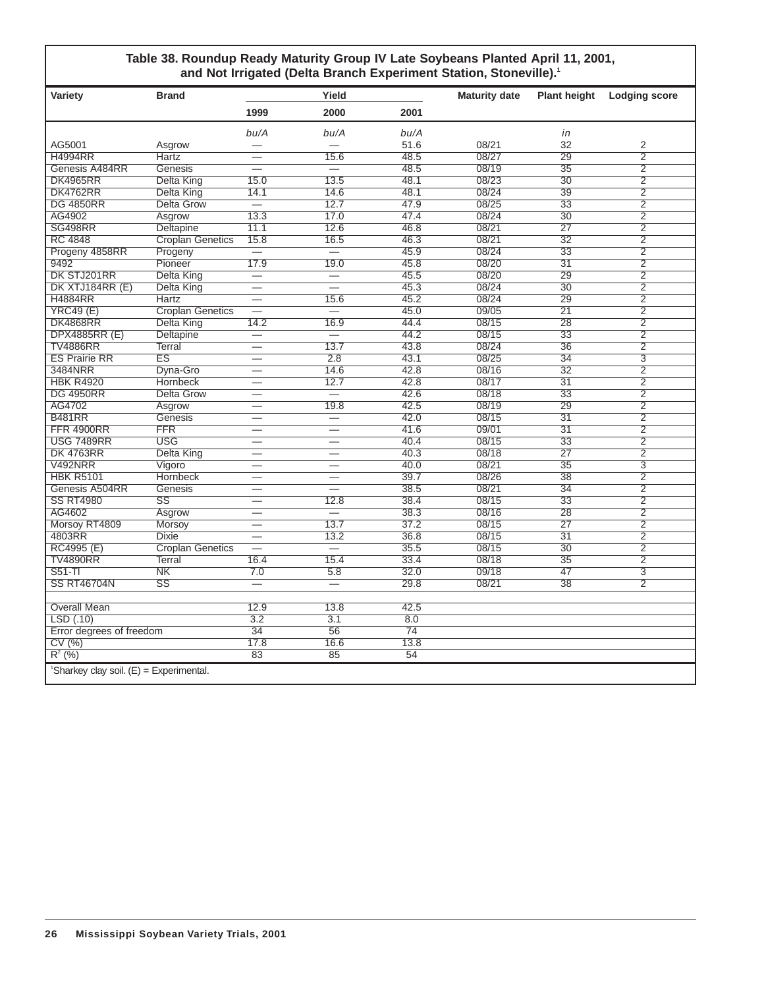#### **Table 38. Roundup Ready Maturity Group IV Late Soybeans Planted April 11, 2001,** and Not Irrigated (Delta Branch Experiment Station, Stoneville).<sup>1</sup>

| Variety                                 | <b>Brand</b>            |                          | Yield                    |                 | <b>Maturity date</b> | <b>Plant height</b> | <b>Lodging score</b>      |
|-----------------------------------------|-------------------------|--------------------------|--------------------------|-----------------|----------------------|---------------------|---------------------------|
|                                         |                         | 1999                     | 2000                     | 2001            |                      |                     |                           |
|                                         |                         | bu/A                     | bu/A                     | bu/A            |                      | in                  |                           |
| AG5001                                  | Asgrow                  |                          |                          | 51.6            | 08/21                | 32                  | 2                         |
| <b>H4994RR</b>                          | Hartz                   |                          | 15.6                     | 48.5            | 08/27                | $\overline{29}$     | $\overline{2}$            |
| Genesis A484RR                          | Genesis                 |                          |                          | 48.5            | 08/19                | 35                  | $\overline{2}$            |
| <b>DK4965RR</b>                         | Delta King              | 15.0                     | 13.5                     | 48.1            | 08/23                | $\overline{30}$     | $\overline{2}$            |
| <b>DK4762RR</b>                         | Delta King              | 14.1                     | 14.6                     | 48.1            | 08/24                | $\overline{39}$     | $\overline{2}$            |
| <b>DG 4850RR</b>                        | <b>Delta Grow</b>       | $\overline{\phantom{0}}$ | 12.7                     | 47.9            | 08/25                | 33                  | $\overline{2}$            |
| AG4902                                  | Asgrow                  | 13.3                     | 17.0                     | 47.4            | 08/24                | $\overline{30}$     | $\overline{2}$            |
| <b>SG498RR</b>                          | <b>Deltapine</b>        | 11.1                     | 12.6                     | 46.8            | 08/21                | $\overline{27}$     | $\overline{2}$            |
| <b>RC 4848</b>                          | <b>Croplan Genetics</b> | 15.8                     | 16.5                     | 46.3            | 08/21                | $\overline{32}$     | $\overline{2}$            |
| Progeny 4858RR                          | Progeny                 |                          | $\overline{\phantom{0}}$ | 45.9            | 08/24                | 33                  | $\overline{2}$            |
| 9492                                    | Pioneer                 | 17.9                     | 19.0                     | 45.8            | 08/20                | $\overline{31}$     | $\overline{2}$            |
| DK STJ201RR                             | <b>Delta King</b>       | $\overline{\phantom{0}}$ | $\overline{\phantom{0}}$ | 45.5            | 08/20                | 29                  | $\overline{2}$            |
| DK XTJ184RR (E)                         | Delta King              | $\qquad \qquad =$        | $=$                      | 45.3            | 08/24                | $\overline{30}$     | $\overline{2}$            |
| <b>H4884RR</b>                          | Hartz                   | —                        | 15.6                     | 45.2            | 08/24                | $\overline{29}$     | $\overline{2}$            |
| YRC49(E)                                | <b>Croplan Genetics</b> | $\equiv$                 | $\overline{\phantom{0}}$ | 45.0            | 09/05                | 21                  | $\overline{2}$            |
| <b>DK4868RR</b>                         | Delta King              | 14.2                     | 16.9                     | 44.4            | 08/15                | $\overline{28}$     | $\overline{2}$            |
| <b>DPX4885RR (E)</b>                    | <b>Deltapine</b>        |                          | 二                        | 44.2            | 08/15                | $\overline{33}$     | $\overline{2}$            |
| <b>TV4886RR</b>                         | <b>Terral</b>           |                          | 13.7                     | 43.8            | 08/24                | 36                  | $\overline{2}$            |
| <b>ES Prairie RR</b>                    | $\overline{\text{ES}}$  |                          | 2.8                      | 43.1            | 08/25                | $\overline{34}$     | $\overline{\overline{3}}$ |
| 3484NRR                                 | Dyna-Gro                | $\overline{\phantom{0}}$ | 14.6                     | 42.8            | 08/16                | $\overline{32}$     | $\overline{2}$            |
| <b>HBK R4920</b>                        | Hornbeck                | $\overline{\phantom{0}}$ | 12.7                     | 42.8            | 08/17                | $\overline{31}$     | $\overline{2}$            |
| <b>DG 4950RR</b>                        | <b>Delta Grow</b>       | $\overline{\phantom{0}}$ |                          | 42.6            | 08/18                | 33                  | $\overline{2}$            |
| AG4702                                  | Asgrow                  | $\overline{\phantom{0}}$ | 19.8                     | 42.5            | 08/19                | $\overline{29}$     | $\overline{2}$            |
| <b>B481RR</b>                           | Genesis                 | -                        |                          | 42.0            | 08/15                | $\overline{31}$     | $\overline{2}$            |
| <b>FFR 4900RR</b>                       | <b>FFR</b>              | $\overline{\phantom{0}}$ | $\overline{\phantom{0}}$ | 41.6            | 09/01                | $\overline{31}$     | $\overline{2}$            |
| <b>USG 7489RR</b>                       | <b>USG</b>              |                          |                          | 40.4            | 08/15                | $\overline{33}$     | $\overline{2}$            |
| <b>DK 4763RR</b>                        | Delta King              | $\overline{\phantom{0}}$ | $\overline{\phantom{0}}$ | 40.3            | 08/18                | $\overline{27}$     | $\overline{2}$            |
| <b>V492NRR</b>                          | Vigoro                  |                          |                          | 40.0            | 08/21                | $\overline{35}$     | $\overline{3}$            |
| <b>HBK R5101</b>                        | Hornbeck                | $\overline{\phantom{0}}$ |                          | 39.7            | 08/26                | 38                  | $\overline{2}$            |
| Genesis A504RR                          | Genesis                 |                          | $\overline{\phantom{0}}$ | 38.5            | 08/21                | 34                  | $\overline{2}$            |
| <b>SS RT4980</b>                        | $\overline{\text{SS}}$  | $\overline{\phantom{0}}$ | 12.8                     | 38.4            | 08/15                | $\overline{33}$     | $\overline{2}$            |
| AG4602                                  | Asgrow                  |                          | $\overline{\phantom{0}}$ | 38.3            | 08/16                | $\overline{28}$     | $\overline{2}$            |
| Morsoy RT4809                           | Morsoy                  | $\overline{\phantom{0}}$ | 13.7                     | 37.2            | 08/15                | $\overline{27}$     | $\overline{2}$            |
| 4803RR                                  | <b>Dixie</b>            |                          | 13.2                     | 36.8            | 08/15                | $\overline{31}$     | $\overline{2}$            |
| RC4995(E)                               | <b>Croplan Genetics</b> | $\overline{\phantom{0}}$ | $\overline{\phantom{0}}$ | 35.5            | 08/15                | $\overline{30}$     | $\overline{2}$            |
| <b>TV4890RR</b>                         | <b>Terral</b>           | 16.4                     | 15.4                     | 33.4            | 08/18                | $\overline{35}$     | $\overline{2}$            |
| $S51-TI$                                | $\overline{\text{NK}}$  | 7.0                      | 5.8                      | 32.0            | 09/18                | 47                  | $\overline{3}$            |
| <b>SS RT46704N</b>                      | $\overline{\text{SS}}$  | $\overline{\phantom{0}}$ | $\overline{\phantom{0}}$ | 29.8            | 08/21                | $\overline{38}$     | $\overline{2}$            |
|                                         |                         |                          |                          |                 |                      |                     |                           |
| <b>Overall Mean</b>                     |                         | 12.9                     | 13.8                     | 42.5            |                      |                     |                           |
| LSD(.10)                                |                         | $\overline{3.2}$         | $\overline{3.1}$         | 8.0             |                      |                     |                           |
| Error degrees of freedom                |                         | 34                       | 56                       | $\overline{74}$ |                      |                     |                           |
| CV(%)                                   |                         | 17.8                     | 16.6                     | 13.8            |                      |                     |                           |
| $R^2$ (%)                               |                         | 83                       | 85                       | 54              |                      |                     |                           |
| 'Sharkey clay soil. (E) = Experimental. |                         |                          |                          |                 |                      |                     |                           |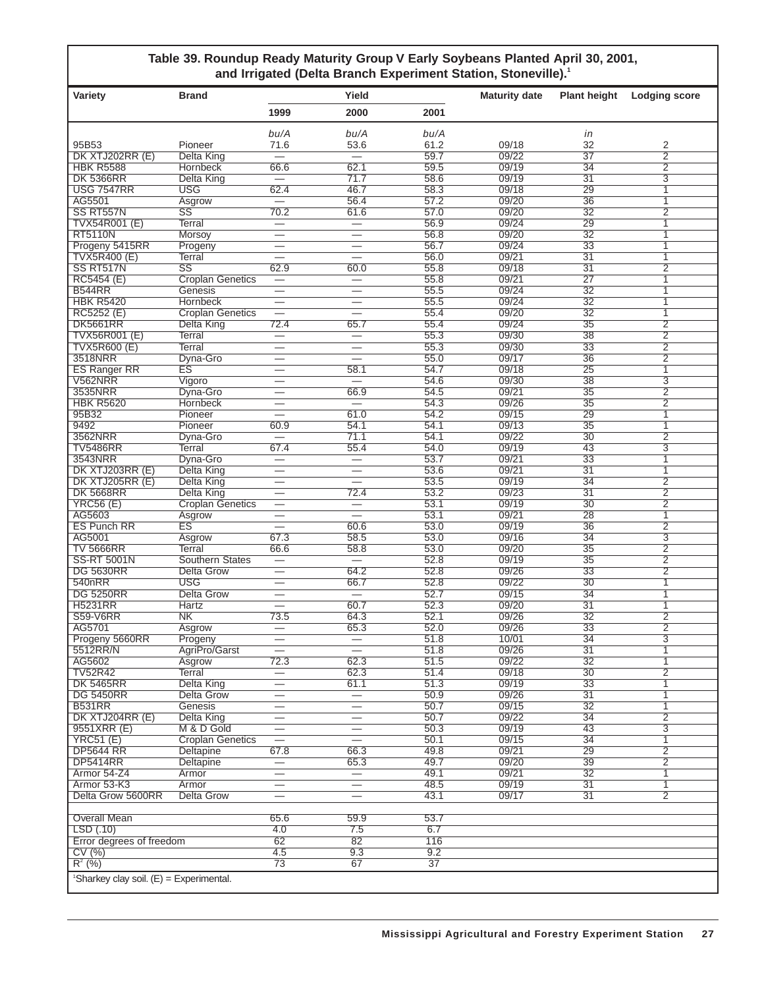#### **Table 39. Roundup Ready Maturity Group V Early Soybeans Planted April 30, 2001, and Irrigated (Delta Branch Experiment Station, Stoneville).1**

| Variety                                               | <b>Brand</b>                    |                                                      | Yield                             |              | <b>Maturity date</b> | <b>Plant height</b>   | <b>Lodging score</b>             |
|-------------------------------------------------------|---------------------------------|------------------------------------------------------|-----------------------------------|--------------|----------------------|-----------------------|----------------------------------|
|                                                       |                                 | 1999                                                 | 2000                              | 2001         |                      |                       |                                  |
|                                                       |                                 | bu/A                                                 | bu/A                              | bu/A         |                      | in                    |                                  |
| 95B53                                                 | Pioneer                         | 71.6                                                 | 53.6                              | 61.2         | 09/18                | 32                    | 2                                |
| DK XTJ202RR (E)                                       | <b>Delta King</b>               |                                                      | $\overline{\phantom{0}}$          | 59.7         | 09/22                | $\overline{37}$       | $\overline{2}$                   |
| <b>HBK R5588</b>                                      | Hornbeck                        | 66.6                                                 | 62.1                              | 59.5         | 09/19                | 34                    | $\overline{2}$                   |
| <b>DK 5366RR</b>                                      | <b>Delta King</b>               |                                                      | 71.7                              | 58.6         | 09/19                | $\overline{31}$       | $\overline{3}$                   |
| <b>USG 7547RR</b><br>AG5501                           | <b>USG</b><br>Asgrow            | 62.4                                                 | 46.7<br>56.4                      | 58.3<br>57.2 | 09/18<br>09/20       | 29<br>36              | $\overline{1}$<br>$\overline{1}$ |
| SS RT557N                                             | $\overline{\text{SS}}$          | 70.2                                                 | 61.6                              | 57.0         | 09/20                | 32                    | $\overline{2}$                   |
| <b>TVX54R001 (E)</b>                                  | Terral                          | $\overline{\phantom{0}}$                             | $\equiv$                          | 56.9         | 09/24                | 29                    | $\overline{1}$                   |
| <b>RT5110N</b>                                        | Morsoy                          | $\overline{\phantom{0}}$                             |                                   | 56.8         | 09/20                | 32                    | $\overline{1}$                   |
| Progeny 5415RR                                        | Progeny                         |                                                      |                                   | 56.7         | 09/24                | 33                    | $\mathbf{1}$                     |
| <b>TVX5R400 (E)</b>                                   | Terral                          |                                                      |                                   | 56.0         | 09/21                | $\overline{31}$       | $\overline{1}$                   |
| SS RT517N                                             | $\overline{\text{SS}}$          | 62.9                                                 | 60.0                              | 55.8         | 09/18                | $\overline{31}$       | $\overline{2}$                   |
| RC5454 (E)                                            | <b>Croplan Genetics</b>         | $\overline{\phantom{0}}$                             | $\overline{\phantom{0}}$          | 55.8         | 09/21                | 27                    | $\overline{1}$                   |
| <b>B544RR</b><br><b>HBK R5420</b>                     | Genesis<br>Hornbeck             | $\overline{\phantom{0}}$<br>$\overline{\phantom{0}}$ | $\overline{\phantom{0}}$          | 55.5<br>55.5 | 09/24<br>09/24       | $\overline{32}$<br>32 | $\overline{1}$<br>$\mathbf{1}$   |
| RC5252 (E)                                            | <b>Croplan Genetics</b>         | $\equiv$                                             |                                   | 55.4         | 09/20                | $\overline{32}$       | $\overline{1}$                   |
| <b>DK5661RR</b>                                       | Delta King                      | 72.4                                                 | 65.7                              | 55.4         | 09/24                | 35                    | $\overline{2}$                   |
| <b>TVX56R001 (E)</b>                                  | Terral                          | $\overline{\phantom{0}}$                             | $\overline{\phantom{0}}$          | 55.3         | 09/30                | 38                    | $\overline{2}$                   |
| <b>TVX5R600 (E)</b>                                   | Terral                          |                                                      |                                   | 55.3         | 09/30                | 33                    | $\overline{2}$                   |
| 3518NRR                                               | Dyna-Gro                        |                                                      |                                   | 55.0         | 09/17                | 36                    | $\overline{2}$                   |
| <b>ES Ranger RR</b>                                   | ES                              | $\overline{\phantom{0}}$                             | 58.1                              | 54.7         | 09/18                | 25                    | $\overline{1}$                   |
| <b>V562NRR</b>                                        | Vigoro                          |                                                      |                                   | 54.6         | 09/30                | 38                    | $\overline{3}$                   |
| 3535NRR                                               | Dyna-Gro                        | $\overline{\phantom{0}}$                             | 66.9                              | 54.5         | 09/21                | 35                    | $\overline{2}$                   |
| <b>HBK R5620</b><br>95B32                             | <b>Hornbeck</b><br>Pioneer      | $\overline{\phantom{0}}$                             | 61.0                              | 54.3<br>54.2 | 09/26<br>09/15       | $\overline{35}$<br>29 | $\overline{2}$<br>$\overline{1}$ |
| 9492                                                  | Pioneer                         | 60.9                                                 | 54.1                              | 54.1         | 09/13                | 35                    | $\overline{1}$                   |
| 3562NRR                                               | Dyna-Gro                        |                                                      | 71.1                              | 54.1         | 09/22                | 30                    | $\overline{2}$                   |
| <b>TV5486RR</b>                                       | Terral                          | 67.4                                                 | 55.4                              | 54.0         | 09/19                | 43                    | $\overline{3}$                   |
| 3543NRR                                               | Dyna-Gro                        | $\overline{\phantom{0}}$                             | $\overline{\phantom{0}}$          | 53.7         | 09/21                | 33                    | $\overline{1}$                   |
| DK XTJ203RR (E)                                       | <b>Delta King</b>               | $\overline{\phantom{0}}$                             |                                   | 53.6         | 09/21                | $\overline{31}$       | $\overline{1}$                   |
| DK XTJ205RR (E)                                       | <b>Delta King</b>               |                                                      | $\overline{\phantom{0}}$          | 53.5         | 09/19                | 34                    | $\overline{2}$                   |
| <b>DK 5668RR</b>                                      | <b>Delta King</b>               |                                                      | 72.4                              | 53.2         | 09/23                | $\overline{31}$       | $\overline{2}$                   |
| <b>YRC56 (E)</b><br>AG5603                            | <b>Croplan Genetics</b>         | $\overline{\phantom{0}}$                             |                                   | 53.1<br>53.1 | 09/19<br>09/21       | 30<br>$\overline{28}$ | $\overline{2}$<br>$\overline{1}$ |
| <b>ES Punch RR</b>                                    | Asgrow<br><b>ES</b>             |                                                      | 60.6                              | 53.0         | 09/19                | 36                    | $\overline{2}$                   |
| AG5001                                                | Asgrow                          | 67.3                                                 | 58.5                              | 53.0         | 09/16                | $\overline{34}$       | $\overline{3}$                   |
| <b>TV 5666RR</b>                                      | Terral                          | 66.6                                                 | 58.8                              | 53.0         | 09/20                | 35                    | $\overline{2}$                   |
| <b>SS-RT 5001N</b>                                    | <b>Southern States</b>          | $\overline{\phantom{0}}$                             | $\overline{\phantom{0}}$          | 52.8         | 09/19                | 35                    | $\overline{2}$                   |
| <b>DG 5630RR</b>                                      | <b>Delta Grow</b>               | $\overline{\phantom{0}}$                             | 64.2                              | 52.8         | 09/26                | 33                    | $\overline{2}$                   |
| 540 <sub>nRR</sub>                                    | <b>USG</b>                      |                                                      | 66.7                              | 52.8         | 09/22                | 30                    | $\overline{1}$                   |
| <b>DG 5250RR</b>                                      | <b>Delta Grow</b>               | $\overbrace{\phantom{123221111}}$                    | $\overline{\phantom{0}}$          | 52.7         | 09/15                | 34                    | $\overline{1}$                   |
| <b>H5231RR</b>                                        | Hartz                           |                                                      | 60.7                              | 52.3         | 09/20                | $\overline{31}$       | $\overline{1}$                   |
| <b>S59-V6RR</b><br>AG5701                             | N <sub>K</sub><br>Asgrow        | 73.5                                                 | 64.3<br>65.3                      | 52.1<br>52.0 | 09/26<br>09/26       | 32<br>33              | $\overline{2}$<br>$\overline{2}$ |
| Progeny 5660RR                                        | Progeny                         |                                                      | $\overline{\phantom{0}}$          | 51.8         | 10/01                | $\overline{34}$       | $\overline{3}$                   |
| 5512RR/N                                              | AgriPro/Garst                   |                                                      |                                   | 51.8         | 09/26                | 31                    | 1                                |
| AG5602                                                | Asgrow                          | 72.3                                                 | 62.3                              | 51.5         | 09/22                | 32                    | $\overline{1}$                   |
| <b>TV52R42</b>                                        | Terral                          | $\equiv$                                             | 62.3                              | 51.4         | 09/18                | 30                    | $\overline{2}$                   |
| <b>DK 5465RR</b>                                      | <b>Delta King</b>               | $\overline{\phantom{0}}$                             | 61.1                              | 51.3         | 09/19                | 33                    | $\overline{1}$                   |
| <b>DG 5450RR</b>                                      | <b>Delta Grow</b>               |                                                      |                                   | 50.9         | 09/26                | 31                    | $\mathbf{1}$                     |
| <b>B531RR</b>                                         | Genesis                         | $\overline{\phantom{0}}$                             |                                   | 50.7         | 09/15                | 32                    | $\mathbf{1}$                     |
| DK XTJ204RR (E)<br>9551XRR (E)                        | <b>Delta King</b><br>M & D Gold | $\overline{\phantom{0}}$                             | $\overline{\phantom{0}}$          | 50.7<br>50.3 | 09/22<br>09/19       | $\overline{34}$<br>43 | $\overline{2}$<br>$\overline{3}$ |
| <b>YRC51 (E)</b>                                      | <b>Croplan Genetics</b>         |                                                      | $\overline{\phantom{0}}$          | 50.1         | 09/15                | 34                    | $\overline{1}$                   |
| <b>DP5644 RR</b>                                      | Deltapine                       | 67.8                                                 | 66.3                              | 49.8         | 09/21                | 29                    | $\overline{2}$                   |
| <b>DP5414RR</b>                                       | Deltapine                       |                                                      | 65.3                              | 49.7         | 09/20                | 39                    | $\overline{2}$                   |
| Armor 54-Z4                                           | Armor                           |                                                      | $\overbrace{\phantom{123221111}}$ | 49.1         | 09/21                | 32                    | $\mathbf{1}$                     |
| Armor 53-K3                                           | Armor                           | $\overline{\phantom{0}}$                             | $\overline{\phantom{0}}$          | 48.5         | 09/19                | 31                    | $\overline{1}$                   |
| Delta Grow 5600RR                                     | <b>Delta Grow</b>               | $\overline{\phantom{0}}$                             |                                   | 43.1         | 09/17                | 31                    | $\overline{2}$                   |
|                                                       |                                 |                                                      |                                   |              |                      |                       |                                  |
| Overall Mean<br>LSD(.10)                              |                                 | 65.6<br>4.0                                          | 59.9<br>7.5                       | 53.7<br>6.7  |                      |                       |                                  |
| Error degrees of freedom                              |                                 | 62                                                   | 82                                | 116          |                      |                       |                                  |
| CV(%)                                                 |                                 | 4.5                                                  | 9.3                               | 9.2          |                      |                       |                                  |
| $R^{2}$ (%)                                           |                                 | 73                                                   | 67                                | 37           |                      |                       |                                  |
| <sup>1</sup> Sharkey clay soil. $(E) =$ Experimental. |                                 |                                                      |                                   |              |                      |                       |                                  |
|                                                       |                                 |                                                      |                                   |              |                      |                       |                                  |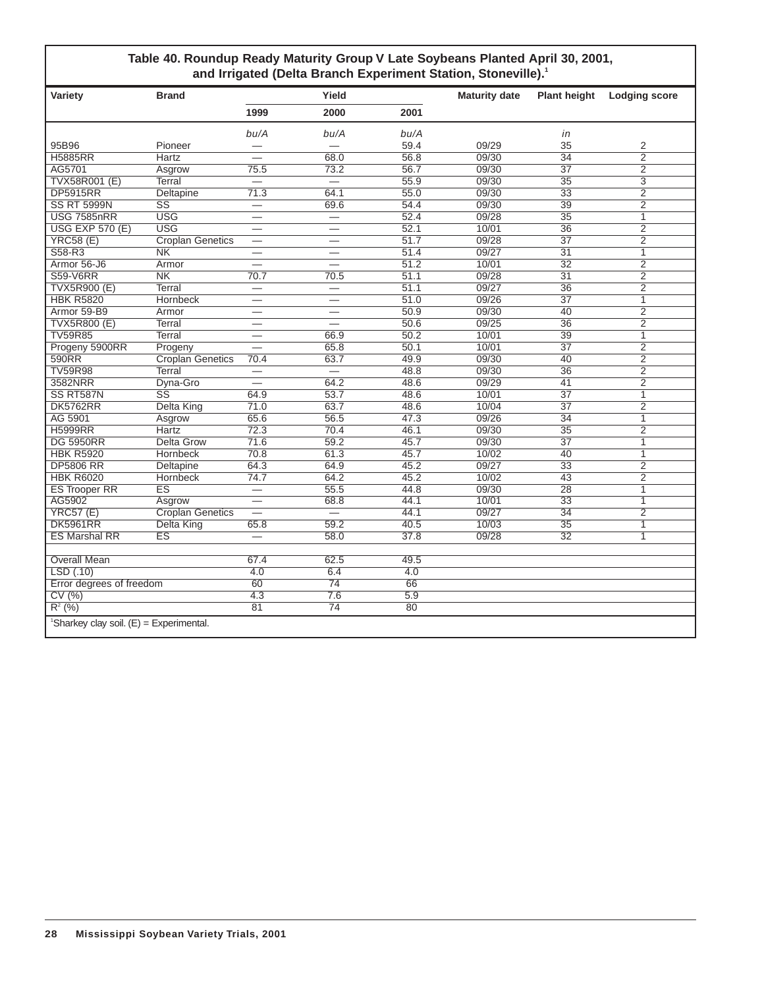#### **Table 40. Roundup Ready Maturity Group V Late Soybeans Planted April 30, 2001, and Irrigated (Delta Branch Experiment Station, Stoneville).1**

| Variety                                   | <b>Brand</b>            |                          | Yield                    |      | <b>Maturity date</b> | <b>Plant height</b> | <b>Lodging score</b> |
|-------------------------------------------|-------------------------|--------------------------|--------------------------|------|----------------------|---------------------|----------------------|
|                                           |                         | 1999                     | 2000                     | 2001 |                      |                     |                      |
|                                           |                         | bu/A                     | bu/A                     | bu/A |                      | in                  |                      |
| 95B96                                     | Pioneer                 | $\overline{\phantom{0}}$ |                          | 59.4 | 09/29                | 35                  | 2                    |
| <b>H5885RR</b>                            | Hartz                   |                          | 68.0                     | 56.8 | 09/30                | $\overline{34}$     | $\overline{2}$       |
| AG5701                                    | Asgrow                  | 75.5                     | 73.2                     | 56.7 | 09/30                | $\overline{37}$     | $\overline{2}$       |
| <b>TVX58R001 (E)</b>                      | Terral                  | $\overline{\phantom{0}}$ | $\overline{\phantom{0}}$ | 55.9 | 09/30                | $\overline{35}$     | $\overline{3}$       |
| <b>DP5915RR</b>                           | Deltapine               | 71.3                     | 64.1                     | 55.0 | 09/30                | $\overline{33}$     | $\overline{2}$       |
| <b>SS RT 5999N</b>                        | $\overline{\text{SS}}$  | $\overline{\phantom{0}}$ | 69.6                     | 54.4 | 09/30                | $\overline{39}$     | $\overline{2}$       |
| <b>USG 7585nRR</b>                        | <b>USG</b>              |                          | $\overline{\phantom{0}}$ | 52.4 | 09/28                | 35                  | $\mathbf{1}$         |
| <b>USG EXP 570 (E)</b>                    | <b>USG</b>              |                          | $\overline{\phantom{0}}$ | 52.1 | 10/01                | $\overline{36}$     | $\overline{2}$       |
| <b>YRC58 (E)</b>                          | <b>Croplan Genetics</b> | $\overline{\phantom{0}}$ | $\overline{\phantom{0}}$ | 51.7 | 09/28                | $\overline{37}$     | $\overline{2}$       |
| S58-R3                                    | $\overline{\text{NK}}$  | $\overline{\phantom{0}}$ |                          | 51.4 | 09/27                | $\overline{31}$     | $\mathbf{1}$         |
| Armor 56-J6                               | Armor                   |                          |                          | 51.2 | 10/01                | $\overline{32}$     | $\overline{2}$       |
| <b>S59-V6RR</b>                           | N <sub>K</sub>          | 70.7                     | 70.5                     | 51.1 | 09/28                | $\overline{31}$     | $\overline{2}$       |
| <b>TVX5R900 (E)</b>                       | <b>Terral</b>           | $\overline{\phantom{0}}$ | $\overline{\phantom{0}}$ | 51.1 | 09/27                | 36                  | $\overline{2}$       |
| <b>HBK R5820</b>                          | <b>Hornbeck</b>         |                          | $\overline{\phantom{0}}$ | 51.0 | 09/26                | $\overline{37}$     | 1                    |
| Armor 59-B9                               | Armor                   |                          |                          | 50.9 | 09/30                | 40                  | $\overline{2}$       |
| <b>TVX5R800 (E)</b>                       | <b>Terral</b>           | $\overline{\phantom{0}}$ | $\overline{\phantom{0}}$ | 50.6 | 09/25                | 36                  | $\overline{2}$       |
| <b>TV59R85</b>                            | Terral                  |                          | 66.9                     | 50.2 | 10/01                | 39                  | $\overline{1}$       |
| Progeny 5900RR                            | Progeny                 | $\overline{\phantom{0}}$ | 65.8                     | 50.1 | 10/01                | $\overline{37}$     | $\overline{2}$       |
| 590RR                                     | <b>Croplan Genetics</b> | 70.4                     | 63.7                     | 49.9 | 09/30                | 40                  | $\overline{2}$       |
| <b>TV59R98</b>                            | Terral                  | —                        |                          | 48.8 | 09/30                | $\overline{36}$     | $\overline{2}$       |
| 3582NRR                                   | Dyna-Gro                |                          | 64.2                     | 48.6 | 09/29                | $\overline{41}$     | $\overline{2}$       |
| SS RT587N                                 | $\overline{\text{SS}}$  | 64.9                     | 53.7                     | 48.6 | 10/01                | $\overline{37}$     | 1                    |
| <b>DK5762RR</b>                           | <b>Delta King</b>       | 71.0                     | 63.7                     | 48.6 | 10/04                | $\overline{37}$     | $\overline{2}$       |
| AG 5901                                   | Asgrow                  | 65.6                     | 56.5                     | 47.3 | 09/26                | $\overline{34}$     | $\overline{1}$       |
| <b>H5999RR</b>                            | Hartz                   | 72.3                     | 70.4                     | 46.1 | 09/30                | 35                  | $\overline{2}$       |
| <b>DG 5950RR</b>                          | <b>Delta Grow</b>       | 71.6                     | 59.2                     | 45.7 | 09/30                | $\overline{37}$     | 1                    |
| <b>HBK R5920</b>                          | <b>Hornbeck</b>         | 70.8                     | 61.3                     | 45.7 | 10/02                | $\overline{40}$     | 1                    |
| <b>DP5806 RR</b>                          | Deltapine               | 64.3                     | 64.9                     | 45.2 | 09/27                | 33                  | 2                    |
| <b>HBK R6020</b>                          | <b>Hornbeck</b>         | 74.7                     | 64.2                     | 45.2 | 10/02                | 43                  | $\overline{2}$       |
| <b>ES Trooper RR</b>                      | $\overline{\text{ES}}$  |                          | 55.5                     | 44.8 | 09/30                | $\overline{28}$     | 1                    |
| AG5902                                    | Asgrow                  |                          | 68.8                     | 44.1 | 10/01                | 33                  | 1                    |
| <b>YRC57 (E)</b>                          | <b>Croplan Genetics</b> |                          |                          | 44.1 | 09/27                | $\overline{34}$     | $\overline{2}$       |
| <b>DK5961RR</b>                           | Delta King              | 65.8                     | 59.2                     | 40.5 | 10/03                | $\overline{35}$     | 1                    |
| <b>ES Marshal RR</b>                      | <b>ES</b>               | $\overline{\phantom{0}}$ | 58.0                     | 37.8 | 09/28                | 32                  | 1                    |
|                                           |                         |                          |                          |      |                      |                     |                      |
| <b>Overall Mean</b>                       |                         | 67.4                     | 62.5                     | 49.5 |                      |                     |                      |
| LSD(0.10)                                 |                         | 4.0                      | 6.4                      | 4.0  |                      |                     |                      |
| Error degrees of freedom                  |                         | 60                       | $\overline{74}$          | 66   |                      |                     |                      |
| CV(%)                                     |                         | 4.3                      | 7.6                      | 5.9  |                      |                     |                      |
| $R^{2}$ (%)                               |                         | 81                       | $\overline{74}$          | 80   |                      |                     |                      |
| 'Sharkey clay soil. $(E)$ = Experimental. |                         |                          |                          |      |                      |                     |                      |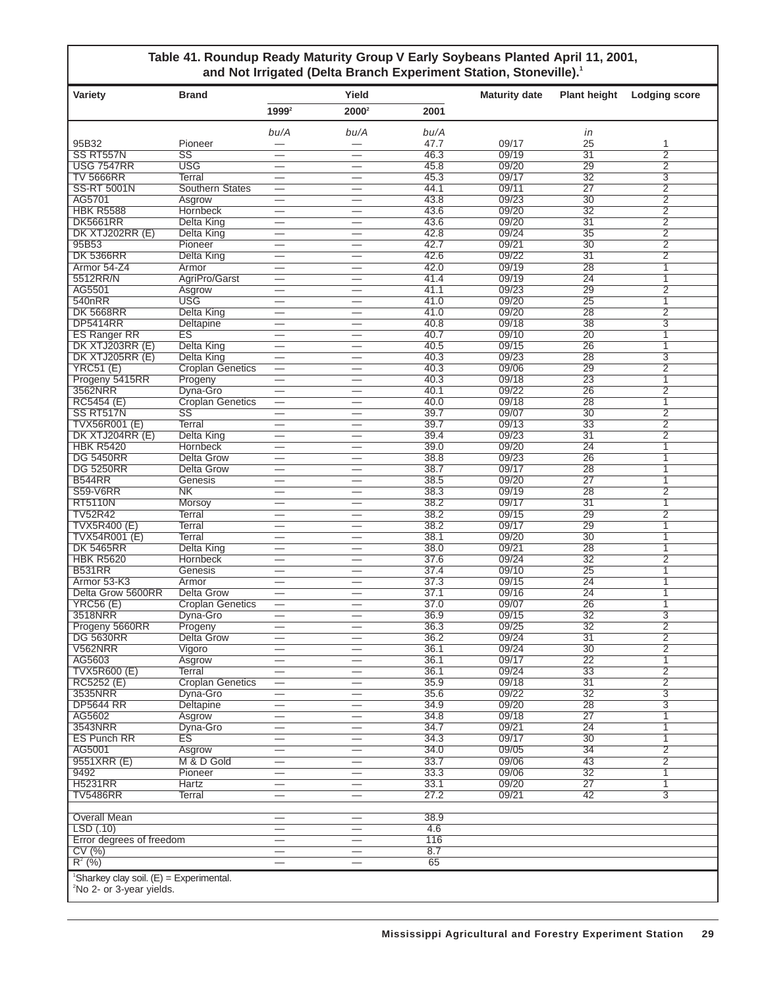#### **Table 41. Roundup Ready Maturity Group V Early Soybeans Planted April 11, 2001,** and Not Irrigated (Delta Branch Experiment Station, Stoneville).<sup>1</sup>

| Variety                                                                                       | <b>Brand</b>                    |                                                      | Yield                          |              | <b>Maturity date</b> | <b>Plant height</b>                | Lodging score       |
|-----------------------------------------------------------------------------------------------|---------------------------------|------------------------------------------------------|--------------------------------|--------------|----------------------|------------------------------------|---------------------|
|                                                                                               |                                 | 1999 <sup>2</sup>                                    | 2000 <sup>2</sup>              | 2001         |                      |                                    |                     |
|                                                                                               |                                 | bu/A                                                 | bu/A                           | bu/A         |                      | in                                 |                     |
| 95B32                                                                                         | Pioneer                         |                                                      |                                | 47.7         | 09/17                | 25                                 | 1                   |
| SS RT557N                                                                                     | $\overline{\text{SS}}$          | $\overline{\phantom{0}}$                             | $\overline{\phantom{0}}$       | 46.3         | 09/19                | $\overline{31}$                    | $\overline{2}$      |
| <b>USG 7547RR</b><br><b>TV 5666RR</b>                                                         | <b>USG</b><br>Terral            | —                                                    |                                | 45.8<br>45.3 | 09/20<br>09/17       | 29<br>$\overline{32}$              | $\overline{2}$<br>3 |
| <b>SS-RT 5001N</b>                                                                            | <b>Southern States</b>          | $\overline{\phantom{0}}$<br>$\overline{\phantom{0}}$ | $\overline{\phantom{0}}$       | 44.1         | 09/11                | $\overline{27}$                    | $\overline{2}$      |
| AG5701                                                                                        | Asgrow                          | $\overline{\phantom{0}}$                             |                                | 43.8         | 09/23                | $\overline{30}$                    | $\overline{2}$      |
| <b>HBK R5588</b>                                                                              | Hornbeck                        | $\overline{\phantom{0}}$                             | $\overline{\phantom{0}}$       | 43.6         | 09/20                | $\overline{32}$                    | $\overline{2}$      |
| <b>DK5661RR</b>                                                                               | <b>Delta King</b>               | $\overline{\phantom{0}}$                             |                                | 43.6         | 09/20                | $\overline{31}$                    | $\overline{2}$      |
| DK XTJ202RR (E)                                                                               | <b>Delta King</b>               | $\overline{\phantom{0}}$                             |                                | 42.8         | 09/24                | $\overline{35}$                    | $\overline{2}$      |
| 95B53                                                                                         | Pioneer                         | $\overline{\phantom{0}}$                             | $\overline{\phantom{0}}$       | 42.7         | 09/21                | $\overline{30}$                    | $\overline{2}$      |
| <b>DK 5366RR</b><br>Armor 54-Z4                                                               | <b>Delta King</b><br>Armor      | $\overline{\phantom{0}}$<br>$\overline{\phantom{0}}$ | $\overline{\phantom{0}}$       | 42.6<br>42.0 | 09/22<br>09/19       | $\overline{31}$<br>$\overline{28}$ | $\overline{2}$<br>1 |
| 5512RR/N                                                                                      | AgriPro/Garst                   | $\overline{\phantom{0}}$                             |                                | 41.4         | 09/19                | $\overline{24}$                    | 1                   |
| AG5501                                                                                        | Asgrow                          | $\overline{\phantom{0}}$                             |                                | 41.1         | 09/23                | 29                                 | $\overline{2}$      |
| 540nRR                                                                                        | USG                             | $\overline{\phantom{0}}$                             |                                | 41.0         | 09/20                | $\overline{25}$                    | 1                   |
| <b>DK 5668RR</b>                                                                              | <b>Delta King</b>               | $\overline{\phantom{0}}$                             |                                | 41.0         | 09/20                | 28                                 | $\overline{2}$      |
| <b>DP5414RR</b>                                                                               | Deltapine                       | $\overline{\phantom{0}}$                             |                                | 40.8         | 09/18                | $\overline{38}$                    | 3                   |
| <b>ES Ranger RR</b>                                                                           | $\overline{\text{ES}}$          | $\overline{\phantom{0}}$                             | $\overline{\phantom{0}}$       | 40.7         | 09/10                | $\overline{20}$<br>$\overline{26}$ | 1                   |
| DK XTJ203RR (E)<br>DK XTJ205RR (E)                                                            | <b>Delta King</b><br>Delta King | $\overline{\phantom{0}}$                             |                                | 40.5<br>40.3 | 09/15<br>09/23       | 28                                 | 1<br>3              |
| YRC51(E)                                                                                      | <b>Croplan Genetics</b>         | $\overline{\phantom{0}}$                             | $\overline{\phantom{0}}$       | 40.3         | 09/06                | 29                                 | $\overline{2}$      |
| Progeny 5415RR                                                                                | Progeny                         | $\overline{\phantom{0}}$                             |                                | 40.3         | 09/18                | $\overline{23}$                    | 1                   |
| 3562NRR                                                                                       | Dyna-Gro                        | $\overline{\phantom{0}}$                             |                                | 40.1         | 09/22                | $\overline{26}$                    | $\overline{2}$      |
| RC5454 (E)                                                                                    | <b>Croplan Genetics</b>         | $\overline{\phantom{0}}$                             | $\overline{\phantom{0}}$       | 40.0         | 09/18                | 28                                 | 1                   |
| SS RT517N                                                                                     | $\overline{\text{SS}}$          | $\overline{\phantom{0}}$                             |                                | 39.7         | 09/07                | $\overline{30}$                    | $\overline{2}$      |
| TVX56R001 (E)                                                                                 | Terral                          | $\overline{\phantom{0}}$                             | $\overline{\phantom{0}}$       | 39.7         | 09/13                | $\overline{33}$                    | $\overline{2}$      |
| DK XTJ204RR (E)<br><b>HBK R5420</b>                                                           | <b>Delta King</b><br>Hornbeck   | $\overline{\phantom{0}}$<br>$\overline{\phantom{0}}$ |                                | 39.4<br>39.0 | 09/23<br>09/20       | $\overline{31}$<br>$\overline{24}$ | $\overline{2}$<br>1 |
| <b>DG 5450RR</b>                                                                              | Delta Grow                      | $\overline{\phantom{0}}$                             | $\overline{\phantom{0}}$       | 38.8         | 09/23                | $\overline{26}$                    | 1                   |
| <b>DG 5250RR</b>                                                                              | Delta Grow                      | $\overline{\phantom{0}}$                             |                                | 38.7         | 09/17                | 28                                 | 1                   |
| <b>B544RR</b>                                                                                 | Genesis                         | $\overline{\phantom{0}}$                             |                                | 38.5         | 09/20                | $\overline{27}$                    | 1                   |
| <b>S59-V6RR</b>                                                                               | N <sub>K</sub>                  | $\overline{\phantom{0}}$                             | $\overline{\phantom{0}}$       | 38.3         | 09/19                | 28                                 | $\overline{2}$      |
| <b>RT5110N</b>                                                                                | Morsoy                          | $\overline{\phantom{0}}$                             |                                | 38.2         | 09/17                | $\overline{31}$                    | 1                   |
| <b>TV52R42</b>                                                                                | Terral                          | $\overline{\phantom{0}}$                             |                                | 38.2         | 09/15                | 29                                 | $\overline{2}$      |
| <b>TVX5R400 (E)</b><br>TVX54R001 (E)                                                          | Terral<br>Terral                | $\overline{\phantom{0}}$                             |                                | 38.2<br>38.1 | 09/17<br>09/20       | 29<br>$\overline{30}$              | 1<br>1              |
| <b>DK 5465RR</b>                                                                              | Delta King                      | $\overline{\phantom{0}}$                             |                                | 38.0         | 09/21                | 28                                 | 1                   |
| <b>HBK R5620</b>                                                                              | Hornbeck                        | $\overline{\phantom{0}}$                             | $\overline{\phantom{0}}$       | 37.6         | 09/24                | $\overline{32}$                    | $\overline{2}$      |
| <b>B531RR</b>                                                                                 | Genesis                         | $\overline{\phantom{0}}$                             |                                | 37.4         | 09/10                | $\overline{25}$                    | 1                   |
| Armor 53-K3                                                                                   | Armor                           | $\overline{\phantom{0}}$                             | $\overline{\phantom{0}}$       | 37.3         | 09/15                | $\overline{24}$                    | 1                   |
| Delta Grow 5600RR                                                                             | Delta Grow                      | $\overline{\phantom{0}}$                             |                                | 37.1         | 09/16                | $\overline{24}$                    | 1                   |
| <b>YRC56 (E)</b>                                                                              | <b>Croplan Genetics</b>         | $\overline{\phantom{0}}$                             |                                | 37.0         | 09/07                | 26                                 | 1                   |
| 3518NRR<br>Progeny 5660RR                                                                     | Dyna-Gro<br>Progeny             | $\overline{\phantom{0}}$                             | $\overline{\phantom{0}}$       | 36.9<br>36.3 | 09/15<br>09/25       | $\overline{32}$<br>$\overline{32}$ | 3<br>$\overline{2}$ |
| <b>DG 5630RR</b>                                                                              | Delta Grow                      | $\overline{\phantom{0}}$                             |                                | 36.2         | 09/24                | $\overline{31}$                    | $\overline{2}$      |
| V562NRR                                                                                       | Vigoro                          |                                                      |                                | 36.1         | 09/24                | $\overline{30}$                    | 2                   |
| AG5603                                                                                        | Asgrow                          | $\overline{\phantom{0}}$                             |                                | 36.1         | 09/17                | $\overline{22}$                    | $\mathbf{1}$        |
| <b>TVX5R600 (E)</b>                                                                           | Terral                          |                                                      |                                | 36.1         | 09/24                | $\overline{33}$                    | $\overline{2}$      |
| RC5252 (E)                                                                                    | <b>Croplan Genetics</b>         |                                                      |                                | 35.9         | 09/18                | $\overline{31}$                    | $\overline{2}$      |
| 3535NRR<br><b>DP5644 RR</b>                                                                   | Dyna-Gro                        | $\qquad \qquad \longleftarrow$                       |                                | 35.6         | 09/22                | $\overline{32}$                    | $\overline{3}$      |
| AG5602                                                                                        | Deltapine<br>Asgrow             |                                                      |                                | 34.9<br>34.8 | 09/20<br>09/18       | 28<br>$\overline{27}$              | 3<br>1              |
| 3543NRR                                                                                       | Dyna-Gro                        | $\overline{\phantom{0}}$                             | —                              | 34.7         | 09/21                | $\overline{24}$                    | 1                   |
| <b>ES Punch RR</b>                                                                            | ΈŜ                              |                                                      |                                | 34.3         | 09/17                | $\overline{30}$                    | $\mathbf{1}$        |
| AG5001                                                                                        | Asgrow                          | $\overline{\phantom{0}}$                             | $\qquad \qquad -$              | 34.0         | 09/05                | $\overline{34}$                    | $\overline{2}$      |
| 9551XRR (E)                                                                                   | M & D Gold                      | $\qquad \qquad \longleftarrow$                       |                                | 33.7         | 09/06                | 43                                 | $\overline{2}$      |
| 9492                                                                                          | Pioneer                         |                                                      |                                | 33.3         | 09/06                | 32                                 | $\mathbf{1}$        |
| <b>H5231RR</b>                                                                                | Hartz                           | $\qquad \qquad \longleftarrow$                       | $\qquad \qquad -$              | 33.1         | 09/20                | $\overline{27}$                    | $\mathbf{1}$        |
| <b>TV5486RR</b>                                                                               | <b>Terral</b>                   |                                                      |                                | 27.2         | 09/21                | 42                                 | $\overline{3}$      |
| Overall Mean                                                                                  |                                 | —                                                    | $\overline{\phantom{0}}$       | 38.9         |                      |                                    |                     |
| LSD(.10)                                                                                      |                                 |                                                      |                                | 4.6          |                      |                                    |                     |
| Error degrees of freedom                                                                      |                                 |                                                      |                                | 116          |                      |                                    |                     |
| CV(%)                                                                                         |                                 |                                                      | $\qquad \qquad \longleftarrow$ | 8.7          |                      |                                    |                     |
| $R^{2}$ (%)                                                                                   |                                 | $\overline{\phantom{0}}$                             |                                | 65           |                      |                                    |                     |
| <sup>1</sup> Sharkey clay soil. $(E) =$ Experimental.<br><sup>2</sup> No 2- or 3-year yields. |                                 |                                                      |                                |              |                      |                                    |                     |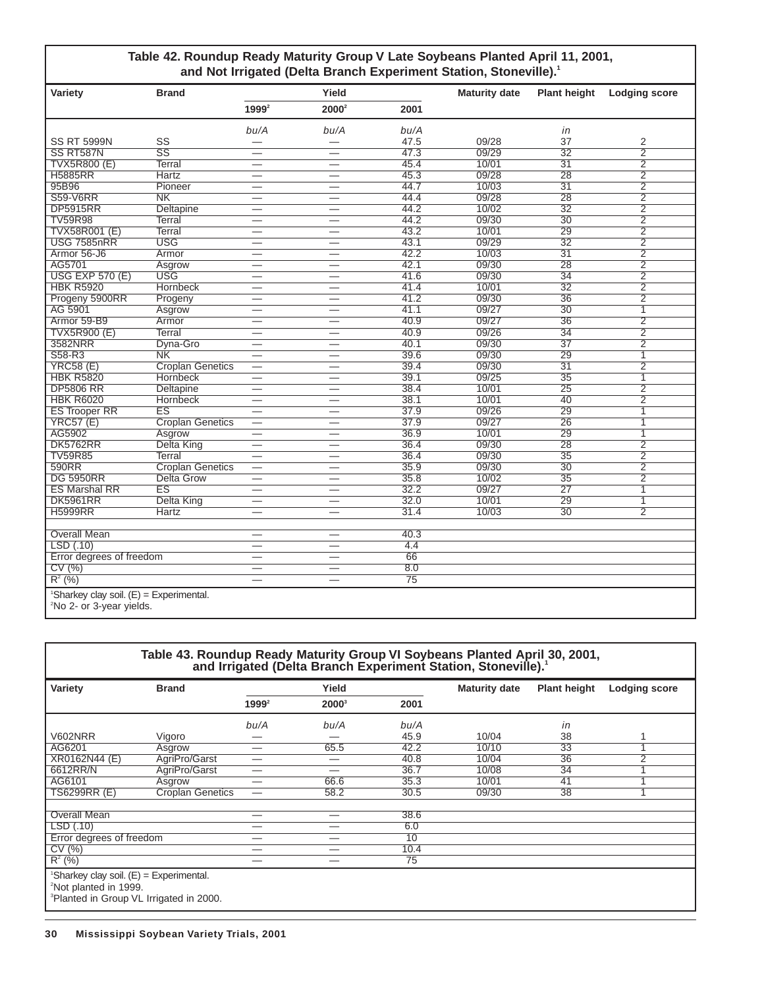#### **Table 42. Roundup Ready Maturity Group V Late Soybeans Planted April 11, 2001,** and Not Irrigated (Delta Branch Experiment Station, Stoneville).<sup>1</sup>

| Variety                                               | <b>Brand</b>            |                          | Yield                            |                 | <b>Maturity date</b> | <b>Plant height</b> | <b>Lodging score</b> |
|-------------------------------------------------------|-------------------------|--------------------------|----------------------------------|-----------------|----------------------|---------------------|----------------------|
|                                                       |                         | $1999^2$                 | $2000^2$                         | 2001            |                      |                     |                      |
|                                                       |                         | bu/A                     | bu/A                             | bu/A            |                      | in                  |                      |
| <b>SS RT 5999N</b>                                    | SS                      | $\overline{\phantom{0}}$ |                                  | 47.5            | 09/28                | 37                  | 2                    |
| SS RT587N                                             | $\overline{\text{SS}}$  | $\overline{\phantom{0}}$ | $\overbrace{\phantom{12322111}}$ | 47.3            | 09/29                | $\overline{32}$     | $\overline{2}$       |
| <b>TVX5R800 (E)</b>                                   | <b>Terral</b>           | $\overline{\phantom{0}}$ | $\overline{\phantom{0}}$         | 45.4            | 10/01                | $\overline{31}$     | $\overline{2}$       |
| <b>H5885RR</b>                                        | Hartz                   | $\overline{\phantom{0}}$ |                                  | 45.3            | 09/28                | 28                  | $\overline{2}$       |
| 95B96                                                 | Pioneer                 | $\overline{\phantom{0}}$ |                                  | 44.7            | 10/03                | $\overline{31}$     | $\overline{2}$       |
| <b>S59-V6RR</b>                                       | N <sub>K</sub>          | $\overline{\phantom{0}}$ |                                  | 44.4            | 09/28                | 28                  | $\overline{2}$       |
| <b>DP5915RR</b>                                       | <b>Deltapine</b>        | —                        | $\hspace{0.05cm}$                | 44.2            | 10/02                | $\overline{32}$     | $\overline{2}$       |
| <b>TV59R98</b>                                        | Terral                  | —                        |                                  | 44.2            | 09/30                | $\overline{30}$     | $\overline{2}$       |
| <b>TVX58R001 (E)</b>                                  | <b>Terral</b>           |                          |                                  | 43.2            | 10/01                | 29                  | $\overline{2}$       |
| <b>USG 7585nRR</b>                                    | <b>USG</b>              | $\overline{\phantom{0}}$ | $\overline{\phantom{0}}$         | 43.1            | 09/29                | $\overline{32}$     | $\overline{2}$       |
| Armor 56-J6                                           | Armor                   | $\overline{\phantom{0}}$ |                                  | 42.2            | 10/03                | $\overline{31}$     | $\overline{2}$       |
| AG5701                                                | Asgrow                  |                          |                                  | 42.1            | 09/30                | 28                  | $\overline{2}$       |
| <b>USG EXP 570 (E)</b>                                | <b>USG</b>              | —                        | $\overbrace{\phantom{12322111}}$ | 41.6            | 09/30                | $\overline{34}$     | $\overline{2}$       |
| <b>HBK R5920</b>                                      | <b>Hornbeck</b>         | $\overline{\phantom{0}}$ |                                  | 41.4            | 10/01                | $\overline{32}$     | $\overline{2}$       |
| Progeny 5900RR                                        | Progeny                 |                          |                                  | 41.2            | 09/30                | 36                  | $\overline{2}$       |
| AG 5901                                               | Asgrow                  | $\overline{\phantom{0}}$ |                                  | 41.1            | 09/27                | $\overline{30}$     | $\overline{1}$       |
| Armor 59-B9                                           | Armor                   | $\overline{\phantom{0}}$ |                                  | 40.9            | 09/27                | 36                  | $\overline{2}$       |
| <b>TVX5R900 (E)</b>                                   | <b>Terral</b>           | $\overline{\phantom{0}}$ |                                  | 40.9            | 09/26                | $\overline{34}$     | $\overline{2}$       |
| 3582NRR                                               | Dyna-Gro                | $\overline{\phantom{0}}$ | $\overline{\phantom{0}}$         | 40.1            | 09/30                | $\overline{37}$     | $\overline{2}$       |
| S58-R3                                                | N <sub>K</sub>          | $\overline{\phantom{0}}$ | $\overline{\phantom{0}}$         | 39.6            | 09/30                | 29                  | $\overline{1}$       |
| <b>YRC58 (E)</b>                                      | <b>Croplan Genetics</b> | $\overline{\phantom{0}}$ |                                  | 39.4            | 09/30                | $\overline{31}$     | $\overline{2}$       |
| <b>HBK R5820</b>                                      | Hornbeck                | $\overline{\phantom{0}}$ |                                  | 39.1            | 09/25                | 35                  | $\overline{1}$       |
| <b>DP5806 RR</b>                                      | Deltapine               | $\overline{\phantom{0}}$ |                                  | 38.4            | 10/01                | 25                  | $\overline{2}$       |
| <b>HBK R6020</b>                                      | <b>Hornbeck</b>         | $\overline{\phantom{0}}$ |                                  | 38.1            | 10/01                | 40                  | $\overline{2}$       |
| <b>ES Trooper RR</b>                                  | ES                      | $\overline{\phantom{0}}$ | $\overline{\phantom{0}}$         | 37.9            | 09/26                | 29                  | $\overline{1}$       |
| <b>YRC57 (E)</b>                                      | <b>Croplan Genetics</b> | $\overline{\phantom{0}}$ | $\overline{\phantom{0}}$         | 37.9            | 09/27                | 26                  | 1                    |
| AG5902                                                | Asgrow                  |                          |                                  | 36.9            | 10/01                | 29                  | $\overline{1}$       |
| <b>DK5762RR</b>                                       | <b>Delta King</b>       | $\overline{\phantom{0}}$ |                                  | 36.4            | 09/30                | 28                  | $\overline{2}$       |
| <b>TV59R85</b>                                        | Terral                  | $\overline{\phantom{0}}$ |                                  | 36.4            | 09/30                | $\overline{35}$     | $\overline{2}$       |
| 590RR                                                 | <b>Croplan Genetics</b> | $\overline{\phantom{0}}$ | $\overline{\phantom{0}}$         | 35.9            | 09/30                | $\overline{30}$     | $\overline{2}$       |
| <b>DG 5950RR</b>                                      | <b>Delta Grow</b>       | $\overline{\phantom{0}}$ |                                  | 35.8            | 10/02                | 35                  | $\overline{2}$       |
| <b>ES Marshal RR</b>                                  | ES                      |                          |                                  | 32.2            | 09/27                | $\overline{27}$     | $\overline{1}$       |
| <b>DK5961RR</b>                                       | <b>Delta King</b>       | —                        |                                  | 32.0            | 10/01                | 29                  | 1                    |
| <b>H5999RR</b>                                        | Hartz                   |                          | $\overline{\phantom{0}}$         | 31.4            | 10/03                | $\overline{30}$     | $\overline{2}$       |
|                                                       |                         |                          |                                  |                 |                      |                     |                      |
| <b>Overall Mean</b>                                   |                         | $\overline{\phantom{0}}$ | $\hspace{0.1mm}-\hspace{0.1mm}$  | 40.3            |                      |                     |                      |
| LSD(.10)                                              |                         | $\overline{\phantom{0}}$ | $\overline{\phantom{0}}$         | 4.4             |                      |                     |                      |
| Error degrees of freedom                              |                         | —                        |                                  | 66              |                      |                     |                      |
| CV(%)                                                 |                         |                          |                                  | 8.0             |                      |                     |                      |
| $R^2$ (%)                                             |                         | —                        |                                  | $\overline{75}$ |                      |                     |                      |
| <sup>1</sup> Sharkey clay soil. $(E)$ = Experimental. |                         |                          |                                  |                 |                      |                     |                      |
| <sup>2</sup> No 2- or 3-year yields.                  |                         |                          |                                  |                 |                      |                     |                      |

| Table 43. Roundup Ready Maturity Group VI Soybeans Planted April 30, 2001,<br>and Irrigated (Delta Branch Experiment Station, Stoneville). <sup>1</sup> |                         |          |          |      |                      |                     |                      |  |  |
|---------------------------------------------------------------------------------------------------------------------------------------------------------|-------------------------|----------|----------|------|----------------------|---------------------|----------------------|--|--|
| Variety                                                                                                                                                 | <b>Brand</b>            |          | Yield    |      | <b>Maturity date</b> | <b>Plant height</b> | <b>Lodging score</b> |  |  |
|                                                                                                                                                         |                         | $1999^2$ | $2000^3$ | 2001 |                      |                     |                      |  |  |
|                                                                                                                                                         |                         | bu/A     | bu/A     | bu/A |                      | in                  |                      |  |  |
| <b>V602NRR</b>                                                                                                                                          | Vigoro                  |          |          | 45.9 | 10/04                | 38                  |                      |  |  |
| AG6201                                                                                                                                                  | Asgrow                  | --       | 65.5     | 42.2 | 10/10                | 33                  |                      |  |  |
| XR0162N44 (E)                                                                                                                                           | AgriPro/Garst           | –        |          | 40.8 | 10/04                | 36                  | $\overline{2}$       |  |  |
| 6612RR/N                                                                                                                                                | AgriPro/Garst           | —        | -        | 36.7 | 10/08                | $\overline{34}$     |                      |  |  |
| AG6101                                                                                                                                                  | Asgrow                  | —        | 66.6     | 35.3 | 10/01                | 41                  |                      |  |  |
| TS6299RR (E)                                                                                                                                            | <b>Croplan Genetics</b> | —        | 58.2     | 30.5 | 09/30                | 38                  |                      |  |  |
|                                                                                                                                                         |                         |          |          |      |                      |                     |                      |  |  |
| Overall Mean                                                                                                                                            |                         | --       | _        | 38.6 |                      |                     |                      |  |  |
| LSD(0.10)                                                                                                                                               |                         | —        | —        | 6.0  |                      |                     |                      |  |  |
| Error degrees of freedom                                                                                                                                |                         | —        |          | 10   |                      |                     |                      |  |  |
| CV(%)                                                                                                                                                   |                         | —        |          | 10.4 |                      |                     |                      |  |  |
| $R^2$ (%)                                                                                                                                               |                         | –        | –        | 75   |                      |                     |                      |  |  |
| Sharkey clay soil. (E) = Experimental.<br><sup>2</sup> Not planted in 1999.<br><sup>3</sup> Planted in Group VL Irrigated in 2000.                      |                         |          |          |      |                      |                     |                      |  |  |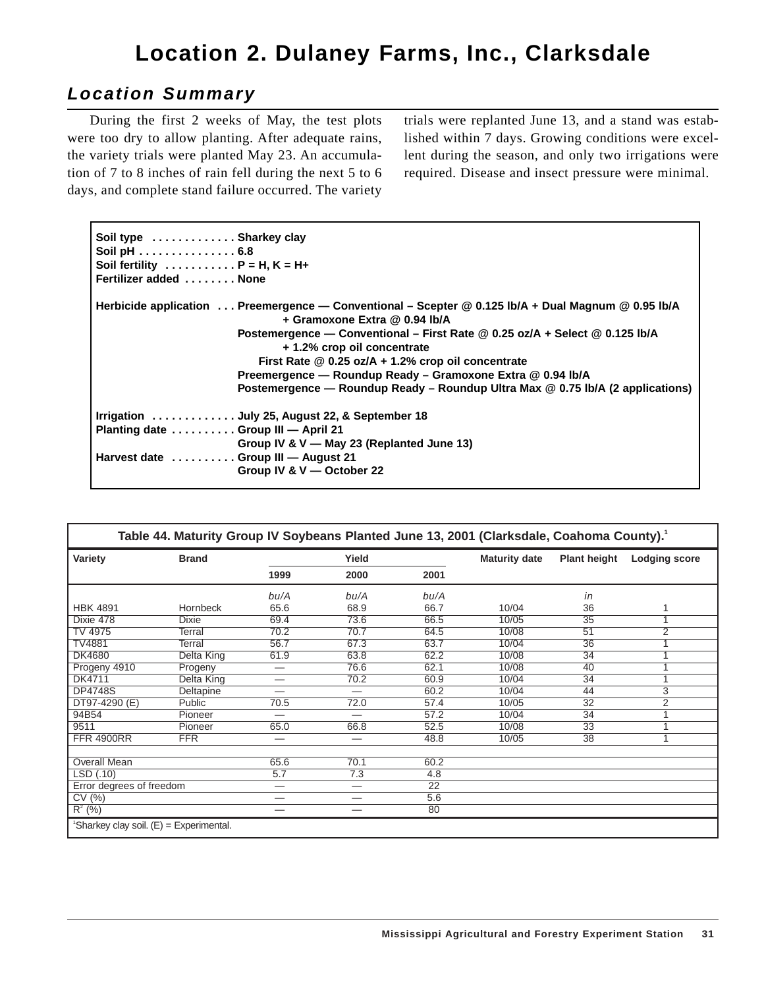## **Location 2. Dulaney Farms, Inc., Clarksdale**

## **Location Summary**

During the first 2 weeks of May, the test plots were too dry to allow planting. After adequate rains, the variety trials were planted May 23. An accumulation of 7 to 8 inches of rain fell during the next 5 to 6 days, and complete stand failure occurred. The variety

trials were replanted June 13, and a stand was established within 7 days. Growing conditions were excellent during the season, and only two irrigations were required. Disease and insect pressure were minimal.

| Soil type  Sharkey clay<br>Soil pH $\ldots$ 6.8<br>Soil fertility $\dots \dots \dots P = H$ , $K = H+$<br>Fertilizer added  None |                                                                                                                                                                                                                                                                                                                                                                                                                                                          |
|----------------------------------------------------------------------------------------------------------------------------------|----------------------------------------------------------------------------------------------------------------------------------------------------------------------------------------------------------------------------------------------------------------------------------------------------------------------------------------------------------------------------------------------------------------------------------------------------------|
|                                                                                                                                  | Herbicide application  Preemergence — Conventional – Scepter @ 0.125 lb/A + Dual Magnum @ 0.95 lb/A<br>+ Gramoxone Extra @ 0.94 lb/A<br>Postemergence — Conventional – First Rate @ 0.25 oz/A + Select @ 0.125 lb/A<br>+ 1.2% crop oil concentrate<br>First Rate @ 0.25 oz/A + 1.2% crop oil concentrate<br>Preemergence — Roundup Ready – Gramoxone Extra @ 0.94 lb/A<br>Postemergence — Roundup Ready – Roundup Ultra Max @ 0.75 lb/A (2 applications) |
| Planting date  Group III - April 21<br>Harvest date Group III - August 21                                                        | Irrigation  July 25, August 22, & September 18<br>Group IV & V - May 23 (Replanted June 13)<br>Group IV & V - October 22                                                                                                                                                                                                                                                                                                                                 |

| Table 44. Maturity Group IV Soybeans Planted June 13, 2001 (Clarksdale, Coahoma County). <sup>1</sup> |              |       |                          |                 |                      |                     |                      |  |  |
|-------------------------------------------------------------------------------------------------------|--------------|-------|--------------------------|-----------------|----------------------|---------------------|----------------------|--|--|
| Variety                                                                                               | <b>Brand</b> | Yield |                          |                 | <b>Maturity date</b> | <b>Plant height</b> | <b>Lodging score</b> |  |  |
|                                                                                                       |              | 1999  | 2000                     | 2001            |                      |                     |                      |  |  |
|                                                                                                       |              | bu/A  | bu/A                     | bu/A            |                      | in                  |                      |  |  |
| <b>HBK 4891</b>                                                                                       | Hornbeck     | 65.6  | 68.9                     | 66.7            | 10/04                | 36                  | 1                    |  |  |
| Dixie 478                                                                                             | <b>Dixie</b> | 69.4  | 73.6                     | 66.5            | 10/05                | 35                  |                      |  |  |
| TV 4975                                                                                               | Terral       | 70.2  | 70.7                     | 64.5            | 10/08                | 51                  | $\overline{2}$       |  |  |
| <b>TV4881</b>                                                                                         | Terral       | 56.7  | 67.3                     | 63.7            | 10/04                | $\overline{36}$     |                      |  |  |
| <b>DK4680</b>                                                                                         | Delta King   | 61.9  | 63.8                     | 62.2            | 10/08                | 34                  |                      |  |  |
| Progeny 4910                                                                                          | Progeny      | —     | 76.6                     | 62.1            | 10/08                | 40                  |                      |  |  |
| DK4711                                                                                                | Delta King   |       | 70.2                     | 60.9            | 10/04                | 34                  |                      |  |  |
| <b>DP4748S</b>                                                                                        | Deltapine    |       | —                        | 60.2            | 10/04                | 44                  | 3                    |  |  |
| DT97-4290 (E)                                                                                         | Public       | 70.5  | 72.0                     | 57.4            | 10/05                | 32                  | 2                    |  |  |
| 94B54                                                                                                 | Pioneer      | —     | $\overline{\phantom{0}}$ | 57.2            | 10/04                | $\overline{34}$     |                      |  |  |
| 9511                                                                                                  | Pioneer      | 65.0  | 66.8                     | 52.5            | 10/08                | 33                  |                      |  |  |
| <b>FFR 4900RR</b>                                                                                     | <b>FFR</b>   | —     | --                       | 48.8            | 10/05                | 38                  | 1                    |  |  |
|                                                                                                       |              |       |                          |                 |                      |                     |                      |  |  |
| Overall Mean                                                                                          |              | 65.6  | 70.1                     | 60.2            |                      |                     |                      |  |  |
| LSD(.10)                                                                                              |              | 5.7   | $\overline{7.3}$         | 4.8             |                      |                     |                      |  |  |
| Error degrees of freedom                                                                              |              | —     |                          | $\overline{22}$ |                      |                     |                      |  |  |
| CV(%)                                                                                                 |              |       | —                        | 5.6             |                      |                     |                      |  |  |
| $R^{2}(%)$                                                                                            |              |       | --                       | 80              |                      |                     |                      |  |  |
| 'Sharkey clay soil. (E) = Experimental.                                                               |              |       |                          |                 |                      |                     |                      |  |  |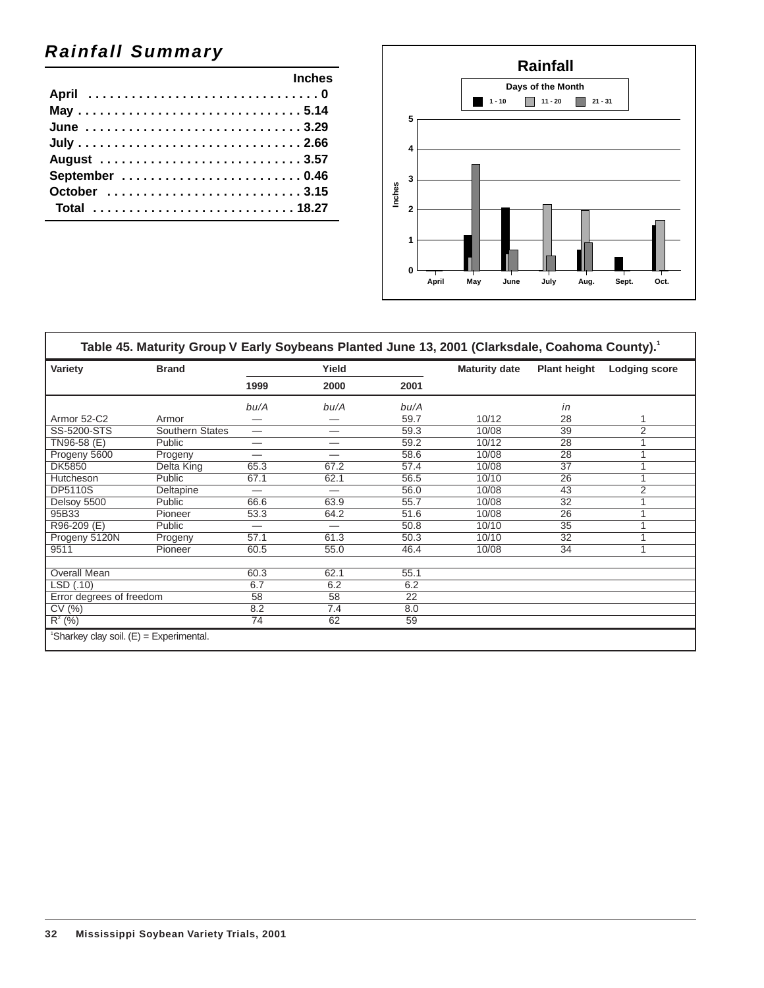## **Rainfall Summary**

| <b>Example 2019 Inches</b> |  |
|----------------------------|--|
|                            |  |
| May 5.14                   |  |
| June 3.29                  |  |
|                            |  |
|                            |  |
|                            |  |
|                            |  |
| Total 18.27                |  |



| Table 45. Maturity Group V Early Soybeans Planted June 13, 2001 (Clarksdale, Coahoma County). <sup>1</sup> |                 |                                |      |                 |                      |                     |                      |
|------------------------------------------------------------------------------------------------------------|-----------------|--------------------------------|------|-----------------|----------------------|---------------------|----------------------|
| Variety                                                                                                    | <b>Brand</b>    | Yield                          |      |                 | <b>Maturity date</b> | <b>Plant height</b> | <b>Lodging score</b> |
|                                                                                                            |                 | 1999                           | 2000 | 2001            |                      |                     |                      |
|                                                                                                            |                 | bu/A                           | bu/A | bu/A            |                      | in                  |                      |
| Armor 52-C2                                                                                                | Armor           |                                |      | 59.7            | 10/12                | 28                  |                      |
| SS-5200-STS                                                                                                | Southern States | —                              | –    | 59.3            | 10/08                | $\overline{39}$     | 2                    |
| TN96-58 (E)                                                                                                | Public          | —                              | —    | 59.2            | 10/12                | 28                  |                      |
| Progeny 5600                                                                                               | Progeny         | $\qquad \qquad \longleftarrow$ | —    | 58.6            | 10/08                | 28                  |                      |
| <b>DK5850</b>                                                                                              | Delta King      | 65.3                           | 67.2 | 57.4            | 10/08                | $\overline{37}$     |                      |
| Hutcheson                                                                                                  | Public          | 67.1                           | 62.1 | 56.5            | 10/10                | 26                  |                      |
| <b>DP5110S</b>                                                                                             | Deltapine       | $\overline{\phantom{0}}$       | —    | 56.0            | 10/08                | 43                  | $\overline{2}$       |
| Delsoy 5500                                                                                                | Public          | 66.6                           | 63.9 | 55.7            | 10/08                | $\overline{32}$     |                      |
| 95B33                                                                                                      | Pioneer         | 53.3                           | 64.2 | 51.6            | 10/08                | 26                  |                      |
| R96-209 (E)                                                                                                | Public          | $\overline{\phantom{0}}$       | --   | 50.8            | 10/10                | $\overline{35}$     |                      |
| Progeny 5120N                                                                                              | Progeny         | 57.1                           | 61.3 | 50.3            | 10/10                | 32                  |                      |
| 9511                                                                                                       | Pioneer         | 60.5                           | 55.0 | 46.4            | 10/08                | 34                  |                      |
| Overall Mean                                                                                               |                 | 60.3                           | 62.1 | 55.1            |                      |                     |                      |
| LSD(0.10)                                                                                                  |                 | 6.7                            | 6.2  | 6.2             |                      |                     |                      |
| Error degrees of freedom                                                                                   |                 | 58                             | 58   | $\overline{22}$ |                      |                     |                      |
| CV(%)                                                                                                      |                 | 8.2                            | 7.4  | 8.0             |                      |                     |                      |
| $R^2$ (%)                                                                                                  |                 | 74                             | 62   | 59              |                      |                     |                      |
| 'Sharkey clay soil. (E) = Experimental.                                                                    |                 |                                |      |                 |                      |                     |                      |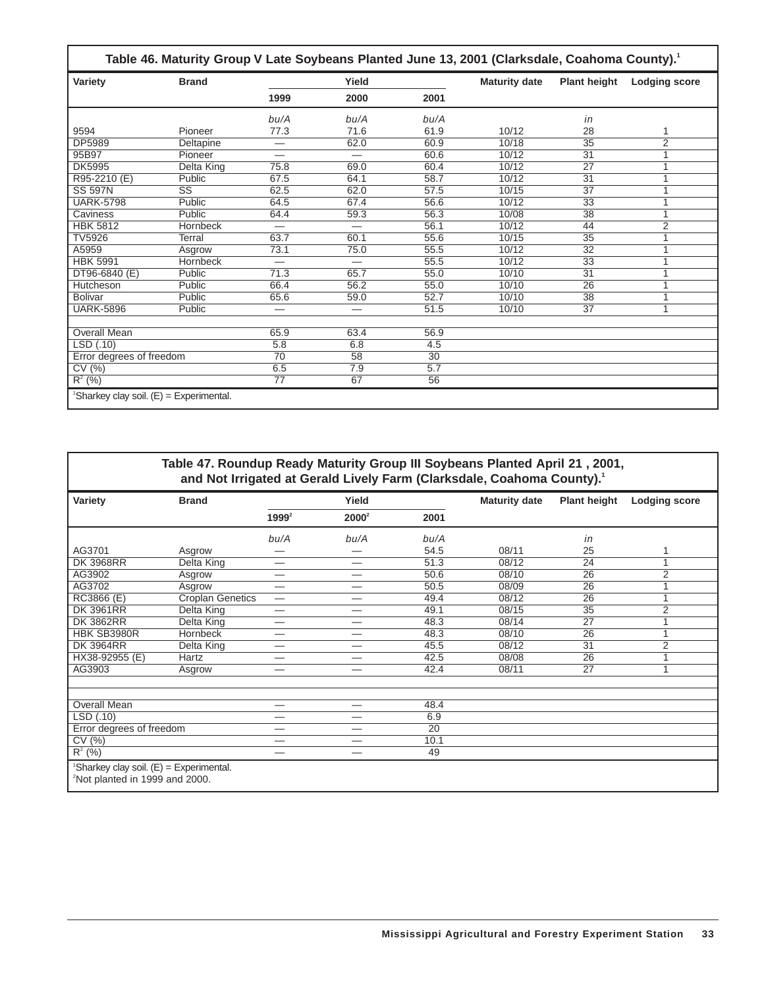| Table 46. Maturity Group V Late Soybeans Planted June 13, 2001 (Clarksdale, Coahoma County). <sup>1</sup> |                                           |                          |                          |                 |                      |                     |                      |  |  |
|-----------------------------------------------------------------------------------------------------------|-------------------------------------------|--------------------------|--------------------------|-----------------|----------------------|---------------------|----------------------|--|--|
| Variety                                                                                                   | <b>Brand</b>                              |                          | Yield                    |                 | <b>Maturity date</b> | <b>Plant height</b> | <b>Lodging score</b> |  |  |
|                                                                                                           |                                           | 1999                     | 2000                     | 2001            |                      |                     |                      |  |  |
|                                                                                                           |                                           | bu/A                     | bu/A                     | bu/A            |                      | in                  |                      |  |  |
| 9594                                                                                                      | Pioneer                                   | 77.3                     | 71.6                     | 61.9            | 10/12                | 28                  |                      |  |  |
| DP5989                                                                                                    | Deltapine                                 | —                        | 62.0                     | 60.9            | 10/18                | $\overline{35}$     | $\overline{2}$       |  |  |
| 95B97                                                                                                     | Pioneer                                   |                          |                          | 60.6            | 10/12                | $\overline{31}$     | 1                    |  |  |
| <b>DK5995</b>                                                                                             | Delta King                                | 75.8                     | 69.0                     | 60.4            | 10/12                | $\overline{27}$     |                      |  |  |
| R95-2210 (E)                                                                                              | Public                                    | 67.5                     | 64.1                     | 58.7            | 10/12                | $\overline{31}$     | 1                    |  |  |
| <b>SS 597N</b>                                                                                            | $\overline{\text{SS}}$                    | 62.5                     | 62.0                     | 57.5            | 10/15                | $\overline{37}$     | 1                    |  |  |
| <b>UARK-5798</b>                                                                                          | Public                                    | 64.5                     | 67.4                     | 56.6            | 10/12                | $\overline{33}$     | 1                    |  |  |
| Caviness                                                                                                  | Public                                    | 64.4                     | 59.3                     | 56.3            | 10/08                | $\overline{38}$     | 1                    |  |  |
| <b>HBK 5812</b>                                                                                           | <b>Hornbeck</b>                           | $\overline{\phantom{0}}$ |                          | 56.1            | 10/12                | 44                  | $\overline{2}$       |  |  |
| <b>TV5926</b>                                                                                             | Terral                                    | 63.7                     | 60.1                     | 55.6            | 10/15                | $\overline{35}$     | 1                    |  |  |
| A5959                                                                                                     | Asgrow                                    | 73.1                     | 75.0                     | 55.5            | 10/12                | $\overline{32}$     | 1                    |  |  |
| <b>HBK 5991</b>                                                                                           | <b>Hornbeck</b>                           | $\overline{\phantom{0}}$ | $\overline{\phantom{0}}$ | 55.5            | 10/12                | $\overline{33}$     |                      |  |  |
| DT96-6840 (E)                                                                                             | Public                                    | 71.3                     | 65.7                     | 55.0            | 10/10                | 31                  | 1                    |  |  |
| Hutcheson                                                                                                 | Public                                    | 66.4                     | 56.2                     | 55.0            | 10/10                | 26                  | 1                    |  |  |
| <b>Bolivar</b>                                                                                            | Public                                    | 65.6                     | 59.0                     | 52.7            | 10/10                | $\overline{38}$     |                      |  |  |
| <b>UARK-5896</b>                                                                                          | Public                                    | $\overline{\phantom{0}}$ |                          | 51.5            | 10/10                | $\overline{37}$     | 1                    |  |  |
|                                                                                                           |                                           |                          |                          |                 |                      |                     |                      |  |  |
| <b>Overall Mean</b>                                                                                       |                                           | 65.9                     | 63.4                     | 56.9            |                      |                     |                      |  |  |
| LSD(.10)                                                                                                  |                                           | 5.8                      | 6.8                      | 4.5             |                      |                     |                      |  |  |
| Error degrees of freedom                                                                                  |                                           | 70                       | 58                       | $\overline{30}$ |                      |                     |                      |  |  |
| CV(%)                                                                                                     |                                           | 6.5                      | 7.9                      | 5.7             |                      |                     |                      |  |  |
| $R^2(%)$                                                                                                  |                                           | 77                       | 67                       | 56              |                      |                     |                      |  |  |
|                                                                                                           | 'Sharkey clay soil. $(E)$ = Experimental. |                          |                          |                 |                      |                     |                      |  |  |

|                                                                                                     | Table 47. Roundup Ready Maturity Group III Soybeans Planted April 21, 2001, |          |          |                 | and Not Irrigated at Gerald Lively Farm (Clarksdale, Coahoma County). <sup>1</sup> |                     |                      |
|-----------------------------------------------------------------------------------------------------|-----------------------------------------------------------------------------|----------|----------|-----------------|------------------------------------------------------------------------------------|---------------------|----------------------|
| Variety                                                                                             | <b>Brand</b>                                                                |          | Yield    |                 | <b>Maturity date</b>                                                               | <b>Plant height</b> | <b>Lodging score</b> |
|                                                                                                     |                                                                             | $1999^2$ | $2000^2$ | 2001            |                                                                                    |                     |                      |
|                                                                                                     |                                                                             | bu/A     | bu/A     | bu/A            |                                                                                    | in                  |                      |
| AG3701                                                                                              | Asgrow                                                                      |          |          | 54.5            | 08/11                                                                              | 25                  |                      |
| <b>DK 3968RR</b>                                                                                    | Delta King                                                                  | -        |          | 51.3            | 08/12                                                                              | 24                  | $\overline{1}$       |
| AG3902                                                                                              | Asgrow                                                                      |          |          | 50.6            | 08/10                                                                              | $\overline{26}$     | $\overline{2}$       |
| AG3702                                                                                              | Asgrow                                                                      | —        |          | 50.5            | 08/09                                                                              | $\overline{26}$     |                      |
| RC3866 (E)                                                                                          | <b>Croplan Genetics</b>                                                     | —        |          | 49.4            | 08/12                                                                              | 26                  | 1                    |
| <b>DK 3961RR</b>                                                                                    | Delta King                                                                  |          |          | 49.1            | 08/15                                                                              | $\overline{35}$     | 2                    |
| <b>DK 3862RR</b>                                                                                    | Delta King                                                                  | —        |          | 48.3            | 08/14                                                                              | $\overline{27}$     |                      |
| HBK SB3980R                                                                                         | Hornbeck                                                                    |          |          | 48.3            | 08/10                                                                              | $\overline{26}$     | $\overline{1}$       |
| <b>DK 3964RR</b>                                                                                    | Delta King                                                                  |          |          | 45.5            | 08/12                                                                              | $\overline{31}$     | 2                    |
| HX38-92955 (E)                                                                                      | Hartz                                                                       |          |          | 42.5            | 08/08                                                                              | 26                  |                      |
| AG3903                                                                                              | Asgrow                                                                      |          |          | 42.4            | 08/11                                                                              | $\overline{27}$     | $\mathbf{1}$         |
| <b>Overall Mean</b>                                                                                 |                                                                             |          |          | 48.4            |                                                                                    |                     |                      |
| LSD(.10)                                                                                            |                                                                             |          |          | 6.9             |                                                                                    |                     |                      |
| Error degrees of freedom                                                                            |                                                                             | –        | —        | $\overline{20}$ |                                                                                    |                     |                      |
| CV(%)                                                                                               |                                                                             | —        |          | 10.1            |                                                                                    |                     |                      |
| $R^2$ (%)                                                                                           |                                                                             |          |          | 49              |                                                                                    |                     |                      |
| <sup>1</sup> Sharkey clay soil. $(E)$ = Experimental.<br><sup>2</sup> Not planted in 1999 and 2000. |                                                                             |          |          |                 |                                                                                    |                     |                      |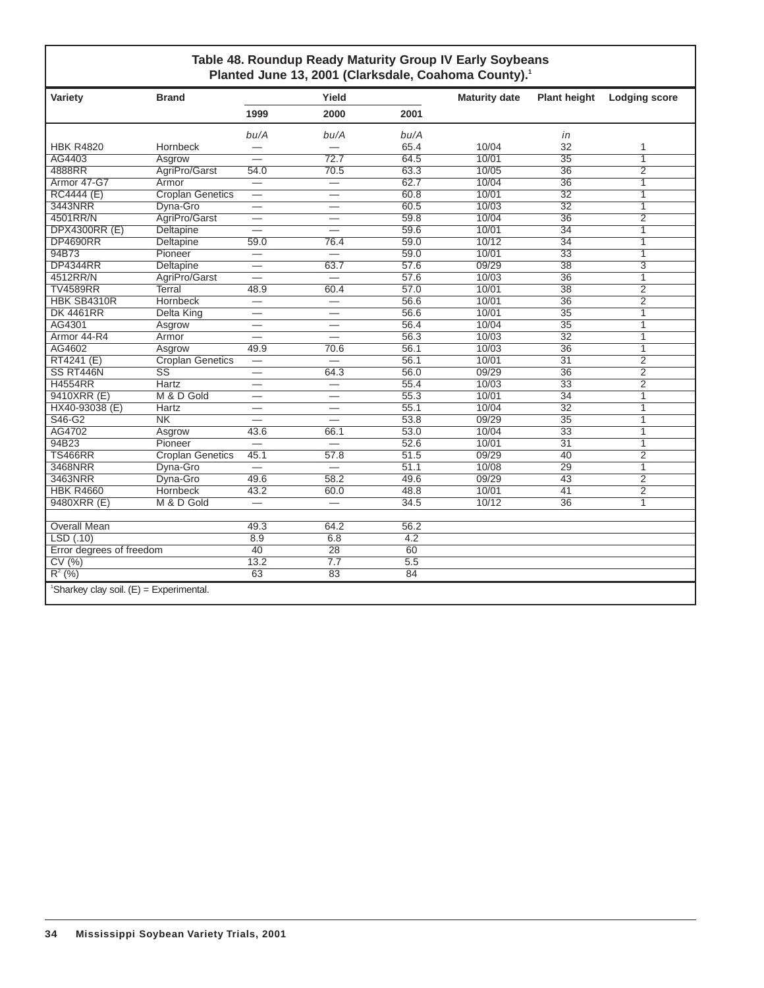### **Table 48. Roundup Ready Maturity Group IV Early Soybeans** Planted June 13, 2001 (Clarksdale, Coahoma County).<sup>1</sup>

| Variety                                               | <b>Brand</b>            |                          | Yield                    |                  | <b>Maturity date</b> | <b>Plant height</b> | <b>Lodging score</b> |
|-------------------------------------------------------|-------------------------|--------------------------|--------------------------|------------------|----------------------|---------------------|----------------------|
|                                                       |                         | 1999                     | 2000                     | 2001             |                      |                     |                      |
|                                                       |                         | bu/A                     | bu/A                     | bu/A             |                      | in                  |                      |
| <b>HBK R4820</b>                                      | Hornbeck                |                          |                          | 65.4             | 10/04                | 32                  | 1                    |
| AG4403                                                | Asgrow                  |                          | 72.7                     | 64.5             | 10/01                | $\overline{35}$     | $\overline{1}$       |
| 4888RR                                                | AgriPro/Garst           | 54.0                     | 70.5                     | 63.3             | 10/05                | $\overline{36}$     | $\overline{2}$       |
| Armor 47-G7                                           | Armor                   | $\overline{\phantom{0}}$ | $\overline{\phantom{0}}$ | 62.7             | 10/04                | $\overline{36}$     | 1                    |
| <b>RC4444 (E)</b>                                     | <b>Croplan Genetics</b> | $\overline{\phantom{0}}$ | $\overline{\phantom{0}}$ | 60.8             | 10/01                | $\overline{32}$     | 1                    |
| 3443NRR                                               | Dyna-Gro                | $\overline{\phantom{0}}$ | $\overline{\phantom{0}}$ | 60.5             | 10/03                | $\overline{32}$     | 1                    |
| 4501RR/N                                              | AgriPro/Garst           |                          | $\overline{\phantom{0}}$ | 59.8             | 10/04                | $\overline{36}$     | $\overline{2}$       |
| <b>DPX4300RR (E)</b>                                  | <b>Deltapine</b>        | $\overline{\phantom{0}}$ |                          | 59.6             | 10/01                | $\overline{34}$     | 1                    |
| <b>DP4690RR</b>                                       | <b>Deltapine</b>        | 59.0                     | 76.4                     | 59.0             | 10/12                | $\overline{34}$     | $\overline{1}$       |
| 94B73                                                 | Pioneer                 | $\equiv$                 |                          | 59.0             | 10/01                | $\overline{33}$     | $\overline{1}$       |
| <b>DP4344RR</b>                                       | Deltapine               | $\overline{\phantom{0}}$ | 63.7                     | 57.6             | 09/29                | 38                  | 3                    |
| 4512RR/N                                              | AgriPro/Garst           |                          | $\overline{\phantom{0}}$ | 57.6             | 10/03                | $\overline{36}$     | 1                    |
| <b>TV4589RR</b>                                       | <b>Terral</b>           | 48.9                     | 60.4                     | 57.0             | 10/01                | $\overline{38}$     | $\overline{2}$       |
| HBK SB4310R                                           | Hornbeck                | $\equiv$                 | $\overline{\phantom{0}}$ | 56.6             | 10/01                | $\overline{36}$     | $\overline{2}$       |
| <b>DK 4461RR</b>                                      | <b>Delta King</b>       | $\overline{\phantom{0}}$ | $\overline{\phantom{0}}$ | 56.6             | 10/01                | $\overline{35}$     | 1                    |
| AG4301                                                | Asgrow                  | —                        | $\overline{\phantom{0}}$ | 56.4             | 10/04                | 35                  | 1                    |
| Armor 44-R4                                           | Armor                   |                          |                          | 56.3             | 10/03                | $\overline{32}$     | 1                    |
| AG4602                                                | Asgrow                  | 49.9                     | 70.6                     | 56.1             | 10/03                | $\overline{36}$     | 1                    |
| RT4241 (E)                                            | <b>Croplan Genetics</b> |                          |                          | 56.1             | 10/01                | $\overline{31}$     | $\overline{2}$       |
| SS RT446N                                             | $\overline{\text{SS}}$  |                          | 64.3                     | 56.0             | 09/29                | $\overline{36}$     | $\overline{2}$       |
| <b>H4554RR</b>                                        | <b>Hartz</b>            |                          | $\overline{\phantom{0}}$ | 55.4             | 10/03                | $\overline{33}$     | $\overline{2}$       |
| 9410XRR (E)                                           | M & D Gold              |                          | $\overline{\phantom{0}}$ | 55.3             | 10/01                | $\overline{34}$     | 1                    |
| HX40-93038 (E)                                        | <b>Hartz</b>            |                          |                          | 55.1             | 10/04                | $\overline{32}$     | 1                    |
| S46-G2                                                | N <sub>K</sub>          |                          |                          | 53.8             | 09/29                | $\overline{35}$     | 1                    |
| AG4702                                                | Asgrow                  | 43.6                     | 66.1                     | 53.0             | 10/04                | $\overline{33}$     | 1                    |
| 94B23                                                 | Pioneer                 | $\overline{\phantom{0}}$ |                          | 52.6             | 10/01                | $\overline{31}$     | $\overline{1}$       |
| <b>TS466RR</b>                                        | <b>Croplan Genetics</b> | 45.1                     | 57.8                     | 51.5             | 09/29                | 40                  | $\overline{2}$       |
| 3468NRR                                               | Dyna-Gro                | $\overline{\phantom{0}}$ | $\overline{\phantom{0}}$ | 51.1             | 10/08                | 29                  | $\overline{1}$       |
| 3463NRR                                               | Dyna-Gro                | 49.6                     | 58.2                     | 49.6             | 09/29                | $\overline{43}$     | $\overline{2}$       |
| <b>HBK R4660</b>                                      | <b>Hornbeck</b>         | 43.2                     | 60.0                     | 48.8             | 10/01                | 41                  | $\overline{2}$       |
| 9480XRR (E)                                           | M & D Gold              | $\overline{\phantom{0}}$ | $\overline{\phantom{0}}$ | 34.5             | 10/12                | $\overline{36}$     | 1                    |
|                                                       |                         |                          |                          |                  |                      |                     |                      |
| <b>Overall Mean</b>                                   |                         | 49.3                     | 64.2                     | 56.2             |                      |                     |                      |
| LSD(.10)                                              |                         | 8.9                      | 6.8                      | 4.2              |                      |                     |                      |
| Error degrees of freedom                              |                         | 40                       | $\overline{28}$          | 60               |                      |                     |                      |
| CV(%)                                                 |                         | 13.2                     | $\overline{7.7}$         | $\overline{5.5}$ |                      |                     |                      |
| $R^{2}$ (%)                                           |                         | 63                       | 83                       | 84               |                      |                     |                      |
| <sup>1</sup> Sharkey clay soil. $(E) =$ Experimental. |                         |                          |                          |                  |                      |                     |                      |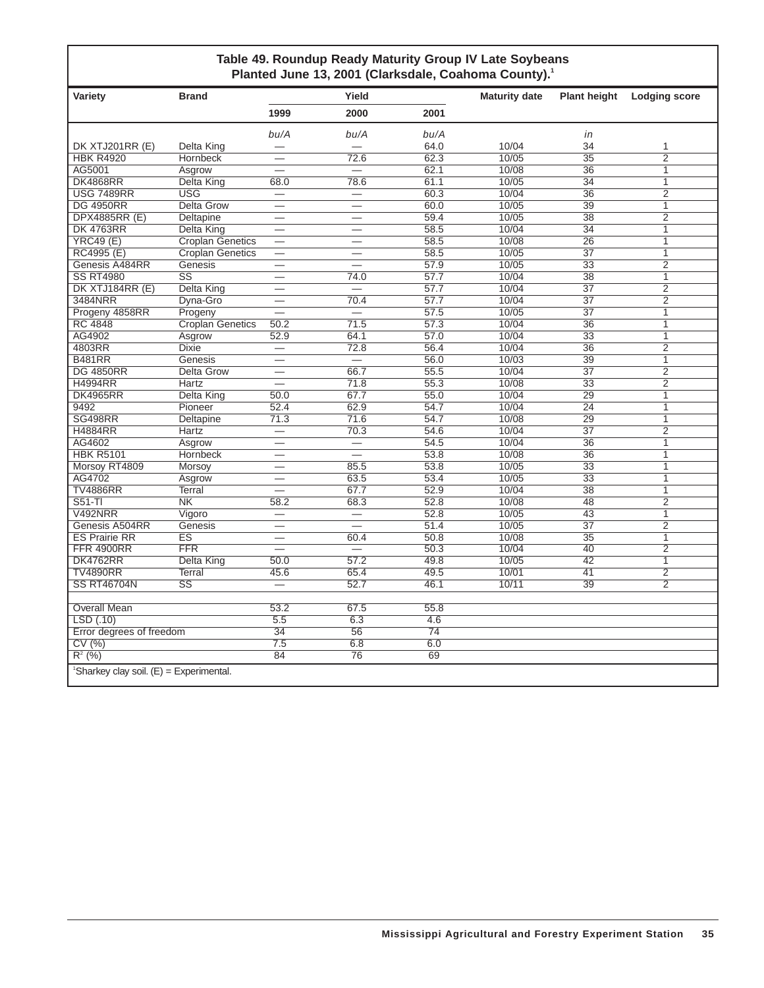### **Table 49. Roundup Ready Maturity Group IV Late Soybeans** Planted June 13, 2001 (Clarksdale, Coahoma County).<sup>1</sup>

| Variety                                               | <b>Brand</b>            |                          | Yield                    |                   | <b>Maturity date</b> | <b>Plant height</b> | <b>Lodging score</b>    |
|-------------------------------------------------------|-------------------------|--------------------------|--------------------------|-------------------|----------------------|---------------------|-------------------------|
|                                                       |                         | 1999                     | 2000                     | 2001              |                      |                     |                         |
|                                                       |                         | bu/A                     | bu/A                     | bu/A              |                      | in                  |                         |
| DK XTJ201RR (E)                                       | Delta King              |                          |                          | 64.0              | 10/04                | 34                  | 1                       |
| <b>HBK R4920</b>                                      | <b>Hornbeck</b>         |                          | 72.6                     | 62.3              | 10/05                | $\overline{35}$     | $\overline{2}$          |
| AG5001                                                | Asgrow                  |                          | $\equiv$                 | 62.1              | 10/08                | 36                  | $\overline{1}$          |
| <b>DK4868RR</b>                                       | <b>Delta King</b>       | 68.0                     | 78.6                     | 61.1              | 10/05                | 34                  | $\overline{1}$          |
| <b>USG 7489RR</b>                                     | <b>USG</b>              | $\overline{\phantom{0}}$ | $\equiv$                 | 60.3              | 10/04                | $\overline{36}$     | $\overline{2}$          |
| <b>DG 4950RR</b>                                      | <b>Delta Grow</b>       | $\overline{\phantom{0}}$ | $\equiv$                 | 60.0              | 10/05                | 39                  | $\overline{1}$          |
| <b>DPX4885RR (E)</b>                                  | Deltapine               | -                        |                          | 59.4              | 10/05                | $\overline{38}$     | $\overline{2}$          |
| <b>DK 4763RR</b>                                      | Delta King              | $\overline{\phantom{0}}$ | $\overline{\phantom{0}}$ | 58.5              | 10/04                | $\overline{34}$     | $\overline{1}$          |
| YRC49(E)                                              | <b>Croplan Genetics</b> |                          | $\overline{\phantom{0}}$ | 58.5              | 10/08                | $\overline{26}$     | $\mathbf{1}$            |
| RC4995 (E)                                            | <b>Croplan Genetics</b> |                          |                          | 58.5              | 10/05                | 37                  | $\overline{1}$          |
| Genesis A484RR                                        | Genesis                 |                          | $\equiv$                 | 57.9              | 10/05                | $\overline{33}$     | $\overline{2}$          |
| <b>SS RT4980</b>                                      | $\overline{\text{SS}}$  | —                        | 74.0                     | $\overline{57.7}$ | 10/04                | 38                  | $\overline{1}$          |
| DK XTJ184RR (E)                                       | <b>Delta King</b>       | $\overline{\phantom{0}}$ | $\equiv$                 | 57.7              | 10/04                | $\overline{37}$     | $\overline{2}$          |
| 3484NRR                                               | Dyna-Gro                | $\overline{\phantom{0}}$ | 70.4                     | 57.7              | 10/04                | $\overline{37}$     | $\overline{2}$          |
| Progeny 4858RR                                        | Progeny                 | $\overline{\phantom{0}}$ | $=$                      | 57.5              | 10/05                | $\overline{37}$     | 1                       |
| <b>RC 4848</b>                                        | Croplan Genetics        | 50.2                     | 71.5                     | 57.3              | 10/04                | $\overline{36}$     | $\overline{1}$          |
| AG4902                                                | Asgrow                  | 52.9                     | 64.1                     | 57.0              | 10/04                | $\overline{33}$     | $\overline{\mathbb{1}}$ |
| 4803RR                                                | <b>Dixie</b>            | $\overline{\phantom{0}}$ | 72.8                     | 56.4              | 10/04                | $\overline{36}$     | $\overline{2}$          |
| <b>B481RR</b>                                         | Genesis                 | $\overline{\phantom{0}}$ |                          | 56.0              | 10/03                | 39                  | $\overline{1}$          |
| <b>DG 4850RR</b>                                      | <b>Delta Grow</b>       |                          | 66.7                     | 55.5              | 10/04                | $\overline{37}$     | $\overline{2}$          |
| <b>H4994RR</b>                                        | Hartz                   |                          | 71.8                     | 55.3              | 10/08                | $\overline{33}$     | $\overline{2}$          |
| <b>DK4965RR</b>                                       | Delta King              | 50.0                     | 67.7                     | 55.0              | 10/04                | 29                  | $\overline{1}$          |
| 9492                                                  | Pioneer                 | 52.4                     | 62.9                     | 54.7              | 10/04                | $\overline{24}$     | 7                       |
| <b>SG498RR</b>                                        | Deltapine               | 71.3                     | 71.6                     | 54.7              | 10/08                | 29                  | $\mathbf{1}$            |
| <b>H4884RR</b>                                        | Hartz                   |                          | 70.3                     | 54.6              | 10/04                | $\overline{37}$     | $\overline{2}$          |
| AG4602                                                | Asgrow                  |                          | $\overline{\phantom{0}}$ | 54.5              | 10/04                | $\overline{36}$     | $\overline{1}$          |
| <b>HBK R5101</b>                                      | Hornbeck                | $\overline{\phantom{0}}$ | $\overline{\phantom{0}}$ | 53.8              | 10/08                | $\overline{36}$     | $\overline{1}$          |
| Morsoy RT4809                                         | Morsov                  |                          | 85.5                     | 53.8              | 10/05                | $\overline{33}$     | $\overline{1}$          |
| AG4702                                                | Asgrow                  | $\overline{\phantom{0}}$ | 63.5                     | 53.4              | 10/05                | $\overline{33}$     | 7                       |
| <b>TV4886RR</b>                                       | Terral                  |                          | 67.7                     | 52.9              | 10/04                | $\overline{38}$     | $\overline{1}$          |
| $S51-TI$                                              | $\overline{\text{NK}}$  | 58.2                     | 68.3                     | 52.8              | 10/08                | 48                  | $\overline{2}$          |
| V492NRR                                               | Vigoro                  |                          | $\equiv$                 | 52.8              | 10/05                | 43                  | $\overline{1}$          |
| Genesis A504RR                                        | Genesis                 | $\overline{\phantom{0}}$ | $\equiv$                 | 51.4              | 10/05                | 37                  | $\overline{2}$          |
| <b>ES Prairie RR</b>                                  | $\overline{\text{ES}}$  | $\overline{\phantom{0}}$ | 60.4                     | 50.8              | 10/08                | $\overline{35}$     | $\overline{1}$          |
| <b>FFR 4900RR</b>                                     | <b>FFR</b>              | $\overline{\phantom{0}}$ | $=$                      | 50.3              | 10/04                | 40                  | $\overline{2}$          |
| <b>DK4762RR</b>                                       | <b>Delta King</b>       | 50.0                     | 57.2                     | 49.8              | 10/05                | 42                  | $\mathbf{1}$            |
| <b>TV4890RR</b>                                       | <b>Terral</b>           | 45.6                     | 65.4                     | 49.5              | 10/01                | 41                  | $\overline{2}$          |
| <b>SS RT46704N</b>                                    | $\overline{\text{SS}}$  |                          | 52.7                     | 46.1              | 10/11                | $\overline{39}$     | $\overline{2}$          |
|                                                       |                         |                          |                          |                   |                      |                     |                         |
| <b>Overall Mean</b>                                   |                         | 53.2                     | 67.5                     | 55.8              |                      |                     |                         |
| LSD(.10)                                              |                         | $\overline{5.5}$         | 6.3                      | 4.6               |                      |                     |                         |
| Error degrees of freedom                              |                         | 34                       | 56                       | $\overline{74}$   |                      |                     |                         |
| CV(%)                                                 |                         | 7.5                      | 6.8                      | 6.0               |                      |                     |                         |
| $R^2$ (%)                                             |                         | 84                       | 76                       | 69                |                      |                     |                         |
| <sup>1</sup> Sharkey clay soil. $(E)$ = Experimental. |                         |                          |                          |                   |                      |                     |                         |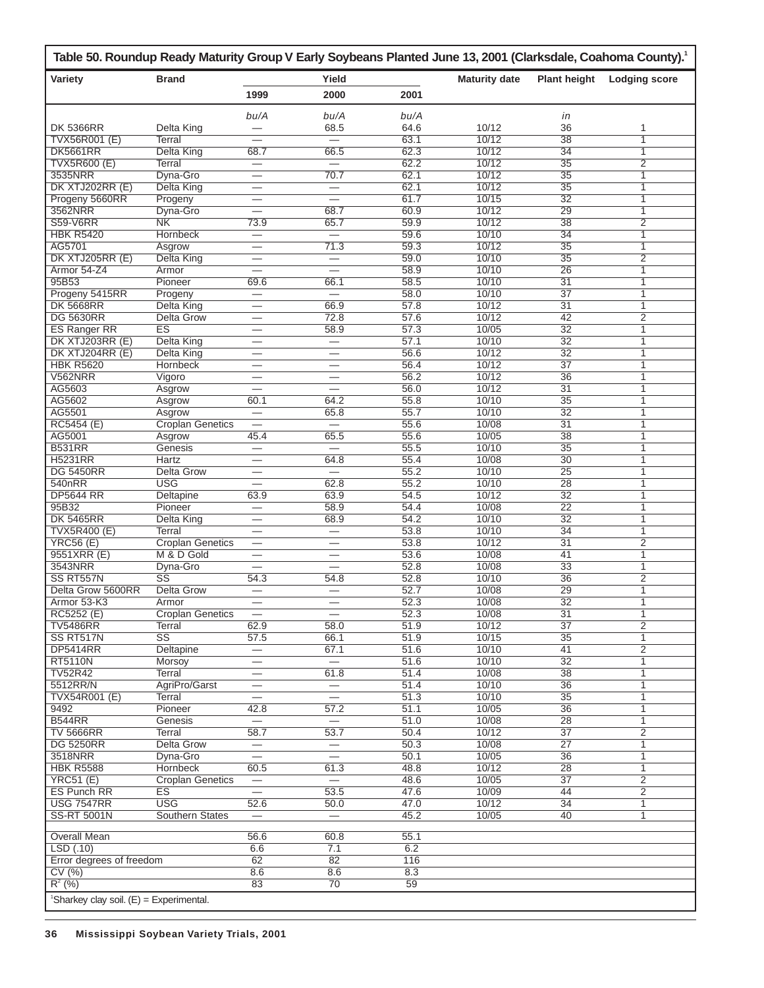|                                                       | Table 50. Roundup Ready Maturity Group V Early Soybeans Planted June 13, 2001 (Clarksdale, Coahoma County). <sup>1</sup> |                          |                               |      |                      |                     |                      |
|-------------------------------------------------------|--------------------------------------------------------------------------------------------------------------------------|--------------------------|-------------------------------|------|----------------------|---------------------|----------------------|
| Variety                                               | <b>Brand</b>                                                                                                             |                          | Yield                         |      | <b>Maturity date</b> | <b>Plant height</b> | <b>Lodging score</b> |
|                                                       |                                                                                                                          | 1999                     | 2000                          | 2001 |                      |                     |                      |
|                                                       |                                                                                                                          | bu/A                     | bu/A                          | bu/A |                      | in                  |                      |
| <b>DK 5366RR</b>                                      | Delta King                                                                                                               |                          | 68.5                          | 64.6 | 10/12                | 36                  | 1                    |
| TVX56R001 (E)                                         | Terral                                                                                                                   |                          | $\overline{\phantom{0}}$      | 63.1 | 10/12                | $\overline{38}$     | 1                    |
| <b>DK5661RR</b>                                       | Delta King                                                                                                               | 68.7                     | 66.5                          | 62.3 | 10/12                | 34                  | 1                    |
| <b>TVX5R600 (E)</b>                                   | Terral                                                                                                                   | $\overline{\phantom{0}}$ |                               | 62.2 | 10/12                | $\overline{35}$     | $\overline{2}$       |
| 3535NRR                                               | Dyna-Gro                                                                                                                 |                          | 70.7                          | 62.1 | 10/12                | $\overline{35}$     | 1                    |
| DK XTJ202RR (E)                                       | Delta King                                                                                                               | $\overline{\phantom{0}}$ | $\equiv$                      | 62.1 | 10/12                | 35                  | 1                    |
| Progeny 5660RR                                        | Progeny                                                                                                                  | $\overline{\phantom{0}}$ | $\overline{\phantom{0}}$      | 61.7 | 10/15                | $\overline{32}$     | 1                    |
| 3562NRR                                               | Dyna-Gro                                                                                                                 |                          | 68.7                          | 60.9 | 10/12                | 29                  | 1                    |
| <b>S59-V6RR</b>                                       | NK                                                                                                                       | 73.9                     | 65.7                          | 59.9 | 10/12                | 38                  | $\overline{2}$       |
| <b>HBK R5420</b>                                      | Hornbeck                                                                                                                 |                          |                               | 59.6 | 10/10                | $\overline{34}$     | 1                    |
| AG5701                                                | Asgrow                                                                                                                   |                          | 71.3                          | 59.3 | 10/12                | $\overline{35}$     | 1                    |
| DK XTJ205RR (E)                                       | Delta King                                                                                                               |                          | $\overline{\phantom{0}}$      | 59.0 | 10/10                | 35                  | $\overline{2}$       |
| Armor 54-Z4                                           | Armor                                                                                                                    |                          |                               | 58.9 | 10/10                | $\overline{26}$     | 1                    |
| 95B53                                                 | Pioneer                                                                                                                  | 69.6                     | 66.1                          | 58.5 | 10/10                | $\overline{31}$     | 1                    |
| Progeny 5415RR                                        | Progeny                                                                                                                  | $\overline{\phantom{0}}$ | $\overline{\phantom{0}}$      | 58.0 | 10/10                | 37                  | 1                    |
| <b>DK 5668RR</b>                                      | Delta King                                                                                                               |                          | 66.9                          | 57.8 | 10/12                | $\overline{31}$     | 1                    |
| <b>DG 5630RR</b>                                      | Delta Grow                                                                                                               | $\overline{\phantom{0}}$ | 72.8                          | 57.6 | 10/12                | 42                  | $\overline{2}$       |
| <b>ES Ranger RR</b>                                   | <b>ES</b>                                                                                                                | $\overline{\phantom{0}}$ | 58.9                          | 57.3 | 10/05                | 32                  | 1                    |
| DK XTJ203RR (E)                                       | Delta King                                                                                                               | $\overline{\phantom{0}}$ | $\overline{\phantom{0}}$      | 57.1 | 10/10                | $\overline{32}$     | 1                    |
| DK XTJ204RR (E)                                       | Delta King                                                                                                               |                          |                               | 56.6 | 10/12                | $\overline{32}$     | 1                    |
| <b>HBK R5620</b>                                      | <b>Hornbeck</b>                                                                                                          | $\overline{\phantom{0}}$ | $\overline{\phantom{0}}$      | 56.4 | 10/12                | 37                  | 1                    |
| <b>V562NRR</b>                                        | Vigoro                                                                                                                   |                          | $\overline{\phantom{0}}$      | 56.2 | 10/12                | 36                  | 1                    |
| AG5603                                                | Asgrow                                                                                                                   |                          | $\overline{\phantom{0}}$      | 56.0 | 10/12                | $\overline{31}$     | 1                    |
| AG5602                                                | Asgrow                                                                                                                   | 60.1                     | 64.2                          | 55.8 | 10/10                | 35                  | 1                    |
| AG5501                                                | Asgrow                                                                                                                   |                          | 65.8                          | 55.7 | 10/10                | $\overline{32}$     | 1                    |
| RC5454 (E)                                            | <b>Croplan Genetics</b>                                                                                                  |                          | $\overbrace{\phantom{12333}}$ | 55.6 | 10/08                | $\overline{31}$     | 1                    |
| AG5001                                                | Asgrow                                                                                                                   | 45.4                     | 65.5                          | 55.6 | 10/05                | 38                  | 1                    |
| <b>B531RR</b>                                         | Genesis                                                                                                                  |                          | $\equiv$                      | 55.5 | 10/10                | 35                  | 1                    |
| <b>H5231RR</b>                                        | Hartz                                                                                                                    |                          | 64.8                          | 55.4 | 10/08                | $\overline{30}$     | 1                    |
| <b>DG 5450RR</b>                                      | <b>Delta Grow</b>                                                                                                        | $\overline{\phantom{0}}$ | $\overline{\phantom{0}}$      | 55.2 | 10/10                | 25                  | 1                    |
| 540nRR                                                | <b>USG</b>                                                                                                               | $\overline{\phantom{0}}$ | 62.8                          | 55.2 | 10/10                | 28                  | 1                    |
| <b>DP5644 RR</b>                                      | <b>Deltapine</b>                                                                                                         | 63.9                     | 63.9                          | 54.5 | 10/12                | $\overline{32}$     | 1                    |
| 95B32                                                 | Pioneer                                                                                                                  | $\overline{\phantom{0}}$ | 58.9                          | 54.4 | 10/08                | 22                  | 1                    |
| <b>DK 5465RR</b>                                      | Delta King                                                                                                               | —                        | 68.9                          | 54.2 | 10/10                | $\overline{32}$     | 1                    |
| <b>TVX5R400 (E)</b>                                   | Terral                                                                                                                   |                          |                               | 53.8 | 10/10                | $\overline{34}$     | 1                    |
| <b>YRC56 (E)</b>                                      | <b>Croplan Genetics</b>                                                                                                  | $\overline{\phantom{0}}$ | $\equiv$                      | 53.8 | 10/12                | $\overline{31}$     | 2                    |
| 9551XRR (E)                                           | M & D Gold                                                                                                               | —                        | $\overline{\phantom{0}}$      | 53.6 | 10/08                | 41                  | 1                    |
| 3543NRR                                               | Dyna-Gro                                                                                                                 |                          | $\equiv$                      | 52.8 | 10/08                | $\overline{33}$     | 1                    |
| SS RT557N                                             | SS                                                                                                                       | 54.3                     | 54.8                          | 52.8 | 10/10                | 36                  | 2                    |
| Delta Grow 5600RR                                     | Delta Grow                                                                                                               |                          | $\overline{\phantom{0}}$      | 52.7 | 10/08                | 29                  | 1                    |
| Armor 53-K3                                           | Armor                                                                                                                    |                          | $\overline{\phantom{0}}$      | 52.3 | 10/08                | $\overline{32}$     | 1                    |
| RC5252 (E)                                            | <b>Croplan Genetics</b>                                                                                                  |                          |                               | 52.3 | 10/08                | 31                  | 1                    |
| <b>TV5486RR</b>                                       | Terral                                                                                                                   | 62.9                     | 58.0                          | 51.9 | 10/12                | $\overline{37}$     | $\overline{2}$       |
| SS RT517N                                             | $\overline{\text{SS}}$                                                                                                   | 57.5                     | 66.1                          | 51.9 | 10/15                | 35                  | $\mathbf{1}$         |
| <b>DP5414RR</b>                                       | Deltapine                                                                                                                |                          | 67.1                          | 51.6 | 10/10                | 41                  | $\overline{2}$       |
| <b>RT5110N</b>                                        | Morsoy                                                                                                                   | —                        |                               | 51.6 | 10/10                | 32                  | 1                    |
| <b>TV52R42</b>                                        | Terral                                                                                                                   |                          | 61.8                          | 51.4 | 10/08                | $\overline{38}$     | $\mathbf{1}$         |
| 5512RR/N                                              | AgriPro/Garst                                                                                                            |                          | $\overline{\phantom{0}}$      | 51.4 | 10/10                | 36                  | 1                    |
| TVX54R001 (E)                                         | Terral                                                                                                                   | $\overline{\phantom{0}}$ |                               | 51.3 | 10/10                | 35                  | 1                    |
| 9492                                                  | Pioneer                                                                                                                  | 42.8                     | 57.2                          | 51.1 | 10/05                | 36                  | 1                    |
| <b>B544RR</b>                                         | <b>Genesis</b>                                                                                                           |                          | $\overline{\phantom{m}}$      | 51.0 | 10/08                | $\overline{28}$     | $\mathbf{1}$         |
| <b>TV 5666RR</b>                                      | <b>Terral</b>                                                                                                            | 58.7                     | 53.7                          | 50.4 | 10/12                | $\overline{37}$     | $\overline{2}$       |
| <b>DG 5250RR</b>                                      | <b>Delta Grow</b>                                                                                                        |                          |                               | 50.3 | 10/08                | $\overline{27}$     | $\mathbf{1}$         |
| 3518NRR                                               | Dyna-Gro                                                                                                                 | $\equiv$                 | $\overline{\phantom{0}}$      | 50.1 | 10/05                | 36                  | $\mathbf{1}$         |
| <b>HBK R5588</b>                                      | <b>Hornbeck</b>                                                                                                          | 60.5                     | 61.3                          | 48.8 | 10/12                | 28                  | 1                    |
| <b>YRC51 (E)</b>                                      | <b>Croplan Genetics</b>                                                                                                  | $\overline{\phantom{0}}$ | $\overline{\phantom{0}}$      | 48.6 | 10/05                | $\overline{37}$     | $\overline{2}$       |
| <b>ES Punch RR</b>                                    | <b>ES</b>                                                                                                                | $\equiv$                 | 53.5                          | 47.6 | 10/09                | 44                  | $\overline{2}$       |
| <b>USG 7547RR</b>                                     | <b>USG</b>                                                                                                               | 52.6                     | 50.0                          | 47.0 | 10/12                | $\overline{34}$     | 1                    |
| <b>SS-RT 5001N</b>                                    | Southern States                                                                                                          | $\overline{\phantom{0}}$ | $=$                           | 45.2 | 10/05                | 40                  | 1                    |
|                                                       |                                                                                                                          |                          |                               |      |                      |                     |                      |
| <b>Overall Mean</b>                                   |                                                                                                                          | 56.6                     | 60.8                          | 55.1 |                      |                     |                      |
| LSD(.10)                                              |                                                                                                                          | 6.6                      | 7.1                           | 6.2  |                      |                     |                      |
| Error degrees of freedom                              |                                                                                                                          | 62                       | 82                            | 116  |                      |                     |                      |
| CV(%)                                                 |                                                                                                                          | 8.6                      | 8.6                           | 8.3  |                      |                     |                      |
| $R^2$ (%)                                             |                                                                                                                          | 83                       | 70                            | 59   |                      |                     |                      |
| <sup>1</sup> Sharkey clay soil. $(E) =$ Experimental. |                                                                                                                          |                          |                               |      |                      |                     |                      |
|                                                       |                                                                                                                          |                          |                               |      |                      |                     |                      |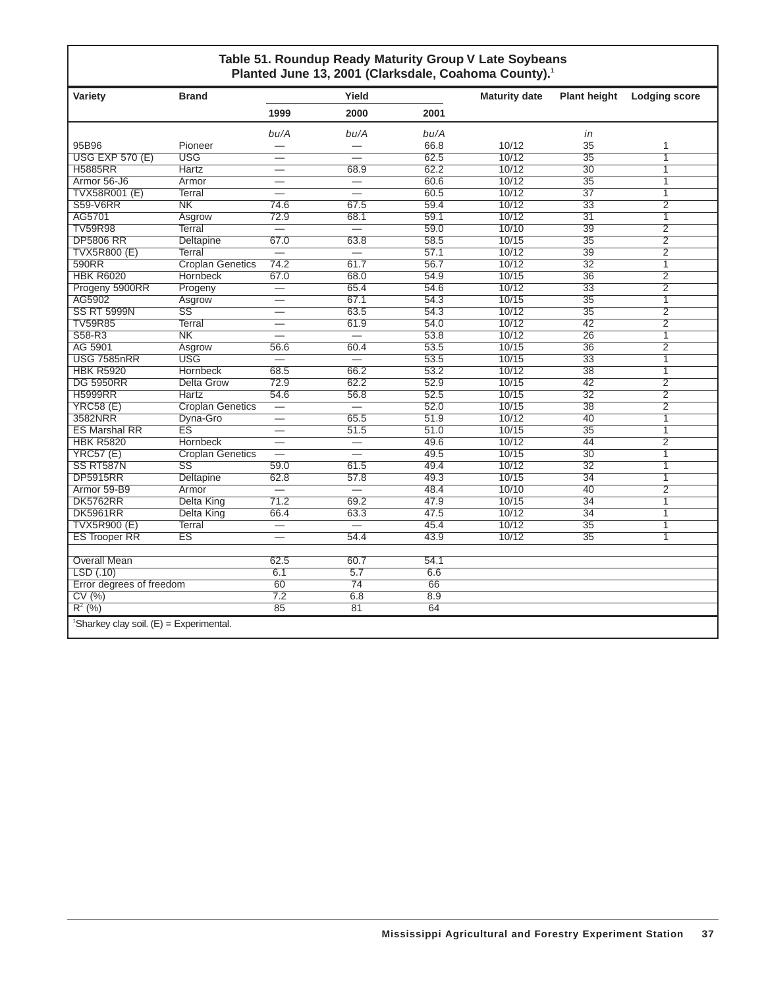### **Table 51. Roundup Ready Maturity Group V Late Soybeans** Planted June 13, 2001 (Clarksdale, Coahoma County).<sup>1</sup>

| Variety                  | <b>Brand</b>                                          |                          | Yield                    |      | <b>Maturity date</b> | <b>Plant height</b> | <b>Lodging score</b> |  |  |  |
|--------------------------|-------------------------------------------------------|--------------------------|--------------------------|------|----------------------|---------------------|----------------------|--|--|--|
|                          |                                                       | 1999                     | 2000                     | 2001 |                      |                     |                      |  |  |  |
|                          |                                                       | bu/A                     | bu/A                     | bu/A |                      | in                  |                      |  |  |  |
| 95B96                    | Pioneer                                               | $\overline{\phantom{0}}$ | $\overline{\phantom{0}}$ | 66.8 | 10/12                | 35                  | 1                    |  |  |  |
| <b>USG EXP 570 (E)</b>   | <b>USG</b>                                            |                          |                          | 62.5 | 10/12                | $\overline{35}$     | $\overline{1}$       |  |  |  |
| <b>H5885RR</b>           | <b>Hartz</b>                                          |                          | 68.9                     | 62.2 | 10/12                | 30                  | 1                    |  |  |  |
| Armor 56-J6              | Armor                                                 |                          |                          | 60.6 | 10/12                | $\overline{35}$     | $\overline{1}$       |  |  |  |
| <b>TVX58R001 (E)</b>     | <b>Terral</b>                                         |                          |                          | 60.5 | 10/12                | $\overline{37}$     | 1                    |  |  |  |
| <b>S59-V6RR</b>          | $\overline{\text{NK}}$                                | 74.6                     | 67.5                     | 59.4 | 10/12                | $\overline{33}$     | $\overline{2}$       |  |  |  |
| AG5701                   | Asgrow                                                | 72.9                     | 68.1                     | 59.1 | 10/12                | $\overline{31}$     | 1                    |  |  |  |
| <b>TV59R98</b>           | Terral                                                | $\equiv$                 | $\overline{\phantom{0}}$ | 59.0 | 10/10                | 39                  | $\overline{2}$       |  |  |  |
| <b>DP5806 RR</b>         | Deltapine                                             | 67.0                     | 63.8                     | 58.5 | 10/15                | $\overline{35}$     | $\overline{2}$       |  |  |  |
| <b>TVX5R800 (E)</b>      | Terral                                                |                          |                          | 57.1 | 10/12                | $\overline{39}$     | $\overline{2}$       |  |  |  |
| 590RR                    | <b>Croplan Genetics</b>                               | 74.2                     | 61.7                     | 56.7 | 10/12                | $\overline{32}$     | $\overline{1}$       |  |  |  |
| <b>HBK R6020</b>         | <b>Hornbeck</b>                                       | 67.0                     | 68.0                     | 54.9 | 10/15                | 36                  | $\overline{2}$       |  |  |  |
| Progeny 5900RR           | Progeny                                               | $\overline{\phantom{0}}$ | 65.4                     | 54.6 | 10/12                | $\overline{33}$     | $\overline{2}$       |  |  |  |
| AG5902                   | Asgrow                                                |                          | 67.1                     | 54.3 | 10/15                | $\overline{35}$     | $\overline{1}$       |  |  |  |
| <b>SS RT 5999N</b>       | $\overline{\text{SS}}$                                | $\overline{\phantom{0}}$ | 63.5                     | 54.3 | 10/12                | $\overline{35}$     | $\overline{2}$       |  |  |  |
| <b>TV59R85</b>           | Terral                                                | $\overline{\phantom{0}}$ | 61.9                     | 54.0 | 10/12                | $\overline{42}$     | $\overline{2}$       |  |  |  |
| S58-R3                   | NK                                                    |                          |                          | 53.8 | 10/12                | 26                  | 1                    |  |  |  |
| AG 5901                  | Asgrow                                                | 56.6                     | 60.4                     | 53.5 | 10/15                | $\overline{36}$     | $\overline{2}$       |  |  |  |
| <b>USG 7585nRR</b>       | <b>USG</b>                                            |                          |                          | 53.5 | 10/15                | $\overline{33}$     | 1                    |  |  |  |
| <b>HBK R5920</b>         | <b>Hornbeck</b>                                       | 68.5                     | 66.2                     | 53.2 | 10/12                | 38                  | $\overline{1}$       |  |  |  |
| <b>DG 5950RR</b>         | <b>Delta Grow</b>                                     | 72.9                     | 62.2                     | 52.9 | 10/15                | 42                  | $\overline{2}$       |  |  |  |
| <b>H5999RR</b>           | <b>Hartz</b>                                          | 54.6                     | 56.8                     | 52.5 | 10/15                | $\overline{32}$     | $\overline{2}$       |  |  |  |
| <b>YRC58 (E)</b>         | <b>Croplan Genetics</b>                               | $\overline{\phantom{0}}$ | $\overline{\phantom{0}}$ | 52.0 | 10/15                | $\overline{38}$     | $\overline{2}$       |  |  |  |
| 3582NRR                  | Dyna-Gro                                              | $\overline{\phantom{0}}$ | 65.5                     | 51.9 | 10/12                | 40                  | $\overline{1}$       |  |  |  |
| <b>ES Marshal RR</b>     | $\overline{\text{ES}}$                                | $\overline{\phantom{0}}$ | 51.5                     | 51.0 | 10/15                | $\overline{35}$     | 1                    |  |  |  |
| <b>HBK R5820</b>         | Hornbeck                                              | $\overline{\phantom{0}}$ | $\overline{\phantom{0}}$ | 49.6 | 10/12                | 44                  | $\overline{2}$       |  |  |  |
| <b>YRC57 (E)</b>         | <b>Croplan Genetics</b>                               | $\overline{\phantom{0}}$ | $\overline{\phantom{0}}$ | 49.5 | 10/15                | $\overline{30}$     | $\overline{1}$       |  |  |  |
| SS RT587N                | $\overline{\text{SS}}$                                | 59.0                     | 61.5                     | 49.4 | 10/12                | $\overline{32}$     | $\overline{1}$       |  |  |  |
| <b>DP5915RR</b>          | <b>Deltapine</b>                                      | 62.8                     | 57.8                     | 49.3 | 10/15                | $\overline{34}$     | 1                    |  |  |  |
| Armor 59-B9              | Armor                                                 | $\overline{\phantom{0}}$ | $\overline{\phantom{0}}$ | 48.4 | 10/10                | 40                  | $\overline{2}$       |  |  |  |
| <b>DK5762RR</b>          | <b>Delta King</b>                                     | 71.2                     | 69.2                     | 47.9 | 10/15                | $\overline{34}$     | $\overline{1}$       |  |  |  |
| <b>DK5961RR</b>          | Delta King                                            | 66.4                     | 63.3                     | 47.5 | 10/12                | 34                  | $\overline{1}$       |  |  |  |
| <b>TVX5R900 (E)</b>      | <b>Terral</b>                                         |                          |                          | 45.4 | 10/12                | $\overline{35}$     | $\overline{1}$       |  |  |  |
| <b>ES Trooper RR</b>     | $\overline{ES}$                                       | $\overline{\phantom{0}}$ | 54.4                     | 43.9 | 10/12                | $\overline{35}$     | $\overline{1}$       |  |  |  |
| <b>Overall Mean</b>      |                                                       | 62.5                     | 60.7                     | 54.1 |                      |                     |                      |  |  |  |
| LSD(.10)                 |                                                       | 6.1                      | $\overline{5.7}$         | 6.6  |                      |                     |                      |  |  |  |
| Error degrees of freedom |                                                       | 60                       | 74                       | 66   |                      |                     |                      |  |  |  |
| CV(%)                    |                                                       | 7.2                      | 6.8                      | 8.9  |                      |                     |                      |  |  |  |
| $R^2$ (%)                |                                                       | 85                       | 81                       | 64   |                      |                     |                      |  |  |  |
|                          | <sup>1</sup> Sharkey clay soil. $(E) =$ Experimental. |                          |                          |      |                      |                     |                      |  |  |  |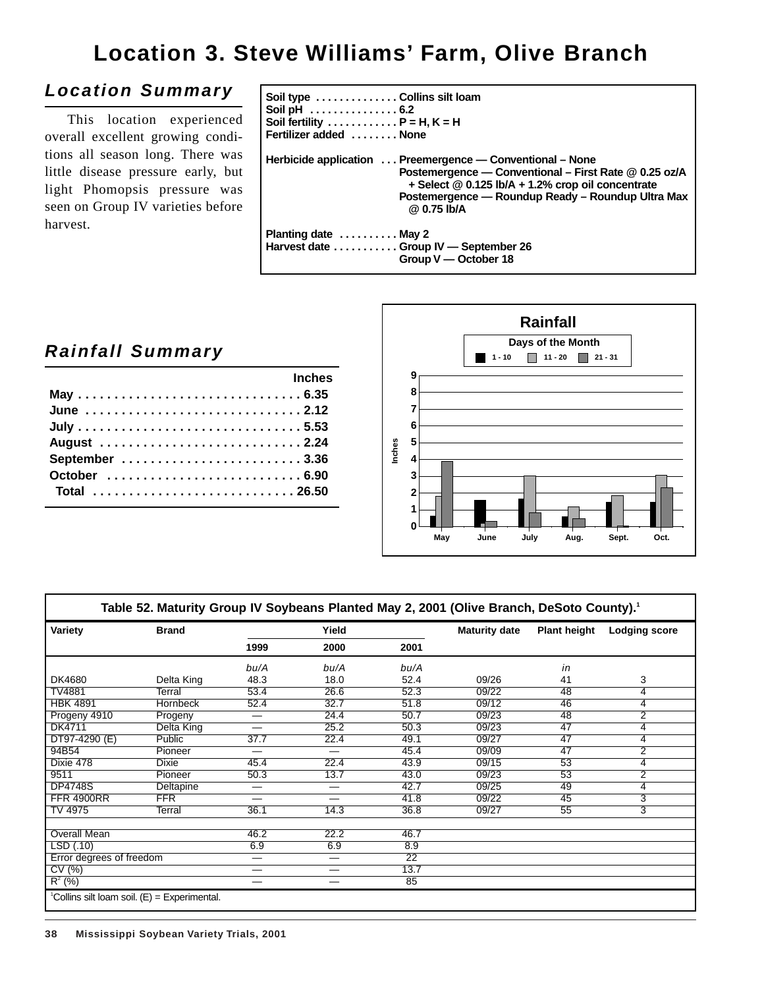# **Location 3. Steve Williams' Farm, Olive Branch**

## **Location Summary**

This location experienced overall excellent growing conditions all season long. There was little disease pressure early, but light Phomopsis pressure was seen on Group IV varieties before harvest.

| Soil type ................Collins silt loam<br>Fertilizer added  None |                                                                                                                                                                                                                                                   |
|-----------------------------------------------------------------------|---------------------------------------------------------------------------------------------------------------------------------------------------------------------------------------------------------------------------------------------------|
|                                                                       | Herbicide application  Preemergence — Conventional – None<br>Postemergence - Conventional - First Rate @ 0.25 oz/A<br>$+$ Select $@$ 0.125 lb/A $+$ 1.2% crop oil concentrate<br>Postemergence — Roundup Ready – Roundup Ultra Max<br>@ 0.75 lb/A |
| Planting date  May 2<br>Harvest date Group IV — September 26          | Group V - October 18                                                                                                                                                                                                                              |

## **Rainfall Summary**

| <u>and the second second inches</u> |  |
|-------------------------------------|--|
|                                     |  |
| June 2.12                           |  |
|                                     |  |
| August 2.24                         |  |
|                                     |  |
|                                     |  |
| Total 26.50                         |  |



| Variety                  | <b>Brand</b>    |                                | Yield                    |                 | <b>Maturity date</b> | <b>Plant height</b> | Lodging score  |
|--------------------------|-----------------|--------------------------------|--------------------------|-----------------|----------------------|---------------------|----------------|
|                          |                 | 1999                           | 2000                     | 2001            |                      |                     |                |
|                          |                 | bu/A                           | bu/A                     | bu/A            |                      | in                  |                |
| DK4680                   | Delta King      | 48.3                           | 18.0                     | 52.4            | 09/26                | 41                  | 3              |
| TV4881                   | Terral          | 53.4                           | 26.6                     | 52.3            | 09/22                | 48                  | 4              |
| <b>HBK 4891</b>          | <b>Hornbeck</b> | 52.4                           | 32.7                     | 51.8            | 09/12                | 46                  | 4              |
| Progeny 4910             | Progeny         | $\hspace{0.05cm}$              | 24.4                     | 50.7            | 09/23                | 48                  | $\overline{2}$ |
| DK4711                   | Delta King      | —                              | 25.2                     | 50.3            | 09/23                | 47                  | 4              |
| DT97-4290 (E)            | Public          | 37.7                           | 22.4                     | 49.1            | 09/27                | 47                  | 4              |
| 94B54                    | Pioneer         | —                              | $\overline{\phantom{0}}$ | 45.4            | 09/09                | 47                  | $\overline{2}$ |
| Dixie 478                | <b>Dixie</b>    | 45.4                           | 22.4                     | 43.9            | 09/15                | 53                  | 4              |
| 9511                     | Pioneer         | 50.3                           | 13.7                     | 43.0            | 09/23                | 53                  | $\overline{2}$ |
| <b>DP4748S</b>           | Deltapine       | $\qquad \qquad \longleftarrow$ | —                        | 42.7            | 09/25                | 49                  | 4              |
| <b>FFR 4900RR</b>        | <b>FFR</b>      |                                |                          | 41.8            | 09/22                | 45                  | $\overline{3}$ |
| TV 4975                  | Terral          | 36.1                           | 14.3                     | 36.8            | 09/27                | 55                  | 3              |
| Overall Mean             |                 | 46.2                           | 22.2                     | 46.7            |                      |                     |                |
| LSD (.10)                |                 | 6.9                            | 6.9                      | 8.9             |                      |                     |                |
| Error degrees of freedom |                 | —                              | $\overline{\phantom{0}}$ | $\overline{22}$ |                      |                     |                |
| CV (%)                   |                 | -                              | —                        | 13.7            |                      |                     |                |
| $R^2$ (%)                |                 | —                              | —                        | 85              |                      |                     |                |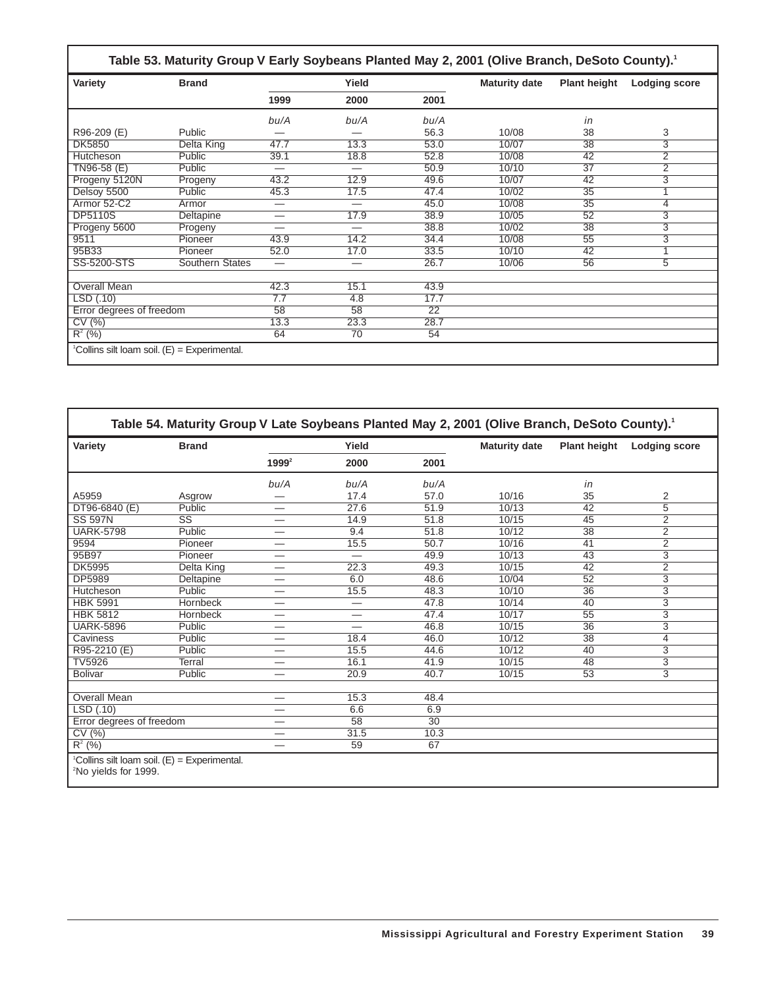| Table 53. Maturity Group V Early Soybeans Planted May 2, 2001 (Olive Branch, DeSoto County). <sup>1</sup> |                                                          |                          |       |      |                      |                     |                      |  |
|-----------------------------------------------------------------------------------------------------------|----------------------------------------------------------|--------------------------|-------|------|----------------------|---------------------|----------------------|--|
| Variety                                                                                                   | <b>Brand</b>                                             |                          | Yield |      | <b>Maturity date</b> | <b>Plant height</b> | <b>Lodging score</b> |  |
|                                                                                                           |                                                          | 1999                     | 2000  | 2001 |                      |                     |                      |  |
|                                                                                                           |                                                          | bu/A                     | bu/A  | bu/A |                      | in                  |                      |  |
| R96-209 (E)                                                                                               | Public                                                   |                          |       | 56.3 | 10/08                | 38                  | 3                    |  |
| <b>DK5850</b>                                                                                             | Delta King                                               | 47.7                     | 13.3  | 53.0 | 10/07                | 38                  | 3                    |  |
| Hutcheson                                                                                                 | Public                                                   | 39.1                     | 18.8  | 52.8 | 10/08                | 42                  | $\overline{2}$       |  |
| $TN96-58$ (E)                                                                                             | Public                                                   | —                        |       | 50.9 | 10/10                | $\overline{37}$     | $\overline{2}$       |  |
| Progeny 5120N                                                                                             | Progeny                                                  | 43.2                     | 12.9  | 49.6 | 10/07                | 42                  | $\overline{3}$       |  |
| Delsoy 5500                                                                                               | Public                                                   | 45.3                     | 17.5  | 47.4 | 10/02                | $\overline{35}$     | 1                    |  |
| Armor 52-C2                                                                                               | Armor                                                    | $\overline{\phantom{0}}$ |       | 45.0 | 10/08                | $\overline{35}$     | 4                    |  |
| <b>DP5110S</b>                                                                                            | Deltapine                                                | $\overline{\phantom{0}}$ | 17.9  | 38.9 | 10/05                | 52                  | 3                    |  |
| Progeny 5600                                                                                              | Progeny                                                  | —                        |       | 38.8 | 10/02                | 38                  | 3                    |  |
| 9511                                                                                                      | Pioneer                                                  | 43.9                     | 14.2  | 34.4 | 10/08                | $\overline{55}$     | $\overline{3}$       |  |
| 95B33                                                                                                     | Pioneer                                                  | 52.0                     | 17.0  | 33.5 | 10/10                | 42                  | 1                    |  |
| SS-5200-STS                                                                                               | <b>Southern States</b>                                   | —                        | —     | 26.7 | 10/06                | 56                  | 5                    |  |
|                                                                                                           |                                                          |                          |       |      |                      |                     |                      |  |
| Overall Mean                                                                                              |                                                          | 42.3                     | 15.1  | 43.9 |                      |                     |                      |  |
| LSD(.10)                                                                                                  |                                                          | 7.7                      | 4.8   | 17.7 |                      |                     |                      |  |
| Error degrees of freedom                                                                                  |                                                          | 58                       | 58    | 22   |                      |                     |                      |  |
| CV(%)                                                                                                     |                                                          | 13.3                     | 23.3  | 28.7 |                      |                     |                      |  |
| $R^2$ (%)                                                                                                 |                                                          | 64                       | 70    | 54   |                      |                     |                      |  |
|                                                                                                           | <sup>1</sup> Collins silt loam soil. (E) = Experimental. |                          |       |      |                      |                     |                      |  |

| Variety                  | <b>Brand</b>           | Yield                           |                          |                 | <b>Maturity date</b> | <b>Plant height</b> | <b>Lodging score</b> |
|--------------------------|------------------------|---------------------------------|--------------------------|-----------------|----------------------|---------------------|----------------------|
|                          |                        | $1999^2$                        | 2000                     | 2001            |                      |                     |                      |
|                          |                        | bu/A                            | bu/A                     | bu/A            |                      | in                  |                      |
| A5959                    | Asgrow                 | --                              | 17.4                     | 57.0            | 10/16                | 35                  | 2                    |
| DT96-6840 (E)            | Public                 | —                               | 27.6                     | 51.9            | 10/13                | 42                  | 5                    |
| <b>SS 597N</b>           | $\overline{\text{SS}}$ | $\hspace{0.1mm}-\hspace{0.1mm}$ | 14.9                     | 51.8            | 10/15                | 45                  | $\overline{2}$       |
| <b>UARK-5798</b>         | Public                 | $\overline{\phantom{0}}$        | 9.4                      | 51.8            | 10/12                | 38                  | $\overline{2}$       |
| 9594                     | Pioneer                | -                               | 15.5                     | 50.7            | 10/16                | 41                  | $\overline{2}$       |
| 95B97                    | Pioneer                | -                               | $\overline{\phantom{0}}$ | 49.9            | 10/13                | 43                  | $\overline{3}$       |
| <b>DK5995</b>            | Delta King             | –                               | 22.3                     | 49.3            | 10/15                | 42                  | $\overline{2}$       |
| <b>DP5989</b>            | Deltapine              | -                               | 6.0                      | 48.6            | 10/04                | $\overline{52}$     | 3                    |
| Hutcheson                | Public                 | $\qquad \qquad \longleftarrow$  | 15.5                     | 48.3            | 10/10                | $\overline{36}$     | $\overline{3}$       |
| <b>HBK 5991</b>          | Hornbeck               |                                 | $\overline{\phantom{0}}$ | 47.8            | 10/14                | 40                  | $\overline{3}$       |
| <b>HBK 5812</b>          | Hornbeck               | –                               | —                        | 47.4            | 10/17                | 55                  | 3                    |
| <b>UARK-5896</b>         | Public                 | -                               | $\overline{\phantom{0}}$ | 46.8            | 10/15                | $\overline{36}$     | $\overline{3}$       |
| Caviness                 | Public                 | –                               | 18.4                     | 46.0            | 10/12                | $\overline{38}$     | 4                    |
| R95-2210 (E)             | Public                 | $\hspace{0.05cm}$               | 15.5                     | 44.6            | 10/12                | 40                  | $\overline{3}$       |
| <b>TV5926</b>            | Terral                 |                                 | 16.1                     | 41.9            | 10/15                | 48                  | $\overline{3}$       |
| <b>Bolivar</b>           | Public                 | -                               | 20.9                     | 40.7            | 10/15                | $\overline{53}$     | $\overline{3}$       |
| <b>Overall Mean</b>      |                        | -                               | 15.3                     | 48.4            |                      |                     |                      |
| LSD(.10)                 |                        |                                 | 6.6                      | 6.9             |                      |                     |                      |
| Error degrees of freedom |                        | —                               | $\overline{58}$          | $\overline{30}$ |                      |                     |                      |
| CV(%)                    |                        | –                               | 31.5                     | 10.3            |                      |                     |                      |
| $R^2$ (%)                |                        |                                 | 59                       | 67              |                      |                     |                      |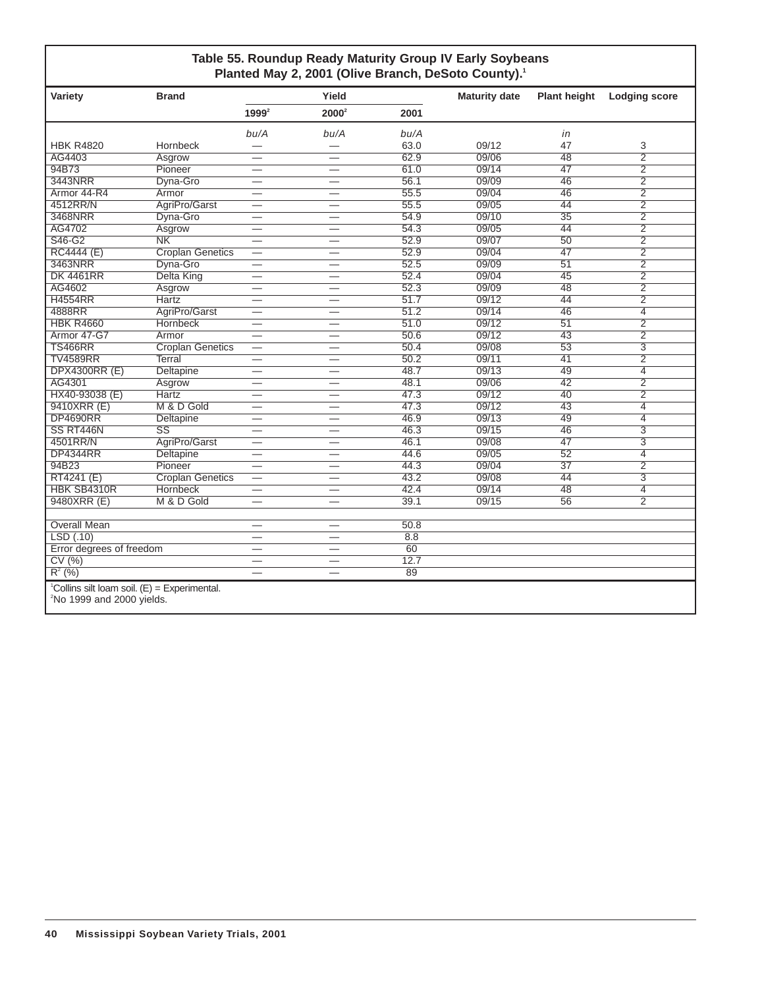### **Table 55. Roundup Ready Maturity Group IV Early Soybeans Planted May 2, 2001 (Olive Branch, DeSoto County).1**

| Variety                                                                                    | <b>Brand</b>            |                          | Yield                           |      | <b>Maturity date</b> | <b>Plant height</b> | <b>Lodging score</b> |
|--------------------------------------------------------------------------------------------|-------------------------|--------------------------|---------------------------------|------|----------------------|---------------------|----------------------|
|                                                                                            |                         | 1999 <sup>2</sup>        | 2000 <sup>2</sup>               | 2001 |                      |                     |                      |
|                                                                                            |                         | bu/A                     | bu/A                            | bu/A |                      | in                  |                      |
| <b>HBK R4820</b>                                                                           | Hornbeck                |                          |                                 | 63.0 | 09/12                | 47                  | 3                    |
| AG4403                                                                                     | Asgrow                  | $\overline{\phantom{0}}$ | $\overline{\phantom{0}}$        | 62.9 | 09/06                | 48                  | $\overline{2}$       |
| 94B73                                                                                      | Pioneer                 | $\overline{\phantom{0}}$ |                                 | 61.0 | 09/14                | 47                  | $\overline{2}$       |
| 3443NRR                                                                                    | Dyna-Gro                | $\overline{\phantom{0}}$ | $\qquad \qquad -$               | 56.1 | 09/09                | 46                  | $\overline{2}$       |
| Armor 44-R4                                                                                | Armor                   |                          |                                 | 55.5 | 09/04                | 46                  | $\overline{2}$       |
| 4512RR/N                                                                                   | AgriPro/Garst           | $\overline{\phantom{0}}$ | $\qquad \qquad -$               | 55.5 | 09/05                | 44                  | $\overline{2}$       |
| 3468NRR                                                                                    | Dyna-Gro                | $\overline{\phantom{0}}$ | $\overline{\phantom{0}}$        | 54.9 | 09/10                | $\overline{35}$     | $\overline{2}$       |
| AG4702                                                                                     | Asgrow                  | $\overline{\phantom{0}}$ |                                 | 54.3 | 09/05                | 44                  | $\overline{2}$       |
| S46-G2                                                                                     | N <sub>K</sub>          | $\overline{\phantom{0}}$ | $\overline{\phantom{0}}$        | 52.9 | 09/07                | $\overline{50}$     | $\overline{2}$       |
| <b>RC4444 (E)</b>                                                                          | <b>Croplan Genetics</b> | $\overline{\phantom{0}}$ | —                               | 52.9 | 09/04                | 47                  | $\overline{2}$       |
| 3463NRR                                                                                    | Dyna-Gro                | $\equiv$                 |                                 | 52.5 | 09/09                | $\overline{51}$     | $\overline{2}$       |
| <b>DK 4461RR</b>                                                                           | Delta King              | $\overline{\phantom{0}}$ |                                 | 52.4 | 09/04                | $\overline{45}$     | $\overline{2}$       |
| AG4602                                                                                     | Asgrow                  |                          | $\overline{\phantom{0}}$        | 52.3 | 09/09                | 48                  | $\overline{2}$       |
| <b>H4554RR</b>                                                                             | <b>Hartz</b>            | $\overline{\phantom{0}}$ | $\overbrace{\phantom{1232211}}$ | 51.7 | 09/12                | 44                  | $\overline{2}$       |
| 4888RR                                                                                     | AgriPro/Garst           | $\overline{\phantom{0}}$ | $\overline{\phantom{0}}$        | 51.2 | 09/14                | 46                  | $\overline{4}$       |
| <b>HBK R4660</b>                                                                           | <b>Hornbeck</b>         | $\overline{\phantom{0}}$ |                                 | 51.0 | 09/12                | $\overline{51}$     | $\overline{2}$       |
| Armor 47-G7                                                                                | Armor                   |                          |                                 | 50.6 | 09/12                | 43                  | $\overline{2}$       |
| <b>TS466RR</b>                                                                             | <b>Croplan Genetics</b> | —                        |                                 | 50.4 | 09/08                | $\overline{53}$     | $\overline{3}$       |
| <b>TV4589RR</b>                                                                            | Terral                  | $\overline{\phantom{0}}$ | $\overline{\phantom{0}}$        | 50.2 | 09/11                | 41                  | $\overline{2}$       |
| <b>DPX4300RR (E)</b>                                                                       | Deltapine               | $\overline{\phantom{0}}$ | $\overline{\phantom{0}}$        | 48.7 | 09/13                | 49                  | $\overline{4}$       |
| AG4301                                                                                     | Asgrow                  | $\overline{\phantom{0}}$ |                                 | 48.1 | 09/06                | $\overline{42}$     | $\overline{2}$       |
| HX40-93038 (E)                                                                             | <b>Hartz</b>            | $\overline{\phantom{0}}$ | $\overline{\phantom{0}}$        | 47.3 | 09/12                | 40                  | $\overline{2}$       |
| 9410XRR (E)                                                                                | M & D Gold              | $\overline{\phantom{0}}$ |                                 | 47.3 | 09/12                | 43                  | 4                    |
| <b>DP4690RR</b>                                                                            | Deltapine               |                          |                                 | 46.9 | 09/13                | 49                  | $\overline{4}$       |
| SS RT446N                                                                                  | $\overline{\text{ss}}$  | $\overline{\phantom{0}}$ |                                 | 46.3 | 09/15                | 46                  | $\overline{3}$       |
| 4501RR/N                                                                                   | AgriPro/Garst           | $\overline{\phantom{0}}$ | $\overline{\phantom{0}}$        | 46.1 | 09/08                | 47                  | 3                    |
| <b>DP4344RR</b>                                                                            | Deltapine               |                          | $\overline{\phantom{0}}$        | 44.6 | 09/05                | 52                  | $\overline{4}$       |
| 94B23                                                                                      | Pioneer                 | $\overline{\phantom{0}}$ | $\overline{\phantom{0}}$        | 44.3 | 09/04                | $\overline{37}$     | $\overline{2}$       |
| RT4241 (E)                                                                                 | <b>Croplan Genetics</b> |                          |                                 | 43.2 | 09/08                | 44                  | $\overline{3}$       |
| HBK SB4310R                                                                                | <b>Hornbeck</b>         | —                        | $\hspace{0.05cm}$               | 42.4 | 09/14                | 48                  | $\overline{4}$       |
| 9480XRR (E)                                                                                | M & D Gold              | $=$                      |                                 | 39.1 | 09/15                | $\overline{56}$     | $\overline{2}$       |
|                                                                                            |                         |                          |                                 |      |                      |                     |                      |
| <b>Overall Mean</b>                                                                        |                         | $\overline{\phantom{0}}$ | $\overbrace{\phantom{1232211}}$ | 50.8 |                      |                     |                      |
| LSD(0.10)                                                                                  |                         | $\overline{\phantom{0}}$ | $\overbrace{\phantom{1232211}}$ | 8.8  |                      |                     |                      |
| Error degrees of freedom                                                                   |                         | $\overline{\phantom{0}}$ |                                 | 60   |                      |                     |                      |
| CV(%)                                                                                      |                         | $\overline{\phantom{0}}$ |                                 | 12.7 |                      |                     |                      |
| $R^{2}(%)$                                                                                 |                         | $\overline{\phantom{0}}$ | $\overline{\phantom{0}}$        | 89   |                      |                     |                      |
| <sup>1</sup> Collins silt loam soil. $(E)$ = Experimental.<br>$2$ No 1999 and 2000 yields. |                         |                          |                                 |      |                      |                     |                      |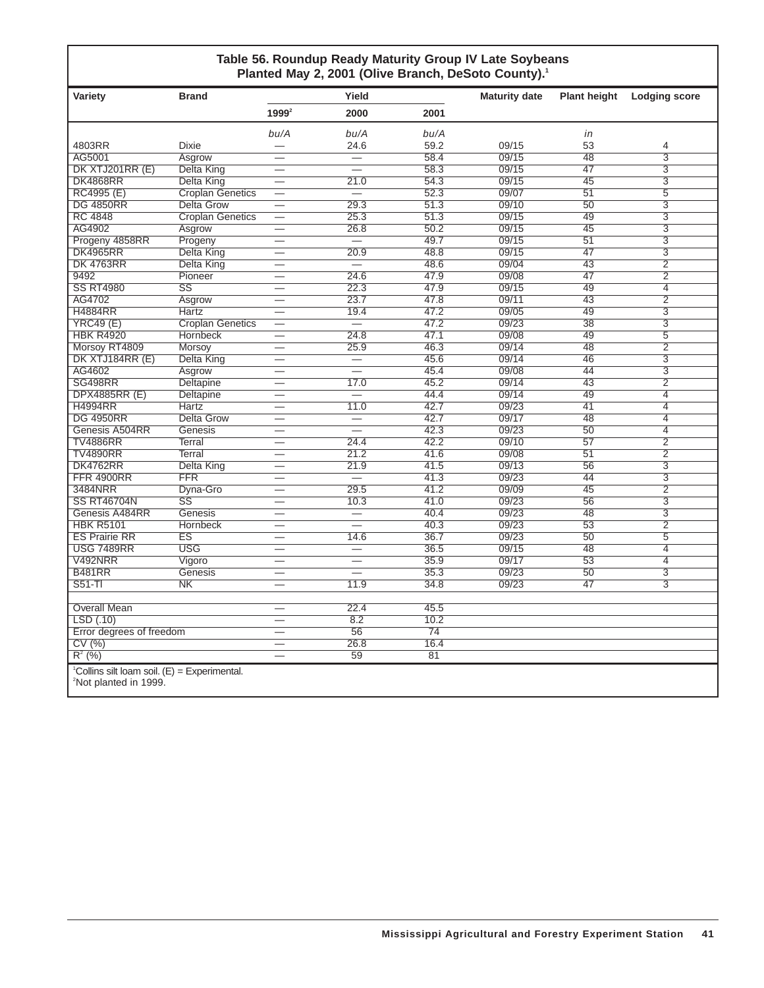### **Table 56. Roundup Ready Maturity Group IV Late Soybeans Planted May 2, 2001 (Olive Branch, DeSoto County).1**

| Variety                                                                                         | <b>Brand</b>            |                          | Yield                            |                 | <b>Maturity date</b> | <b>Plant height</b> | <b>Lodging score</b> |
|-------------------------------------------------------------------------------------------------|-------------------------|--------------------------|----------------------------------|-----------------|----------------------|---------------------|----------------------|
|                                                                                                 |                         | $1999^2$                 | 2000                             | 2001            |                      |                     |                      |
|                                                                                                 |                         | bu/A                     | bu/A                             | bu/A            |                      | in                  |                      |
| 4803RR                                                                                          | <b>Dixie</b>            |                          | 24.6                             | 59.2            | 09/15                | 53                  | 4                    |
| AG5001                                                                                          | Asgrow                  | $\overline{\phantom{0}}$ |                                  | 58.4            | 09/15                | $\overline{48}$     | $\overline{3}$       |
| DK XTJ201RR (E)                                                                                 | Delta King              |                          | $\qquad \qquad$                  | 58.3            | 09/15                | 47                  | $\overline{3}$       |
| <b>DK4868RR</b>                                                                                 | Delta King              | $\overline{\phantom{0}}$ | 21.0                             | 54.3            | 09/15                | 45                  | 3                    |
| RC4995(E)                                                                                       | <b>Croplan Genetics</b> |                          | $\overline{\phantom{0}}$         | 52.3            | 09/07                | $\overline{51}$     | $\overline{5}$       |
| <b>DG 4850RR</b>                                                                                | <b>Delta Grow</b>       |                          | 29.3                             | 51.3            | 09/10                | 50                  | $\overline{3}$       |
| <b>RC 4848</b>                                                                                  | <b>Croplan Genetics</b> |                          | 25.3                             | 51.3            | 09/15                | 49                  | 3                    |
| AG4902                                                                                          | Asgrow                  | $\overline{\phantom{0}}$ | 26.8                             | 50.2            | 09/15                | 45                  | $\overline{3}$       |
| Progeny 4858RR                                                                                  | Progeny                 |                          | $\overline{\phantom{0}}$         | 49.7            | 09/15                | 51                  | 3                    |
| <b>DK4965RR</b>                                                                                 | Delta King              | $\overline{\phantom{0}}$ | 20.9                             | 48.8            | 09/15                | 47                  | $\overline{3}$       |
| <b>DK 4763RR</b>                                                                                | Delta King              |                          |                                  | 48.6            | 09/04                | $\overline{43}$     | $\overline{2}$       |
| 9492                                                                                            | Pioneer                 |                          | 24.6                             | 47.9            | 09/08                | 47                  | $\overline{2}$       |
| <b>SS RT4980</b>                                                                                | $\overline{\text{SS}}$  |                          | 22.3                             | 47.9            | 09/15                | 49                  | $\overline{4}$       |
| AG4702                                                                                          | Asgrow                  |                          | 23.7                             | 47.8            | 09/11                | $\overline{43}$     | $\overline{2}$       |
| <b>H4884RR</b>                                                                                  | <b>Hartz</b>            | $\overline{\phantom{0}}$ | 19.4                             | 47.2            | 09/05                | 49                  | $\overline{3}$       |
| <b>YRC49 (E)</b>                                                                                | <b>Croplan Genetics</b> | $\overline{\phantom{0}}$ | $=$                              | 47.2            | 09/23                | $\overline{38}$     | $\overline{3}$       |
| <b>HBK R4920</b>                                                                                | Hornbeck                | $\overline{\phantom{0}}$ | 24.8                             | 47.1            | 09/08                | 49                  | $\overline{5}$       |
| Morsoy RT4809                                                                                   | <b>Morsov</b>           | $\overline{\phantom{0}}$ | 25.9                             | 46.3            | 09/14                | 48                  | $\overline{2}$       |
| DK XTJ184RR (E)                                                                                 | <b>Delta King</b>       | $\overline{\phantom{0}}$ | $\overline{\phantom{0}}$         | 45.6            | 09/14                | 46                  | 3                    |
| AG4602                                                                                          | Asgrow                  | $\overline{\phantom{0}}$ | $\overline{\phantom{0}}$         | 45.4            | 09/08                | 44                  | $\overline{3}$       |
| <b>SG498RR</b>                                                                                  | Deltapine               |                          | 17.0                             | 45.2            | 09/14                | 43                  | $\overline{2}$       |
| <b>DPX4885RR (E)</b>                                                                            | <b>Deltapine</b>        | $\overline{\phantom{0}}$ | $\overline{\phantom{0}}$         | 44.4            | 09/14                | 49                  | $\overline{4}$       |
| <b>H4994RR</b>                                                                                  | Hartz                   | $\overline{\phantom{a}}$ | 11.0                             | 42.7            | 09/23                | $\overline{41}$     | $\overline{4}$       |
| <b>DG 4950RR</b>                                                                                | Delta Grow              |                          | $\overline{\phantom{0}}$         | 42.7            | 09/17                | 48                  | $\overline{4}$       |
| Genesis A504RR                                                                                  | Genesis                 |                          | $\overline{\phantom{0}}$         | 42.3            | 09/23                | 50                  | $\overline{4}$       |
| <b>TV4886RR</b>                                                                                 | <b>Terral</b>           | $\overline{\phantom{0}}$ | 24.4                             | 42.2            | 09/10                | $\overline{57}$     | $\overline{2}$       |
| <b>TV4890RR</b>                                                                                 | <b>Terral</b>           | $\overline{\phantom{0}}$ | 21.2                             | 41.6            | 09/08                | 51                  | $\overline{2}$       |
| <b>DK4762RR</b>                                                                                 | <b>Delta King</b>       | $\overline{\phantom{0}}$ | 21.9                             | 41.5            | 09/13                | 56                  | $\overline{3}$       |
| <b>FFR 4900RR</b>                                                                               | $\overline{\text{FFR}}$ |                          |                                  | 41.3            | 09/23                | 44                  | $\overline{3}$       |
| 3484NRR                                                                                         | Dyna-Gro                |                          | 29.5                             | 41.2            | 09/09                | 45                  | $\overline{2}$       |
| <b>SS RT46704N</b>                                                                              | $\overline{\text{SS}}$  | $\overline{\phantom{0}}$ | 10.3                             | 41.0            | 09/23                | 56                  | 3                    |
| Genesis A484RR                                                                                  | Genesis                 |                          |                                  | 40.4            | 09/23                | 48                  | $\overline{3}$       |
| <b>HBK R5101</b>                                                                                | <b>Hornbeck</b>         |                          | $\overline{\phantom{0}}$         | 40.3            | 09/23                | 53                  | $\overline{2}$       |
| <b>ES Prairie RR</b>                                                                            | ES                      |                          | 14.6                             | 36.7            | 09/23                | 50                  | $\overline{5}$       |
| <b>USG 7489RR</b>                                                                               | <b>USG</b>              | $\overline{\phantom{0}}$ | $\overline{\phantom{0}}$         | 36.5            | 09/15                | 48                  | $\overline{4}$       |
| V492NRR                                                                                         | Vigoro                  |                          |                                  | 35.9            | 09/17                | 53                  | $\overline{4}$       |
| <b>B481RR</b>                                                                                   | Genesis                 |                          | $\overbrace{\phantom{12322111}}$ | 35.3            | 09/23                | 50                  | $\overline{3}$       |
| $S51-TI$                                                                                        | N <sub>K</sub>          | $\overline{\phantom{0}}$ | 11.9                             | 34.8            | 09/23                | 47                  | $\overline{3}$       |
| <b>Overall Mean</b>                                                                             |                         |                          | 22.4                             | 45.5            |                      |                     |                      |
| LSD(.10)                                                                                        |                         |                          | 8.2                              | 10.2            |                      |                     |                      |
| Error degrees of freedom                                                                        |                         | $\hspace{0.05cm}$        | 56                               | $\overline{74}$ |                      |                     |                      |
| CV(%)                                                                                           |                         |                          | 26.8                             | 16.4            |                      |                     |                      |
| $R^{2}$ (%)                                                                                     |                         |                          | 59                               | 81              |                      |                     |                      |
|                                                                                                 |                         |                          |                                  |                 |                      |                     |                      |
| <sup>1</sup> Collins silt loam soil. $(E)$ = Experimental.<br><sup>2</sup> Not planted in 1999. |                         |                          |                                  |                 |                      |                     |                      |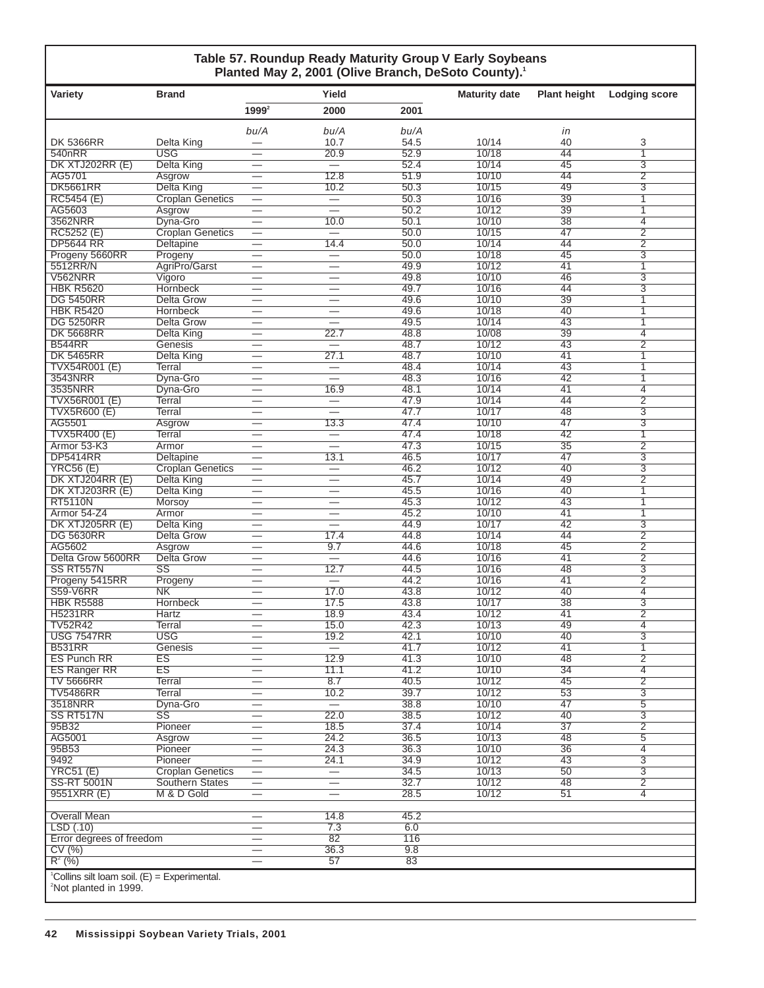#### **Table 57. Roundup Ready Maturity Group V Early Soybeans** Planted May 2, 2001 (Olive Branch, DeSoto County).<sup>1</sup>

| Variety                                                                                         | <b>Brand</b>                           |                                                      | Yield                                                |              | <b>Maturity date</b> | <b>Plant height</b>   | <b>Lodging score</b>             |
|-------------------------------------------------------------------------------------------------|----------------------------------------|------------------------------------------------------|------------------------------------------------------|--------------|----------------------|-----------------------|----------------------------------|
|                                                                                                 |                                        | $1999^2$                                             | 2000                                                 | 2001         |                      |                       |                                  |
|                                                                                                 |                                        | bu/A                                                 | bu/A                                                 | bu/A         |                      | in                    |                                  |
| <b>DK 5366RR</b>                                                                                | Delta King                             |                                                      | 10.7                                                 | 54.5         | 10/14                | 40                    | 3                                |
| 540 <sub>nRR</sub>                                                                              | <b>USG</b>                             | —                                                    | 20.9                                                 | 52.9         | 10/18                | 44                    | $\overline{1}$                   |
| DK XTJ202RR (E)<br>AG5701                                                                       | <b>Delta King</b><br>Asgrow            | $\overline{\phantom{0}}$                             | 12.8                                                 | 52.4<br>51.9 | 10/14<br>10/10       | 45<br>44              | $\overline{3}$<br>$\overline{2}$ |
| <b>DK5661RR</b>                                                                                 | <b>Delta King</b>                      |                                                      | 10.2                                                 | 50.3         | 10/15                | 49                    | 3                                |
| RC5454 (E)                                                                                      | <b>Croplan Genetics</b>                | $\overline{\phantom{0}}$                             |                                                      | 50.3         | 10/16                | 39                    | 1                                |
| AG5603                                                                                          | Asgrow                                 |                                                      | $\overline{\phantom{0}}$                             | 50.2         | 10/12                | 39                    | 1                                |
| 3562NRR                                                                                         | Dyna-Gro                               |                                                      | 10.0                                                 | 50.1         | 10/10                | $\overline{38}$       | $\overline{4}$                   |
| RC5252 (E)<br><b>DP5644 RR</b>                                                                  | <b>Croplan Genetics</b><br>Deltapine   |                                                      | $\overline{\phantom{0}}$<br>14.4                     | 50.0<br>50.0 | 10/15<br>10/14       | 47<br>44              | $\overline{2}$<br>$\overline{2}$ |
| Progeny 5660RR                                                                                  | Progeny                                |                                                      |                                                      | 50.0         | 10/18                | 45                    | 3                                |
| 5512RR/N                                                                                        | AgriPro/Garst                          |                                                      |                                                      | 49.9         | 10/12                | 41                    | 1                                |
| <b>V562NRR</b>                                                                                  | Vigoro                                 |                                                      | $\overline{\phantom{0}}$                             | 49.8         | 10/10                | 46                    | $\overline{3}$                   |
| <b>HBK R5620</b>                                                                                | <b>Hornbeck</b>                        | $\overline{\phantom{0}}$                             | $\overline{\phantom{0}}$                             | 49.7         | 10/16                | 44                    | $\overline{3}$                   |
| <b>DG 5450RR</b><br><b>HBK R5420</b>                                                            | <b>Delta Grow</b><br>Hornbeck          |                                                      | $\overline{\phantom{0}}$<br>$\overline{\phantom{0}}$ | 49.6<br>49.6 | 10/10<br>10/18       | 39<br>40              | 1<br>1                           |
| <b>DG 5250RR</b>                                                                                | <b>Delta Grow</b>                      | —                                                    | $\overline{\phantom{0}}$                             | 49.5         | 10/14                | 43                    | 1                                |
| <b>DK 5668RR</b>                                                                                | <b>Delta King</b>                      |                                                      | 22.7                                                 | 48.8         | 10/08                | 39                    | $\overline{4}$                   |
| <b>B544RR</b>                                                                                   | Genesis                                | –                                                    | $\overline{\phantom{0}}$                             | 48.7         | 10/12                | 43                    | $\overline{2}$                   |
| <b>DK 5465RR</b>                                                                                | Delta King                             |                                                      | 27.1                                                 | 48.7         | 10/10                | 41                    | 1                                |
| <b>TVX54R001 (E)</b>                                                                            | Terral                                 |                                                      |                                                      | 48.4         | 10/14                | 43                    | 1                                |
| 3543NRR<br>3535NRR                                                                              | Dyna-Gro<br>Dyna-Gro                   | —                                                    | $\overline{\phantom{0}}$<br>16.9                     | 48.3<br>48.1 | 10/16<br>10/14       | $\overline{42}$<br>41 | 1<br>$\overline{4}$              |
| <b>TVX56R001 (E)</b>                                                                            | Terral                                 | $\overline{\phantom{0}}$                             |                                                      | 47.9         | 10/14                | 44                    | $\overline{2}$                   |
| <b>TVX5R600 (E)</b>                                                                             | Terral                                 | —                                                    |                                                      | 47.7         | 10/17                | 48                    | $\overline{3}$                   |
| AG5501                                                                                          | Asgrow                                 |                                                      | 13.3                                                 | 47.4         | 10/10                | 47                    | 3                                |
| <b>TVX5R400 (E)</b>                                                                             | Terral                                 |                                                      | $\qquad \qquad -$                                    | 47.4         | 10/18                | 42                    | 1                                |
| Armor 53-K3<br><b>DP5414RR</b>                                                                  | Armor                                  |                                                      | $\overline{\phantom{0}}$                             | 47.3<br>46.5 | 10/15<br>10/17       | $\overline{35}$<br>47 | $\overline{2}$<br>$\overline{3}$ |
| <b>YRC56 (E)</b>                                                                                | Deltapine<br><b>Croplan Genetics</b>   | $\overline{\phantom{0}}$<br>$\overline{\phantom{0}}$ | 13.1                                                 | 46.2         | 10/12                | 40                    | $\overline{3}$                   |
| DK XTJ204RR (E)                                                                                 | <b>Delta King</b>                      |                                                      |                                                      | 45.7         | 10/14                | 49                    | $\overline{2}$                   |
| DK XTJ203RR (E)                                                                                 | <b>Delta King</b>                      | $\overline{\phantom{0}}$                             |                                                      | 45.5         | 10/16                | 40                    | 1                                |
| <b>RT5110N</b>                                                                                  | <b>Morsoy</b>                          |                                                      | $\overline{\phantom{0}}$                             | 45.3         | 10/12                | 43                    | 1                                |
| Armor 54-Z4                                                                                     | Armor                                  | $\overline{\phantom{0}}$                             | $\overline{\phantom{0}}$                             | 45.2         | 10/10                | $\overline{41}$       | 1                                |
| DK XTJ205RR (E)<br><b>DG 5630RR</b>                                                             | <b>Delta King</b><br><b>Delta Grow</b> | $\overline{\phantom{0}}$                             | 17.4                                                 | 44.9<br>44.8 | 10/17<br>10/14       | $\overline{42}$<br>44 | $\overline{3}$<br>$\overline{2}$ |
| AG5602                                                                                          | Asgrow                                 | —                                                    | 9.7                                                  | 44.6         | 10/18                | 45                    | $\overline{2}$                   |
| Delta Grow 5600RR                                                                               | <b>Delta Grow</b>                      |                                                      |                                                      | 44.6         | 10/16                | 41                    | $\overline{2}$                   |
| SS RT557N                                                                                       | SS                                     | —                                                    | 12.7                                                 | 44.5         | 10/16                | 48                    | $\overline{3}$                   |
| Progeny 5415RR                                                                                  | Progeny                                |                                                      | $=$                                                  | 44.2         | 10/16                | 41                    | $\overline{2}$                   |
| <b>S59-V6RR</b><br><b>HBK R5588</b>                                                             | <b>NK</b><br><b>Hornbeck</b>           |                                                      | 17.0<br>17.5                                         | 43.8<br>43.8 | 10/12<br>10/17       | 40<br>$\overline{38}$ | $\overline{4}$<br>$\overline{3}$ |
| <b>H5231RR</b>                                                                                  | Hartz                                  |                                                      | 18.9                                                 | 43.4         | 10/12                | $\overline{41}$       | $\overline{2}$                   |
| <b>TV52R42</b>                                                                                  | Terral                                 | $\overline{\phantom{0}}$                             | 15.0                                                 | 42.3         | 10/13                | 49                    | $\overline{4}$                   |
| <b>USG 7547RR</b>                                                                               | <b>USG</b>                             |                                                      | 19.2                                                 | 42.1         | 10/10                | 40                    | $\overline{3}$                   |
| <b>B531RR</b>                                                                                   | Genesis                                |                                                      |                                                      | 41.7         | 10/12                | 41                    | 1                                |
| <b>ES Punch RR</b>                                                                              | ES<br>ES                               | $\overline{\phantom{0}}$                             | 12.9                                                 | 41.3<br>41.2 | 10/10<br>10/10       | 48<br>$\overline{34}$ | $\overline{2}$<br>$\overline{4}$ |
| <b>ES Ranger RR</b><br><b>TV 5666RR</b>                                                         | <b>Terral</b>                          | $\overline{\phantom{0}}$<br>—                        | 11.1<br>8.7                                          | 40.5         | 10/12                | 45                    | $\overline{2}$                   |
| <b>TV5486RR</b>                                                                                 | Terral                                 | $\overline{\phantom{0}}$                             | 10.2                                                 | 39.7         | 10/12                | $\overline{53}$       | $\overline{3}$                   |
| 3518NRR                                                                                         | Dyna-Gro                               | $\overline{\phantom{0}}$                             |                                                      | 38.8         | 10/10                | 47                    | $\overline{5}$                   |
| SS RT517N                                                                                       | $\overline{\text{SS}}$                 | $\overline{\phantom{0}}$                             | 22.0                                                 | 38.5         | 10/12                | 40                    | $\overline{3}$                   |
| 95B32                                                                                           | Pioneer                                | $\overline{\phantom{0}}$                             | 18.5                                                 | 37.4         | 10/14                | $\overline{37}$       | $\overline{2}$                   |
| AG5001<br>95B53                                                                                 | Asgrow<br>Pioneer                      | $\overline{\phantom{0}}$                             | 24.2<br>24.3                                         | 36.5<br>36.3 | 10/13<br>10/10       | 48<br>36              | $\overline{5}$<br>$\overline{4}$ |
| 9492                                                                                            | Pioneer                                |                                                      | 24.1                                                 | 34.9         | 10/12                | 43                    | $\overline{3}$                   |
| <b>YRC51 (E)</b>                                                                                | <b>Croplan Genetics</b>                |                                                      |                                                      | 34.5         | 10/13                | 50                    | $\overline{3}$                   |
| <b>SS-RT 5001N</b>                                                                              | <b>Southern States</b>                 | $\overline{\phantom{m}}$                             |                                                      | 32.7         | 10/12                | 48                    | $\overline{2}$                   |
| 9551XRR (E)                                                                                     | M & D Gold                             |                                                      | $\overline{\phantom{0}}$                             | 28.5         | 10/12                | $\overline{51}$       | 4                                |
| Overall Mean                                                                                    |                                        |                                                      | 14.8                                                 | 45.2         |                      |                       |                                  |
| LSD(.10)                                                                                        |                                        | $\overline{\phantom{0}}$                             | $\overline{7.3}$                                     | 6.0          |                      |                       |                                  |
| Error degrees of freedom                                                                        |                                        | —                                                    | 82                                                   | 116          |                      |                       |                                  |
| CV(%)                                                                                           |                                        | $\qquad \qquad$                                      | 36.3                                                 | 9.8          |                      |                       |                                  |
| $R^2$ (%)                                                                                       |                                        |                                                      | 57                                                   | 83           |                      |                       |                                  |
| <sup>1</sup> Collins silt loam soil. $(E)$ = Experimental.<br><sup>2</sup> Not planted in 1999. |                                        |                                                      |                                                      |              |                      |                       |                                  |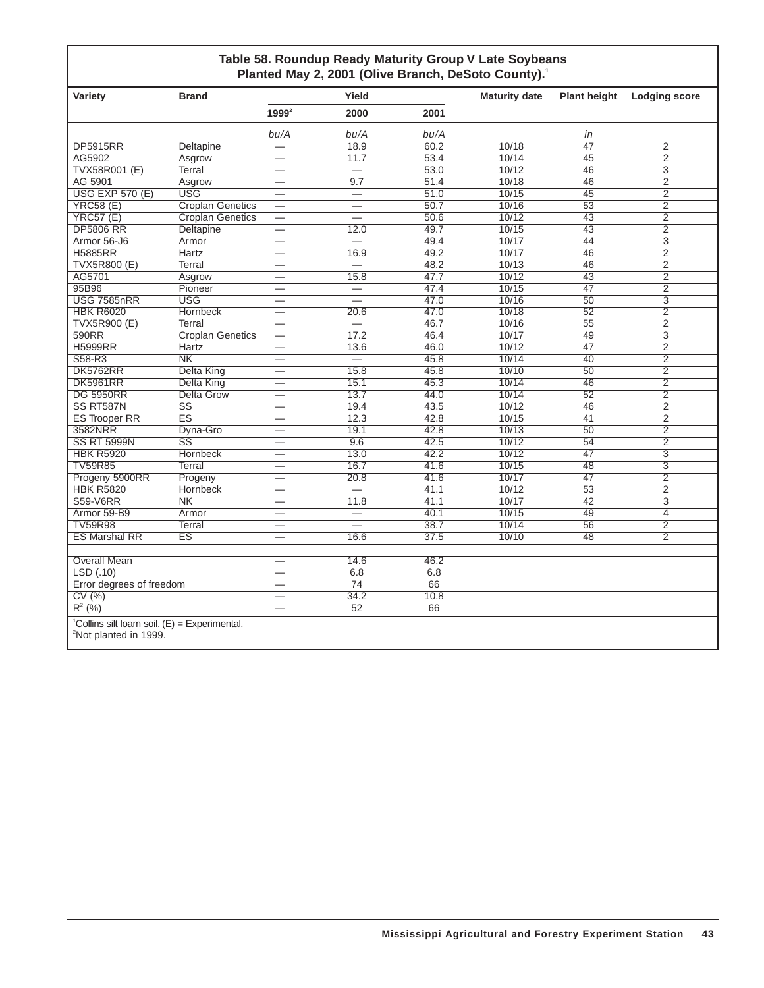### **Table 58. Roundup Ready Maturity Group V Late Soybeans** Planted May 2, 2001 (Olive Branch, DeSoto County).<sup>1</sup>

| Variety                                                                                         | <b>Brand</b>            |                                | Yield                    |      | <b>Maturity date</b> | <b>Plant height</b> | <b>Lodging score</b> |
|-------------------------------------------------------------------------------------------------|-------------------------|--------------------------------|--------------------------|------|----------------------|---------------------|----------------------|
|                                                                                                 |                         | $1999^2$                       | 2000                     | 2001 |                      |                     |                      |
|                                                                                                 |                         | bu/A                           | bu/A                     | bu/A |                      | in                  |                      |
| <b>DP5915RR</b>                                                                                 | Deltapine               |                                | 18.9                     | 60.2 | 10/18                | 47                  | 2                    |
| AG5902                                                                                          | Asgrow                  |                                | 11.7                     | 53.4 | 10/14                | $\overline{45}$     | $\overline{2}$       |
| TVX58R001 (E)                                                                                   | Terral                  | $\overline{\phantom{0}}$       |                          | 53.0 | 10/12                | 46                  | $\overline{3}$       |
| AG 5901                                                                                         | Asgrow                  | $\overline{\phantom{0}}$       | 9.7                      | 51.4 | 10/18                | 46                  | $\overline{2}$       |
| <b>USG EXP 570 (E)</b>                                                                          | <b>USG</b>              | $\overline{\phantom{0}}$       | $\overline{\phantom{0}}$ | 51.0 | 10/15                | $\overline{45}$     | $\overline{2}$       |
| <b>YRC58 (E)</b>                                                                                | <b>Croplan Genetics</b> | $\overline{\phantom{0}}$       | $\overline{\phantom{0}}$ | 50.7 | 10/16                | $\overline{53}$     | $\overline{2}$       |
| YRC57(E)                                                                                        | <b>Croplan Genetics</b> | $\overline{\phantom{0}}$       |                          | 50.6 | 10/12                | 43                  | $\overline{2}$       |
| <b>DP5806 RR</b>                                                                                | Deltapine               | $\overline{\phantom{0}}$       | 12.0                     | 49.7 | 10/15                | $\overline{43}$     | $\overline{2}$       |
| Armor 56-J6                                                                                     | Armor                   |                                |                          | 49.4 | 10/17                | 44                  | $\overline{3}$       |
| <b>H5885RR</b>                                                                                  | Hartz                   | $\overline{\phantom{0}}$       | 16.9                     | 49.2 | 10/17                | 46                  | $\overline{2}$       |
| <b>TVX5R800 (E)</b>                                                                             | Terral                  | $\overline{\phantom{0}}$       | $\overline{\phantom{0}}$ | 48.2 | 10/13                | 46                  | $\overline{2}$       |
| AG5701                                                                                          | Asgrow                  | —                              | 15.8                     | 47.7 | 10/12                | 43                  | $\overline{2}$       |
| 95B96                                                                                           | Pioneer                 |                                | $\overline{\phantom{0}}$ | 47.4 | 10/15                | 47                  | $\overline{2}$       |
| <b>USG 7585nRR</b>                                                                              | <b>USG</b>              |                                | $\overline{\phantom{0}}$ | 47.0 | 10/16                | $\overline{50}$     | $\overline{3}$       |
| <b>HBK R6020</b>                                                                                | Hornbeck                |                                | 20.6                     | 47.0 | 10/18                | $\overline{52}$     | $\overline{2}$       |
| <b>TVX5R900 (E)</b>                                                                             | Terral                  |                                | $\overline{\phantom{0}}$ | 46.7 | 10/16                | $\overline{55}$     | $\overline{2}$       |
| 590RR                                                                                           | <b>Croplan Genetics</b> | $\overline{\phantom{0}}$       | 17.2                     | 46.4 | 10/17                | 49                  | $\overline{3}$       |
| <b>H5999RR</b>                                                                                  | Hartz                   |                                | 13.6                     | 46.0 | 10/12                | 47                  | $\overline{2}$       |
| $S58-R3$                                                                                        | N <sub>K</sub>          |                                | $\equiv$                 | 45.8 | 10/14                | 40                  | $\overline{2}$       |
| <b>DK5762RR</b>                                                                                 | Delta King              |                                | 15.8                     | 45.8 | 10/10                | 50                  | $\overline{2}$       |
| <b>DK5961RR</b>                                                                                 | Delta King              | $\overline{\phantom{0}}$       | 15.1                     | 45.3 | 10/14                | 46                  | $\overline{2}$       |
| <b>DG 5950RR</b>                                                                                | Delta Grow              |                                | 13.7                     | 44.0 | 10/14                | 52                  | $\overline{2}$       |
| SS RT587N                                                                                       | $\overline{\text{SS}}$  |                                | 19.4                     | 43.5 | 10/12                | 46                  | $\overline{2}$       |
| <b>ES Trooper RR</b>                                                                            | $\overline{ES}$         | $\overline{\phantom{0}}$       | 12.3                     | 42.8 | 10/15                | $\overline{41}$     | $\overline{2}$       |
| 3582NRR                                                                                         | Dyna-Gro                | $\overline{\phantom{0}}$       | 19.1                     | 42.8 | 10/13                | 50                  | $\overline{2}$       |
| <b>SS RT 5999N</b>                                                                              | $\overline{\text{ss}}$  |                                | 9.6                      | 42.5 | 10/12                | 54                  | $\overline{2}$       |
| <b>HBK R5920</b>                                                                                | Hornbeck                |                                | 13.0                     | 42.2 | 10/12                | 47                  | $\overline{3}$       |
| <b>TV59R85</b>                                                                                  | Terral                  | $\overline{\phantom{0}}$       | 16.7                     | 41.6 | 10/15                | 48                  | $\overline{3}$       |
| Progeny 5900RR                                                                                  | Progeny                 |                                | 20.8                     | 41.6 | 10/17                | 47                  | $\overline{2}$       |
| <b>HBK R5820</b>                                                                                | <b>Hornbeck</b>         |                                | $\overline{\phantom{0}}$ | 41.1 | 10/12                | $\overline{53}$     | $\overline{2}$       |
| <b>S59-V6RR</b>                                                                                 | N <sub>K</sub>          | $\overline{\phantom{0}}$       | 11.8                     | 41.1 | 10/17                | 42                  | $\overline{3}$       |
| Armor 59-B9                                                                                     | Armor                   |                                | $\overline{\phantom{0}}$ | 40.1 | 10/15                | 49                  | $\overline{4}$       |
| <b>TV59R98</b>                                                                                  | Terral                  | $\overline{\phantom{0}}$       | $\overline{\phantom{0}}$ | 38.7 | 10/14                | 56                  | $\overline{2}$       |
| <b>ES Marshal RR</b>                                                                            | ES                      | $\overline{\phantom{0}}$       | 16.6                     | 37.5 | 10/10                | 48                  | $\overline{2}$       |
|                                                                                                 |                         |                                |                          |      |                      |                     |                      |
| <b>Overall Mean</b>                                                                             |                         | $\qquad \qquad \longleftarrow$ | 14.6                     | 46.2 |                      |                     |                      |
| LSD(.10)                                                                                        |                         |                                | 6.8                      | 6.8  |                      |                     |                      |
| Error degrees of freedom                                                                        |                         | $\overline{\phantom{0}}$       | $\overline{74}$          | 66   |                      |                     |                      |
| CV(%)                                                                                           |                         | $\overline{\phantom{0}}$       | 34.2                     | 10.8 |                      |                     |                      |
| $R^{2}$ (%)                                                                                     |                         |                                | 52                       | 66   |                      |                     |                      |
| <sup>1</sup> Collins silt loam soil. $(E)$ = Experimental.<br><sup>2</sup> Not planted in 1999. |                         |                                |                          |      |                      |                     |                      |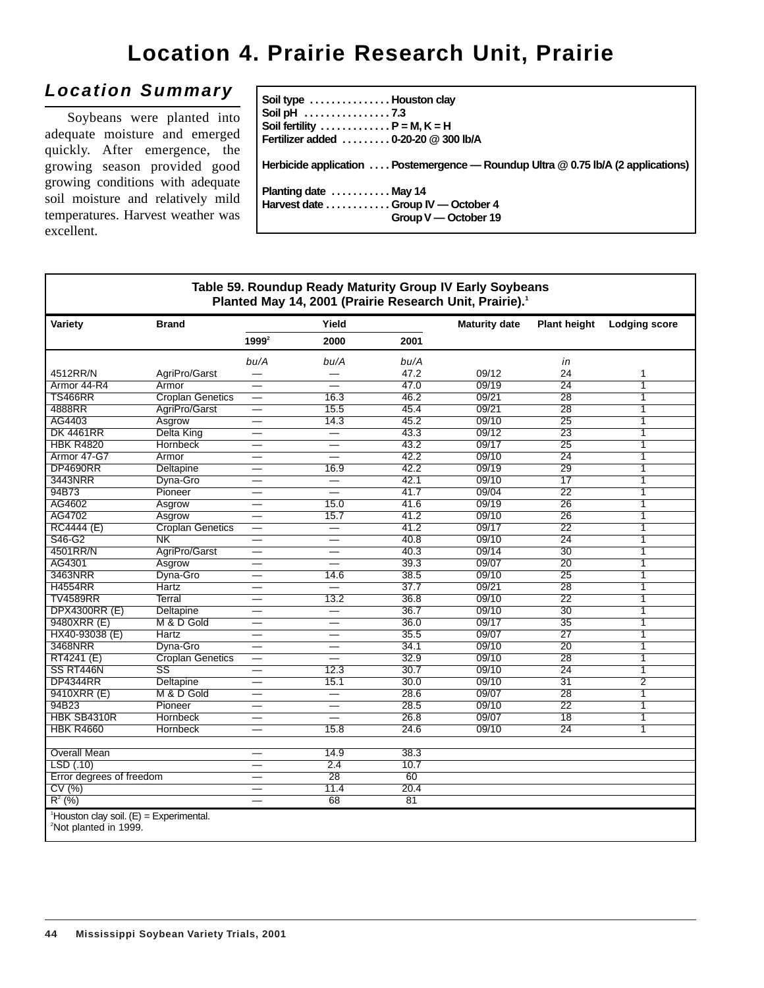# **Location 4. Prairie Research Unit, Prairie**

## **Location Summary**

Soybeans were planted into adequate moisture and emerged quickly. After emergence, the growing season provided good growing conditions with adequate soil moisture and relatively mild temperatures. Harvest weather was excellent.

| Soil type  Houston clay<br>Soil fertility $\dots\dots\dots\dots P$ = M, K = H<br>Fertilizer added  0-20-20 @ 300 lb/A |
|-----------------------------------------------------------------------------------------------------------------------|
| Herbicide application  Postemergence — Roundup Ultra @ 0.75 lb/A (2 applications)                                     |
| Planting date  May 14<br>Harvest date Group IV — October 4<br>Group V - October 19                                    |

#### **Table 59. Roundup Ready Maturity Group IV Early Soybeans** Planted May 14, 2001 (Prairie Research Unit, Prairie).<sup>1</sup> Variety **Brand Brand Water Areas Areas Areas Areas Maturity date Plant height Lodging score 19992 2000 2001** bu/A bu/A bu/A in 4512RR/N AgriPro/Garst — — 47.2 09/12 24 1 Armor 44-R4 Armor — — 47.0 09/19 24 1 TS466RR Croplan Genetics — 16.3 46.2 09/21 28 1 4888RR AgriPro/Garst — 15.5 45.4 09/21 28 1 AG4403 Asgrow — 14.3 45.2 09/10 25 1 DK 4461RR Delta King — — 43.3 09/12 23 1 HBK R4820 Hornbeck — — 43.2 09/17 25 1 Armor 47-G7 Armor — — 42.2 09/10 24 1 DP4690RR Deltapine — 16.9 42.2 09/19 29 1 3443NRR Dyna-Gro — — 42.1 09/10 17 1 94B73 Pioneer — — 41.7 09/04 22 1 AG4602 Asgrow — 15.0 41.6 09/19 26 1 AG4702 Asgrow — 15.7 41.2 09/10 26 1 RC4444 (E) Croplan Genetics — — 41.2 09/17 22 1 S46-G2 NK — — 40.8 09/10 24 1 4501RR/N AgriPro/Garst — — 40.3 09/14 30 1<br>AG4301 Asgrow — — 39.3 09/07 20 1 AG4301 Asgrow — — 39.3 09/07 20 1 3463NRR Dyna-Gro — 14.6 38.5 09/10 25 1 H4554RR Hartz — — 37.7 09/21 28 1  $TV4589RR$  Terral — 13.2 36.8 09/10 22 1 000 DPX4300RR (E) Deltapine — — — 36.7 09/10 30 1<br>9480XRR (E) M & D Gold — — 36.0 09/17 35 1 9480XRR (E) M & D Gold — — 36.0 09/17 35 1 HX40-93038 (E) Hartz — — 35.5 09/07 27 1 3468NRR Dyna-Gro — — 34.1 09/10 20 1 RT4241 (E) Croplan Genetics — — 32.9 09/10 28 1<br>SS RT446N SS — 12.3 30.7 09/10 24 1 SS RT446N SS — 12.3 30.7 09/10 24 1 DP4344RR Deltapine — 15.1 30.0 09/10 31 2 9410XRR (E) M & D Gold — — 28.6 09/07 28 1 94B23 Pioneer — — 28.5 09/10 22 1 HBK SB4310R Hornbeck — — 26.8 09/07 18 1 HBK R4660 Hornbeck — 15.8 24.6 09/10 24 1 Overall Mean — 14.9 38.3  $LSD(.10)$ Error degrees of freedom  $\overline{CV(%)}$   $\overline{CV(%)}$   $\overline{20.4}$ CV (%)  $-$  11.4 20.4  $R^2$  (%) and the contract of the contract of the contract of the contract of the contract of the contract of the contract of the contract of the contract of the contract of the contract of the contract of the contract of 1 Houston clay soil. (E) = Experimental. 2 Not planted in 1999.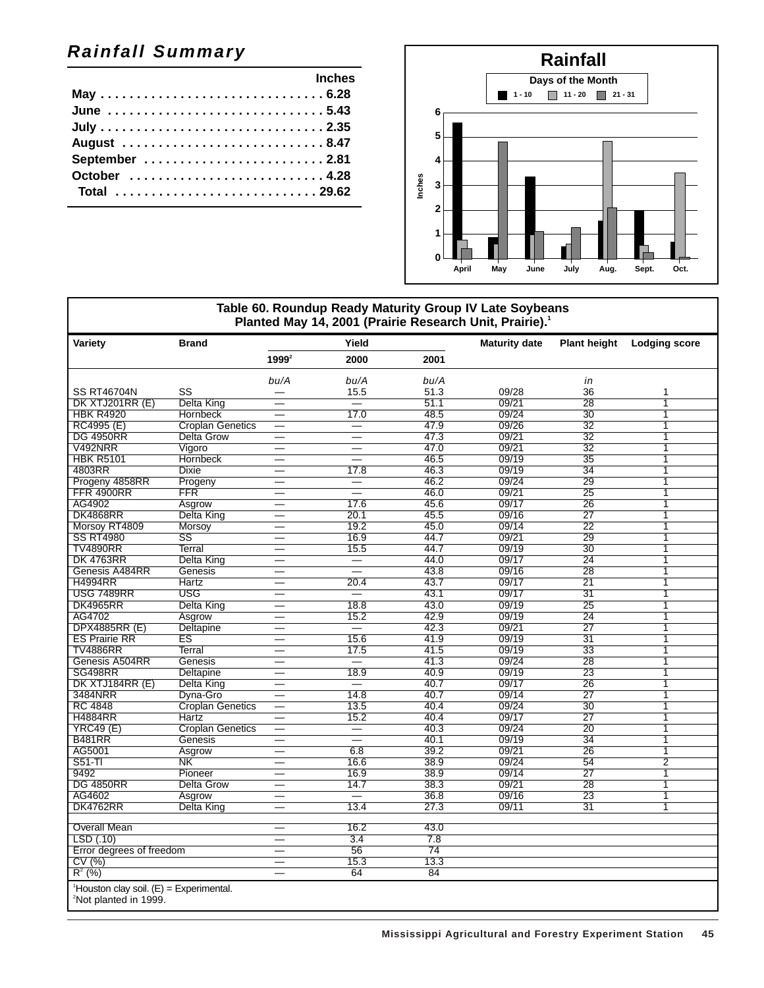## **Rainfall Summary**

| <b>Example 2018</b> Inches |  |
|----------------------------|--|
|                            |  |
| June 5.43                  |  |
|                            |  |
| August 8.47                |  |
|                            |  |
| October  4.28              |  |
| Total 29.62                |  |



#### **Table 60. Roundup Ready Maturity Group IV Late Soybeans** Planted May 14, 2001 (Prairie Research Unit, Prairie).<sup>1</sup> Variety **Brand Brand Water Areas Areas Areas Areas Maturity date Plant height Lodging score 19992 2000 2001** bu/A bu/A bu/A in SS RT46704N SS — 15.5 51.3 09/28 36 1 09/21 28 1 EXTJ201RR (E) Delta King — — — 51.1 09/21 28 1<br>HBK R4920 Hornbeck — 17.0 48.5 09/24 30 1 HBK R4920 Hornbeck — 17.0 48.5 09/24 30 1 RC4995 (E) Croplan Genetics — — 47.9 09/26 32 1 DG 4950RR Delta Grow — — 47.3 09/21 32 1 V492NRR Vigoro — — 47.0 09/21 32 1 HBK R5101 Hornbeck — — 46.5 09/19 35 1 4803RR Dixie — 17.8 46.3 09/19 34 1 Progeny 4858RR Progeny — — — 46.2 09/24 29 1<br>FFR 4900RR FFR — — 46.0 09/21 25 1 FFR 4900RR FFR — — 46.0 09/21 25 1 AG4902 Asgrow — 17.6 45.6 09/17 26 1 DK4868RR Delta King — 20.1 45.5 09/16 27 1 Morsoy RT4809 Morsoy — 19.2 45.0 09/14 22 1<br>SS RT4980 SS — 16.9 44.7 09/21 29 1 SS RT4980 SS — 16.9 44.7 09/21 29 1  $TV4890RR$  Terral — 15.5 44.7 09/19 30 1 DK 4763RR Delta King — — 44.0 09/17 24 1 Genesis A484RR Genesis — — 43.8 09/16 28 1<br>H4994RR Hartz — 20.4 43.7 09/17 21 1 H4994RR Hartz — 20.4 43.7 09/17 21 1 USG 7489RR USG — — 43.1 09/17 31 1 DK4965RR Delta King — 18.8 43.0 09/19 25 1 AG4702 Asgrow — 15.2 42.9 09/19 24 1 DPX4885RR (E) Deltapine — — — 42.3 09/21 27 1<br>
ES Prairie RR ES — 15.6 41.9 09/19 31 1 ES Prairie RR ES — 15.6 41.9 09/19 31 1  $TV4886RR$  Terral — 17.5 41.5 09/19 33 1 Genesis A504RR Genesis — — 41.3 09/24 28 1<br>SG498RR Deltapine — 18.9 40.9 09/19 23 1 SG498RR Deltapine — 18.9 40.9 09/19 23 1 DK XTJ184RR (E) Delta King — — 40.7 09/17 26 1 3484NRR Dyna-Gro — 14.8 40.7 09/14 27 1 RC 4848 Croplan Genetics — 13.5 40.4 09/24 30 1 H4884RR Hartz — 15.2 40.4 09/17 27 1 YRC49 (E) Croplan Genetics — — 40.3 09/24 20 1 B481RR Genesis — — 40.1 09/19 34 1 AG5001 Asgrow — 6.8 39.2 09/21 26 1 S51-Tl NK — 16.6 38.9 09/24 54 2 9492 Pioneer — 16.9 38.9 09/14 27 1 DG 4850RR Delta Grow — 14.7 38.3 09/21 28 1 AG4602 Asgrow — — 36.8 09/16 23 1 DK4762RR Delta King — 13.4 27.3 09/11 31 1 Overall Mean **— 16.2** 43.0  $\frac{\text{LSD} (0.10)}{1.5}$  = 3.4 7.8<br>Error degrees of freedom = 56 74 Error degrees of freedom  $-$  56 74<br>
CV (%)  $-$  15.3 13.3 CV (%) — 15.3 13.3  $R^2$  (%) and the contract of the contract of the contract of the contract of the contract of the contract of the contract of the contract of the contract of the contract of the contract of the contract of the contract of 1 Houston clay soil. (E) = Experimental.

2 Not planted in 1999.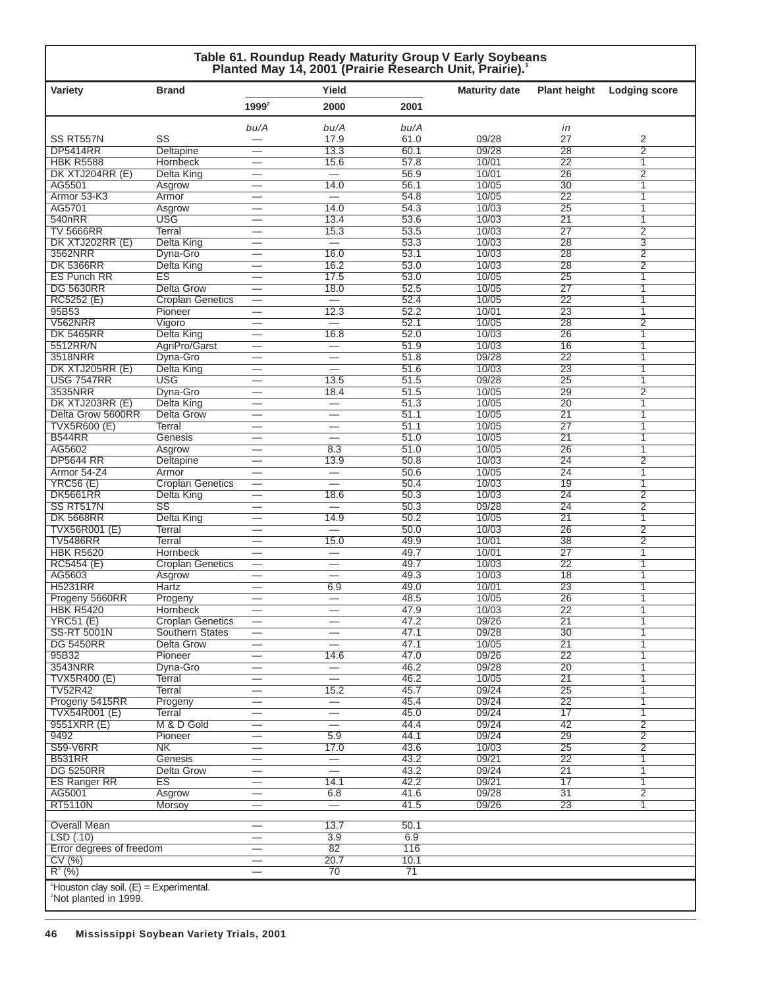| Variety                     | <b>Brand</b>            | Yield                          |                          | <b>Maturity date</b> | <b>Plant height</b> | Lodging score                      |                                  |
|-----------------------------|-------------------------|--------------------------------|--------------------------|----------------------|---------------------|------------------------------------|----------------------------------|
|                             |                         | 1999 <sup>2</sup>              | 2000                     | 2001                 |                     |                                    |                                  |
|                             |                         | bu/A                           | bu/A                     | bu/A                 |                     | in                                 |                                  |
| SS RT557N                   | SS                      |                                | 17.9                     | 61.0                 | 09/28               | 27                                 | 2                                |
| <b>DP5414RR</b>             | Deltapine               | $\overline{\phantom{0}}$       | 13.3                     | 60.1                 | 09/28               | 28                                 | $\overline{2}$                   |
| <b>HBK R5588</b>            | Hornbeck                |                                | 15.6                     | 57.8                 | 10/01               | $\overline{22}$                    | 1                                |
| DK XTJ204RR (E)             | Delta King              | -                              | $=$                      | 56.9                 | 10/01               | $\overline{26}$                    | $\overline{2}$                   |
| AG5501                      | Asgrow                  |                                | 14.0                     | 56.1                 | 10/05               | 30                                 | 1                                |
| Armor 53-K3                 | Armor                   |                                | $\equiv$                 | 54.8                 | 10/05               | $\overline{22}$                    | $\mathbf{1}$                     |
| AG5701                      | Asgrow                  | $\overline{\phantom{0}}$       | 14.0                     | 54.3                 | 10/03               | 25                                 | 1                                |
| 540nRR<br><b>TV 5666RR</b>  | <b>USG</b>              |                                | 13.4<br>15.3             | 53.6                 | 10/03<br>10/03      | $\overline{21}$<br>$\overline{27}$ | $\mathbf{1}$                     |
| DK XTJ202RR (E)             | Terral                  | $\overline{\phantom{0}}$       | $\equiv$                 | 53.5<br>53.3         | 10/03               | 28                                 | $\overline{2}$<br>$\overline{3}$ |
|                             | <b>Delta King</b>       |                                |                          |                      |                     |                                    |                                  |
| 3562NRR<br><b>DK 5366RR</b> | Dyna-Gro                | $\qquad \qquad \longleftarrow$ | 16.0<br>16.2             | 53.1<br>53.0         | 10/03<br>10/03      | $\overline{28}$<br>28              | $\overline{2}$                   |
|                             | Delta King              |                                |                          |                      |                     |                                    | $\overline{2}$                   |
| <b>ES Punch RR</b>          | ES                      |                                | 17.5                     | 53.0                 | 10/05               | $\overline{25}$                    | 1                                |
| <b>DG 5630RR</b>            | <b>Delta Grow</b>       |                                | 18.0                     | 52.5                 | 10/05               | 27                                 | 1                                |
| RC5252 (E)                  | <b>Croplan Genetics</b> |                                | $=$                      | 52.4                 | 10/05               | $\overline{22}$                    | $\mathbf{1}$                     |
| 95B53                       | Pioneer                 | $\overline{\phantom{0}}$       | 12.3                     | 52.2                 | 10/01               | 23                                 | 1                                |
| V562NRR                     | Vigoro                  |                                | $=$                      | 52.1                 | 10/05               | 28                                 | $\overline{2}$                   |
| <b>DK 5465RR</b>            | Delta King              | $\overline{\phantom{0}}$       | 16.8                     | 52.0                 | 10/03               | 26                                 | 1                                |
| 5512RR/N                    | AgriPro/Garst           |                                | $\overline{\phantom{0}}$ | 51.9                 | 10/03               | 16                                 | 1                                |
| 3518NRR                     | Dyna-Gro                |                                |                          | 51.8                 | 09/28               | 22                                 | 1                                |
| DK XTJ205RR (E)             | <b>Delta King</b>       |                                | ▃                        | 51.6                 | 10/03               | $\overline{23}$                    | $\mathbf{1}$                     |
| <b>USG 7547RR</b>           | <b>USG</b>              |                                | 13.5                     | 51.5                 | 09/28               | 25                                 | $\overline{1}$                   |
| 3535NRR                     | Dyna-Gro                |                                | 18.4                     | 51.5                 | 10/05               | $\overline{29}$                    | $\overline{2}$                   |
| DK XTJ203RR (E)             | <b>Delta King</b>       | $\overline{\phantom{0}}$       |                          | 51.3                 | 10/05               | $\overline{20}$                    | 1                                |
| Delta Grow 5600RR           | Delta Grow              |                                | $\overline{\phantom{0}}$ | 51.1                 | 10/05               | $\overline{21}$                    | 1                                |
| <b>TVX5R600 (E)</b>         | <b>Terral</b>           | $\qquad \qquad \longleftarrow$ | $\overline{\phantom{0}}$ | 51.1                 | 10/05               | 27                                 | 1                                |
| <b>B544RR</b>               | Genesis                 | –                              |                          | 51.0                 | 10/05               | $\overline{21}$                    | 1                                |
| AG5602                      | Asgrow                  |                                | 8.3                      | 51.0                 | 10/05               | $\overline{26}$                    | 1                                |
| <b>DP5644 RR</b>            | Deltapine               |                                | 13.9                     | 50.8                 | 10/03               | 24                                 | $\overline{2}$                   |
| Armor 54-Z4                 | Armor                   |                                |                          | 50.6                 | 10/05               | $\overline{24}$                    | $\mathbf{1}$                     |
| <b>YRC56 (E)</b>            | <b>Croplan Genetics</b> | $\overline{\phantom{0}}$       | $\overline{\phantom{0}}$ | 50.4                 | 10/03               | 19                                 | 1                                |
| <b>DK5661RR</b>             | <b>Delta King</b>       |                                | 18.6                     | 50.3                 | 10/03               | $\overline{24}$                    | $\overline{2}$                   |
| SS RT517N                   | SS                      | $\overline{\phantom{0}}$       | $\overline{\phantom{0}}$ | 50.3                 | 09/28               | 24                                 | 2                                |
| <b>DK 5668RR</b>            | Delta King              |                                | 14.9                     | 50.2                 | 10/05               | $\overline{21}$                    | 1                                |
| TVX56R001 (E)               | Terral                  |                                | $\qquad \qquad$          | 50.0                 | 10/03               | 26                                 | $\overline{2}$                   |
| <b>TV5486RR</b>             | Terral                  |                                | 15.0                     | 49.9                 | 10/01               | 38                                 | $\overline{2}$                   |
| <b>HBK R5620</b>            | Hornbeck                | $\overline{\phantom{0}}$       | $\overline{\phantom{0}}$ | 49.7                 | 10/01               | 27                                 | $\overline{1}$                   |
| RC5454 (E)                  | <b>Croplan Genetics</b> |                                | $\overline{\phantom{0}}$ | 49.7                 | 10/03               | $\overline{22}$                    | $\mathbf{1}$                     |
| AG5603                      | Asgrow                  | $\overline{\phantom{0}}$       | $\overline{\phantom{0}}$ | 49.3                 | 10/03               | $\overline{18}$                    | 1                                |
| <b>H5231RR</b>              | Hartz                   |                                | 6.9                      | 49.0                 | 10/01               | $\overline{23}$                    | 1                                |
| Progeny 5660RR              | Progeny                 |                                | $\overline{\phantom{0}}$ | 48.5                 | 10/05               | 26                                 | 1                                |
| <b>HBK R5420</b>            | <b>Hornbeck</b>         |                                |                          | 47.9                 | 10/03               | $\overline{22}$                    | 1                                |
| YRC51(E)                    | <b>Croplan Genetics</b> |                                | $\overline{\phantom{0}}$ | 47.2                 | 09/26               | 21                                 | 1                                |
| <b>SS-RT 5001N</b>          | Southern States         |                                |                          | 47.1                 | 09/28               | 30                                 | 1                                |
| <b>DG 5450RR</b>            | <b>Delta Grow</b>       | $\overline{\phantom{0}}$       |                          | 47.1                 | 10/05               | 21                                 | $\mathbf{1}$                     |
| 95B32                       | Pioneer                 |                                | 14.6                     | 47.0                 | 09/26               | 22                                 | 1                                |
| 3543NRR                     | Dyna-Gro                | $\overline{\phantom{0}}$       |                          | 46.2                 | 09/28               | 20                                 | 1                                |
| <b>TVX5R400 (E)</b>         | Terral                  | $\overline{\phantom{0}}$       |                          | 46.2                 | 10/05               | 21                                 | 1                                |
| <b>TV52R42</b>              | <b>Terral</b>           |                                | 15.2                     | 45.7                 | 09/24               | $\overline{25}$                    | 1                                |
| Progeny 5415RR              | Progeny                 | —                              |                          | 45.4                 | 09/24               | 22                                 | 1                                |
| <b>TVX54R001 (E)</b>        | Terral                  |                                | $\overline{\phantom{0}}$ | 45.0                 | 09/24               | $\overline{17}$                    | 1                                |
| 9551XRR (E)                 | M & D Gold              | $\overline{\phantom{0}}$       | $\equiv$                 | 44.4                 | 09/24               | 42                                 | $\overline{2}$                   |
| 9492                        | Pioneer                 | $\overline{\phantom{0}}$       | 5.9                      | 44.1                 | 09/24               | 29                                 | $\overline{2}$                   |
| <b>S59-V6RR</b>             | NΚ                      |                                | 17.0                     | 43.6                 | 10/03               | 25                                 | $\overline{2}$                   |
| <b>B531RR</b>               | Genesis                 |                                | $\overline{\phantom{0}}$ | 43.2                 | 09/21               | $\overline{22}$                    | $\mathbf{1}$                     |
| <b>DG 5250RR</b>            | <b>Delta Grow</b>       |                                | $\overline{\phantom{0}}$ | 43.2                 | 09/24               | $\overline{21}$                    | 1                                |
| <b>ES Ranger RR</b>         | ES                      | $\overline{\phantom{0}}$       | 14.1                     | 42.2                 | 09/21               | 17                                 | 1                                |
| AG5001                      | Asgrow                  |                                | 6.8                      | 41.6                 | 09/28               | $\overline{31}$                    | $\overline{2}$                   |
| <b>RT5110N</b>              | Morsoy                  |                                | $\overline{\phantom{0}}$ | 41.5                 | 09/26               | 23                                 | 1                                |
|                             |                         |                                |                          |                      |                     |                                    |                                  |
| <b>Overall Mean</b>         |                         | $\overline{\phantom{0}}$       | 13.7                     | 50.1                 |                     |                                    |                                  |
| LSD(.10)                    |                         |                                | $\overline{3.9}$         | 6.9                  |                     |                                    |                                  |
| Error degrees of freedom    |                         | $\overline{\phantom{0}}$       | 82                       | 116                  |                     |                                    |                                  |
| CV(%)                       |                         | $\overline{\phantom{0}}$       | 20.7                     | 10.1                 |                     |                                    |                                  |
| $R^2$ (%)                   |                         |                                | 70                       | 71                   |                     |                                    |                                  |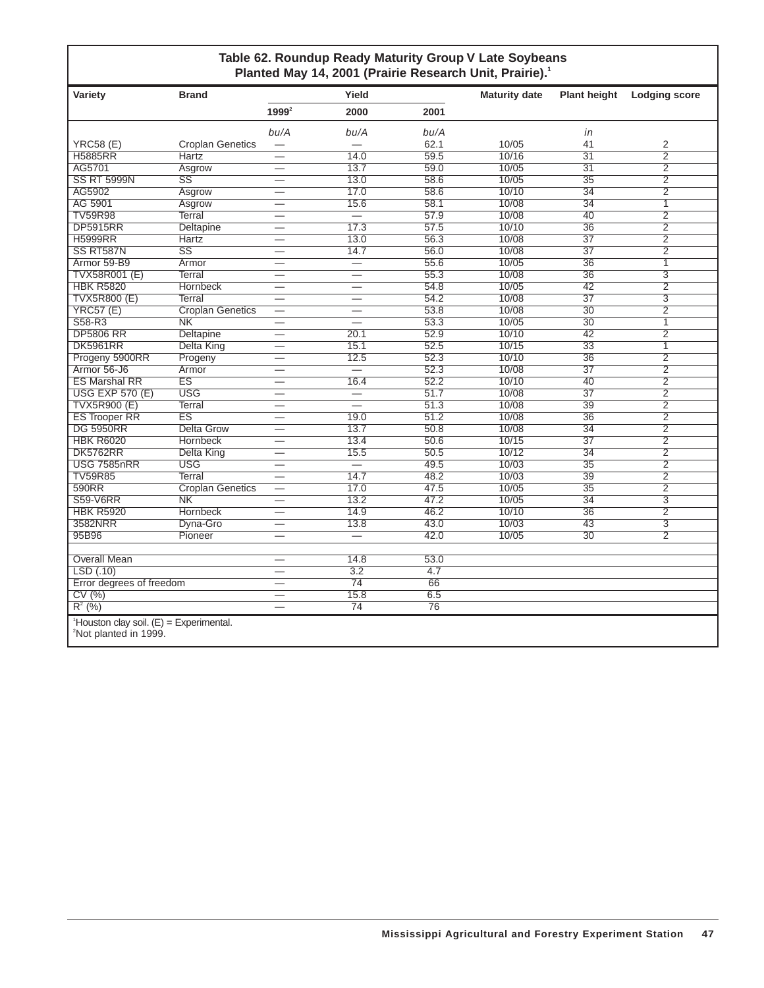### **Table 62. Roundup Ready Maturity Group V Late Soybeans Planted May 14, 2001 (Prairie Research Unit, Prairie).1**

| Variety                                                                         | <b>Brand</b>            |                                | Yield                    |      | <b>Maturity date</b> | <b>Plant height</b> | <b>Lodging score</b> |
|---------------------------------------------------------------------------------|-------------------------|--------------------------------|--------------------------|------|----------------------|---------------------|----------------------|
|                                                                                 |                         | $1999^2$                       | 2000                     | 2001 |                      |                     |                      |
|                                                                                 |                         | bu/A                           | bu/A                     | bu/A |                      | in                  |                      |
| <b>YRC58 (E)</b>                                                                | <b>Croplan Genetics</b> | $\overline{\phantom{0}}$       |                          | 62.1 | 10/05                | 41                  | 2                    |
| <b>H5885RR</b>                                                                  | Hartz                   |                                | 14.0                     | 59.5 | 10/16                | $\overline{31}$     | $\overline{2}$       |
| AG5701                                                                          | Asgrow                  | $\overline{\phantom{0}}$       | 13.7                     | 59.0 | 10/05                | $\overline{31}$     | $\overline{2}$       |
| <b>SS RT 5999N</b>                                                              | $\overline{\text{SS}}$  | $\overline{\phantom{0}}$       | 13.0                     | 58.6 | 10/05                | $\overline{35}$     | $\overline{2}$       |
| AG5902                                                                          | Asgrow                  | $\overline{\phantom{0}}$       | 17.0                     | 58.6 | 10/10                | $\overline{34}$     | $\overline{2}$       |
| AG 5901                                                                         | Asgrow                  |                                | 15.6                     | 58.1 | 10/08                | 34                  | $\overline{1}$       |
| <b>TV59R98</b>                                                                  | Terral                  |                                |                          | 57.9 | 10/08                | 40                  | $\overline{2}$       |
| <b>DP5915RR</b>                                                                 | <b>Deltapine</b>        |                                | 17.3                     | 57.5 | 10/10                | $\overline{36}$     | $\overline{2}$       |
| <b>H5999RR</b>                                                                  | <b>Hartz</b>            |                                | 13.0                     | 56.3 | 10/08                | $\overline{37}$     | $\overline{2}$       |
| SS RT587N                                                                       | $\overline{\text{SS}}$  |                                | 14.7                     | 56.0 | 10/08                | $\overline{37}$     | $\overline{2}$       |
| Armor 59-B9                                                                     | Armor                   |                                | $\overline{\phantom{0}}$ | 55.6 | 10/05                | $\overline{36}$     | $\overline{1}$       |
| <b>TVX58R001 (E)</b>                                                            | Terral                  | $\overline{\phantom{0}}$       | $\overline{\phantom{0}}$ | 55.3 | 10/08                | $\overline{36}$     | $\overline{3}$       |
| <b>HBK R5820</b>                                                                | <b>Hornbeck</b>         | $\overline{\phantom{0}}$       | $\overline{\phantom{0}}$ | 54.8 | 10/05                | $\overline{42}$     | $\overline{2}$       |
| <b>TVX5R800 (E)</b>                                                             | Terral                  | $\overline{\phantom{0}}$       | $\overline{\phantom{0}}$ | 54.2 | 10/08                | $\overline{37}$     | $\overline{3}$       |
| <b>YRC57 (E)</b>                                                                | <b>Croplan Genetics</b> |                                | $\overline{\phantom{0}}$ | 53.8 | 10/08                | 30                  | $\overline{2}$       |
| S58-R3                                                                          | $\overline{\text{NK}}$  |                                |                          | 53.3 | 10/05                | $\overline{30}$     | $\overline{1}$       |
| <b>DP5806 RR</b>                                                                | Deltapine               |                                | 20.1                     | 52.9 | 10/10                | 42                  | $\overline{2}$       |
| <b>DK5961RR</b>                                                                 | <b>Delta King</b>       | $\overline{\phantom{0}}$       | 15.1                     | 52.5 | 10/15                | $\overline{33}$     | $\overline{1}$       |
| Progeny 5900RR                                                                  | Progeny                 | $\overline{\phantom{0}}$       | 12.5                     | 52.3 | 10/10                | $\overline{36}$     | $\overline{2}$       |
| Armor 56-J6                                                                     | Armor                   | ▃                              | $\overline{\phantom{0}}$ | 52.3 | 10/08                | $\overline{37}$     | $\overline{2}$       |
| <b>ES Marshal RR</b>                                                            | $\overline{\text{ES}}$  | $\overline{\phantom{0}}$       | 16.4                     | 52.2 | 10/10                | 40                  | $\overline{2}$       |
| <b>USG EXP 570 (E)</b>                                                          | <b>USG</b>              |                                | $\equiv$                 | 51.7 | 10/08                | $\overline{37}$     | $\overline{2}$       |
| <b>TVX5R900 (E)</b>                                                             | <b>Terral</b>           |                                |                          | 51.3 | 10/08                | $\overline{39}$     | $\overline{2}$       |
| <b>ES Trooper RR</b>                                                            | $\overline{\text{ES}}$  |                                | 19.0                     | 51.2 | 10/08                | $\overline{36}$     | $\overline{2}$       |
| <b>DG 5950RR</b>                                                                | <b>Delta Grow</b>       | $\overline{\phantom{0}}$       | 13.7                     | 50.8 | 10/08                | $\overline{34}$     | $\overline{2}$       |
| <b>HBK R6020</b>                                                                | Hornbeck                |                                | 13.4                     | 50.6 | 10/15                | $\overline{37}$     | $\overline{2}$       |
| <b>DK5762RR</b>                                                                 | Delta King              |                                | 15.5                     | 50.5 | 10/12                | $\overline{34}$     | $\overline{2}$       |
| <b>USG 7585nRR</b>                                                              | <b>USG</b>              |                                | $\equiv$                 | 49.5 | 10/03                | $\overline{35}$     | $\overline{2}$       |
| <b>TV59R85</b>                                                                  | Terral                  |                                | 14.7                     | 48.2 | 10/03                | $\overline{39}$     | $\overline{2}$       |
| 590RR                                                                           | <b>Croplan Genetics</b> |                                | 17.0                     | 47.5 | 10/05                | $\overline{35}$     | $\overline{2}$       |
| <b>S59-V6RR</b>                                                                 | $\overline{\text{NK}}$  |                                | 13.2                     | 47.2 | 10/05                | $\overline{34}$     | $\overline{3}$       |
| <b>HBK R5920</b>                                                                | <b>Hornbeck</b>         |                                | 14.9                     | 46.2 | 10/10                | $\overline{36}$     | $\overline{2}$       |
| 3582NRR                                                                         | Dyna-Gro                |                                | 13.8                     | 43.0 | 10/03                | 43                  | $\overline{3}$       |
| 95B96                                                                           | Pioneer                 |                                | $=$                      | 42.0 | 10/05                | 30                  | $\overline{2}$       |
| <b>Overall Mean</b>                                                             |                         |                                | 14.8                     | 53.0 |                      |                     |                      |
| LSD(.10)                                                                        |                         |                                | 3.2                      | 4.7  |                      |                     |                      |
| Error degrees of freedom                                                        |                         |                                | $\overline{74}$          | 66   |                      |                     |                      |
| CV(%)                                                                           |                         | $\qquad \qquad \longleftarrow$ | 15.8                     | 6.5  |                      |                     |                      |
| $R^{2}$ (%)                                                                     |                         |                                | 74                       | 76   |                      |                     |                      |
| $^1$ Houston clay soil. (E) = Experimental.<br><sup>2</sup> Not planted in 1000 |                         |                                |                          |      |                      |                     |                      |

2 Not planted in 1999.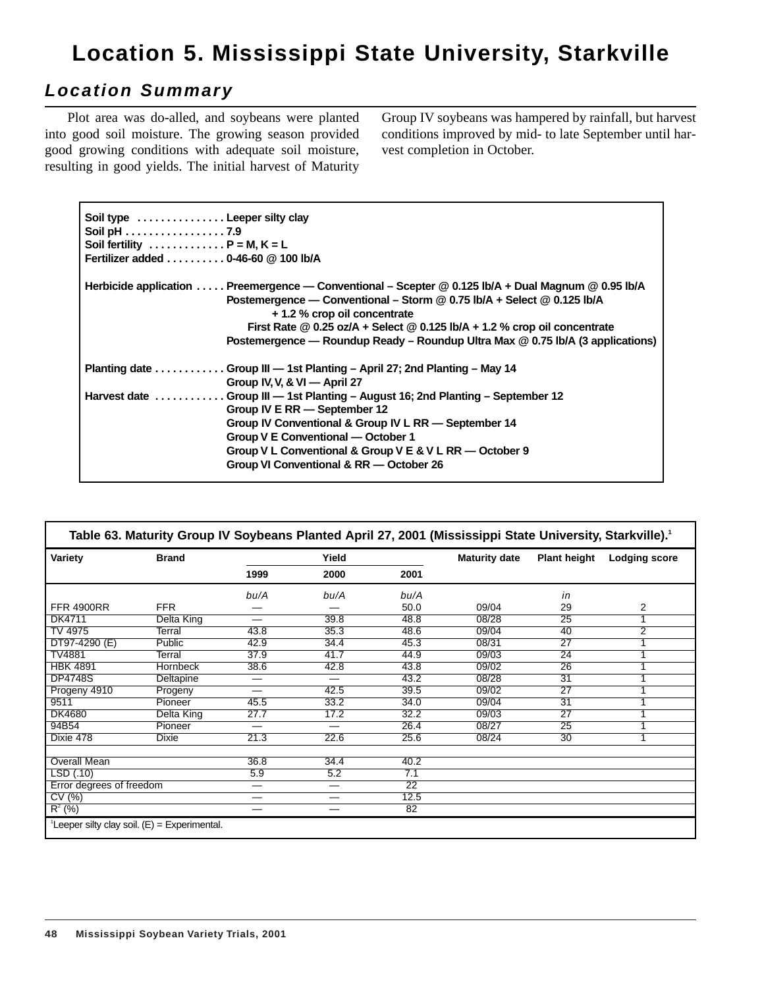# **Location 5. Mississippi State University, Starkville**

## **Location Summary**

Plot area was do-alled, and soybeans were planted into good soil moisture. The growing season provided good growing conditions with adequate soil moisture, resulting in good yields. The initial harvest of Maturity Group IV soybeans was hampered by rainfall, but harvest conditions improved by mid- to late September until harvest completion in October.

| Soil type  Leeper silty clay<br>Soil pH 7.9<br>Soil fertility $\ldots \ldots \ldots \ldots P = M, K = L$<br>Fertilizer added  0-46-60 @ 100 lb/A |                                                                                                                                                                                                                                                                                                                                                                                  |
|--------------------------------------------------------------------------------------------------------------------------------------------------|----------------------------------------------------------------------------------------------------------------------------------------------------------------------------------------------------------------------------------------------------------------------------------------------------------------------------------------------------------------------------------|
|                                                                                                                                                  | Herbicide application  Preemergence — Conventional – Scepter @ 0.125 lb/A + Dual Magnum @ 0.95 lb/A<br>Postemergence — Conventional – Storm @ 0.75 lb/A + Select @ 0.125 lb/A<br>+ 1.2 % crop oil concentrate<br>First Rate $@$ 0.25 oz/A + Select $@$ 0.125 lb/A + 1.2 % crop oil concentrate<br>Postemergence — Roundup Ready – Roundup Ultra Max @ 0.75 lb/A (3 applications) |
|                                                                                                                                                  | Planting date Group III — 1st Planting – April 27; 2nd Planting – May 14<br>Group IV, V, & VI - April 27                                                                                                                                                                                                                                                                         |
|                                                                                                                                                  | Harvest date  Group III - 1st Planting - August 16; 2nd Planting - September 12<br>Group IV E RR - September 12<br>Group IV Conventional & Group IV L RR - September 14<br>Group V E Conventional - October 1<br>Group V L Conventional & Group V E & V L RR - October 9<br>Group VI Conventional & RR - October 26                                                              |

|                          |                                                            |      |       |      | Table 63. Maturity Group IV Soybeans Planted April 27, 2001 (Mississippi State University, Starkville). <sup>1</sup> |                     |                      |  |  |
|--------------------------|------------------------------------------------------------|------|-------|------|----------------------------------------------------------------------------------------------------------------------|---------------------|----------------------|--|--|
| Variety                  | <b>Brand</b>                                               |      | Yield |      | <b>Maturity date</b>                                                                                                 | <b>Plant height</b> | <b>Lodging score</b> |  |  |
|                          |                                                            | 1999 | 2000  | 2001 |                                                                                                                      |                     |                      |  |  |
|                          |                                                            | bu/A | bu/A  | bu/A |                                                                                                                      | in                  |                      |  |  |
| <b>FFR 4900RR</b>        | <b>FFR</b>                                                 |      |       | 50.0 | 09/04                                                                                                                | 29                  | 2                    |  |  |
| DK4711                   | Delta King                                                 | —    | 39.8  | 48.8 | 08/28                                                                                                                | $\overline{25}$     | 1                    |  |  |
| TV 4975                  | Terral                                                     | 43.8 | 35.3  | 48.6 | 09/04                                                                                                                | 40                  | $\overline{2}$       |  |  |
| DT97-4290 (E)            | Public                                                     | 42.9 | 34.4  | 45.3 | 08/31                                                                                                                | $\overline{27}$     | 1                    |  |  |
| TV4881                   | Terral                                                     | 37.9 | 41.7  | 44.9 | 09/03                                                                                                                | 24                  | 1                    |  |  |
| <b>HBK 4891</b>          | Hornbeck                                                   | 38.6 | 42.8  | 43.8 | 09/02                                                                                                                | 26                  | 1                    |  |  |
| <b>DP4748S</b>           | Deltapine                                                  | —    | —     | 43.2 | 08/28                                                                                                                | $\overline{31}$     | 4                    |  |  |
| Progeny 4910             | Progeny                                                    | —    | 42.5  | 39.5 | 09/02                                                                                                                | $\overline{27}$     |                      |  |  |
| 9511                     | Pioneer                                                    | 45.5 | 33.2  | 34.0 | 09/04                                                                                                                | $\overline{31}$     | 1                    |  |  |
| <b>DK4680</b>            | Delta King                                                 | 27.7 | 17.2  | 32.2 | 09/03                                                                                                                | $\overline{27}$     | 1                    |  |  |
| 94B54                    | Pioneer                                                    | —    | —     | 26.4 | 08/27                                                                                                                | $\overline{25}$     | 1                    |  |  |
| Dixie 478                | Dixie                                                      | 21.3 | 22.6  | 25.6 | 08/24                                                                                                                | 30                  |                      |  |  |
| <b>Overall Mean</b>      |                                                            | 36.8 | 34.4  | 40.2 |                                                                                                                      |                     |                      |  |  |
| LSD(0.10)                |                                                            | 5.9  | 5.2   | 7.1  |                                                                                                                      |                     |                      |  |  |
| Error degrees of freedom |                                                            | —    |       | 22   |                                                                                                                      |                     |                      |  |  |
| CV(%)                    |                                                            | —    |       | 12.5 |                                                                                                                      |                     |                      |  |  |
| $R^2$ (%)                |                                                            | —    | —     | 82   |                                                                                                                      |                     |                      |  |  |
|                          | <sup>1</sup> Leeper silty clay soil. $(E)$ = Experimental. |      |       |      |                                                                                                                      |                     |                      |  |  |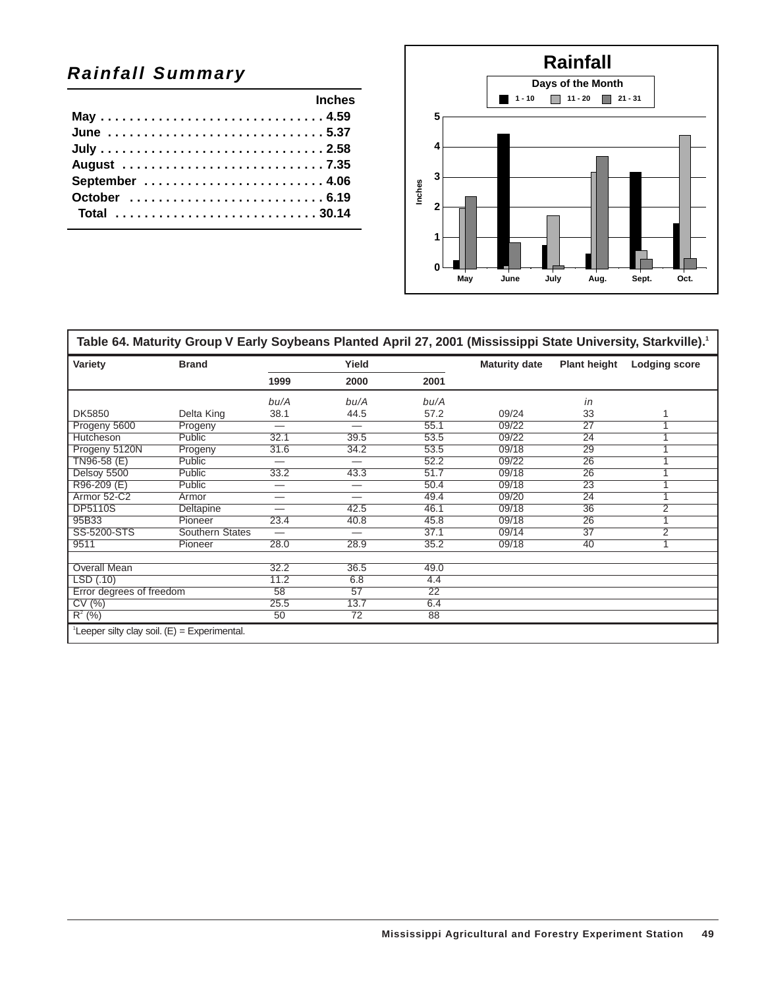# **Rainfall Summary**

|  |  |  | <b>Example 2019</b> Inches |
|--|--|--|----------------------------|
|  |  |  |                            |
|  |  |  | June 5.37                  |
|  |  |  |                            |
|  |  |  |                            |
|  |  |  |                            |
|  |  |  |                            |
|  |  |  | Total 30.14                |
|  |  |  |                            |



| Table 64. Maturity Group V Early Soybeans Planted April 27, 2001 (Mississippi State University, Starkville). <sup>1</sup> |                 |                          |                          |      |                      |                     |                      |
|---------------------------------------------------------------------------------------------------------------------------|-----------------|--------------------------|--------------------------|------|----------------------|---------------------|----------------------|
| Variety                                                                                                                   | <b>Brand</b>    |                          | Yield                    |      | <b>Maturity date</b> | <b>Plant height</b> | <b>Lodging score</b> |
|                                                                                                                           |                 | 1999                     | 2000                     | 2001 |                      |                     |                      |
|                                                                                                                           |                 | bu/A                     | bu/A                     | bu/A |                      | in                  |                      |
| DK5850                                                                                                                    | Delta King      | 38.1                     | 44.5                     | 57.2 | 09/24                | 33                  |                      |
| Progeny 5600                                                                                                              | Progeny         | —                        |                          | 55.1 | 09/22                | 27                  |                      |
| Hutcheson                                                                                                                 | <b>Public</b>   | 32.1                     | 39.5                     | 53.5 | 09/22                | 24                  |                      |
| Progeny 5120N                                                                                                             | Progeny         | 31.6                     | 34.2                     | 53.5 | 09/18                | $\overline{29}$     |                      |
| TN96-58 (E)                                                                                                               | Public          | $\overline{\phantom{0}}$ | $\overline{\phantom{0}}$ | 52.2 | 09/22                | 26                  |                      |
| Delsoy 5500                                                                                                               | Public          | 33.2                     | 43.3                     | 51.7 | 09/18                | 26                  |                      |
| R96-209 (E)                                                                                                               | Public          | —                        | —                        | 50.4 | 09/18                | $\overline{23}$     |                      |
| Armor 52-C2                                                                                                               | Armor           |                          | $\overline{\phantom{0}}$ | 49.4 | 09/20                | 24                  |                      |
| <b>DP5110S</b>                                                                                                            | Deltapine       |                          | 42.5                     | 46.1 | 09/18                | 36                  | 2                    |
| 95B33                                                                                                                     | Pioneer         | 23.4                     | 40.8                     | 45.8 | 09/18                | $\overline{26}$     |                      |
| SS-5200-STS                                                                                                               | Southern States | —                        |                          | 37.1 | 09/14                | 37                  | 2                    |
| 9511                                                                                                                      | Pioneer         | 28.0                     | 28.9                     | 35.2 | 09/18                | 40                  | и                    |
|                                                                                                                           |                 |                          |                          |      |                      |                     |                      |
| <b>Overall Mean</b>                                                                                                       |                 | 32.2                     | 36.5                     | 49.0 |                      |                     |                      |
| LSD(.10)                                                                                                                  |                 | 11.2                     | 6.8                      | 4.4  |                      |                     |                      |
| Error degrees of freedom                                                                                                  |                 | 58                       | $\overline{57}$          | 22   |                      |                     |                      |
| CV(%)                                                                                                                     |                 | 25.5                     | 13.7                     | 6.4  |                      |                     |                      |
| $\overline{R^2(96)}$                                                                                                      |                 | 50                       | 72                       | 88   |                      |                     |                      |
| $^1$ Leeper silty clay soil. (E) = Experimental.                                                                          |                 |                          |                          |      |                      |                     |                      |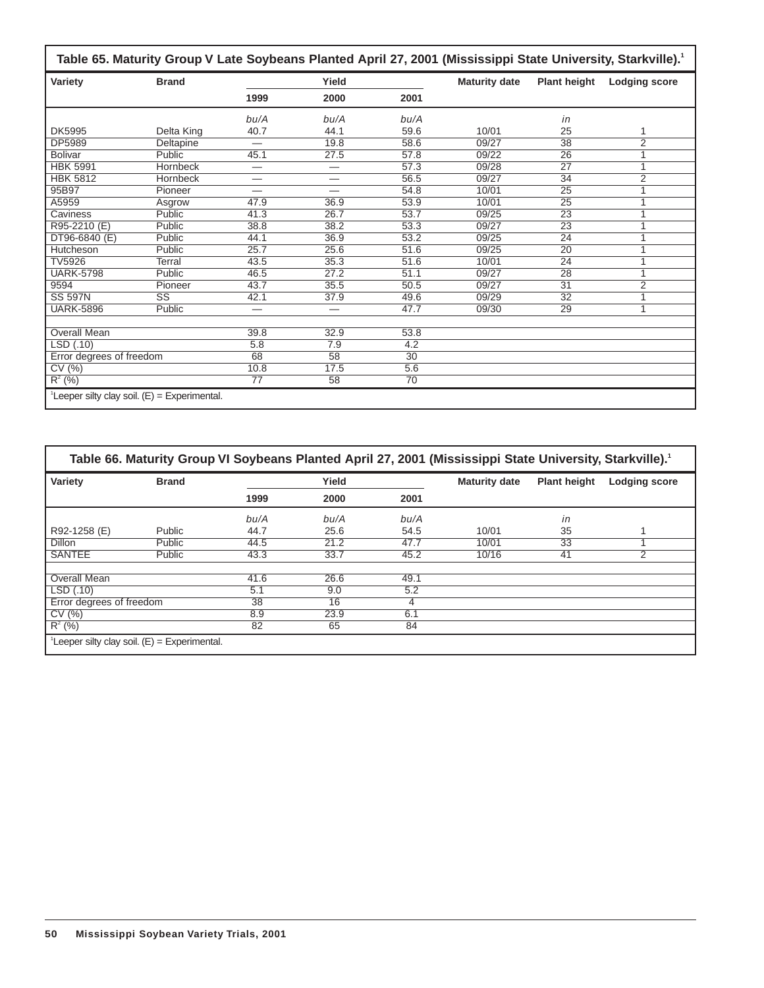|                                                  |                        |                          |                          |                   | Table 65. Maturity Group V Late Soybeans Planted April 27, 2001 (Mississippi State University, Starkville). <sup>1</sup> |                     |                      |
|--------------------------------------------------|------------------------|--------------------------|--------------------------|-------------------|--------------------------------------------------------------------------------------------------------------------------|---------------------|----------------------|
| Variety                                          | <b>Brand</b>           |                          | Yield                    |                   | <b>Maturity date</b>                                                                                                     | <b>Plant height</b> | <b>Lodging score</b> |
|                                                  |                        | 1999                     | 2000                     | 2001              |                                                                                                                          |                     |                      |
|                                                  |                        | bu/A                     | bu/A                     | bu/A              |                                                                                                                          | in                  |                      |
| <b>DK5995</b>                                    | Delta King             | 40.7                     | 44.1                     | 59.6              | 10/01                                                                                                                    | 25                  | 1                    |
| DP5989                                           | Deltapine              | —                        | 19.8                     | 58.6              | 09/27                                                                                                                    | $\overline{38}$     | $\overline{2}$       |
| <b>Bolivar</b>                                   | Public                 | 45.1                     | 27.5                     | 57.8              | 09/22                                                                                                                    | $\overline{26}$     | 1                    |
| <b>HBK 5991</b>                                  | Hornbeck               | —                        |                          | $\overline{57.3}$ | 09/28                                                                                                                    | $\overline{27}$     | 1                    |
| <b>HBK 5812</b>                                  | Hornbeck               | —                        | —                        | 56.5              | 09/27                                                                                                                    | 34                  | $\overline{2}$       |
| 95B97                                            | Pioneer                |                          |                          | 54.8              | 10/01                                                                                                                    | 25                  | 1                    |
| A5959                                            | Asgrow                 | 47.9                     | 36.9                     | 53.9              | 10/01                                                                                                                    | $\overline{25}$     | 1                    |
| Caviness                                         | Public                 | 41.3                     | 26.7                     | 53.7              | 09/25                                                                                                                    | 23                  | 1                    |
| R95-2210 (E)                                     | Public                 | 38.8                     | 38.2                     | 53.3              | 09/27                                                                                                                    | $\overline{23}$     | 1                    |
| DT96-6840 (E)                                    | Public                 | 44.1                     | 36.9                     | 53.2              | 09/25                                                                                                                    | $\overline{24}$     | 1                    |
| Hutcheson                                        | Public                 | 25.7                     | 25.6                     | 51.6              | 09/25                                                                                                                    | $\overline{20}$     | 1                    |
| <b>TV5926</b>                                    | Terral                 | 43.5                     | 35.3                     | 51.6              | 10/01                                                                                                                    | $\overline{24}$     | 1                    |
| <b>UARK-5798</b>                                 | Public                 | 46.5                     | 27.2                     | 51.1              | 09/27                                                                                                                    | $\overline{28}$     | 1                    |
| 9594                                             | Pioneer                | 43.7                     | 35.5                     | 50.5              | 09/27                                                                                                                    | $\overline{31}$     | $\overline{2}$       |
| <b>SS 597N</b>                                   | $\overline{\text{SS}}$ | 42.1                     | 37.9                     | 49.6              | 09/29                                                                                                                    | $\overline{32}$     | 1                    |
| <b>UARK-5896</b>                                 | Public                 | $\overline{\phantom{0}}$ | $\overline{\phantom{0}}$ | 47.7              | 09/30                                                                                                                    | $\overline{29}$     | 1                    |
|                                                  |                        |                          |                          |                   |                                                                                                                          |                     |                      |
| Overall Mean                                     |                        | 39.8                     | 32.9                     | 53.8              |                                                                                                                          |                     |                      |
| LSD(.10)                                         |                        | 5.8                      | 7.9                      | 4.2               |                                                                                                                          |                     |                      |
| Error degrees of freedom                         |                        | 68                       | 58                       | $\overline{30}$   |                                                                                                                          |                     |                      |
| CV(%)                                            |                        | 10.8                     | 17.5                     | 5.6               |                                                                                                                          |                     |                      |
| $R^2$ (%)                                        |                        | 77                       | 58                       | 70                |                                                                                                                          |                     |                      |
| $^1$ Leeper silty clay soil. (E) = Experimental. |                        |                          |                          |                   |                                                                                                                          |                     |                      |

| Variety                  | <b>Brand</b> |      | Yield |      | <b>Maturity date</b> | <b>Plant height</b> | <b>Lodging score</b> |
|--------------------------|--------------|------|-------|------|----------------------|---------------------|----------------------|
|                          |              | 1999 | 2000  | 2001 |                      |                     |                      |
|                          |              | bu/A | bu/A  | bu/A |                      | in                  |                      |
| R92-1258 (E)             | Public       | 44.7 | 25.6  | 54.5 | 10/01                | 35                  |                      |
| <b>Dillon</b>            | Public       | 44.5 | 21.2  | 47.7 | 10/01                | 33                  |                      |
| <b>SANTEE</b>            | Public       | 43.3 | 33.7  | 45.2 | 10/16                | 41                  | 2                    |
| <b>Overall Mean</b>      |              | 41.6 | 26.6  | 49.1 |                      |                     |                      |
| LSD(.10)                 |              | 5.1  | 9.0   | 5.2  |                      |                     |                      |
| Error degrees of freedom |              | 38   | 16    | 4    |                      |                     |                      |
| CV(%)                    |              | 8.9  | 23.9  | 6.1  |                      |                     |                      |
| $R^2$ (%)                |              | 82   | 65    | 84   |                      |                     |                      |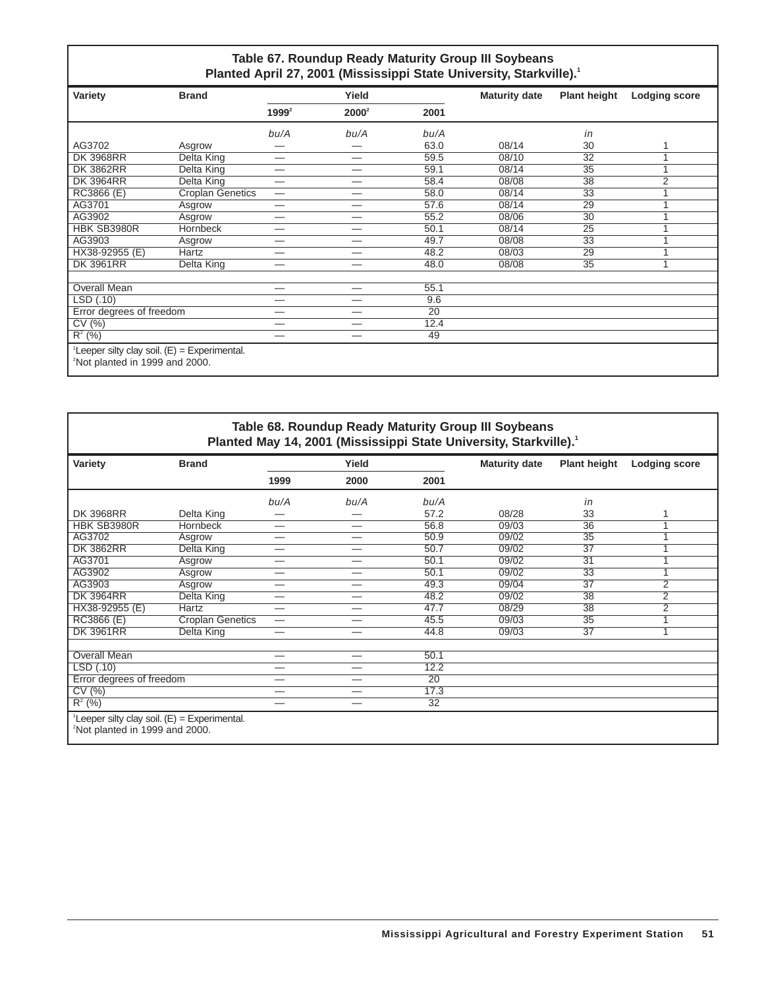### **Table 67. Roundup Ready Maturity Group III Soybeans** Planted April 27, 2001 (Mississippi State University, Starkville).<sup>1</sup>

| Variety                                                                                     | <b>Brand</b>            |                                 | Yield                    |                 | <b>Maturity date</b> | <b>Plant height</b> | <b>Lodging score</b> |
|---------------------------------------------------------------------------------------------|-------------------------|---------------------------------|--------------------------|-----------------|----------------------|---------------------|----------------------|
|                                                                                             |                         | $1999^2$                        | $2000^2$                 | 2001            |                      |                     |                      |
|                                                                                             |                         | bu/A                            | bu/A                     | bu/A            |                      | in                  |                      |
| AG3702                                                                                      | Asgrow                  |                                 |                          | 63.0            | 08/14                | 30                  | 1                    |
| <b>DK 3968RR</b>                                                                            | Delta King              |                                 | $\overline{\phantom{0}}$ | 59.5            | 08/10                | 32                  |                      |
| <b>DK 3862RR</b>                                                                            | Delta King              | $\overline{\phantom{0}}$        | —                        | 59.1            | 08/14                | $\overline{35}$     | A                    |
| <b>DK 3964RR</b>                                                                            | Delta King              | —                               | —                        | 58.4            | 08/08                | $\overline{38}$     | $\overline{2}$       |
| RC3866 (E)                                                                                  | <b>Croplan Genetics</b> | $\hspace{0.1mm}-\hspace{0.1mm}$ | —                        | 58.0            | 08/14                | 33                  |                      |
| AG3701                                                                                      | Asgrow                  | —                               | —                        | 57.6            | 08/14                | 29                  |                      |
| AG3902                                                                                      | Asgrow                  | $\overline{\phantom{0}}$        | —                        | 55.2            | 08/06                | 30                  |                      |
| HBK SB3980R                                                                                 | Hornbeck                | —                               |                          | 50.1            | 08/14                | $\overline{25}$     |                      |
| AG3903                                                                                      | Asgrow                  | –                               | –                        | 49.7            | 08/08                | $\overline{33}$     |                      |
| HX38-92955 (E)                                                                              | Hartz                   | —                               | _                        | 48.2            | 08/03                | 29                  |                      |
| <b>DK 3961RR</b>                                                                            | Delta King              | —                               | —                        | 48.0            | 08/08                | 35                  | 1                    |
|                                                                                             |                         |                                 |                          |                 |                      |                     |                      |
| Overall Mean                                                                                |                         | —                               | —                        | 55.1            |                      |                     |                      |
| LSD(.10)                                                                                    |                         | —                               | —                        | 9.6             |                      |                     |                      |
| Error degrees of freedom                                                                    |                         | —                               |                          | $\overline{20}$ |                      |                     |                      |
| CV(%)                                                                                       |                         | —                               | —                        | 12.4            |                      |                     |                      |
| $R^{2}$ (%)                                                                                 |                         | —                               | _                        | 49              |                      |                     |                      |
| Leeper silty clay soil. $(E)$ = Experimental.<br><sup>2</sup> Not planted in 1999 and 2000. |                         |                                 |                          |                 |                      |                     |                      |

**Table 68. Roundup Ready Maturity Group III Soybeans** Planted May 14, 2001 (Mississippi State University, Starkville).<sup>1</sup>

| Variety                                                                                                  | <b>Brand</b>            | Yield |                          |      | <b>Maturity date</b> | <b>Plant height</b> | <b>Lodging score</b> |
|----------------------------------------------------------------------------------------------------------|-------------------------|-------|--------------------------|------|----------------------|---------------------|----------------------|
|                                                                                                          |                         | 1999  | 2000                     | 2001 |                      |                     |                      |
|                                                                                                          |                         | bu/A  | bu/A                     | bu/A |                      | in                  |                      |
| <b>DK 3968RR</b>                                                                                         | Delta King              | —     |                          | 57.2 | 08/28                | 33                  |                      |
| HBK SB3980R                                                                                              | Hornbeck                |       |                          | 56.8 | 09/03                | 36                  |                      |
| AG3702                                                                                                   | Asgrow                  | —     | —                        | 50.9 | 09/02                | 35                  |                      |
| <b>DK 3862RR</b>                                                                                         | Delta King              |       | —                        | 50.7 | 09/02                | $\overline{37}$     |                      |
| AG3701                                                                                                   | Asgrow                  |       |                          | 50.1 | 09/02                | 31                  |                      |
| AG3902                                                                                                   | Asgrow                  | —     |                          | 50.1 | 09/02                | 33                  |                      |
| AG3903                                                                                                   | Asgrow                  | —     | —                        | 49.3 | 09/04                | $\overline{37}$     | 2                    |
| <b>DK 3964RR</b>                                                                                         | Delta King              | —     | —                        | 48.2 | 09/02                | 38                  | 2                    |
| HX38-92955 (E)                                                                                           | Hartz                   | –     | _                        | 47.7 | 08/29                | 38                  | 2                    |
| RC3866 (E)                                                                                               | <b>Croplan Genetics</b> | —     | —                        | 45.5 | 09/03                | $\overline{35}$     |                      |
| <b>DK 3961RR</b>                                                                                         | Delta King              | —     |                          | 44.8 | 09/03                | 37                  | и                    |
|                                                                                                          |                         |       |                          |      |                      |                     |                      |
| <b>Overall Mean</b>                                                                                      |                         |       | $\overline{\phantom{0}}$ | 50.1 |                      |                     |                      |
| LSD(.10)                                                                                                 |                         |       |                          | 12.2 |                      |                     |                      |
| Error degrees of freedom                                                                                 |                         | —     | —                        | 20   |                      |                     |                      |
| CV(%)                                                                                                    |                         |       | —                        | 17.3 |                      |                     |                      |
| $R^2$ (%)                                                                                                |                         |       | —                        | 32   |                      |                     |                      |
| <sup>1</sup> Leeper silty clay soil. $(E)$ = Experimental.<br><sup>2</sup> Not planted in 1999 and 2000. |                         |       |                          |      |                      |                     |                      |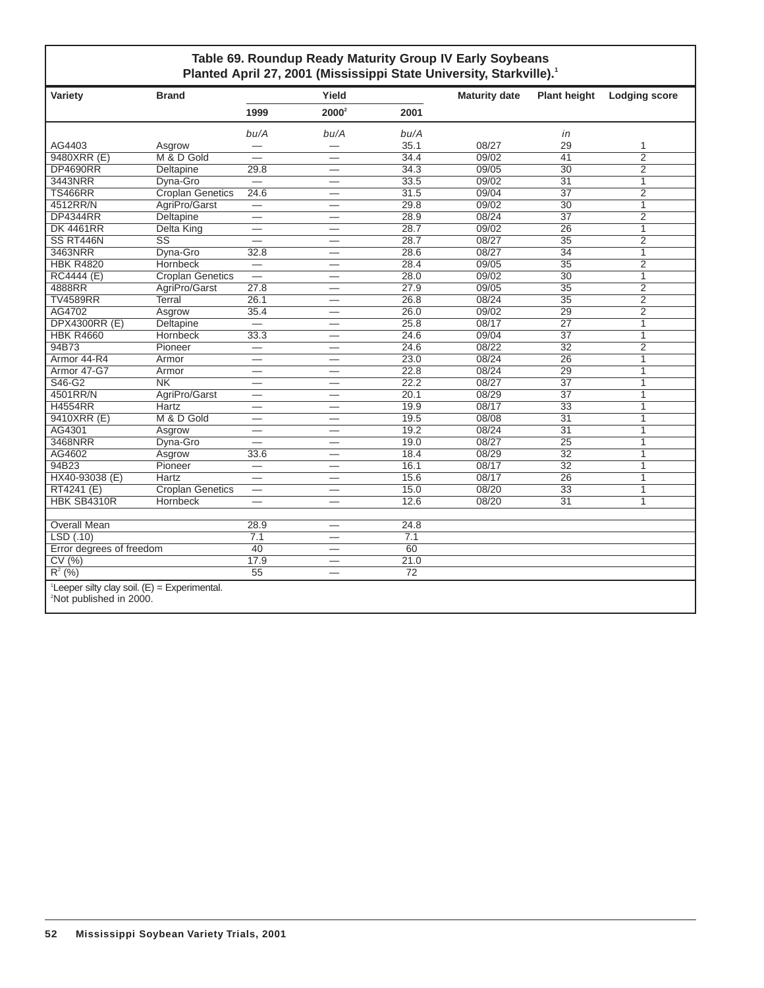### **Table 69. Roundup Ready Maturity Group IV Early Soybeans** Planted April 27, 2001 (Mississippi State University, Starkville).<sup>1</sup>

| Variety                                                                                           | <b>Brand</b>            |                          | Yield                           |                 | <b>Maturity date</b> | <b>Plant height</b> | <b>Lodging score</b> |
|---------------------------------------------------------------------------------------------------|-------------------------|--------------------------|---------------------------------|-----------------|----------------------|---------------------|----------------------|
|                                                                                                   |                         | 1999                     | $2000^2$                        | 2001            |                      |                     |                      |
|                                                                                                   |                         | bu/A                     | bu/A                            | bu/A            |                      | in                  |                      |
| AG4403                                                                                            | Asgrow                  |                          |                                 | 35.1            | 08/27                | 29                  | $\mathbf{1}$         |
| 9480XRR (E)                                                                                       | M & D Gold              |                          |                                 | 34.4            | 09/02                | $\overline{41}$     | $\overline{2}$       |
| <b>DP4690RR</b>                                                                                   | <b>Deltapine</b>        | 29.8                     | $\overline{\phantom{0}}$        | 34.3            | 09/05                | $\overline{30}$     | $\overline{2}$       |
| 3443NRR                                                                                           | Dyna-Gro                | $\qquad \qquad$          | $\overline{\phantom{0}}$        | 33.5            | 09/02                | 31                  | $\mathbf{1}$         |
| <b>TS466RR</b>                                                                                    | <b>Croplan Genetics</b> | 24.6                     |                                 | 31.5            | 09/04                | $\overline{37}$     | $\overline{2}$       |
| 4512RR/N                                                                                          | AgriPro/Garst           | $\overline{\phantom{0}}$ | $\overline{\phantom{0}}$        | 29.8            | 09/02                | $\overline{30}$     | 1                    |
| <b>DP4344RR</b>                                                                                   | Deltapine               | $\overline{\phantom{0}}$ | $\overline{\phantom{0}}$        | 28.9            | 08/24                | 37                  | $\overline{2}$       |
| <b>DK 4461RR</b>                                                                                  | <b>Delta King</b>       | $\overline{\phantom{0}}$ | $\overline{\phantom{0}}$        | 28.7            | 09/02                | $\overline{26}$     | $\overline{1}$       |
| SS RT446N                                                                                         | $\overline{\text{SS}}$  |                          |                                 | 28.7            | 08/27                | $\overline{35}$     | $\overline{2}$       |
| 3463NRR                                                                                           | Dyna-Gro                | 32.8                     |                                 | 28.6            | 08/27                | $\overline{34}$     | $\mathbf{1}$         |
| <b>HBK R4820</b>                                                                                  | Hornbeck                |                          | —                               | 28.4            | 09/05                | $\overline{35}$     | $\overline{2}$       |
| <b>RC4444 (E)</b>                                                                                 | <b>Croplan Genetics</b> |                          | $\overline{\phantom{0}}$        | 28.0            | 09/02                | $\overline{30}$     | $\overline{1}$       |
| 4888RR                                                                                            | AgriPro/Garst           | 27.8                     | $\overline{\phantom{0}}$        | 27.9            | 09/05                | 35                  | $\overline{2}$       |
| <b>TV4589RR</b>                                                                                   | <b>Terral</b>           | 26.1                     |                                 | 26.8            | 08/24                | $\overline{35}$     | $\overline{2}$       |
| AG4702                                                                                            | Asgrow                  | 35.4                     |                                 | 26.0            | 09/02                | 29                  | $\overline{2}$       |
| <b>DPX4300RR (E)</b>                                                                              | <b>Deltapine</b>        | $=$                      | $\overline{\phantom{0}}$        | 25.8            | 08/17                | $\overline{27}$     | $\mathbf{1}$         |
| <b>HBK R4660</b>                                                                                  | <b>Hornbeck</b>         | 33.3                     | $\overline{\phantom{0}}$        | 24.6            | 09/04                | $\overline{37}$     | 1                    |
| 94B73                                                                                             | Pioneer                 | $\equiv$                 |                                 | 24.6            | 08/22                | $\overline{32}$     | $\overline{2}$       |
| Armor 44-R4                                                                                       | Armor                   |                          |                                 | 23.0            | 08/24                | 26                  | $\mathbf{1}$         |
| Armor 47-G7                                                                                       | Armor                   | $\overline{\phantom{0}}$ | $\equiv$                        | 22.8            | 08/24                | $\overline{29}$     | $\mathbf{1}$         |
| S46-G2                                                                                            | $\overline{\text{NK}}$  | $\overline{\phantom{0}}$ | $\overline{\phantom{0}}$        | 22.2            | 08/27                | $\overline{37}$     | $\overline{1}$       |
| 4501RR/N                                                                                          | AgriPro/Garst           | $\overline{\phantom{0}}$ | $\overline{\phantom{0}}$        | 20.1            | 08/29                | $\overline{37}$     | $\mathbf{1}$         |
| <b>H4554RR</b>                                                                                    | <b>Hartz</b>            | $\overline{\phantom{0}}$ |                                 | 19.9            | 08/17                | $\overline{33}$     | $\mathbf{1}$         |
| 9410XRR (E)                                                                                       | M & D Gold              | $\overline{\phantom{0}}$ | $\overline{\phantom{0}}$        | 19.5            | 08/08                | $\overline{31}$     | 1                    |
| AG4301                                                                                            | Asgrow                  | $\overline{\phantom{0}}$ | $\overline{\phantom{0}}$        | 19.2            | 08/24                | 31                  | $\mathbf{1}$         |
| 3468NRR                                                                                           | Dyna-Gro                | $\overline{\phantom{0}}$ | $\overbrace{\phantom{1232211}}$ | 19.0            | 08/27                | $\overline{25}$     | $\overline{1}$       |
| AG4602                                                                                            | Asgrow                  | 33.6                     |                                 | 18.4            | 08/29                | $\overline{32}$     | $\mathbf{1}$         |
| 94B23                                                                                             | Pioneer                 | —                        |                                 | 16.1            | 08/17                | $\overline{32}$     | $\mathbf{1}$         |
| HX40-93038 (E)                                                                                    | <b>Hartz</b>            | $\overline{\phantom{0}}$ | $\overline{\phantom{0}}$        | 15.6            | 08/17                | $\overline{26}$     | $\overline{1}$       |
| RT4241 (E)                                                                                        | <b>Croplan Genetics</b> |                          | $\overline{\phantom{0}}$        | 15.0            | 08/20                | $\overline{33}$     | $\mathbf{1}$         |
| HBK SB4310R                                                                                       | Hornbeck                |                          |                                 | 12.6            | 08/20                | 31                  | $\mathbf{1}$         |
| <b>Overall Mean</b>                                                                               |                         | 28.9                     | $\overline{\phantom{0}}$        | 24.8            |                      |                     |                      |
| LSD(.10)                                                                                          |                         | 7.1                      | $\overline{\phantom{0}}$        | 7.1             |                      |                     |                      |
| Error degrees of freedom                                                                          |                         | $\overline{40}$          | $\overline{\phantom{0}}$        | $\overline{60}$ |                      |                     |                      |
| CV(%)                                                                                             |                         | 17.9                     | $\overline{\phantom{m}}$        | 21.0            |                      |                     |                      |
| $R^{2}$ (%)                                                                                       |                         | 55                       |                                 | $\overline{72}$ |                      |                     |                      |
| <sup>1</sup> Leeper silty clay soil. $(E) =$ Experimental.<br><sup>2</sup> Not published in 2000. |                         |                          |                                 |                 |                      |                     |                      |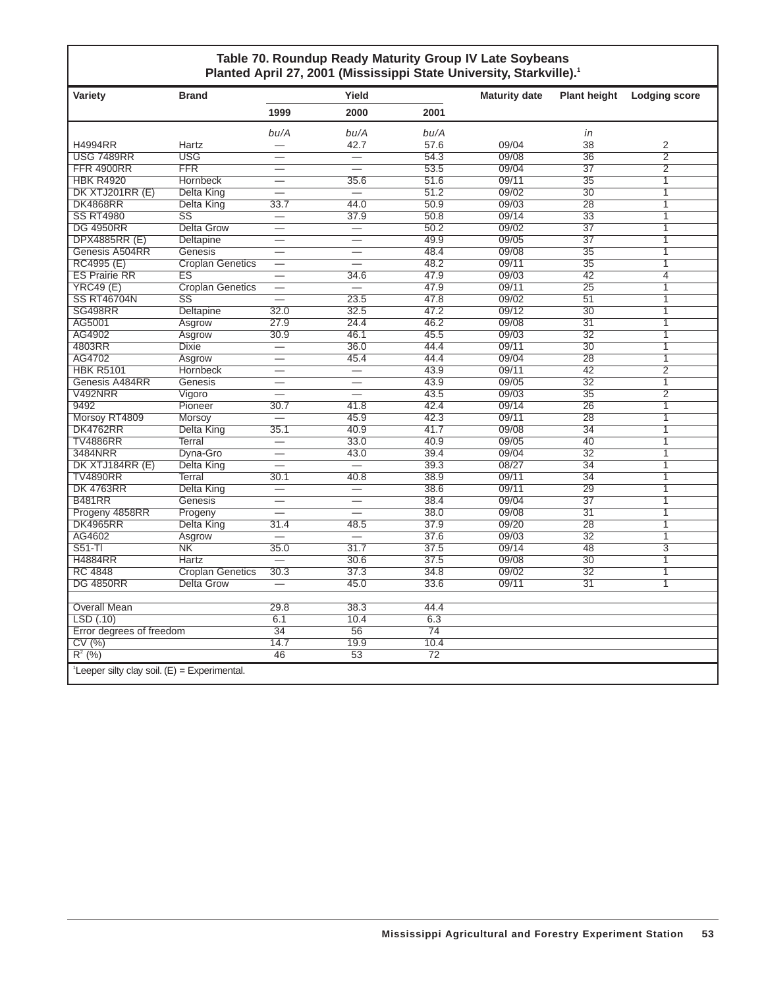### **Table 70. Roundup Ready Maturity Group IV Late Soybeans** Planted April 27, 2001 (Mississippi State University, Starkville).<sup>1</sup>

| Variety                                                    | <b>Brand</b>            |                          | Yield                    |      | <b>Maturity date</b> | <b>Plant height</b> | <b>Lodging score</b> |
|------------------------------------------------------------|-------------------------|--------------------------|--------------------------|------|----------------------|---------------------|----------------------|
|                                                            |                         | 1999                     | 2000                     | 2001 |                      |                     |                      |
|                                                            |                         | bu/A                     | bu/A                     | bu/A |                      | in                  |                      |
| H4994RR                                                    | Hartz                   | $\overline{\phantom{0}}$ | 42.7                     | 57.6 | 09/04                | 38                  | 2                    |
| <b>USG 7489RR</b>                                          | <b>USG</b>              | $\overline{\phantom{0}}$ |                          | 54.3 | 09/08                | $\overline{36}$     | $\overline{2}$       |
| <b>FFR 4900RR</b>                                          | <b>FFR</b>              |                          |                          | 53.5 | 09/04                | $\overline{37}$     | $\overline{2}$       |
| <b>HBK R4920</b>                                           | Hornbeck                | $\overline{\phantom{0}}$ | 35.6                     | 51.6 | 09/11                | $\overline{35}$     | $\overline{1}$       |
| DK XTJ201RR (E)                                            | Delta King              |                          | $\equiv$                 | 51.2 | 09/02                | $\overline{30}$     | $\overline{1}$       |
| <b>DK4868RR</b>                                            | Delta King              | 33.7                     | 44.0                     | 50.9 | 09/03                | 28                  | $\overline{1}$       |
| <b>SS RT4980</b>                                           | $\overline{\text{SS}}$  | $\overline{\phantom{0}}$ | 37.9                     | 50.8 | 09/14                | $\overline{33}$     | $\overline{1}$       |
| <b>DG 4950RR</b>                                           | <b>Delta Grow</b>       |                          |                          | 50.2 | 09/02                | $\overline{37}$     | 1                    |
| DPX4885RR (E)                                              | Deltapine               | $\overline{\phantom{0}}$ | $\overline{\phantom{0}}$ | 49.9 | 09/05                | $\overline{37}$     | $\mathbf{1}$         |
| Genesis A504RR                                             | Genesis                 | $\overline{\phantom{0}}$ | $\equiv$                 | 48.4 | 09/08                | $\overline{35}$     | 1                    |
| RC4995 (E)                                                 | <b>Croplan Genetics</b> | $\overline{\phantom{0}}$ | $\overline{\phantom{0}}$ | 48.2 | 09/11                | $\overline{35}$     | $\overline{1}$       |
| <b>ES Prairie RR</b>                                       | $\overline{\text{ES}}$  | $\overline{\phantom{0}}$ | 34.6                     | 47.9 | 09/03                | $\overline{42}$     | $\overline{4}$       |
| <b>YRC49 (E)</b>                                           | <b>Croplan Genetics</b> |                          |                          | 47.9 | 09/11                | $\overline{25}$     | $\overline{1}$       |
| <b>SS RT46704N</b>                                         | $\overline{\text{SS}}$  |                          | 23.5                     | 47.8 | 09/02                | $\overline{51}$     | $\overline{1}$       |
| <b>SG498RR</b>                                             | Deltapine               | 32.0                     | 32.5                     | 47.2 | 09/12                | $\overline{30}$     | $\overline{1}$       |
| AG5001                                                     | Asgrow                  | 27.9                     | 24.4                     | 46.2 | 09/08                | $\overline{31}$     | $\overline{1}$       |
| AG4902                                                     | Asgrow                  | 30.9                     | 46.1                     | 45.5 | 09/03                | $\overline{32}$     | $\overline{1}$       |
| 4803RR                                                     | <b>Dixie</b>            | $\overline{\phantom{0}}$ | 36.0                     | 44.4 | 09/11                | $\overline{30}$     | $\mathbf{1}$         |
| AG4702                                                     | Asgrow                  | $\overline{\phantom{0}}$ | 45.4                     | 44.4 | 09/04                | $\overline{28}$     | $\overline{1}$       |
| <b>HBK R5101</b>                                           | <b>Hornbeck</b>         | $\overline{\phantom{0}}$ | $\overline{\phantom{0}}$ | 43.9 | 09/11                | 42                  | $\overline{2}$       |
| Genesis A484RR                                             | Genesis                 | $\overline{\phantom{0}}$ | $\overline{\phantom{0}}$ | 43.9 | 09/05                | $\overline{32}$     | $\mathbf{1}$         |
| V492NRR                                                    | Vigoro                  | $\overline{\phantom{0}}$ |                          | 43.5 | 09/03                | 35                  | $\overline{2}$       |
| 9492                                                       | Pioneer                 | 30.7                     | 41.8                     | 42.4 | 09/14                | 26                  | $\overline{1}$       |
| Morsoy RT4809                                              | Morsov                  | $\overline{\phantom{0}}$ | 45.9                     | 42.3 | 09/11                | $\overline{28}$     | 1                    |
| DK4762RR                                                   | Delta King              | 35.1                     | 40.9                     | 41.7 | 09/08                | $\overline{34}$     | 1                    |
| <b>TV4886RR</b>                                            | <b>Terral</b>           |                          | 33.0                     | 40.9 | 09/05                | 40                  | 1                    |
| 3484NRR                                                    | Dyna-Gro                | $\overline{\phantom{0}}$ | 43.0                     | 39.4 | 09/04                | $\overline{32}$     | 1                    |
| DK XTJ184RR (E)                                            | Delta King              |                          |                          | 39.3 | 08/27                | $\overline{34}$     | 1                    |
| <b>TV4890RR</b>                                            | Terral                  | 30.1                     | 40.8                     | 38.9 | 09/11                | $\overline{34}$     | $\overline{1}$       |
| <b>DK 4763RR</b>                                           | Delta King              |                          |                          | 38.6 | 09/11                | 29                  | $\mathbf{1}$         |
| <b>B481RR</b>                                              | Genesis                 | $\equiv$                 |                          | 38.4 | 09/04                | $\overline{37}$     | $\overline{1}$       |
| Progeny 4858RR                                             | Progeny                 |                          |                          | 38.0 | 09/08                | $\overline{31}$     | 1                    |
| <b>DK4965RR</b>                                            | Delta King              | 31.4                     | 48.5                     | 37.9 | 09/20                | 28                  | 1                    |
| AG4602                                                     | Asgrow                  |                          |                          | 37.6 | 09/03                | $\overline{32}$     | $\overline{1}$       |
| $S51-TI$                                                   | N <sub>K</sub>          | 35.0                     | 31.7                     | 37.5 | 09/14                | 48                  | $\overline{3}$       |
| <b>H4884RR</b>                                             | Hartz                   |                          | 30.6                     | 37.5 | 09/08                | $\overline{30}$     | $\mathbf{1}$         |
| <b>RC 4848</b>                                             | <b>Croplan Genetics</b> | 30.3                     | 37.3                     | 34.8 | 09/02                | $\overline{32}$     | $\overline{1}$       |
| <b>DG 4850RR</b>                                           | <b>Delta Grow</b>       |                          | 45.0                     | 33.6 | 09/11                | $\overline{31}$     | $\overline{1}$       |
|                                                            |                         |                          |                          |      |                      |                     |                      |
| <b>Overall Mean</b>                                        |                         | 29.8                     | 38.3                     | 44.4 |                      |                     |                      |
| LSD(.10)                                                   |                         | 6.1                      | 10.4                     | 6.3  |                      |                     |                      |
| Error degrees of freedom                                   |                         | $\overline{34}$          | 56                       | 74   |                      |                     |                      |
| CV(%)                                                      |                         | 14.7                     | 19.9                     | 10.4 |                      |                     |                      |
| $R^2$ (%)                                                  |                         | 46                       | $\overline{53}$          | 72   |                      |                     |                      |
| <sup>1</sup> Leeper silty clay soil. $(E) =$ Experimental. |                         |                          |                          |      |                      |                     |                      |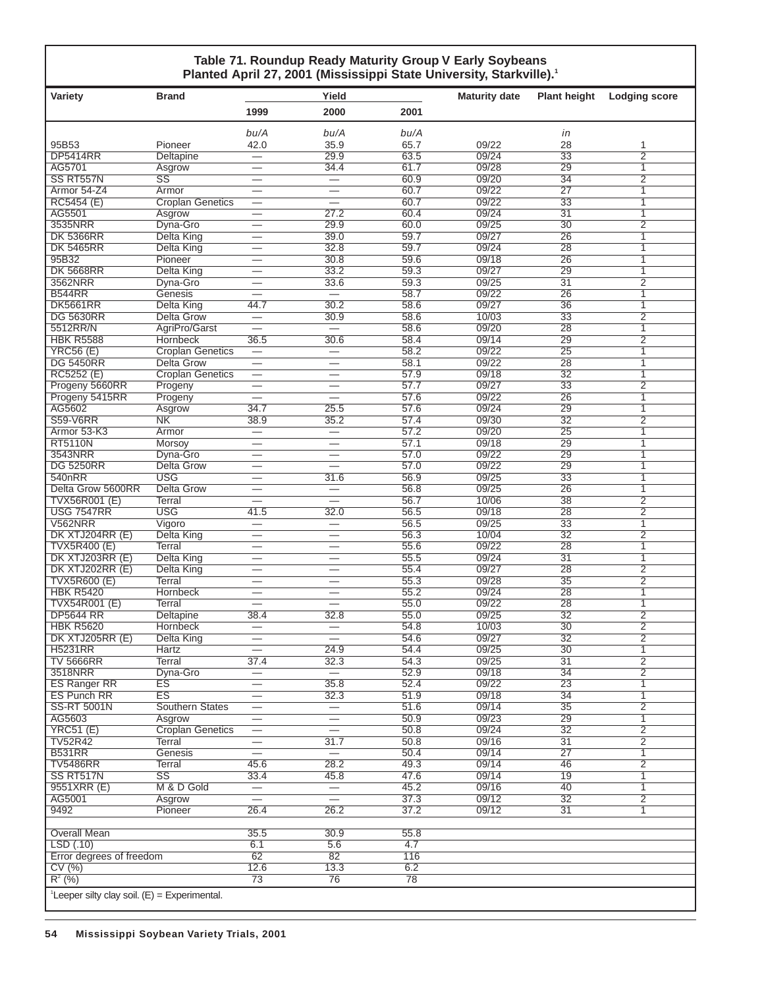### **Table 71. Roundup Ready Maturity Group V Early Soybeans Planted April 27, 2001 (Mississippi State University, Starkville).1**

| Variety                                                    | <b>Brand</b>                        |                                  | Yield                                                      |              | <b>Maturity date</b> | <b>Plant height</b>                | <b>Lodging score</b>             |  |  |  |
|------------------------------------------------------------|-------------------------------------|----------------------------------|------------------------------------------------------------|--------------|----------------------|------------------------------------|----------------------------------|--|--|--|
|                                                            |                                     | 1999                             | 2000                                                       | 2001         |                      |                                    |                                  |  |  |  |
|                                                            |                                     | bu/A                             | bu/A                                                       | bu/A         |                      | in                                 |                                  |  |  |  |
| 95B53                                                      | Pioneer                             | 42.0                             | 35.9                                                       | 65.7         | 09/22                | 28                                 | 1                                |  |  |  |
| <b>DP5414RR</b>                                            | Deltapine                           |                                  | 29.9                                                       | 63.5         | 09/24                | $\overline{33}$                    | $\overline{2}$                   |  |  |  |
| AG5701                                                     | Asgrow                              | $\overline{\phantom{0}}$         | 34.4                                                       | 61.7         | 09/28                | 29                                 | $\mathbf{1}$                     |  |  |  |
| SS RT557N                                                  | $\overline{\text{SS}}$              |                                  |                                                            | 60.9         | 09/20                | $\overline{34}$                    | $\overline{2}$                   |  |  |  |
| Armor 54-Z4                                                | Armor                               | $\overline{\phantom{0}}$         |                                                            | 60.7<br>60.7 | 09/22<br>09/22       | $\overline{27}$<br>$\overline{33}$ | 1<br>$\overline{1}$              |  |  |  |
| RC5454 (E)<br>AG5501                                       | <b>Croplan Genetics</b><br>Asgrow   |                                  | 27.2                                                       | 60.4         | 09/24                | 31                                 | 1                                |  |  |  |
| 3535NRR                                                    | Dyna-Gro                            | —                                | 29.9                                                       | 60.0         | 09/25                | 30                                 | $\overline{2}$                   |  |  |  |
| <b>DK 5366RR</b>                                           | <b>Delta King</b>                   | $\qquad \qquad \longleftarrow$   | 39.0                                                       | 59.7         | 09/27                | 26                                 | 1                                |  |  |  |
| <b>DK 5465RR</b>                                           | <b>Delta King</b>                   |                                  | 32.8                                                       | 59.7         | 09/24                | 28                                 | 1                                |  |  |  |
| 95B32                                                      | Pioneer                             |                                  | 30.8                                                       | 59.6         | 09/18                | 26                                 | 1                                |  |  |  |
| <b>DK 5668RR</b>                                           | <b>Delta King</b>                   |                                  | 33.2                                                       | 59.3         | 09/27                | 29                                 | $\mathbf{1}$                     |  |  |  |
| 3562NRR                                                    | Dyna-Gro                            | $\overline{\phantom{0}}$         | 33.6                                                       | 59.3         | 09/25                | 31                                 | $\overline{2}$                   |  |  |  |
| <b>B544RR</b>                                              | Genesis                             |                                  |                                                            | 58.7         | 09/22                | 26                                 | $\mathbf{1}$                     |  |  |  |
| <b>DK5661RR</b>                                            | Delta King                          | 44.7                             | 30.2                                                       | 58.6         | 09/27                | $\overline{36}$                    | $\mathbf{1}$                     |  |  |  |
| <b>DG 5630RR</b>                                           | <b>Delta Grow</b>                   |                                  | 30.9                                                       | 58.6         | 10/03                | $\overline{33}$                    | $\overline{2}$                   |  |  |  |
| 5512RR/N                                                   | AgriPro/Garst                       |                                  |                                                            | 58.6         | 09/20                | $\overline{28}$                    | $\overline{1}$                   |  |  |  |
| <b>HBK R5588</b><br><b>YRC56 (E)</b>                       | Hornbeck<br><b>Croplan Genetics</b> | 36.5<br>$\equiv$                 | 30.6<br>$\qquad \qquad -$                                  | 58.4<br>58.2 | 09/14<br>09/22       | 29<br>$\overline{25}$              | $\overline{2}$<br>$\overline{1}$ |  |  |  |
| <b>DG 5450RR</b>                                           | Delta Grow                          |                                  | $\overline{\phantom{m}}$                                   | 58.1         | 09/22                | $\overline{28}$                    | $\mathbf{1}$                     |  |  |  |
| RC5252 (E)                                                 | <b>Croplan Genetics</b>             | $\overline{\phantom{0}}$         |                                                            | 57.9         | 09/18                | $\overline{32}$                    | $\overline{1}$                   |  |  |  |
| Progeny 5660RR                                             | Progeny                             | $\qquad \qquad \longleftarrow$   | $\overline{\phantom{0}}$                                   | 57.7         | 09/27                | $\overline{33}$                    | $\overline{2}$                   |  |  |  |
| Progeny 5415RR                                             | Progeny                             |                                  |                                                            | 57.6         | 09/22                | $\overline{26}$                    | 1                                |  |  |  |
| AG5602                                                     | Asgrow                              | 34.7                             | 25.5                                                       | 57.6         | 09/24                | 29                                 | 1                                |  |  |  |
| <b>S59-V6RR</b>                                            | N <sub>K</sub>                      | 38.9                             | 35.2                                                       | 57.4         | 09/30                | $\overline{32}$                    | $\overline{2}$                   |  |  |  |
| Armor 53-K3                                                | Armor                               | $\overbrace{\phantom{12322111}}$ | $\overbrace{\phantom{12333}}$                              | 57.2         | 09/20                | 25                                 | 1                                |  |  |  |
| <b>RT5110N</b>                                             | <b>Morsoy</b>                       |                                  | $\overline{\phantom{0}}$                                   | 57.1         | 09/18                | 29                                 | 1                                |  |  |  |
| 3543NRR                                                    | Dyna-Gro                            |                                  |                                                            | 57.0         | 09/22                | 29                                 | 1                                |  |  |  |
| <b>DG 5250RR</b>                                           | Delta Grow                          | $\overline{\phantom{0}}$         | $\overline{\phantom{0}}$                                   | 57.0         | 09/22                | $\overline{29}$                    | $\mathbf{1}$                     |  |  |  |
| 540nRR                                                     | <b>USG</b>                          | $\overline{\phantom{0}}$         | 31.6                                                       | 56.9         | 09/25                | 33                                 | $\mathbf{1}$                     |  |  |  |
| Delta Grow 5600RR                                          | <b>Delta Grow</b>                   |                                  | $\overline{\phantom{m}}$                                   | 56.8<br>56.7 | 09/25<br>10/06       | $\overline{26}$<br>38              | 1<br>$\overline{2}$              |  |  |  |
| <b>TVX56R001 (E)</b><br><b>USG 7547RR</b>                  | Terral<br><b>USG</b>                | 41.5                             | 32.0                                                       | 56.5         | 09/18                | $\overline{28}$                    | $\overline{2}$                   |  |  |  |
| <b>V562NRR</b>                                             | Vigoro                              | $\equiv$                         | $\equiv$                                                   | 56.5         | 09/25                | $\overline{33}$                    | $\overline{1}$                   |  |  |  |
| DK XTJ204RR (E)                                            | <b>Delta King</b>                   |                                  | $\overbrace{\phantom{12322111}}$                           | 56.3         | 10/04                | $\overline{32}$                    | $\overline{2}$                   |  |  |  |
| <b>TVX5R400 (E)</b>                                        | Terral                              | $\overline{\phantom{0}}$         |                                                            | 55.6         | 09/22                | $\overline{28}$                    | $\overline{1}$                   |  |  |  |
| DK XTJ203RR (E)                                            | <b>Delta King</b>                   | $\overline{\phantom{0}}$         | $\equiv$                                                   | 55.5         | 09/24                | $\overline{31}$                    | 1                                |  |  |  |
| DK XTJ202RR (E)                                            | Delta King                          | $\overline{\phantom{0}}$         | —                                                          | 55.4         | 09/27                | 28                                 | $\overline{2}$                   |  |  |  |
| <b>TVX5R600 (E)</b>                                        | Terral                              |                                  |                                                            | 55.3         | 09/28                | 35                                 | 2                                |  |  |  |
| <b>HBK R5420</b>                                           | Hornbeck                            |                                  |                                                            | 55.2         | 09/24                | 28                                 | $\mathbf{1}$                     |  |  |  |
| TVX54R001 (E)                                              | Terral                              |                                  |                                                            | 55.0         | 09/22                | 28                                 | $\overline{1}$                   |  |  |  |
| <b>DP5644 RR</b>                                           | Deltapine                           | 38.4                             | 32.8                                                       | 55.0         | 09/25                | 32                                 | $\overline{2}$                   |  |  |  |
| <b>HBK R5620</b>                                           | Hornbeck                            |                                  |                                                            | 54.8         | 10/03                | 30                                 | $\overline{2}$                   |  |  |  |
| <b>DK XTJ205RR (E)</b>                                     | <b>Delta King</b>                   | $\overbrace{\phantom{12322111}}$ | 24.9                                                       | 54.6         | 09/27<br>09/25       | $\overline{32}$                    | $\overline{2}$                   |  |  |  |
| <b>H5231RR</b><br><b>TV 5666RR</b>                         | Hartz<br>Terral                     | 37.4                             | 32.3                                                       | 54.4<br>54.3 | 09/25                | 30<br>$\overline{31}$              | 1<br>$\overline{2}$              |  |  |  |
| 3518NRR                                                    | Dyna-Gro                            |                                  | $\overbrace{\phantom{12322111}}$                           | 52.9         | 09/18                | $\overline{34}$                    | $\overline{2}$                   |  |  |  |
| <b>ES Ranger RR</b>                                        | ES                                  | $\overline{\phantom{0}}$         | 35.8                                                       | 52.4         | 09/22                | 23                                 | $\mathbf{1}$                     |  |  |  |
| <b>ES Punch RR</b>                                         | ES                                  |                                  | 32.3                                                       | 51.9         | 09/18                | $\overline{34}$                    | $\overline{1}$                   |  |  |  |
| <b>SS-RT 5001N</b>                                         | <b>Southern States</b>              | $\overline{\phantom{0}}$         | $\overline{\phantom{0}}$                                   | 51.6         | 09/14                | $\overline{35}$                    | $\overline{2}$                   |  |  |  |
| AG5603                                                     | Asgrow                              | $\overline{\phantom{0}}$         |                                                            | 50.9         | 09/23                | 29                                 | $\overline{1}$                   |  |  |  |
| <b>YRC51 (E)</b>                                           | <b>Croplan Genetics</b>             | $\overline{\phantom{0}}$         |                                                            | 50.8         | 09/24                | $\overline{32}$                    | $\overline{2}$                   |  |  |  |
| <b>TV52R42</b>                                             | Terral                              | $\overline{\phantom{0}}$         | 31.7                                                       | 50.8         | 09/16                | $\overline{31}$                    | $\overline{2}$                   |  |  |  |
| <b>B531RR</b>                                              | Genesis                             | $\overline{\phantom{0}}$         | $\overline{\phantom{0}}$                                   | 50.4         | 09/14                | 27                                 | $\mathbf{1}$                     |  |  |  |
| <b>TV5486RR</b>                                            | <b>Terral</b>                       | 45.6                             | 28.2                                                       | 49.3         | 09/14                | 46                                 | $\overline{2}$                   |  |  |  |
| SS RT517N                                                  | $\overline{\text{SS}}$              | 33.4                             | 45.8                                                       | 47.6         | 09/14                | 19                                 | 1                                |  |  |  |
| 9551XRR (E)<br>AG5001                                      | M & D Gold<br>Asgrow                | $\overline{\phantom{0}}$         | $\overbrace{\phantom{123331}}$<br>$\overline{\phantom{m}}$ | 45.2<br>37.3 | 09/16<br>09/12       | 40<br>32                           | $\mathbf{1}$<br>$\overline{2}$   |  |  |  |
| 9492                                                       | Pioneer                             | 26.4                             | 26.2                                                       | 37.2         | 09/12                | $\overline{31}$                    | 1                                |  |  |  |
|                                                            |                                     |                                  |                                                            |              |                      |                                    |                                  |  |  |  |
| Overall Mean                                               |                                     | 35.5                             | 30.9                                                       | 55.8         |                      |                                    |                                  |  |  |  |
| LSD(.10)                                                   |                                     | 6.1                              | 5.6                                                        | 4.7          |                      |                                    |                                  |  |  |  |
| Error degrees of freedom                                   |                                     | 62                               | 82                                                         | 116          |                      |                                    |                                  |  |  |  |
| CV(%)                                                      |                                     | 12.6                             | 13.3                                                       | 6.2          |                      |                                    |                                  |  |  |  |
| $R^{2}$ (%)                                                |                                     | 73                               | 76                                                         | 78           |                      |                                    |                                  |  |  |  |
| <sup>1</sup> Leeper silty clay soil. $(E) =$ Experimental. |                                     |                                  |                                                            |              |                      |                                    |                                  |  |  |  |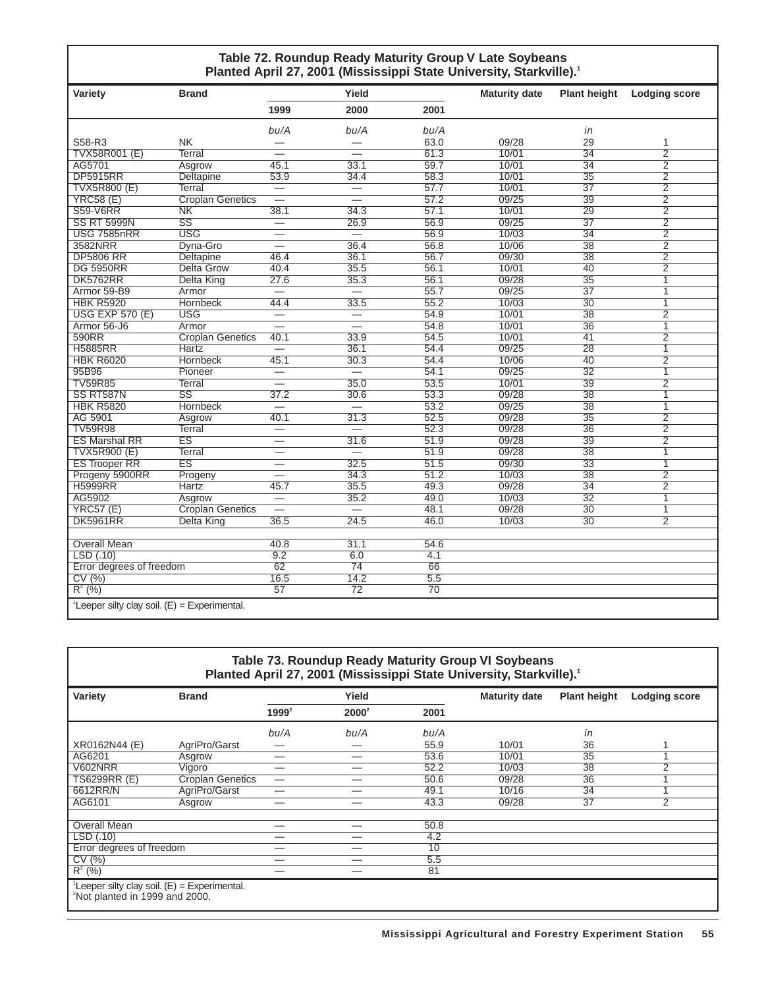### **Table 72. Roundup Ready Maturity Group V Late Soybeans** Planted April 27, 2001 (Mississippi State University, Starkville).<sup>1</sup>

| Variety                                                    | <b>Brand</b>            |                          | Yield                    |                  | <b>Maturity date</b> | <b>Plant height</b> | <b>Lodging score</b> |
|------------------------------------------------------------|-------------------------|--------------------------|--------------------------|------------------|----------------------|---------------------|----------------------|
|                                                            |                         | 1999                     | 2000                     | 2001             |                      |                     |                      |
|                                                            |                         | bu/A                     | bu/A                     | bu/A             |                      | in                  |                      |
| S58-R3                                                     | NK.                     |                          |                          | 63.0             | 09/28                | 29                  | 1                    |
| TVX58R001 (E)                                              | <b>Terral</b>           |                          | $\overline{\phantom{0}}$ | 61.3             | 10/01                | $\overline{34}$     | $\overline{2}$       |
| AG5701                                                     | Asgrow                  | 45.1                     | 33.1                     | 59.7             | 10/01                | $\overline{34}$     | $\overline{2}$       |
| <b>DP5915RR</b>                                            | <b>Deltapine</b>        | 53.9                     | 34.4                     | 58.3             | 10/01                | $\overline{35}$     | $\overline{2}$       |
| <b>TVX5R800 (E)</b>                                        | Terral                  |                          |                          | 57.7             | 10/01                | $\overline{37}$     | $\overline{2}$       |
| <b>YRC58 (E)</b>                                           | <b>Croplan Genetics</b> | $\overline{\phantom{0}}$ |                          | 57.2             | 09/25                | 39                  | $\overline{2}$       |
| <b>S59-V6RR</b>                                            | N <sub>K</sub>          | 38.1                     | 34.3                     | 57.1             | 10/01                | $\overline{29}$     | $\overline{2}$       |
| <b>SS RT 5999N</b>                                         | SS                      | $\overline{\phantom{0}}$ | 26.9                     | 56.9             | 09/25                | 37                  | $\overline{2}$       |
| <b>USG 7585nRR</b>                                         | <b>USG</b>              | —                        | $=$                      | 56.9             | 10/03                | $\overline{34}$     | $\overline{2}$       |
| 3582NRR                                                    | Dyna-Gro                |                          | 36.4                     | 56.8             | 10/06                | 38                  | $\overline{2}$       |
| <b>DP5806 RR</b>                                           | <b>Deltapine</b>        | 46.4                     | 36.1                     | 56.7             | 09/30                | $\overline{38}$     | $\overline{2}$       |
| <b>DG 5950RR</b>                                           | <b>Delta Grow</b>       | 40.4                     | 35.5                     | 56.1             | 10/01                | 40                  | $\overline{2}$       |
| <b>DK5762RR</b>                                            | <b>Delta King</b>       | 27.6                     | 35.3                     | 56.1             | 09/28                | $\overline{35}$     | 1                    |
| Armor 59-B9                                                | Armor                   | $=$                      | $=$                      | 55.7             | 09/25                | $\overline{37}$     | $\overline{1}$       |
| <b>HBK R5920</b>                                           | <b>Hornbeck</b>         | 44.4                     | 33.5                     | 55.2             | 10/03                | $\overline{30}$     | 1                    |
| <b>USG EXP 570 (E)</b>                                     | <b>USG</b>              | $\overline{\phantom{0}}$ |                          | 54.9             | 10/01                | $\overline{38}$     | $\overline{2}$       |
| Armor 56-J6                                                | Armor                   | $\overline{\phantom{0}}$ | $\equiv$                 | 54.8             | 10/01                | $\overline{36}$     | $\mathbf{1}$         |
| 590RR                                                      | <b>Croplan Genetics</b> | 40.1                     | 33.9                     | 54.5             | 10/01                | 41                  | $\overline{2}$       |
| <b>H5885RR</b>                                             | Hartz                   | $\overline{\phantom{0}}$ | 36.1                     | 54.4             | 09/25                | 28                  | $\overline{1}$       |
| <b>HBK R6020</b>                                           | <b>Hornbeck</b>         | 45.1                     | 30.3                     | 54.4             | 10/06                | 40                  | $\overline{2}$       |
| 95B96                                                      | Pioneer                 | $\overline{\phantom{0}}$ | $\overline{\phantom{0}}$ | 54.1             | 09/25                | $\overline{32}$     | $\mathbf{1}$         |
| <b>TV59R85</b>                                             | Terral                  |                          | 35.0                     | 53.5             | 10/01                | $\overline{39}$     | $\overline{2}$       |
| SS RT587N                                                  | $\overline{\text{SS}}$  | 37.2                     | 30.6                     | 53.3             | 09/28                | 38                  | 1                    |
| <b>HBK R5820</b>                                           | <b>Hornbeck</b>         |                          |                          | 53.2             | 09/25                | $\overline{38}$     | $\overline{1}$       |
| AG 5901                                                    | Asgrow                  | 40.1                     | 31.3                     | 52.5             | 09/28                | $\overline{35}$     | $\overline{2}$       |
| <b>TV59R98</b>                                             | <b>Terral</b>           |                          | $\overline{\phantom{0}}$ | 52.3             | 09/28                | $\overline{36}$     | $\overline{2}$       |
| <b>ES Marshal RR</b>                                       | ES                      | $\overline{\phantom{0}}$ | 31.6                     | 51.9             | 09/28                | 39                  | $\overline{2}$       |
| <b>TVX5R900 (E)</b>                                        | <b>Terral</b>           | $\overline{\phantom{0}}$ |                          | 51.9             | 09/28                | $\overline{38}$     | $\overline{1}$       |
| <b>ES Trooper RR</b>                                       | ES                      |                          | 32.5                     | 51.5             | 09/30                | $\overline{33}$     | $\overline{1}$       |
| Progeny 5900RR                                             | Progeny                 | $\equiv$                 | 34.3                     | 51.2             | 10/03                | $\overline{38}$     | $\overline{2}$       |
| <b>H5999RR</b>                                             | Hartz                   | 45.7                     | 35.5                     | 49.3             | 09/28                | $\overline{34}$     | $\overline{2}$       |
| AG5902                                                     | Asgrow                  | $\overline{\phantom{0}}$ | 35.2                     | 49.0             | 10/03                | $\overline{32}$     | $\overline{1}$       |
| <b>YRC57 (E)</b>                                           | <b>Croplan Genetics</b> | $\overline{\phantom{0}}$ | $\qquad \qquad =$        | 48.1             | 09/28                | $\overline{30}$     | $\overline{1}$       |
| <b>DK5961RR</b>                                            | <b>Delta King</b>       | 36.5                     | 24.5                     | 46.0             | 10/03                | 30                  | $\overline{2}$       |
|                                                            |                         |                          |                          |                  |                      |                     |                      |
| <b>Overall Mean</b>                                        |                         | 40.8                     | 31.1                     | 54.6             |                      |                     |                      |
| LSD(0.10)                                                  |                         | 9.2                      | 6.0                      | 4.1              |                      |                     |                      |
| Error degrees of freedom                                   |                         | 62                       | 74                       | 66               |                      |                     |                      |
| CV(%)                                                      |                         | 16.5                     | 14.2                     | $\overline{5.5}$ |                      |                     |                      |
| $R^2$ (%)                                                  |                         | $\overline{57}$          | $\overline{72}$          | 70               |                      |                     |                      |
| <sup>1</sup> Leeper silty clay soil. $(E)$ = Experimental. |                         |                          |                          |                  |                      |                     |                      |

| Variety                  | <b>Brand</b>            |          | Yield    |      | <b>Maturity date</b> | <b>Plant height</b> | <b>Lodging score</b> |
|--------------------------|-------------------------|----------|----------|------|----------------------|---------------------|----------------------|
|                          |                         | $1999^2$ | $2000^2$ | 2001 |                      |                     |                      |
|                          |                         | bu/A     | bu/A     | bu/A |                      | in                  |                      |
| XR0162N44 (E)            | AgriPro/Garst           |          |          | 55.9 | 10/01                | 36                  |                      |
| AG6201                   | Asgrow                  |          | –        | 53.6 | 10/01                | 35                  |                      |
| V602NRR                  | Vigoro                  | –        |          | 52.2 | 10/03                | 38                  | $\overline{2}$       |
| <b>TS6299RR (E)</b>      | <b>Croplan Genetics</b> |          |          | 50.6 | 09/28                | $\overline{36}$     |                      |
| 6612RR/N                 | AgriPro/Garst           |          |          | 49.1 | 10/16                | 34                  |                      |
| AG6101                   | Asgrow                  |          |          | 43.3 | 09/28                | $\overline{37}$     | $\overline{2}$       |
| <b>Overall Mean</b>      |                         |          |          | 50.8 |                      |                     |                      |
| LSD (.10)                |                         |          |          | 4.2  |                      |                     |                      |
| Error degrees of freedom |                         |          |          | 10   |                      |                     |                      |
| CV(%)                    |                         | –        | –        | 5.5  |                      |                     |                      |
| $R^2$ (%)                |                         |          |          | 81   |                      |                     |                      |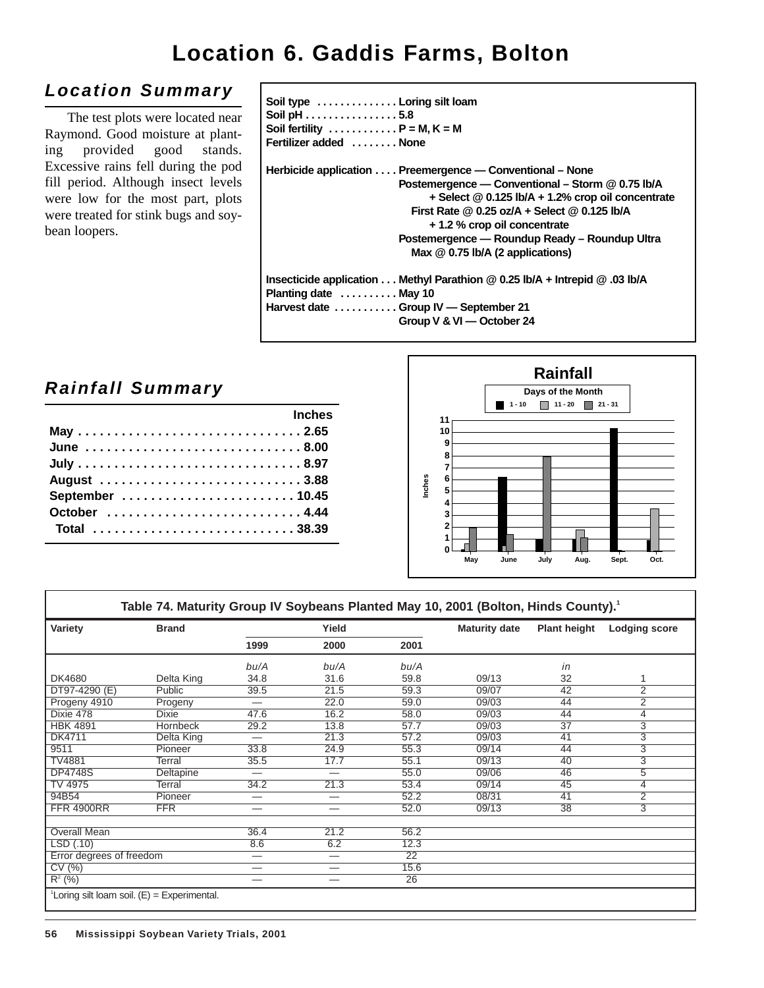# **Location 6. Gaddis Farms, Bolton**

## **Location Summary**

The test plots were located near Raymond. Good moisture at planting provided good stands. Excessive rains fell during the pod fill period. Although insect levels were low for the most part, plots were treated for stink bugs and soybean loopers.

| Soil type  Loring silt loam<br>Soil pH 5.8<br>Soil fertility $\ldots \ldots \ldots \ldots P = M, K = M$<br>Fertilizer added  None                                                                                                                                                                                                               |
|-------------------------------------------------------------------------------------------------------------------------------------------------------------------------------------------------------------------------------------------------------------------------------------------------------------------------------------------------|
| Herbicide application  Preemergence — Conventional – None<br>Postemergence - Conventional - Storm @ 0.75 lb/A<br>$+$ Select @ 0.125 lb/A $+$ 1.2% crop oil concentrate<br>First Rate $@0.25$ oz/A + Select $@0.125$ lb/A<br>+ 1.2 % crop oil concentrate<br>Postemergence — Roundup Ready – Roundup Ultra<br>Max $@$ 0.75 lb/A (2 applications) |
| Insecticide application Methyl Parathion @ 0.25 lb/A + Intrepid @ .03 lb/A<br>Planting date  May 10<br>Harvest date  Group IV - September 21<br>Group V & VI - October 24                                                                                                                                                                       |

## **Rainfall Summary**

|               |  |  |  |  |  |  |  |  |  |  | <b>Example 2019</b> Inches |  |
|---------------|--|--|--|--|--|--|--|--|--|--|----------------------------|--|
|               |  |  |  |  |  |  |  |  |  |  |                            |  |
| June 8.00     |  |  |  |  |  |  |  |  |  |  |                            |  |
|               |  |  |  |  |  |  |  |  |  |  |                            |  |
|               |  |  |  |  |  |  |  |  |  |  |                            |  |
|               |  |  |  |  |  |  |  |  |  |  |                            |  |
| October  4.44 |  |  |  |  |  |  |  |  |  |  |                            |  |
| Total 38.39   |  |  |  |  |  |  |  |  |  |  |                            |  |
|               |  |  |  |  |  |  |  |  |  |  |                            |  |



| Variety                  | <b>Brand</b> | Yield                          |                          |                 | <b>Maturity date</b> | <b>Plant height</b> | <b>Lodging score</b> |
|--------------------------|--------------|--------------------------------|--------------------------|-----------------|----------------------|---------------------|----------------------|
|                          |              | 1999                           | 2000                     | 2001            |                      |                     |                      |
|                          |              | bu/A                           | bu/A                     | bu/A            |                      | in                  |                      |
| DK4680                   | Delta King   | 34.8                           | 31.6                     | 59.8            | 09/13                | 32                  | 1                    |
| DT97-4290 (E)            | Public       | 39.5                           | 21.5                     | 59.3            | 09/07                | 42                  | 2                    |
| Progeny 4910             | Progeny      | $\qquad \qquad \longleftarrow$ | 22.0                     | 59.0            | 09/03                | 44                  | $\overline{2}$       |
| Dixie 478                | <b>Dixie</b> | 47.6                           | 16.2                     | 58.0            | 09/03                | 44                  | 4                    |
| <b>HBK 4891</b>          | Hornbeck     | 29.2                           | 13.8                     | 57.7            | 09/03                | 37                  | 3                    |
| <b>DK4711</b>            | Delta King   |                                | 21.3                     | 57.2            | 09/03                | 41                  | 3                    |
| 9511                     | Pioneer      | 33.8                           | 24.9                     | 55.3            | 09/14                | 44                  | $\overline{3}$       |
| <b>TV4881</b>            | Terral       | 35.5                           | 17.7                     | 55.1            | 09/13                | 40                  | $\overline{3}$       |
| <b>DP4748S</b>           | Deltapine    | —                              |                          | 55.0            | 09/06                | 46                  | $\overline{5}$       |
| TV 4975                  | Terral       | 34.2                           | 21.3                     | 53.4            | 09/14                | 45                  | 4                    |
| 94B54                    | Pioneer      | $\hspace{0.05cm}$              |                          | 52.2            | 08/31                | 41                  | 2                    |
| <b>FFR 4900RR</b>        | <b>FFR</b>   | $\qquad \qquad \longleftarrow$ | —                        | 52.0            | 09/13                | 38                  | $\overline{3}$       |
| Overall Mean             |              | 36.4                           | 21.2                     | 56.2            |                      |                     |                      |
| LSD(.10)                 |              | 8.6                            | 6.2                      | 12.3            |                      |                     |                      |
| Error degrees of freedom |              |                                | $\overline{\phantom{0}}$ | $\overline{22}$ |                      |                     |                      |
| CV(%)                    |              |                                | –                        | 15.6            |                      |                     |                      |
| $R^{2}(%)$               |              |                                |                          | 26              |                      |                     |                      |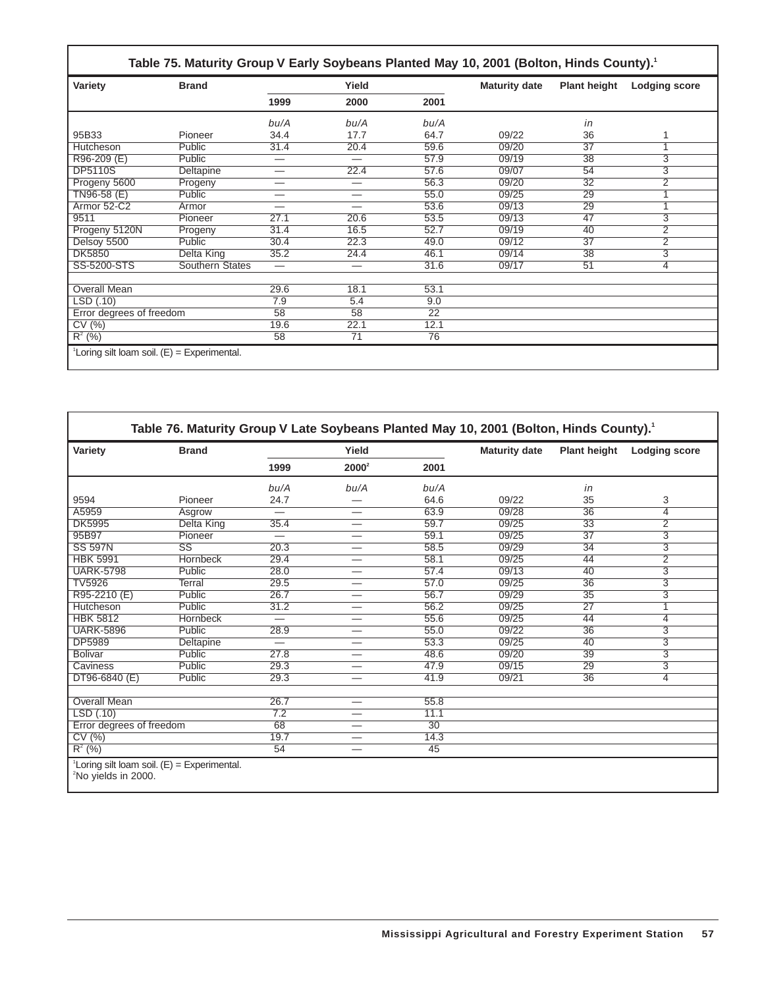|                                                 |                 |                          |                          |                 | Table 75. Maturity Group V Early Soybeans Planted May 10, 2001 (Bolton, Hinds County). <sup>1</sup> |                     |                      |  |
|-------------------------------------------------|-----------------|--------------------------|--------------------------|-----------------|-----------------------------------------------------------------------------------------------------|---------------------|----------------------|--|
| Variety                                         | <b>Brand</b>    | Yield                    |                          |                 | <b>Maturity date</b>                                                                                | <b>Plant height</b> | <b>Lodging score</b> |  |
|                                                 |                 | 1999                     | 2000                     | 2001            |                                                                                                     |                     |                      |  |
|                                                 |                 | bu/A                     | bu/A                     | bu/A            |                                                                                                     | in                  |                      |  |
| 95B33                                           | Pioneer         | 34.4                     | 17.7                     | 64.7            | 09/22                                                                                               | 36                  | 1                    |  |
| Hutcheson                                       | Public          | 31.4                     | 20.4                     | 59.6            | 09/20                                                                                               | 37                  |                      |  |
| R96-209 (E)                                     | Public          | —                        | —                        | 57.9            | 09/19                                                                                               | 38                  | $\overline{3}$       |  |
| <b>DP5110S</b>                                  | Deltapine       | —                        | 22.4                     | 57.6            | 09/07                                                                                               | 54                  | $\overline{3}$       |  |
| Progeny 5600                                    | Progeny         | —                        | $\overline{\phantom{0}}$ | 56.3            | 09/20                                                                                               | $\overline{32}$     | 2                    |  |
| TN96-58 (E)                                     | Public          | _                        | _                        | 55.0            | 09/25                                                                                               | 29                  | 4                    |  |
| Armor 52-C2                                     | Armor           | —                        | —                        | 53.6            | 09/13                                                                                               | 29                  | 1                    |  |
| 9511                                            | Pioneer         | 27.1                     | 20.6                     | 53.5            | 09/13                                                                                               | 47                  | 3                    |  |
| Progeny 5120N                                   | Progeny         | 31.4                     | 16.5                     | 52.7            | 09/19                                                                                               | 40                  | $\overline{2}$       |  |
| Delsoy 5500                                     | Public          | 30.4                     | 22.3                     | 49.0            | 09/12                                                                                               | $\overline{37}$     | $\overline{2}$       |  |
| <b>DK5850</b>                                   | Delta King      | 35.2                     | 24.4                     | 46.1            | 09/14                                                                                               | 38                  | 3                    |  |
| SS-5200-STS                                     | Southern States | $\overline{\phantom{0}}$ | —                        | 31.6            | 09/17                                                                                               | 51                  | 4                    |  |
|                                                 |                 |                          |                          |                 |                                                                                                     |                     |                      |  |
| <b>Overall Mean</b>                             |                 | 29.6                     | 18.1                     | 53.1            |                                                                                                     |                     |                      |  |
| LSD(0.10)                                       |                 | 7.9                      | 5.4                      | 9.0             |                                                                                                     |                     |                      |  |
| Error degrees of freedom                        |                 | 58                       | 58                       | $\overline{22}$ |                                                                                                     |                     |                      |  |
| CV(%)                                           |                 | 19.6                     | 22.1                     | 12.1            |                                                                                                     |                     |                      |  |
| $R^2$ (%)                                       |                 | 58                       | 71                       | 76              |                                                                                                     |                     |                      |  |
| $^1$ Loring silt loam soil. (E) = Experimental. |                 |                          |                          |                 |                                                                                                     |                     |                      |  |

|                                                                                    |                        |                          |                          |                 | Table 76. Maturity Group V Late Soybeans Planted May 10, 2001 (Bolton, Hinds County). |                     |                      |
|------------------------------------------------------------------------------------|------------------------|--------------------------|--------------------------|-----------------|---------------------------------------------------------------------------------------|---------------------|----------------------|
| Variety                                                                            | <b>Brand</b>           |                          | Yield                    |                 | <b>Maturity date</b>                                                                  | <b>Plant height</b> | <b>Lodging score</b> |
|                                                                                    |                        | 1999                     | $2000^2$                 | 2001            |                                                                                       |                     |                      |
|                                                                                    |                        | bu/A                     | bu/A                     | bu/A            |                                                                                       | in                  |                      |
| 9594                                                                               | Pioneer                | 24.7                     |                          | 64.6            | 09/22                                                                                 | 35                  | 3                    |
| A5959                                                                              | Asgrow                 | —                        | $\overline{\phantom{0}}$ | 63.9            | 09/28                                                                                 | $\overline{36}$     | 4                    |
| <b>DK5995</b>                                                                      | Delta King             | 35.4                     | $\hspace{0.05cm}$        | 59.7            | 09/25                                                                                 | 33                  | $\overline{2}$       |
| 95B97                                                                              | Pioneer                | $\overline{\phantom{0}}$ | —                        | 59.1            | 09/25                                                                                 | $\overline{37}$     | $\overline{3}$       |
| <b>SS 597N</b>                                                                     | $\overline{\text{SS}}$ | 20.3                     |                          | 58.5            | 09/29                                                                                 | $\overline{34}$     | 3                    |
| <b>HBK 5991</b>                                                                    | Hornbeck               | 29.4                     | —                        | 58.1            | 09/25                                                                                 | 44                  | $\overline{2}$       |
| <b>UARK-5798</b>                                                                   | Public                 | 28.0                     | $\overline{\phantom{0}}$ | 57.4            | 09/13                                                                                 | 40                  | $\overline{3}$       |
| <b>TV5926</b>                                                                      | Terral                 | 29.5                     | —                        | 57.0            | 09/25                                                                                 | $\overline{36}$     | 3                    |
| R95-2210 (E)                                                                       | Public                 | 26.7                     | —                        | 56.7            | 09/29                                                                                 | $\overline{35}$     | $\overline{3}$       |
| Hutcheson                                                                          | Public                 | 31.2                     | —                        | 56.2            | 09/25                                                                                 | $\overline{27}$     |                      |
| <b>HBK 5812</b>                                                                    | <b>Hornbeck</b>        | $\overline{\phantom{0}}$ | —                        | 55.6            | 09/25                                                                                 | 44                  | 4                    |
| <b>UARK-5896</b>                                                                   | Public                 | 28.9                     | $\overline{\phantom{0}}$ | 55.0            | 09/22                                                                                 | $\overline{36}$     | $\overline{3}$       |
| <b>DP5989</b>                                                                      | Deltapine              | $\overline{\phantom{0}}$ | —                        | 53.3            | 09/25                                                                                 | 40                  | 3                    |
| <b>Bolivar</b>                                                                     | Public                 | 27.8                     | —                        | 48.6            | 09/20                                                                                 | $\overline{39}$     | $\overline{3}$       |
| Caviness                                                                           | Public                 | 29.3                     | —                        | 47.9            | 09/15                                                                                 | 29                  | $\overline{3}$       |
| DT96-6840 (E)                                                                      | Public                 | 29.3                     | —                        | 41.9            | 09/21                                                                                 | $\overline{36}$     | $\overline{4}$       |
| <b>Overall Mean</b>                                                                |                        | 26.7                     | —                        | 55.8            |                                                                                       |                     |                      |
| LSD(.10)                                                                           |                        | 7.2                      | —                        | 11.1            |                                                                                       |                     |                      |
| Error degrees of freedom                                                           |                        | 68                       |                          | $\overline{30}$ |                                                                                       |                     |                      |
| CV(%)                                                                              |                        | 19.7                     | —                        | 14.3            |                                                                                       |                     |                      |
| $R^2$ (%)                                                                          |                        | 54                       |                          | 45              |                                                                                       |                     |                      |
| $^1$ Loring silt loam soil. (E) = Experimental.<br><sup>2</sup> No yields in 2000. |                        |                          |                          |                 |                                                                                       |                     |                      |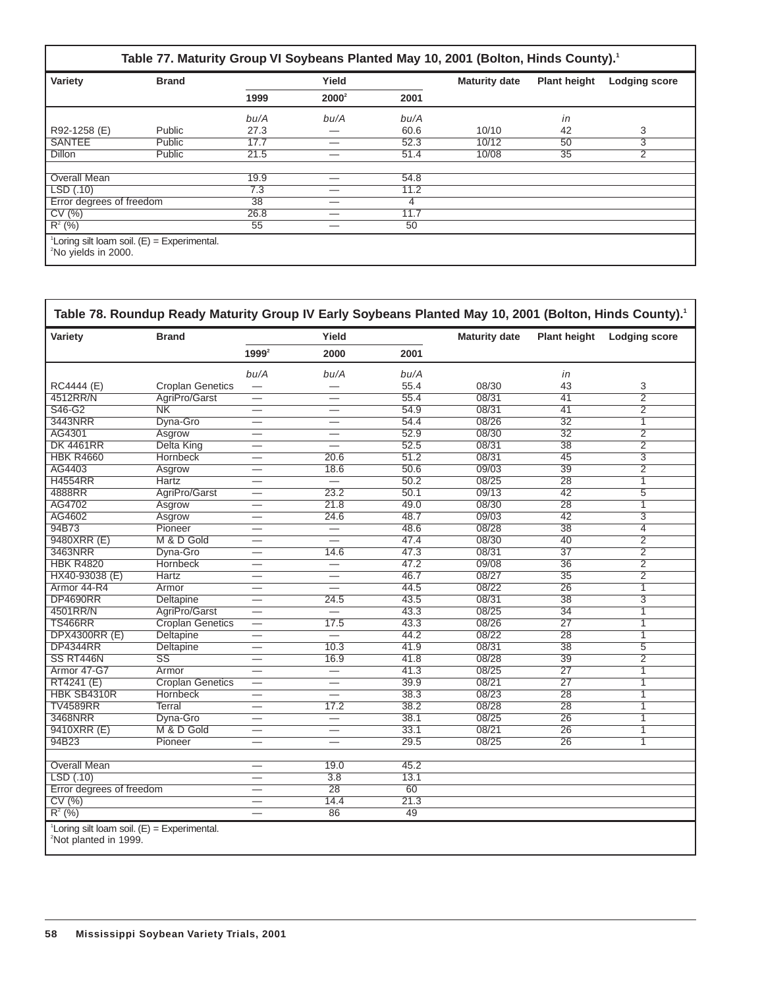#### **Table 77. Maturity Group VI Soybeans Planted May 10, 2001 (Bolton, Hinds County).1**

| Variety<br><b>Brand</b>                                                            |        |          | Yield |      | <b>Maturity date</b> | <b>Plant height</b> | <b>Lodging score</b> |
|------------------------------------------------------------------------------------|--------|----------|-------|------|----------------------|---------------------|----------------------|
|                                                                                    | 1999   | $2000^2$ | 2001  |      |                      |                     |                      |
|                                                                                    |        | bu/A     | bu/A  | bu/A |                      | in                  |                      |
| R92-1258 (E)                                                                       | Public | 27.3     | __    | 60.6 | 10/10                | 42                  | 3                    |
| <b>SANTEE</b>                                                                      | Public | 17.7     | _     | 52.3 | 10/12                | 50                  | 3                    |
| <b>Dillon</b>                                                                      | Public | 21.5     |       | 51.4 | 10/08                | 35                  | 2                    |
|                                                                                    |        |          |       |      |                      |                     |                      |
| <b>Overall Mean</b>                                                                |        | 19.9     | _     | 54.8 |                      |                     |                      |
| LSD(.10)                                                                           |        | 7.3      |       | 11.2 |                      |                     |                      |
| Error degrees of freedom                                                           |        | 38       |       | 4    |                      |                     |                      |
| CV(%)                                                                              |        | 26.8     |       | 11.7 |                      |                     |                      |
| $R^2$ (%)                                                                          |        | 55       | _     | 50   |                      |                     |                      |
| $^1$ Loring silt loam soil. (E) = Experimental.<br><sup>2</sup> No yields in 2000. |        |          |       |      |                      |                     |                      |

#### **Table 78. Roundup Ready Maturity Group IV Early Soybeans Planted May 10, 2001 (Bolton, Hinds County).1** Variety **Brand Brand Water Stephen Waturity date** Plant height Lodging score **19992 2000 2001** bu/A bu/A bu/A in RC4444 (E) Croplan Genetics — — 55.4 08/30 43 3<br>4512RR/N AgriPro/Garst — — 55.4 08/31 41 2 4512RR/N AgriPro/Garst — — 55.4 08/31 41 2 S46-G2 NK — — 54.9 08/31 41 2 3443NRR Dyna-Gro — — 54.4 08/26 32 1 AG4301 Asgrow — — 52.9 08/30 32 2 DK 4461RR Delta King — — 52.5 08/31 38 2 HBK R4660 Hornbeck — 20.6 51.2 08/31 45 3 AG4403 Asgrow — 18.6 50.6 09/03 39 2 H4554RR Hartz — — 50.2 08/25 28 1 4888RR AgriPro/Garst — 23.2 50.1 09/13 42 5 AG4702 Asgrow — 21.8 49.0 08/30 28 1 AG4602 Asgrow — 24.6 48.7 09/03 42 3 94B73 Pioneer — — 48.6 08/28 38 4 9480XRR (E) M & D Gold — — 47.4 08/30 40 2 3463NRR Dyna-Gro — 14.6 47.3 08/31 37 2 HBK R4820 Hornbeck — — 47.2 09/08 36 2 HX40-93038 (E) Hartz — — 46.7 08/27 35 2<br>Armor 44-R4 Armor — — 44.5 08/22 26 1 Armor 44-R4 Armor — — 44.5 08/22 26 1 DP4690RR Deltapine — 24.5 43.5 08/31 38 3 4501RR/N AgriPro/Garst — — 43.3 08/25 34 1 TS466RR Croplan Genetics — 17.5 43.3 08/26 27 1 000 DPX4300RR (E) Deltapine — — — 44.2 08/22 28 1<br>DP4344RR Deltapine — 10.3 41.9 08/31 38 5 DP4344RR Deltapine — 10.3 41.9 08/31 38 5 SS RT446N SS — 16.9 41.8 08/28 39 2 Armor 47-G7 Armor — — 41.3 08/25 27 1 RT4241 (E) Croplan Genetics — — 39.9 08/21 27 1 HBK SB4310R Hornbeck — — 38.3 08/23 28 1  $TV4589RR$  Terral — 17.2 38.2 08/28 28 1 3468NRR Dyna-Gro — — 38.1 08/25 26 1 9410XRR (E) M & D Gold — — 33.1 08/21 26 1 94B23 Pioneer — — 29.5 08/25 26 1 **Overall Mean** — 19.0 45.2  $\frac{\text{LSD}(.10)}{\text{Error degrees of freedom}}$   $\frac{\text{=}}{\text{=}}$  3.8 13.1 Error degrees of freedom  $\qquad \qquad - \qquad \qquad 28 \qquad \qquad 60$ <br>CV (%)  $\qquad \qquad - \qquad \qquad 14.4 \qquad \qquad 21.3$ CV (%)  $-$  14.4 21.3  $R^2$  (%) and  $\overline{R}$  and  $\overline{R}$  are  $\overline{R}$  and  $\overline{R}$  are  $\overline{R}$  and  $\overline{R}$  are  $\overline{R}$  and  $\overline{R}$  are  $\overline{R}$  and  $\overline{R}$  are  $\overline{R}$  and  $\overline{R}$  are  $\overline{R}$  are  $\overline{R}$  and  $\overline{R}$  are  $\overline{R}$  are  ${}^1$ Loring silt loam soil. (E) = Experimental. <sup>2</sup>Not planted in 1999.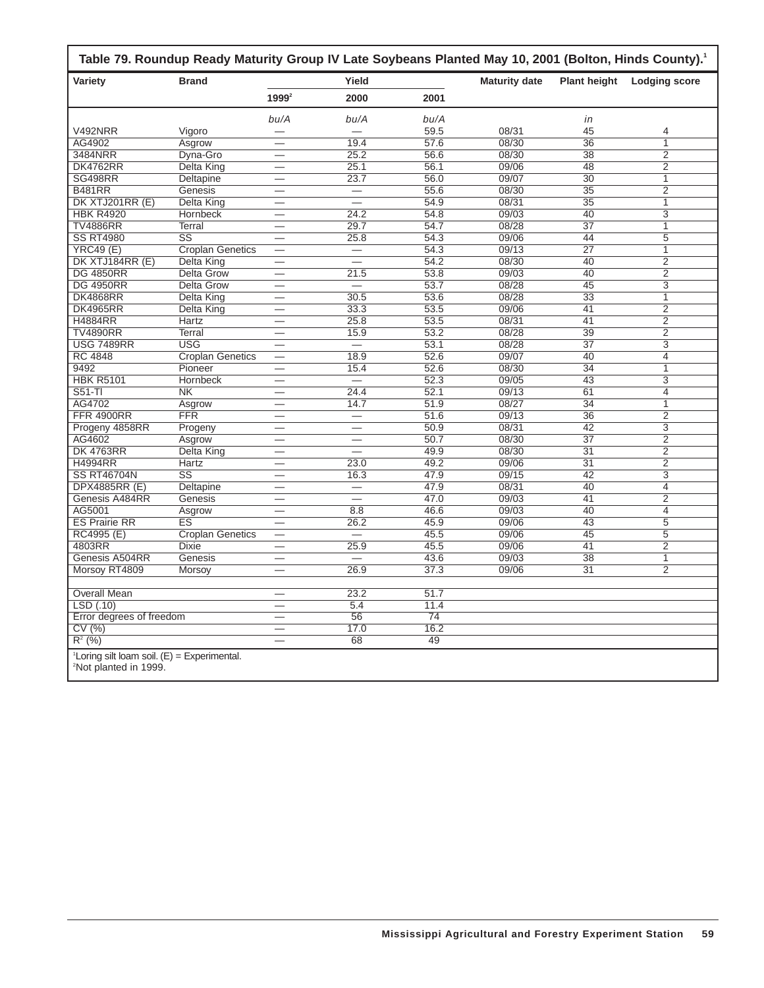| Variety                  | <b>Brand</b>                            | Yield                    |                          |                 | <b>Maturity date</b> | <b>Plant height</b>   | <b>Lodging score</b>             |
|--------------------------|-----------------------------------------|--------------------------|--------------------------|-----------------|----------------------|-----------------------|----------------------------------|
|                          |                                         | $1999^2$                 | 2000                     | 2001            |                      |                       |                                  |
|                          |                                         | bu/A                     | bu/A                     | bu/A            |                      | in                    |                                  |
| <b>V492NRR</b>           | Vigoro                                  |                          | ▃                        | 59.5            | 08/31                | 45                    | 4                                |
| AG4902                   | Asgrow                                  | $\overline{\phantom{0}}$ | 19.4                     | 57.6            | 08/30                | 36                    | $\overline{1}$                   |
| 3484NRR                  | Dyna-Gro                                | —                        | 25.2                     | 56.6            | 08/30                | $\overline{38}$       | $\overline{2}$                   |
| <b>DK4762RR</b>          | Delta King                              | $\overline{\phantom{0}}$ | 25.1                     | 56.1            | 09/06                | 48                    | $\overline{2}$                   |
| <b>SG498RR</b>           | Deltapine                               |                          | 23.7                     | 56.0            | 09/07                | $\overline{30}$       | $\overline{1}$                   |
| <b>B481RR</b>            | Genesis                                 | $\overline{\phantom{0}}$ |                          | 55.6            | 08/30                | $\overline{35}$       | $\overline{2}$                   |
| DK XTJ201RR (E)          | Delta King                              | $\overline{\phantom{0}}$ | $\overline{\phantom{0}}$ | 54.9            | 08/31                | $\overline{35}$       | $\overline{1}$                   |
| <b>HBK R4920</b>         | <b>Hornbeck</b>                         |                          | 24.2                     | 54.8            | 09/03                | 40                    | 3                                |
| <b>TV4886RR</b>          | Terral                                  |                          | 29.7                     | 54.7            | 08/28                | $\overline{37}$       | $\overline{1}$                   |
| <b>SS RT4980</b>         | $\overline{\text{ss}}$                  |                          | 25.8                     | 54.3            | 09/06                | 44                    | $\overline{5}$                   |
| <b>YRC49 (E)</b>         | <b>Croplan Genetics</b>                 | $\overline{\phantom{0}}$ |                          | 54.3            | 09/13                | $\overline{27}$       | $\overline{1}$                   |
| DK XTJ184RR (E)          | <b>Delta King</b>                       | $\overline{\phantom{0}}$ | $\overline{\phantom{0}}$ | 54.2            | 08/30                | 40                    | $\overline{2}$                   |
| <b>DG 4850RR</b>         | <b>Delta Grow</b>                       |                          | 21.5                     | 53.8            | 09/03                | 40                    | $\overline{2}$                   |
| <b>DG 4950RR</b>         | <b>Delta Grow</b>                       | $\overline{\phantom{0}}$ | $\qquad \qquad -$        | 53.7            | 08/28                | $\overline{45}$       | $\overline{3}$                   |
| <b>DK4868RR</b>          | Delta King                              | —                        | 30.5                     | 53.6            | 08/28                | $\overline{33}$       | $\overline{1}$                   |
| <b>DK4965RR</b>          | Delta King                              |                          | 33.3                     | 53.5            | 09/06                | 41                    | $\overline{2}$                   |
| <b>H4884RR</b>           | <b>Hartz</b>                            |                          | 25.8                     | 53.5            | 08/31                | 41                    | $\overline{2}$                   |
| <b>TV4890RR</b>          | <b>Terral</b>                           | —                        | 15.9                     | 53.2            | 08/28                | 39                    | $\overline{2}$                   |
| <b>USG 7489RR</b>        | <b>USG</b>                              |                          |                          | 53.1            | 08/28                | 37                    | 3                                |
| <b>RC 4848</b>           | <b>Croplan Genetics</b>                 |                          | 18.9                     | 52.6            | 09/07                | 40                    | 4                                |
| 9492                     | Pioneer                                 |                          | 15.4                     | 52.6            | 08/30                | $\overline{34}$       | $\overline{1}$                   |
| <b>HBK R5101</b>         | Hornbeck                                |                          | $\overline{\phantom{0}}$ | 52.3            | 09/05                | 43                    | $\overline{3}$                   |
| $S51-TI$                 | NK                                      | $\overline{\phantom{0}}$ | 24.4                     | 52.1            | 09/13                | 61                    | $\overline{4}$                   |
| AG4702                   | Asgrow                                  |                          | 14.7                     | 51.9            | 08/27                | $\overline{34}$       | 1                                |
| <b>FFR 4900RR</b>        | <b>FFR</b>                              |                          | $\overline{\phantom{0}}$ | 51.6            | 09/13                | 36                    | 2                                |
| Progeny 4858RR           |                                         | ▃                        | $\overline{\phantom{0}}$ | 50.9            | 08/31                | $\overline{42}$       | $\overline{3}$                   |
| AG4602                   | Progeny<br>Asgrow                       |                          |                          | 50.7            | 08/30                | $\overline{37}$       | $\overline{2}$                   |
| <b>DK 4763RR</b>         |                                         |                          | $\overline{\phantom{0}}$ | 49.9            | 08/30                | $\overline{31}$       | $\overline{2}$                   |
| <b>H4994RR</b>           | Delta King<br>Hartz                     | $\overline{\phantom{0}}$ | 23.0                     | 49.2            | 09/06                | 31                    | $\overline{2}$                   |
| <b>SS RT46704N</b>       | $\overline{\text{ss}}$                  |                          |                          | 47.9            | 09/15                | $\overline{42}$       | $\overline{3}$                   |
| <b>DPX4885RR (E)</b>     |                                         |                          | 16.3                     | 47.9            | 08/31                | 40                    | $\overline{4}$                   |
| Genesis A484RR           | Deltapine<br>Genesis                    | $\overline{\phantom{0}}$ | $\overline{\phantom{0}}$ | 47.0            | 09/03                | 41                    | $\overline{2}$                   |
| AG5001                   |                                         | $\overline{\phantom{0}}$ | 8.8                      | 46.6            | 09/03                | 40                    | $\overline{4}$                   |
| <b>ES Prairie RR</b>     | Asgrow<br>$\overline{\text{ES}}$        |                          | 26.2                     | 45.9            | 09/06                | 43                    | $\overline{5}$                   |
|                          |                                         | $\overline{\phantom{0}}$ |                          |                 |                      |                       |                                  |
| RC4995 (E)<br>4803RR     | <b>Croplan Genetics</b><br><b>Dixie</b> | —                        |                          | 45.5<br>45.5    | 09/06<br>09/06       | 45<br>$\overline{41}$ | 5<br>$\overline{2}$              |
|                          | Genesis                                 |                          | 25.9<br>L.               | 43.6            | 09/03                | $\overline{38}$       |                                  |
| Genesis A504RR           |                                         |                          |                          |                 |                      |                       | $\overline{1}$<br>$\overline{2}$ |
| Morsoy RT4809            | Morsoy                                  | $\overline{\phantom{0}}$ | 26.9                     | 37.3            | 09/06                | 31                    |                                  |
| <b>Overall Mean</b>      |                                         | —                        | 23.2                     | 51.7            |                      |                       |                                  |
| LSD(.10)                 |                                         | $\overline{\phantom{0}}$ | 5.4                      | 11.4            |                      |                       |                                  |
| Error degrees of freedom |                                         |                          | $\overline{56}$          | $\overline{74}$ |                      |                       |                                  |
| CV(%)                    |                                         | $\overline{\phantom{0}}$ | 17.0                     | 16.2            |                      |                       |                                  |
| $R^2$ (%)                |                                         |                          | 68                       | 49              |                      |                       |                                  |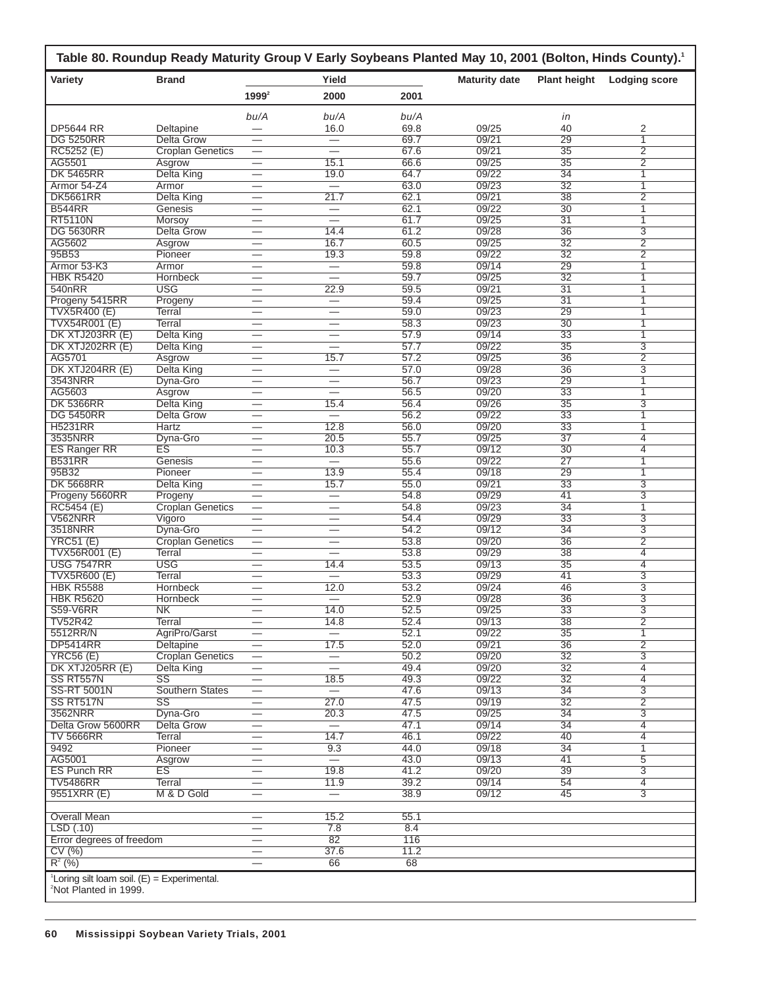| Variety                               | <b>Brand</b>                 |                                | Yield                    |              | <b>Maturity date</b> | <b>Plant height</b>   | <b>Lodging score</b> |
|---------------------------------------|------------------------------|--------------------------------|--------------------------|--------------|----------------------|-----------------------|----------------------|
|                                       |                              | $1999^2$                       | 2000                     | 2001         |                      |                       |                      |
|                                       |                              | bu/A                           | bu/A                     | bu/A         |                      | in                    |                      |
| <b>DP5644 RR</b>                      | Deltapine                    |                                | 16.0                     | 69.8         | 09/25                | 40                    | 2                    |
| <b>DG 5250RR</b>                      | Delta Grow                   | $\overline{\phantom{0}}$       | $\overline{\phantom{0}}$ | 69.7         | 09/21                | 29                    | 1                    |
| RC5252 (E)                            | <b>Croplan Genetics</b>      | $\overline{\phantom{0}}$       |                          | 67.6         | 09/21                | $\overline{35}$       | $\overline{2}$       |
| AG5501                                | Asgrow                       |                                | 15.1                     | 66.6         | 09/25                | 35                    | 2                    |
| <b>DK 5465RR</b>                      | <b>Delta King</b>            |                                | 19.0                     | 64.7         | 09/22                | $\overline{34}$       | 1                    |
| Armor 54-Z4                           | Armor                        |                                | ᆖ                        | 63.0         | 09/23                | $\overline{32}$       | $\overline{1}$       |
| <b>DK5661RR</b><br><b>B544RR</b>      | <b>Delta King</b><br>Genesis | $\overline{\phantom{0}}$       | 21.7                     | 62.1<br>62.1 | 09/21<br>09/22       | 38<br>$\overline{30}$ | $\overline{2}$<br>1  |
| <b>RT5110N</b>                        | Morsoy                       | $\overline{\phantom{0}}$       |                          | 61.7         | 09/25                | $\overline{31}$       | 1                    |
| <b>DG 5630RR</b>                      | <b>Delta Grow</b>            |                                | 14.4                     | 61.2         | 09/28                | 36                    | 3                    |
| AG5602                                | Asgrow                       |                                | 16.7                     | 60.5         | 09/25                | 32                    | $\overline{2}$       |
| 95B53                                 | Pioneer                      |                                | 19.3                     | 59.8         | 09/22                | 32                    | $\overline{2}$       |
| Armor 53-K3                           | Armor                        |                                | $\overline{\phantom{0}}$ | 59.8         | 09/14                | 29                    | 1                    |
| <b>HBK R5420</b>                      | Hornbeck                     |                                | $\overline{\phantom{0}}$ | 59.7         | 09/25                | $\overline{32}$       | 1                    |
| 540nRR                                | <b>USG</b>                   | $\overline{\phantom{0}}$       | 22.9                     | 59.5         | 09/21                | 31                    | 1                    |
| Progeny 5415RR                        | Progeny                      |                                |                          | 59.4         | 09/25                | $\overline{31}$       | 1                    |
| <b>TVX5R400 (E)</b>                   | Terral                       | $\overline{\phantom{0}}$       |                          | 59.0         | 09/23                | 29                    | 1                    |
| <b>TVX54R001 (E)</b>                  | <b>Terral</b>                |                                | $\overline{\phantom{0}}$ | 58.3         | 09/23                | $\overline{30}$       | 1                    |
| DK XTJ203RR (E)                       | Delta King                   |                                |                          | 57.9         | 09/14                | 33                    | 1                    |
| DK XTJ202RR (E)                       | Delta King                   |                                |                          | 57.7         | 09/22                | $\overline{35}$       | 3                    |
| AG5701                                | Asgrow                       |                                | 15.7                     | 57.2         | 09/25                | 36                    | $\overline{2}$       |
| DK XTJ204RR (E)<br>3543NRR            | <b>Delta King</b>            | $\overline{\phantom{0}}$       | $\equiv$                 | 57.0<br>56.7 | 09/28<br>09/23       | $\overline{36}$<br>29 | 3                    |
| AG5603                                | Dyna-Gro<br>Asgrow           | $\overline{\phantom{0}}$       | $\overline{\phantom{0}}$ | 56.5         | 09/20                | $\overline{33}$       | 1<br>1               |
| <b>DK 5366RR</b>                      | Delta King                   |                                | 15.4                     | 56.4         | 09/26                | $\overline{35}$       | 3                    |
| <b>DG 5450RR</b>                      | Delta Grow                   |                                | $\equiv$                 | 56.2         | 09/22                | 33                    | 1                    |
| <b>H5231RR</b>                        | Hartz                        |                                | 12.8                     | 56.0         | 09/20                | 33                    | 1                    |
| 3535NRR                               | Dyna-Gro                     | $\overline{\phantom{0}}$       | 20.5                     | 55.7         | 09/25                | 37                    | 4                    |
| <b>ES Ranger RR</b>                   | ES                           |                                | 10.3                     | 55.7         | 09/12                | $\overline{30}$       | 4                    |
| <b>B531RR</b>                         | Genesis                      | $\overline{\phantom{0}}$       |                          | 55.6         | 09/22                | $\overline{27}$       | 1                    |
| 95B32                                 | Pioneer                      |                                | 13.9                     | 55.4         | 09/18                | 29                    | 1                    |
| <b>DK 5668RR</b>                      | <b>Delta King</b>            | $\overline{\phantom{0}}$       | 15.7                     | 55.0         | 09/21                | 33                    | 3                    |
| Progeny 5660RR                        | Progeny                      |                                |                          | 54.8         | 09/29                | 41                    | 3                    |
| RC5454 (E)                            | <b>Croplan Genetics</b>      | $\overline{\phantom{0}}$       |                          | 54.8         | 09/23                | 34                    | 1                    |
| V562NRR                               | Vigoro                       |                                |                          | 54.4         | 09/29                | $\overline{33}$       | 3                    |
| 3518NRR                               | Dyna-Gro                     |                                | $\overline{\phantom{0}}$ | 54.2         | 09/12                | $\overline{34}$       | 3                    |
| YRC51(E)                              | <b>Croplan Genetics</b>      |                                |                          | 53.8         | 09/20                | $\overline{36}$       | $\overline{2}$       |
| <b>TVX56R001 (E)</b>                  | Terral                       |                                | $\overline{\phantom{0}}$ | 53.8         | 09/29                | 38                    | $\overline{4}$       |
| <b>USG 7547RR</b>                     | <b>USG</b>                   | $\overline{\phantom{0}}$       | 14.4                     | 53.5         | 09/13                | $\overline{35}$       | $\overline{4}$       |
| <b>TVX5R600 (E)</b>                   | Terral                       |                                | $=$                      | 53.3         | 09/29                | 41                    | 3                    |
| <b>HBK R5588</b><br><b>HBK R5620</b>  | Hornbeck                     |                                | 12.0                     | 53.2<br>52.9 | 09/24<br>09/28       | 46<br>36              | 3<br>$\overline{3}$  |
|                                       | Hornbeck                     |                                | 14.0                     |              |                      |                       |                      |
| S59-V6RR<br><b>TV52R42</b>            | NK.<br>Terral                |                                | 14.8                     | 52.5<br>52.4 | 09/25<br>09/13       | 33<br>38              | З<br>$\overline{2}$  |
| 5512RR/N                              | AgriPro/Garst                |                                | $\overline{\phantom{0}}$ | 52.1         | 09/22                | 35                    | 1                    |
| <b>DP5414RR</b>                       | Deltapine                    |                                | 17.5                     | 52.0         | 09/21                | $\overline{36}$       | $\overline{2}$       |
| <b>YRC56 (E)</b>                      | <b>Croplan Genetics</b>      | —                              | $\overline{\phantom{0}}$ | 50.2         | 09/20                | 32                    | 3                    |
| DK XTJ205RR (E)                       | Delta King                   | $\overline{\phantom{0}}$       |                          | 49.4         | 09/20                | $\overline{32}$       | $\overline{4}$       |
| SS RT557N                             | $\overline{\text{SS}}$       |                                | 18.5                     | 49.3         | 09/22                | 32                    | $\overline{4}$       |
| <b>SS-RT 5001N</b>                    | Southern States              |                                | $=$                      | 47.6         | 09/13                | $\overline{34}$       | $\overline{3}$       |
| SS RT517N                             | $\overline{\text{SS}}$       | $\overline{\phantom{0}}$       | 27.0                     | 47.5         | 09/19                | $\overline{32}$       | $\overline{2}$       |
| 3562NRR                               | Dyna-Gro                     |                                | $\overline{20.3}$        | 47.5         | 09/25                | $\overline{34}$       | $\overline{3}$       |
| Delta Grow 5600RR                     | <b>Delta Grow</b>            | $\overline{\phantom{0}}$       | $\overline{\phantom{m}}$ | 47.1         | 09/14                | $\overline{34}$       | $\overline{4}$       |
| <b>TV 5666RR</b>                      | Terral                       | $\overline{\phantom{0}}$       | 14.7                     | 46.1         | 09/22                | 40                    | 4                    |
| 9492                                  | Pioneer                      |                                | 9.3                      | 44.0         | 09/18                | $\overline{34}$       | 1                    |
| AG5001                                | Asgrow                       |                                | $\overline{\phantom{0}}$ | 43.0         | 09/13                | 41                    | 5                    |
| <b>ES Punch RR</b><br><b>TV5486RR</b> | ES<br><b>Terral</b>          |                                | 19.8<br>11.9             | 41.2<br>39.2 | 09/20<br>09/14       | 39<br>54              | 3<br>4               |
| 9551XRR (E)                           | M & D Gold                   | $\overline{\phantom{0}}$       | $\qquad \qquad -$        | 38.9         | 09/12                | 45                    | $\overline{3}$       |
| <b>Overall Mean</b>                   |                              |                                | 15.2                     | 55.1         |                      |                       |                      |
| LSD(.10)                              |                              | $\overline{\phantom{0}}$       | 7.8                      | 8.4          |                      |                       |                      |
| Error degrees of freedom              |                              | $\qquad \qquad \longleftarrow$ | 82                       | 116          |                      |                       |                      |
|                                       |                              | $\qquad \qquad -$              | 37.6                     | 11.2         |                      |                       |                      |
| CV(%)<br>$R^2$ (%)                    |                              |                                | 66                       | 68           |                      |                       |                      |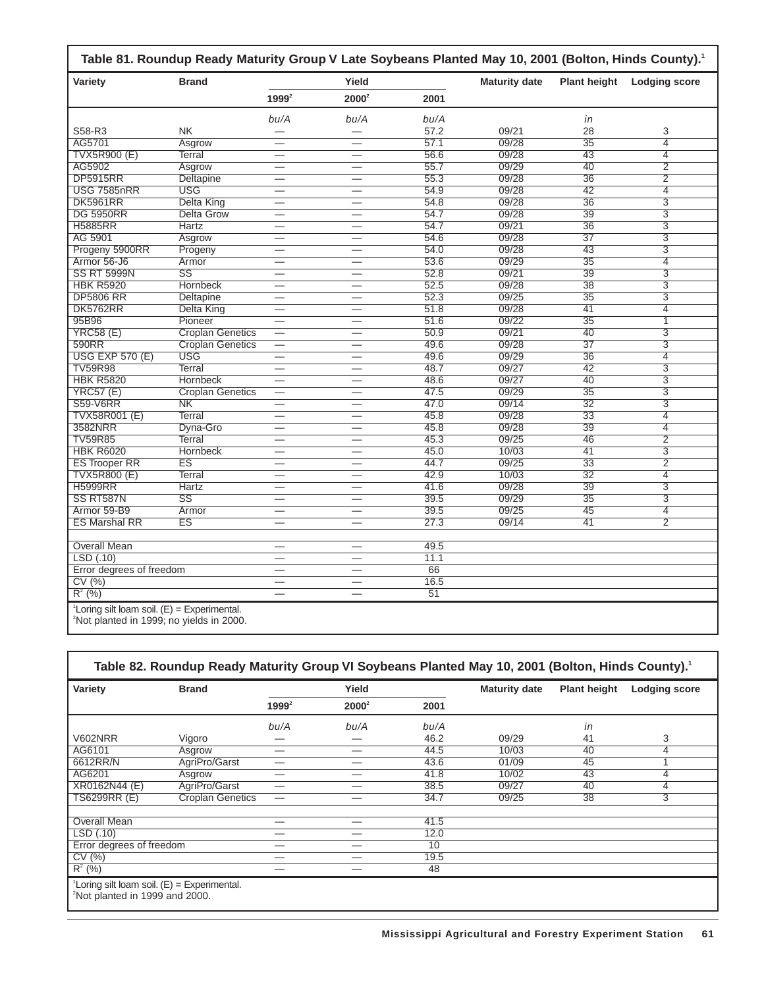| Variety                                                                                                                | <b>Brand</b>            |                          | Yield                           |      | <b>Maturity date</b> | <b>Plant height</b> | <b>Lodging score</b> |
|------------------------------------------------------------------------------------------------------------------------|-------------------------|--------------------------|---------------------------------|------|----------------------|---------------------|----------------------|
|                                                                                                                        |                         | $1999^2$                 | $2000^2$                        | 2001 |                      |                     |                      |
|                                                                                                                        |                         | bu/A                     | bu/A                            | bu/A |                      | in                  |                      |
| S58-R3                                                                                                                 | <b>NK</b>               |                          |                                 | 57.2 | 09/21                | 28                  | 3                    |
| AG5701                                                                                                                 | Asgrow                  | $\overline{\phantom{0}}$ | $\overline{\phantom{0}}$        | 57.1 | 09/28                | $\overline{35}$     | $\overline{4}$       |
| <b>TVX5R900 (E)</b>                                                                                                    | Terral                  |                          | $\overline{\phantom{0}}$        | 56.6 | 09/28                | $\overline{43}$     | 4                    |
| AG5902                                                                                                                 | Asgrow                  | $\overline{\phantom{0}}$ | $\overline{\phantom{0}}$        | 55.7 | 09/29                | 40                  | $\overline{2}$       |
| <b>DP5915RR</b>                                                                                                        | Deltapine               | -                        | $\overline{\phantom{0}}$        | 55.3 | 09/28                | 36                  | $\overline{2}$       |
| <b>USG 7585nRR</b>                                                                                                     | <b>USG</b>              | $\overline{\phantom{0}}$ | $\qquad \qquad$                 | 54.9 | 09/28                | $\overline{42}$     | $\overline{4}$       |
| <b>DK5961RR</b>                                                                                                        | Delta King              |                          |                                 | 54.8 | 09/28                | $\overline{36}$     | $\overline{3}$       |
| <b>DG 5950RR</b>                                                                                                       | <b>Delta Grow</b>       | $\overline{\phantom{0}}$ | $\overline{\phantom{0}}$        | 54.7 | 09/28                | 39                  | $\overline{3}$       |
| <b>H5885RR</b>                                                                                                         | <b>Hartz</b>            |                          |                                 | 54.7 | 09/21                | $\overline{36}$     | $\overline{3}$       |
| AG 5901                                                                                                                | Asgrow                  | —                        | $\overline{\phantom{0}}$        | 54.6 | 09/28                | $\overline{37}$     | $\overline{3}$       |
| Progeny 5900RR                                                                                                         | Progeny                 |                          |                                 | 54.0 | 09/28                | 43                  | $\overline{3}$       |
| Armor 56-J6                                                                                                            | Armor                   | —                        | $\overline{\phantom{0}}$        | 53.6 | 09/29                | $\overline{35}$     | $\overline{4}$       |
| <b>SS RT 5999N</b>                                                                                                     | $\overline{\text{SS}}$  |                          |                                 | 52.8 | 09/21                | 39                  | $\overline{3}$       |
| <b>HBK R5920</b>                                                                                                       | <b>Hornbeck</b>         | -                        | $\overline{\phantom{0}}$        | 52.5 | 09/28                | $\overline{38}$     | $\overline{3}$       |
| <b>DP5806 RR</b>                                                                                                       | Deltapine               |                          |                                 | 52.3 | 09/25                | $\overline{35}$     | $\overline{3}$       |
| <b>DK5762RR</b>                                                                                                        | Delta King              |                          |                                 | 51.8 | 09/28                | 41                  | 4                    |
| 95B96                                                                                                                  | Pioneer                 |                          |                                 | 51.6 | 09/22                | $\overline{35}$     | $\overline{1}$       |
| YRC58(E)                                                                                                               | <b>Croplan Genetics</b> | $\overline{\phantom{0}}$ | $\overline{\phantom{0}}$        | 50.9 | 09/21                | 40                  | $\overline{3}$       |
| 590RR                                                                                                                  | <b>Croplan Genetics</b> | $\overline{\phantom{0}}$ |                                 | 49.6 | 09/28                | $\overline{37}$     | $\overline{3}$       |
| <b>USG EXP 570 (E)</b>                                                                                                 | <b>USG</b>              | $\overline{\phantom{0}}$ | $\equiv$                        | 49.6 | 09/29                | $\overline{36}$     | $\overline{4}$       |
| <b>TV59R98</b>                                                                                                         | Terral                  | $\overline{\phantom{0}}$ | —                               | 48.7 | 09/27                | $\overline{42}$     | $\overline{3}$       |
| <b>HBK R5820</b>                                                                                                       | Hornbeck                | $\overline{\phantom{0}}$ | $\overline{\phantom{0}}$        | 48.6 | 09/27                | 40                  | $\overline{3}$       |
| <b>YRC57 (E)</b>                                                                                                       | <b>Croplan Genetics</b> |                          | $\overline{\phantom{0}}$        | 47.5 | 09/29                | $\overline{35}$     | $\overline{3}$       |
| <b>S59-V6RR</b>                                                                                                        | <b>NK</b>               | $\overline{\phantom{0}}$ |                                 | 47.0 | 09/14                | $\overline{32}$     | $\overline{3}$       |
| <b>TVX58R001 (E)</b>                                                                                                   | <b>Terral</b>           |                          |                                 | 45.8 | 09/28                | $\overline{33}$     | $\overline{4}$       |
| 3582NRR                                                                                                                | Dyna-Gro                |                          |                                 | 45.8 | 09/28                | 39                  | $\overline{4}$       |
| <b>TV59R85</b>                                                                                                         | <b>Terral</b>           | $\overline{\phantom{0}}$ | $\overline{\phantom{0}}$        | 45.3 | 09/25                | 46                  | $\overline{2}$       |
| <b>HBK R6020</b>                                                                                                       | Hornbeck                |                          |                                 | 45.0 | 10/03                | 41                  | 3                    |
| <b>ES Trooper RR</b>                                                                                                   | ES                      | $\overline{\phantom{0}}$ |                                 | 44.7 | 09/25                | $\overline{33}$     | $\overline{2}$       |
| <b>TVX5R800 (E)</b>                                                                                                    | <b>Terral</b>           |                          |                                 | 42.9 | 10/03                | $\overline{32}$     | $\overline{4}$       |
| <b>H5999RR</b>                                                                                                         | <b>Hartz</b>            |                          |                                 | 41.6 | 09/28                | 39                  | $\overline{3}$       |
| SS RT587N                                                                                                              | $\overline{\text{SS}}$  |                          | $\overbrace{\phantom{1232211}}$ | 39.5 | 09/29                | $\overline{35}$     | $\overline{3}$       |
| Armor 59-B9                                                                                                            | Armor                   |                          |                                 | 39.5 | 09/25                | 45                  | $\overline{4}$       |
| <b>ES Marshal RR</b>                                                                                                   | $\overline{\text{ES}}$  |                          |                                 | 27.3 | 09/14                | 41                  | $\overline{2}$       |
|                                                                                                                        |                         |                          |                                 |      |                      |                     |                      |
| <b>Overall Mean</b>                                                                                                    |                         |                          |                                 | 49.5 |                      |                     |                      |
| LSD(.10)                                                                                                               |                         |                          |                                 | 11.1 |                      |                     |                      |
| Error degrees of freedom                                                                                               |                         |                          |                                 | 66   |                      |                     |                      |
| CV(%)                                                                                                                  |                         |                          |                                 | 16.5 |                      |                     |                      |
|                                                                                                                        |                         | $\equiv$                 |                                 | 51   |                      |                     |                      |
| $R^{2}$ (%)<br>$^1$ Loring silt loam soil. (E) = Experimental.<br><sup>2</sup> Not planted in 1999; no yields in 2000. |                         |                          |                                 |      |                      |                     |                      |

|                                                                                               | Table 82. Roundup Ready Maturity Group VI Soybeans Planted May 10, 2001 (Bolton, Hinds County). <sup>1</sup> |          |          |      |                      |                     |                      |
|-----------------------------------------------------------------------------------------------|--------------------------------------------------------------------------------------------------------------|----------|----------|------|----------------------|---------------------|----------------------|
| Variety                                                                                       | <b>Brand</b>                                                                                                 | Yield    |          |      | <b>Maturity date</b> | <b>Plant height</b> | <b>Lodging score</b> |
|                                                                                               |                                                                                                              | $1999^2$ | $2000^2$ | 2001 |                      |                     |                      |
|                                                                                               |                                                                                                              | bu/A     | bu/A     | bu/A |                      | in                  |                      |
| <b>V602NRR</b>                                                                                | Vigoro                                                                                                       |          |          | 46.2 | 09/29                | 41                  | 3                    |
| AG6101                                                                                        | Asgrow                                                                                                       |          | —        | 44.5 | 10/03                | 40                  | 4                    |
| 6612RR/N                                                                                      | AgriPro/Garst                                                                                                | —        |          | 43.6 | 01/09                | 45                  |                      |
| AG6201                                                                                        | Asgrow                                                                                                       | —        |          | 41.8 | 10/02                | 43                  | 4                    |
| XR0162N44 (E)                                                                                 | AgriPro/Garst                                                                                                | —        |          | 38.5 | 09/27                | 40                  | 4                    |
| TS6299RR (E)                                                                                  | <b>Croplan Genetics</b>                                                                                      |          | –        | 34.7 | 09/25                | 38                  | 3                    |
| <b>Overall Mean</b>                                                                           |                                                                                                              | —        |          | 41.5 |                      |                     |                      |
| LSD (.10)                                                                                     |                                                                                                              | --       |          | 12.0 |                      |                     |                      |
| Error degrees of freedom                                                                      |                                                                                                              | –        |          | 10   |                      |                     |                      |
| CV(%)                                                                                         |                                                                                                              | –        | –        | 19.5 |                      |                     |                      |
| $R^2$ (%)                                                                                     |                                                                                                              | --       |          | 48   |                      |                     |                      |
| $^1$ Loring silt loam soil. (E) = Experimental.<br><sup>2</sup> Not planted in 1999 and 2000. |                                                                                                              |          |          |      |                      |                     |                      |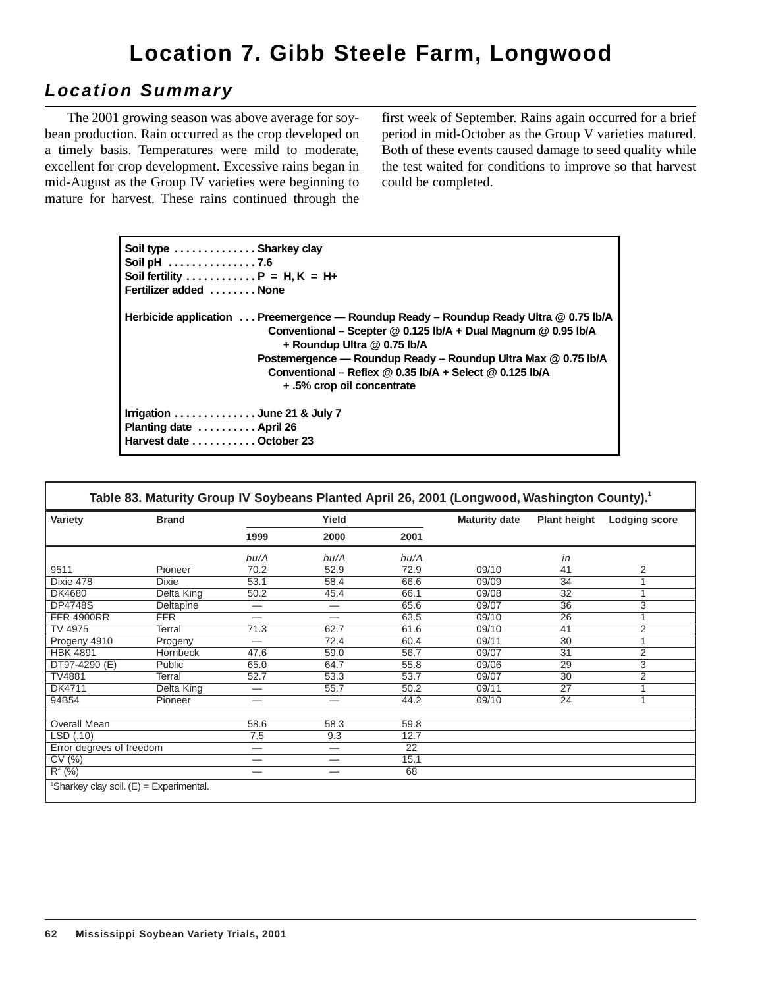# **Location 7. Gibb Steele Farm, Longwood**

## **Location Summary**

The 2001 growing season was above average for soybean production. Rain occurred as the crop developed on a timely basis. Temperatures were mild to moderate, excellent for crop development. Excessive rains began in mid-August as the Group IV varieties were beginning to mature for harvest. These rains continued through the first week of September. Rains again occurred for a brief period in mid-October as the Group V varieties matured. Both of these events caused damage to seed quality while the test waited for conditions to improve so that harvest could be completed.

| Soil type  Sharkey clay<br>Soil pH 7.6                                                                                                                                                  |
|-----------------------------------------------------------------------------------------------------------------------------------------------------------------------------------------|
| Soil fertility $P = H, K = H+$                                                                                                                                                          |
|                                                                                                                                                                                         |
| Fertilizer added  None                                                                                                                                                                  |
| Herbicide application  Preemergence — Roundup Ready – Roundup Ready Ultra @ 0.75 lb/A<br>Conventional – Scepter $@0.125$ lb/A + Dual Magnum $@0.95$ lb/A<br>+ Roundup Ultra @ 0.75 lb/A |
| Postemergence - Roundup Ready - Roundup Ultra Max @ 0.75 lb/A                                                                                                                           |
| Conventional – Reflex $@0.35$ lb/A + Select $@0.125$ lb/A                                                                                                                               |
| + .5% crop oil concentrate                                                                                                                                                              |
| Irrigation $\ldots \ldots \ldots \ldots$ June 21 & July 7<br>Planting date  April 26<br>Harvest date  October 23                                                                        |

| Variety                  | <b>Brand</b>    | Yield                    |                          |                 | <b>Maturity date</b> | <b>Plant height</b> | <b>Lodging score</b> |
|--------------------------|-----------------|--------------------------|--------------------------|-----------------|----------------------|---------------------|----------------------|
|                          |                 | 1999                     | 2000                     | 2001            |                      |                     |                      |
|                          |                 | bu/A                     | bu/A                     | bu/A            |                      | in                  |                      |
| 9511                     | Pioneer         | 70.2                     | 52.9                     | 72.9            | 09/10                | 41                  | 2                    |
| Dixie 478                | <b>Dixie</b>    | 53.1                     | 58.4                     | 66.6            | 09/09                | 34                  |                      |
| DK4680                   | Delta King      | 50.2                     | 45.4                     | 66.1            | 09/08                | $\overline{32}$     |                      |
| <b>DP4748S</b>           | Deltapine       |                          | —                        | 65.6            | 09/07                | $\overline{36}$     | 3                    |
| <b>FFR 4900RR</b>        | <b>FFR</b>      | $\overline{\phantom{0}}$ | $\overline{\phantom{0}}$ | 63.5            | 09/10                | $\overline{26}$     |                      |
| TV 4975                  | Terral          | 71.3                     | 62.7                     | 61.6            | 09/10                | 41                  | 2                    |
| Progeny 4910             | Progeny         | $\overline{\phantom{0}}$ | 72.4                     | 60.4            | 09/11                | 30                  |                      |
| <b>HBK 4891</b>          | <b>Hornbeck</b> | 47.6                     | 59.0                     | 56.7            | 09/07                | 31                  | 2                    |
| DT97-4290 (E)            | Public          | 65.0                     | 64.7                     | 55.8            | 09/06                | 29                  | 3                    |
| <b>TV4881</b>            | Terral          | 52.7                     | 53.3                     | 53.7            | 09/07                | $\overline{30}$     | $\overline{2}$       |
| DK4711                   | Delta King      |                          | 55.7                     | 50.2            | 09/11                | 27                  |                      |
| 94B54                    | Pioneer         | —                        | —                        | 44.2            | 09/10                | 24                  | 1                    |
| Overall Mean             |                 | 58.6                     | 58.3                     | 59.8            |                      |                     |                      |
| LSD (.10)                |                 | 7.5                      | 9.3                      | 12.7            |                      |                     |                      |
| Error degrees of freedom |                 | —                        | —                        | $\overline{22}$ |                      |                     |                      |
| CV(%)                    |                 | $\overline{\phantom{0}}$ |                          | 15.1            |                      |                     |                      |
| $R^2$ (%)                |                 |                          |                          | 68              |                      |                     |                      |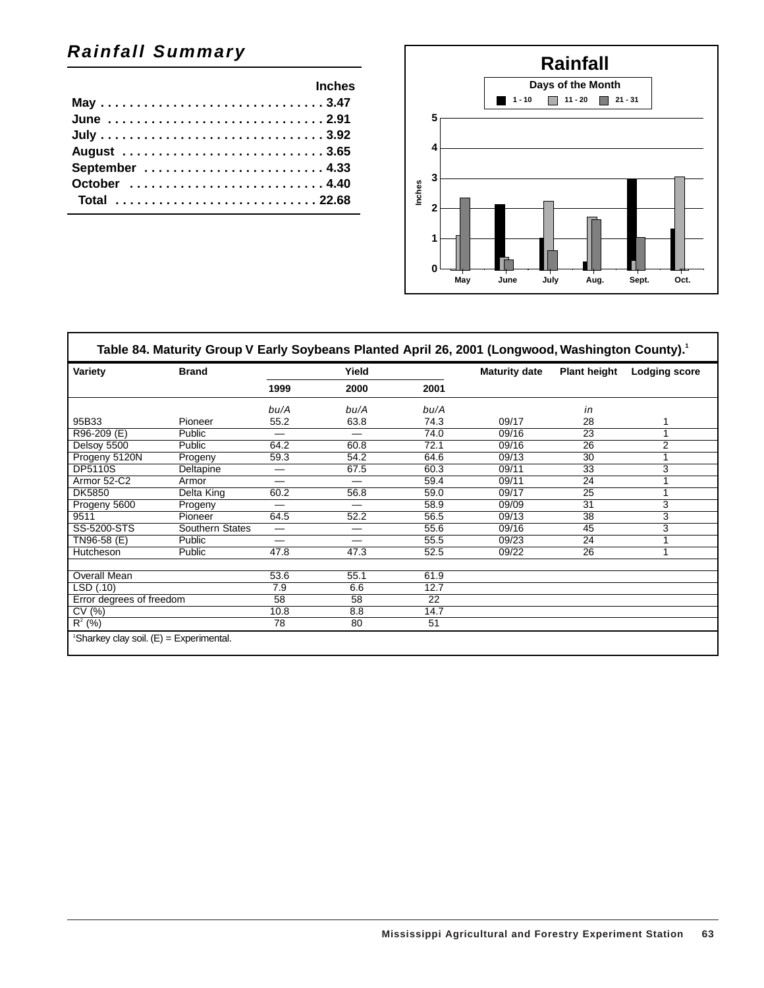## **Rainfall Summary**

| <b>Example 2019 Inches</b> |  |
|----------------------------|--|
|                            |  |
|                            |  |
|                            |  |
|                            |  |
|                            |  |
|                            |  |
| Total 22.68                |  |
|                            |  |



| Variety<br><b>Brand</b>  |                 | Yield                    |                 |                 | <b>Maturity date</b> | <b>Plant height</b> | <b>Lodging score</b> |
|--------------------------|-----------------|--------------------------|-----------------|-----------------|----------------------|---------------------|----------------------|
|                          | 1999            | 2000                     | 2001            |                 |                      |                     |                      |
|                          |                 | bu/A                     | bu/A            | bu/A            |                      | in                  |                      |
| 95B33                    | Pioneer         | 55.2                     | 63.8            | 74.3            | 09/17                | 28                  |                      |
| R96-209 (E)              | Public          | —                        | —               | 74.0            | 09/16                | 23                  |                      |
| Delsoy 5500              | Public          | 64.2                     | 60.8            | 72.1            | 09/16                | 26                  | $\overline{2}$       |
| Progeny 5120N            | Progeny         | 59.3                     | 54.2            | 64.6            | 09/13                | $\overline{30}$     |                      |
| <b>DP5110S</b>           | Deltapine       | —                        | 67.5            | 60.3            | 09/11                | 33                  | 3                    |
| Armor 52-C2              | Armor           | —                        |                 | 59.4            | 09/11                | $\overline{24}$     |                      |
| DK5850                   | Delta King      | 60.2                     | 56.8            | 59.0            | 09/17                | $\overline{25}$     |                      |
| Progeny 5600             | Progeny         | $\overline{\phantom{0}}$ | —               | 58.9            | 09/09                | 31                  | 3                    |
| 9511                     | Pioneer         | 64.5                     | 52.2            | 56.5            | 09/13                | 38                  | 3                    |
| SS-5200-STS              | Southern States | —                        | —               | 55.6            | 09/16                | 45                  | 3                    |
| TN96-58 (E)              | Public          | —                        | —               | 55.5            | 09/23                | 24                  |                      |
| Hutcheson                | Public          | 47.8                     | 47.3            | 52.5            | 09/22                | 26                  | 1                    |
| Overall Mean             |                 | 53.6                     | 55.1            | 61.9            |                      |                     |                      |
| LSD(0.10)                |                 | 7.9                      | 6.6             | 12.7            |                      |                     |                      |
| Error degrees of freedom |                 | $\overline{58}$          | $\overline{58}$ | $\overline{22}$ |                      |                     |                      |
| CV(%)                    |                 | 10.8                     | 8.8             | 14.7            |                      |                     |                      |
| $R^2$ (%)                |                 | 78                       | 80              | 51              |                      |                     |                      |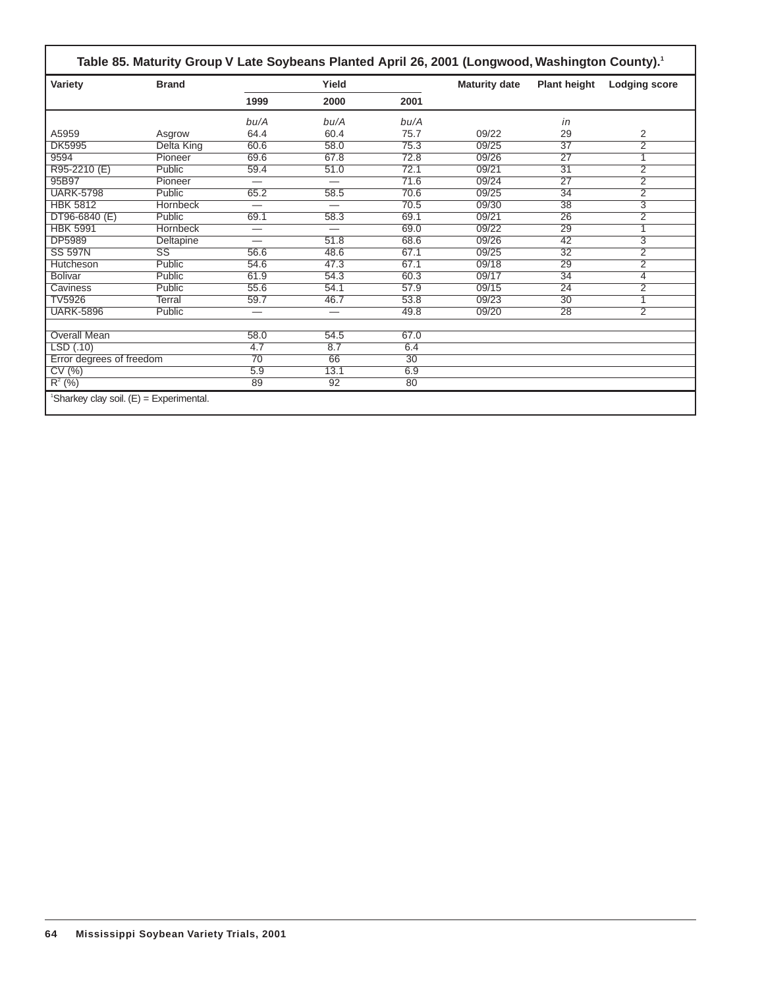| Variety                  | <b>Brand</b>           |                          | Yield                    |                 | <b>Maturity date</b> | <b>Plant height</b> | <b>Lodging score</b> |
|--------------------------|------------------------|--------------------------|--------------------------|-----------------|----------------------|---------------------|----------------------|
|                          |                        | 1999                     | 2000                     | 2001            |                      |                     |                      |
|                          |                        | bu/A                     | bu/A                     | bu/A            |                      | in                  |                      |
| A5959                    | Asgrow                 | 64.4                     | 60.4                     | 75.7            | 09/22                | 29                  | 2                    |
| <b>DK5995</b>            | <b>Delta King</b>      | 60.6                     | 58.0                     | 75.3            | 09/25                | $\overline{37}$     | $\overline{2}$       |
| 9594                     | Pioneer                | 69.6                     | 67.8                     | 72.8            | 09/26                | $\overline{27}$     | 1                    |
| R95-2210 (E)             | Public                 | 59.4                     | 51.0                     | 72.1            | 09/21                | 31                  | $\overline{2}$       |
| 95B97                    | Pioneer                |                          | $\overline{\phantom{0}}$ | 71.6            | 09/24                | $\overline{27}$     | $\overline{2}$       |
| <b>UARK-5798</b>         | Public                 | 65.2                     | 58.5                     | 70.6            | 09/25                | $\overline{34}$     | $\overline{2}$       |
| <b>HBK 5812</b>          | Hornbeck               |                          |                          | 70.5            | 09/30                | 38                  | $\overline{3}$       |
| $DT96-6840(E)$           | Public                 | 69.1                     | 58.3                     | 69.1            | 09/21                | 26                  | $\overline{2}$       |
| <b>HBK 5991</b>          | Hornbeck               | $\overline{\phantom{0}}$ | $\overline{\phantom{0}}$ | 69.0            | 09/22                | 29                  |                      |
| DP5989                   | Deltapine              | $\overline{\phantom{0}}$ | 51.8                     | 68.6            | 09/26                | 42                  | 3                    |
| <b>SS 597N</b>           | $\overline{\text{SS}}$ | 56.6                     | 48.6                     | 67.1            | 09/25                | $\overline{32}$     | $\overline{2}$       |
| Hutcheson                | Public                 | 54.6                     | 47.3                     | 67.1            | 09/18                | 29                  | $\overline{2}$       |
| <b>Bolivar</b>           | Public                 | 61.9                     | 54.3                     | 60.3            | 09/17                | 34                  | 4                    |
| Caviness                 | Public                 | 55.6                     | 54.1                     | 57.9            | 09/15                | $\overline{24}$     | $\overline{2}$       |
| <b>TV5926</b>            | Terral                 | 59.7                     | 46.7                     | 53.8            | 09/23                | $\overline{30}$     |                      |
| <b>UARK-5896</b>         | Public                 | $\overline{\phantom{0}}$ | —                        | 49.8            | 09/20                | 28                  | $\overline{2}$       |
| <b>Overall Mean</b>      |                        | 58.0                     | 54.5                     | 67.0            |                      |                     |                      |
| LSD(.10)                 |                        | 4.7                      | 8.7                      | 6.4             |                      |                     |                      |
| Error degrees of freedom |                        | $\overline{70}$          | 66                       | $\overline{30}$ |                      |                     |                      |
| CV(%)                    |                        | 5.9                      | 13.1                     | 6.9             |                      |                     |                      |
| $R^{2}(%)$               |                        | 89                       | 92                       | 80              |                      |                     |                      |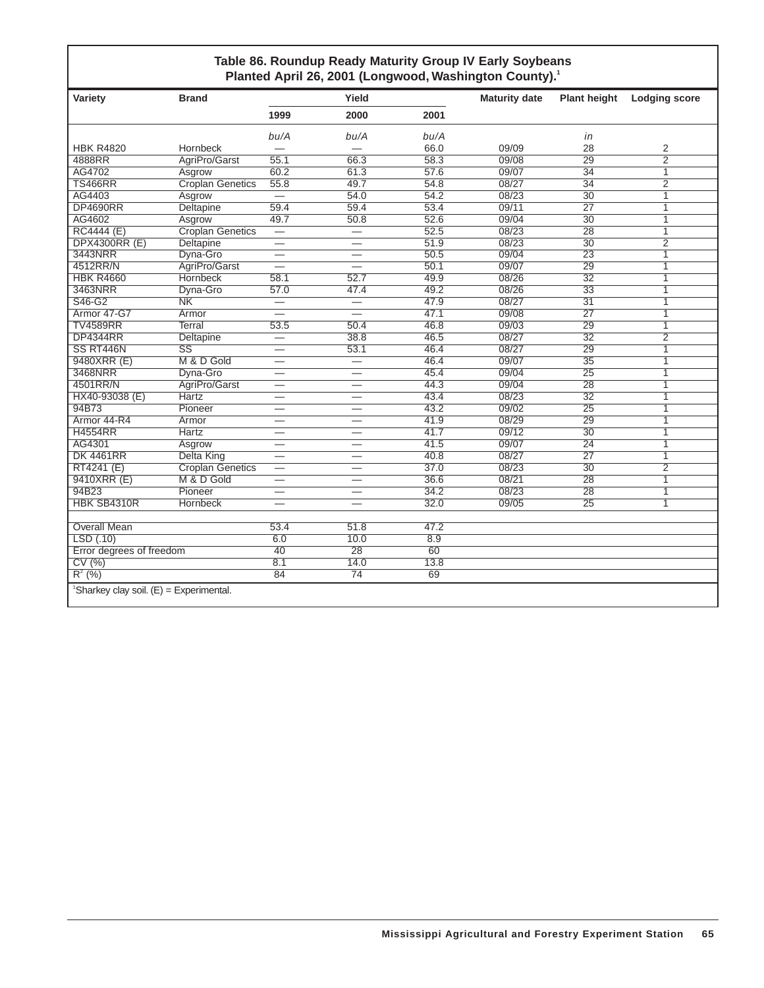### **Table 86. Roundup Ready Maturity Group IV Early Soybeans** Planted April 26, 2001 (Longwood, Washington County).<sup>1</sup>

| Variety                                               | <b>Brand</b>            |                          | Yield                    |                 | <b>Maturity date</b> | <b>Plant height</b> | <b>Lodging score</b> |
|-------------------------------------------------------|-------------------------|--------------------------|--------------------------|-----------------|----------------------|---------------------|----------------------|
|                                                       |                         | 1999                     | 2000                     | 2001            |                      |                     |                      |
|                                                       |                         | bu/A                     | bu/A                     | bu/A            |                      | in                  |                      |
| <b>HBK R4820</b>                                      | Hornbeck                |                          |                          | 66.0            | 09/09                | 28                  | 2                    |
| 4888RR                                                | AgriPro/Garst           | 55.1                     | 66.3                     | 58.3            | 09/08                | $\overline{29}$     | $\overline{2}$       |
| AG4702                                                | Asgrow                  | 60.2                     | 61.3                     | 57.6            | 09/07                | 34                  | $\overline{1}$       |
| <b>TS466RR</b>                                        | <b>Croplan Genetics</b> | 55.8                     | 49.7                     | 54.8            | 08/27                | $\overline{34}$     | $\overline{2}$       |
| AG4403                                                | Asgrow                  | $\overline{\phantom{0}}$ | 54.0                     | 54.2            | 08/23                | $\overline{30}$     | 1                    |
| <b>DP4690RR</b>                                       | Deltapine               | 59.4                     | 59.4                     | 53.4            | 09/11                | 27                  | 1                    |
| AG4602                                                | Asgrow                  | 49.7                     | 50.8                     | 52.6            | 09/04                | $\overline{30}$     | 1                    |
| <b>RC4444 (E)</b>                                     | <b>Croplan Genetics</b> |                          | $\overline{\phantom{0}}$ | 52.5            | 08/23                | $\overline{28}$     | $\overline{1}$       |
| <b>DPX4300RR (E)</b>                                  | <b>Deltapine</b>        | $\overline{\phantom{0}}$ |                          | 51.9            | 08/23                | 30                  | $\overline{2}$       |
| 3443NRR                                               | Dyna-Gro                |                          |                          | 50.5            | 09/04                | $\overline{23}$     | $\overline{1}$       |
| 4512RR/N                                              | AgriPro/Garst           | $\equiv$                 |                          | 50.1            | 09/07                | $\overline{29}$     | $\overline{1}$       |
| <b>HBK R4660</b>                                      | <b>Hornbeck</b>         | 58.1                     | 52.7                     | 49.9            | 08/26                | 32                  | 1                    |
| 3463NRR                                               | Dyna-Gro                | 57.0                     | 47.4                     | 49.2            | 08/26                | $\overline{33}$     | $\overline{1}$       |
| S46-G2                                                | $\overline{\text{NK}}$  | $=$                      | $\overline{\phantom{0}}$ | 47.9            | 08/27                | $\overline{31}$     | $\overline{1}$       |
| Armor 47-G7                                           | Armor                   |                          |                          | 47.1            | 09/08                | 27                  | 1                    |
| <b>TV4589RR</b>                                       | <b>Terral</b>           | 53.5                     | 50.4                     | 46.8            | 09/03                | $\overline{29}$     | $\overline{1}$       |
| <b>DP4344RR</b>                                       | Deltapine               | $\overline{\phantom{0}}$ | 38.8                     | 46.5            | 08/27                | $\overline{32}$     | $\overline{2}$       |
| SS RT446N                                             | SS                      | $\overline{\phantom{0}}$ | 53.1                     | 46.4            | 08/27                | 29                  | 1                    |
| 9480XRR (E)                                           | M & D Gold              | $\overline{\phantom{0}}$ | $\overline{\phantom{0}}$ | 46.4            | 09/07                | $\overline{35}$     | 1                    |
| 3468NRR                                               | Dyna-Gro                | $\overline{\phantom{0}}$ |                          | 45.4            | 09/04                | $\overline{25}$     | 1                    |
| 4501RR/N                                              | AgriPro/Garst           |                          |                          | 44.3            | 09/04                | 28                  | 1                    |
| HX40-93038 (E)                                        | <b>Hartz</b>            | –                        | $\qquad \qquad$          | 43.4            | 08/23                | $\overline{32}$     | $\overline{1}$       |
| 94B73                                                 | Pioneer                 |                          |                          | 43.2            | 09/02                | $\overline{25}$     | 1                    |
| Armor 44-R4                                           | Armor                   |                          |                          | 41.9            | 08/29                | 29                  | $\overline{1}$       |
| <b>H4554RR</b>                                        | <b>Hartz</b>            | —                        |                          | 41.7            | 09/12                | $\overline{30}$     | $\overline{1}$       |
| AG4301                                                | Asgrow                  |                          |                          | 41.5            | 09/07                | $\overline{24}$     | 1                    |
| <b>DK 4461RR</b>                                      | Delta King              | $\overline{\phantom{0}}$ |                          | 40.8            | 08/27                | 27                  | $\mathbf{1}$         |
| RT4241 (E)                                            | <b>Croplan Genetics</b> | $\overline{\phantom{0}}$ |                          | 37.0            | 08/23                | $\overline{30}$     | $\overline{2}$       |
| 9410XRR (E)                                           | M & D Gold              | $\overline{\phantom{0}}$ |                          | 36.6            | 08/21                | $\overline{28}$     | $\overline{1}$       |
| 94B23                                                 | Pioneer                 |                          |                          | 34.2            | 08/23                | 28                  | 1                    |
| HBK SB4310R                                           | Hornbeck                |                          |                          | 32.0            | 09/05                | $\overline{25}$     | $\overline{1}$       |
|                                                       |                         |                          |                          |                 |                      |                     |                      |
| <b>Overall Mean</b>                                   |                         | 53.4                     | 51.8                     | 47.2            |                      |                     |                      |
| LSD(0.10)                                             |                         | 6.0                      | 10.0                     | 8.9             |                      |                     |                      |
| Error degrees of freedom                              |                         | $\overline{40}$          | $\overline{28}$          | $\overline{60}$ |                      |                     |                      |
| CV(%)                                                 |                         | 8.1                      | 14.0                     | 13.8            |                      |                     |                      |
| $R^2$ (%)                                             |                         | 84                       | 74                       | 69              |                      |                     |                      |
| <sup>1</sup> Sharkey clay soil. $(E)$ = Experimental. |                         |                          |                          |                 |                      |                     |                      |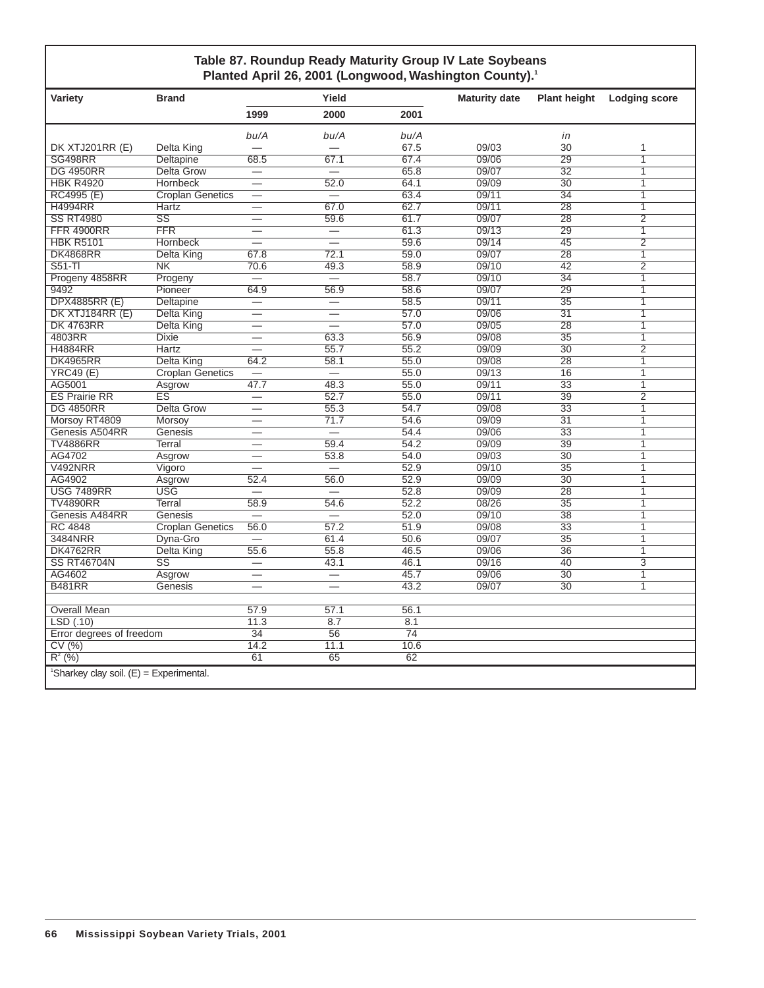### **Table 87. Roundup Ready Maturity Group IV Late Soybeans** Planted April 26, 2001 (Longwood, Washington County).<sup>1</sup>

| Variety                  | <b>Brand</b>                            |                          | Yield                    |                 | <b>Maturity date</b> | <b>Plant height</b> | <b>Lodging score</b> |  |
|--------------------------|-----------------------------------------|--------------------------|--------------------------|-----------------|----------------------|---------------------|----------------------|--|
|                          |                                         | 1999                     | 2000                     | 2001            |                      |                     |                      |  |
|                          |                                         | bu/A                     | bu/A                     | bu/A            |                      | in                  |                      |  |
| DK XTJ201RR (E)          | Delta King                              |                          |                          | 67.5            | 09/03                | 30                  | 1                    |  |
| SG498RR                  | Deltapine                               | 68.5                     | 67.1                     | 67.4            | 09/06                | 29                  | 1                    |  |
| <b>DG 4950RR</b>         | <b>Delta Grow</b>                       | $\overline{\phantom{0}}$ | $\overline{\phantom{0}}$ | 65.8            | 09/07                | $\overline{32}$     | 1                    |  |
| <b>HBK R4920</b>         | Hornbeck                                |                          | 52.0                     | 64.1            | 09/09                | 30                  | 1                    |  |
| RC4995 (E)               | <b>Croplan Genetics</b>                 | $\overline{\phantom{0}}$ | $\overline{\phantom{0}}$ | 63.4            | 09/11                | $\overline{34}$     | $\mathbf{1}$         |  |
| <b>H4994RR</b>           | Hartz                                   | $\overline{\phantom{0}}$ | 67.0                     | 62.7            | 09/11                | $\overline{28}$     | $\mathbf{1}$         |  |
| <b>SS RT4980</b>         | $\overline{\text{ss}}$                  |                          | 59.6                     | 61.7            | 09/07                | $\overline{28}$     | $\overline{2}$       |  |
| <b>FFR 4900RR</b>        | <b>FFR</b>                              |                          | $\overline{\phantom{0}}$ | 61.3            | 09/13                | 29                  | 1                    |  |
| <b>HBK R5101</b>         | Hornbeck                                | —                        | $\overline{\phantom{0}}$ | 59.6            | 09/14                | 45                  | $\overline{2}$       |  |
| <b>DK4868RR</b>          | Delta King                              | 67.8                     | 72.1                     | 59.0            | 09/07                | $\overline{28}$     | $\overline{1}$       |  |
| $S51-TI$                 | $\overline{\text{NK}}$                  | 70.6                     | 49.3                     | 58.9            | 09/10                | $\overline{42}$     | $\overline{2}$       |  |
| Progeny 4858RR           | Progeny                                 | $\overline{\phantom{0}}$ | $\overline{\phantom{0}}$ | 58.7            | 09/10                | $\overline{34}$     | 1                    |  |
| 9492                     | Pioneer                                 | 64.9                     | 56.9                     | 58.6            | 09/07                | 29                  | $\overline{1}$       |  |
| <b>DPX4885RR (E)</b>     | Deltapine                               | $\overline{\phantom{0}}$ | $\overline{\phantom{0}}$ | 58.5            | 09/11                | $\overline{35}$     | 1                    |  |
| DK XTJ184RR (E)          | Delta King                              | $\overline{\phantom{0}}$ | $\overline{\phantom{0}}$ | 57.0            | 09/06                | $\overline{31}$     | 1                    |  |
| <b>DK 4763RR</b>         | <b>Delta King</b>                       |                          |                          | 57.0            | 09/05                | $\overline{28}$     | 1                    |  |
| 4803RR                   | <b>Dixie</b>                            |                          | 63.3                     | 56.9            | 09/08                | $\overline{35}$     | 1                    |  |
| <b>H4884RR</b>           | <b>Hartz</b>                            |                          | 55.7                     | 55.2            | 09/09                | $\overline{30}$     | $\overline{2}$       |  |
| <b>DK4965RR</b>          | Delta King                              | 64.2                     | 58.1                     | 55.0            | 09/08                | $\overline{28}$     | $\overline{1}$       |  |
| <b>YRC49 (E)</b>         | <b>Croplan Genetics</b>                 |                          | $\overline{\phantom{0}}$ | 55.0            | 09/13                | 16                  | 1                    |  |
| AG5001                   | Asgrow                                  | 47.7                     | 48.3                     | 55.0            | 09/11                | $\overline{33}$     | $\overline{1}$       |  |
| <b>ES Prairie RR</b>     | $\overline{\text{ES}}$                  |                          | 52.7                     | 55.0            | 09/11                | 39                  | $\overline{2}$       |  |
| <b>DG 4850RR</b>         | Delta Grow                              | $\overline{\phantom{0}}$ | 55.3                     | 54.7            | 09/08                | 33                  | 1                    |  |
| Morsoy RT4809            | Morsoy                                  |                          | 71.7                     | 54.6            | 09/09                | $\overline{31}$     | $\overline{1}$       |  |
| Genesis A504RR           | Genesis                                 |                          |                          | 54.4            | 09/06                | $\overline{33}$     | 1                    |  |
| <b>TV4886RR</b>          | <b>Terral</b>                           |                          | 59.4                     | 54.2            | 09/09                | 39                  | 1                    |  |
| AG4702                   | Asgrow                                  | —                        | 53.8                     | 54.0            | 09/03                | $\overline{30}$     | $\overline{1}$       |  |
| <b>V492NRR</b>           | Vigoro                                  | <u>.</u>                 | $\overline{\phantom{0}}$ | 52.9            | 09/10                | $\overline{35}$     | 1                    |  |
| AG4902                   | Asgrow                                  | 52.4                     | 56.0                     | 52.9            | 09/09                | $\overline{30}$     | 1                    |  |
| <b>USG 7489RR</b>        | <b>USG</b>                              | <u>in</u>                | <u>in</u>                | 52.8            | 09/09                | $\overline{28}$     | 1                    |  |
| <b>TV4890RR</b>          | Terral                                  | 58.9                     | 54.6                     | 52.2            | 08/26                | $\overline{35}$     | 1                    |  |
| Genesis A484RR           | Genesis                                 |                          |                          | 52.0            | 09/10                | 38                  | $\mathbf{1}$         |  |
| <b>RC 4848</b>           | <b>Croplan Genetics</b>                 | 56.0                     | 57.2                     | 51.9            | 09/08                | $\overline{33}$     | 1                    |  |
| 3484NRR                  | Dyna-Gro                                | $\equiv$                 | 61.4                     | 50.6            | 09/07                | $\overline{35}$     | $\mathbf{1}$         |  |
| <b>DK4762RR</b>          | Delta King                              | 55.6                     | 55.8                     | 46.5            | 09/06                | 36                  | 1                    |  |
| <b>SS RT46704N</b>       | $\overline{\text{ss}}$                  | $\overline{\phantom{0}}$ | 43.1                     | 46.1            | 09/16                | 40                  | $\overline{3}$       |  |
| AG4602                   | Asgrow                                  | $\overline{\phantom{0}}$ |                          | 45.7            | 09/06                | $\overline{30}$     | 1                    |  |
| <b>B481RR</b>            | Genesis                                 |                          | $\overline{\phantom{0}}$ | 43.2            | 09/07                | $\overline{30}$     | $\mathbf{1}$         |  |
|                          |                                         |                          |                          |                 |                      |                     |                      |  |
| <b>Overall Mean</b>      |                                         | 57.9                     | 57.1                     | 56.1            |                      |                     |                      |  |
| LSD(0.10)                |                                         | 11.3                     | 8.7                      | 8.1             |                      |                     |                      |  |
| Error degrees of freedom |                                         | $\overline{34}$          | $\overline{56}$          | $\overline{74}$ |                      |                     |                      |  |
| CV(%)                    |                                         | 14.2                     | 11.1                     | 10.6            |                      |                     |                      |  |
| $R^2$ (%)                |                                         | 61                       | 65                       | 62              |                      |                     |                      |  |
|                          | 'Sharkey clay soil. (E) = Experimental. |                          |                          |                 |                      |                     |                      |  |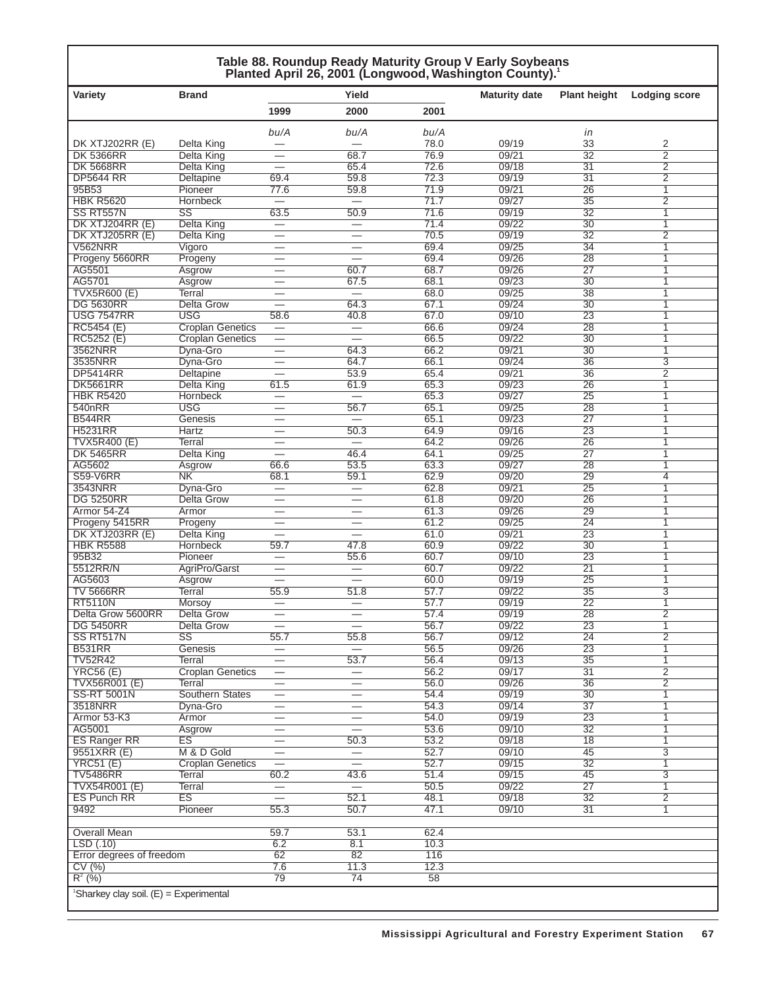#### **Table 88. Roundup Ready Maturity Group V Early Soybeans Planted April 26, 2001 (Longwood, Washington County).1**

| <b>Variety</b>                                       | <b>Brand</b>                    |                                                      | Yield                                                |              | <b>Maturity date</b> | <b>Plant height</b>   | <b>Lodging score</b>             |
|------------------------------------------------------|---------------------------------|------------------------------------------------------|------------------------------------------------------|--------------|----------------------|-----------------------|----------------------------------|
|                                                      |                                 | 1999                                                 | 2000                                                 | 2001         |                      |                       |                                  |
|                                                      |                                 |                                                      |                                                      |              |                      |                       |                                  |
|                                                      |                                 | bu/A                                                 | bu/A                                                 | bu/A         |                      | in<br>33              |                                  |
| DK XTJ202RR (E)<br><b>DK 5366RR</b>                  | Delta King<br><b>Delta King</b> |                                                      | 68.7                                                 | 78.0<br>76.9 | 09/19<br>09/21       | $\overline{32}$       | 2<br>$\overline{2}$              |
| <b>DK 5668RR</b>                                     | Delta King                      |                                                      | 65.4                                                 | 72.6         | 09/18                | $\overline{31}$       | $\overline{2}$                   |
| <b>DP5644 RR</b>                                     | Deltapine                       | 69.4                                                 | 59.8                                                 | 72.3         | 09/19                | $\overline{31}$       | $\overline{2}$                   |
| 95B53                                                | Pioneer                         | 77.6                                                 | 59.8                                                 | 71.9         | 09/21                | $\overline{26}$       | $\mathbf{1}$                     |
| <b>HBK R5620</b>                                     | <b>Hornbeck</b>                 |                                                      |                                                      | 71.7         | 09/27                | $\overline{35}$       | $\overline{2}$                   |
| SS RT557N                                            | $\overline{\text{SS}}$          | 63.5                                                 | 50.9                                                 | 71.6         | 09/19                | $\overline{32}$       | 1                                |
| DK XTJ204RR (E)                                      | <b>Delta King</b>               | $\overline{\phantom{0}}$                             |                                                      | 71.4         | 09/22                | $\overline{30}$       | 1                                |
| DK XTJ205RR (E)                                      | <b>Delta King</b>               | $\overline{\phantom{0}}$                             | $\overline{\phantom{0}}$                             | 70.5         | 09/19                | $\overline{32}$       | $\overline{2}$                   |
| <b>V562NRR</b>                                       | Vigoro                          |                                                      | $\overline{\phantom{0}}$                             | 69.4         | 09/25                | $\overline{34}$       | 1                                |
| Progeny 5660RR                                       | Progeny                         |                                                      | $\overline{\phantom{0}}$                             | 69.4         | 09/26                | 28                    | 1                                |
| AG5501                                               | Asgrow                          |                                                      | 60.7                                                 | 68.7         | 09/26                | $\overline{27}$       | 1                                |
| AG5701                                               | Asgrow                          | $\overline{\phantom{0}}$                             | 67.5                                                 | 68.1         | 09/23                | $\overline{30}$       | 1                                |
| <b>TVX5R600 (E)</b><br><b>DG 5630RR</b>              | Terral<br><b>Delta Grow</b>     | $\overline{\phantom{0}}$<br>$\overline{\phantom{0}}$ | $\equiv$<br>64.3                                     | 68.0<br>67.1 | 09/25<br>09/24       | 38<br>$\overline{30}$ | 1<br>$\overline{1}$              |
| <b>USG 7547RR</b>                                    | <b>USG</b>                      | 58.6                                                 | 40.8                                                 | 67.0         | 09/10                | $\overline{23}$       | 1                                |
| RC5454 (E)                                           | <b>Croplan Genetics</b>         | $\overline{\phantom{m}}$                             | $\equiv$                                             | 66.6         | 09/24                | $\overline{28}$       | $\overline{1}$                   |
| RC5252 (E)                                           | <b>Croplan Genetics</b>         |                                                      |                                                      | 66.5         | 09/22                | $\overline{30}$       | $\overline{1}$                   |
| 3562NRR                                              | Dyna-Gro                        | $\overline{\phantom{0}}$                             | 64.3                                                 | 66.2         | 09/21                | $\overline{30}$       | $\overline{1}$                   |
| 3535NRR                                              | Dyna-Gro                        |                                                      | 64.7                                                 | 66.1         | 09/24                | $\overline{36}$       | $\overline{3}$                   |
| <b>DP5414RR</b>                                      | <b>Deltapine</b>                |                                                      | 53.9                                                 | 65.4         | 09/21                | $\overline{36}$       | $\overline{2}$                   |
| <b>DK5661RR</b>                                      | Delta King                      | 61.5                                                 | 61.9                                                 | 65.3         | 09/23                | 26                    | 1                                |
| <b>HBK R5420</b>                                     | Hornbeck                        |                                                      |                                                      | 65.3         | 09/27                | $\overline{25}$       | 1                                |
| 540nRR                                               | <b>USG</b>                      | $\overline{\phantom{0}}$                             | 56.7                                                 | 65.1         | 09/25                | 28                    | 1                                |
| <b>B544RR</b>                                        | Genesis                         |                                                      | $\equiv$                                             | 65.1         | 09/23                | $\overline{27}$       | 1                                |
| <b>H5231RR</b>                                       | <b>Hartz</b>                    |                                                      | 50.3                                                 | 64.9         | 09/16                | 23                    | 1                                |
| <b>TVX5R400 (E)</b>                                  | <b>Terral</b>                   |                                                      | $\overline{\phantom{0}}$                             | 64.2         | 09/26                | 26                    | 1                                |
| <b>DK 5465RR</b>                                     | Delta King                      | $\overline{\phantom{0}}$                             | 46.4                                                 | 64.1         | 09/25                | 27                    | 1                                |
| AG5602                                               | Asgrow                          | 66.6                                                 | 53.5                                                 | 63.3         | 09/27                | 28                    | 1                                |
| <b>S59-V6RR</b>                                      | N <sub>K</sub>                  | 68.1                                                 | 59.1                                                 | 62.9         | 09/20                | 29                    | 4                                |
| 3543NRR                                              | Dyna-Gro                        | $\overline{\phantom{0}}$                             | $\overbrace{\phantom{12322111}}$                     | 62.8         | 09/21                | $\overline{25}$       | 1                                |
| <b>DG 5250RR</b>                                     | <b>Delta Grow</b>               |                                                      | $\overline{\phantom{0}}$                             | 61.8<br>61.3 | 09/20<br>09/26       | 26<br>29              | $\overline{1}$<br>$\overline{1}$ |
| Armor 54-Z4<br>Progeny 5415RR                        | Armor<br>Progeny                | $\overline{\phantom{0}}$<br>$\overline{\phantom{0}}$ | $\overline{\phantom{0}}$                             | 61.2         | 09/25                | $\overline{24}$       | $\overline{1}$                   |
| DK XTJ203RR (E)                                      | Delta King                      | $\overline{\phantom{0}}$                             | $\overline{\phantom{0}}$                             | 61.0         | 09/21                | $\overline{23}$       | 1                                |
| <b>HBK R5588</b>                                     | <b>Hornbeck</b>                 | 59.7                                                 | 47.8                                                 | 60.9         | 09/22                | $\overline{30}$       | $\overline{1}$                   |
| 95B32                                                | Pioneer                         |                                                      | 55.6                                                 | 60.7         | 09/10                | $\overline{23}$       | 1                                |
| 5512RR/N                                             | AgriPro/Garst                   | —                                                    |                                                      | 60.7         | 09/22                | $\overline{21}$       | 1                                |
| AG5603                                               | Asgrow                          | $\overline{\phantom{0}}$                             | $\overline{\phantom{0}}$                             | 60.0         | 09/19                | 25                    | 1                                |
| <b>TV 5666RR</b>                                     | Terral                          | 55.9                                                 | 51.8                                                 | 57.7         | 09/22                | $\overline{35}$       | $\overline{3}$                   |
| <b>RT5110N</b>                                       | Morsoy                          |                                                      |                                                      | 57.7         | 09/19                | $\overline{22}$       | 1                                |
| Delta Grow 5600RR                                    | <b>Delta Grow</b>               | --                                                   |                                                      | 57.4         | 09/19                | 28                    | $\overline{2}$                   |
| <b>DG 5450RR</b>                                     | Delta Grow                      | $\overline{\phantom{0}}$                             | $\overline{\phantom{0}}$                             | 56.7         | 09/22                | 23                    | 1                                |
| SS RT517N                                            | $\overline{\text{SS}}$          | 55.7                                                 | 55.8                                                 | 56.7         | 09/12                | $\overline{24}$       | $\overline{2}$                   |
| <b>B531RR</b>                                        | Genesis                         |                                                      |                                                      | 56.5         | 09/26                | 23                    | 1                                |
| <b>TV52R42</b>                                       | Terral                          | $\overline{\phantom{0}}$                             | 53.7                                                 | 56.4         | 09/13                | $\overline{35}$       | $\mathbf{1}$                     |
| <b>YRC56 (E)</b>                                     | <b>Croplan Genetics</b>         |                                                      | $\overline{\phantom{0}}$                             | 56.2         | 09/17                | 31                    | $\overline{2}$                   |
| <b>TVX56R001 (E)</b>                                 | Terral                          |                                                      | $\overline{\phantom{0}}$                             | 56.0         | 09/26                | $\overline{36}$       | $\overline{2}$                   |
| <b>SS-RT 5001N</b>                                   | <b>Southern States</b>          | $\overline{\phantom{0}}$                             | $\overline{\phantom{0}}$                             | 54.4         | 09/19                | 30                    | $\overline{1}$                   |
| 3518NRR                                              | Dyna-Gro                        | $\overline{\phantom{0}}$                             | $\overline{\phantom{0}}$                             | 54.3         | 09/14<br>09/19       | $\overline{37}$       | 1                                |
| Armor 53-K3<br>AG5001                                | Armor                           | $\overline{\phantom{0}}$                             | $\overline{\phantom{0}}$<br>$\overline{\phantom{0}}$ | 54.0<br>53.6 | 09/10                | 23<br>32              | $\overline{1}$<br>1              |
| <b>ES Ranger RR</b>                                  | Asgrow<br>ES                    | $\overline{\phantom{0}}$                             | 50.3                                                 | 53.2         | 09/18                | $\overline{18}$       | 1                                |
| 9551XRR (E)                                          | M & D Gold                      |                                                      |                                                      | 52.7         | 09/10                | 45                    | $\overline{3}$                   |
| <b>YRC51 (E)</b>                                     | <b>Croplan Genetics</b>         |                                                      |                                                      | 52.7         | 09/15                | $\overline{32}$       | $\overline{1}$                   |
| <b>TV5486RR</b>                                      | Terral                          | 60.2                                                 | 43.6                                                 | 51.4         | 09/15                | 45                    | $\overline{3}$                   |
| <b>TVX54R001 (E)</b>                                 | <b>Terral</b>                   |                                                      | $\equiv$                                             | 50.5         | 09/22                | 27                    | 1                                |
| <b>ES Punch RR</b>                                   | <b>ES</b>                       | $=$                                                  | 52.1                                                 | 48.1         | 09/18                | 32                    | $\overline{2}$                   |
| 9492                                                 | Pioneer                         | 55.3                                                 | 50.7                                                 | 47.1         | 09/10                | 31                    | 1                                |
|                                                      |                                 |                                                      |                                                      |              |                      |                       |                                  |
| <b>Overall Mean</b>                                  |                                 | 59.7                                                 | 53.1                                                 | 62.4         |                      |                       |                                  |
| LSD(.10)                                             |                                 | 6.2                                                  | 8.1                                                  | 10.3         |                      |                       |                                  |
| Error degrees of freedom                             |                                 | 62                                                   | 82                                                   | 116          |                      |                       |                                  |
| CV(%)                                                |                                 | 7.6                                                  | 11.3                                                 | 12.3         |                      |                       |                                  |
| $R^2$ (%)                                            |                                 | 79                                                   | 74                                                   | 58           |                      |                       |                                  |
| <sup>1</sup> Sharkey clay soil. $(E)$ = Experimental |                                 |                                                      |                                                      |              |                      |                       |                                  |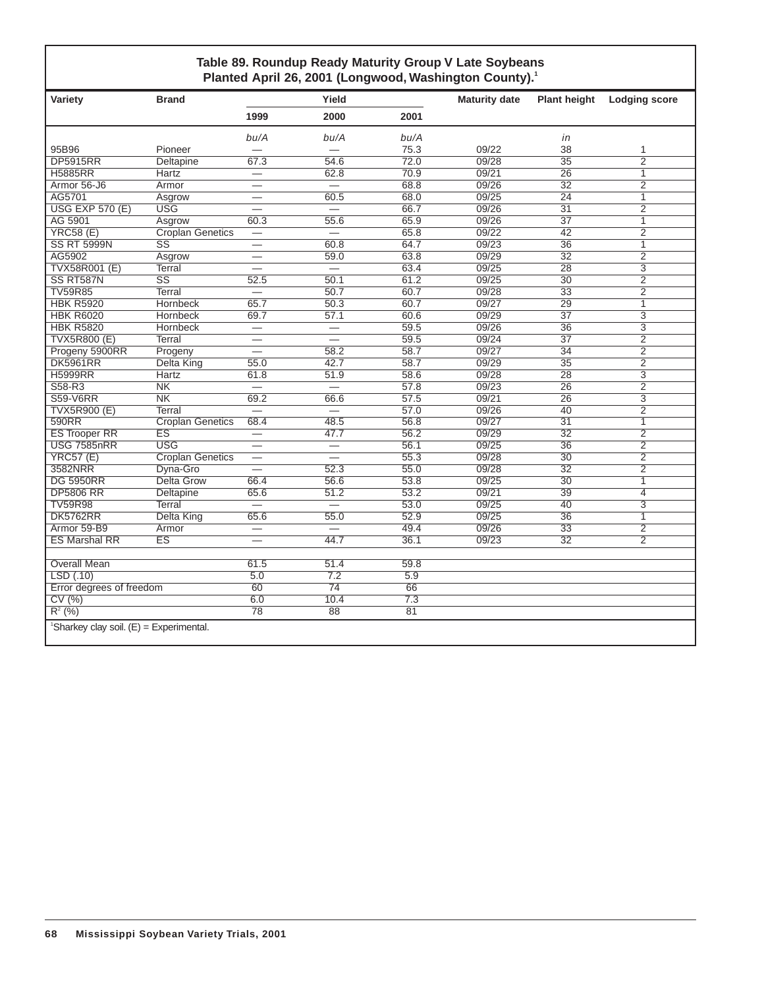#### **Table 89. Roundup Ready Maturity Group V Late Soybeans** Planted April 26, 2001 (Longwood, Washington County).<sup>1</sup>

| Variety                                               | <b>Brand</b>            |                          | Yield                    |      | <b>Maturity date</b> | <b>Plant height</b> | <b>Lodging score</b> |
|-------------------------------------------------------|-------------------------|--------------------------|--------------------------|------|----------------------|---------------------|----------------------|
|                                                       |                         | 1999                     | 2000                     | 2001 |                      |                     |                      |
|                                                       |                         | bu/A                     | bu/A                     | bu/A |                      | in                  |                      |
| 95B96                                                 | Pioneer                 | $\overline{\phantom{0}}$ |                          | 75.3 | 09/22                | 38                  | 1                    |
| <b>DP5915RR</b>                                       | <b>Deltapine</b>        | 67.3                     | 54.6                     | 72.0 | 09/28                | $\overline{35}$     | $\overline{2}$       |
| <b>H5885RR</b>                                        | Hartz                   | $\overline{\phantom{0}}$ | 62.8                     | 70.9 | 09/21                | 26                  | $\mathbf{1}$         |
| Armor 56-J6                                           | Armor                   |                          | $\qquad \qquad -$        | 68.8 | 09/26                | $\overline{32}$     | $\overline{2}$       |
| AG5701                                                | Asgrow                  |                          | 60.5                     | 68.0 | 09/25                | $\overline{24}$     | $\overline{1}$       |
| <b>USG EXP 570 (E)</b>                                | <b>USG</b>              | ▃                        | $\equiv$                 | 66.7 | 09/26                | 31                  | $\overline{2}$       |
| AG 5901                                               | Asgrow                  | 60.3                     | 55.6                     | 65.9 | 09/26                | $\overline{37}$     | $\overline{1}$       |
| <b>YRC58 (E)</b>                                      | <b>Croplan Genetics</b> |                          | $\overline{\phantom{0}}$ | 65.8 | 09/22                | $\overline{42}$     | $\overline{2}$       |
| <b>SS RT 5999N</b>                                    | SS                      |                          | 60.8                     | 64.7 | 09/23                | 36                  | 1                    |
| AG5902                                                | Asgrow                  |                          | 59.0                     | 63.8 | 09/29                | $\overline{32}$     | $\overline{2}$       |
| <b>TVX58R001 (E)</b>                                  | Terral                  |                          | $\overline{\phantom{0}}$ | 63.4 | 09/25                | $\overline{28}$     | $\overline{3}$       |
| SS RT587N                                             | $\overline{\text{SS}}$  | 52.5                     | 50.1                     | 61.2 | 09/25                | $\overline{30}$     | $\overline{2}$       |
| <b>TV59R85</b>                                        | Terral                  | $\overline{\phantom{0}}$ | 50.7                     | 60.7 | 09/28                | $\overline{33}$     | $\overline{2}$       |
| <b>HBK R5920</b>                                      | Hornbeck                | 65.7                     | 50.3                     | 60.7 | 09/27                | $\overline{29}$     | $\overline{1}$       |
| <b>HBK R6020</b>                                      | Hornbeck                | 69.7                     | 57.1                     | 60.6 | 09/29                | $\overline{37}$     | 3                    |
| <b>HBK R5820</b>                                      | Hornbeck                |                          | $\equiv$                 | 59.5 | 09/26                | $\overline{36}$     | $\overline{3}$       |
| <b>TVX5R800 (E)</b>                                   | Terral                  | $\overline{\phantom{0}}$ | $\overline{\phantom{0}}$ | 59.5 | 09/24                | $\overline{37}$     | $\overline{2}$       |
| Progeny 5900RR                                        | Progeny                 | $\overline{\phantom{0}}$ | 58.2                     | 58.7 | 09/27                | 34                  | $\overline{2}$       |
| <b>DK5961RR</b>                                       | <b>Delta King</b>       | 55.0                     | 42.7                     | 58.7 | 09/29                | $\overline{35}$     | $\overline{2}$       |
| <b>H5999RR</b>                                        | Hartz                   | 61.8                     | 51.9                     | 58.6 | 09/28                | 28                  | $\overline{3}$       |
| S58-R3                                                | N <sub>K</sub>          |                          |                          | 57.8 | 09/23                | 26                  | $\overline{2}$       |
| <b>S59-V6RR</b>                                       | N <sub>K</sub>          | 69.2                     | 66.6                     | 57.5 | 09/21                | $\overline{26}$     | $\overline{3}$       |
| <b>TVX5R900 (E)</b>                                   | Terral                  | $\overline{\phantom{0}}$ | $\equiv$                 | 57.0 | 09/26                | 40                  | $\overline{2}$       |
| 590RR                                                 | <b>Croplan Genetics</b> | 68.4                     | 48.5                     | 56.8 | 09/27                | 31                  | $\mathbf{1}$         |
| <b>ES Trooper RR</b>                                  | <b>ES</b>               | $\qquad \qquad$          | 47.7                     | 56.2 | 09/29                | $\overline{32}$     | $\overline{2}$       |
| <b>USG 7585nRR</b>                                    | <b>USG</b>              | $\overline{\phantom{0}}$ | $\overline{\phantom{0}}$ | 56.1 | 09/25                | $\overline{36}$     | $\overline{2}$       |
| <b>YRC57 (E)</b>                                      | <b>Croplan Genetics</b> | $\overline{\phantom{0}}$ | $\overline{\phantom{0}}$ | 55.3 | 09/28                | 30                  | $\overline{2}$       |
| 3582NRR                                               | Dyna-Gro                | $\overline{\phantom{0}}$ | 52.3                     | 55.0 | 09/28                | $\overline{32}$     | $\overline{2}$       |
| <b>DG 5950RR</b>                                      | <b>Delta Grow</b>       | 66.4                     | 56.6                     | 53.8 | 09/25                | $\overline{30}$     | $\overline{1}$       |
| <b>DP5806 RR</b>                                      | Deltapine               | 65.6                     | 51.2                     | 53.2 | 09/21                | 39                  | $\overline{4}$       |
| <b>TV59R98</b>                                        | Terral                  |                          |                          | 53.0 | 09/25                | $\overline{40}$     | $\overline{3}$       |
| <b>DK5762RR</b>                                       | Delta King              | 65.6                     | 55.0                     | 52.9 | 09/25                | $\overline{36}$     | $\overline{1}$       |
| Armor 59-B9                                           | Armor                   | $\overline{\phantom{0}}$ | $\overline{\phantom{0}}$ | 49.4 | 09/26                | 33                  | $\overline{2}$       |
| <b>ES Marshal RR</b>                                  | ES                      | $\overline{\phantom{0}}$ | 44.7                     | 36.1 | 09/23                | $\overline{32}$     | $\overline{2}$       |
|                                                       |                         |                          |                          |      |                      |                     |                      |
| <b>Overall Mean</b>                                   |                         | 61.5                     | 51.4                     | 59.8 |                      |                     |                      |
| LSD(0.10)                                             |                         | $\overline{5.0}$         | 7.2                      | 5.9  |                      |                     |                      |
| Error degrees of freedom                              |                         | 60                       | $\overline{74}$          | 66   |                      |                     |                      |
| CV(%)                                                 |                         | 6.0                      | 10.4                     | 7.3  |                      |                     |                      |
| $R^2$ (%)                                             |                         | 78                       | $\overline{88}$          | 81   |                      |                     |                      |
| <sup>1</sup> Sharkey clay soil. $(E)$ = Experimental. |                         |                          |                          |      |                      |                     |                      |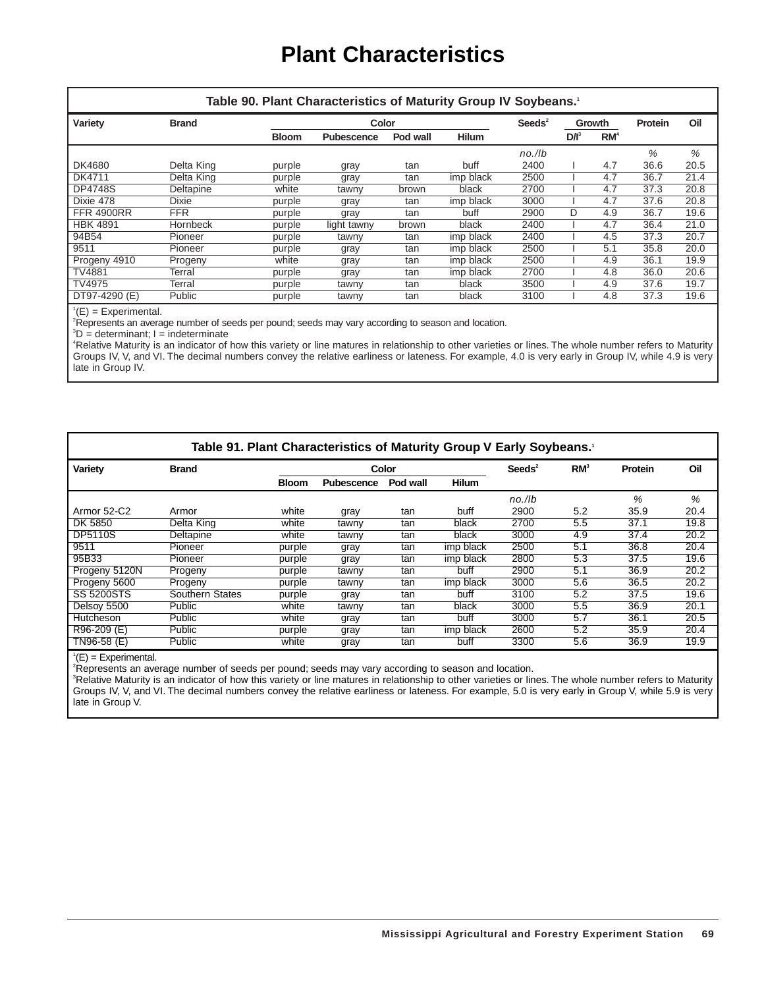### **Plant Characteristics**

|                   |                  | Table 90. Plant Characteristics of Maturity Group IV Soybeans. |                   |          |              |                  |         |                 |         |      |
|-------------------|------------------|----------------------------------------------------------------|-------------------|----------|--------------|------------------|---------|-----------------|---------|------|
| Variety           | <b>Brand</b>     |                                                                | Color             |          |              | $\text{Seeds}^2$ |         | Growth          | Protein | Oil  |
|                   |                  | <b>Bloom</b>                                                   | <b>Pubescence</b> | Pod wall | <b>Hilum</b> |                  | $D/I^3$ | RM <sup>4</sup> |         |      |
|                   |                  |                                                                |                   |          |              | $no.$ /lb        |         |                 | %       | %    |
| DK4680            | Delta King       | purple                                                         | gray              | tan      | buff         | 2400             |         | 4.7             | 36.6    | 20.5 |
| DK4711            | Delta King       | purple                                                         | gray              | tan      | imp black    | 2500             |         | 4.7             | 36.7    | 21.4 |
| <b>DP4748S</b>    | <b>Deltapine</b> | white                                                          | tawny             | brown    | black        | 2700             |         | 4.7             | 37.3    | 20.8 |
| Dixie 478         | <b>Dixie</b>     | purple                                                         | gray              | tan      | imp black    | 3000             |         | 4.7             | 37.6    | 20.8 |
| <b>FFR 4900RR</b> | <b>FFR</b>       | purple                                                         | gray              | tan      | buff         | 2900             | D       | 4.9             | 36.7    | 19.6 |
| <b>HBK 4891</b>   | <b>Hornbeck</b>  | purple                                                         | light tawny       | brown    | black        | 2400             |         | 4.7             | 36.4    | 21.0 |
| 94B54             | Pioneer          | purple                                                         | tawny             | tan      | imp black    | 2400             |         | 4.5             | 37.3    | 20.7 |
| 9511              | Pioneer          | purple                                                         | gray              | tan      | imp black    | 2500             |         | 5.1             | 35.8    | 20.0 |
| Progeny 4910      | Progeny          | white                                                          | gray              | tan      | imp black    | 2500             |         | 4.9             | 36.1    | 19.9 |
| <b>TV4881</b>     | Terral           | purple                                                         | gray              | tan      | imp black    | 2700             |         | 4.8             | 36.0    | 20.6 |
| TV4975            | Terral           | purple                                                         | tawny             | tan      | black        | 3500             |         | 4.9             | 37.6    | 19.7 |
| DT97-4290 (E)     | Public           | purple                                                         | tawny             | tan      | black        | 3100             |         | 4.8             | 37.3    | 19.6 |

 $^1$ (E) = Experimental.

2 Represents an average number of seeds per pound; seeds may vary according to season and location.

3 D = determinant; I = indeterminate

4 Relative Maturity is an indicator of how this variety or line matures in relationship to other varieties or lines. The whole number refers to Maturity Groups IV, V, and VI. The decimal numbers convey the relative earliness or lateness. For example, 4.0 is very early in Group IV, while 4.9 is very late in Group IV.

|                   |                 |              | Table 91. Plant Characteristics of Maturity Group V Early Soybeans. <sup>1</sup> |          |              |                  |                 |         |      |
|-------------------|-----------------|--------------|----------------------------------------------------------------------------------|----------|--------------|------------------|-----------------|---------|------|
| Variety           | <b>Brand</b>    |              |                                                                                  | Color    |              | $\text{Seeds}^2$ | RM <sup>3</sup> | Protein | Oil  |
|                   |                 | <b>Bloom</b> | Pubescence                                                                       | Pod wall | <b>Hilum</b> |                  |                 |         |      |
|                   |                 |              |                                                                                  |          |              | no./lb           |                 | $\%$    | %    |
| Armor 52-C2       | Armor           | white        | gray                                                                             | tan      | buff         | 2900             | 5.2             | 35.9    | 20.4 |
| DK 5850           | Delta King      | white        | tawny                                                                            | tan      | black        | 2700             | 5.5             | 37.1    | 19.8 |
| <b>DP5110S</b>    | Deltapine       | white        | tawny                                                                            | tan      | black        | 3000             | 4.9             | 37.4    | 20.2 |
| 9511              | Pioneer         | purple       | gray                                                                             | tan      | imp black    | 2500             | 5.1             | 36.8    | 20.4 |
| 95B33             | Pioneer         | purple       | gray                                                                             | tan      | imp black    | 2800             | 5.3             | 37.5    | 19.6 |
| Progeny 5120N     | Progeny         | purple       | tawny                                                                            | tan      | buff         | 2900             | 5.1             | 36.9    | 20.2 |
| Progeny 5600      | Progeny         | purple       | tawny                                                                            | tan      | imp black    | 3000             | 5.6             | 36.5    | 20.2 |
| <b>SS 5200STS</b> | Southern States | purple       | gray                                                                             | tan      | buff         | 3100             | 5.2             | 37.5    | 19.6 |
| Delsoy 5500       | Public          | white        | tawny                                                                            | tan      | black        | 3000             | 5.5             | 36.9    | 20.1 |
| Hutcheson         | Public          | white        | gray                                                                             | tan      | buff         | 3000             | 5.7             | 36.1    | 20.5 |
| R96-209 (E)       | Public          | purple       | gray                                                                             | tan      | imp black    | 2600             | 5.2             | 35.9    | 20.4 |
| TN96-58 (E)       | Public          | white        | gray                                                                             | tan      | buff         | 3300             | 5.6             | 36.9    | 19.9 |

 ${}^1$ (E) = Experimental.

2 Represents an average number of seeds per pound; seeds may vary according to season and location.

<sup>3</sup>Relative Maturity is an indicator of how this variety or line matures in relationship to other varieties or lines. The whole number refers to Maturity Groups IV, V, and VI. The decimal numbers convey the relative earliness or lateness. For example, 5.0 is very early in Group V, while 5.9 is very late in Group V.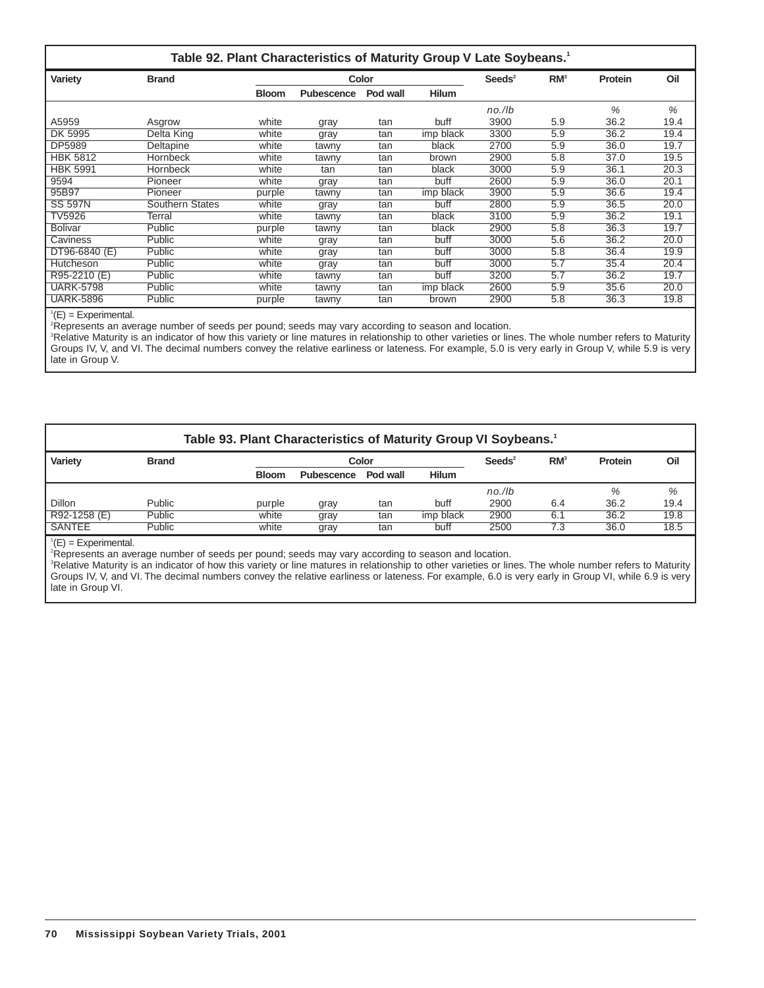|                  |                        |              | Table 92. Plant Characteristics of Maturity Group V Late Soybeans. <sup>1</sup> |          |              |                  |                 |         |      |
|------------------|------------------------|--------------|---------------------------------------------------------------------------------|----------|--------------|------------------|-----------------|---------|------|
| Variety          | <b>Brand</b>           |              |                                                                                 | Color    |              | $\text{Seeds}^2$ | RM <sup>3</sup> | Protein | Oil  |
|                  |                        | <b>Bloom</b> | Pubescence                                                                      | Pod wall | <b>Hilum</b> |                  |                 |         |      |
|                  |                        |              |                                                                                 |          |              | $no.$ /lb        |                 | %       | %    |
| A5959            | Asgrow                 | white        | gray                                                                            | tan      | buff         | 3900             | 5.9             | 36.2    | 19.4 |
| DK 5995          | Delta King             | white        | gray                                                                            | tan      | imp black    | 3300             | 5.9             | 36.2    | 19.4 |
| DP5989           | Deltapine              | white        | tawny                                                                           | tan      | black        | 2700             | 5.9             | 36.0    | 19.7 |
| <b>HBK 5812</b>  | <b>Hornbeck</b>        | white        | tawny                                                                           | tan      | brown        | 2900             | 5.8             | 37.0    | 19.5 |
| <b>HBK 5991</b>  | <b>Hornbeck</b>        | white        | tan                                                                             | tan      | black        | 3000             | 5.9             | 36.1    | 20.3 |
| 9594             | Pioneer                | white        | gray                                                                            | tan      | buff         | 2600             | 5.9             | 36.0    | 20.1 |
| 95B97            | Pioneer                | purple       | tawny                                                                           | tan      | imp black    | 3900             | 5.9             | 36.6    | 19.4 |
| <b>SS 597N</b>   | <b>Southern States</b> | white        | gray                                                                            | tan      | buff         | 2800             | 5.9             | 36.5    | 20.0 |
| TV5926           | Terral                 | white        | tawny                                                                           | tan      | black        | 3100             | 5.9             | 36.2    | 19.1 |
| <b>Bolivar</b>   | Public                 | purple       | tawny                                                                           | tan      | black        | 2900             | 5.8             | 36.3    | 19.7 |
| Caviness         | Public                 | white        | gray                                                                            | tan      | buff         | 3000             | 5.6             | 36.2    | 20.0 |
| DT96-6840 (E)    | Public                 | white        | gray                                                                            | tan      | buff         | 3000             | 5.8             | 36.4    | 19.9 |
| Hutcheson        | Public                 | white        | gray                                                                            | tan      | buff         | 3000             | 5.7             | 35.4    | 20.4 |
| R95-2210 (E)     | Public                 | white        | tawny                                                                           | tan      | buff         | 3200             | 5.7             | 36.2    | 19.7 |
| <b>UARK-5798</b> | Public                 | white        | tawny                                                                           | tan      | imp black    | 2600             | 5.9             | 35.6    | 20.0 |
| <b>UARK-5896</b> | Public                 | purple       | tawny                                                                           | tan      | brown        | 2900             | 5.8             | 36.3    | 19.8 |

 ${}^1(E)$  = Experimental.

2 Represents an average number of seeds per pound; seeds may vary according to season and location.

<sup>3</sup>Relative Maturity is an indicator of how this variety or line matures in relationship to other varieties or lines. The whole number refers to Maturity Groups IV, V, and VI. The decimal numbers convey the relative earliness or lateness. For example, 5.0 is very early in Group V, while 5.9 is very late in Group V.

| Table 93. Plant Characteristics of Maturity Group VI Soybeans. <sup>1</sup> |               |              |                   |          |              |                  |                 |               |      |  |  |
|-----------------------------------------------------------------------------|---------------|--------------|-------------------|----------|--------------|------------------|-----------------|---------------|------|--|--|
| Variety                                                                     | <b>Brand</b>  |              |                   | Color    |              | $\text{Seeds}^2$ | RM <sup>3</sup> | Protein       | Oil  |  |  |
|                                                                             |               | <b>Bloom</b> | <b>Pubescence</b> | Pod wall | <b>Hilum</b> |                  |                 |               |      |  |  |
|                                                                             |               |              |                   |          |              | $no.$ /lb        |                 | $\frac{0}{0}$ | %    |  |  |
| Dillon                                                                      | <b>Public</b> | purple       | gray              | tan      | buff         | 2900             | 6.4             | 36.2          | 19.4 |  |  |
| R92-1258 (E)                                                                | Public        | white        | gray              | tan      | imp black    | 2900             | 6.1             | 36.2          | 19.8 |  |  |
| SANTEE                                                                      | Public        | white        | gray              | tan      | buff         | 2500             | 7.3             | 36.0          | 18.5 |  |  |

 $^1$ (E) = Experimental.

2 Represents an average number of seeds per pound; seeds may vary according to season and location.

<sup>3</sup>Relative Maturity is an indicator of how this variety or line matures in relationship to other varieties or lines. The whole number refers to Maturity Groups IV, V, and VI. The decimal numbers convey the relative earliness or lateness. For example, 6.0 is very early in Group VI, while 6.9 is very late in Group VI.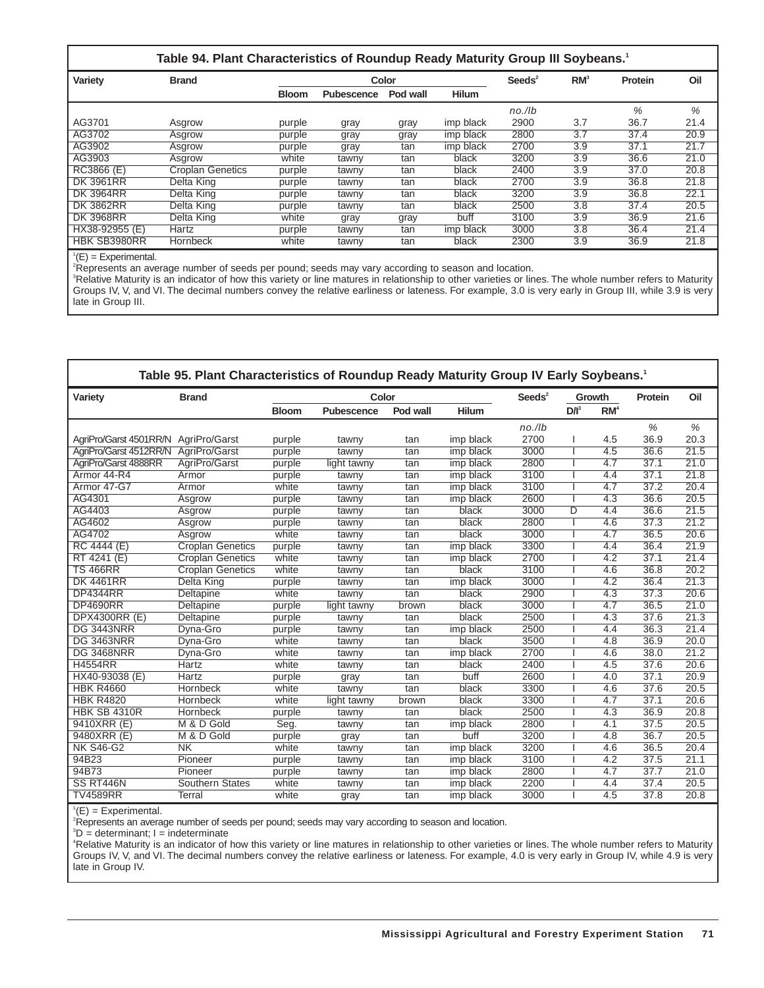|                  | Table 94. Plant Characteristics of Roundup Ready Maturity Group III Soybeans. <sup>1</sup> |              |            |          |              |                       |                 |         |      |
|------------------|--------------------------------------------------------------------------------------------|--------------|------------|----------|--------------|-----------------------|-----------------|---------|------|
| Variety          | <b>Brand</b>                                                                               |              |            | Color    |              | $S$ eeds <sup>2</sup> | RM <sup>3</sup> | Protein | Oil  |
|                  |                                                                                            | <b>Bloom</b> | Pubescence | Pod wall | <b>Hilum</b> |                       |                 |         |      |
|                  |                                                                                            |              |            |          |              | $no.$ /lb             |                 | %       | %    |
| AG3701           | Asgrow                                                                                     | purple       | gray       | gray     | imp black    | 2900                  | 3.7             | 36.7    | 21.4 |
| AG3702           | Asgrow                                                                                     | purple       | gray       | gray     | imp black    | 2800                  | 3.7             | 37.4    | 20.9 |
| AG3902           | Asgrow                                                                                     | purple       | gray       | tan      | imp black    | 2700                  | 3.9             | 37.1    | 21.7 |
| AG3903           | Asgrow                                                                                     | white        | tawny      | tan      | black        | 3200                  | 3.9             | 36.6    | 21.0 |
| RC3866 (E)       | <b>Croplan Genetics</b>                                                                    | purple       | tawny      | tan      | black        | 2400                  | 3.9             | 37.0    | 20.8 |
| <b>DK 3961RR</b> | Delta King                                                                                 | purple       | tawny      | tan      | black        | 2700                  | 3.9             | 36.8    | 21.8 |
| <b>DK 3964RR</b> | Delta King                                                                                 | purple       | tawny      | tan      | black        | 3200                  | 3.9             | 36.8    | 22.1 |
| <b>DK 3862RR</b> | Delta King                                                                                 | purple       | tawny      | tan      | black        | 2500                  | 3.8             | 37.4    | 20.5 |
| <b>DK 3968RR</b> | Delta King                                                                                 | white        | gray       | gray     | buff         | 3100                  | 3.9             | 36.9    | 21.6 |
| HX38-92955 (E)   | Hartz                                                                                      | purple       | tawny      | tan      | imp black    | 3000                  | 3.8             | 36.4    | 21.4 |
| HBK SB3980RR     | Hornbeck                                                                                   | white        | tawny      | tan      | black        | 2300                  | 3.9             | 36.9    | 21.8 |

 ${}^{1}(E)$  = Experimental.

2 Represents an average number of seeds per pound; seeds may vary according to season and location.

<sup>3</sup>Relative Maturity is an indicator of how this variety or line matures in relationship to other varieties or lines. The whole number refers to Maturity Groups IV, V, and VI. The decimal numbers convey the relative earliness or lateness. For example, 3.0 is very early in Group III, while 3.9 is very late in Group III.

|                        | Table 95. Plant Characteristics of Roundup Ready Maturity Group IV Early Soybeans. <sup>1</sup> |              |             |          |              |                  |         |                 |         |                   |
|------------------------|-------------------------------------------------------------------------------------------------|--------------|-------------|----------|--------------|------------------|---------|-----------------|---------|-------------------|
| Variety                | <b>Brand</b>                                                                                    |              | Color       |          |              | $\text{Seeds}^2$ |         | Growth          | Protein | Oil               |
|                        |                                                                                                 | <b>Bloom</b> | Pubescence  | Pod wall | <b>Hilum</b> |                  | $D/I^3$ | RM <sup>4</sup> |         |                   |
|                        |                                                                                                 |              |             |          |              | $no.$ /lb        |         |                 | %       | %                 |
| AgriPro/Garst 4501RR/N | AgriPro/Garst                                                                                   | purple       | tawny       | tan      | imp black    | 2700             |         | 4.5             | 36.9    | 20.3              |
| AgriPro/Garst 4512RR/N | AgriPro/Garst                                                                                   | purple       | tawny       | tan      | imp black    | 3000             |         | 4.5             | 36.6    | 21.5              |
| AgriPro/Garst 4888RR   | AgriPro/Garst                                                                                   | purple       | light tawny | tan      | imp black    | 2800             |         | 4.7             | 37.1    | 21.0              |
| Armor 44-R4            | Armor                                                                                           | purple       | tawny       | tan      | imp black    | 3100             |         | 4.4             | 37.1    | 21.8              |
| Armor 47-G7            | Armor                                                                                           | white        | tawny       | tan      | imp black    | 3100             |         | 4.7             | 37.2    | 20.4              |
| AG4301                 | Asgrow                                                                                          | purple       | tawny       | tan      | imp black    | 2600             |         | 4.3             | 36.6    | 20.5              |
| AG4403                 | Asgrow                                                                                          | purple       | tawny       | tan      | black        | 3000             | D       | 4.4             | 36.6    | 21.5              |
| AG4602                 | Asgrow                                                                                          | purple       | tawny       | tan      | black        | 2800             |         | 4.6             | 37.3    | 21.2              |
| AG4702                 | Asgrow                                                                                          | white        | tawny       | tan      | black        | 3000             |         | 4.7             | 36.5    | 20.6              |
| RC 4444 (E)            | <b>Croplan Genetics</b>                                                                         | purple       | tawny       | tan      | imp black    | 3300             |         | 4.4             | 36.4    | 21.9              |
| RT 4241 (E)            | <b>Croplan Genetics</b>                                                                         | white        | tawny       | tan      | imp black    | 2700             |         | 4.2             | 37.1    | 21.4              |
| <b>TS 466RR</b>        | Croplan Genetics                                                                                | white        | tawny       | tan      | black        | 3100             |         | 4.6             | 36.8    | $\overline{20.2}$ |
| <b>DK 4461RR</b>       | Delta King                                                                                      | purple       | tawny       | tan      | imp black    | 3000             |         | 4.2             | 36.4    | 21.3              |
| <b>DP4344RR</b>        | Deltapine                                                                                       | white        | tawny       | tan      | black        | 2900             |         | 4.3             | 37.3    | 20.6              |
| <b>DP4690RR</b>        | Deltapine                                                                                       | purple       | light tawny | brown    | black        | 3000             |         | 4.7             | 36.5    | 21.0              |
| <b>DPX4300RR (E)</b>   | Deltapine                                                                                       | purple       | tawny       | tan      | black        | 2500             |         | 4.3             | 37.6    | 21.3              |
| <b>DG 3443NRR</b>      | Dyna-Gro                                                                                        | purple       | tawny       | tan      | imp black    | 2500             |         | 4.4             | 36.3    | 21.4              |
| DG 3463NRR             | Dyna-Gro                                                                                        | white        | tawny       | tan      | black        | 3500             |         | 4.8             | 36.9    | 20.0              |
| <b>DG 3468NRR</b>      | Dyna-Gro                                                                                        | white        | tawny       | tan      | imp black    | 2700             |         | 4.6             | 38.0    | 21.2              |
| <b>H4554RR</b>         | Hartz                                                                                           | white        | tawny       | tan      | black        | 2400             |         | 4.5             | 37.6    | 20.6              |
| HX40-93038 (E)         | Hartz                                                                                           | purple       | gray        | tan      | buff         | 2600             |         | 4.0             | 37.1    | 20.9              |
| <b>HBK R4660</b>       | Hornbeck                                                                                        | white        | tawny       | tan      | black        | 3300             |         | 4.6             | 37.6    | 20.5              |
| <b>HBK R4820</b>       | Hornbeck                                                                                        | white        | light tawny | brown    | black        | 3300             |         | 4.7             | 37.1    | 20.6              |
| <b>HBK SB 4310R</b>    | Hornbeck                                                                                        | purple       | tawny       | tan      | black        | 2500             |         | 4.3             | 36.9    | 20.8              |
| 9410XRR (E)            | M & D Gold                                                                                      | Seg.         | tawny       | tan      | imp black    | 2800             |         | 4.1             | 37.5    | 20.5              |
| 9480XRR (E)            | M & D Gold                                                                                      | purple       | gray        | tan      | buff         | 3200             |         | 4.8             | 36.7    | 20.5              |
| <b>NK S46-G2</b>       | <b>NK</b>                                                                                       | white        | tawny       | tan      | imp black    | 3200             |         | 4.6             | 36.5    | 20.4              |
| 94B23                  | Pioneer                                                                                         | purple       | tawny       | tan      | imp black    | 3100             |         | 4.2             | 37.5    | 21.1              |
| 94B73                  | Pioneer                                                                                         | purple       | tawny       | tan      | imp black    | 2800             |         | 4.7             | 37.7    | 21.0              |
| SS RT446N              | Southern States                                                                                 | white        | tawny       | tan      | imp black    | 2200             |         | 4.4             | 37.4    | 20.5              |
| <b>TV4589RR</b>        | Terral                                                                                          | white        | gray        | tan      | imp black    | 3000             |         | 4.5             | 37.8    | 20.8              |

 ${}^{1}(E)$  = Experimental.

2 Represents an average number of seeds per pound; seeds may vary according to season and location.

3 D = determinant; I = indeterminate

4 Relative Maturity is an indicator of how this variety or line matures in relationship to other varieties or lines. The whole number refers to Maturity Groups IV, V, and VI. The decimal numbers convey the relative earliness or lateness. For example, 4.0 is very early in Group IV, while 4.9 is very late in Group IV.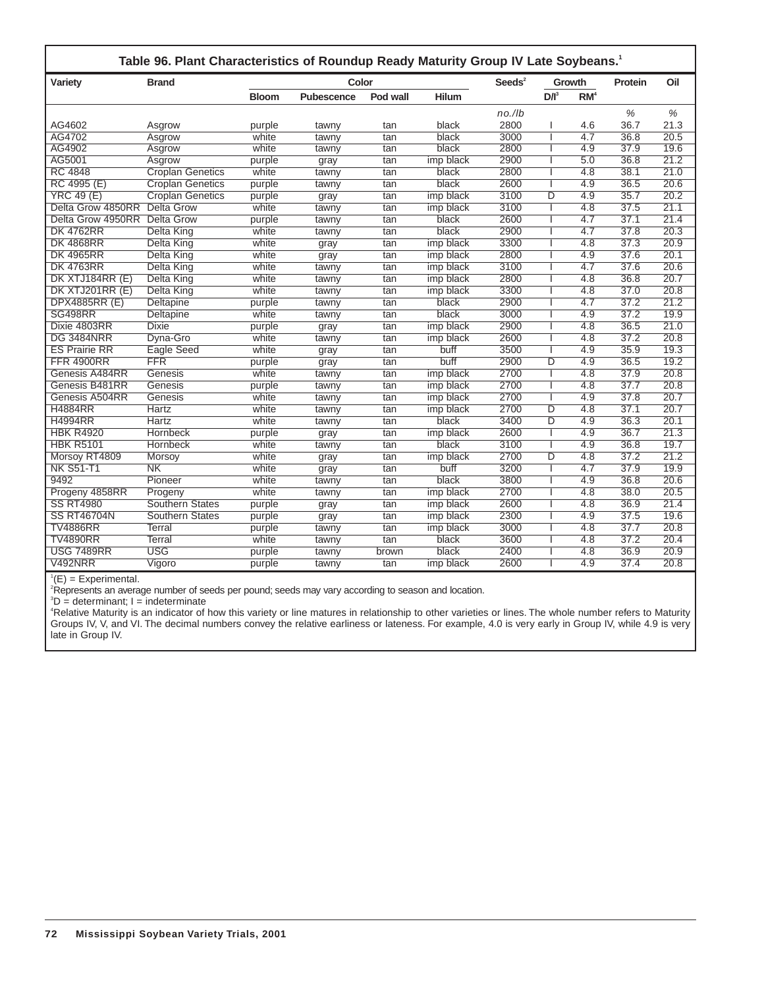| Variety              | <b>Brand</b>            |              | Color             |          |              | $S$ eeds <sup>2</sup> |         | Growth           | Protein | Oil  |
|----------------------|-------------------------|--------------|-------------------|----------|--------------|-----------------------|---------|------------------|---------|------|
|                      |                         | <b>Bloom</b> | <b>Pubescence</b> | Pod wall | <b>Hilum</b> |                       | $D/I^3$ | RM <sup>4</sup>  |         |      |
|                      |                         |              |                   |          |              | $no.$ /lb             |         |                  | $\%$    | $\%$ |
| AG4602               | Asgrow                  | purple       | tawny             | tan      | black        | 2800                  |         | 4.6              | 36.7    | 21.3 |
| AG4702               | Asgrow                  | white        | tawny             | tan      | black        | 3000                  |         | 4.7              | 36.8    | 20.5 |
| AG4902               | Asgrow                  | white        | tawny             | tan      | black        | 2800                  | ı       | 4.9              | 37.9    | 19.6 |
| AG5001               | Asgrow                  | purple       | gray              | tan      | imp black    | 2900                  | ı       | 5.0              | 36.8    | 21.2 |
| <b>RC 4848</b>       | <b>Croplan Genetics</b> | white        | tawny             | tan      | black        | 2800                  |         | 4.8              | 38.1    | 21.0 |
| RC 4995 (E)          | <b>Croplan Genetics</b> | purple       | tawny             | tan      | black        | 2600                  | I       | 4.9              | 36.5    | 20.6 |
| <b>YRC 49 (E)</b>    | <b>Croplan Genetics</b> | purple       | gray              | tan      | imp black    | 3100                  | D       | 4.9              | 35.7    | 20.2 |
| Delta Grow 4850RR    | <b>Delta Grow</b>       | white        | tawny             | tan      | imp black    | 3100                  | T       | $\overline{4.8}$ | 37.5    | 21.1 |
| Delta Grow 4950RR    | <b>Delta Grow</b>       | purple       | tawny             | tan      | black        | 2600                  |         | 4.7              | 37.1    | 21.4 |
| <b>DK 4762RR</b>     | <b>Delta King</b>       | white        | tawny             | tan      | black        | 2900                  | ı       | $\overline{4.7}$ | 37.8    | 20.3 |
| <b>DK 4868RR</b>     | Delta King              | white        | gray              | tan      | imp black    | 3300                  |         | 4.8              | 37.3    | 20.9 |
| <b>DK 4965RR</b>     | <b>Delta King</b>       | white        | gray              | tan      | imp black    | 2800                  |         | 4.9              | 37.6    | 20.1 |
| <b>DK 4763RR</b>     | Delta King              | white        | tawny             | tan      | imp black    | 3100                  |         | 4.7              | 37.6    | 20.6 |
| DK XTJ184RR (E)      | Delta King              | white        | tawny             | tan      | imp black    | 2800                  | ı       | 4.8              | 36.8    | 20.7 |
| DK XTJ201RR (E)      | Delta King              | white        | tawny             | tan      | imp black    | 3300                  |         | 4.8              | 37.0    | 20.8 |
| DPX4885RR (E)        | Deltapine               | purple       | tawny             | tan      | black        | 2900                  |         | $\overline{4.7}$ | 37.2    | 21.2 |
| SG498RR              | Deltapine               | white        | tawny             | tan      | black        | 3000                  | ı       | 4.9              | 37.2    | 19.9 |
| Dixie 4803RR         | Dixie                   | purple       | gray              | tan      | imp black    | 2900                  |         | 4.8              | 36.5    | 21.0 |
| <b>DG 3484NRR</b>    | Dyna-Gro                | white        | tawny             | tan      | imp black    | 2600                  | ı       | 4.8              | 37.2    | 20.8 |
| <b>ES Prairie RR</b> | Eagle Seed              | white        | gray              | tan      | buff         | 3500                  | ı       | 4.9              | 35.9    | 19.3 |
| <b>FFR 4900RR</b>    | <b>FFR</b>              | purple       | gray              | tan      | buff         | 2900                  | D       | 4.9              | 36.5    | 19.2 |
| Genesis A484RR       | Genesis                 | white        | tawny             | tan      | imp black    | 2700                  |         | 4.8              | 37.9    | 20.8 |
| Genesis B481RR       | Genesis                 | purple       | tawny             | tan      | imp black    | 2700                  |         | 4.8              | 37.7    | 20.8 |
| Genesis A504RR       | Genesis                 | white        | tawny             | tan      | imp black    | 2700                  | ı       | 4.9              | 37.8    | 20.7 |
| <b>H4884RR</b>       | Hartz                   | white        | tawny             | tan      | imp black    | 2700                  | D       | 4.8              | 37.1    | 20.7 |
| <b>H4994RR</b>       | Hartz                   | white        | tawny             | tan      | black        | 3400                  | D       | 4.9              | 36.3    | 20.1 |
| <b>HBK R4920</b>     | <b>Hornbeck</b>         | purple       | gray              | tan      | imp black    | 2600                  | I       | 4.9              | 36.7    | 21.3 |
| <b>HBK R5101</b>     | Hornbeck                | white        | tawny             | tan      | black        | 3100                  | T       | 4.9              | 36.8    | 19.7 |
| Morsoy RT4809        | Morsoy                  | white        | gray              | tan      | imp black    | 2700                  | D       | 4.8              | 37.2    | 21.2 |
| <b>NK S51-T1</b>     | N <sub>K</sub>          | white        | gray              | tan      | buff         | 3200                  |         | 4.7              | 37.9    | 19.9 |
| 9492                 | Pioneer                 | white        | tawny             | tan      | black        | 3800                  |         | 4.9              | 36.8    | 20.6 |
| Progeny 4858RR       | Progeny                 | white        | tawny             | tan      | imp black    | 2700                  |         | 4.8              | 38.0    | 20.5 |
| <b>SS RT4980</b>     | <b>Southern States</b>  | purple       | gray              | tan      | imp black    | 2600                  |         | 4.8              | 36.9    | 21.4 |
| <b>SS RT46704N</b>   | <b>Southern States</b>  | purple       | gray              | tan      | imp black    | 2300                  |         | 4.9              | 37.5    | 19.6 |
| <b>TV4886RR</b>      | <b>Terral</b>           | purple       | tawny             | tan      | imp black    | 3000                  |         | 4.8              | 37.7    | 20.8 |
| <b>TV4890RR</b>      | <b>Terral</b>           | white        | tawny             | tan      | black        | 3600                  |         | 4.8              | 37.2    | 20.4 |
| <b>USG 7489RR</b>    | <b>USG</b>              | purple       | tawny             | brown    | black        | 2400                  |         | 4.8              | 36.9    | 20.9 |
| <b>V492NRR</b>       | Vigoro                  | purple       | tawny             | tan      | imp black    | 2600                  | L       | 4.9              | 37.4    | 20.8 |

 ${}^{1}(E)$  = Experimental.

2 Represents an average number of seeds per pound; seeds may vary according to season and location.

3 D = determinant; I = indeterminate

4 Relative Maturity is an indicator of how this variety or line matures in relationship to other varieties or lines. The whole number refers to Maturity Groups IV, V, and VI. The decimal numbers convey the relative earliness or lateness. For example, 4.0 is very early in Group IV, while 4.9 is very late in Group IV.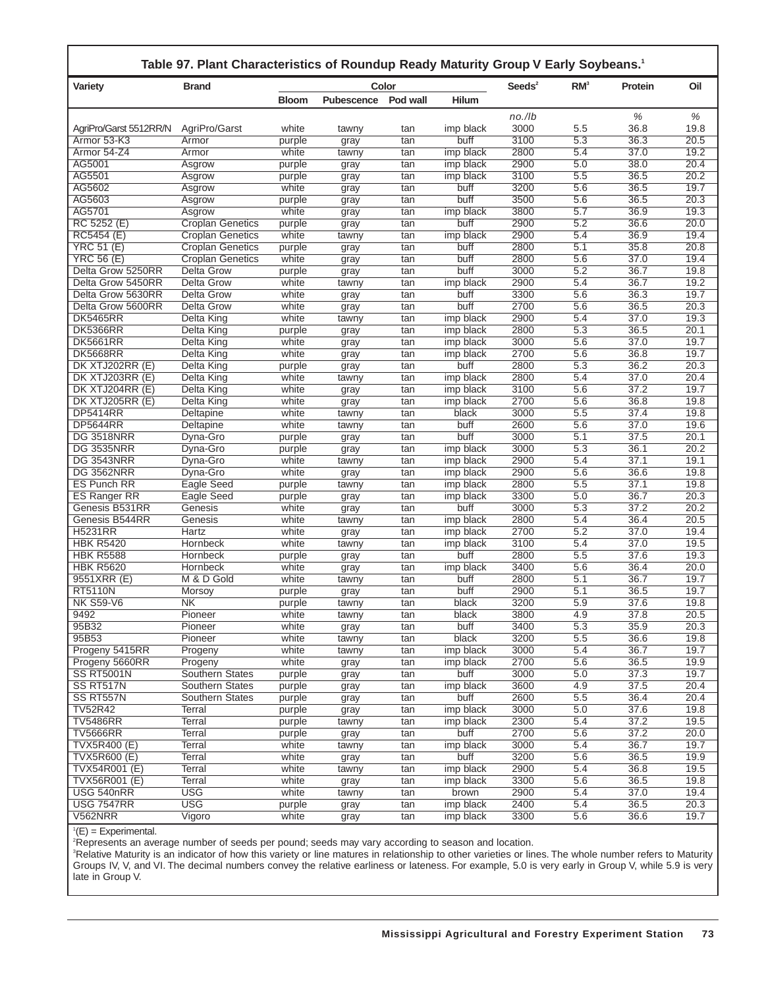| Table 97. Plant Characteristics of Roundup Ready Maturity Group V Early Soybeans. <sup>1</sup> |                         |                 |                   |            |                   |                  |                         |              |              |
|------------------------------------------------------------------------------------------------|-------------------------|-----------------|-------------------|------------|-------------------|------------------|-------------------------|--------------|--------------|
| <b>Variety</b>                                                                                 | <b>Brand</b>            |                 |                   | Color      |                   | $\text{Seeds}^2$ | RM <sup>3</sup>         | Protein      | Oil          |
|                                                                                                |                         | <b>Bloom</b>    | <b>Pubescence</b> | Pod wall   | <b>Hilum</b>      |                  |                         |              |              |
|                                                                                                |                         |                 |                   |            |                   | $no.$ /lb        |                         | %            | %            |
| AgriPro/Garst 5512RR/N                                                                         | AgriPro/Garst           | white           | tawny             | tan        | imp black         | 3000             | 5.5                     | 36.8         | 19.8         |
| Armor 53-K3                                                                                    | Armor                   | purple          | gray              | tan        | buff              | 3100             | 5.3                     | 36.3         | 20.5         |
| Armor 54-Z4                                                                                    | Armor                   | white           | tawny             | tan        | imp black         | 2800             | 5.4                     | 37.0         | 19.2         |
| AG5001                                                                                         | Asgrow                  | purple          | gray              | tan        | imp black         | 2900             | 5.0                     | 38.0         | 20.4         |
| AG5501                                                                                         | Asgrow                  | purple          | gray              | tan        | imp black         | 3100             | 5.5                     | 36.5         | 20.2         |
| AG5602                                                                                         | Asgrow                  | white           | gray              | tan        | buff              | 3200             | 5.6                     | 36.5         | 19.7         |
| AG5603<br>AG5701                                                                               | Asgrow<br>Asarow        | purple<br>white | gray              | tan        | buff<br>imp black | 3500<br>3800     | 5.6<br>$\overline{5.7}$ | 36.5<br>36.9 | 20.3<br>19.3 |
| RC 5252 (E)                                                                                    | <b>Croplan Genetics</b> | purple          | gray              | tan<br>tan | buff              | 2900             | 5.2                     | 36.6         | 20.0         |
| RC5454 (E)                                                                                     | <b>Croplan Genetics</b> | white           | gray<br>tawny     | tan        | imp black         | 2900             | 5.4                     | 36.9         | 19.4         |
| <b>YRC 51 (E)</b>                                                                              | <b>Croplan Genetics</b> | purple          | gray              | tan        | buff              | 2800             | 5.1                     | 35.8         | 20.8         |
| <b>YRC 56 (E)</b>                                                                              | <b>Croplan Genetics</b> | white           | gray              | tan        | buff              | 2800             | 5.6                     | 37.0         | 19.4         |
| Delta Grow 5250RR                                                                              | Delta Grow              | purple          | gray              | tan        | buff              | 3000             | 5.2                     | 36.7         | 19.8         |
| Delta Grow 5450RR                                                                              | <b>Delta Grow</b>       | white           | tawny             | tan        | imp black         | 2900             | 5.4                     | 36.7         | 19.2         |
| Delta Grow 5630RR                                                                              | Delta Grow              | white           | gray              | tan        | buff              | 3300             | 5.6                     | 36.3         | 19.7         |
| Delta Grow 5600RR                                                                              | <b>Delta Grow</b>       | white           | gray              | tan        | buff              | 2700             | 5.6                     | 36.5         | 20.3         |
| <b>DK5465RR</b>                                                                                | Delta King              | white           | tawny             | tan        | imp black         | 2900             | 5.4                     | 37.0         | 19.3         |
| <b>DK5366RR</b>                                                                                | Delta King              | purple          | gray              | tan        | imp black         | 2800             | 5.3                     | 36.5         | 20.1         |
| <b>DK5661RR</b>                                                                                | <b>Delta King</b>       | white           | gray              | tan        | imp black         | 3000             | 5.6                     | 37.0         | 19.7         |
| <b>DK5668RR</b>                                                                                | <b>Delta King</b>       | white           | gray              | tan        | imp black         | 2700             | 5.6                     | 36.8         | 19.7         |
| DK XTJ202RR (E)                                                                                | Delta King              | purple          | gray              | tan        | buff              | 2800             | 5.3                     | 36.2         | 20.3         |
| DK XTJ203RR (E)                                                                                | <b>Delta King</b>       | white           | tawny             | tan        | imp black         | 2800             | 5.4                     | 37.0         | 20.4         |
| DK XTJ204RR (E)                                                                                | Delta King              | white           | gray              | tan        | imp black         | 3100             | 5.6                     | 37.2         | 19.7         |
| DK XTJ205RR (E)                                                                                | <b>Delta King</b>       | white           | gray              | tan        | imp black         | 2700             | 5.6                     | 36.8         | 19.8         |
| <b>DP5414RR</b>                                                                                | Deltapine               | white           | tawny             | tan        | black<br>buff     | 3000<br>2600     | 5.5<br>5.6              | 37.4<br>37.0 | 19.8<br>19.6 |
| <b>DP5644RR</b><br><b>DG 3518NRR</b>                                                           | Deltapine<br>Dyna-Gro   | white<br>purple | tawny             | tan<br>tan | buff              | 3000             | 5.1                     | 37.5         | 20.1         |
| <b>DG 3535NRR</b>                                                                              | Dyna-Gro                | purple          | gray<br>gray      | tan        | imp black         | 3000             | 5.3                     | 36.1         | 20.2         |
| <b>DG 3543NRR</b>                                                                              | Dyna-Gro                | white           | tawny             | tan        | imp black         | 2900             | 5.4                     | 37.1         | 19.1         |
| <b>DG 3562NRR</b>                                                                              | Dyna-Gro                | white           | gray              | tan        | imp black         | 2900             | 5.6                     | 36.6         | 19.8         |
| <b>ES Punch RR</b>                                                                             | <b>Eagle Seed</b>       | purple          | tawny             | tan        | imp black         | 2800             | 5.5                     | 37.1         | 19.8         |
| ES Ranger RR                                                                                   | Eagle Seed              | purple          | gray              | tan        | imp black         | 3300             | 5.0                     | 36.7         | 20.3         |
| Genesis B531RR                                                                                 | Genesis                 | white           | gray              | tan        | buff              | 3000             | 5.3                     | 37.2         | 20.2         |
| Genesis B544RR                                                                                 | Genesis                 | white           | tawny             | tan        | imp black         | 2800             | 5.4                     | 36.4         | 20.5         |
| H5231RR                                                                                        | Hartz                   | white           | gray              | tan        | imp black         | 2700             | 5.2                     | 37.0         | 19.4         |
| <b>HBK R5420</b>                                                                               | Hornbeck                | white           | tawny             | tan        | imp black         | 3100             | 5.4                     | 37.0         | 19.5         |
| <b>HBK R5588</b>                                                                               | Hornbeck                | purple          | gray              | tan        | buff              | 2800             | 5.5                     | 37.6         | 19.3         |
| <b>HBK R5620</b>                                                                               | Hornbeck                | white           | gray              | tan        | imp black         | 3400             | 5.6                     | 36.4         | 20.0         |
| 9551XRR (E)                                                                                    | M & D Gold              | white           | tawny             | tan        | buff              | 2800             | 5.1                     | 36.7         | 19.7         |
| <b>RT5110N</b>                                                                                 | Morsoy                  | purple          | gray              | tan        | buff              | 2900             | 5.1                     | 36.5         | 19.7         |
| <b>NK S59-V6</b>                                                                               | NK                      | purple          | tawny             | tan        | black             | 3200             | $\overline{5.9}$        | 37.6         | 19.8         |
| 9492<br>95B32                                                                                  | Pioneer<br>Pioneer      | white<br>white  | tawny             | tan        | black<br>buff     | 3800<br>3400     | 4.9<br>5.3              | 37.8<br>35.9 | 20.5<br>20.3 |
| 95B53                                                                                          | Pioneer                 | white           | gray<br>tawny     | tan<br>tan | black             | 3200             | 5.5                     | 36.6         | 19.8         |
| Progeny 5415RR                                                                                 | Progeny                 | white           | tawny             | tan        | imp black         | 3000             | 5.4                     | 36.7         | 19.7         |
| Progeny 5660RR                                                                                 | Progeny                 | white           | gray              | tan        | imp black         | 2700             | 5.6                     | 36.5         | 19.9         |
| <b>SS RT5001N</b>                                                                              | Southern States         | purple          | gray              | tan        | buff              | 3000             | 5.0                     | 37.3         | 19.7         |
| SS RT517N                                                                                      | <b>Southern States</b>  | purple          | gray              | tan        | imp black         | 3600             | 4.9                     | 37.5         | 20.4         |
| SS RT557N                                                                                      | <b>Southern States</b>  | purple          | gray              | tan        | buff              | 2600             | 5.5                     | 36.4         | 20.4         |
| <b>TV52R42</b>                                                                                 | Terral                  | purple          | gray              | tan        | imp black         | 3000             | 5.0                     | 37.6         | 19.8         |
| <b>TV5486RR</b>                                                                                | <b>Terral</b>           | purple          | tawny             | tan        | imp black         | 2300             | 5.4                     | 37.2         | 19.5         |
| <b>TV5666RR</b>                                                                                | <b>Terral</b>           | purple          | gray              | tan        | buff              | 2700             | 5.6                     | 37.2         | 20.0         |
| <b>TVX5R400 (E)</b>                                                                            | Terral                  | white           | tawny             | tan        | imp black         | 3000             | 5.4                     | 36.7         | 19.7         |
| <b>TVX5R600 (E)</b>                                                                            | Terral                  | white           | gray              | tan        | buff              | 3200             | 5.6                     | 36.5         | 19.9         |
| TVX54R001 (E)                                                                                  | <b>Terral</b>           | white           | tawny             | tan        | imp black         | 2900             | 5.4                     | 36.8         | 19.5         |
| TVX56R001 (E)                                                                                  | Terral                  | white           | gray              | tan        | imp black         | 3300             | 5.6                     | 36.5         | 19.8         |
| USG 540nRR                                                                                     | <b>USG</b>              | white           | tawny             | tan        | brown             | 2900             | 5.4                     | 37.0         | 19.4         |
| <b>USG 7547RR</b>                                                                              | <b>USG</b>              | purple          | gray              | tan        | imp black         | 2400             | 5.4                     | 36.5         | 20.3         |
| V562NRR                                                                                        | Vigoro                  | white           | gray              | tan        | imp black         | 3300             | 5.6                     | 36.6         | 19.7         |

'(E) = Experimental.<br>?Represents an average number of seeds per pound; seeds may vary according to season and location.<br><sup>3</sup>Relative Maturity is an indicator of how this variety or line matures in relationship to other vari Groups IV, V, and VI. The decimal numbers convey the relative earliness or lateness. For example, 5.0 is very early in Group V, while 5.9 is very late in Group V.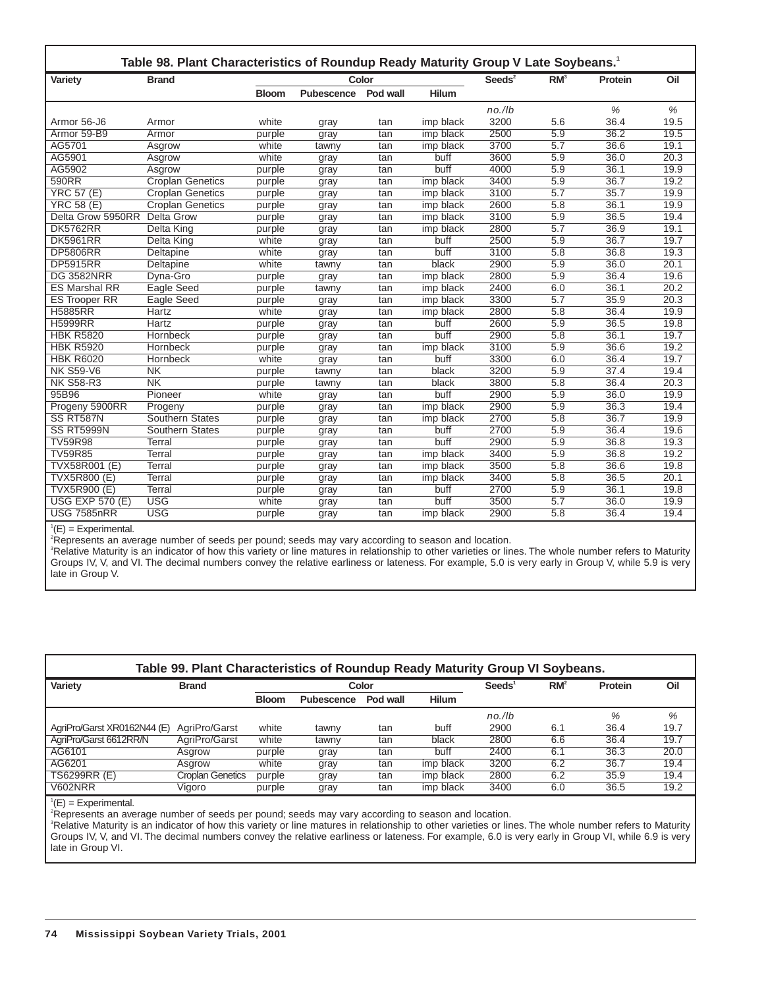| Variety                | <b>Brand</b>            |              |                   | Color    |              | Seeds $2$ | RM <sup>3</sup>  | Protein | Oil               |
|------------------------|-------------------------|--------------|-------------------|----------|--------------|-----------|------------------|---------|-------------------|
|                        |                         | <b>Bloom</b> | <b>Pubescence</b> | Pod wall | <b>Hilum</b> |           |                  |         |                   |
|                        |                         |              |                   |          |              | $no.$ /lb |                  | %       | %                 |
| Armor 56-J6            | Armor                   | white        | gray              | tan      | imp black    | 3200      | 5.6              | 36.4    | 19.5              |
| Armor 59-B9            | Armor                   | purple       | gray              | tan      | imp black    | 2500      | 5.9              | 36.2    | 19.5              |
| AG5701                 | Asgrow                  | white        | tawny             | tan      | imp black    | 3700      | $\overline{5.7}$ | 36.6    | 19.1              |
| AG5901                 | Asgrow                  | white        | gray              | tan      | buff         | 3600      | 5.9              | 36.0    | 20.3              |
| AG5902                 | Asgrow                  | purple       | gray              | tan      | buff         | 4000      | 5.9              | 36.1    | 19.9              |
| 590RR                  | <b>Croplan Genetics</b> | purple       | gray              | tan      | imp black    | 3400      | 5.9              | 36.7    | 19.2              |
| <b>YRC 57 (E)</b>      | <b>Croplan Genetics</b> | purple       | gray              | tan      | imp black    | 3100      | 5.7              | 35.7    | 19.9              |
| <b>YRC 58 (E)</b>      | <b>Croplan Genetics</b> | purple       | gray              | tan      | imp black    | 2600      | 5.8              | 36.1    | 19.9              |
| Delta Grow 5950RR      | <b>Delta Grow</b>       | purple       | gray              | tan      | imp black    | 3100      | 5.9              | 36.5    | 19.4              |
| <b>DK5762RR</b>        | <b>Delta King</b>       | purple       | gray              | tan      | imp black    | 2800      | 5.7              | 36.9    | 19.1              |
| <b>DK5961RR</b>        | Delta King              | white        | gray              | tan      | buff         | 2500      | 5.9              | 36.7    | 19.7              |
| <b>DP5806RR</b>        | Deltapine               | white        | gray              | tan      | buff         | 3100      | 5.8              | 36.8    | 19.3              |
| <b>DP5915RR</b>        | Deltapine               | white        | tawny             | tan      | black        | 2900      | $\overline{5.9}$ | 36.0    | 20.1              |
| <b>DG 3582NRR</b>      | Dyna-Gro                | purple       | gray              | tan      | imp black    | 2800      | 5.9              | 36.4    | 19.6              |
| <b>ES Marshal RR</b>   | <b>Eagle Seed</b>       | purple       | tawny             | tan      | imp black    | 2400      | 6.0              | 36.1    | $\overline{20.2}$ |
| <b>ES Trooper RR</b>   | Eagle Seed              | purple       | gray              | tan      | imp black    | 3300      | 5.7              | 35.9    | 20.3              |
| <b>H5885RR</b>         | Hartz                   | white        | gray              | tan      | imp black    | 2800      | 5.8              | 36.4    | 19.9              |
| <b>H5999RR</b>         | Hartz                   | purple       | gray              | tan      | buff         | 2600      | 5.9              | 36.5    | 19.8              |
| <b>HBK R5820</b>       | Hornbeck                | purple       | gray              | tan      | buff         | 2900      | $\overline{5.8}$ | 36.1    | 19.7              |
| <b>HBK R5920</b>       | Hornbeck                | purple       | gray              | tan      | imp black    | 3100      | 5.9              | 36.6    | 19.2              |
| <b>HBK R6020</b>       | Hornbeck                | white        | gray              | tan      | buff         | 3300      | 6.0              | 36.4    | 19.7              |
| <b>NK S59-V6</b>       | N <sub>K</sub>          | purple       | tawny             | tan      | black        | 3200      | 5.9              | 37.4    | 19.4              |
| <b>NK S58-R3</b>       | N <sub>K</sub>          | purple       | tawny             | tan      | black        | 3800      | 5.8              | 36.4    | 20.3              |
| 95B96                  | Pioneer                 | white        | gray              | tan      | buff         | 2900      | 5.9              | 36.0    | 19.9              |
| Progeny 5900RR         | Progeny                 | purple       | gray              | tan      | imp black    | 2900      | 5.9              | 36.3    | 19.4              |
| SS RT587N              | <b>Southern States</b>  | purple       | gray              | tan      | imp black    | 2700      | 5.8              | 36.7    | 19.9              |
| <b>SS RT5999N</b>      | Southern States         | purple       | gray              | tan      | buff         | 2700      | 5.9              | 36.4    | 19.6              |
| <b>TV59R98</b>         | Terral                  | purple       | gray              | tan      | buff         | 2900      | 5.9              | 36.8    | 19.3              |
| <b>TV59R85</b>         | Terral                  | purple       | gray              | tan      | imp black    | 3400      | 5.9              | 36.8    | 19.2              |
| TVX58R001 (E)          | Terral                  | purple       | gray              | tan      | imp black    | 3500      | 5.8              | 36.6    | 19.8              |
| <b>TVX5R800 (E)</b>    | <b>Terral</b>           | purple       | gray              | tan      | imp black    | 3400      | 5.8              | 36.5    | 20.1              |
| <b>TVX5R900 (E)</b>    | Terral                  | purple       | gray              | tan      | buff         | 2700      | 5.9              | 36.1    | 19.8              |
| <b>USG EXP 570 (E)</b> | <b>USG</b>              | white        | gray              | tan      | buff         | 3500      | $\overline{5.7}$ | 36.0    | 19.9              |
| <b>USG 7585nRR</b>     | <b>USG</b>              | purple       | gray              | tan      | imp black    | 2900      | 5.8              | 36.4    | 19.4              |

1 (E) = Experimental. 2 Represents an average number of seeds per pound; seeds may vary according to season and location.

<sup>3</sup>Relative Maturity is an indicator of how this variety or line matures in relationship to other varieties or lines. The whole number refers to Maturity Groups IV, V, and VI. The decimal numbers convey the relative earliness or lateness. For example, 5.0 is very early in Group V, while 5.9 is very late in Group V.

| Table 99. Plant Characteristics of Roundup Ready Maturity Group VI Soybeans. |                         |              |            |          |              |                       |                 |               |      |  |  |  |
|------------------------------------------------------------------------------|-------------------------|--------------|------------|----------|--------------|-----------------------|-----------------|---------------|------|--|--|--|
| Variety                                                                      | <b>Brand</b>            |              |            | Color    |              | $S$ eeds <sup>1</sup> | RM <sup>2</sup> | Protein       | Oil  |  |  |  |
|                                                                              |                         | <b>Bloom</b> | Pubescence | Pod wall | <b>Hilum</b> |                       |                 |               |      |  |  |  |
|                                                                              |                         |              |            |          |              | $no.$ /lb             |                 | $\frac{1}{2}$ | %    |  |  |  |
| AgriPro/Garst XR0162N44 (E)                                                  | AgriPro/Garst           | white        | tawny      | tan      | buff         | 2900                  | 6.1             | 36.4          | 19.7 |  |  |  |
| AgriPro/Garst 6612RR/N                                                       | AgriPro/Garst           | white        | tawny      | tan      | black        | 2800                  | 6.6             | 36.4          | 19.7 |  |  |  |
| AG6101                                                                       | Asgrow                  | purple       | gray       | tan      | buff         | 2400                  | 6.1             | 36.3          | 20.0 |  |  |  |
| AG6201                                                                       | Asgrow                  | white        | gray       | tan      | imp black    | 3200                  | 6.2             | 36.7          | 19.4 |  |  |  |
| TS6299RR (E)                                                                 | <b>Croplan Genetics</b> | purple       | gray       | tan      | imp black    | 2800                  | 6.2             | 35.9          | 19.4 |  |  |  |
| <b>V602NRR</b>                                                               | Vigoro                  | purple       | gray       | tan      | imp black    | 3400                  | 6.0             | 36.5          | 19.2 |  |  |  |

 ${}^1(E)$  = Experimental.

2 Represents an average number of seeds per pound; seeds may vary according to season and location.

<sup>3</sup>Relative Maturity is an indicator of how this variety or line matures in relationship to other varieties or lines. The whole number refers to Maturity Groups IV, V, and VI. The decimal numbers convey the relative earliness or lateness. For example, 6.0 is very early in Group VI, while 6.9 is very late in Group VI.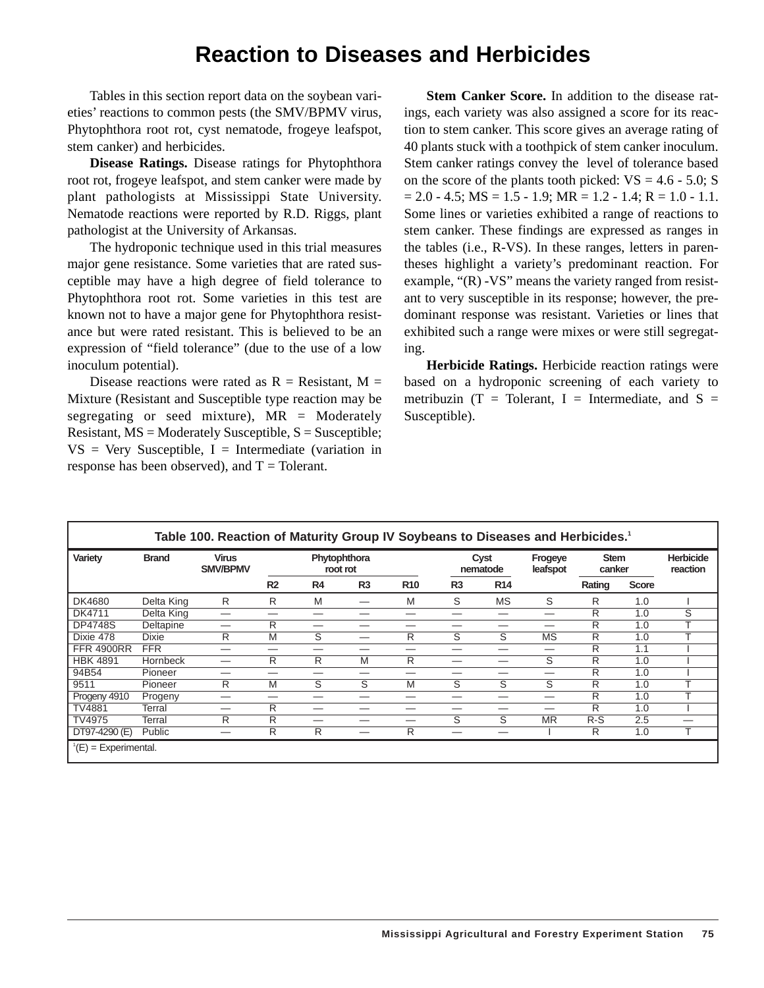#### **Reaction to Diseases and Herbicides**

Tables in this section report data on the soybean varieties' reactions to common pests (the SMV/BPMV virus, Phytophthora root rot, cyst nematode, frogeye leafspot, stem canker) and herbicides.

**Disease Ratings.** Disease ratings for Phytophthora root rot, frogeye leafspot, and stem canker were made by plant pathologists at Mississippi State University. Nematode reactions were reported by R.D. Riggs, plant pathologist at the University of Arkansas.

The hydroponic technique used in this trial measures major gene resistance. Some varieties that are rated susceptible may have a high degree of field tolerance to Phytophthora root rot. Some varieties in this test are known not to have a major gene for Phytophthora resistance but were rated resistant. This is believed to be an expression of "field tolerance" (due to the use of a low inoculum potential).

Disease reactions were rated as  $R =$  Resistant, M = Mixture (Resistant and Susceptible type reaction may be segregating or seed mixture),  $MR =$  Moderately Resistant,  $MS =$  Moderately Susceptible,  $S =$  Susceptible;  $VS = V$ ery Susceptible, I = Intermediate (variation in response has been observed), and  $T =$  Tolerant.

**Stem Canker Score.** In addition to the disease ratings, each variety was also assigned a score for its reaction to stem canker. This score gives an average rating of 40 plants stuck with a toothpick of stem canker inoculum. Stem canker ratings convey the level of tolerance based on the score of the plants tooth picked:  $VS = 4.6 - 5.0$ ; S  $= 2.0 - 4.5$ ; MS  $= 1.5 - 1.9$ ; MR  $= 1.2 - 1.4$ ; R  $= 1.0 - 1.1$ . Some lines or varieties exhibited a range of reactions to stem canker. These findings are expressed as ranges in the tables (i.e., R-VS). In these ranges, letters in parentheses highlight a variety's predominant reaction. For example, "(R) -VS" means the variety ranged from resistant to very susceptible in its response; however, the predominant response was resistant. Varieties or lines that exhibited such a range were mixes or were still segregating.

**Herbicide Ratings.** Herbicide reaction ratings were based on a hydroponic screening of each variety to metribuzin (T = Tolerant, I = Intermediate, and  $S =$ Susceptible).

| Table 100. Reaction of Maturity Group IV Soybeans to Diseases and Herbicides. <sup>1</sup> |                 |                                 |                          |                         |                |                  |                         |                     |                       |        |                              |                          |
|--------------------------------------------------------------------------------------------|-----------------|---------------------------------|--------------------------|-------------------------|----------------|------------------|-------------------------|---------------------|-----------------------|--------|------------------------------|--------------------------|
| Variety                                                                                    | <b>Brand</b>    | <b>Virus</b><br><b>SMV/BPMV</b> | Phytophthora<br>root rot |                         |                | Cyst<br>nematode |                         | Frogeye<br>leafspot | <b>Stem</b><br>canker |        | <b>Herbicide</b><br>reaction |                          |
|                                                                                            |                 |                                 | R <sub>2</sub>           | R4                      | R <sub>3</sub> | <b>R10</b>       | R <sub>3</sub>          | R <sub>14</sub>     |                       | Rating | <b>Score</b>                 |                          |
| DK4680                                                                                     | Delta King      | R                               | R                        | M                       |                | M                | S                       | <b>MS</b>           | S                     | R      | 1.0                          |                          |
| DK4711                                                                                     | Delta King      | --                              |                          |                         |                |                  |                         |                     | --                    | R      | 1.0                          | Ŝ                        |
| <b>DP4748S</b>                                                                             | Deltapine       | --                              | R                        |                         |                |                  |                         |                     |                       | R      | 1.0                          |                          |
| Dixie 478                                                                                  | <b>Dixie</b>    | R                               | M                        | S                       | --             | R                | S                       | S                   | <b>MS</b>             | R      | 1.0                          |                          |
| <b>FFR 4900RR</b>                                                                          | <b>FFR</b>      | --                              | _                        | _                       |                | –                |                         |                     | --                    | R      | 1.1                          |                          |
| <b>HBK 4891</b>                                                                            | <b>Hornbeck</b> |                                 | R                        | R                       | M              | R                |                         |                     | S                     | R      | 1.0                          |                          |
| 94B54                                                                                      | Pioneer         |                                 |                          |                         |                |                  |                         |                     | --                    | R      | 1.0                          |                          |
| 9511                                                                                       | Pioneer         | R                               | M                        | $\overline{\mathsf{s}}$ | S              | M                | $\overline{\mathsf{s}}$ | Ŝ                   | S                     | R      | 1.0                          |                          |
| Progeny 4910                                                                               | Progeny         |                                 |                          |                         |                |                  |                         |                     | –                     | R      | 1.0                          |                          |
| <b>TV4881</b>                                                                              | Terral          | –                               | R                        |                         |                |                  |                         |                     | _                     | R      | 1.0                          |                          |
| <b>TV4975</b>                                                                              | Terral          | R                               | R                        | _                       |                |                  | S                       | Ŝ.                  | <b>MR</b>             | $R-S$  | 2.5                          | $\overline{\phantom{0}}$ |
| $DT97-4290(E)$                                                                             | <b>Public</b>   |                                 | R                        | R                       | --             | R                |                         |                     |                       | R      | 1.0                          |                          |
| $^1(E)$ = Experimental.                                                                    |                 |                                 |                          |                         |                |                  |                         |                     |                       |        |                              |                          |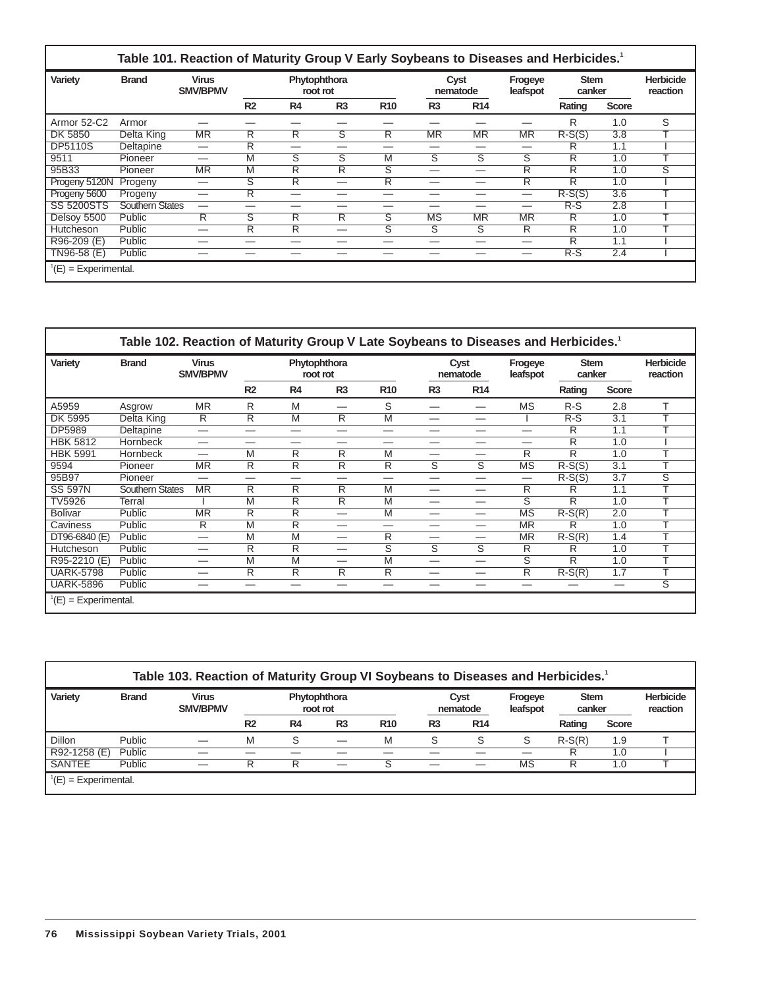| Variety           | <b>Brand</b>    | <b>Virus</b><br><b>SMV/BPMV</b> |                |                         | Phytophthora<br>root rot |            |                | Cyst<br>nematode        | Frogeye<br>leafspot     | <b>Stem</b><br>canker |                  | <b>Herbicide</b><br>reaction |
|-------------------|-----------------|---------------------------------|----------------|-------------------------|--------------------------|------------|----------------|-------------------------|-------------------------|-----------------------|------------------|------------------------------|
|                   |                 |                                 | R <sub>2</sub> | R <sub>4</sub>          | R <sub>3</sub>           | <b>R10</b> | R <sub>3</sub> | R <sub>14</sub>         |                         | Rating                | <b>Score</b>     |                              |
| Armor 52-C2       | Armor           |                                 |                |                         |                          |            |                |                         |                         | R                     | 1.0              | S                            |
| DK 5850           | Delta King      | <b>MR</b>                       | R              | R                       | ड                        | R          | <b>MR</b>      | <b>MR</b>               | <b>MR</b>               | $R-S(S)$              | 3.8              |                              |
| <b>DP5110S</b>    | Deltapine       |                                 | R              | _                       | _                        |            |                | _                       | —                       | R                     | 1.1              |                              |
| 9511              | Pioneer         | --                              | M              | $\overline{\mathsf{s}}$ | $\overline{\mathsf{s}}$  | M          | S              | $\overline{\mathbf{s}}$ | $\overline{\mathbf{s}}$ | R                     | 1.0              |                              |
| 95B33             | Pioneer         | <b>MR</b>                       | M              | $\overline{\mathsf{R}}$ | $\overline{\mathsf{R}}$  | S          |                | --                      | Ŕ                       | R                     | 1.0              | $\overline{\mathsf{s}}$      |
| Progeny 5120N     | Progeny         | -                               | S              | R                       | –                        | R          |                | –                       | R                       | R                     | 1.0              |                              |
| Progeny 5600      | Progeny         |                                 | $\overline{R}$ | --                      | --                       |            |                | _                       |                         | $R-S(S)$              | $\overline{3.6}$ | $\overline{\phantom{a}}$     |
| <b>SS 5200STS</b> | Southern States |                                 |                |                         | -                        |            |                | -                       | —                       | $R-S$                 | 2.8              |                              |
| Delsoy 5500       | Public          | R                               | S              | R                       | R                        | S          | <b>MS</b>      | <b>MR</b>               | <b>MR</b>               | R                     | 1.0              |                              |
| Hutcheson         | Public          |                                 | R              | R                       | —                        | S          | S              | S                       | R                       | R                     | 1.0              |                              |
| R96-209 (E)       | Public          | --                              |                |                         |                          |            |                |                         | _                       | R                     | 1.1              |                              |
| TN96-58 (E)       | Public          |                                 |                |                         |                          |            |                |                         |                         | $R-S$                 | 2.4              |                              |

| Variety          | <b>Brand</b>           | <b>Virus</b><br><b>SMV/BPMV</b> |                         |                         | Phytophthora<br>root rot |                         |                          | Cyst<br>nematode | Frogeye<br>leafspot              | <b>Stem</b><br>canker |              | <b>Herbicide</b><br>reaction |
|------------------|------------------------|---------------------------------|-------------------------|-------------------------|--------------------------|-------------------------|--------------------------|------------------|----------------------------------|-----------------------|--------------|------------------------------|
|                  |                        |                                 | R <sub>2</sub>          | R4                      | R <sub>3</sub>           | <b>R10</b>              | R <sub>3</sub>           | R <sub>14</sub>  |                                  | Rating                | <b>Score</b> |                              |
| A5959            | Asgrow                 | <b>MR</b>                       | R                       | M                       | --                       | S                       |                          | --               | <b>MS</b>                        | $R-S$                 | 2.8          | T                            |
| DK 5995          | Delta King             | R                               | R                       | M                       | R                        | M                       | --                       |                  |                                  | $R-S$                 | 3.1          | $\mathbf$                    |
| <b>DP5989</b>    | Deltapine              | —                               |                         | --                      | _                        | _                       |                          | _                | —                                | R                     | 1.1          | ᠇                            |
| <b>HBK 5812</b>  | <b>Hornbeck</b>        | –                               |                         |                         | –                        |                         |                          | --               | _                                | R                     | 1.0          |                              |
| <b>HBK 5991</b>  | <b>Hornbeck</b>        | —                               | M                       | R                       | R                        | M                       |                          | —                | R                                | R                     | 1.0          | ᠇                            |
| 9594             | Pioneer                | <b>MR</b>                       | $\overline{R}$          | $\overline{R}$          | R                        | R                       | S                        | S                | <b>MS</b>                        | $R-S(S)$              | 3.1          | ᠇                            |
| 95B97            | Pioneer                | —                               | —                       | --                      | —                        |                         |                          | —                | $\overbrace{\phantom{12322111}}$ | $R-S(S)$              | 3.7          | $\overline{\mathsf{s}}$      |
| <b>SS 597N</b>   | <b>Southern States</b> | <b>MR</b>                       | R                       | R                       | R                        | M                       | --                       |                  | R                                | R                     | 1.1          | $\mathbf \tau$               |
| <b>TV5926</b>    | Terral                 |                                 | M                       | R                       | R                        | M                       | —                        | –                | S                                | R                     | 1.0          | ᠇                            |
| <b>Bolivar</b>   | Public                 | $\overline{\text{MR}}$          | $\overline{\mathsf{R}}$ | $\overline{\mathsf{R}}$ | —                        | M                       | --                       | —                | MS                               | $R-S(R)$              | 2.0          | ᅮ                            |
| Caviness         | Public                 | R                               | M                       | R                       | —                        |                         |                          | —                | <b>MR</b>                        | R                     | 1.0          | $\mathbf$                    |
| DT96-6840 (E)    | Public                 | —                               | M                       | M                       | —                        | R                       |                          | —                | <b>MR</b>                        | $R-S(R)$              | 1.4          | ᠇                            |
| Hutcheson        | Public                 | —                               | R                       | R                       | —                        | $\overline{\mathsf{s}}$ | $\overline{\mathsf{s}}$  | S                | R                                | R                     | 1.0          |                              |
| R95-2210 (E)     | Public                 | --                              | M                       | M                       | —                        | M                       | $\overline{\phantom{0}}$ | —                | S                                | R                     | 1.0          | ᠇                            |
| <b>UARK-5798</b> | Public                 | —                               | R                       | $\overline{\mathsf{R}}$ | R                        | R                       |                          | —                | $\overline{R}$                   | $R-S(R)$              | 1.7          | т                            |
| <b>UARK-5896</b> | Public                 | –                               |                         |                         | –                        |                         |                          | --               |                                  |                       | —            | $\overline{\mathsf{s}}$      |

| Variety       | <b>Brand</b>  | <b>Virus</b><br><b>SMV/BPMV</b> |                |                | Phytophthora<br>root rot |            |                | Cyst<br>nematode | Frogeye<br>leafspot | <b>Stem</b><br>canker |              | <b>Herbicide</b><br>reaction |
|---------------|---------------|---------------------------------|----------------|----------------|--------------------------|------------|----------------|------------------|---------------------|-----------------------|--------------|------------------------------|
|               |               |                                 | R <sub>2</sub> | R <sub>4</sub> | R <sub>3</sub>           | <b>R10</b> | R <sub>3</sub> | <b>R14</b>       |                     | Rating                | <b>Score</b> |                              |
| Dillon        | <b>Public</b> |                                 | M              | S              |                          | M          | S              | S                | S                   | $R-S(R)$              | 1.9          |                              |
| R92-1258 (E)  | Public        |                                 |                |                |                          |            |                |                  |                     | R                     | 1.0          |                              |
| <b>SANTEE</b> | Public        |                                 | R              | R              |                          | S          |                |                  | <b>MS</b>           | R                     | 1.0          |                              |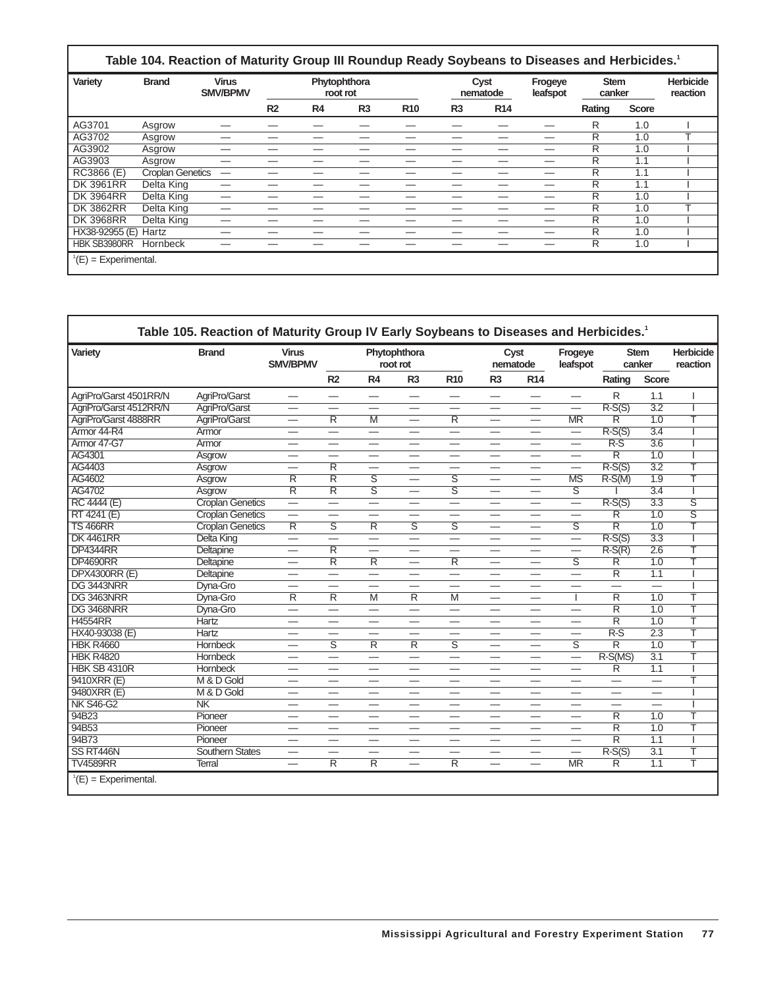| <b>Virus</b><br><b>Brand</b><br>Phytophthora<br><b>SMV/BPMV</b><br>root rot |  |                         |           |                | Frogeye<br>leafspot |                |                 | <b>Herbicide</b><br>reaction |        |              |                                                                                                                                    |
|-----------------------------------------------------------------------------|--|-------------------------|-----------|----------------|---------------------|----------------|-----------------|------------------------------|--------|--------------|------------------------------------------------------------------------------------------------------------------------------------|
|                                                                             |  | R <sub>2</sub>          | <b>R4</b> | R <sub>3</sub> | <b>R10</b>          | R <sub>3</sub> | R <sub>14</sub> |                              | Rating | <b>Score</b> |                                                                                                                                    |
| Asgrow                                                                      |  |                         |           |                |                     |                |                 |                              | R      | 1.0          |                                                                                                                                    |
| Asgrow                                                                      |  |                         |           |                |                     |                |                 |                              | R      | 1.0          |                                                                                                                                    |
| Asgrow                                                                      |  |                         |           |                |                     |                |                 |                              | R      | 1.0          |                                                                                                                                    |
| Asgrow                                                                      |  |                         |           |                |                     |                |                 |                              | R      | 1.1          |                                                                                                                                    |
|                                                                             |  |                         |           |                |                     |                |                 |                              | R      | 1.1          |                                                                                                                                    |
| Delta King                                                                  |  |                         |           |                |                     |                |                 |                              | R      | 1.1          |                                                                                                                                    |
| Delta King                                                                  |  |                         |           |                |                     |                |                 |                              | R      | 1.0          |                                                                                                                                    |
| Delta King                                                                  |  |                         |           |                |                     |                |                 |                              | R      | 1.0          |                                                                                                                                    |
| Delta King                                                                  |  |                         |           |                |                     |                |                 |                              | R      | 1.0          |                                                                                                                                    |
|                                                                             |  | <b>Croplan Genetics</b> |           |                |                     |                |                 | Cyst<br>nematode             |        |              | Table 104. Reaction of Maturity Group III Roundup Ready Soybeans to Diseases and Herbicides. <sup>1</sup><br><b>Stem</b><br>canker |

HX38-92955 (E) Hartz — — — — — — — — R 1.0 I HBK SB3980RR Hornbeck — — — — — — — — R 1.0 I

 $^1$ (E) = Experimental.

| Variety                | <b>Brand</b>            | <b>Virus</b><br><b>SMV/BPMV</b> |                                |                          | Phytophthora<br>root rot        |                          |                          | Cyst<br>nematode                | Frogeye<br>leafspot      |                          | <b>Stem</b><br>canker    | <b>Herbicide</b><br>reaction |
|------------------------|-------------------------|---------------------------------|--------------------------------|--------------------------|---------------------------------|--------------------------|--------------------------|---------------------------------|--------------------------|--------------------------|--------------------------|------------------------------|
|                        |                         |                                 | R <sub>2</sub>                 | R4                       | R <sub>3</sub>                  | <b>R10</b>               | R <sub>3</sub>           | R <sub>14</sub>                 |                          | Rating                   | <b>Score</b>             |                              |
| AgriPro/Garst 4501RR/N | AgriPro/Garst           | $\overbrace{\phantom{1232211}}$ |                                | $\overline{\phantom{0}}$ |                                 | $\overline{\phantom{0}}$ | $\overline{\phantom{0}}$ |                                 | $\overline{\phantom{0}}$ | R                        | 1.1                      |                              |
| AgriPro/Garst 4512RR/N | AgriPro/Garst           | $\hspace{0.05cm}$               |                                |                          | $\hspace{0.1mm}-\hspace{0.1mm}$ |                          | —                        | $\hspace{0.05cm}$               | $\overline{\phantom{0}}$ | $R-S(S)$                 | $\overline{3.2}$         |                              |
| AgriPro/Garst 4888RR   | AgriPro/Garst           | $\overline{\phantom{0}}$        | $\overline{R}$                 | M                        | $\hspace{0.05cm}$               | $\overline{\mathsf{R}}$  | $\overline{\phantom{0}}$ | $\overline{\phantom{0}}$        | <b>MR</b>                | R                        | 1.0                      | т                            |
| Armor 44-R4            | Armor                   | -                               |                                | $\overline{\phantom{0}}$ |                                 | $\overline{\phantom{0}}$ |                          |                                 |                          | $R-S(S)$                 | $\overline{3.4}$         |                              |
| Armor 47-G7            | Armor                   | <u>.</u>                        |                                | —                        |                                 |                          | —                        |                                 | —                        | $R-S$                    | 3.6                      |                              |
| AG4301                 | Asgrow                  |                                 |                                |                          |                                 |                          |                          |                                 |                          | $\overline{\mathsf{R}}$  | $\overline{1.0}$         |                              |
| AG4403                 | Asgrow                  |                                 | $\overline{\mathsf{R}}$        | $\overline{\phantom{0}}$ |                                 |                          | $\overline{\phantom{0}}$ |                                 | —                        | $R-S(S)$                 | $\overline{3.2}$         | T                            |
| AG4602                 | Asgrow                  | R                               | R                              | S                        |                                 | S                        |                          |                                 | MS                       | $R-S(M)$                 | $\overline{1.9}$         | T                            |
| AG4702                 | Asgrow                  | $\overline{\mathsf{R}}$         | $\overline{\mathsf{R}}$        | $\overline{\mathsf{s}}$  | $\overline{\phantom{0}}$        | $\overline{s}$           | —                        |                                 | ड                        |                          | $\overline{3.4}$         |                              |
| RC 4444 (E)            | <b>Croplan Genetics</b> | $\overline{\phantom{0}}$        | $\overline{\phantom{0}}$       | $\overline{\phantom{0}}$ |                                 | $\overline{\phantom{0}}$ | —                        |                                 | $\equiv$                 | $R-S(S)$                 | 3.3                      | $\overline{\mathsf{s}}$      |
| RT 4241 (E)            | <b>Croplan Genetics</b> | $\overline{\phantom{0}}$        |                                | —                        |                                 |                          | —                        | -                               | —<br>—                   | R                        | $\overline{1.0}$         | S                            |
| <b>TS 466RR</b>        | <b>Croplan Genetics</b> | $\overline{\mathsf{R}}$         | $\overline{\mathsf{s}}$        | $\overline{\mathsf{R}}$  | $\overline{\mathsf{s}}$         | $\overline{\mathsf{s}}$  |                          |                                 | $\overline{\mathsf{s}}$  | $\overline{\mathsf{R}}$  | 1.0                      | Ŧ                            |
| <b>DK4461RR</b>        | <b>Delta King</b>       | $\overline{\phantom{0}}$        |                                | $\overline{\phantom{0}}$ | $\overline{\phantom{0}}$        |                          |                          |                                 | $\overline{\phantom{0}}$ | $R-S(S)$                 | $\overline{3.3}$         | ı                            |
| <b>DP4344RR</b>        | Deltapine               | $\overline{\phantom{0}}$        | R                              |                          |                                 |                          |                          |                                 | —                        | $R-S(R)$                 | $\overline{2.6}$         | T                            |
| <b>DP4690RR</b>        | Deltapine               |                                 | $\overline{\mathsf{R}}$        | $\overline{\mathsf{R}}$  | $\overline{\phantom{0}}$        | $\overline{\mathsf{R}}$  |                          |                                 | $\overline{\mathsf{s}}$  | $\overline{\mathsf{R}}$  | 1.0                      | T                            |
| <b>DPX4300RR (E)</b>   | Deltapine               | $\overline{\phantom{0}}$        |                                | $\overline{\phantom{0}}$ | $\overline{\phantom{0}}$        | $\equiv$                 | ÷.                       | $\overline{\phantom{0}}$        | $\overline{\phantom{0}}$ | $\overline{\mathsf{R}}$  | $\overline{1.1}$         |                              |
| DG 3443NRR             | Dvna-Gro                | -                               | —                              | —                        | $\hspace{0.05cm}$               |                          | —                        | $\hspace{0.1mm}-\hspace{0.1mm}$ | —                        | $\overline{\phantom{0}}$ | $\overline{\phantom{0}}$ |                              |
| DG 3463NRR             | Dyna-Gro                | $\overline{\mathsf{R}}$         | $\overline{\mathsf{R}}$        | M                        | R                               | M                        | $\overline{\phantom{0}}$ |                                 | 1                        | $\overline{\mathsf{R}}$  | 1.0                      | T                            |
| DG 3468NRR             | Dvna-Gro                |                                 | $\qquad \qquad \longleftarrow$ | $\overline{\phantom{0}}$ | $\hspace{0.05cm}$               | -                        | —                        | $\qquad \qquad$                 |                          | $\overline{\mathsf{R}}$  | $\overline{1.0}$         | T                            |
| <b>H4554RR</b>         | Hartz                   |                                 |                                |                          |                                 |                          |                          |                                 |                          | $\overline{\mathsf{R}}$  | 1.0                      | Ŧ                            |
| HX40-93038 (E)         | <b>Hartz</b>            |                                 |                                |                          |                                 |                          | –                        |                                 | -                        | $R-S$                    | $\overline{2.3}$         | T                            |
| <b>HBK R4660</b>       | <b>Hornbeck</b>         | $\overline{\phantom{0}}$        | $\overline{\mathsf{s}}$        | $\overline{\mathsf{R}}$  | $\overline{\mathsf{R}}$         | $\overline{\mathsf{s}}$  | $\overline{\phantom{0}}$ |                                 | ङ                        | $\overline{\mathsf{R}}$  | 1.0                      | T                            |
| <b>HBK R4820</b>       | <b>Hornbeck</b>         |                                 |                                |                          |                                 | -                        |                          |                                 | -                        | $R-S(MS)$                | $\overline{3.1}$         | T                            |
| <b>HBK SB 4310R</b>    | <b>Hornbeck</b>         | —                               | $\overline{\phantom{0}}$       | $\overline{\phantom{0}}$ |                                 | $\overline{\phantom{0}}$ |                          | $\overline{\phantom{0}}$        | $\overline{\phantom{0}}$ | $\overline{\mathsf{R}}$  | $\overline{1.1}$         |                              |
| 9410XRR (E)            | M & D Gold              |                                 |                                | –                        |                                 |                          |                          |                                 |                          |                          | -                        | T                            |
| 9480XRR (E)            | M & D Gold              | $\overline{\phantom{0}}$        |                                | —                        |                                 |                          | —                        | $\overline{\phantom{0}}$        |                          | —                        | $\overline{\phantom{0}}$ |                              |
| <b>NK S46-G2</b>       | N <sub>K</sub>          |                                 | –                              |                          |                                 | –                        |                          |                                 | —                        |                          |                          |                              |
| 94B23                  | Pioneer                 |                                 |                                |                          |                                 |                          |                          |                                 |                          | $\overline{\mathsf{R}}$  | $\overline{1.0}$         | T                            |
| 94B53                  | Pioneer                 |                                 |                                | -                        |                                 |                          | -                        |                                 |                          | $\overline{\mathsf{R}}$  | $\overline{1.0}$         | Ŧ                            |
| 94B73                  | Pioneer                 |                                 |                                | $\overline{\phantom{a}}$ |                                 |                          |                          |                                 |                          | $\overline{\mathsf{R}}$  | 1.1                      |                              |
| SS RT446N              | <b>Southern States</b>  | -                               |                                |                          |                                 |                          | —                        |                                 | $\overline{\phantom{0}}$ | $R-S(S)$                 | $\overline{3.1}$         | т                            |
| <b>TV4589RR</b>        | <b>Terral</b>           | $\overline{\phantom{0}}$        | R                              | $\overline{\mathsf{R}}$  | $\overline{\phantom{0}}$        | $\overline{R}$           | $\overline{\phantom{0}}$ | $\overline{\phantom{0}}$        | <b>MR</b>                | $\overline{R}$           | 1.1                      | T                            |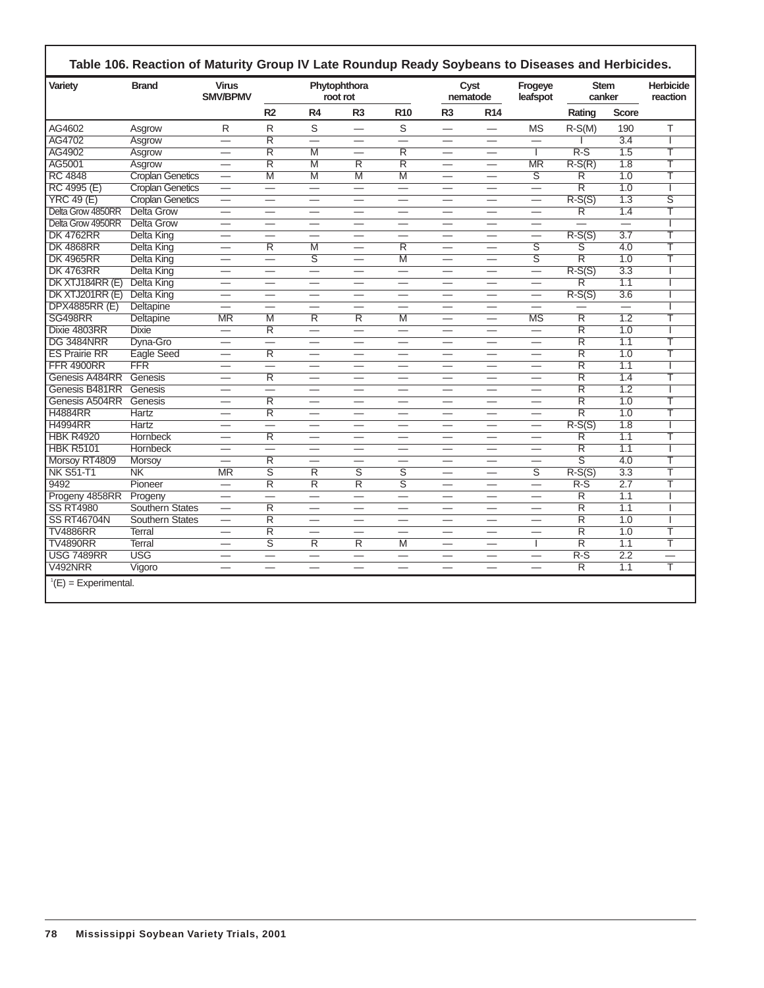| Variety              | <b>Brand</b>            | <b>Virus</b><br><b>SMV/BPMV</b> |                          |                          | Phytophthora<br>root rot |                          |                                 | Cyst<br>nematode         | Frogeye<br>leafspot      | <b>Stem</b><br>canker    |                          | <b>Herbicide</b><br>reaction |
|----------------------|-------------------------|---------------------------------|--------------------------|--------------------------|--------------------------|--------------------------|---------------------------------|--------------------------|--------------------------|--------------------------|--------------------------|------------------------------|
|                      |                         |                                 | R <sub>2</sub>           | R <sub>4</sub>           | R <sub>3</sub>           | <b>R10</b>               | R <sub>3</sub>                  | <b>R14</b>               |                          | Rating                   | <b>Score</b>             |                              |
| AG4602               | Asgrow                  | R                               | R                        | S                        | $\overline{\phantom{0}}$ | S                        |                                 | $\overline{\phantom{0}}$ | <b>MS</b>                | $R-S(M)$                 | 190                      | T                            |
| AG4702               | Asgrow                  | $\overline{\phantom{0}}$        | $\overline{\mathsf{R}}$  | $\overline{\phantom{0}}$ |                          | $\overline{\phantom{0}}$ |                                 |                          | $\equiv$                 |                          | $\overline{3.4}$         |                              |
| AG4902               | Asgrow                  | $\overline{\phantom{0}}$        | $\overline{\mathsf{R}}$  | $\overline{M}$           |                          | $\overline{\mathsf{R}}$  | $\overline{\phantom{0}}$        | $\overline{\phantom{0}}$ | I                        | $R-S$                    | 1.5                      | Т                            |
| AG5001               | Asgrow                  | $\overline{\phantom{0}}$        | $\overline{\mathsf{R}}$  | $\overline{M}$           | R                        | $\overline{R}$           | $\overline{\phantom{0}}$        |                          | <b>MR</b>                | $R-S(R)$                 | $\overline{1.8}$         | Т                            |
| <b>RC 4848</b>       | <b>Croplan Genetics</b> | $\overline{\phantom{0}}$        | M                        | $\overline{M}$           | $\overline{\mathsf{M}}$  | M                        |                                 | $\overline{\phantom{0}}$ | $\overline{\mathsf{s}}$  | R                        | $\overline{1.0}$         | т                            |
| RC 4995 (E)          | <b>Croplan Genetics</b> |                                 | $\equiv$                 | $\overline{\phantom{0}}$ |                          | $\overline{\phantom{0}}$ |                                 | $\overline{\phantom{0}}$ | $\qquad \qquad -$        | $\overline{\mathsf{R}}$  | 1.0                      |                              |
| $YRC$ 49 $(E)$       | <b>Croplan Genetics</b> |                                 |                          |                          |                          |                          |                                 |                          |                          | $R-S(S)$                 | 1.3                      | $\overline{\mathsf{s}}$      |
| Delta Grow 4850RR    | <b>Delta Grow</b>       |                                 |                          |                          |                          |                          |                                 |                          |                          | $\overline{\mathsf{R}}$  | 1.4                      | T                            |
| Delta Grow 4950RR    | <b>Delta Grow</b>       | $\overline{\phantom{0}}$        | $\equiv$                 |                          |                          | $\overline{\phantom{0}}$ |                                 | $\overline{\phantom{0}}$ | $\qquad \qquad$          |                          | $\overline{\phantom{0}}$ |                              |
| <b>DK 4762RR</b>     | <b>Delta King</b>       |                                 |                          |                          | $\overline{\phantom{m}}$ |                          |                                 |                          |                          | $R-S(S)$                 | $\overline{3.7}$         | T                            |
| <b>DK 4868RR</b>     | <b>Delta King</b>       |                                 | $\overline{\mathsf{R}}$  | $\overline{M}$           |                          | $\overline{R}$           |                                 | $\overline{\phantom{0}}$ | $\overline{\mathsf{s}}$  | $\overline{\mathsf{s}}$  | 4.0                      | т                            |
| <b>DK 4965RR</b>     | <b>Delta King</b>       |                                 | $\overline{\phantom{0}}$ | ड                        |                          | $\overline{M}$           |                                 |                          | ड                        | $\overline{\mathsf{R}}$  | 1.0                      |                              |
| <b>DK 4763RR</b>     | <b>Delta King</b>       | $\overline{\phantom{0}}$        | $\overline{\phantom{0}}$ | $\overline{\phantom{0}}$ |                          | $\equiv$                 |                                 |                          | $\qquad \qquad -$        | $R-S(S)$                 | $\overline{3.3}$         |                              |
| DK XTJ184RR (E)      | Delta King              |                                 | $\overline{\phantom{0}}$ | $\overline{\phantom{0}}$ |                          | —                        |                                 |                          |                          | $\overline{\mathsf{R}}$  | 1.1                      |                              |
| DK XTJ201RR (E)      | Delta King              |                                 |                          | $\overline{\phantom{0}}$ |                          |                          |                                 |                          | $\overline{\phantom{0}}$ | $R-S(S)$                 | $\overline{3.6}$         |                              |
| <b>DPX4885RR (E)</b> | Deltapine               | $\qquad \qquad$                 | $\overline{\phantom{0}}$ | $\overline{\phantom{0}}$ | $\overline{\phantom{0}}$ | $\overline{\phantom{0}}$ | $\overline{\phantom{0}}$        | —                        | $\overline{\phantom{0}}$ | $\overline{\phantom{0}}$ | $\equiv$                 |                              |
| <b>SG498RR</b>       | Deltapine               | <b>MR</b>                       | M                        | R                        | $\overline{\mathsf{R}}$  | M                        |                                 |                          | <b>MS</b>                | $\overline{\mathsf{R}}$  | 1.2                      | т                            |
| Dixie 4803RR         | <b>Dixie</b>            | $\qquad \qquad -$               | $\overline{\mathsf{R}}$  | $\qquad \qquad -$        |                          | $\overline{\phantom{0}}$ |                                 |                          | $\qquad \qquad -$        | $\overline{\mathsf{R}}$  | $\overline{1.0}$         |                              |
| <b>DG 3484NRR</b>    | Dvna-Gro                |                                 | $\overline{\phantom{0}}$ |                          |                          | $\overline{\phantom{0}}$ |                                 |                          | $\overline{\phantom{0}}$ | $\overline{\mathsf{R}}$  | 1.1                      | Τ                            |
| <b>ES Prairie RR</b> | Eagle Seed              |                                 | $\overline{\mathsf{R}}$  |                          |                          |                          |                                 |                          |                          | $\overline{\mathsf{R}}$  | 1.0                      | т                            |
| FFR 4900RR           | <b>FFR</b>              |                                 | $\overline{\phantom{0}}$ | $\overline{\phantom{0}}$ | -                        | $\overline{\phantom{0}}$ | $\hspace{0.05cm}$               | $\overline{\phantom{0}}$ | —                        | $\overline{\mathsf{R}}$  | 1.1                      |                              |
| Genesis A484RR       | Genesis                 |                                 | $\overline{R}$           |                          |                          | $\overline{\phantom{0}}$ |                                 |                          |                          | $\overline{\mathsf{R}}$  | 1.4                      | T                            |
| Genesis B481RR       | Genesis                 | $\overline{\phantom{0}}$        | $\overline{\phantom{0}}$ | $\overline{\phantom{0}}$ |                          | $\overline{\phantom{0}}$ |                                 | $\overline{\phantom{0}}$ | $\overline{\phantom{0}}$ | $\overline{\mathsf{R}}$  | $\overline{1.2}$         |                              |
| Genesis A504RR       | Genesis                 |                                 | $\overline{\mathsf{R}}$  |                          |                          | $\equiv$                 | $\overbrace{\phantom{1232211}}$ | $\overline{\phantom{0}}$ | $\qquad \qquad$          | $\overline{\mathsf{R}}$  | 1.0                      |                              |
| <b>H4884RR</b>       | Hartz                   |                                 | $\overline{R}$           |                          |                          | $\overline{\phantom{0}}$ |                                 | ▃                        | $\overline{\phantom{0}}$ | $\overline{R}$           | 1.0                      | т                            |
| <b>H4994RR</b>       | Hartz                   |                                 | $\overline{\phantom{0}}$ | $\overline{\phantom{0}}$ | $\overline{\phantom{0}}$ | $\overline{\phantom{0}}$ |                                 |                          | $\overline{\phantom{0}}$ | $R-S(S)$                 | 1.8                      |                              |
| <b>HBK R4920</b>     | Hornbeck                |                                 | $\overline{\mathsf{R}}$  | $\overline{\phantom{0}}$ |                          |                          |                                 |                          |                          | R                        | 1.1                      | T                            |
| <b>HBK R5101</b>     | <b>Hornbeck</b>         |                                 | $\overline{\phantom{0}}$ |                          |                          | $\overline{\phantom{0}}$ |                                 |                          |                          | $\overline{\mathsf{R}}$  | 1.1                      |                              |
| Morsoy RT4809        | <b>Morsov</b>           |                                 | $\overline{\mathsf{R}}$  |                          | $\overline{\phantom{m}}$ |                          |                                 | $\overline{\phantom{0}}$ | $\overline{\phantom{0}}$ | $\overline{\mathsf{s}}$  | $\overline{4.0}$         | T                            |
| <b>NK S51-T1</b>     | NK.                     | <b>MR</b>                       | ड                        | $\overline{\mathsf{R}}$  | ड                        | ड                        |                                 | $\overline{\phantom{0}}$ | ड                        | $R-S(S)$                 | 3.3                      | Т                            |
| 9492                 | Pioneer                 |                                 | $\overline{\mathsf{R}}$  | $\overline{\mathsf{R}}$  | $\overline{\mathsf{R}}$  | $\overline{\mathsf{s}}$  |                                 |                          | $\overline{\phantom{0}}$ | $R-S$                    | $\overline{2.7}$         | т                            |
| Progeny 4858RR       | Progeny                 | $\overline{\phantom{0}}$        | $\overline{\phantom{0}}$ |                          |                          | $\equiv$                 | $\overline{\phantom{0}}$        | $\overline{\phantom{0}}$ | $\qquad \qquad$          | $\overline{\mathsf{R}}$  | 1.1                      |                              |
| <b>SS RT4980</b>     | <b>Southern States</b>  |                                 | $\overline{\mathsf{R}}$  |                          | $\overline{\phantom{0}}$ |                          |                                 |                          |                          | $\overline{\mathsf{R}}$  | 1.1                      |                              |
| <b>SS RT46704N</b>   | <b>Southern States</b>  |                                 | $\overline{R}$           | $\qquad \qquad$          | $\overline{\phantom{0}}$ | $\overline{\phantom{0}}$ | $\overline{\phantom{0}}$        | $\overline{\phantom{0}}$ | $\equiv$                 | $\overline{R}$           | 1.0                      |                              |
| <b>TV4886RR</b>      | Terral                  |                                 | $\overline{\mathsf{R}}$  |                          | $\overline{\phantom{0}}$ | $\overline{\phantom{0}}$ |                                 | —                        | $\overline{\phantom{0}}$ | $\overline{\mathsf{R}}$  | 1.0                      | Т                            |
| <b>TV4890RR</b>      | <b>Terral</b>           |                                 | $\overline{\mathsf{s}}$  | $\overline{\mathsf{R}}$  | $\overline{\mathsf{R}}$  | $\overline{M}$           |                                 |                          | $\mathbf{I}$             | $\overline{\mathsf{R}}$  | $\overline{1.1}$         | Ŧ                            |
| <b>USG 7489RR</b>    | <b>USG</b>              |                                 | $\overline{\phantom{0}}$ |                          |                          | $\overline{\phantom{0}}$ |                                 | $\overline{\phantom{0}}$ |                          | $R-S$                    | 2.2                      |                              |
| V492NRR              | Vigoro                  |                                 |                          |                          |                          |                          |                                 |                          |                          | $\overline{\mathsf{R}}$  | 1.1                      | т                            |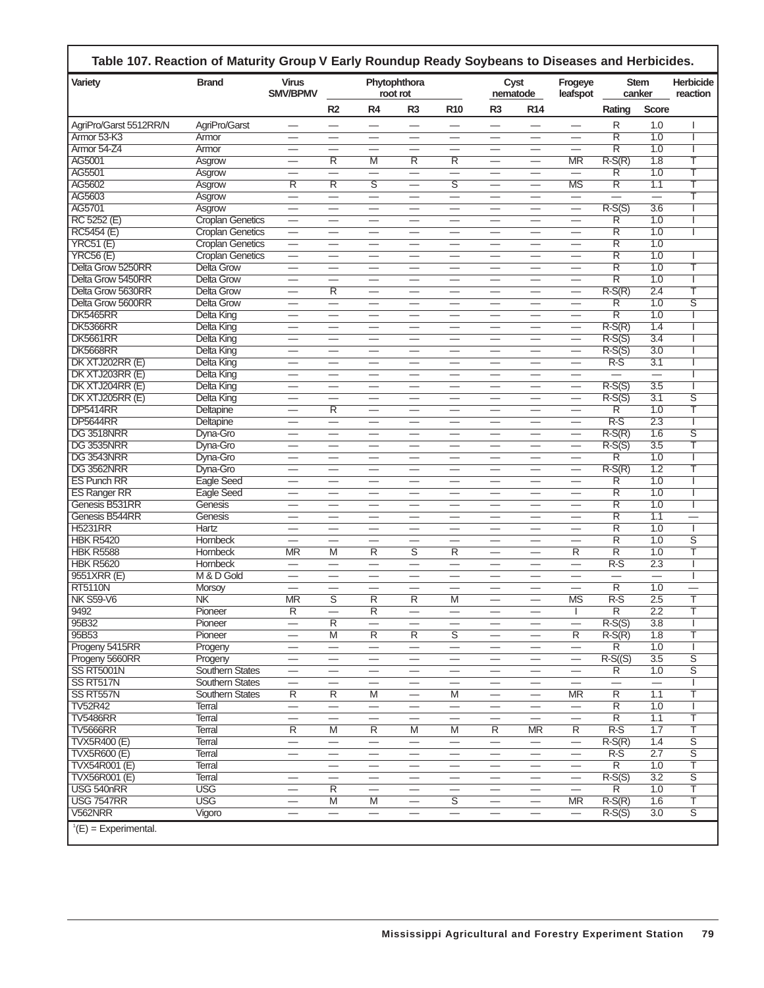| <b>Variety</b>         | <b>Brand</b>            | <b>Virus</b><br><b>SMV/BPMV</b>  |                          |                          | Phytophthora<br>root rot        |                          |                                | Cyst<br>nematode                 | Frogeye<br>leafspot            |                          | <b>Stem</b><br>canker | <b>Herbicide</b><br>reaction |
|------------------------|-------------------------|----------------------------------|--------------------------|--------------------------|---------------------------------|--------------------------|--------------------------------|----------------------------------|--------------------------------|--------------------------|-----------------------|------------------------------|
|                        |                         |                                  | R2                       | R <sub>4</sub>           | R <sub>3</sub>                  | R <sub>10</sub>          | R <sub>3</sub>                 | R <sub>14</sub>                  |                                | Rating                   | <b>Score</b>          |                              |
| AgriPro/Garst 5512RR/N | AgriPro/Garst           |                                  |                          |                          |                                 | —                        |                                |                                  | —                              | R                        | 1.0                   |                              |
| Armor 53-K3            | Armor                   |                                  |                          |                          |                                 |                          |                                |                                  |                                | $\overline{\mathsf{R}}$  | 1.0                   |                              |
| Armor 54-Z4            | Armor                   | $\qquad \qquad \longleftarrow$   |                          | $\overline{\phantom{0}}$ |                                 |                          |                                | $\qquad \qquad \longleftarrow$   | $\overline{\phantom{0}}$       | $\overline{\mathsf{R}}$  | 1.0                   |                              |
| AG5001                 | Asgrow                  |                                  | R                        | M                        | R                               | R                        |                                |                                  | <b>MR</b>                      | $R-S(R)$                 | $\overline{1.8}$      | Τ                            |
| AG5501                 | Asgrow                  |                                  | $\overline{\phantom{0}}$ | $\overline{\phantom{0}}$ | $\overline{\phantom{0}}$        | $\overline{\phantom{0}}$ | $\overline{\phantom{0}}$       |                                  | $\equiv$                       | $\overline{\mathsf{R}}$  | 1.0                   | т                            |
| AG5602                 | Asgrow                  | $\overline{\mathsf{R}}$          | $\overline{\mathsf{R}}$  | $\overline{\mathsf{s}}$  | $\overline{\phantom{0}}$        | $\overline{\mathsf{s}}$  | $\overline{\phantom{0}}$       |                                  | <b>MS</b>                      | $\overline{\mathsf{R}}$  | 1.1                   | T                            |
| AG5603                 | Asgrow                  | $\overline{\phantom{0}}$         |                          | $\equiv$                 | $\overline{\phantom{0}}$        | $\overline{\phantom{0}}$ |                                |                                  | $\qquad \qquad$                |                          | $\equiv$              | Τ                            |
| AG5701                 | Asgrow                  |                                  |                          |                          |                                 |                          |                                |                                  | $\overline{\phantom{0}}$       | $R-S(S)$                 | 3.6                   |                              |
| RC 5252 (E)            | <b>Croplan Genetics</b> | $\overline{\phantom{0}}$         |                          | $\overline{\phantom{0}}$ |                                 | $\overline{\phantom{0}}$ | $\overline{\phantom{0}}$       | $\overline{\phantom{0}}$         | $\overline{\phantom{0}}$       | $\overline{\mathsf{R}}$  | 1.0                   |                              |
| <b>RC5454 (E)</b>      | <b>Croplan Genetics</b> | $\overbrace{\phantom{13333}}$    | $\overline{\phantom{0}}$ | $\overline{\phantom{0}}$ | $\qquad \qquad \longleftarrow$  |                          | $\qquad \qquad -$              |                                  | $\qquad \qquad \longleftarrow$ | R                        | 1.0                   |                              |
| <b>YRC51 (E)</b>       | <b>Croplan Genetics</b> | $\overline{\phantom{0}}$         |                          | $\overline{\phantom{0}}$ |                                 |                          | $\overline{\phantom{0}}$       |                                  |                                | $\overline{\mathsf{R}}$  | 1.0                   |                              |
| <b>YRC56 (E)</b>       | Croplan Genetics        |                                  | $\qquad \qquad -$        |                          |                                 | $\qquad \qquad -$        |                                |                                  | $\qquad \qquad$                | $\overline{\mathsf{R}}$  | 1.0                   |                              |
| Delta Grow 5250RR      | <b>Delta Grow</b>       | $\qquad \qquad \longleftarrow$   | —                        | $\qquad \qquad$          | $\overline{\phantom{0}}$        |                          | $\overline{\phantom{0}}$       |                                  |                                | $\overline{\mathsf{R}}$  | 1.0                   | Τ                            |
| Delta Grow 5450RR      | <b>Delta Grow</b>       |                                  |                          |                          |                                 |                          |                                |                                  |                                | $\overline{\mathsf{R}}$  | 1.0                   |                              |
| Delta Grow 5630RR      | Delta Grow              |                                  | $\overline{\mathsf{R}}$  | $\qquad \qquad$          |                                 |                          |                                |                                  |                                | $R-S(R)$                 | 2.4                   | T                            |
| Delta Grow 5600RR      | Delta Grow              |                                  |                          |                          |                                 |                          |                                |                                  | $\qquad \qquad$                | R                        | 1.0                   | $\overline{s}$               |
| <b>DK5465RR</b>        | Delta King              | $\overbrace{\phantom{12322111}}$ | $\overline{\phantom{0}}$ | $\overline{\phantom{0}}$ | $\overbrace{\phantom{1232211}}$ |                          | $\overline{\phantom{0}}$       |                                  | $\overline{\phantom{0}}$       | $\overline{\mathsf{R}}$  | 1.0                   |                              |
| <b>DK5366RR</b>        | <b>Delta King</b>       |                                  |                          | $\overline{\phantom{0}}$ |                                 |                          | $\overline{\phantom{0}}$       |                                  | $\overline{\phantom{0}}$       | $R-S(R)$                 | 1.4                   |                              |
| <b>DK5661RR</b>        | Delta King              |                                  | —                        |                          |                                 |                          | —                              |                                  |                                | $R-S(S)$                 | 3.4                   |                              |
| <b>DK5668RR</b>        | Delta King              |                                  |                          |                          |                                 |                          |                                |                                  | $\overline{\phantom{0}}$       | $R-S(S)$                 | 3.0                   |                              |
| DK XTJ202RR (E)        | Delta King              |                                  | $\overline{\phantom{0}}$ |                          |                                 |                          |                                |                                  |                                | $R-S$                    | 3.1                   |                              |
| DK XTJ203RR (E)        | Delta King              | $\overline{\phantom{0}}$         |                          | $\overline{\phantom{0}}$ |                                 |                          | $\overline{\phantom{0}}$       | $\overline{\phantom{0}}$         | —                              |                          |                       |                              |
| DK XTJ204RR (E)        | Delta King              |                                  |                          | $\overline{\phantom{0}}$ |                                 |                          | $\overline{\phantom{0}}$       |                                  | $\overline{\phantom{0}}$       | $R-S(S)$                 | 3.5                   |                              |
| DK XTJ205RR (E)        | Delta King              |                                  |                          |                          |                                 | $\qquad \qquad -$        |                                | $\qquad \qquad$                  | $\overbrace{\phantom{12333}}$  | $R-S(S)$                 | 3.1                   | ङ                            |
| <b>DP5414RR</b>        | Deltapine               | $\overline{\phantom{0}}$         | $\overline{R}$           | $\overline{\phantom{0}}$ | —                               | -                        | <u>.</u>                       |                                  | —                              | R                        | 1.0                   | Τ                            |
| <b>DP5644RR</b>        | Deltapine               |                                  | $\overline{\phantom{0}}$ |                          |                                 |                          |                                |                                  |                                | $\overline{R-S}$         | 2.3                   |                              |
| DG 3518NRR             | Dyna-Gro                |                                  |                          | $\overline{\phantom{0}}$ |                                 |                          | $\overline{\phantom{0}}$       |                                  |                                | $R-S(R)$                 | 1.6                   | ड                            |
| DG 3535NRR             | Dyna-Gro                | $\overline{\phantom{0}}$         |                          |                          | —                               |                          |                                |                                  | $\qquad \qquad$                | $R-S(S)$                 | 3.5                   | Ŧ                            |
| DG 3543NRR             | Dyna-Gro                | $\overline{\phantom{0}}$         | $\overline{\phantom{0}}$ | $\overline{\phantom{0}}$ | $\overline{\phantom{0}}$        |                          | $\overline{\phantom{0}}$       | $\overline{\phantom{0}}$         | $\overline{\phantom{0}}$       | $\overline{\mathsf{R}}$  | 1.0                   |                              |
| DG 3562NRR             | Dyna-Gro                |                                  | —                        | $\overline{\phantom{0}}$ |                                 |                          |                                |                                  | $\overline{\phantom{0}}$       | $R-S(R)$                 | 1.2                   | T                            |
| <b>ES Punch RR</b>     | Eagle Seed              |                                  | –                        |                          |                                 | –                        | —                              | —                                | —                              | R                        | 1.0                   |                              |
| <b>ES Ranger RR</b>    | <b>Eagle Seed</b>       |                                  |                          |                          |                                 |                          |                                |                                  |                                | $\overline{\mathsf{R}}$  | 1.0                   |                              |
| Genesis B531RR         | Genesis                 |                                  |                          | $\overline{\phantom{0}}$ | $\overline{\phantom{0}}$        | $\qquad \qquad$          | $\overline{\phantom{0}}$       |                                  | $\overline{\phantom{0}}$       | $\overline{\mathsf{R}}$  | 1.0                   |                              |
| Genesis B544RR         | Genesis                 | $\qquad \qquad \longleftarrow$   |                          | $\qquad \qquad$          |                                 | $\qquad \qquad -$        |                                |                                  | $\overline{\phantom{0}}$       | $\overline{\mathsf{R}}$  | 1.1                   | $\overline{\phantom{0}}$     |
| <b>H5231RR</b>         | Hartz                   |                                  |                          |                          |                                 |                          |                                |                                  |                                | $\overline{\mathsf{R}}$  | 1.0                   |                              |
| <b>HBK R5420</b>       | <b>Hornbeck</b>         | $\overline{\phantom{0}}$         | $\overline{\phantom{0}}$ | $\overline{\phantom{0}}$ | $\overline{\phantom{0}}$        | $\overline{\phantom{0}}$ | $\overline{\phantom{0}}$       |                                  | $\overline{\phantom{0}}$       | $\overline{\mathsf{R}}$  | 1.0                   | ड                            |
| <b>HBK R5588</b>       | <b>Hornbeck</b>         | <b>MR</b>                        | M                        | R                        | S                               | R                        | <u>.</u>                       |                                  | R                              | $\overline{\mathsf{R}}$  | 1.0                   | Т                            |
| <b>HBK R5620</b>       | <b>Hornbeck</b>         | $\overline{\phantom{0}}$         | $\overline{\phantom{0}}$ | $\equiv$                 | $\overline{\phantom{0}}$        | $\overline{\phantom{0}}$ |                                |                                  | $\overline{\phantom{0}}$       | $R-S$                    | 2.3                   |                              |
| 9551XRR (E)            | M & D Gold              |                                  | $\overline{\phantom{0}}$ | $\overline{\phantom{0}}$ | $\overline{\phantom{0}}$        | $\overline{\phantom{0}}$ | $\overline{\phantom{0}}$       |                                  |                                | $\overline{\phantom{0}}$ |                       |                              |
| <b>RT5110N</b>         | Morsoy                  |                                  |                          |                          |                                 |                          | —                              |                                  |                                | $\overline{\mathsf{R}}$  | 1.0                   |                              |
| <b>NK S59-V6</b>       | NK                      | <b>MR</b>                        | $\overline{s}$           | $\overline{\mathsf{R}}$  | $\overline{\mathsf{R}}$         | M                        | $\overline{\phantom{0}}$       | $\overline{\phantom{0}}$         | <b>MS</b>                      | $R-S$                    | 2.5                   | T                            |
| 9492                   | Pioneer                 | ĸ                                |                          | $\overline{R}$           | —                               |                          | –                              |                                  | J.                             | ĸ                        | 2.2                   | T                            |
| 95B32                  | Pioneer                 |                                  | $\overline{R}$           | $\qquad \qquad$          |                                 |                          | $\qquad \qquad$                |                                  |                                | $R-S(S)$                 | 3.8                   |                              |
| 95B53                  | Pioneer                 | $\overline{\phantom{0}}$         | M                        | $\overline{R}$           | $\overline{R}$                  | $\overline{s}$           | $\overline{\phantom{0}}$       |                                  | $\overline{R}$                 | $R-S(R)$                 | 1.8                   | Τ                            |
| Progeny 5415RR         | Progeny                 |                                  |                          |                          |                                 |                          |                                |                                  |                                | R                        | 1.0                   |                              |
| Progeny 5660RR         | Progeny                 | $\overline{\phantom{0}}$         | $\overline{\phantom{m}}$ |                          |                                 | $\overline{\phantom{m}}$ | $\overline{\phantom{0}}$       | $\overline{\phantom{m}}$         | $\overline{\phantom{0}}$       | $R-S( (S)$               | 3.5                   | $\overline{\mathsf{s}}$      |
| <b>SS RT5001N</b>      | <b>Southern States</b>  |                                  |                          |                          |                                 |                          |                                |                                  | $\qquad \qquad$                | $\overline{R}$           | 1.0                   | $\overline{\mathsf{s}}$      |
| SS RT517N              | <b>Southern States</b>  | $\overline{\phantom{0}}$         | $\overline{\phantom{0}}$ | $\overline{\phantom{0}}$ |                                 |                          | $\equiv$                       |                                  | $\overline{\phantom{0}}$       | $=$                      | $=$                   |                              |
| SS RT557N              | <b>Southern States</b>  | $\overline{R}$                   | R                        | M                        | $\qquad \qquad -$               | M                        | $\qquad \qquad \longleftarrow$ |                                  | <b>MR</b>                      | $\overline{R}$           | 1.1                   | Τ                            |
| <b>TV52R42</b>         | Terral                  | $\equiv$                         | $\equiv$                 | $\overline{\phantom{0}}$ | $\overline{\phantom{0}}$        |                          |                                |                                  | $\overline{\phantom{0}}$       | $\overline{\mathsf{R}}$  | 1.0                   |                              |
| <b>TV5486RR</b>        | Terral                  |                                  |                          | $\qquad \qquad$          | $\overline{\phantom{0}}$        |                          |                                | $\equiv$                         | $\qquad \qquad$                | $\overline{R}$           | 1.1                   | Τ                            |
| <b>TV5666RR</b>        | <b>Terral</b>           | $\overline{R}$                   | $\overline{M}$           | $\overline{R}$           | $\overline{M}$                  | $\overline{M}$           | $\overline{R}$                 | <b>MR</b>                        | $\overline{R}$                 | $R-S$                    | 1.7                   | T                            |
| <b>TVX5R400 (E)</b>    | Terral                  | $\overline{\phantom{0}}$         |                          | $\equiv$                 | $\qquad \qquad$                 | $\qquad \qquad -$        | $\overline{\phantom{0}}$       | $\overbrace{\phantom{12322111}}$ | $\overline{\phantom{0}}$       | $R-S(R)$                 | 1.4                   | $\overline{\mathsf{s}}$      |
| <b>TVX5R600 (E)</b>    | <b>Terral</b>           | $\qquad \qquad -$                |                          | —                        | $\qquad \qquad \longleftarrow$  |                          | —                              | $\qquad \qquad \longleftarrow$   | $\overline{\phantom{0}}$       | $R-S$                    | 2.7                   | $\overline{\mathsf{s}}$      |
| TVX54R001 (E)          | Terral                  |                                  |                          |                          |                                 | $\qquad \qquad$          |                                |                                  |                                | $\overline{R}$           | 1.0                   | Τ                            |
| TVX56R001 (E)          | Terral                  |                                  | $\overline{\phantom{0}}$ |                          |                                 |                          |                                |                                  |                                | $R-S(S)$                 | 3.2                   | $\overline{s}$               |
| USG 540nRR             | <b>USG</b>              | $\overline{\phantom{0}}$         | $\overline{\mathsf{R}}$  | $\overline{\phantom{0}}$ |                                 |                          |                                |                                  | $\equiv$                       | $\overline{\mathsf{R}}$  | 1.0                   | T                            |
| <b>USG 7547RR</b>      | <b>USG</b>              | $\overbrace{\phantom{13333}}$    | M                        | $\overline{M}$           | $\overline{\phantom{m}}$        | $\overline{s}$           | $\overline{\phantom{m}}$       | $\overline{\phantom{m}}$         | MR.                            | $R-S(R)$                 | 1.6                   | Τ                            |
| V562NRR                | Vigoro                  |                                  |                          | $\overline{\phantom{0}}$ |                                 |                          |                                | $\qquad \qquad -$                | $\overline{\phantom{m}}$       | $R-S(S)$                 | 3.0                   | $\overline{s}$               |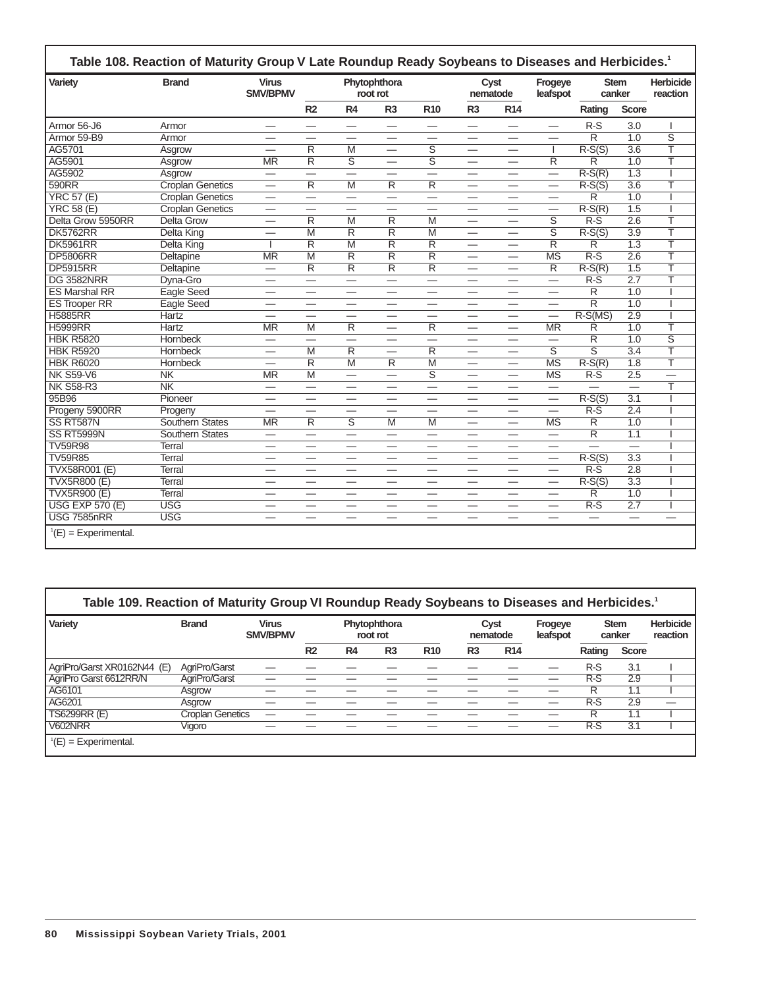| Variety                | <b>Brand</b>            | <b>Virus</b><br><b>SMV/BPMV</b> |                               |                          | Phytophthora<br>root rot        |                          | nematode                 | Cyst                            | Frogeye<br>leafspot      | <b>Stem</b><br>canker    |                  | <b>Herbicide</b><br>reaction |
|------------------------|-------------------------|---------------------------------|-------------------------------|--------------------------|---------------------------------|--------------------------|--------------------------|---------------------------------|--------------------------|--------------------------|------------------|------------------------------|
|                        |                         |                                 | R <sub>2</sub>                | R4                       | R <sub>3</sub>                  | <b>R10</b>               | R <sub>3</sub>           | <b>R14</b>                      |                          | Rating                   | <b>Score</b>     |                              |
| Armor 56-J6            | Armor                   |                                 |                               | —                        | —                               |                          | —                        | —                               |                          | $R-S$                    | 3.0              | I                            |
| Armor 59-B9            | Armor                   |                                 |                               |                          |                                 |                          | —                        |                                 |                          | $\overline{R}$           | 1.0              | $\overline{\mathsf{s}}$      |
| AG5701                 | Asgrow                  | $\overline{\phantom{0}}$        | $\overline{\mathsf{R}}$       | $\overline{M}$           | $\overline{\phantom{0}}$        | $\overline{\mathsf{s}}$  | $\overline{\phantom{0}}$ | $\overline{\phantom{0}}$        | $\mathbf{I}$             | $R-S(S)$                 | $\overline{3.6}$ | T                            |
| AG5901                 | Asgrow                  | $\overline{\text{MR}}$          | R                             | $\overline{\mathsf{s}}$  | $\overline{\phantom{0}}$        | $\overline{\mathsf{s}}$  | $\overline{\phantom{0}}$ |                                 | $\overline{R}$           | $\overline{\mathsf{R}}$  | 1.0              | Ŧ                            |
| AG5902                 | Asgrow                  | $\overline{\phantom{0}}$        | $\equiv$                      | $\overline{\phantom{0}}$ |                                 | $\equiv$                 |                          | $\overline{\phantom{0}}$        | $\overline{\phantom{0}}$ | $R-S(R)$                 | $\overline{1.3}$ |                              |
| 590RR                  | <b>Croplan Genetics</b> |                                 | $\overline{\mathsf{R}}$       | $\overline{M}$           | $\overline{\mathsf{R}}$         | $\overline{\mathsf{R}}$  | $\overline{\phantom{0}}$ |                                 | $\qquad \qquad$          | $R-S(S)$                 | $\overline{3.6}$ | T                            |
| <b>YRC 57 (E)</b>      | <b>Croplan Genetics</b> |                                 | $\overline{\phantom{0}}$      | —                        |                                 | —                        | —                        | $\overbrace{\phantom{aaaaa}}$   | $\overline{\phantom{0}}$ | $\overline{R}$           | $\overline{1.0}$ |                              |
| <b>YRC 58 (E)</b>      | <b>Croplan Genetics</b> | —                               |                               |                          | $\overline{\phantom{0}}$        |                          | $\overline{\phantom{0}}$ |                                 | —                        | $R-S(R)$                 | 1.5              |                              |
| Delta Grow 5950RR      | <b>Delta Grow</b>       |                                 | $\overline{\mathsf{R}}$       | $\overline{M}$           | $\overline{\mathsf{R}}$         | $\overline{M}$           | $\overline{\phantom{0}}$ |                                 | ड                        | $\overline{R-S}$         | $\overline{2.6}$ | ₸                            |
| <b>DK5762RR</b>        | Delta King              | $\equiv$                        | M                             | R                        | R                               | $\overline{M}$           | $\equiv$                 | $\overline{\phantom{0}}$        | $\overline{\mathsf{s}}$  | $R-S(S)$                 | $\overline{3.9}$ | Т                            |
| <b>DK5961RR</b>        | Delta King              |                                 | $\overline{\mathsf{R}}$       | $\overline{M}$           | $\overline{\mathsf{R}}$         | $\overline{\mathsf{R}}$  | $\overline{\phantom{0}}$ | $\overbrace{\phantom{aaaaa}}$   | $\overline{\mathsf{R}}$  | $\overline{\mathsf{R}}$  | 1.3              | T                            |
| <b>DP5806RR</b>        | Deltapine               | <b>MR</b>                       | $\overline{M}$                | $\overline{\mathsf{R}}$  | $\overline{\mathsf{R}}$         | $\overline{\mathsf{R}}$  | $\overline{\phantom{0}}$ | --                              | <b>MS</b>                | $R-S$                    | 2.6              | T                            |
| <b>DP5915RR</b>        | Deltapine               | $\overline{\phantom{0}}$        | $\overline{R}$                | R                        | $\overline{\mathsf{R}}$         | $\overline{\mathsf{R}}$  | $\overline{\phantom{0}}$ |                                 | $\overline{R}$           | $R-S(R)$                 | 1.5              | Ŧ                            |
| <b>DG 3582NRR</b>      | Dyna-Gro                |                                 | $\equiv$                      |                          | $\overline{\phantom{0}}$        | $\overline{\phantom{0}}$ |                          | $\overline{\phantom{0}}$        | $\overline{\phantom{0}}$ | $R-S$                    | $\overline{2.7}$ | T                            |
| <b>ES Marshal RR</b>   | <b>Eagle Seed</b>       | $\overline{\phantom{0}}$        | —                             | $\overline{\phantom{0}}$ |                                 | —                        | $\overline{\phantom{0}}$ | $\overbrace{\phantom{aaaaa}}$   |                          | $\overline{\mathsf{R}}$  | $\overline{1.0}$ |                              |
| <b>ES Trooper RR</b>   | <b>Eagle Seed</b>       | $\overline{\phantom{0}}$        |                               |                          |                                 | $\overline{\phantom{0}}$ |                          |                                 | $\overline{\phantom{0}}$ | $\overline{R}$           | 1.0              |                              |
| <b>H5885RR</b>         | <b>Hartz</b>            | —                               |                               | $\overline{\phantom{0}}$ |                                 | —                        | —                        | -                               | $\overline{\phantom{0}}$ | $R-S(MS)$                | 2.9              |                              |
| <b>H5999RR</b>         | <b>Hartz</b>            | <b>MR</b>                       | M                             | $\overline{\mathsf{R}}$  | $\overline{\phantom{0}}$        | $\overline{\mathsf{R}}$  | $\overline{\phantom{0}}$ | $\overline{\phantom{0}}$        | <b>MR</b>                | $\overline{\mathsf{R}}$  | 1.0              | Ŧ                            |
| <b>HBK R5820</b>       | <b>Hornbeck</b>         | $\overline{\phantom{0}}$        | $\equiv$                      | $\overline{\phantom{0}}$ | $\overline{\phantom{0}}$        | $\equiv$                 | $\overline{\phantom{0}}$ | $\overline{\phantom{0}}$        | $\equiv$                 | $\overline{\mathsf{R}}$  | $\overline{1.0}$ | $\overline{\mathsf{s}}$      |
| <b>HBK R5920</b>       | <b>Hornbeck</b>         | $\overline{\phantom{0}}$        | $\overline{M}$                | $\overline{\mathsf{R}}$  | $\overline{\phantom{0}}$        | $\overline{\mathsf{R}}$  | $\overline{\phantom{0}}$ |                                 | $\overline{\mathsf{s}}$  | $\overline{\mathsf{s}}$  | 3.4              | T                            |
| <b>HBK R6020</b>       | <b>Hornbeck</b>         |                                 | $\overline{\mathsf{R}}$       | $\overline{M}$           | $\overline{\mathsf{R}}$         | $\overline{M}$           | $\overline{\phantom{0}}$ | $\overline{\phantom{0}}$        | <b>MS</b>                | $R-S(R)$                 | $\overline{1.8}$ | T                            |
| <b>NK S59-V6</b>       | N <sub>K</sub>          | $\overline{\text{MR}}$          | M                             | $\equiv$                 | $\overline{\phantom{0}}$        | $\overline{\mathsf{s}}$  | $\overline{\phantom{0}}$ |                                 | $\overline{\text{MS}}$   | $R-S$                    | 2.5              | $\overline{\phantom{0}}$     |
| <b>NK S58-R3</b>       | N <sub>K</sub>          | $\overline{\phantom{0}}$        | $\overline{\phantom{0}}$      |                          |                                 | $\equiv$                 | —                        |                                 | $\equiv$                 | $\overline{\phantom{0}}$ | $=$              | ⊤                            |
| 95B96                  | Pioneer                 | $\equiv$                        | $\overline{\phantom{0}}$      | $\overline{\phantom{0}}$ | $\overline{\phantom{0}}$        | $\overline{\phantom{0}}$ | $\overline{\phantom{0}}$ | $\overline{\phantom{0}}$        | $\equiv$                 | $R-S(S)$                 | $\overline{3.1}$ |                              |
| Progeny 5900RR         | Progeny                 | —                               |                               | —                        | $\overline{\phantom{0}}$        | —                        | $\overline{\phantom{0}}$ | —                               | $\overline{\phantom{0}}$ | $R-S$                    | $\overline{2.4}$ |                              |
| SS RT587N              | <b>Southern States</b>  | <b>MR</b>                       | $\overline{\mathsf{R}}$       | $\overline{\mathsf{s}}$  | $\overline{M}$                  | $\overline{M}$           | $\overline{\phantom{0}}$ | $\overline{\phantom{0}}$        | $\overline{\text{MS}}$   | $\overline{\mathsf{R}}$  | $\overline{1.0}$ |                              |
| SS RT5999N             | <b>Southern States</b>  | $\overline{\phantom{0}}$        |                               | $\overline{\phantom{0}}$ | $\overline{\phantom{0}}$        | $\overline{\phantom{0}}$ |                          |                                 | $\overline{\phantom{0}}$ | $\overline{\mathsf{R}}$  | $\overline{1.1}$ |                              |
| <b>TV59R98</b>         | <b>Terral</b>           |                                 | $\overline{\phantom{0}}$      | $\overline{\phantom{0}}$ |                                 | $\overline{\phantom{0}}$ |                          |                                 | —                        |                          | L.               |                              |
| <b>TV59R85</b>         | Terral                  | $\overline{\phantom{0}}$        | $\overline{\phantom{0}}$      | $\overline{\phantom{0}}$ | $\overbrace{\phantom{1232211}}$ | $\overline{\phantom{0}}$ |                          | $\overline{\phantom{0}}$        | $\qquad \qquad$          | $R-S(S)$                 | 3.3              |                              |
| <b>TVX58R001 (E)</b>   | Terral                  | $\overline{\phantom{0}}$        | —                             | $\overline{\phantom{0}}$ |                                 | $\overline{\phantom{0}}$ |                          | $\hspace{0.1mm}-\hspace{0.1mm}$ |                          | $R-S$                    | 2.8              |                              |
| TVX5R800 (E)           | <b>Terral</b>           | —                               | $\overline{\phantom{0}}$      | $\overline{\phantom{0}}$ | $\overline{\phantom{0}}$        | $\overline{\phantom{0}}$ | $\overline{\phantom{0}}$ | $\overline{\phantom{0}}$        | $\overline{\phantom{0}}$ | $R-S(S)$                 | $\overline{3.3}$ |                              |
| <b>TVX5R900 (E)</b>    | <b>Terral</b>           | —                               |                               |                          |                                 |                          | —                        |                                 |                          | $\overline{\mathsf{R}}$  | $\overline{1.0}$ |                              |
| <b>USG EXP 570 (E)</b> | <b>USG</b>              | —                               |                               | $\overline{\phantom{0}}$ |                                 | —                        | $\overline{\phantom{0}}$ |                                 | $\overline{\phantom{0}}$ | $R-S$                    | 2.7              |                              |
| <b>USG 7585nRR</b>     | <b>USG</b>              | —                               | $\overbrace{\phantom{aaaaa}}$ | —                        | $\hspace{0.05cm}$               |                          | $\overline{\phantom{0}}$ | $\overbrace{\phantom{aaaaa}}$   | $\overline{\phantom{0}}$ | $\overline{\phantom{0}}$ | $\equiv$         |                              |

| Variety                     | <b>Brand</b>            | <b>Virus</b><br><b>SMV/BPMV</b> |                |    | Phytophthora<br>root rot |            |                | Cyst<br>nematode | Frogeye<br>leafspot |        | <b>Stem</b><br>canker | <b>Herbicide</b><br>reaction |
|-----------------------------|-------------------------|---------------------------------|----------------|----|--------------------------|------------|----------------|------------------|---------------------|--------|-----------------------|------------------------------|
|                             |                         |                                 | R <sub>2</sub> | R4 | R <sub>3</sub>           | <b>R10</b> | R <sub>3</sub> | <b>R14</b>       |                     | Rating | <b>Score</b>          |                              |
| AgriPro/Garst XR0162N44 (E) | AgriPro/Garst           |                                 |                |    |                          |            |                |                  |                     | $R-S$  | 3.1                   |                              |
| AgriPro Garst 6612RR/N      | AgriPro/Garst           |                                 |                |    |                          |            |                |                  |                     | $R-S$  | 2.9                   |                              |
| AG6101                      | Asgrow                  |                                 |                |    |                          |            |                |                  |                     | R      | 1.1                   |                              |
| AG6201                      | Asgrow                  |                                 |                |    |                          |            |                |                  |                     | $R-S$  | 2.9                   | -                            |
| <b>TS6299RR (E)</b>         | <b>Croplan Genetics</b> |                                 |                |    |                          |            |                |                  |                     | R      | 1.1                   |                              |
| <b>V602NRR</b>              | Viaoro                  |                                 |                |    |                          |            |                |                  |                     | $R-S$  | 3.1                   |                              |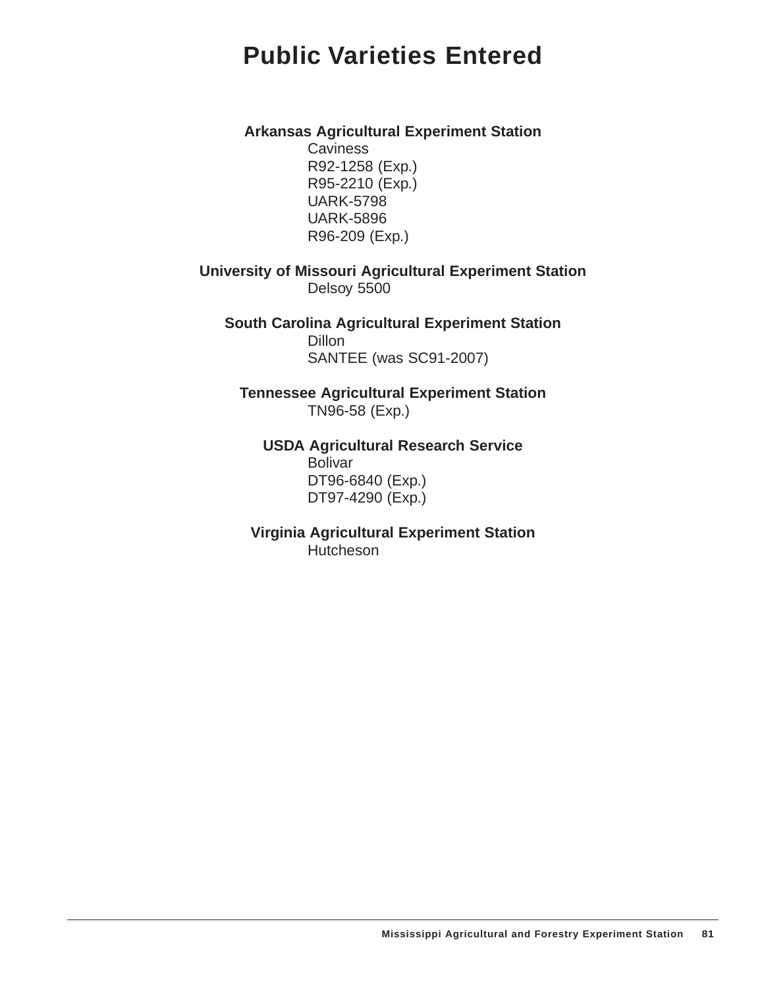## **Public Varieties Entered**

#### **Arkansas Agricultural Experiment Station**

**Caviness** R92-1258 (Exp.) R95-2210 (Exp.) UARK-5798 UARK-5896 R96-209 (Exp.)

**University of Missouri Agricultural Experiment Station** Delsoy 5500

**South Carolina Agricultural Experiment Station Dillon** SANTEE (was SC91-2007)

**Tennessee Agricultural Experiment Station** TN96-58 (Exp.)

**USDA Agricultural Research Service** Bolivar DT96-6840 (Exp.) DT97-4290 (Exp.)

**Virginia Agricultural Experiment Station Hutcheson**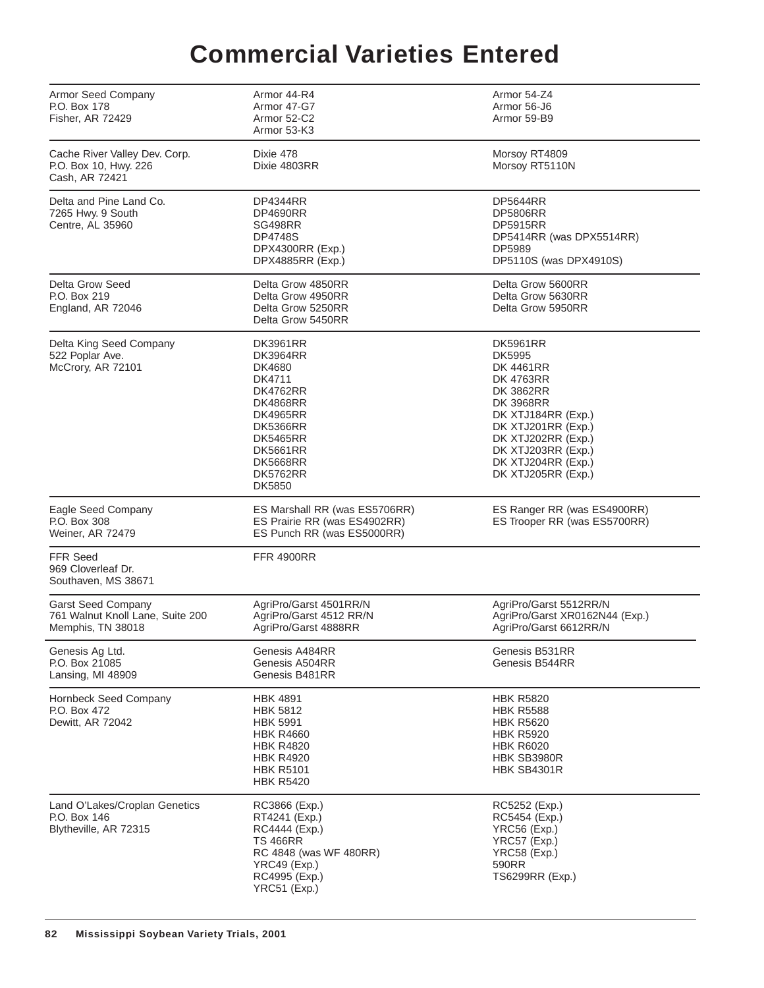# **Commercial Varieties Entered**

| Armor Seed Company<br>P.O. Box 178<br>Fisher, AR 72429                             | Armor 44-R4<br>Armor 47-G7<br>Armor 52-C2<br>Armor 53-K3                                                                                                                                                                 | Armor 54-Z4<br>Armor 56-J6<br>Armor 59-B9                                                                                                                                                                                              |
|------------------------------------------------------------------------------------|--------------------------------------------------------------------------------------------------------------------------------------------------------------------------------------------------------------------------|----------------------------------------------------------------------------------------------------------------------------------------------------------------------------------------------------------------------------------------|
| Cache River Valley Dev. Corp.<br>P.O. Box 10, Hwy. 226<br>Cash, AR 72421           | Dixie 478<br>Dixie 4803RR                                                                                                                                                                                                | Morsoy RT4809<br>Morsoy RT5110N                                                                                                                                                                                                        |
| Delta and Pine Land Co.<br>7265 Hwy. 9 South<br>Centre, AL 35960                   | DP4344RR<br><b>DP4690RR</b><br>SG498RR<br><b>DP4748S</b><br>DPX4300RR (Exp.)<br>DPX4885RR (Exp.)                                                                                                                         | DP5644RR<br><b>DP5806RR</b><br><b>DP5915RR</b><br>DP5414RR (was DPX5514RR)<br>DP5989<br>DP5110S (was DPX4910S)                                                                                                                         |
| Delta Grow Seed<br>P.O. Box 219<br>England, AR 72046                               | Delta Grow 4850RR<br>Delta Grow 4950RR<br>Delta Grow 5250RR<br>Delta Grow 5450RR                                                                                                                                         | Delta Grow 5600RR<br>Delta Grow 5630RR<br>Delta Grow 5950RR                                                                                                                                                                            |
| Delta King Seed Company<br>522 Poplar Ave.<br>McCrory, AR 72101                    | <b>DK3961RR</b><br><b>DK3964RR</b><br>DK4680<br>DK4711<br><b>DK4762RR</b><br><b>DK4868RR</b><br><b>DK4965RR</b><br><b>DK5366RR</b><br><b>DK5465RR</b><br><b>DK5661RR</b><br><b>DK5668RR</b><br><b>DK5762RR</b><br>DK5850 | <b>DK5961RR</b><br><b>DK5995</b><br>DK 4461RR<br><b>DK 4763RR</b><br><b>DK 3862RR</b><br>DK 3968RR<br>DK XTJ184RR (Exp.)<br>DK XTJ201RR (Exp.)<br>DK XTJ202RR (Exp.)<br>DK XTJ203RR (Exp.)<br>DK XTJ204RR (Exp.)<br>DK XTJ205RR (Exp.) |
| Eagle Seed Company<br>P.O. Box 308<br>Weiner, AR 72479                             | ES Marshall RR (was ES5706RR)<br>ES Prairie RR (was ES4902RR)<br>ES Punch RR (was ES5000RR)                                                                                                                              | ES Ranger RR (was ES4900RR)<br>ES Trooper RR (was ES5700RR)                                                                                                                                                                            |
| <b>FFR Seed</b><br>969 Cloverleaf Dr.<br>Southaven, MS 38671                       | <b>FFR 4900RR</b>                                                                                                                                                                                                        |                                                                                                                                                                                                                                        |
| <b>Garst Seed Company</b><br>761 Walnut Knoll Lane, Suite 200<br>Memphis, TN 38018 | AgriPro/Garst 4501RR/N<br>AgriPro/Garst 4512 RR/N<br>AgriPro/Garst 4888RR                                                                                                                                                | AgriPro/Garst 5512RR/N<br>AgriPro/Garst XR0162N44 (Exp.)<br>AgriPro/Garst 6612RR/N                                                                                                                                                     |
| Genesis Ag Ltd.<br>P.O. Box 21085<br>Lansing, MI 48909                             | Genesis A484RR<br>Genesis A504RR<br>Genesis B481RR                                                                                                                                                                       | Genesis B531RR<br>Genesis B544RR                                                                                                                                                                                                       |
| Hornbeck Seed Company<br>P.O. Box 472<br>Dewitt, AR 72042                          | <b>HBK 4891</b><br><b>HBK 5812</b><br><b>HBK 5991</b><br><b>HBK R4660</b><br><b>HBK R4820</b><br><b>HBK R4920</b><br><b>HBK R5101</b><br><b>HBK R5420</b>                                                                | <b>HBK R5820</b><br><b>HBK R5588</b><br><b>HBK R5620</b><br><b>HBK R5920</b><br><b>HBK R6020</b><br>HBK SB3980R<br>HBK SB4301R                                                                                                         |
| Land O'Lakes/Croplan Genetics<br>P.O. Box 146<br>Blytheville, AR 72315             | RC3866 (Exp.)<br>RT4241 (Exp.)<br>RC4444 (Exp.)<br><b>TS 466RR</b><br>RC 4848 (was WF 480RR)<br>YRC49 (Exp.)<br>RC4995 (Exp.)<br>YRC51 (Exp.)                                                                            | RC5252 (Exp.)<br>RC5454 (Exp.)<br>YRC56 (Exp.)<br>YRC57 (Exp.)<br>YRC58 (Exp.)<br>590RR<br>TS6299RR (Exp.)                                                                                                                             |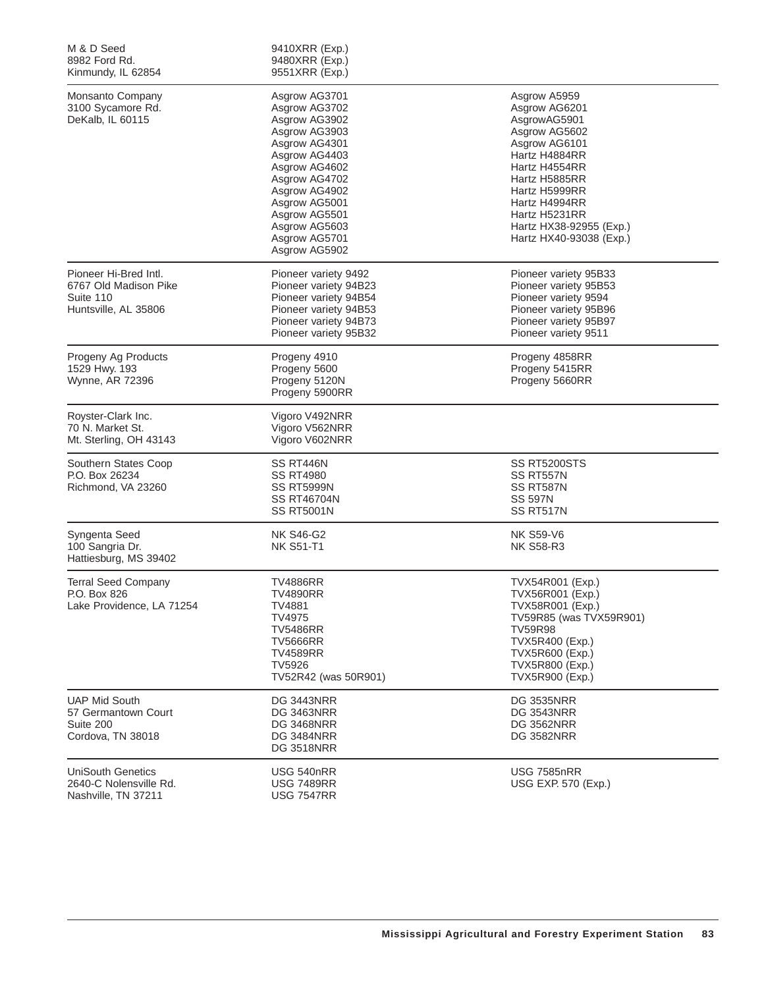| M & D Seed<br>8982 Ford Rd.<br>Kinmundy, IL 62854                                   | 9410XRR (Exp.)<br>9480XRR (Exp.)<br>9551XRR (Exp.)                                                                                                                                                                                         |                                                                                                                                                                                                                                             |
|-------------------------------------------------------------------------------------|--------------------------------------------------------------------------------------------------------------------------------------------------------------------------------------------------------------------------------------------|---------------------------------------------------------------------------------------------------------------------------------------------------------------------------------------------------------------------------------------------|
| Monsanto Company<br>3100 Sycamore Rd.<br>DeKalb, IL 60115                           | Asgrow AG3701<br>Asgrow AG3702<br>Asgrow AG3902<br>Asgrow AG3903<br>Asgrow AG4301<br>Asgrow AG4403<br>Asgrow AG4602<br>Asgrow AG4702<br>Asgrow AG4902<br>Asgrow AG5001<br>Asgrow AG5501<br>Asgrow AG5603<br>Asgrow AG5701<br>Asgrow AG5902 | Asgrow A5959<br>Asgrow AG6201<br>AsgrowAG5901<br>Asgrow AG5602<br>Asgrow AG6101<br>Hartz H4884RR<br>Hartz H4554RR<br>Hartz H5885RR<br>Hartz H5999RR<br>Hartz H4994RR<br>Hartz H5231RR<br>Hartz HX38-92955 (Exp.)<br>Hartz HX40-93038 (Exp.) |
| Pioneer Hi-Bred Intl.<br>6767 Old Madison Pike<br>Suite 110<br>Huntsville, AL 35806 | Pioneer variety 9492<br>Pioneer variety 94B23<br>Pioneer variety 94B54<br>Pioneer variety 94B53<br>Pioneer variety 94B73<br>Pioneer variety 95B32                                                                                          | Pioneer variety 95B33<br>Pioneer variety 95B53<br>Pioneer variety 9594<br>Pioneer variety 95B96<br>Pioneer variety 95B97<br>Pioneer variety 9511                                                                                            |
| Progeny Ag Products<br>1529 Hwy. 193<br>Wynne, AR 72396                             | Progeny 4910<br>Progeny 5600<br>Progeny 5120N<br>Progeny 5900RR                                                                                                                                                                            | Progeny 4858RR<br>Progeny 5415RR<br>Progeny 5660RR                                                                                                                                                                                          |
| Royster-Clark Inc.<br>70 N. Market St.<br>Mt. Sterling, OH 43143                    | Vigoro V492NRR<br>Vigoro V562NRR<br>Vigoro V602NRR                                                                                                                                                                                         |                                                                                                                                                                                                                                             |
| Southern States Coop<br>P.O. Box 26234<br>Richmond, VA 23260                        | SS RT446N<br><b>SS RT4980</b><br><b>SS RT5999N</b><br><b>SS RT46704N</b><br><b>SS RT5001N</b>                                                                                                                                              | SS RT5200STS<br>SS RT557N<br>SS RT587N<br>SS 597N<br>SS RT517N                                                                                                                                                                              |
| Syngenta Seed<br>100 Sangria Dr.<br>Hattiesburg, MS 39402                           | <b>NK S46-G2</b><br><b>NK S51-T1</b>                                                                                                                                                                                                       | <b>NK S59-V6</b><br><b>NK S58-R3</b>                                                                                                                                                                                                        |
| <b>Terral Seed Company</b><br>P.O. Box 826<br>Lake Providence, LA 71254             | <b>TV4886RR</b><br><b>TV4890RR</b><br><b>TV4881</b><br>TV4975<br><b>TV5486RR</b><br><b>TV5666RR</b><br><b>TV4589RR</b><br><b>TV5926</b><br>TV52R42 (was 50R901)                                                                            | TVX54R001 (Exp.)<br>TVX56R001 (Exp.)<br>TVX58R001 (Exp.)<br>TV59R85 (was TVX59R901)<br><b>TV59R98</b><br>TVX5R400 (Exp.)<br>TVX5R600 (Exp.)<br>TVX5R800 (Exp.)<br><b>TVX5R900 (Exp.)</b>                                                    |
| <b>UAP Mid South</b><br>57 Germantown Court<br>Suite 200<br>Cordova, TN 38018       | <b>DG 3443NRR</b><br><b>DG 3463NRR</b><br><b>DG 3468NRR</b><br><b>DG 3484NRR</b><br><b>DG 3518NRR</b>                                                                                                                                      | <b>DG 3535NRR</b><br><b>DG 3543NRR</b><br><b>DG 3562NRR</b><br><b>DG 3582NRR</b>                                                                                                                                                            |
| <b>UniSouth Genetics</b><br>2640-C Nolensville Rd.<br>Nashville, TN 37211           | USG 540nRR<br><b>USG 7489RR</b><br><b>USG 7547RR</b>                                                                                                                                                                                       | <b>USG 7585nRR</b><br>USG EXP. 570 (Exp.)                                                                                                                                                                                                   |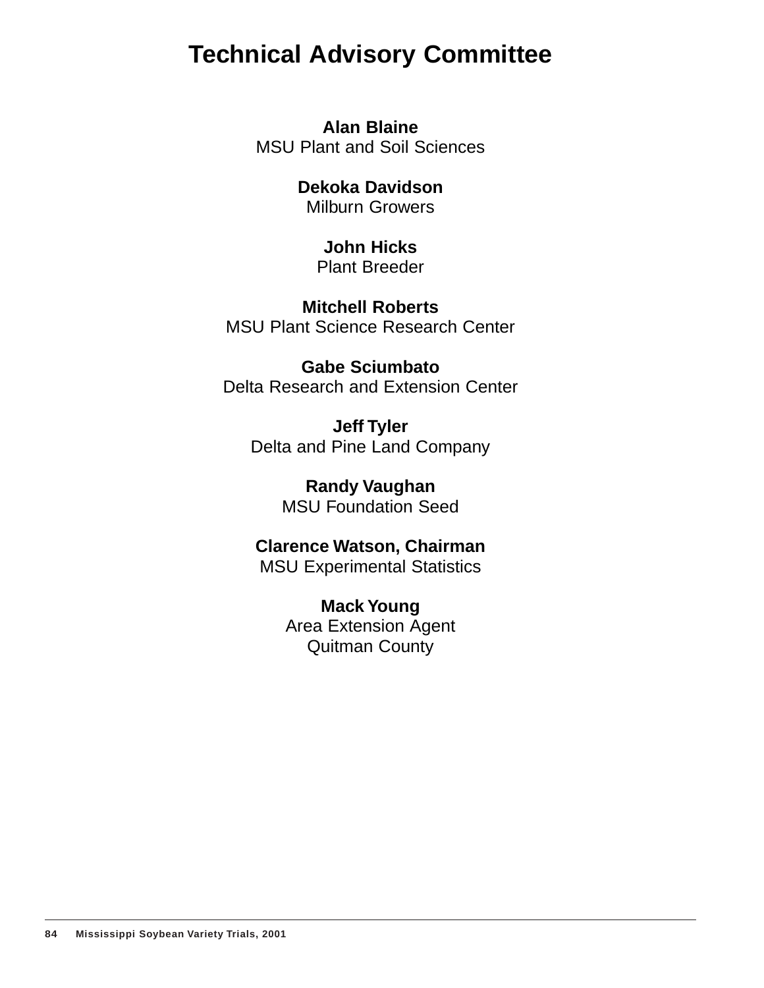## **Technical Advisory Committee**

**Alan Blaine** MSU Plant and Soil Sciences

> **Dekoka Davidson** Milburn Growers

> > **John Hicks** Plant Breeder

**Mitchell Roberts** MSU Plant Science Research Center

**Gabe Sciumbato** Delta Research and Extension Center

**Jeff Tyler** Delta and Pine Land Company

> **Randy Vaughan** MSU Foundation Seed

**Clarence Watson, Chairman** MSU Experimental Statistics

> **Mack Young** Area Extension Agent Quitman County